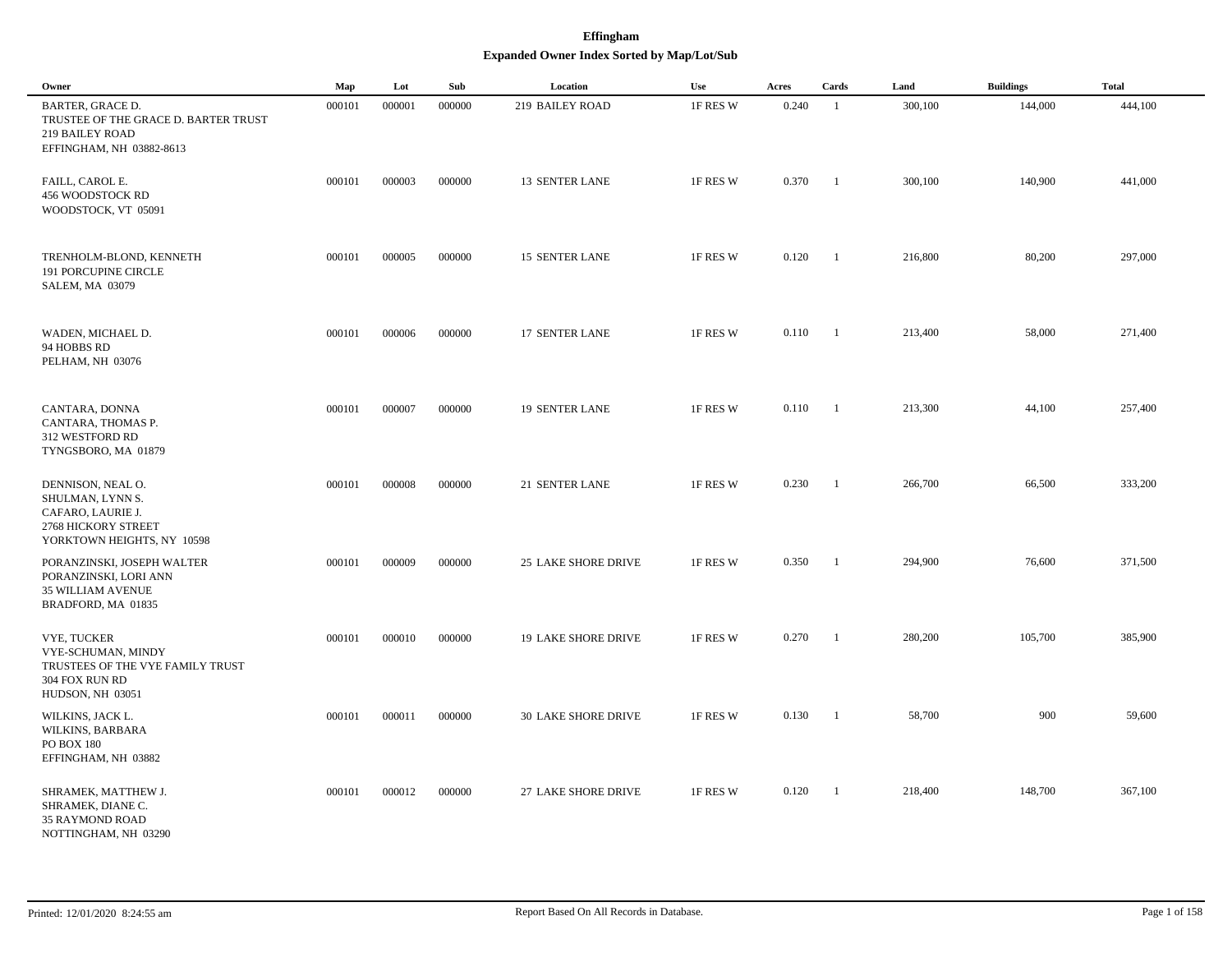## **Effingham Expanded Owner Index Sorted by Map/Lot/Sub**

| Owner                                                                                                                 | Map    | Lot    | Sub    | Location                   | Use      | Acres | Cards          | Land    | <b>Buildings</b> | <b>Total</b> |
|-----------------------------------------------------------------------------------------------------------------------|--------|--------|--------|----------------------------|----------|-------|----------------|---------|------------------|--------------|
| <b>BARTER, GRACE D.</b><br>TRUSTEE OF THE GRACE D. BARTER TRUST<br><b>219 BAILEY ROAD</b><br>EFFINGHAM, NH 03882-8613 | 000101 | 000001 | 000000 | 219 BAILEY ROAD            | 1F RES W | 0.240 | -1             | 300,100 | 144,000          | 444,100      |
| FAILL, CAROL E.<br>456 WOODSTOCK RD<br>WOODSTOCK, VT 05091                                                            | 000101 | 000003 | 000000 | <b>13 SENTER LANE</b>      | 1F RES W | 0.370 | $\overline{1}$ | 300,100 | 140,900          | 441,000      |
| TRENHOLM-BLOND, KENNETH<br><b>191 PORCUPINE CIRCLE</b><br>SALEM, MA 03079                                             | 000101 | 000005 | 000000 | <b>15 SENTER LANE</b>      | 1F RES W | 0.120 | $\overline{1}$ | 216,800 | 80,200           | 297,000      |
| WADEN, MICHAEL D.<br>94 HOBBS RD<br>PELHAM, NH 03076                                                                  | 000101 | 000006 | 000000 | 17 SENTER LANE             | 1F RES W | 0.110 | $\overline{1}$ | 213,400 | 58,000           | 271,400      |
| CANTARA, DONNA<br>CANTARA, THOMAS P.<br>312 WESTFORD RD<br>TYNGSBORO, MA 01879                                        | 000101 | 000007 | 000000 | <b>19 SENTER LANE</b>      | 1F RES W | 0.110 | $\overline{1}$ | 213,300 | 44,100           | 257,400      |
| DENNISON, NEAL O.<br>SHULMAN, LYNN S.<br>CAFARO, LAURIE J.<br>2768 HICKORY STREET<br>YORKTOWN HEIGHTS, NY 10598       | 000101 | 000008 | 000000 | 21 SENTER LANE             | 1F RES W | 0.230 | $\overline{1}$ | 266,700 | 66,500           | 333,200      |
| PORANZINSKI, JOSEPH WALTER<br>PORANZINSKI, LORI ANN<br><b>35 WILLIAM AVENUE</b><br>BRADFORD, MA 01835                 | 000101 | 000009 | 000000 | <b>25 LAKE SHORE DRIVE</b> | 1F RES W | 0.350 | $\overline{1}$ | 294,900 | 76,600           | 371,500      |
| <b>VYE, TUCKER</b><br>VYE-SCHUMAN, MINDY<br>TRUSTEES OF THE VYE FAMILY TRUST<br>304 FOX RUN RD<br>HUDSON, NH 03051    | 000101 | 000010 | 000000 | <b>19 LAKE SHORE DRIVE</b> | 1F RES W | 0.270 | - 1            | 280,200 | 105,700          | 385,900      |
| WILKINS, JACK L.<br>WILKINS, BARBARA<br><b>PO BOX 180</b><br>EFFINGHAM, NH 03882                                      | 000101 | 000011 | 000000 | <b>30 LAKE SHORE DRIVE</b> | 1F RES W | 0.130 | $\overline{1}$ | 58,700  | 900              | 59,600       |
| SHRAMEK, MATTHEW J.<br>SHRAMEK, DIANE C.<br><b>35 RAYMOND ROAD</b><br>NOTTINGHAM, NH 03290                            | 000101 | 000012 | 000000 | 27 LAKE SHORE DRIVE        | 1F RES W | 0.120 | - 1            | 218,400 | 148,700          | 367,100      |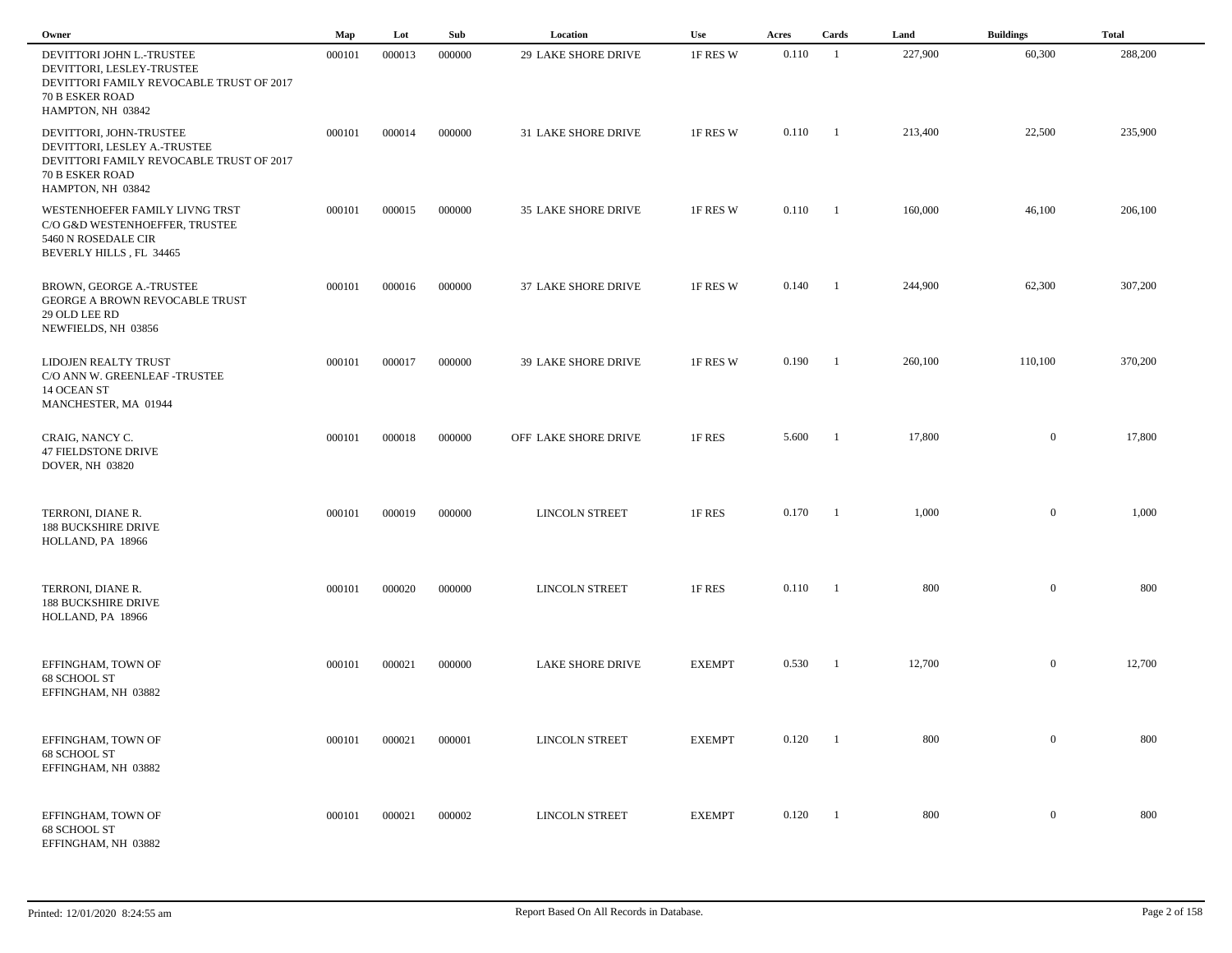| Owner                                                                                                                                              | Map    | Lot    | Sub    | Location                   | Use           | Acres            | Cards                    | Land    | <b>Buildings</b> | <b>Total</b> |  |
|----------------------------------------------------------------------------------------------------------------------------------------------------|--------|--------|--------|----------------------------|---------------|------------------|--------------------------|---------|------------------|--------------|--|
| DEVITTORI JOHN L.-TRUSTEE<br>DEVITTORI, LESLEY-TRUSTEE<br>DEVITTORI FAMILY REVOCABLE TRUST OF 2017<br>70 B ESKER ROAD<br>HAMPTON, NH 03842         | 000101 | 000013 | 000000 | 29 LAKE SHORE DRIVE        | 1F RES W      | 0.110            | $\blacksquare$           | 227,900 | 60,300           | 288,200      |  |
| DEVITTORI, JOHN-TRUSTEE<br>DEVITTORI, LESLEY A.-TRUSTEE<br>DEVITTORI FAMILY REVOCABLE TRUST OF 2017<br><b>70 B ESKER ROAD</b><br>HAMPTON, NH 03842 | 000101 | 000014 | 000000 | 31 LAKE SHORE DRIVE        | 1F RES W      | $0.110 \qquad 1$ |                          | 213,400 | 22,500           | 235,900      |  |
| WESTENHOEFER FAMILY LIVNG TRST<br>C/O G&D WESTENHOEFFER, TRUSTEE<br>5460 N ROSEDALE CIR<br>BEVERLY HILLS, FL 34465                                 | 000101 | 000015 | 000000 | 35 LAKE SHORE DRIVE        | 1F RES W      | $0.110 \qquad 1$ |                          | 160,000 | 46,100           | 206,100      |  |
| BROWN, GEORGE A.-TRUSTEE<br><b>GEORGE A BROWN REVOCABLE TRUST</b><br>29 OLD LEE RD<br>NEWFIELDS, NH 03856                                          | 000101 | 000016 | 000000 | 37 LAKE SHORE DRIVE        | 1F RES W      | 0.140            | $\overline{\phantom{a}}$ | 244,900 | 62,300           | 307,200      |  |
| LIDOJEN REALTY TRUST<br>C/O ANN W. GREENLEAF-TRUSTEE<br>14 OCEAN ST<br>MANCHESTER, MA 01944                                                        | 000101 | 000017 | 000000 | <b>39 LAKE SHORE DRIVE</b> | 1F RES W      | 0.190            | $\overline{\phantom{a}}$ | 260,100 | 110,100          | 370,200      |  |
| CRAIG, NANCY C.<br>47 FIELDSTONE DRIVE<br>DOVER, NH 03820                                                                                          | 000101 | 000018 | 000000 | OFF LAKE SHORE DRIVE       | 1F RES        | 5.600            | $\mathbf{1}$             | 17,800  | $\overline{0}$   | 17,800       |  |
| TERRONI, DIANE R.<br><b>188 BUCKSHIRE DRIVE</b><br>HOLLAND, PA 18966                                                                               | 000101 | 000019 | 000000 | LINCOLN STREET             | 1F RES        | 0.170            | $\mathbf{1}$             | 1,000   | $\overline{0}$   | 1,000        |  |
| TERRONI, DIANE R.<br><b>188 BUCKSHIRE DRIVE</b><br>HOLLAND, PA 18966                                                                               | 000101 | 000020 | 000000 | <b>LINCOLN STREET</b>      | 1F RES        | 0.110            | $\blacksquare$           | 800     | $\mathbf{0}$     | 800          |  |
| EFFINGHAM, TOWN OF<br>68 SCHOOL ST<br>EFFINGHAM, NH 03882                                                                                          | 000101 | 000021 | 000000 | LAKE SHORE DRIVE           | <b>EXEMPT</b> | 0.530            | $\blacksquare$           | 12,700  | $\overline{0}$   | 12,700       |  |
| EFFINGHAM, TOWN OF<br>68 SCHOOL ST<br>EFFINGHAM, NH 03882                                                                                          | 000101 | 000021 | 000001 | LINCOLN STREET             | <b>EXEMPT</b> | 0.120            | $\blacksquare$           | 800     | $\overline{0}$   | 800          |  |
| EFFINGHAM, TOWN OF<br>68 SCHOOL ST<br>EFFINGHAM, NH 03882                                                                                          | 000101 | 000021 | 000002 | <b>LINCOLN STREET</b>      | <b>EXEMPT</b> | 0.120            | $\blacksquare$           | 800     | $\overline{0}$   | 800          |  |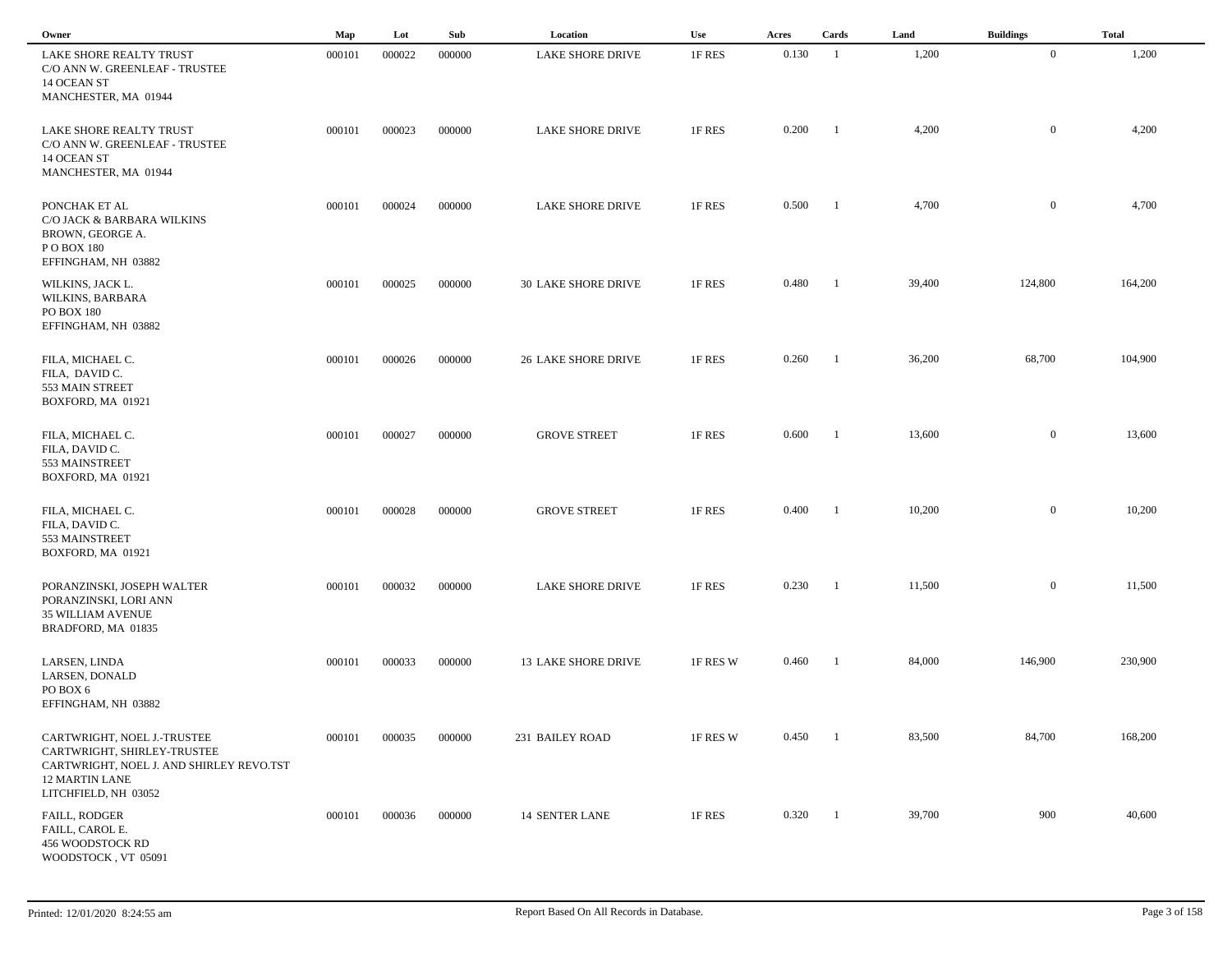| Owner                                                                                                                           | $\mathbf{Map}$ | Lot    | Sub    | Location                   | Use      | Acres | Cards          | Land   | <b>Buildings</b> | <b>Total</b> |
|---------------------------------------------------------------------------------------------------------------------------------|----------------|--------|--------|----------------------------|----------|-------|----------------|--------|------------------|--------------|
| LAKE SHORE REALTY TRUST<br>C/O ANN W. GREENLEAF - TRUSTEE<br>14 OCEAN ST<br>MANCHESTER, MA 01944                                | 000101         | 000022 | 000000 | <b>LAKE SHORE DRIVE</b>    | 1F RES   | 0.130 | -1             | 1,200  | $\overline{0}$   | 1,200        |
| LAKE SHORE REALTY TRUST<br>C/O ANN W. GREENLEAF - TRUSTEE<br>14 OCEAN ST<br>MANCHESTER, MA 01944                                | 000101         | 000023 | 000000 | <b>LAKE SHORE DRIVE</b>    | 1F RES   | 0.200 | - 1            | 4,200  | $\mathbf{0}$     | 4,200        |
| PONCHAK ET AL<br>C/O JACK & BARBARA WILKINS<br>BROWN, GEORGE A.<br>PO BOX 180<br>EFFINGHAM, NH 03882                            | 000101         | 000024 | 000000 | LAKE SHORE DRIVE           | 1F RES   | 0.500 | - 1            | 4,700  | $\mathbf{0}$     | 4,700        |
| WILKINS, JACK L.<br>WILKINS, BARBARA<br><b>PO BOX 180</b><br>EFFINGHAM, NH 03882                                                | 000101         | 000025 | 000000 | 30 LAKE SHORE DRIVE        | 1F RES   | 0.480 | -1             | 39,400 | 124,800          | 164,200      |
| FILA, MICHAEL C.<br>FILA, DAVID C.<br>553 MAIN STREET<br>BOXFORD, MA 01921                                                      | 000101         | 000026 | 000000 | <b>26 LAKE SHORE DRIVE</b> | 1F RES   | 0.260 | -1             | 36,200 | 68,700           | 104,900      |
| FILA, MICHAEL C.<br>FILA, DAVID C.<br>553 MAINSTREET<br>BOXFORD, MA 01921                                                       | 000101         | 000027 | 000000 | <b>GROVE STREET</b>        | 1F RES   | 0.600 | -1             | 13,600 | $\mathbf{0}$     | 13,600       |
| FILA, MICHAEL C.<br>FILA, DAVID C.<br>553 MAINSTREET<br>BOXFORD, MA 01921                                                       | 000101         | 000028 | 000000 | <b>GROVE STREET</b>        | 1F RES   | 0.400 | - 1            | 10,200 | $\mathbf{0}$     | 10,200       |
| PORANZINSKI, JOSEPH WALTER<br>PORANZINSKI, LORI ANN<br><b>35 WILLIAM AVENUE</b><br>BRADFORD, MA 01835                           | 000101         | 000032 | 000000 | <b>LAKE SHORE DRIVE</b>    | 1F RES   | 0.230 | -1             | 11,500 | $\mathbf{0}$     | 11,500       |
| LARSEN, LINDA<br>LARSEN, DONALD<br>PO BOX 6<br>EFFINGHAM, NH 03882                                                              | 000101         | 000033 | 000000 | <b>13 LAKE SHORE DRIVE</b> | 1F RES W | 0.460 | -1             | 84,000 | 146,900          | 230,900      |
| CARTWRIGHT, NOEL J.-TRUSTEE<br>CARTWRIGHT, SHIRLEY-TRUSTEE<br>CARTWRIGHT, NOEL J. AND SHIRLEY REVO.TST<br><b>12 MARTIN LANE</b> | 000101         | 000035 | 000000 | 231 BAILEY ROAD            | 1F RES W | 0.450 | -1             | 83,500 | 84,700           | 168,200      |
| LITCHFIELD, NH 03052<br>FAILL, RODGER<br>FAILL, CAROL E.<br>456 WOODSTOCK RD<br>WOODSTOCK, VT 05091                             | 000101         | 000036 | 000000 | <b>14 SENTER LANE</b>      | 1F RES   | 0.320 | $\blacksquare$ | 39,700 | 900              | 40,600       |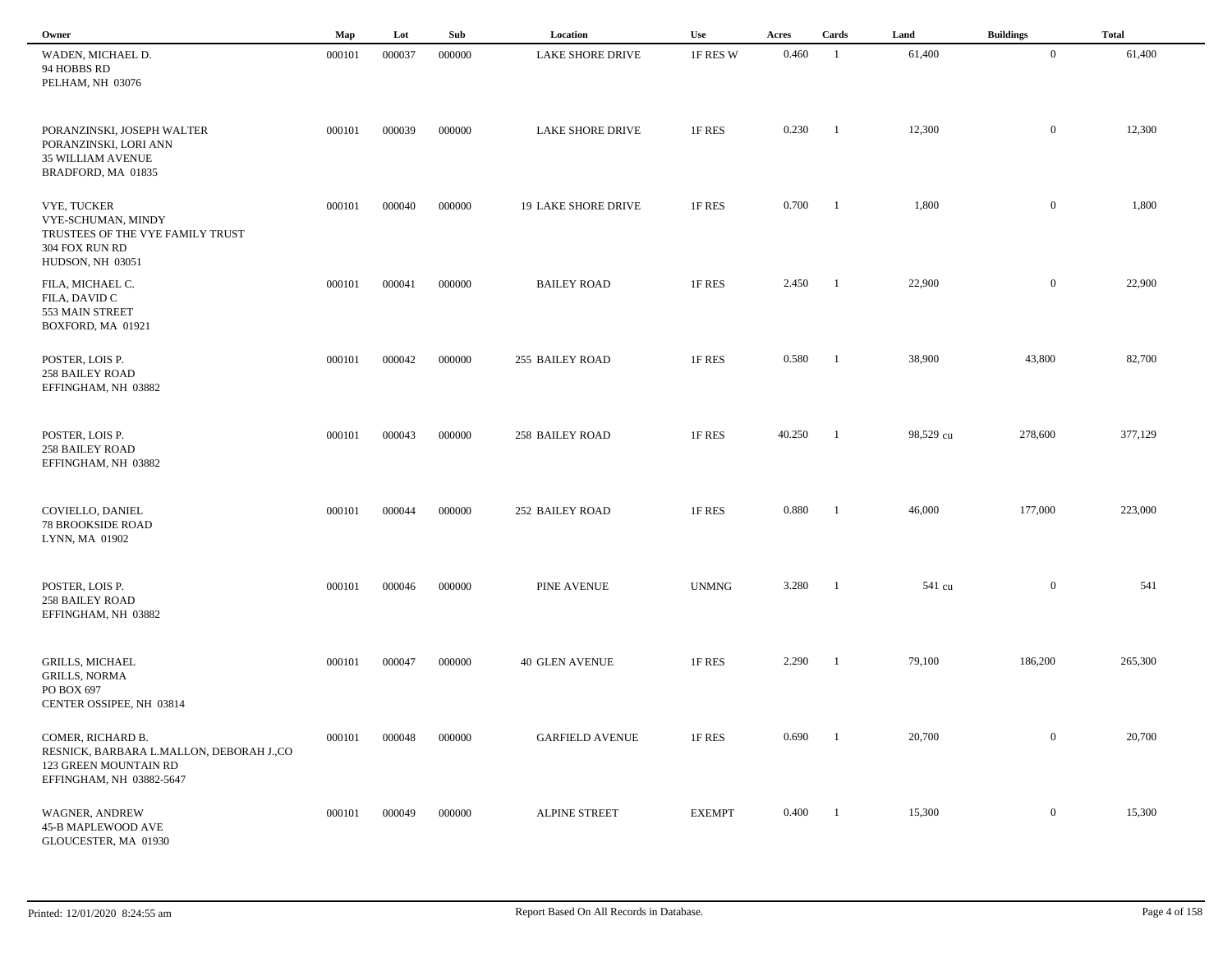| Owner                                                                                                              | Map    | Lot    | Sub    | Location                   | Use           | Acres  | Cards          | Land      | <b>Buildings</b> | <b>Total</b> |  |
|--------------------------------------------------------------------------------------------------------------------|--------|--------|--------|----------------------------|---------------|--------|----------------|-----------|------------------|--------------|--|
| WADEN, MICHAEL D.<br>94 HOBBS RD<br>PELHAM, NH 03076                                                               | 000101 | 000037 | 000000 | <b>LAKE SHORE DRIVE</b>    | 1F RES W      | 0.460  | -1             | 61,400    | $\overline{0}$   | 61,400       |  |
| PORANZINSKI, JOSEPH WALTER<br>PORANZINSKI, LORI ANN<br>35 WILLIAM AVENUE<br>BRADFORD, MA 01835                     | 000101 | 000039 | 000000 | <b>LAKE SHORE DRIVE</b>    | 1F RES        | 0.230  | $\blacksquare$ | 12,300    | $\mathbf{0}$     | 12,300       |  |
| VYE, TUCKER<br>VYE-SCHUMAN, MINDY<br>TRUSTEES OF THE VYE FAMILY TRUST<br>304 FOX RUN RD<br>HUDSON, NH 03051        | 000101 | 000040 | 000000 | <b>19 LAKE SHORE DRIVE</b> | 1F RES        | 0.700  | $\blacksquare$ | 1,800     | $\mathbf{0}$     | 1,800        |  |
| FILA, MICHAEL C.<br>FILA, DAVID C<br>553 MAIN STREET<br>BOXFORD, MA 01921                                          | 000101 | 000041 | 000000 | <b>BAILEY ROAD</b>         | 1F RES        | 2.450  | -1             | 22,900    | $\mathbf{0}$     | 22,900       |  |
| POSTER, LOIS P.<br><b>258 BAILEY ROAD</b><br>EFFINGHAM, NH 03882                                                   | 000101 | 000042 | 000000 | 255 BAILEY ROAD            | 1F RES        | 0.580  | -1             | 38,900    | 43,800           | 82,700       |  |
| POSTER, LOIS P.<br><b>258 BAILEY ROAD</b><br>EFFINGHAM, NH 03882                                                   | 000101 | 000043 | 000000 | 258 BAILEY ROAD            | 1F RES        | 40.250 | - 1            | 98,529 cu | 278,600          | 377,129      |  |
| COVIELLO, DANIEL<br><b>78 BROOKSIDE ROAD</b><br>LYNN, MA 01902                                                     | 000101 | 000044 | 000000 | 252 BAILEY ROAD            | 1F RES        | 0.880  | -1             | 46,000    | 177,000          | 223,000      |  |
| POSTER, LOIS P.<br><b>258 BAILEY ROAD</b><br>EFFINGHAM, NH 03882                                                   | 000101 | 000046 | 000000 | <b>PINE AVENUE</b>         | <b>UNMNG</b>  | 3.280  | -1             | 541 cu    | $\mathbf{0}$     | 541          |  |
| <b>GRILLS, MICHAEL</b><br><b>GRILLS, NORMA</b><br>PO BOX 697<br>CENTER OSSIPEE, NH 03814                           | 000101 | 000047 | 000000 | <b>40 GLEN AVENUE</b>      | 1F RES        | 2.290  | - 1            | 79,100    | 186,200          | 265,300      |  |
| COMER, RICHARD B.<br>RESNICK, BARBARA L.MALLON, DEBORAH J.,CO<br>123 GREEN MOUNTAIN RD<br>EFFINGHAM, NH 03882-5647 | 000101 | 000048 | 000000 | <b>GARFIELD AVENUE</b>     | 1F RES        | 0.690  | -1             | 20,700    | $\boldsymbol{0}$ | 20,700       |  |
| WAGNER, ANDREW<br>45-B MAPLEWOOD AVE<br>GLOUCESTER, MA 01930                                                       | 000101 | 000049 | 000000 | <b>ALPINE STREET</b>       | <b>EXEMPT</b> | 0.400  | $\blacksquare$ | 15,300    | $\overline{0}$   | 15,300       |  |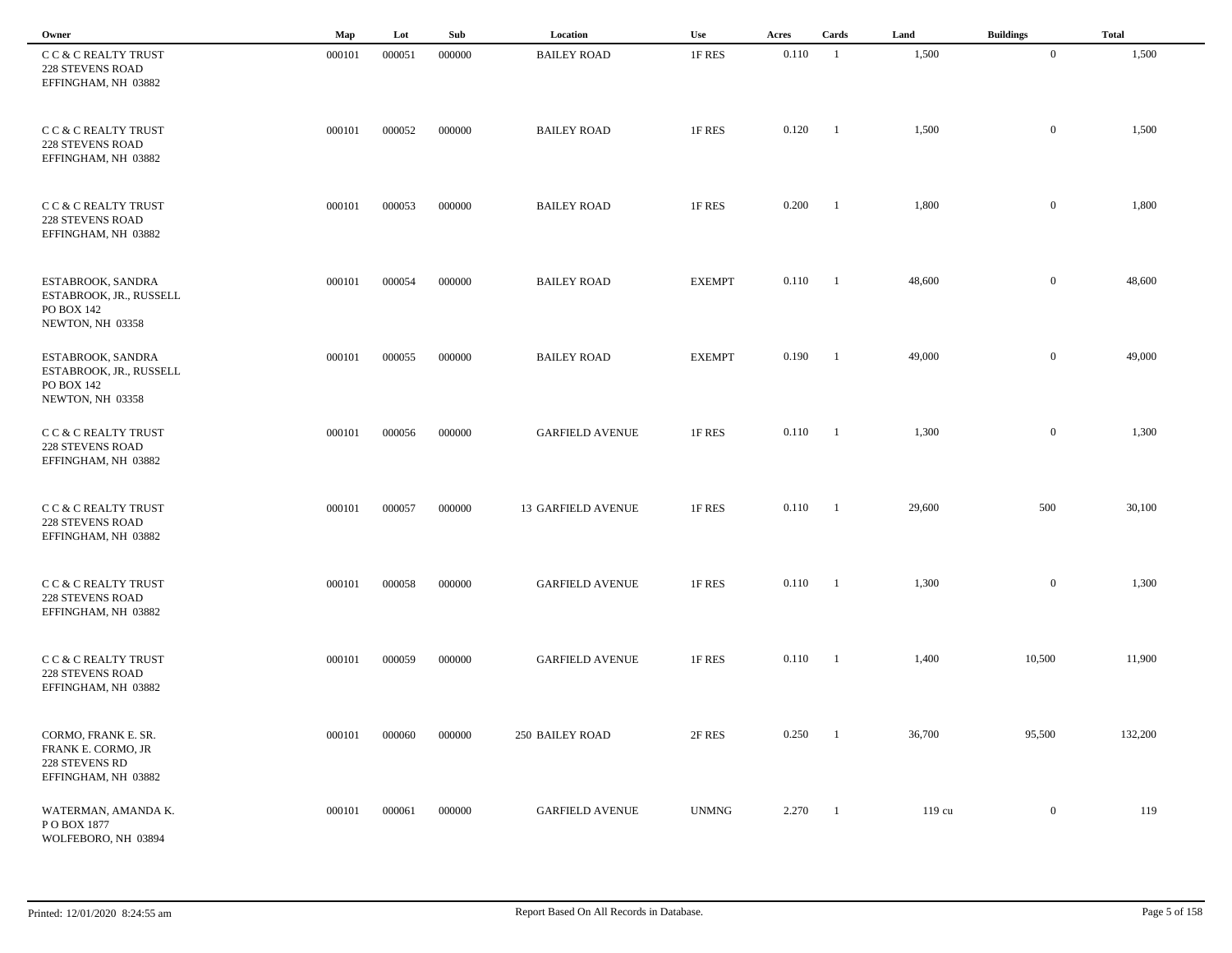| Owner                                                                              | Map    | Lot    | Sub    | Location               | Use               | Acres        | Cards          | Land   | <b>Buildings</b> | <b>Total</b> |
|------------------------------------------------------------------------------------|--------|--------|--------|------------------------|-------------------|--------------|----------------|--------|------------------|--------------|
| C C & C REALTY TRUST<br>228 STEVENS ROAD<br>EFFINGHAM, NH 03882                    | 000101 | 000051 | 000000 | <b>BAILEY ROAD</b>     | 1F RES            | 0.110        | -1             | 1,500  | $\overline{0}$   | 1,500        |
| C C & C REALTY TRUST<br>228 STEVENS ROAD<br>EFFINGHAM, NH 03882                    | 000101 | 000052 | 000000 | <b>BAILEY ROAD</b>     | 1F RES            | 0.120        | $\blacksquare$ | 1,500  | $\bf{0}$         | 1,500        |
| C C & C REALTY TRUST<br><b>228 STEVENS ROAD</b><br>EFFINGHAM, NH 03882             | 000101 | 000053 | 000000 | <b>BAILEY ROAD</b>     | 1F RES            | 0.200        | $\blacksquare$ | 1,800  | $\mathbf{0}$     | 1,800        |
| ESTABROOK, SANDRA<br>ESTABROOK, JR., RUSSELL<br>PO BOX 142<br>NEWTON, NH 03358     | 000101 | 000054 | 000000 | <b>BAILEY ROAD</b>     | <b>EXEMPT</b>     | $0.110 \t 1$ |                | 48,600 | $\overline{0}$   | 48,600       |
| ESTABROOK, SANDRA<br>ESTABROOK, JR., RUSSELL<br>PO BOX 142<br>NEWTON, NH 03358     | 000101 | 000055 | 000000 | <b>BAILEY ROAD</b>     | <b>EXEMPT</b>     | 0.190        | $\blacksquare$ | 49,000 | $\overline{0}$   | 49,000       |
| C C & C REALTY TRUST<br><b>228 STEVENS ROAD</b><br>EFFINGHAM, NH 03882             | 000101 | 000056 | 000000 | <b>GARFIELD AVENUE</b> | 1F RES            | 0.110        | $\blacksquare$ | 1,300  | $\mathbf{0}$     | 1,300        |
| C C & C REALTY TRUST<br><b>228 STEVENS ROAD</b><br>EFFINGHAM, NH 03882             | 000101 | 000057 | 000000 | 13 GARFIELD AVENUE     | 1F RES            | 0.110        | - 1            | 29,600 | 500              | 30,100       |
| C C & C REALTY TRUST<br><b>228 STEVENS ROAD</b><br>EFFINGHAM, NH 03882             | 000101 | 000058 | 000000 | <b>GARFIELD AVENUE</b> | 1F RES            | 0.110        | - 1            | 1,300  | $\mathbf{0}$     | 1,300        |
| CC & C REALTY TRUST<br><b>228 STEVENS ROAD</b><br>EFFINGHAM, NH 03882              | 000101 | 000059 | 000000 | <b>GARFIELD AVENUE</b> | 1F RES            | 0.110        | -1             | 1,400  | 10,500           | 11,900       |
| CORMO, FRANK E. SR.<br>FRANK E. CORMO, JR<br>228 STEVENS RD<br>EFFINGHAM, NH 03882 | 000101 | 000060 | 000000 | 250 BAILEY ROAD        | $2\textrm{F}$ RES | 0.250        | $\blacksquare$ | 36,700 | 95,500           | 132,200      |
| WATERMAN, AMANDA K.<br>PO BOX 1877<br>WOLFEBORO, NH 03894                          | 000101 | 000061 | 000000 | <b>GARFIELD AVENUE</b> | <b>UNMNG</b>      | 2.270        | $\overline{1}$ | 119 cu | $\overline{0}$   | 119          |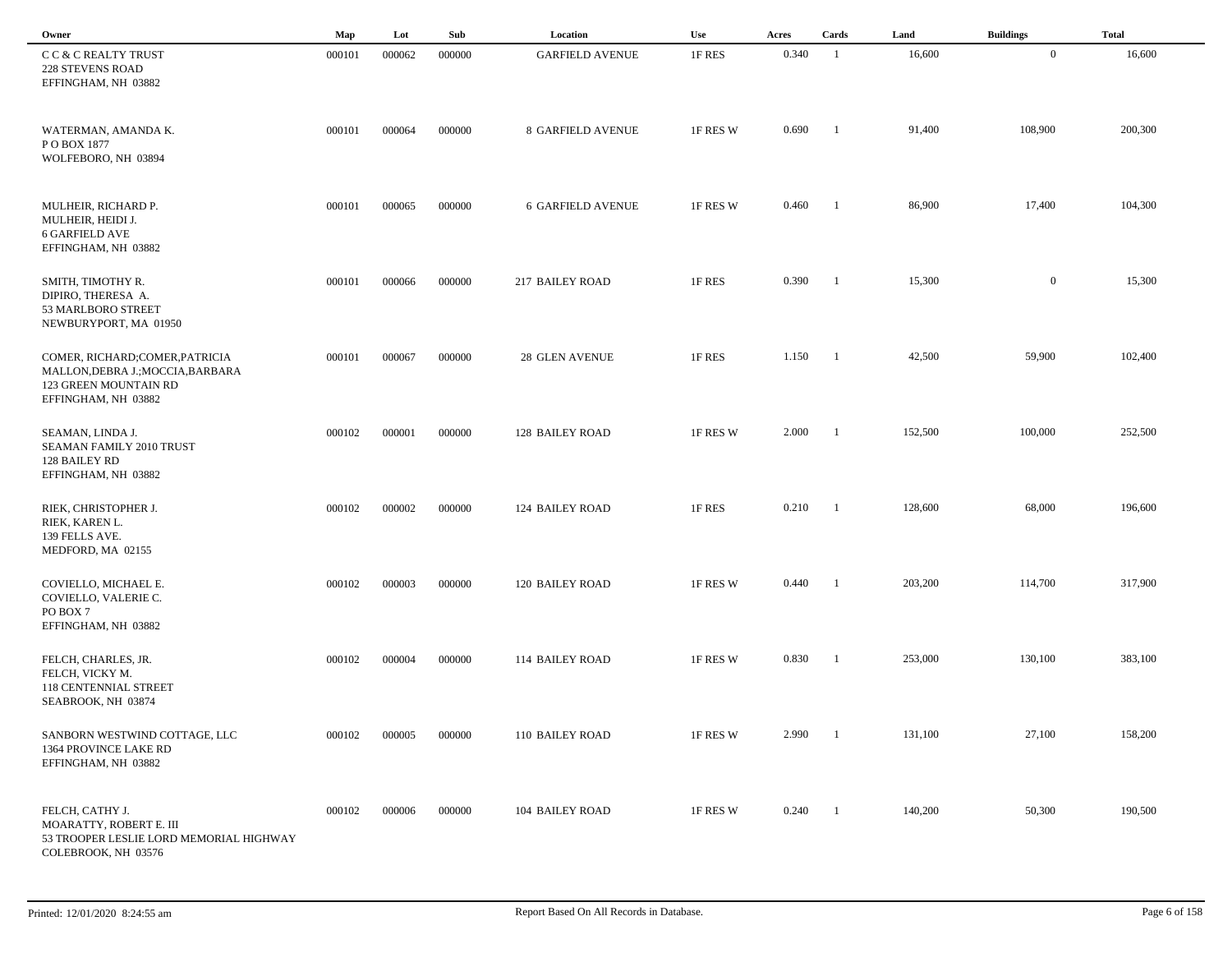| Owner                                                                                                               | Map    | Lot    | Sub    | Location                 | Use      | Acres | Cards          | Land    | <b>Buildings</b> | <b>Total</b> |
|---------------------------------------------------------------------------------------------------------------------|--------|--------|--------|--------------------------|----------|-------|----------------|---------|------------------|--------------|
| CC & C REALTY TRUST<br>228 STEVENS ROAD<br>EFFINGHAM, NH 03882                                                      | 000101 | 000062 | 000000 | <b>GARFIELD AVENUE</b>   | 1F RES   | 0.340 | -1             | 16,600  | $\mathbf{0}$     | 16,600       |
| WATERMAN, AMANDA K.<br>PO BOX 1877<br>WOLFEBORO, NH 03894                                                           | 000101 | 000064 | 000000 | <b>8 GARFIELD AVENUE</b> | 1F RES W | 0.690 | -1             | 91,400  | 108,900          | 200,300      |
| MULHEIR, RICHARD P.<br>MULHEIR, HEIDI J.<br>6 GARFIELD AVE<br>EFFINGHAM, NH 03882                                   | 000101 | 000065 | 000000 | <b>6 GARFIELD AVENUE</b> | 1F RES W | 0.460 | -1             | 86,900  | 17,400           | 104,300      |
| SMITH, TIMOTHY R.<br>DIPIRO, THERESA A.<br>53 MARLBORO STREET<br>NEWBURYPORT, MA 01950                              | 000101 | 000066 | 000000 | 217 BAILEY ROAD          | 1F RES   | 0.390 | $\blacksquare$ | 15,300  | $\mathbf{0}$     | 15,300       |
| COMER, RICHARD;COMER, PATRICIA<br>MALLON, DEBRA J.; MOCCIA, BARBARA<br>123 GREEN MOUNTAIN RD<br>EFFINGHAM, NH 03882 | 000101 | 000067 | 000000 | <b>28 GLEN AVENUE</b>    | 1F RES   | 1.150 | $\blacksquare$ | 42,500  | 59,900           | 102,400      |
| SEAMAN, LINDA J.<br>SEAMAN FAMILY 2010 TRUST<br>128 BAILEY RD<br>EFFINGHAM, NH 03882                                | 000102 | 000001 | 000000 | <b>128 BAILEY ROAD</b>   | 1F RES W | 2.000 | - 1            | 152,500 | 100,000          | 252,500      |
| RIEK, CHRISTOPHER J.<br>RIEK, KAREN L.<br>139 FELLS AVE.<br>MEDFORD, MA 02155                                       | 000102 | 000002 | 000000 | <b>124 BAILEY ROAD</b>   | 1F RES   | 0.210 | - 1            | 128,600 | 68,000           | 196,600      |
| COVIELLO, MICHAEL E.<br>COVIELLO, VALERIE C.<br>PO BOX 7<br>EFFINGHAM, NH 03882                                     | 000102 | 000003 | 000000 | <b>120 BAILEY ROAD</b>   | 1F RES W | 0.440 | -1             | 203,200 | 114,700          | 317,900      |
| FELCH, CHARLES, JR.<br>FELCH, VICKY M.<br><b>118 CENTENNIAL STREET</b><br>SEABROOK, NH 03874                        | 000102 | 000004 | 000000 | 114 BAILEY ROAD          | 1F RES W | 0.830 | -1             | 253,000 | 130,100          | 383,100      |
| SANBORN WESTWIND COTTAGE, LLC<br>1364 PROVINCE LAKE RD<br>EFFINGHAM, NH 03882                                       | 000102 | 000005 | 000000 | 110 BAILEY ROAD          | 1F RES W | 2.990 | $\blacksquare$ | 131,100 | 27,100           | 158,200      |
| FELCH, CATHY J.<br>MOARATTY, ROBERT E. III<br>53 TROOPER LESLIE LORD MEMORIAL HIGHWAY<br>COLEBROOK, NH 03576        | 000102 | 000006 | 000000 | 104 BAILEY ROAD          | 1F RES W | 0.240 | - 1            | 140,200 | 50,300           | 190,500      |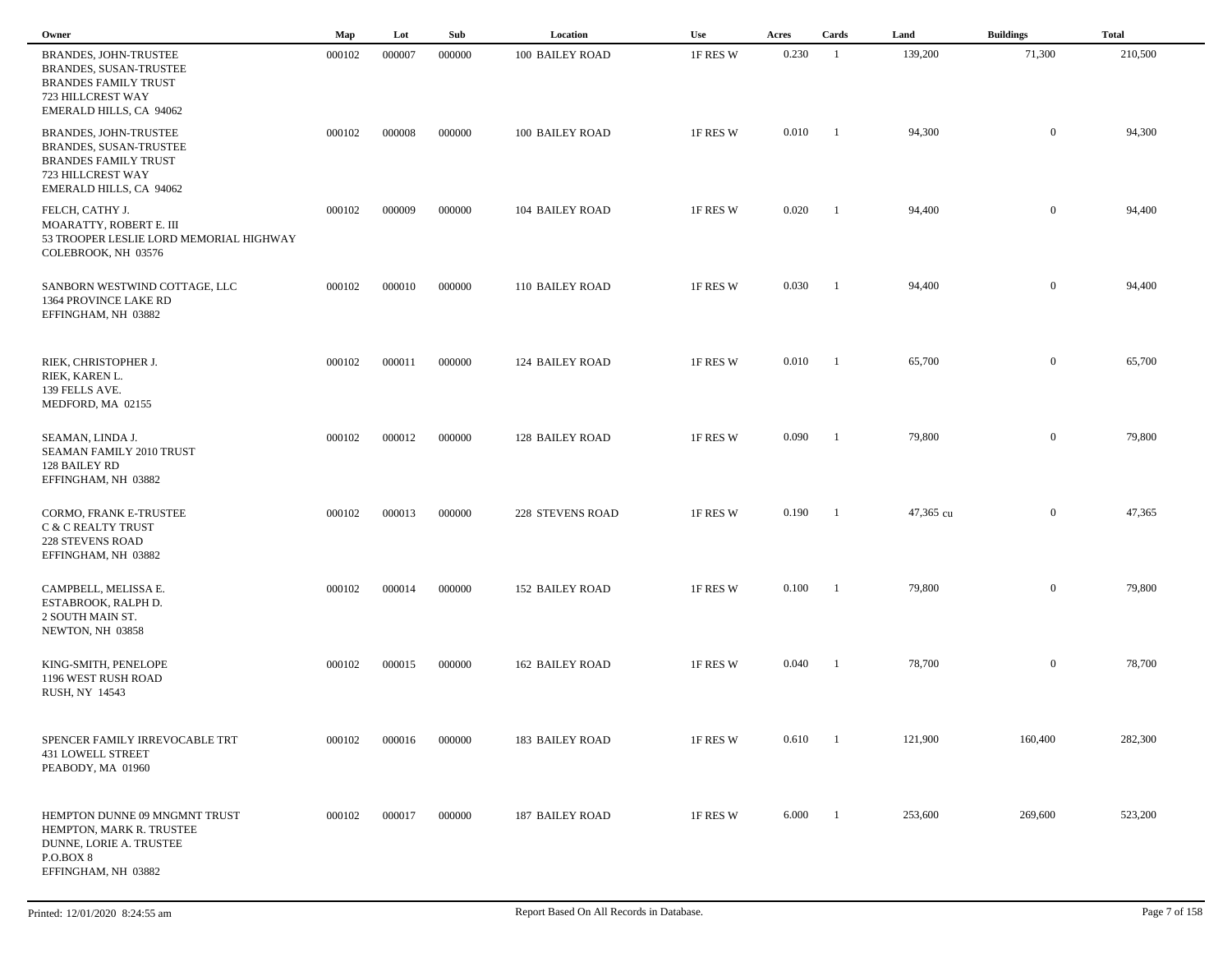| Owner                                                                                                                          | Map    | Lot    | Sub    | Location               | Use      | Acres | Cards          | Land      | <b>Buildings</b> | <b>Total</b> |
|--------------------------------------------------------------------------------------------------------------------------------|--------|--------|--------|------------------------|----------|-------|----------------|-----------|------------------|--------------|
| BRANDES, JOHN-TRUSTEE<br>BRANDES, SUSAN-TRUSTEE<br><b>BRANDES FAMILY TRUST</b><br>723 HILLCREST WAY<br>EMERALD HILLS, CA 94062 | 000102 | 000007 | 000000 | 100 BAILEY ROAD        | 1F RES W | 0.230 | -1             | 139,200   | 71,300           | 210,500      |
| BRANDES, JOHN-TRUSTEE<br>BRANDES, SUSAN-TRUSTEE<br><b>BRANDES FAMILY TRUST</b><br>723 HILLCREST WAY<br>EMERALD HILLS, CA 94062 | 000102 | 000008 | 000000 | 100 BAILEY ROAD        | 1F RES W | 0.010 | $\blacksquare$ | 94,300    | $\overline{0}$   | 94,300       |
| FELCH, CATHY J.<br>MOARATTY, ROBERT E. III<br>53 TROOPER LESLIE LORD MEMORIAL HIGHWAY<br>COLEBROOK, NH 03576                   | 000102 | 000009 | 000000 | 104 BAILEY ROAD        | 1F RES W | 0.020 | -1             | 94,400    | $\overline{0}$   | 94,400       |
| SANBORN WESTWIND COTTAGE, LLC<br>1364 PROVINCE LAKE RD<br>EFFINGHAM, NH 03882                                                  | 000102 | 000010 | 000000 | 110 BAILEY ROAD        | 1F RES W | 0.030 | -1             | 94,400    | $\overline{0}$   | 94,400       |
| RIEK, CHRISTOPHER J.<br>RIEK, KAREN L.<br>139 FELLS AVE.<br>MEDFORD, MA 02155                                                  | 000102 | 000011 | 000000 | <b>124 BAILEY ROAD</b> | 1F RES W | 0.010 | -1             | 65,700    | $\overline{0}$   | 65,700       |
| SEAMAN, LINDA J.<br>SEAMAN FAMILY 2010 TRUST<br>128 BAILEY RD<br>EFFINGHAM, NH 03882                                           | 000102 | 000012 | 000000 | <b>128 BAILEY ROAD</b> | 1F RES W | 0.090 | -1             | 79,800    | $\mathbf{0}$     | 79,800       |
| CORMO, FRANK E-TRUSTEE<br><b>C &amp; C REALTY TRUST</b><br><b>228 STEVENS ROAD</b><br>EFFINGHAM, NH 03882                      | 000102 | 000013 | 000000 | 228 STEVENS ROAD       | 1F RES W | 0.190 | -1             | 47,365 cu | $\mathbf{0}$     | 47,365       |
| CAMPBELL, MELISSA E.<br>ESTABROOK, RALPH D.<br>2 SOUTH MAIN ST.<br>NEWTON, NH 03858                                            | 000102 | 000014 | 000000 | <b>152 BAILEY ROAD</b> | 1F RES W | 0.100 | - 1            | 79,800    | $\mathbf{0}$     | 79,800       |
| KING-SMITH, PENELOPE<br>1196 WEST RUSH ROAD<br>RUSH, NY 14543                                                                  | 000102 | 000015 | 000000 | <b>162 BAILEY ROAD</b> | 1F RES W | 0.040 | -1             | 78,700    | $\mathbf{0}$     | 78,700       |
| SPENCER FAMILY IRREVOCABLE TRT<br><b>431 LOWELL STREET</b><br>PEABODY, MA 01960                                                | 000102 | 000016 | 000000 | 183 BAILEY ROAD        | 1F RES W | 0.610 | $\blacksquare$ | 121,900   | 160,400          | 282,300      |
| HEMPTON DUNNE 09 MNGMNT TRUST<br>HEMPTON, MARK R. TRUSTEE<br>DUNNE, LORIE A. TRUSTEE<br>P.O.BOX 8<br>EFFINGHAM, NH 03882       | 000102 | 000017 | 000000 | <b>187 BAILEY ROAD</b> | 1F RES W | 6.000 | - 1            | 253,600   | 269,600          | 523,200      |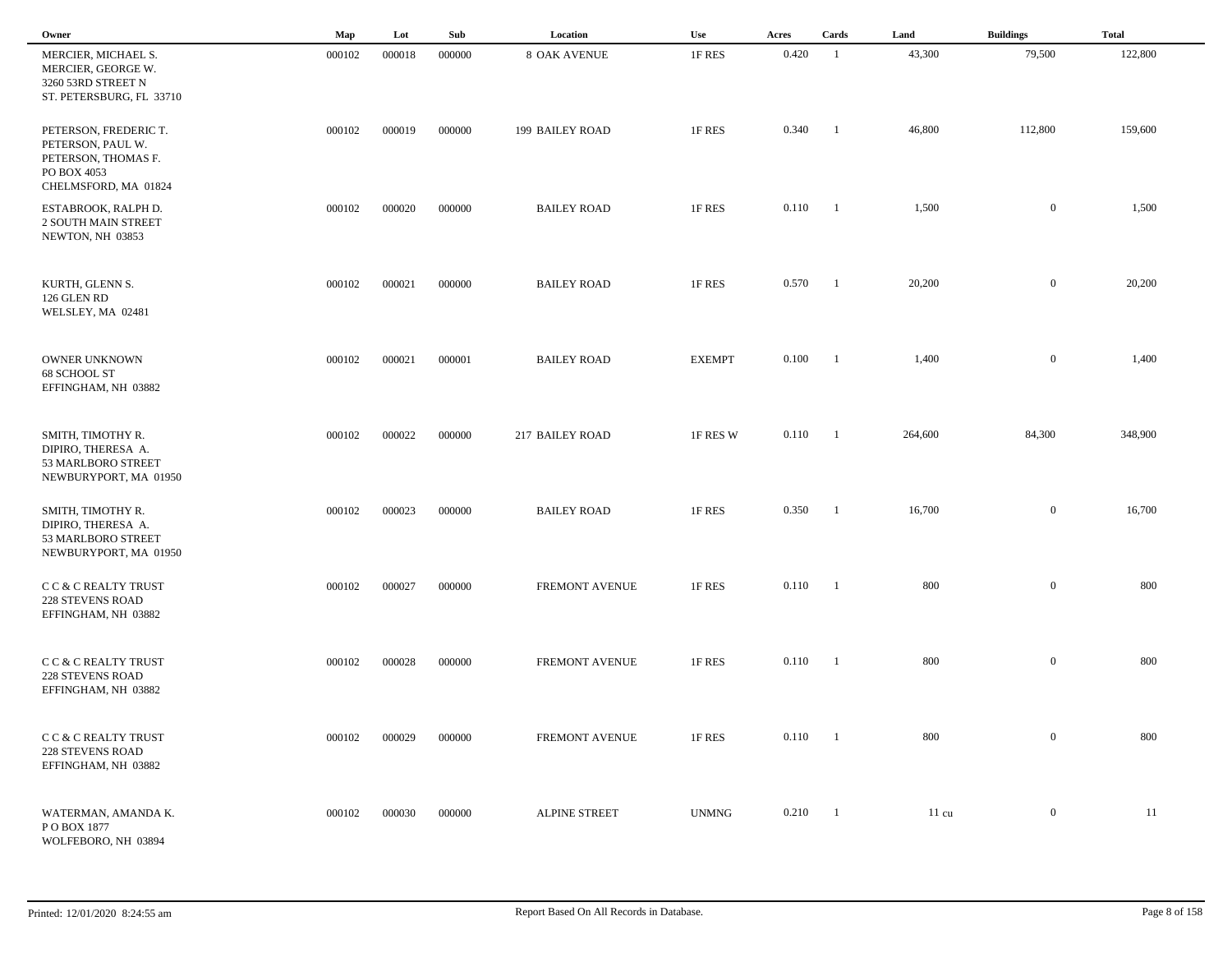| Owner                                                                                                    | Map    | Lot    | Sub    | Location               | Use           | Acres            | Cards          | Land            | <b>Buildings</b> | <b>Total</b> |
|----------------------------------------------------------------------------------------------------------|--------|--------|--------|------------------------|---------------|------------------|----------------|-----------------|------------------|--------------|
| MERCIER, MICHAEL S.<br>MERCIER, GEORGE W.<br>3260 53RD STREET N<br>ST. PETERSBURG, FL 33710              | 000102 | 000018 | 000000 | <b>8 OAK AVENUE</b>    | 1F RES        | 0.420            | - 1            | 43,300          | 79,500           | 122,800      |
| PETERSON, FREDERIC T.<br>PETERSON, PAUL W.<br>PETERSON, THOMAS F.<br>PO BOX 4053<br>CHELMSFORD, MA 01824 | 000102 | 000019 | 000000 | <b>199 BAILEY ROAD</b> | 1F RES        | 0.340            | -1             | 46,800          | 112,800          | 159,600      |
| ESTABROOK, RALPH D.<br>2 SOUTH MAIN STREET<br>NEWTON, NH 03853                                           | 000102 | 000020 | 000000 | <b>BAILEY ROAD</b>     | 1F RES        | $0.110 \qquad 1$ |                | 1,500           | $\overline{0}$   | 1,500        |
| KURTH, GLENN S.<br>126 GLEN RD<br>WELSLEY, MA 02481                                                      | 000102 | 000021 | 000000 | <b>BAILEY ROAD</b>     | 1F RES        | 0.570            | $\blacksquare$ | 20,200          | $\mathbf{0}$     | 20,200       |
| <b>OWNER UNKNOWN</b><br>68 SCHOOL ST<br>EFFINGHAM, NH 03882                                              | 000102 | 000021 | 000001 | <b>BAILEY ROAD</b>     | <b>EXEMPT</b> | 0.100            | -1             | 1,400           | $\overline{0}$   | 1,400        |
| SMITH, TIMOTHY R.<br>DIPIRO, THERESA A.<br>53 MARLBORO STREET<br>NEWBURYPORT, MA 01950                   | 000102 | 000022 | 000000 | 217 BAILEY ROAD        | 1F RES W      | 0.110            | -1             | 264,600         | 84,300           | 348,900      |
| SMITH, TIMOTHY R.<br>DIPIRO, THERESA A.<br>53 MARLBORO STREET<br>NEWBURYPORT, MA 01950                   | 000102 | 000023 | 000000 | <b>BAILEY ROAD</b>     | 1F RES        | 0.350            | $\blacksquare$ | 16,700          | $\overline{0}$   | 16,700       |
| C C & C REALTY TRUST<br><b>228 STEVENS ROAD</b><br>EFFINGHAM, NH 03882                                   | 000102 | 000027 | 000000 | <b>FREMONT AVENUE</b>  | 1F RES        | 0.110            | - 1            | 800             | $\overline{0}$   | 800          |
| CC & C REALTY TRUST<br><b>228 STEVENS ROAD</b><br>EFFINGHAM, NH 03882                                    | 000102 | 000028 | 000000 | FREMONT AVENUE         | 1F RES        | 0.110            | - 1            | 800             | $\mathbf{0}$     | 800          |
| C C & C REALTY TRUST<br><b>228 STEVENS ROAD</b><br>EFFINGHAM, NH 03882                                   | 000102 | 000029 | 000000 | FREMONT AVENUE         | 1F RES        | $0.110 \t 1$     |                | 800             | $\overline{0}$   | 800          |
| WATERMAN, AMANDA K.<br>PO BOX 1877<br>WOLFEBORO, NH 03894                                                | 000102 | 000030 | 000000 | <b>ALPINE STREET</b>   | <b>UNMNG</b>  | $0.210 \qquad 1$ |                | $11 \text{ cu}$ | $\overline{0}$   | 11           |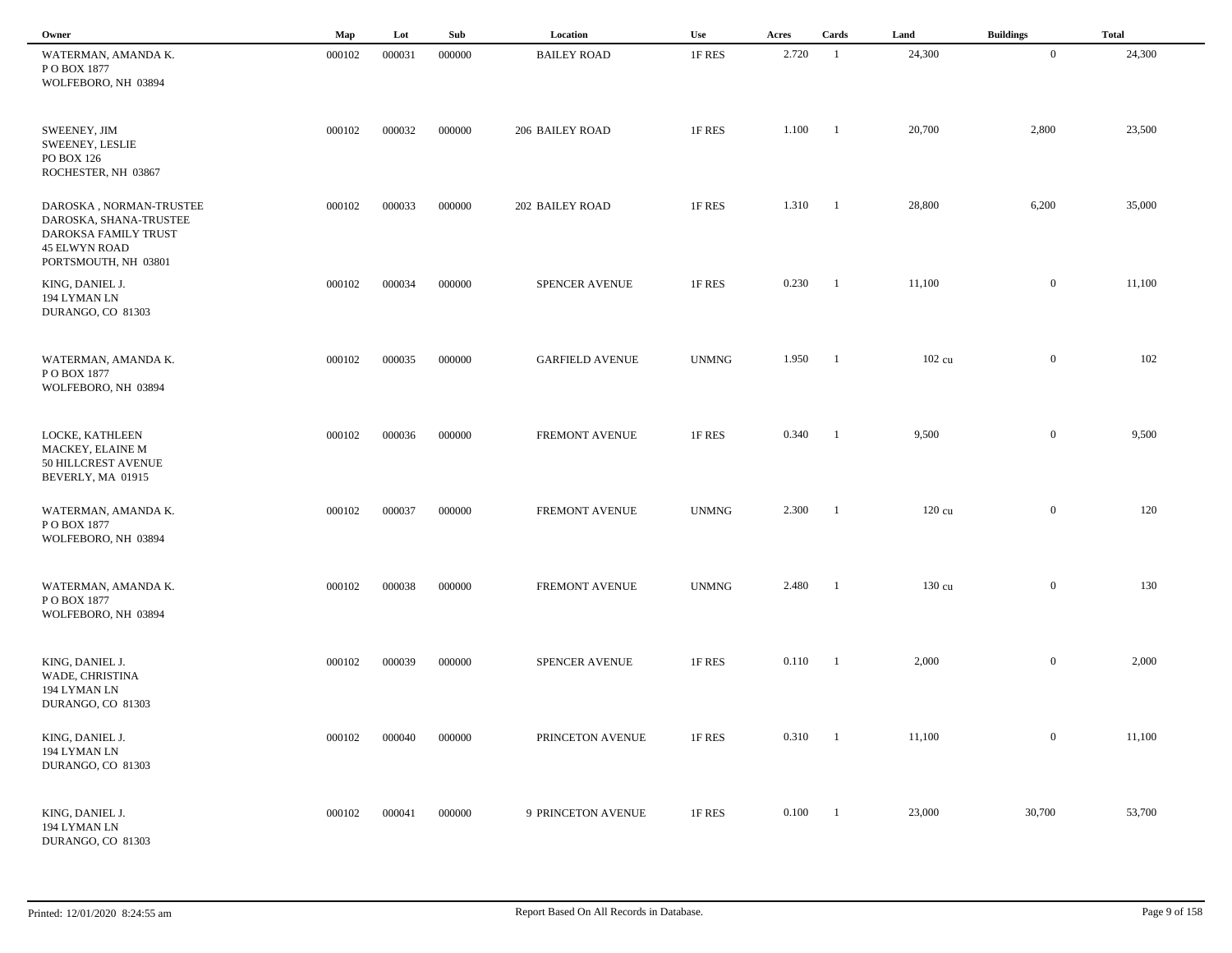| Owner                                                                                                                     | Map    | Lot    | Sub    | Location               | Use          | Acres            | Cards                    | Land             | <b>Buildings</b> | <b>Total</b> |  |
|---------------------------------------------------------------------------------------------------------------------------|--------|--------|--------|------------------------|--------------|------------------|--------------------------|------------------|------------------|--------------|--|
| WATERMAN, AMANDA K.<br>PO BOX 1877<br>WOLFEBORO, NH 03894                                                                 | 000102 | 000031 | 000000 | <b>BAILEY ROAD</b>     | 1F RES       | 2.720            | $\overline{1}$           | 24,300           | $\mathbf{0}$     | 24,300       |  |
| SWEENEY, JIM<br><b>SWEENEY, LESLIE</b><br>PO BOX 126<br>ROCHESTER, NH 03867                                               | 000102 | 000032 | 000000 | 206 BAILEY ROAD        | 1F RES       | 1.100            | $\blacksquare$           | 20,700           | 2,800            | 23,500       |  |
| DAROSKA, NORMAN-TRUSTEE<br>DAROSKA, SHANA-TRUSTEE<br>DAROKSA FAMILY TRUST<br><b>45 ELWYN ROAD</b><br>PORTSMOUTH, NH 03801 | 000102 | 000033 | 000000 | 202 BAILEY ROAD        | 1F RES       | $1.310 \t1$      |                          | 28,800           | 6,200            | 35,000       |  |
| KING, DANIEL J.<br>194 LYMAN LN<br>DURANGO, CO 81303                                                                      | 000102 | 000034 | 000000 | SPENCER AVENUE         | 1F RES       | 0.230            | $\qquad 1$               | 11,100           | $\overline{0}$   | 11,100       |  |
| WATERMAN, AMANDA K.<br>P O BOX 1877<br>WOLFEBORO, NH 03894                                                                | 000102 | 000035 | 000000 | <b>GARFIELD AVENUE</b> | <b>UNMNG</b> | 1.950            | $\blacksquare$           | 102 cu           | $\overline{0}$   | 102          |  |
| LOCKE, KATHLEEN<br>MACKEY, ELAINE M<br>50 HILLCREST AVENUE<br>BEVERLY, MA 01915                                           | 000102 | 000036 | 000000 | FREMONT AVENUE         | 1F RES       | 0.340            | $\overline{\phantom{a}}$ | 9,500            | $\overline{0}$   | 9,500        |  |
| WATERMAN, AMANDA K.<br>POBOX 1877<br>WOLFEBORO, NH 03894                                                                  | 000102 | 000037 | 000000 | <b>FREMONT AVENUE</b>  | <b>UNMNG</b> | 2.300            | $\blacksquare$           | $120 \text{ cu}$ | $\mathbf{0}$     | 120          |  |
| WATERMAN, AMANDA K.<br>PO BOX 1877<br>WOLFEBORO, NH 03894                                                                 | 000102 | 000038 | 000000 | FREMONT AVENUE         | <b>UNMNG</b> | 2.480            | $\blacksquare$           | $130 \text{ cu}$ | $\overline{0}$   | 130          |  |
| KING, DANIEL J.<br>WADE, CHRISTINA<br>194 LYMAN LN<br>DURANGO, CO 81303                                                   | 000102 | 000039 | 000000 | SPENCER AVENUE         | 1F RES       | 0.110            | $\overline{\phantom{0}}$ | 2,000            | $\overline{0}$   | 2,000        |  |
| KING, DANIEL J.<br>194 LYMAN LN<br>DURANGO, CO 81303                                                                      | 000102 | 000040 | 000000 | PRINCETON AVENUE       | 1F RES       | $0.310 \qquad 1$ |                          | 11,100           | $\overline{0}$   | 11,100       |  |
| KING, DANIEL J.<br>194 LYMAN LN<br>DURANGO, CO 81303                                                                      | 000102 | 000041 | 000000 | 9 PRINCETON AVENUE     | 1F RES       | 0.100            | $\blacksquare$           | 23,000           | 30,700           | 53,700       |  |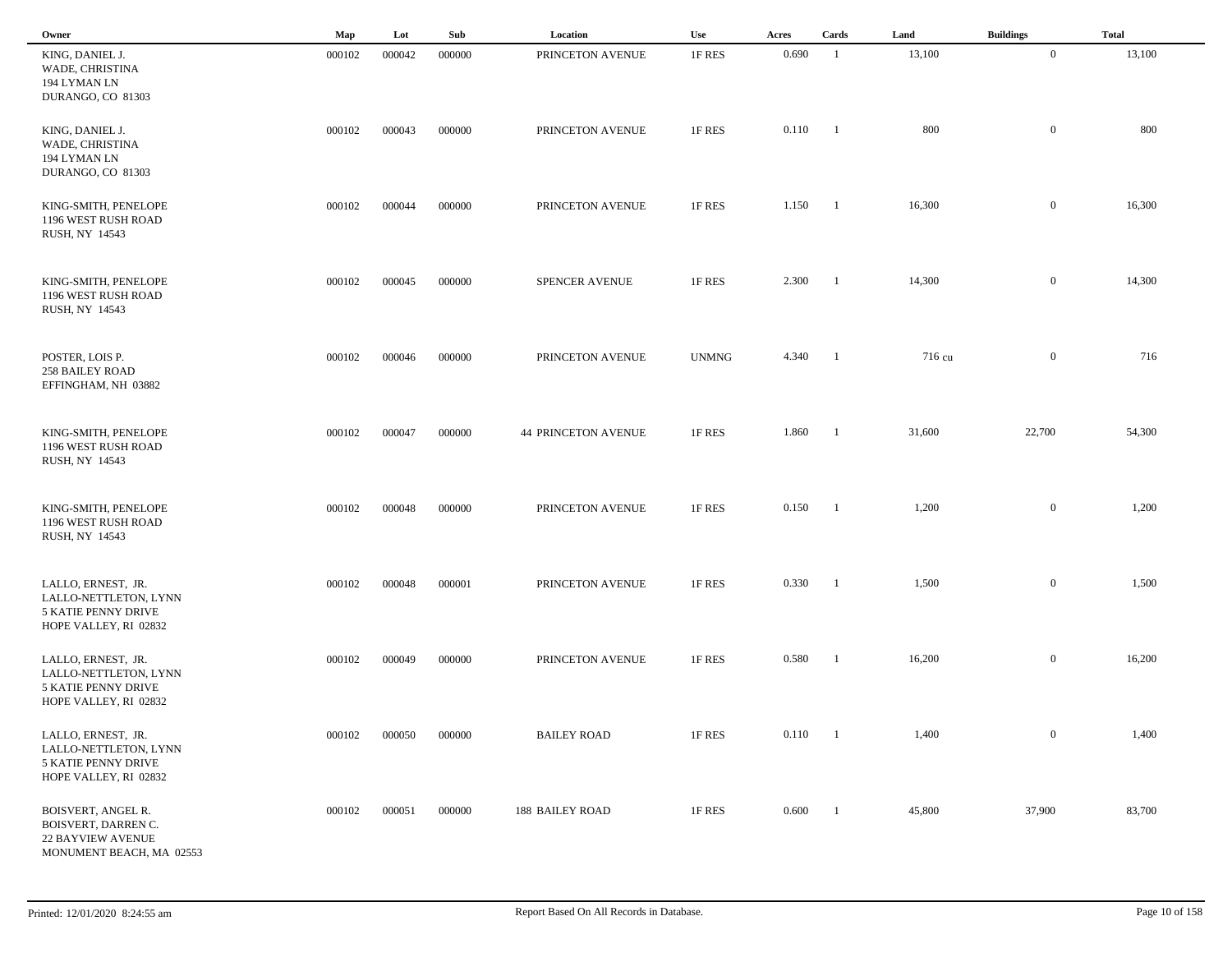| Owner                                                                                             | Map    | Lot    | Sub    | Location                   | <b>Use</b>   | Acres | Cards                    | Land   | <b>Buildings</b> | <b>Total</b> |
|---------------------------------------------------------------------------------------------------|--------|--------|--------|----------------------------|--------------|-------|--------------------------|--------|------------------|--------------|
| KING, DANIEL J.<br>WADE, CHRISTINA<br>194 LYMAN LN<br>DURANGO, CO 81303                           | 000102 | 000042 | 000000 | PRINCETON AVENUE           | 1F RES       | 0.690 | - 1                      | 13,100 | $\overline{0}$   | 13,100       |
| KING, DANIEL J.<br>WADE, CHRISTINA<br>194 LYMAN LN<br>DURANGO, CO 81303                           | 000102 | 000043 | 000000 | PRINCETON AVENUE           | 1F RES       | 0.110 | - 1                      | 800    | $\bf{0}$         | 800          |
| KING-SMITH, PENELOPE<br>1196 WEST RUSH ROAD<br>RUSH, NY 14543                                     | 000102 | 000044 | 000000 | PRINCETON AVENUE           | 1F RES       | 1.150 | $\blacksquare$           | 16,300 | $\mathbf{0}$     | 16,300       |
| KING-SMITH, PENELOPE<br>1196 WEST RUSH ROAD<br>RUSH, NY 14543                                     | 000102 | 000045 | 000000 | SPENCER AVENUE             | 1F RES       | 2.300 | $\blacksquare$           | 14,300 | $\mathbf{0}$     | 14,300       |
| POSTER, LOIS P.<br><b>258 BAILEY ROAD</b><br>EFFINGHAM, NH 03882                                  | 000102 | 000046 | 000000 | PRINCETON AVENUE           | <b>UNMNG</b> | 4.340 | $\blacksquare$           | 716 cu | $\overline{0}$   | 716          |
| KING-SMITH, PENELOPE<br>1196 WEST RUSH ROAD<br>RUSH, NY 14543                                     | 000102 | 000047 | 000000 | <b>44 PRINCETON AVENUE</b> | 1F RES       | 1.860 | $\blacksquare$           | 31,600 | 22,700           | 54,300       |
| KING-SMITH, PENELOPE<br>1196 WEST RUSH ROAD<br>RUSH, NY 14543                                     | 000102 | 000048 | 000000 | PRINCETON AVENUE           | 1F RES       | 0.150 | -1                       | 1,200  | $\mathbf{0}$     | 1,200        |
| LALLO, ERNEST, JR.<br>LALLO-NETTLETON, LYNN<br>5 KATIE PENNY DRIVE<br>HOPE VALLEY, RI 02832       | 000102 | 000048 | 000001 | PRINCETON AVENUE           | 1F RES       | 0.330 | -1                       | 1,500  | $\mathbf{0}$     | 1,500        |
| LALLO, ERNEST, JR.<br>LALLO-NETTLETON, LYNN<br>5 KATIE PENNY DRIVE<br>HOPE VALLEY, RI 02832       | 000102 | 000049 | 000000 | PRINCETON AVENUE           | 1F RES       | 0.580 | -1                       | 16,200 | $\mathbf{0}$     | 16,200       |
| LALLO, ERNEST, JR.<br>LALLO-NETTLETON, LYNN<br>5 KATIE PENNY DRIVE<br>HOPE VALLEY, RI 02832       | 000102 | 000050 | 000000 | <b>BAILEY ROAD</b>         | 1F RES       | 0.110 | $\overline{\phantom{0}}$ | 1,400  | $\overline{0}$   | 1,400        |
| BOISVERT, ANGEL R.<br>BOISVERT, DARREN C.<br><b>22 BAYVIEW AVENUE</b><br>MONUMENT BEACH, MA 02553 | 000102 | 000051 | 000000 | 188 BAILEY ROAD            | 1F RES       | 0.600 | $\blacksquare$           | 45,800 | 37,900           | 83,700       |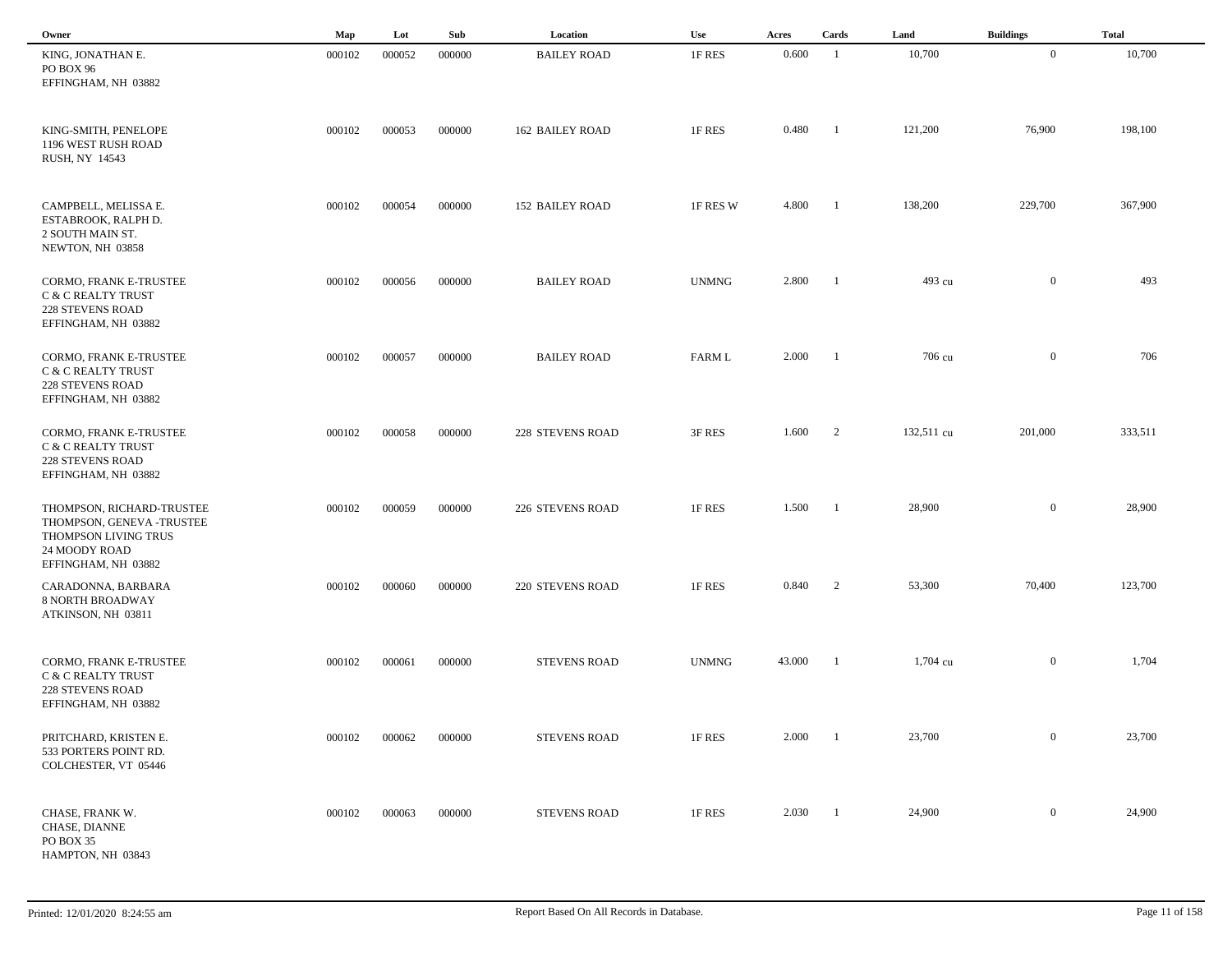| Owner                                                                                                                  | Map    | Lot    | Sub    | Location               | Use           | Acres  | Cards                    | Land       | <b>Buildings</b> | <b>Total</b> |  |
|------------------------------------------------------------------------------------------------------------------------|--------|--------|--------|------------------------|---------------|--------|--------------------------|------------|------------------|--------------|--|
| KING, JONATHAN E.<br>PO BOX 96<br>EFFINGHAM, NH 03882                                                                  | 000102 | 000052 | 000000 | <b>BAILEY ROAD</b>     | 1F RES        | 0.600  | -1                       | 10,700     | $\overline{0}$   | 10,700       |  |
| KING-SMITH, PENELOPE<br>1196 WEST RUSH ROAD<br>RUSH, NY 14543                                                          | 000102 | 000053 | 000000 | <b>162 BAILEY ROAD</b> | 1F RES        | 0.480  | - 1                      | 121,200    | 76,900           | 198,100      |  |
| CAMPBELL, MELISSA E.<br>ESTABROOK, RALPH D.<br>2 SOUTH MAIN ST.<br>NEWTON, NH 03858                                    | 000102 | 000054 | 000000 | <b>152 BAILEY ROAD</b> | 1F RES W      | 4.800  | -1                       | 138,200    | 229,700          | 367,900      |  |
| CORMO, FRANK E-TRUSTEE<br>C & C REALTY TRUST<br><b>228 STEVENS ROAD</b><br>EFFINGHAM, NH 03882                         | 000102 | 000056 | 000000 | <b>BAILEY ROAD</b>     | <b>UNMNG</b>  | 2.800  | -1                       | 493 cu     | $\overline{0}$   | 493          |  |
| CORMO, FRANK E-TRUSTEE<br>C & C REALTY TRUST<br>228 STEVENS ROAD<br>EFFINGHAM, NH 03882                                | 000102 | 000057 | 000000 | <b>BAILEY ROAD</b>     | <b>FARM L</b> | 2.000  | $\blacksquare$           | 706 cu     | $\mathbf{0}$     | 706          |  |
| CORMO, FRANK E-TRUSTEE<br>C & C REALTY TRUST<br><b>228 STEVENS ROAD</b><br>EFFINGHAM, NH 03882                         | 000102 | 000058 | 000000 | 228 STEVENS ROAD       | 3F RES        | 1.600  | $\overline{\phantom{a}}$ | 132,511 cu | 201,000          | 333,511      |  |
| THOMPSON, RICHARD-TRUSTEE<br>THOMPSON, GENEVA -TRUSTEE<br>THOMPSON LIVING TRUS<br>24 MOODY ROAD<br>EFFINGHAM, NH 03882 | 000102 | 000059 | 000000 | 226 STEVENS ROAD       | 1F RES        | 1.500  | - 1                      | 28,900     | $\overline{0}$   | 28,900       |  |
| CARADONNA, BARBARA<br><b>8 NORTH BROADWAY</b><br>ATKINSON, NH 03811                                                    | 000102 | 000060 | 000000 | 220 STEVENS ROAD       | 1F RES        | 0.840  | 2                        | 53,300     | 70,400           | 123,700      |  |
| CORMO, FRANK E-TRUSTEE<br>C & C REALTY TRUST<br><b>228 STEVENS ROAD</b><br>EFFINGHAM, NH 03882                         | 000102 | 000061 | 000000 | <b>STEVENS ROAD</b>    | <b>UNMNG</b>  | 43.000 | -1                       | 1,704 cu   | $\overline{0}$   | 1,704        |  |
| PRITCHARD, KRISTEN E.<br>533 PORTERS POINT RD.<br>COLCHESTER, VT 05446                                                 | 000102 | 000062 | 000000 | <b>STEVENS ROAD</b>    | 1F RES        | 2.000  | -1                       | 23,700     | $\mathbf{0}$     | 23,700       |  |
| CHASE, FRANK W.<br>CHASE, DIANNE<br>PO BOX 35<br>HAMPTON, NH 03843                                                     | 000102 | 000063 | 000000 | <b>STEVENS ROAD</b>    | 1F RES        | 2.030  | $\blacksquare$           | 24,900     | $\mathbf{0}$     | 24,900       |  |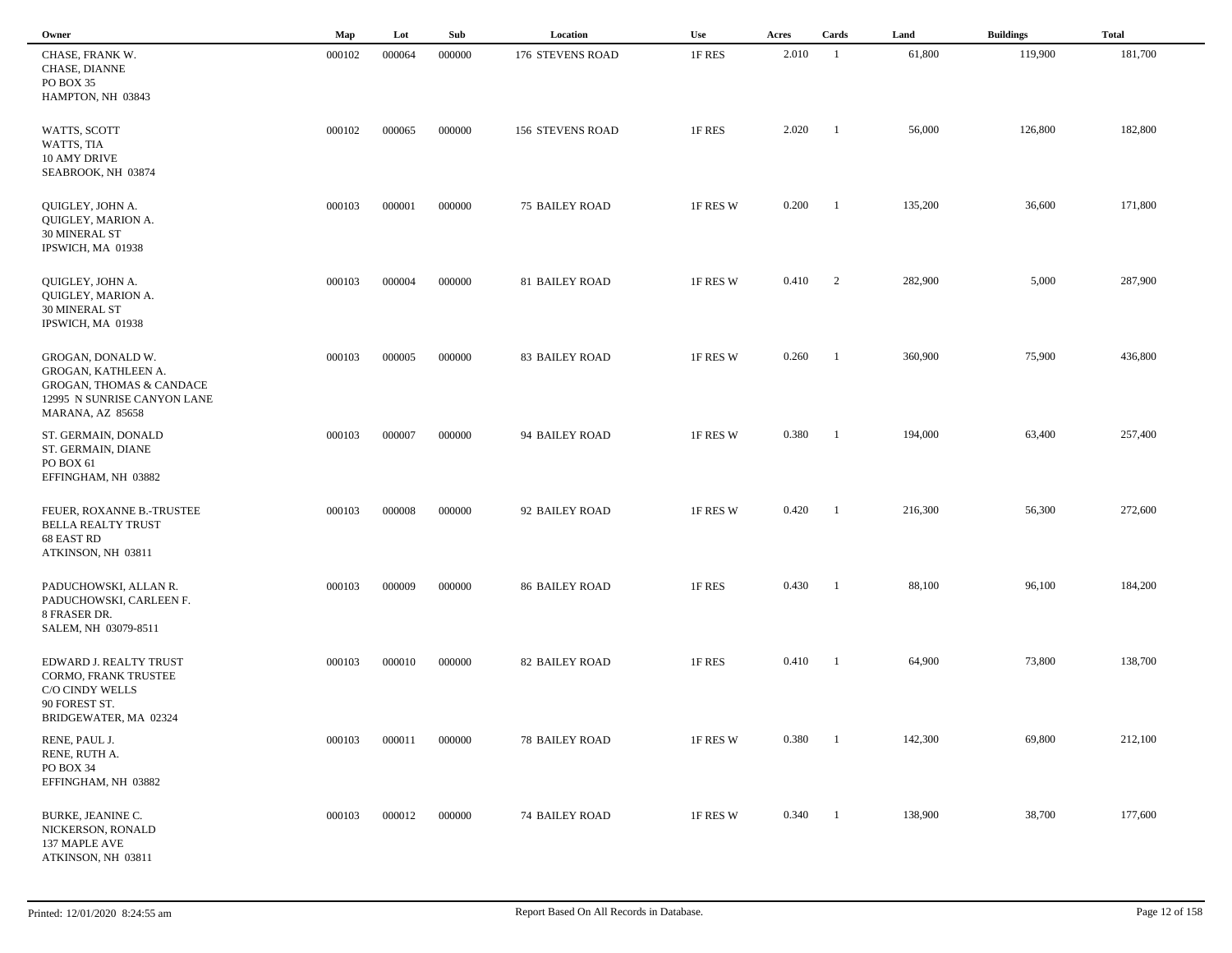| Owner                                                                                                                              | Map    | Lot    | Sub    | Location                | <b>Use</b> | Acres | Cards                    | Land    | <b>Buildings</b> | <b>Total</b> |
|------------------------------------------------------------------------------------------------------------------------------------|--------|--------|--------|-------------------------|------------|-------|--------------------------|---------|------------------|--------------|
| CHASE, FRANK W.<br>CHASE, DIANNE<br>PO BOX 35<br>HAMPTON, NH 03843                                                                 | 000102 | 000064 | 000000 | 176 STEVENS ROAD        | 1F RES     | 2.010 | - 1                      | 61,800  | 119,900          | 181,700      |
| WATTS, SCOTT<br>WATTS, TIA<br>10 AMY DRIVE<br>SEABROOK, NH 03874                                                                   | 000102 | 000065 | 000000 | <b>156 STEVENS ROAD</b> | 1F RES     | 2.020 | -1                       | 56,000  | 126,800          | 182,800      |
| QUIGLEY, JOHN A.<br>QUIGLEY, MARION A.<br>30 MINERAL ST<br>IPSWICH, MA 01938                                                       | 000103 | 000001 | 000000 | <b>75 BAILEY ROAD</b>   | 1F RES W   | 0.200 | $\overline{1}$           | 135,200 | 36,600           | 171,800      |
| QUIGLEY, JOHN A.<br>QUIGLEY, MARION A.<br><b>30 MINERAL ST</b><br>IPSWICH, MA 01938                                                | 000103 | 000004 | 000000 | 81 BAILEY ROAD          | 1F RES W   | 0.410 | $\overline{c}$           | 282,900 | 5,000            | 287,900      |
| GROGAN, DONALD W.<br>GROGAN, KATHLEEN A.<br><b>GROGAN, THOMAS &amp; CANDACE</b><br>12995 N SUNRISE CANYON LANE<br>MARANA, AZ 85658 | 000103 | 000005 | 000000 | <b>83 BAILEY ROAD</b>   | 1F RES W   | 0.260 | $\overline{\phantom{a}}$ | 360,900 | 75,900           | 436,800      |
| ST. GERMAIN, DONALD<br>ST. GERMAIN, DIANE<br>PO BOX 61<br>EFFINGHAM, NH 03882                                                      | 000103 | 000007 | 000000 | 94 BAILEY ROAD          | 1F RES W   | 0.380 | - 1                      | 194,000 | 63,400           | 257,400      |
| FEUER, ROXANNE B.-TRUSTEE<br><b>BELLA REALTY TRUST</b><br>68 EAST RD<br>ATKINSON, NH 03811                                         | 000103 | 000008 | 000000 | 92 BAILEY ROAD          | 1F RES W   | 0.420 | $\overline{\phantom{0}}$ | 216,300 | 56,300           | 272,600      |
| PADUCHOWSKI, ALLAN R.<br>PADUCHOWSKI, CARLEEN F.<br>8 FRASER DR.<br>SALEM, NH 03079-8511                                           | 000103 | 000009 | 000000 | <b>86 BAILEY ROAD</b>   | 1F RES     | 0.430 | - 1                      | 88,100  | 96,100           | 184,200      |
| EDWARD J. REALTY TRUST<br>CORMO, FRANK TRUSTEE<br>C/O CINDY WELLS<br>90 FOREST ST.<br>BRIDGEWATER, MA 02324                        | 000103 | 000010 | 000000 | <b>82 BAILEY ROAD</b>   | 1F RES     | 0.410 | - 1                      | 64,900  | 73,800           | 138,700      |
| RENE, PAUL J.<br>RENE, RUTH A.<br>PO BOX 34<br>EFFINGHAM, NH 03882                                                                 | 000103 | 000011 | 000000 | 78 BAILEY ROAD          | 1F RES W   | 0.380 | $\overline{1}$           | 142,300 | 69,800           | 212,100      |
| BURKE, JEANINE C.<br>NICKERSON, RONALD<br>137 MAPLE AVE<br>ATKINSON, NH 03811                                                      | 000103 | 000012 | 000000 | <b>74 BAILEY ROAD</b>   | 1F RES W   | 0.340 | $\overline{\phantom{a}}$ | 138,900 | 38,700           | 177,600      |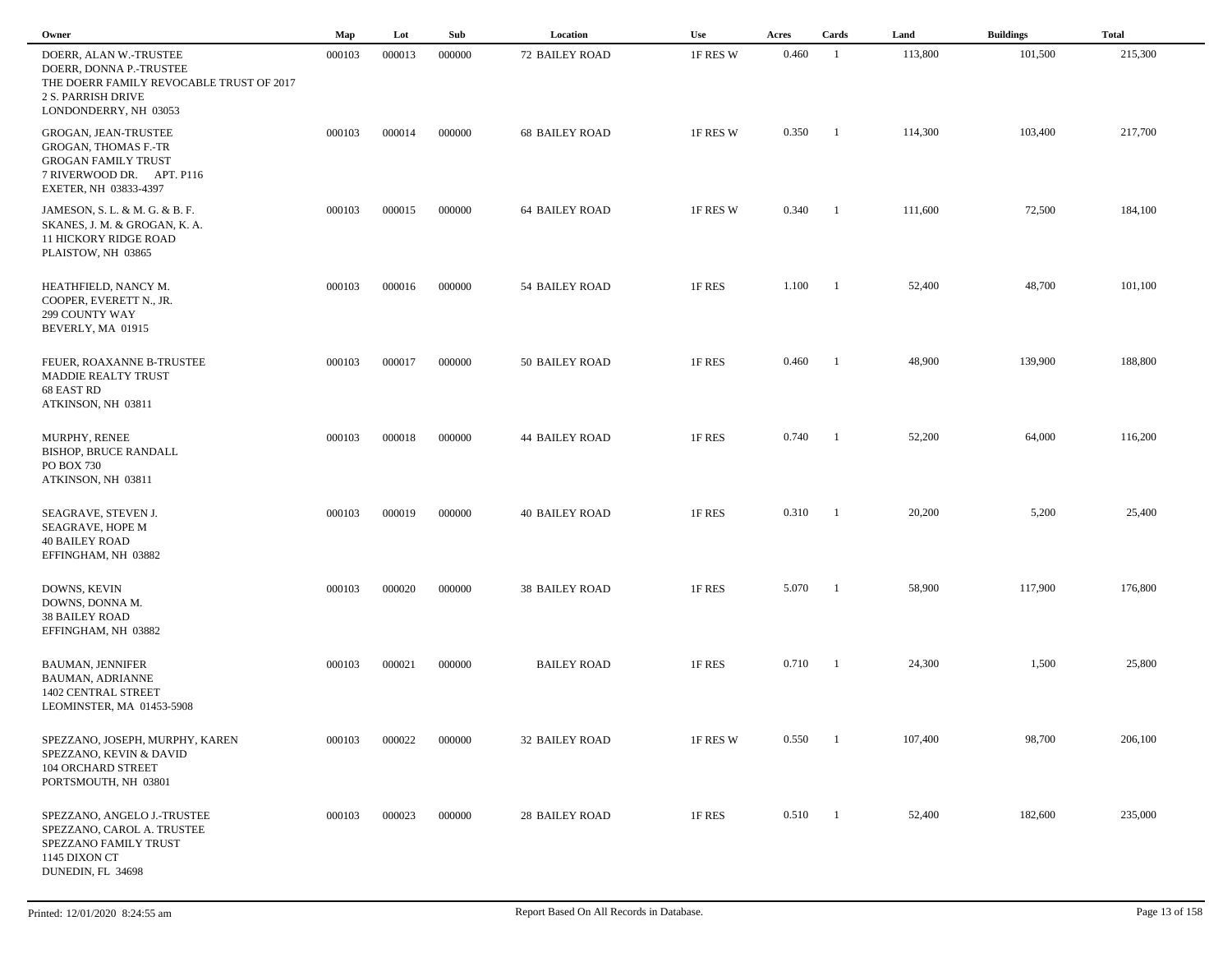| Owner                                                                                                                                        | Map    | Lot    | Sub    | Location              | Use      | Acres | Cards                    | Land    | <b>Buildings</b> | <b>Total</b> |
|----------------------------------------------------------------------------------------------------------------------------------------------|--------|--------|--------|-----------------------|----------|-------|--------------------------|---------|------------------|--------------|
| DOERR, ALAN W.-TRUSTEE<br>DOERR, DONNA P.-TRUSTEE<br>THE DOERR FAMILY REVOCABLE TRUST OF 2017<br>2 S. PARRISH DRIVE<br>LONDONDERRY, NH 03053 | 000103 | 000013 | 000000 | <b>72 BAILEY ROAD</b> | 1F RES W | 0.460 | $\overline{1}$           | 113,800 | 101,500          | 215,300      |
| GROGAN, JEAN-TRUSTEE<br>GROGAN, THOMAS F.-TR<br><b>GROGAN FAMILY TRUST</b><br>7 RIVERWOOD DR. APT. P116<br>EXETER, NH 03833-4397             | 000103 | 000014 | 000000 | <b>68 BAILEY ROAD</b> | 1F RES W | 0.350 | -1                       | 114,300 | 103,400          | 217,700      |
| JAMESON, S. L. & M. G. & B. F.<br>SKANES, J. M. & GROGAN, K. A.<br><b>11 HICKORY RIDGE ROAD</b><br>PLAISTOW, NH 03865                        | 000103 | 000015 | 000000 | <b>64 BAILEY ROAD</b> | 1F RES W | 0.340 | $\blacksquare$           | 111,600 | 72,500           | 184,100      |
| HEATHFIELD, NANCY M.<br>COOPER, EVERETT N., JR.<br>299 COUNTY WAY<br>BEVERLY, MA 01915                                                       | 000103 | 000016 | 000000 | 54 BAILEY ROAD        | 1F RES   | 1.100 | - 1                      | 52,400  | 48,700           | 101,100      |
| FEUER, ROAXANNE B-TRUSTEE<br>MADDIE REALTY TRUST<br>68 EAST RD<br>ATKINSON, NH 03811                                                         | 000103 | 000017 | 000000 | 50 BAILEY ROAD        | 1F RES   | 0.460 | - 1                      | 48,900  | 139,900          | 188,800      |
| MURPHY, RENEE<br><b>BISHOP, BRUCE RANDALL</b><br>PO BOX 730<br>ATKINSON, NH 03811                                                            | 000103 | 000018 | 000000 | <b>44 BAILEY ROAD</b> | 1F RES   | 0.740 | -1                       | 52,200  | 64,000           | 116,200      |
| SEAGRAVE, STEVEN J.<br>SEAGRAVE, HOPE M<br><b>40 BAILEY ROAD</b><br>EFFINGHAM, NH 03882                                                      | 000103 | 000019 | 000000 | <b>40 BAILEY ROAD</b> | 1F RES   | 0.310 | $\blacksquare$           | 20,200  | 5,200            | 25,400       |
| DOWNS, KEVIN<br>DOWNS, DONNA M.<br><b>38 BAILEY ROAD</b><br>EFFINGHAM, NH 03882                                                              | 000103 | 000020 | 000000 | <b>38 BAILEY ROAD</b> | 1F RES   | 5.070 | - 1                      | 58,900  | 117,900          | 176,800      |
| <b>BAUMAN, JENNIFER</b><br><b>BAUMAN, ADRIANNE</b><br>1402 CENTRAL STREET<br>LEOMINSTER, MA 01453-5908                                       | 000103 | 000021 | 000000 | <b>BAILEY ROAD</b>    | 1F RES   | 0.710 | -1                       | 24,300  | 1,500            | 25,800       |
| SPEZZANO, JOSEPH, MURPHY, KAREN<br>SPEZZANO, KEVIN & DAVID<br>104 ORCHARD STREET<br>PORTSMOUTH, NH 03801                                     | 000103 | 000022 | 000000 | <b>32 BAILEY ROAD</b> | 1F RES W | 0.550 | -1                       | 107,400 | 98,700           | 206,100      |
| SPEZZANO, ANGELO J.-TRUSTEE<br>SPEZZANO, CAROL A. TRUSTEE<br>SPEZZANO FAMILY TRUST<br>1145 DIXON CT<br>DUNEDIN, FL 34698                     | 000103 | 000023 | 000000 | <b>28 BAILEY ROAD</b> | 1F RES   | 0.510 | $\overline{\phantom{0}}$ | 52,400  | 182,600          | 235,000      |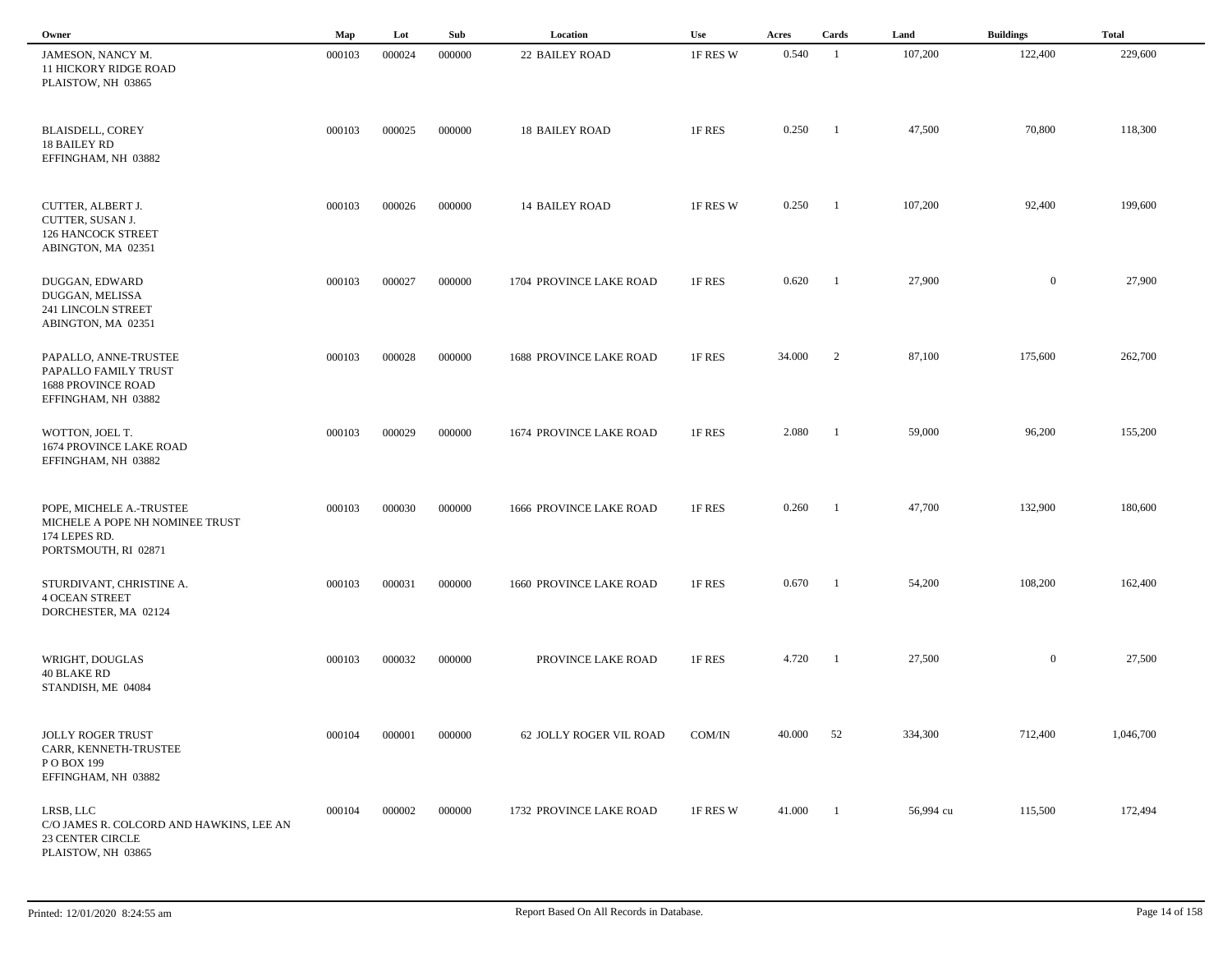| Owner                                                                                                  | Map    | Lot    | Sub    | Location                       | Use      | Acres  | Cards                    | Land      | <b>Buildings</b> | <b>Total</b> |
|--------------------------------------------------------------------------------------------------------|--------|--------|--------|--------------------------------|----------|--------|--------------------------|-----------|------------------|--------------|
| JAMESON, NANCY M.<br><b>11 HICKORY RIDGE ROAD</b><br>PLAISTOW, NH 03865                                | 000103 | 000024 | 000000 | <b>22 BAILEY ROAD</b>          | 1F RES W | 0.540  | - 1                      | 107,200   | 122,400          | 229,600      |
| <b>BLAISDELL, COREY</b><br><b>18 BAILEY RD</b><br>EFFINGHAM, NH 03882                                  | 000103 | 000025 | 000000 | <b>18 BAILEY ROAD</b>          | 1F RES   | 0.250  | $\overline{1}$           | 47,500    | 70,800           | 118,300      |
| CUTTER, ALBERT J.<br>CUTTER, SUSAN J.<br>126 HANCOCK STREET<br>ABINGTON, MA 02351                      | 000103 | 000026 | 000000 | <b>14 BAILEY ROAD</b>          | 1F RES W | 0.250  | - 1                      | 107,200   | 92,400           | 199,600      |
| DUGGAN, EDWARD<br>DUGGAN, MELISSA<br>241 LINCOLN STREET<br>ABINGTON, MA 02351                          | 000103 | 000027 | 000000 | 1704 PROVINCE LAKE ROAD        | 1F RES   | 0.620  | - 1                      | 27,900    | $\overline{0}$   | 27,900       |
| PAPALLO, ANNE-TRUSTEE<br>PAPALLO FAMILY TRUST<br><b>1688 PROVINCE ROAD</b><br>EFFINGHAM, NH 03882      | 000103 | 000028 | 000000 | <b>1688 PROVINCE LAKE ROAD</b> | 1F RES   | 34.000 | $\overline{\phantom{0}}$ | 87,100    | 175,600          | 262,700      |
| WOTTON, JOEL T.<br>1674 PROVINCE LAKE ROAD<br>EFFINGHAM, NH 03882                                      | 000103 | 000029 | 000000 | 1674 PROVINCE LAKE ROAD        | 1F RES   | 2.080  | $\overline{\phantom{a}}$ | 59,000    | 96,200           | 155,200      |
| POPE, MICHELE A.-TRUSTEE<br>MICHELE A POPE NH NOMINEE TRUST<br>174 LEPES RD.<br>PORTSMOUTH, RI 02871   | 000103 | 000030 | 000000 | 1666 PROVINCE LAKE ROAD        | 1F RES   | 0.260  | $\overline{\phantom{a}}$ | 47,700    | 132,900          | 180,600      |
| STURDIVANT, CHRISTINE A.<br><b>4 OCEAN STREET</b><br>DORCHESTER, MA 02124                              | 000103 | 000031 | 000000 | 1660 PROVINCE LAKE ROAD        | 1F RES   | 0.670  | - 1                      | 54,200    | 108,200          | 162,400      |
| WRIGHT, DOUGLAS<br>40 BLAKE RD<br>STANDISH, ME 04084                                                   | 000103 | 000032 | 000000 | PROVINCE LAKE ROAD             | 1F RES   | 4.720  | - 1                      | 27,500    | $\overline{0}$   | 27,500       |
| <b>JOLLY ROGER TRUST</b><br>CARR, KENNETH-TRUSTEE<br>P O BOX 199<br>EFFINGHAM, NH 03882                | 000104 | 000001 | 000000 | 62 JOLLY ROGER VIL ROAD        | COM/IN   | 40.000 | 52                       | 334,300   | 712,400          | 1,046,700    |
| LRSB, LLC<br>C/O JAMES R. COLCORD AND HAWKINS, LEE AN<br><b>23 CENTER CIRCLE</b><br>PLAISTOW, NH 03865 | 000104 | 000002 | 000000 | 1732 PROVINCE LAKE ROAD        | 1F RES W | 41.000 | $\overline{\phantom{0}}$ | 56,994 cu | 115,500          | 172,494      |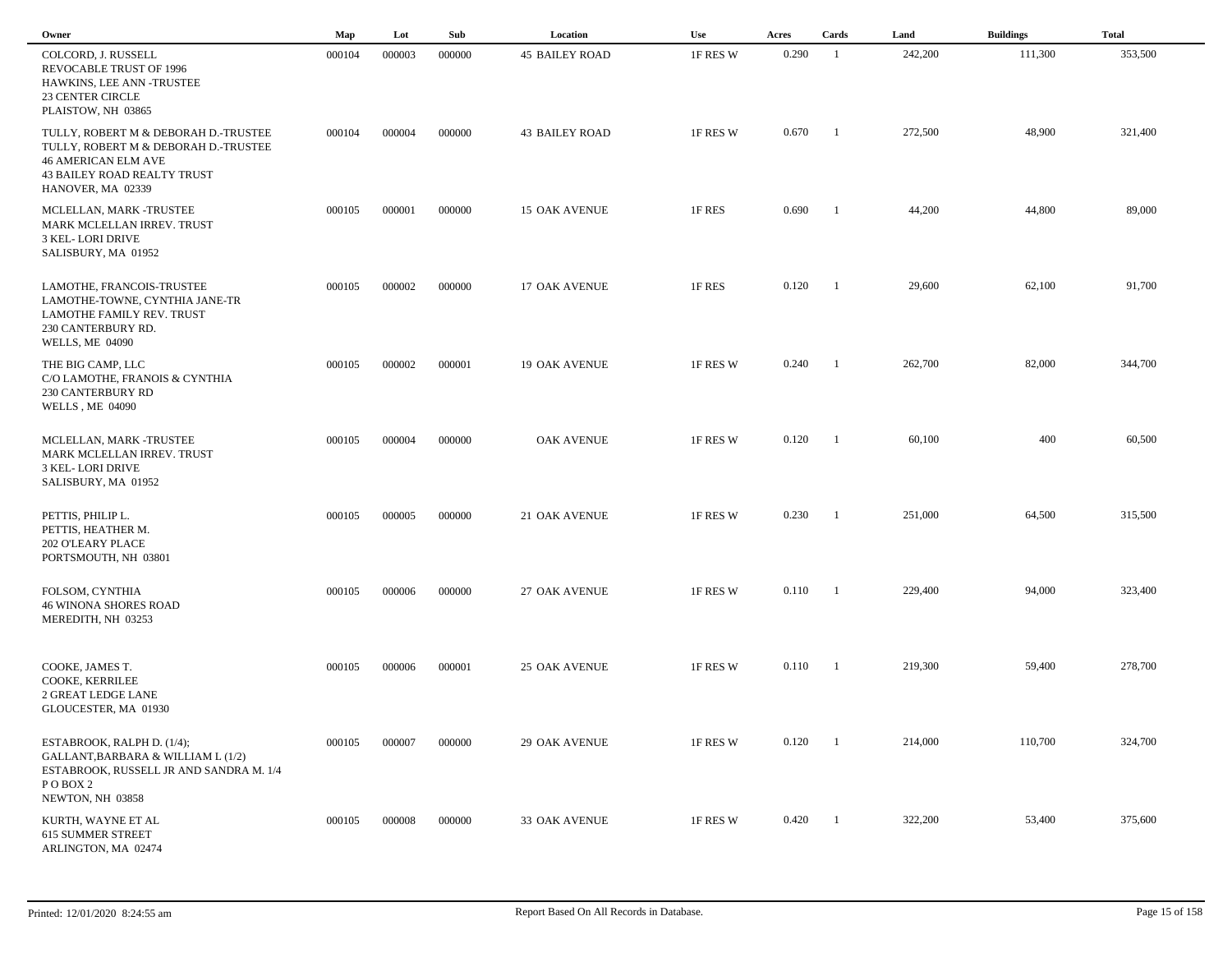| Owner                                                                                                                                                                 | Map    | Lot    | Sub    | Location              | Use      | Acres | Cards                    | Land    | <b>Buildings</b> | <b>Total</b> |  |
|-----------------------------------------------------------------------------------------------------------------------------------------------------------------------|--------|--------|--------|-----------------------|----------|-------|--------------------------|---------|------------------|--------------|--|
| COLCORD, J. RUSSELL<br>REVOCABLE TRUST OF 1996<br>HAWKINS, LEE ANN -TRUSTEE<br><b>23 CENTER CIRCLE</b><br>PLAISTOW, NH 03865                                          | 000104 | 000003 | 000000 | <b>45 BAILEY ROAD</b> | 1F RES W | 0.290 | -1                       | 242,200 | 111,300          | 353,500      |  |
| TULLY, ROBERT M & DEBORAH D.-TRUSTEE<br>TULLY, ROBERT M & DEBORAH D.-TRUSTEE<br><b>46 AMERICAN ELM AVE</b><br><b>43 BAILEY ROAD REALTY TRUST</b><br>HANOVER, MA 02339 | 000104 | 000004 | 000000 | <b>43 BAILEY ROAD</b> | 1F RES W | 0.670 | $\overline{\phantom{a}}$ | 272,500 | 48,900           | 321,400      |  |
| MCLELLAN, MARK -TRUSTEE<br>MARK MCLELLAN IRREV. TRUST<br>3 KEL-LORI DRIVE<br>SALISBURY, MA 01952                                                                      | 000105 | 000001 | 000000 | <b>15 OAK AVENUE</b>  | 1F RES   | 0.690 | $\overline{1}$           | 44,200  | 44,800           | 89,000       |  |
| LAMOTHE, FRANCOIS-TRUSTEE<br>LAMOTHE-TOWNE, CYNTHIA JANE-TR<br>LAMOTHE FAMILY REV. TRUST<br>230 CANTERBURY RD.<br><b>WELLS, ME 04090</b>                              | 000105 | 000002 | 000000 | <b>17 OAK AVENUE</b>  | 1F RES   | 0.120 | $\overline{\phantom{a}}$ | 29,600  | 62,100           | 91,700       |  |
| THE BIG CAMP, LLC<br>C/O LAMOTHE, FRANOIS & CYNTHIA<br>230 CANTERBURY RD<br><b>WELLS, ME 04090</b>                                                                    | 000105 | 000002 | 000001 | <b>19 OAK AVENUE</b>  | 1F RES W | 0.240 | - 1                      | 262,700 | 82,000           | 344,700      |  |
| MCLELLAN, MARK -TRUSTEE<br>MARK MCLELLAN IRREV. TRUST<br>3 KEL-LORI DRIVE<br>SALISBURY, MA 01952                                                                      | 000105 | 000004 | 000000 | <b>OAK AVENUE</b>     | 1F RES W | 0.120 | $\overline{1}$           | 60,100  | 400              | 60,500       |  |
| PETTIS, PHILIP L.<br>PETTIS, HEATHER M.<br>202 O'LEARY PLACE<br>PORTSMOUTH, NH 03801                                                                                  | 000105 | 000005 | 000000 | 21 OAK AVENUE         | 1F RES W | 0.230 | $\overline{\phantom{a}}$ | 251,000 | 64,500           | 315,500      |  |
| FOLSOM, CYNTHIA<br><b>46 WINONA SHORES ROAD</b><br>MEREDITH, NH 03253                                                                                                 | 000105 | 000006 | 000000 | <b>27 OAK AVENUE</b>  | 1F RES W | 0.110 | $\overline{\phantom{a}}$ | 229,400 | 94,000           | 323,400      |  |
| COOKE, JAMES T.<br>COOKE, KERRILEE<br>2 GREAT LEDGE LANE<br>GLOUCESTER, MA 01930                                                                                      | 000105 | 000006 | 000001 | <b>25 OAK AVENUE</b>  | 1F RES W | 0.110 | $\blacksquare$           | 219,300 | 59,400           | 278,700      |  |
| ESTABROOK, RALPH D. (1/4);<br>GALLANT, BARBARA & WILLIAM L (1/2)<br>ESTABROOK, RUSSELL JR AND SANDRA M. 1/4<br>POBOX <sub>2</sub><br>NEWTON, NH 03858                 | 000105 | 000007 | 000000 | 29 OAK AVENUE         | 1F RES W | 0.120 | $\overline{\phantom{0}}$ | 214,000 | 110,700          | 324,700      |  |
| KURTH, WAYNE ET AL<br><b>615 SUMMER STREET</b><br>ARLINGTON, MA 02474                                                                                                 | 000105 | 000008 | 000000 | 33 OAK AVENUE         | 1F RES W | 0.420 | $\blacksquare$           | 322,200 | 53,400           | 375,600      |  |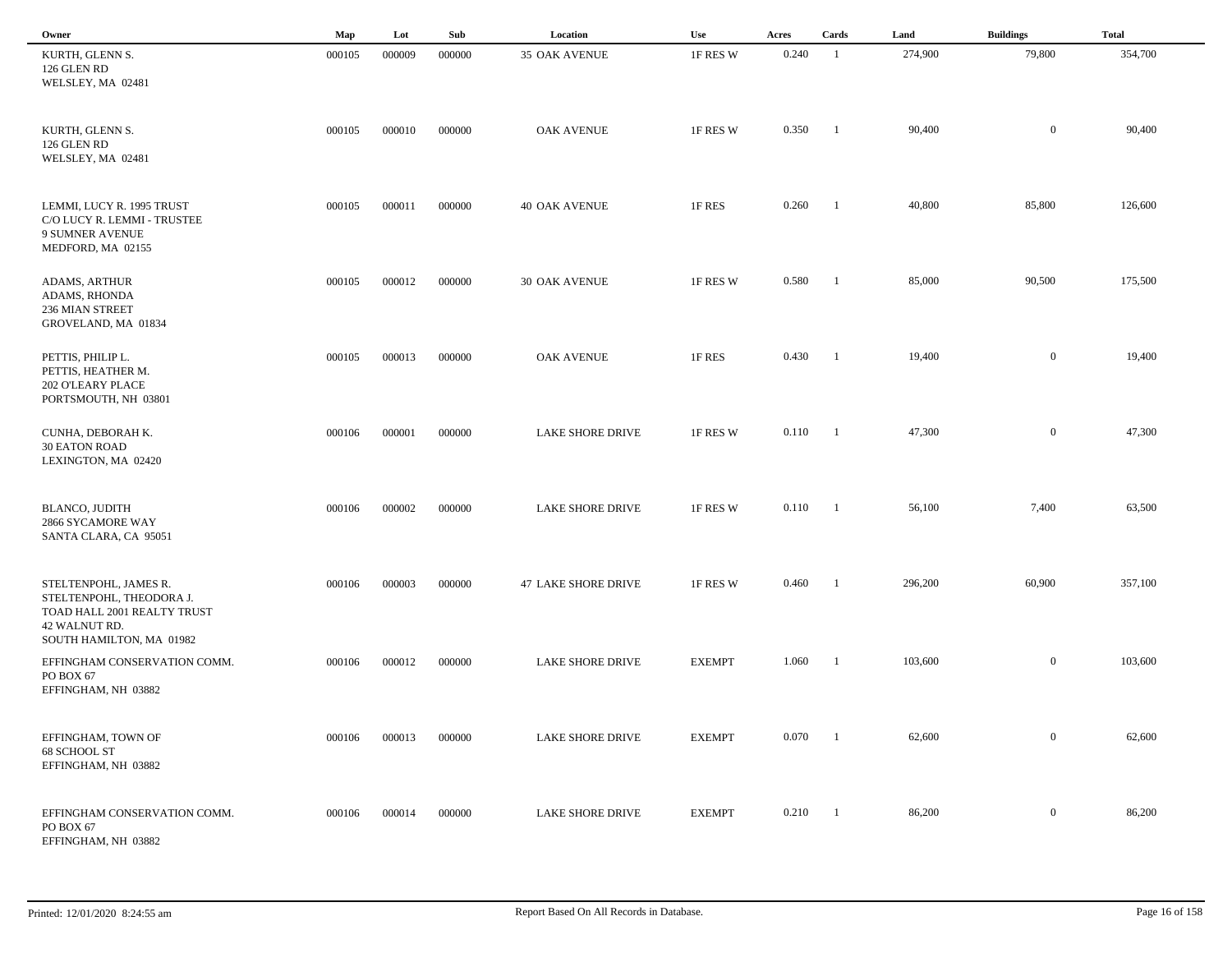| Owner                                                                                             | Map    | Lot    | Sub    | Location                | <b>Use</b>    | Acres | Cards                    | Land    | <b>Buildings</b> | <b>Total</b> |
|---------------------------------------------------------------------------------------------------|--------|--------|--------|-------------------------|---------------|-------|--------------------------|---------|------------------|--------------|
| KURTH, GLENN S.<br>126 GLEN RD<br>WELSLEY, MA 02481                                               | 000105 | 000009 | 000000 | 35 OAK AVENUE           | 1F RES W      | 0.240 | - 1                      | 274,900 | 79,800           | 354,700      |
| KURTH, GLENN S.<br>126 GLEN RD<br>WELSLEY, MA 02481                                               | 000105 | 000010 | 000000 | <b>OAK AVENUE</b>       | 1F RES W      | 0.350 | -1                       | 90,400  | $\overline{0}$   | 90,400       |
| LEMMI, LUCY R. 1995 TRUST<br>C/O LUCY R. LEMMI - TRUSTEE<br>9 SUMNER AVENUE<br>MEDFORD, MA 02155  | 000105 | 000011 | 000000 | <b>40 OAK AVENUE</b>    | 1F RES        | 0.260 | $\overline{1}$           | 40,800  | 85,800           | 126,600      |
| ADAMS, ARTHUR<br>ADAMS, RHONDA<br>236 MIAN STREET<br>GROVELAND, MA 01834                          | 000105 | 000012 | 000000 | <b>30 OAK AVENUE</b>    | 1F RES W      | 0.580 | $\overline{\phantom{a}}$ | 85,000  | 90,500           | 175,500      |
| PETTIS, PHILIP L.<br>PETTIS, HEATHER M.<br>202 O'LEARY PLACE<br>PORTSMOUTH, NH 03801              | 000105 | 000013 | 000000 | <b>OAK AVENUE</b>       | 1F RES        | 0.430 | $\blacksquare$           | 19,400  | $\boldsymbol{0}$ | 19,400       |
| CUNHA, DEBORAH K.<br><b>30 EATON ROAD</b><br>LEXINGTON, MA 02420                                  | 000106 | 000001 | 000000 | LAKE SHORE DRIVE        | 1F RES W      | 0.110 | $\blacksquare$           | 47,300  | $\overline{0}$   | 47,300       |
| <b>BLANCO, JUDITH</b><br>2866 SYCAMORE WAY<br>SANTA CLARA, CA 95051                               | 000106 | 000002 | 000000 | LAKE SHORE DRIVE        | 1F RES W      | 0.110 | $\overline{\phantom{a}}$ | 56,100  | 7,400            | 63,500       |
| STELTENPOHL, JAMES R.<br>STELTENPOHL, THEODORA J.<br>TOAD HALL 2001 REALTY TRUST<br>42 WALNUT RD. | 000106 | 000003 | 000000 | 47 LAKE SHORE DRIVE     | 1F RES W      | 0.460 | $\blacksquare$           | 296,200 | 60,900           | 357,100      |
| SOUTH HAMILTON, MA 01982<br>EFFINGHAM CONSERVATION COMM.<br>PO BOX 67<br>EFFINGHAM, NH 03882      | 000106 | 000012 | 000000 | LAKE SHORE DRIVE        | <b>EXEMPT</b> | 1.060 | - 1                      | 103,600 | $\overline{0}$   | 103,600      |
| EFFINGHAM, TOWN OF<br>68 SCHOOL ST<br>EFFINGHAM, NH 03882                                         | 000106 | 000013 | 000000 | LAKE SHORE DRIVE        | <b>EXEMPT</b> | 0.070 | - 1                      | 62,600  | $\overline{0}$   | 62,600       |
| EFFINGHAM CONSERVATION COMM.<br>PO BOX 67<br>EFFINGHAM, NH 03882                                  | 000106 | 000014 | 000000 | <b>LAKE SHORE DRIVE</b> | <b>EXEMPT</b> | 0.210 | $\blacksquare$           | 86,200  | $\overline{0}$   | 86,200       |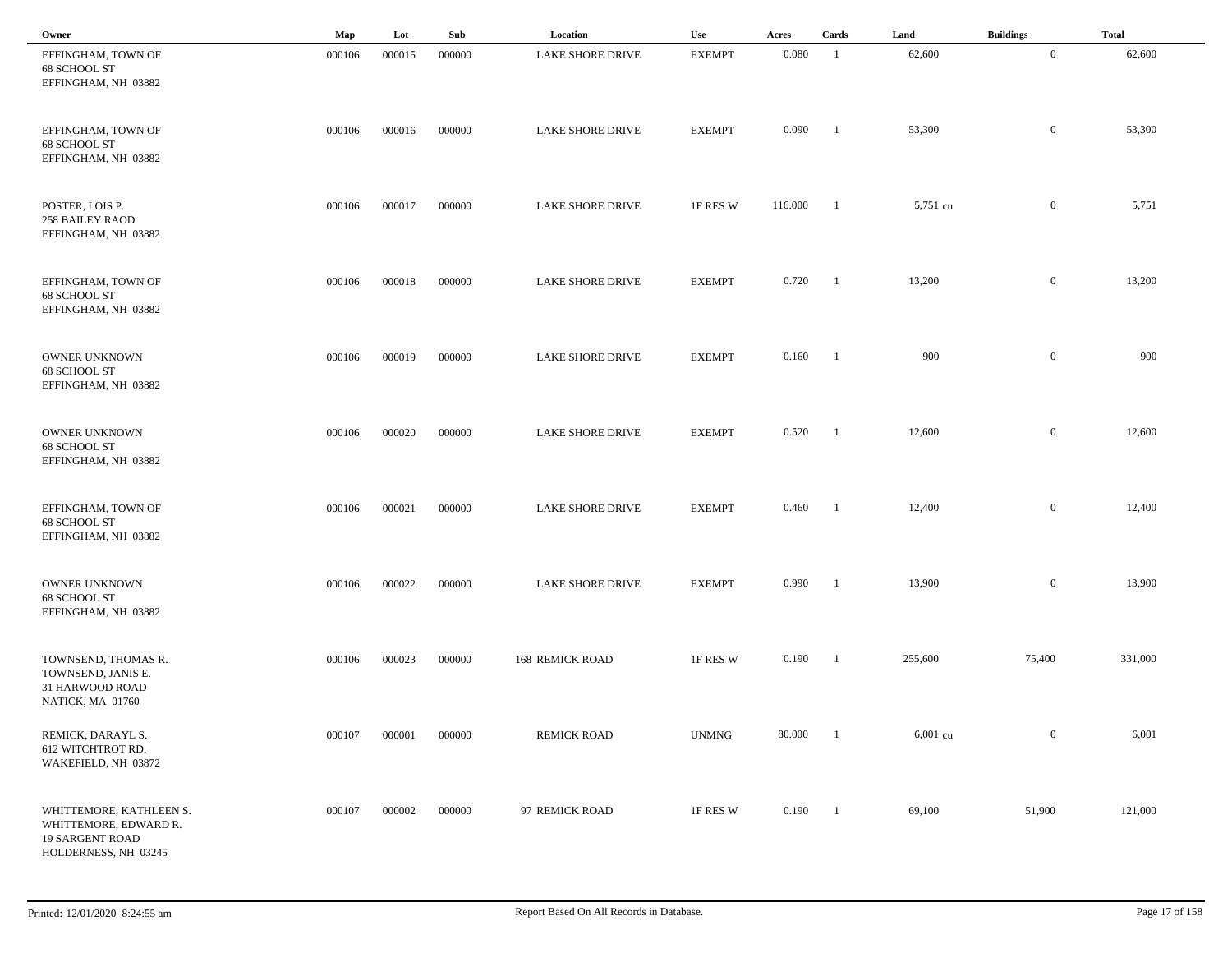| Owner                                                                                              | Map    | Lot    | Sub    | Location                | Use           | Acres   | Cards          | Land     | <b>Buildings</b> | <b>Total</b> |  |
|----------------------------------------------------------------------------------------------------|--------|--------|--------|-------------------------|---------------|---------|----------------|----------|------------------|--------------|--|
| EFFINGHAM, TOWN OF<br>68 SCHOOL ST<br>EFFINGHAM, NH 03882                                          | 000106 | 000015 | 000000 | LAKE SHORE DRIVE        | <b>EXEMPT</b> | 0.080   | -1             | 62,600   | $\mathbf{0}$     | 62,600       |  |
| EFFINGHAM, TOWN OF<br>68 SCHOOL ST<br>EFFINGHAM, NH 03882                                          | 000106 | 000016 | 000000 | LAKE SHORE DRIVE        | <b>EXEMPT</b> | 0.090   | -1             | 53,300   | $\bf{0}$         | 53,300       |  |
| POSTER, LOIS P.<br><b>258 BAILEY RAOD</b><br>EFFINGHAM, NH 03882                                   | 000106 | 000017 | 000000 | <b>LAKE SHORE DRIVE</b> | 1F RES W      | 116.000 | -1             | 5,751 cu | $\overline{0}$   | 5,751        |  |
| EFFINGHAM, TOWN OF<br>68 SCHOOL ST<br>EFFINGHAM, NH 03882                                          | 000106 | 000018 | 000000 | LAKE SHORE DRIVE        | <b>EXEMPT</b> | 0.720   | $\blacksquare$ | 13,200   | $\mathbf{0}$     | 13,200       |  |
| <b>OWNER UNKNOWN</b><br>68 SCHOOL ST<br>EFFINGHAM, NH 03882                                        | 000106 | 000019 | 000000 | <b>LAKE SHORE DRIVE</b> | <b>EXEMPT</b> | 0.160   | $\blacksquare$ | 900      | $\overline{0}$   | 900          |  |
| OWNER UNKNOWN<br>68 SCHOOL ST<br>EFFINGHAM, NH 03882                                               | 000106 | 000020 | 000000 | <b>LAKE SHORE DRIVE</b> | <b>EXEMPT</b> | 0.520   | $\blacksquare$ | 12,600   | $\overline{0}$   | 12,600       |  |
| EFFINGHAM, TOWN OF<br>68 SCHOOL ST<br>EFFINGHAM, NH 03882                                          | 000106 | 000021 | 000000 | <b>LAKE SHORE DRIVE</b> | <b>EXEMPT</b> | 0.460   | - 1            | 12,400   | $\mathbf{0}$     | 12,400       |  |
| <b>OWNER UNKNOWN</b><br>68 SCHOOL ST<br>EFFINGHAM, NH 03882                                        | 000106 | 000022 | 000000 | <b>LAKE SHORE DRIVE</b> | <b>EXEMPT</b> | 0.990   | -1             | 13,900   | $\mathbf{0}$     | 13,900       |  |
| TOWNSEND, THOMAS R.<br>TOWNSEND, JANIS E.<br>31 HARWOOD ROAD<br>NATICK, MA 01760                   | 000106 | 000023 | 000000 | <b>168 REMICK ROAD</b>  | 1F RES W      | 0.190   | -1             | 255,600  | 75,400           | 331,000      |  |
| REMICK, DARAYL S.<br>612 WITCHTROT RD.<br>WAKEFIELD, NH 03872                                      | 000107 | 000001 | 000000 | <b>REMICK ROAD</b>      | <b>UNMNG</b>  | 80.000  | $\overline{1}$ | 6,001 cu | $\overline{0}$   | 6,001        |  |
| WHITTEMORE, KATHLEEN S.<br>WHITTEMORE, EDWARD R.<br><b>19 SARGENT ROAD</b><br>HOLDERNESS, NH 03245 | 000107 | 000002 | 000000 | 97 REMICK ROAD          | 1F RES W      | 0.190   | $\blacksquare$ | 69,100   | 51,900           | 121,000      |  |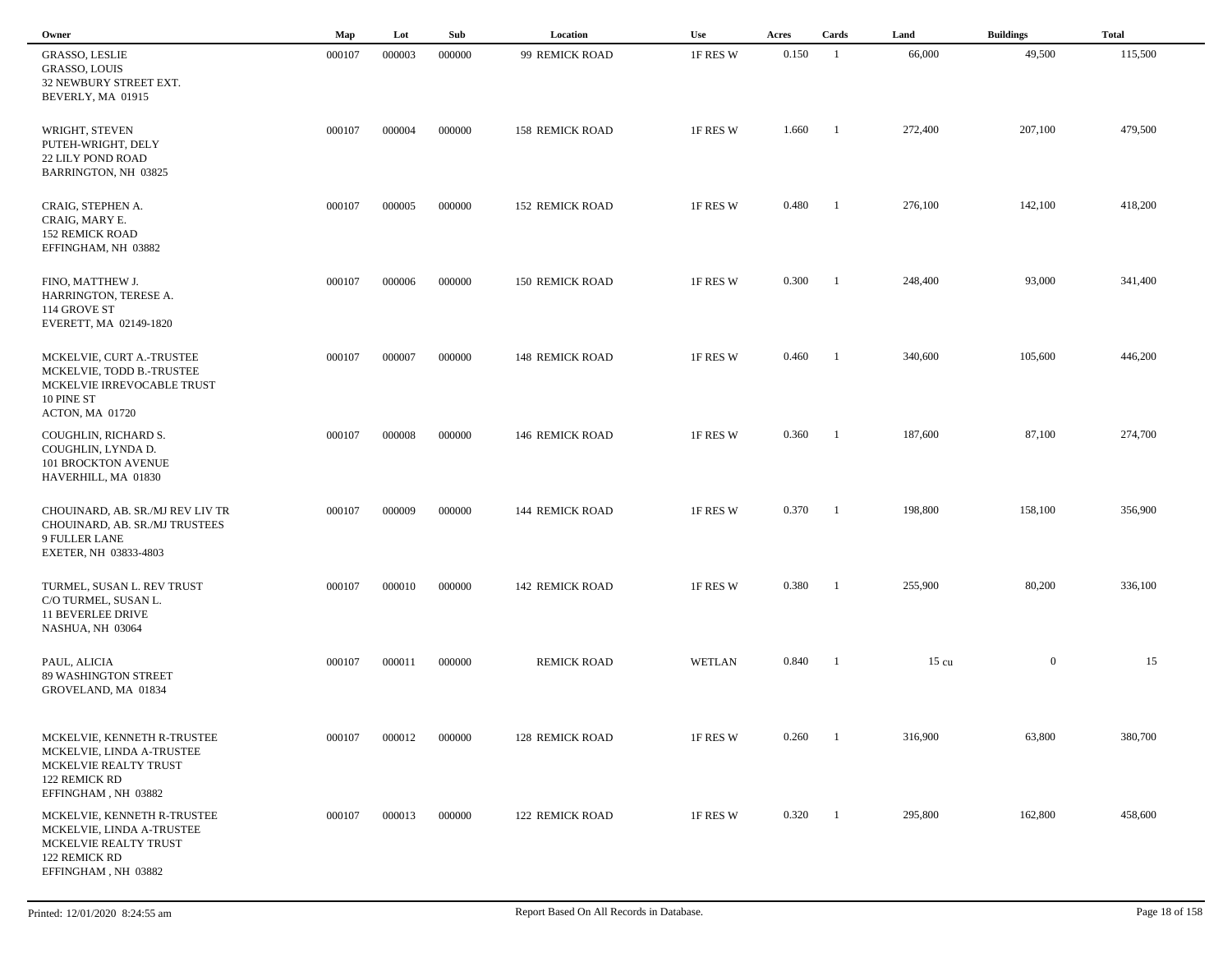| Owner                                                                                                                     | Map    | Lot    | Sub    | Location               | <b>Use</b>    | Acres | Cards          | Land            | <b>Buildings</b> | <b>Total</b> |
|---------------------------------------------------------------------------------------------------------------------------|--------|--------|--------|------------------------|---------------|-------|----------------|-----------------|------------------|--------------|
| GRASSO, LESLIE<br><b>GRASSO, LOUIS</b><br>32 NEWBURY STREET EXT.<br>BEVERLY, MA 01915                                     | 000107 | 000003 | 000000 | 99 REMICK ROAD         | 1F RES W      | 0.150 | - 1            | 66,000          | 49,500           | 115,500      |
| WRIGHT, STEVEN<br>PUTEH-WRIGHT, DELY<br><b>22 LILY POND ROAD</b><br>BARRINGTON, NH 03825                                  | 000107 | 000004 | 000000 | <b>158 REMICK ROAD</b> | 1F RES W      | 1.660 | -1             | 272,400         | 207,100          | 479,500      |
| CRAIG, STEPHEN A.<br>CRAIG, MARY E.<br><b>152 REMICK ROAD</b><br>EFFINGHAM, NH 03882                                      | 000107 | 000005 | 000000 | <b>152 REMICK ROAD</b> | 1F RES W      | 0.480 | -1             | 276,100         | 142,100          | 418,200      |
| FINO, MATTHEW J.<br>HARRINGTON, TERESE A.<br>114 GROVE ST<br>EVERETT, MA 02149-1820                                       | 000107 | 000006 | 000000 | <b>150 REMICK ROAD</b> | 1F RES W      | 0.300 | $\blacksquare$ | 248,400         | 93,000           | 341,400      |
| MCKELVIE, CURT A.-TRUSTEE<br>MCKELVIE, TODD B.-TRUSTEE<br>MCKELVIE IRREVOCABLE TRUST<br>10 PINE ST<br>ACTON, MA 01720     | 000107 | 000007 | 000000 | <b>148 REMICK ROAD</b> | 1F RES W      | 0.460 | -1             | 340,600         | 105,600          | 446,200      |
| COUGHLIN, RICHARD S.<br>COUGHLIN, LYNDA D.<br>101 BROCKTON AVENUE<br>HAVERHILL, MA 01830                                  | 000107 | 000008 | 000000 | <b>146 REMICK ROAD</b> | 1F RES W      | 0.360 | - 1            | 187,600         | 87,100           | 274,700      |
| CHOUINARD, AB. SR./MJ REV LIV TR<br>CHOUINARD, AB. SR./MJ TRUSTEES<br>9 FULLER LANE<br>EXETER, NH 03833-4803              | 000107 | 000009 | 000000 | <b>144 REMICK ROAD</b> | 1F RES W      | 0.370 | - 1            | 198,800         | 158,100          | 356,900      |
| TURMEL, SUSAN L. REV TRUST<br>C/O TURMEL, SUSAN L.<br>11 BEVERLEE DRIVE<br>NASHUA, NH 03064                               | 000107 | 000010 | 000000 | <b>142 REMICK ROAD</b> | 1F RES W      | 0.380 | -1             | 255,900         | 80,200           | 336,100      |
| PAUL, ALICIA<br><b>89 WASHINGTON STREET</b><br>GROVELAND, MA 01834                                                        | 000107 | 000011 | 000000 | <b>REMICK ROAD</b>     | <b>WETLAN</b> | 0.840 | - 1            | $15 \text{ cu}$ | $\mathbf{0}$     | 15           |
| MCKELVIE, KENNETH R-TRUSTEE<br>MCKELVIE, LINDA A-TRUSTEE<br>MCKELVIE REALTY TRUST<br>122 REMICK RD<br>EFFINGHAM, NH 03882 | 000107 | 000012 | 000000 | 128 REMICK ROAD        | 1F RES W      | 0.260 |                | 316,900         | 63,800           | 380,700      |
| MCKELVIE, KENNETH R-TRUSTEE<br>MCKELVIE, LINDA A-TRUSTEE<br>MCKELVIE REALTY TRUST<br>122 REMICK RD<br>EFFINGHAM, NH 03882 | 000107 | 000013 | 000000 | <b>122 REMICK ROAD</b> | 1F RES W      | 0.320 | -1             | 295,800         | 162,800          | 458,600      |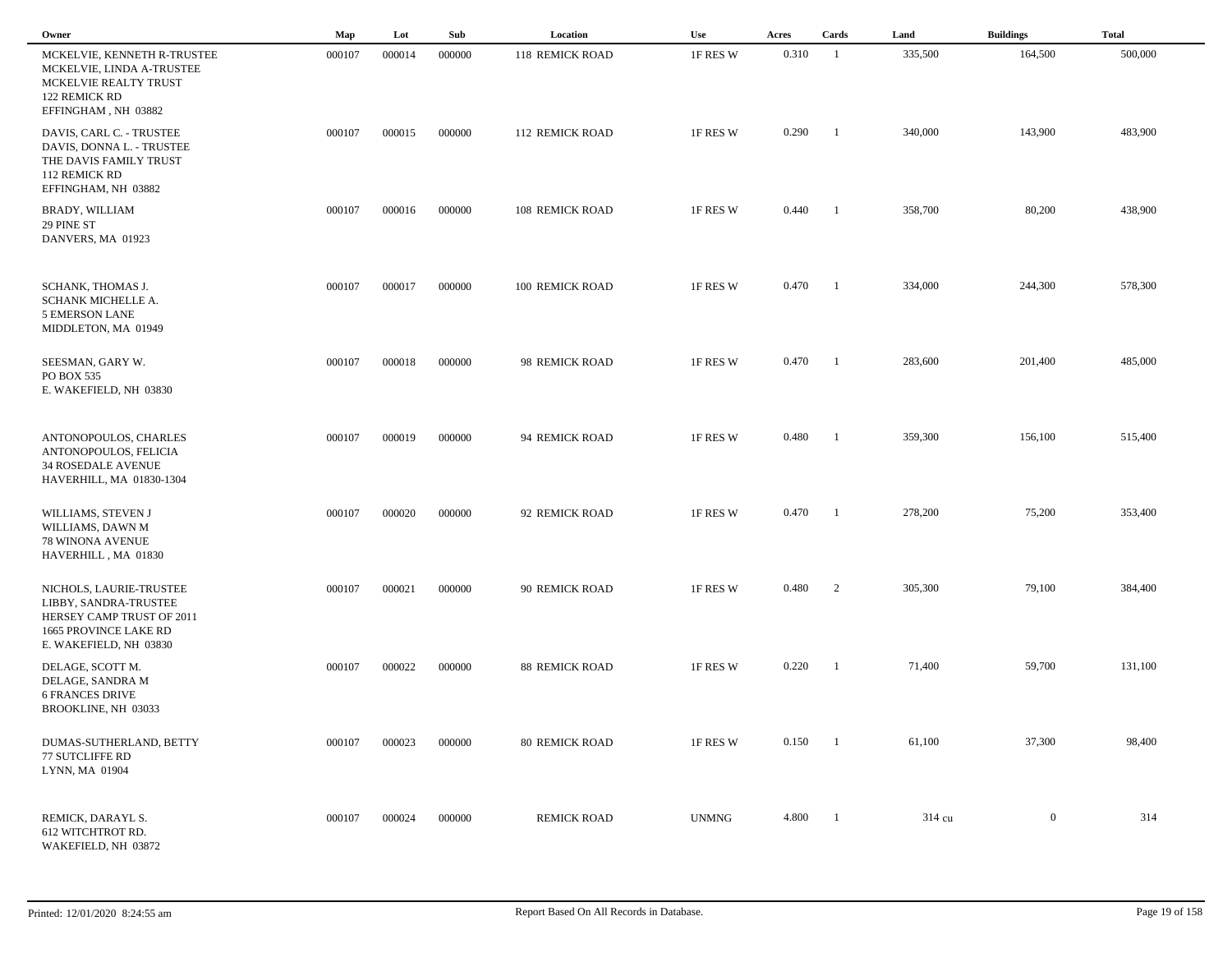| Owner                                                                                                                            | Map    | Lot    | Sub    | Location               | Use          | Acres | Cards                    | Land    | <b>Buildings</b> | <b>Total</b> |
|----------------------------------------------------------------------------------------------------------------------------------|--------|--------|--------|------------------------|--------------|-------|--------------------------|---------|------------------|--------------|
| MCKELVIE, KENNETH R-TRUSTEE<br>MCKELVIE, LINDA A-TRUSTEE<br>MCKELVIE REALTY TRUST<br>122 REMICK RD<br>EFFINGHAM, NH 03882        | 000107 | 000014 | 000000 | <b>118 REMICK ROAD</b> | 1F RES W     | 0.310 | $\overline{1}$           | 335,500 | 164,500          | 500,000      |
| DAVIS, CARL C. - TRUSTEE<br>DAVIS, DONNA L. - TRUSTEE<br>THE DAVIS FAMILY TRUST<br>112 REMICK RD<br>EFFINGHAM, NH 03882          | 000107 | 000015 | 000000 | 112 REMICK ROAD        | 1F RES W     | 0.290 | $\blacksquare$           | 340,000 | 143,900          | 483,900      |
| <b>BRADY, WILLIAM</b><br>29 PINE ST<br>DANVERS, MA 01923                                                                         | 000107 | 000016 | 000000 | 108 REMICK ROAD        | 1F RES W     | 0.440 | $\blacksquare$           | 358,700 | 80,200           | 438,900      |
| SCHANK, THOMAS J.<br>SCHANK MICHELLE A.<br>5 EMERSON LANE<br>MIDDLETON, MA 01949                                                 | 000107 | 000017 | 000000 | 100 REMICK ROAD        | 1F RES W     | 0.470 | $\blacksquare$           | 334,000 | 244,300          | 578,300      |
| SEESMAN, GARY W.<br>PO BOX 535<br>E. WAKEFIELD, NH 03830                                                                         | 000107 | 000018 | 000000 | 98 REMICK ROAD         | 1F RES W     | 0.470 | $\overline{\phantom{a}}$ | 283,600 | 201,400          | 485,000      |
| ANTONOPOULOS, CHARLES<br>ANTONOPOULOS, FELICIA<br><b>34 ROSEDALE AVENUE</b><br>HAVERHILL, MA 01830-1304                          | 000107 | 000019 | 000000 | 94 REMICK ROAD         | 1F RES W     | 0.480 | $\blacksquare$           | 359,300 | 156,100          | 515,400      |
| WILLIAMS, STEVEN J<br>WILLIAMS, DAWN M<br>78 WINONA AVENUE<br>HAVERHILL, MA 01830                                                | 000107 | 000020 | 000000 | 92 REMICK ROAD         | 1F RES W     | 0.470 | - 1                      | 278,200 | 75,200           | 353,400      |
| NICHOLS, LAURIE-TRUSTEE<br>LIBBY, SANDRA-TRUSTEE<br>HERSEY CAMP TRUST OF 2011<br>1665 PROVINCE LAKE RD<br>E. WAKEFIELD, NH 03830 | 000107 | 000021 | 000000 | 90 REMICK ROAD         | 1F RES W     | 0.480 | 2                        | 305,300 | 79,100           | 384,400      |
| DELAGE, SCOTT M.<br>DELAGE, SANDRA M<br><b>6 FRANCES DRIVE</b><br>BROOKLINE, NH 03033                                            | 000107 | 000022 | 000000 | <b>88 REMICK ROAD</b>  | 1F RES W     | 0.220 | $\blacksquare$           | 71,400  | 59,700           | 131,100      |
| DUMAS-SUTHERLAND, BETTY<br>77 SUTCLIFFE RD<br>LYNN, MA 01904                                                                     | 000107 | 000023 | 000000 | <b>80 REMICK ROAD</b>  | 1F RES W     | 0.150 | $\blacksquare$           | 61,100  | 37,300           | 98,400       |
| REMICK, DARAYL S.<br>612 WITCHTROT RD.<br>WAKEFIELD, NH 03872                                                                    | 000107 | 000024 | 000000 | <b>REMICK ROAD</b>     | <b>UNMNG</b> | 4.800 | $\blacksquare$           | 314 cu  | $\boldsymbol{0}$ | 314          |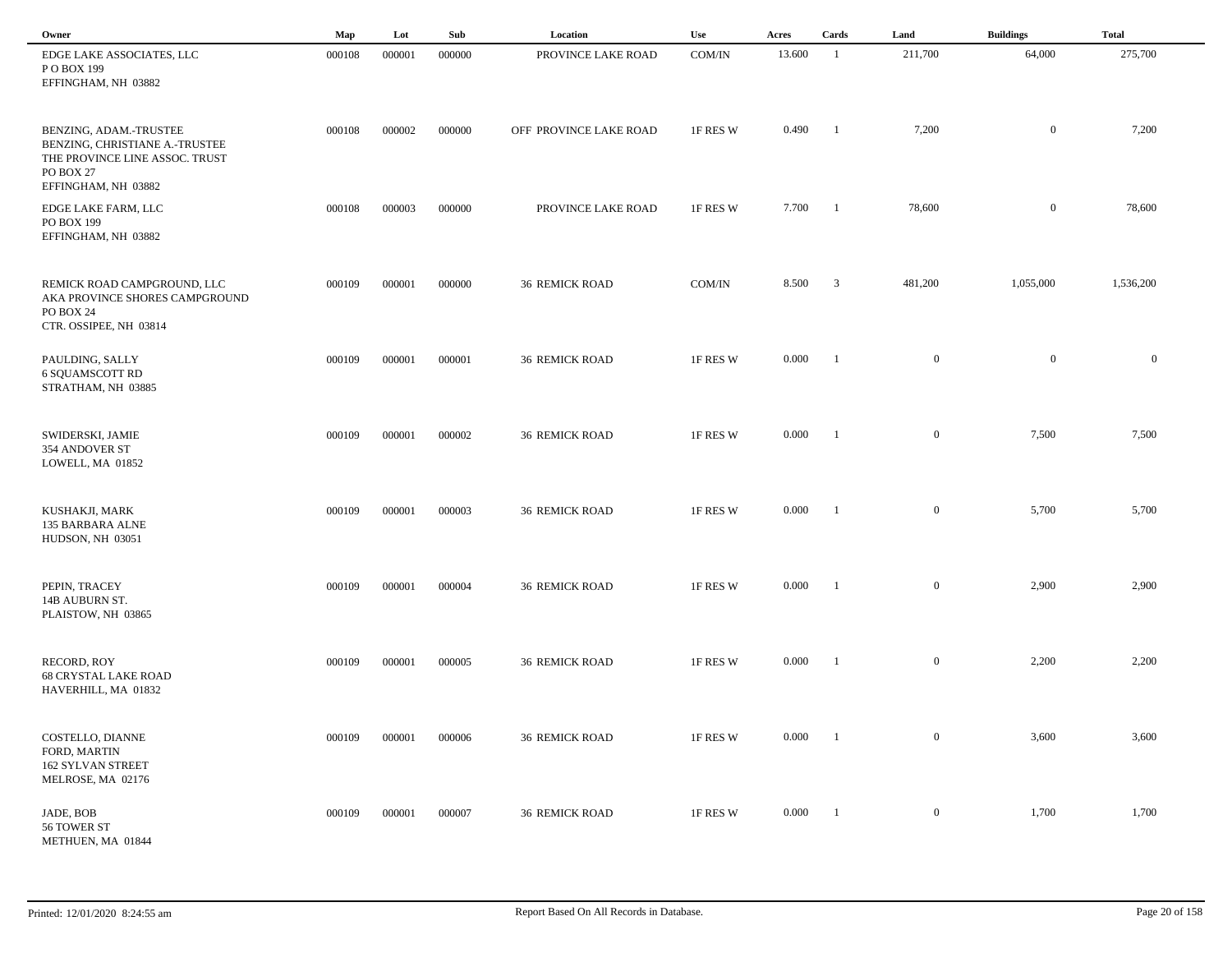| Owner                                                                                                                          | Map    | Lot    | Sub    | Location               | Use      | Acres  | Cards                   | Land             | <b>Buildings</b> | <b>Total</b> |  |
|--------------------------------------------------------------------------------------------------------------------------------|--------|--------|--------|------------------------|----------|--------|-------------------------|------------------|------------------|--------------|--|
| EDGE LAKE ASSOCIATES, LLC<br>P O BOX 199<br>EFFINGHAM, NH 03882                                                                | 000108 | 000001 | 000000 | PROVINCE LAKE ROAD     | COM/IN   | 13.600 | -1                      | 211,700          | 64,000           | 275,700      |  |
| BENZING, ADAM.-TRUSTEE<br>BENZING, CHRISTIANE A.-TRUSTEE<br>THE PROVINCE LINE ASSOC. TRUST<br>PO BOX 27<br>EFFINGHAM, NH 03882 | 000108 | 000002 | 000000 | OFF PROVINCE LAKE ROAD | 1F RES W | 0.490  | $\overline{1}$          | 7,200            | $\bf{0}$         | 7,200        |  |
| EDGE LAKE FARM, LLC<br>PO BOX 199<br>EFFINGHAM, NH 03882                                                                       | 000108 | 000003 | 000000 | PROVINCE LAKE ROAD     | 1F RES W | 7.700  | $\blacksquare$          | 78,600           | $\overline{0}$   | 78,600       |  |
| REMICK ROAD CAMPGROUND, LLC<br>AKA PROVINCE SHORES CAMPGROUND<br>PO BOX 24<br>CTR. OSSIPEE, NH 03814                           | 000109 | 000001 | 000000 | <b>36 REMICK ROAD</b>  | COM/IN   | 8.500  | $\overline{\mathbf{3}}$ | 481,200          | 1,055,000        | 1,536,200    |  |
| PAULDING, SALLY<br><b>6 SQUAMSCOTT RD</b><br>STRATHAM, NH 03885                                                                | 000109 | 000001 | 000001 | <b>36 REMICK ROAD</b>  | 1F RES W | 0.000  | $^{-1}$                 | $\boldsymbol{0}$ | $\overline{0}$   | $\mathbf{0}$ |  |
| SWIDERSKI, JAMIE<br>354 ANDOVER ST<br>LOWELL, MA 01852                                                                         | 000109 | 000001 | 000002 | <b>36 REMICK ROAD</b>  | 1F RES W | 0.000  | $^{-1}$                 | $\mathbf{0}$     | 7,500            | 7,500        |  |
| KUSHAKJI, MARK<br>135 BARBARA ALNE<br>HUDSON, NH 03051                                                                         | 000109 | 000001 | 000003 | <b>36 REMICK ROAD</b>  | 1F RES W | 0.000  | $^{-1}$                 | $\overline{0}$   | 5,700            | 5,700        |  |
| PEPIN, TRACEY<br>14B AUBURN ST.<br>PLAISTOW, NH 03865                                                                          | 000109 | 000001 | 000004 | <b>36 REMICK ROAD</b>  | 1F RES W | 0.000  | $\mathbf{1}$            | $\overline{0}$   | 2,900            | 2,900        |  |
| RECORD, ROY<br><b>68 CRYSTAL LAKE ROAD</b><br>HAVERHILL, MA 01832                                                              | 000109 | 000001 | 000005 | <b>36 REMICK ROAD</b>  | 1F RES W | 0.000  | -1                      | $\overline{0}$   | 2,200            | 2,200        |  |
| COSTELLO, DIANNE<br>FORD, MARTIN<br>162 SYLVAN STREET<br>MELROSE, MA 02176                                                     | 000109 | 000001 | 000006 | <b>36 REMICK ROAD</b>  | 1F RES W | 0.000  | $\blacksquare$          | $\mathbf{0}$     | 3,600            | 3,600        |  |
| JADE, BOB<br>56 TOWER ST<br>METHUEN, MA 01844                                                                                  | 000109 | 000001 | 000007 | <b>36 REMICK ROAD</b>  | 1F RES W | 0.000  | $\blacksquare$          | $\mathbf{0}$     | 1,700            | 1,700        |  |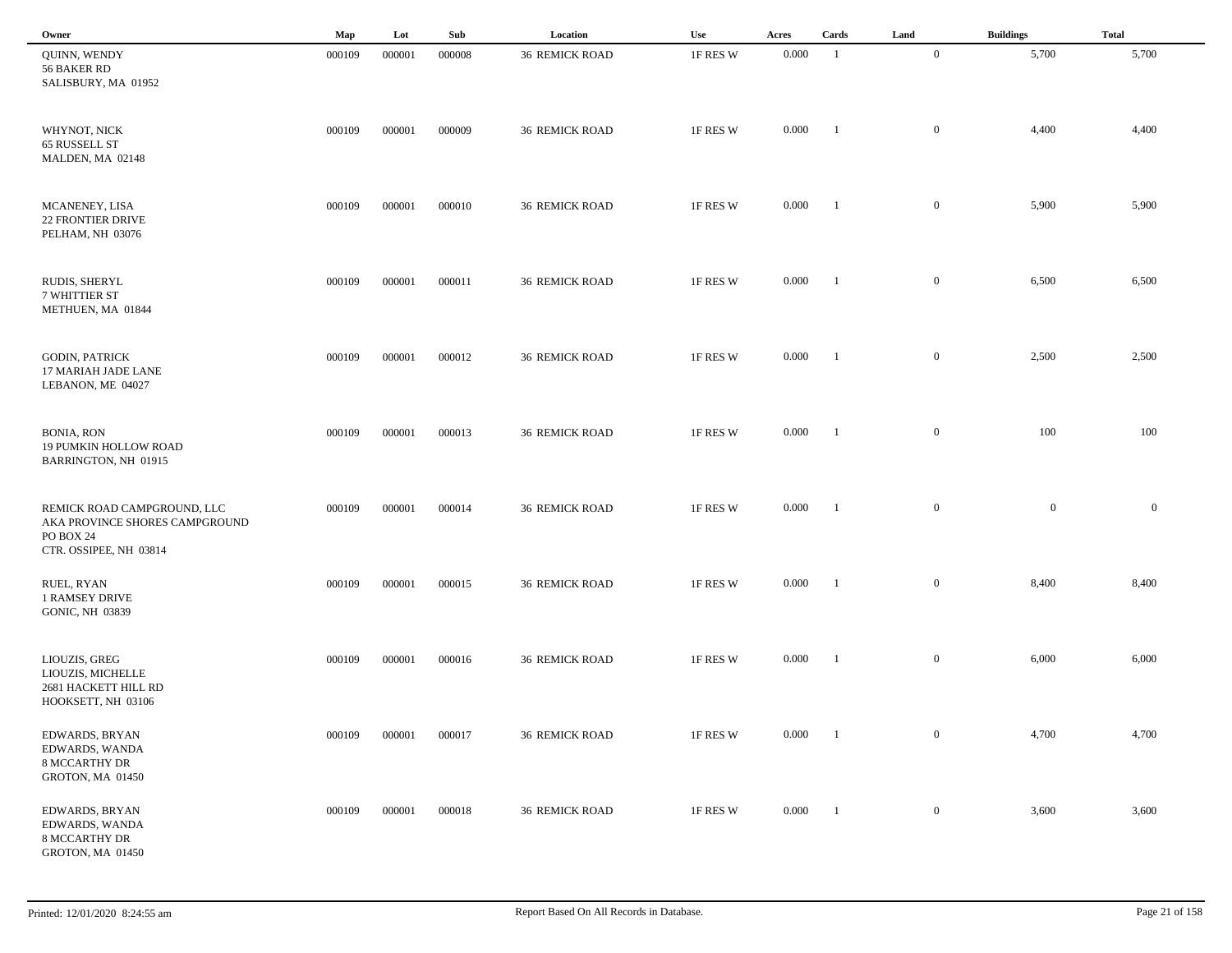| Owner                                                                                                | Map    | Lot    | Sub    | Location              | Use      | Acres | Cards          | Land             | <b>Buildings</b> | <b>Total</b> |
|------------------------------------------------------------------------------------------------------|--------|--------|--------|-----------------------|----------|-------|----------------|------------------|------------------|--------------|
| QUINN, WENDY<br>56 BAKER RD<br>SALISBURY, MA 01952                                                   | 000109 | 000001 | 000008 | <b>36 REMICK ROAD</b> | 1F RES W | 0.000 | -1             | $\overline{0}$   | 5,700            | 5,700        |
| WHYNOT, NICK<br>65 RUSSELL ST<br>MALDEN, MA 02148                                                    | 000109 | 000001 | 000009 | <b>36 REMICK ROAD</b> | 1F RES W | 0.000 | - 1            | $\overline{0}$   | 4,400            | 4,400        |
| MCANENEY, LISA<br><b>22 FRONTIER DRIVE</b><br>PELHAM, NH 03076                                       | 000109 | 000001 | 000010 | <b>36 REMICK ROAD</b> | 1F RES W | 0.000 | -1             | $\overline{0}$   | 5,900            | 5,900        |
| RUDIS, SHERYL<br>7 WHITTIER ST<br>METHUEN, MA 01844                                                  | 000109 | 000001 | 000011 | <b>36 REMICK ROAD</b> | 1F RES W | 0.000 | - 1            | $\mathbf{0}$     | 6,500            | 6,500        |
| <b>GODIN, PATRICK</b><br>17 MARIAH JADE LANE<br>LEBANON, ME 04027                                    | 000109 | 000001 | 000012 | <b>36 REMICK ROAD</b> | 1F RES W | 0.000 | $\blacksquare$ | $\mathbf{0}$     | 2,500            | 2,500        |
| <b>BONIA, RON</b><br>19 PUMKIN HOLLOW ROAD<br>BARRINGTON, NH 01915                                   | 000109 | 000001 | 000013 | <b>36 REMICK ROAD</b> | 1F RES W | 0.000 | $\blacksquare$ | $\mathbf{0}$     | 100              | 100          |
| REMICK ROAD CAMPGROUND, LLC<br>AKA PROVINCE SHORES CAMPGROUND<br>PO BOX 24<br>CTR. OSSIPEE, NH 03814 | 000109 | 000001 | 000014 | <b>36 REMICK ROAD</b> | 1F RES W | 0.000 | $\blacksquare$ | $\mathbf{0}$     | $\mathbf{0}$     | $\mathbf{0}$ |
| RUEL, RYAN<br>1 RAMSEY DRIVE<br><b>GONIC, NH 03839</b>                                               | 000109 | 000001 | 000015 | <b>36 REMICK ROAD</b> | 1F RES W | 0.000 | - 1            | $\mathbf{0}$     | 8,400            | 8,400        |
| LIOUZIS, GREG<br>LIOUZIS, MICHELLE<br>2681 HACKETT HILL RD<br>HOOKSETT, NH 03106                     | 000109 | 000001 | 000016 | <b>36 REMICK ROAD</b> | 1F RES W | 0.000 |                | $\mathbf{0}$     | 6,000            | 6,000        |
| EDWARDS, BRYAN<br>EDWARDS, WANDA<br><b>8 MCCARTHY DR</b><br><b>GROTON, MA 01450</b>                  | 000109 | 000001 | 000017 | <b>36 REMICK ROAD</b> | 1F RES W | 0.000 | $\blacksquare$ | $\boldsymbol{0}$ | 4,700            | 4,700        |
| EDWARDS, BRYAN<br>EDWARDS, WANDA<br><b>8 MCCARTHY DR</b><br>GROTON, MA 01450                         | 000109 | 000001 | 000018 | <b>36 REMICK ROAD</b> | 1F RES W | 0.000 | $\blacksquare$ | $\boldsymbol{0}$ | 3,600            | 3,600        |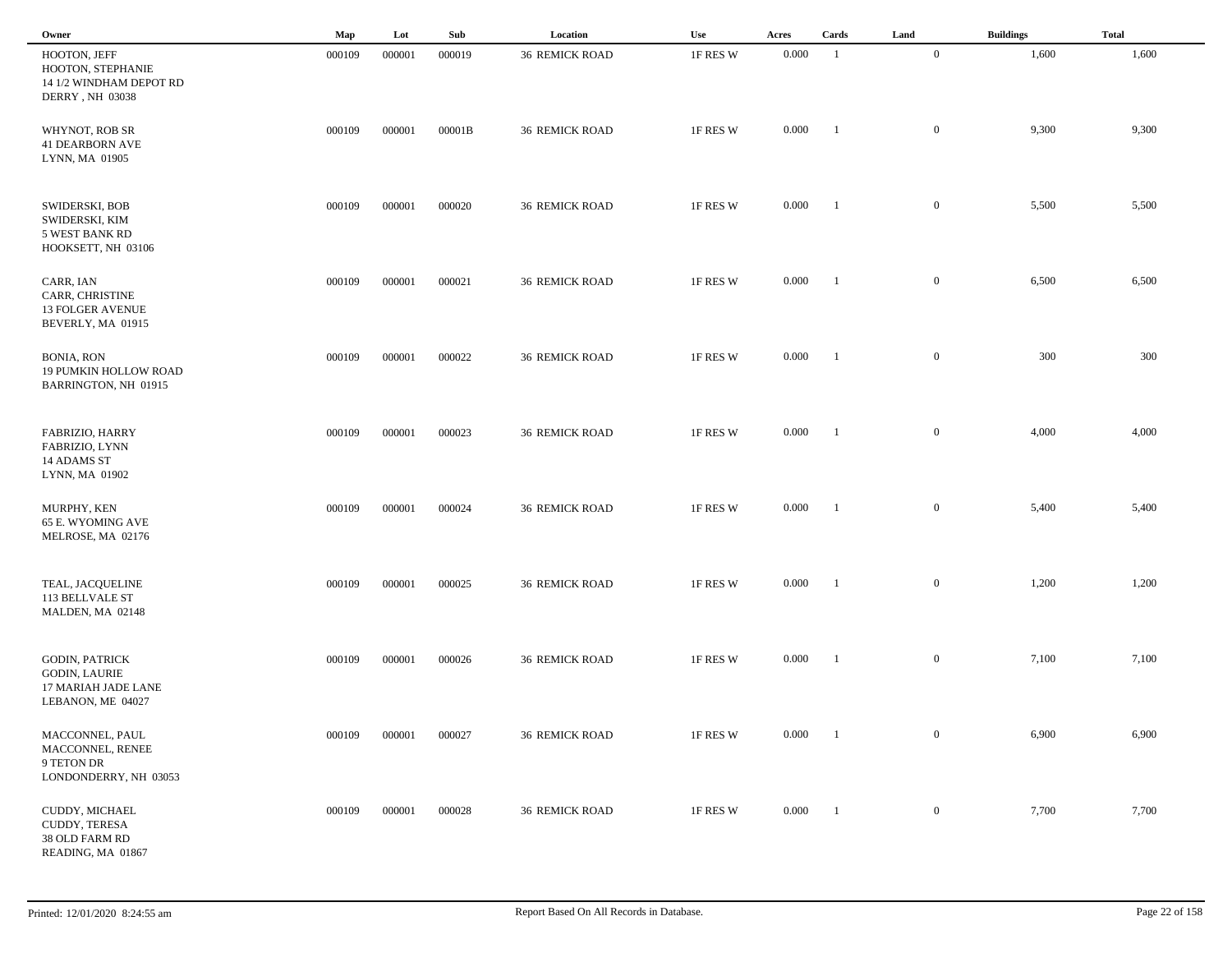| Owner                                                                                     | Map    | Lot    | Sub    | Location              | Use      | Acres | Cards          | Land           | <b>Buildings</b> | <b>Total</b> |
|-------------------------------------------------------------------------------------------|--------|--------|--------|-----------------------|----------|-------|----------------|----------------|------------------|--------------|
| HOOTON, JEFF<br>HOOTON, STEPHANIE<br>14 1/2 WINDHAM DEPOT RD<br>DERRY, NH 03038           | 000109 | 000001 | 000019 | <b>36 REMICK ROAD</b> | 1F RES W | 0.000 | -1             | $\overline{0}$ | 1,600            | 1,600        |
| WHYNOT, ROB SR<br><b>41 DEARBORN AVE</b><br>LYNN, MA 01905                                | 000109 | 000001 | 00001B | <b>36 REMICK ROAD</b> | 1F RES W | 0.000 | - 1            | $\overline{0}$ | 9,300            | 9,300        |
| SWIDERSKI, BOB<br>SWIDERSKI, KIM<br><b>5 WEST BANK RD</b><br>HOOKSETT, NH 03106           | 000109 | 000001 | 000020 | <b>36 REMICK ROAD</b> | 1F RES W | 0.000 | -1             | $\mathbf{0}$   | 5,500            | 5,500        |
| CARR, IAN<br>CARR, CHRISTINE<br><b>13 FOLGER AVENUE</b><br>BEVERLY, MA 01915              | 000109 | 000001 | 000021 | <b>36 REMICK ROAD</b> | 1F RES W | 0.000 | - 1            | $\mathbf{0}$   | 6,500            | 6,500        |
| <b>BONIA, RON</b><br>19 PUMKIN HOLLOW ROAD<br>BARRINGTON, NH 01915                        | 000109 | 000001 | 000022 | <b>36 REMICK ROAD</b> | 1F RES W | 0.000 | $\blacksquare$ | $\mathbf{0}$   | 300              | 300          |
| FABRIZIO, HARRY<br>FABRIZIO, LYNN<br>14 ADAMS ST<br>LYNN, MA 01902                        | 000109 | 000001 | 000023 | <b>36 REMICK ROAD</b> | 1F RES W | 0.000 | $\blacksquare$ | $\mathbf{0}$   | 4,000            | 4,000        |
| MURPHY, KEN<br>65 E. WYOMING AVE<br>MELROSE, MA 02176                                     | 000109 | 000001 | 000024 | <b>36 REMICK ROAD</b> | 1F RES W | 0.000 | $\blacksquare$ | $\mathbf{0}$   | 5,400            | 5,400        |
| TEAL, JACQUELINE<br>113 BELLVALE ST<br>MALDEN, MA 02148                                   | 000109 | 000001 | 000025 | <b>36 REMICK ROAD</b> | 1F RES W | 0.000 | - 1            | $\mathbf{0}$   | 1,200            | 1,200        |
| <b>GODIN, PATRICK</b><br><b>GODIN, LAURIE</b><br>17 MARIAH JADE LANE<br>LEBANON, ME 04027 | 000109 | 000001 | 000026 | <b>36 REMICK ROAD</b> | 1F RES W | 0.000 |                | $\mathbf{0}$   | 7,100            | 7,100        |
| MACCONNEL, PAUL<br>MACCONNEL, RENEE<br>9 TETON DR<br>LONDONDERRY, NH 03053                | 000109 | 000001 | 000027 | <b>36 REMICK ROAD</b> | 1F RES W | 0.000 | $\blacksquare$ | $\overline{0}$ | 6,900            | 6,900        |
| CUDDY, MICHAEL<br>CUDDY, TERESA<br>38 OLD FARM RD<br>READING, MA 01867                    | 000109 | 000001 | 000028 | <b>36 REMICK ROAD</b> | 1F RES W | 0.000 | $\blacksquare$ | $\overline{0}$ | 7,700            | 7,700        |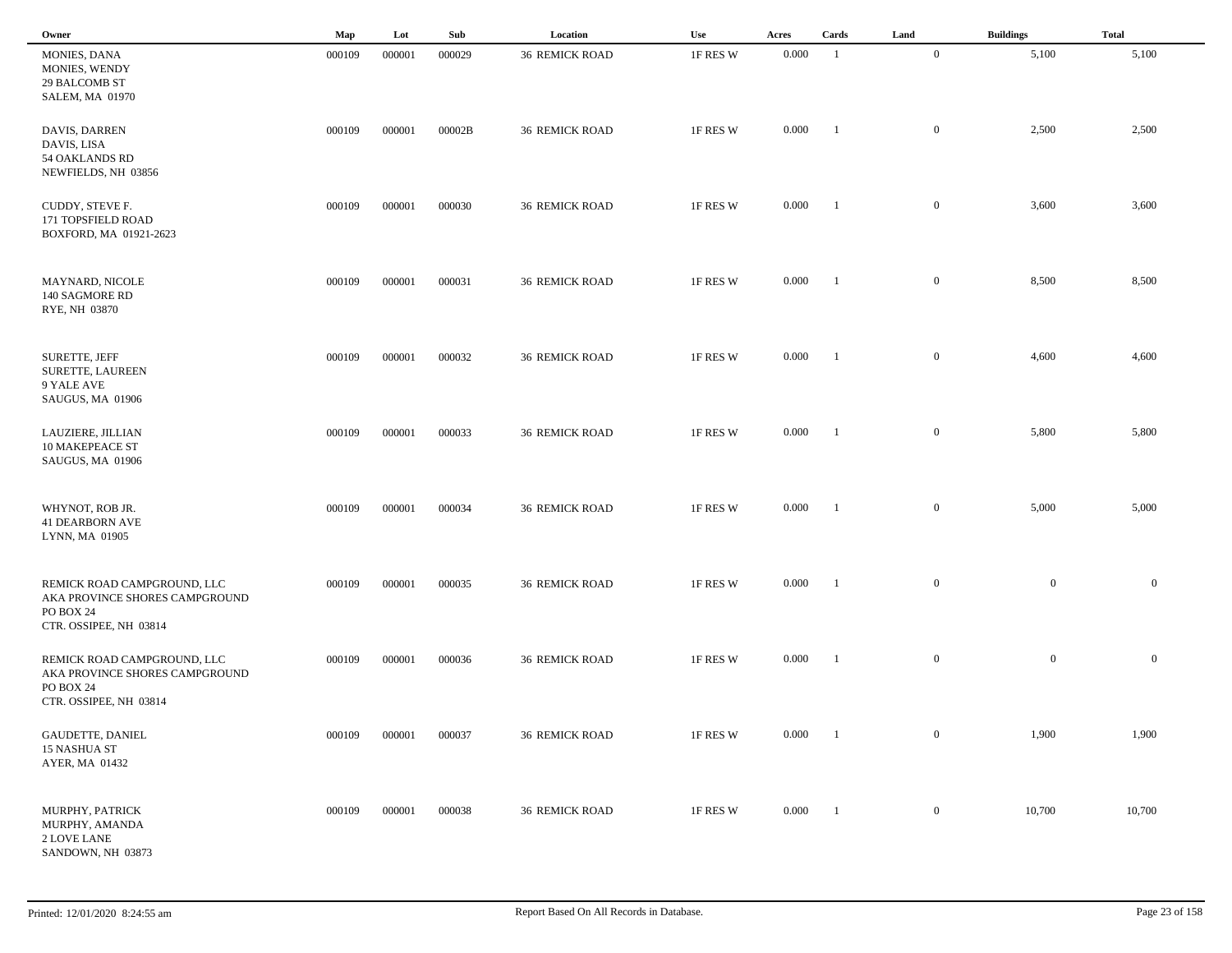| Owner                                                                                                | Map    | Lot    | Sub    | Location              | Use      | Acres | Cards          | Land             | <b>Buildings</b> | <b>Total</b>   |
|------------------------------------------------------------------------------------------------------|--------|--------|--------|-----------------------|----------|-------|----------------|------------------|------------------|----------------|
| MONIES, DANA<br>MONIES, WENDY<br>29 BALCOMB ST<br>SALEM, MA 01970                                    | 000109 | 000001 | 000029 | <b>36 REMICK ROAD</b> | 1F RES W | 0.000 | -1             | $\mathbf{0}$     | 5,100            | 5,100          |
| DAVIS, DARREN<br>DAVIS, LISA<br>54 OAKLANDS RD<br>NEWFIELDS, NH 03856                                | 000109 | 000001 | 00002B | <b>36 REMICK ROAD</b> | 1F RES W | 0.000 | -1             | $\mathbf{0}$     | 2,500            | 2,500          |
| CUDDY, STEVE F.<br>171 TOPSFIELD ROAD<br>BOXFORD, MA 01921-2623                                      | 000109 | 000001 | 000030 | <b>36 REMICK ROAD</b> | 1F RES W | 0.000 | $\blacksquare$ | $\mathbf{0}$     | 3,600            | 3,600          |
| MAYNARD, NICOLE<br>140 SAGMORE RD<br>RYE, NH 03870                                                   | 000109 | 000001 | 000031 | <b>36 REMICK ROAD</b> | 1F RES W | 0.000 | $\blacksquare$ | $\mathbf{0}$     | 8,500            | 8,500          |
| SURETTE, JEFF<br>SURETTE, LAUREEN<br>9 YALE AVE<br>SAUGUS, MA 01906                                  | 000109 | 000001 | 000032 | <b>36 REMICK ROAD</b> | 1F RES W | 0.000 | $\blacksquare$ | $\mathbf{0}$     | 4,600            | 4,600          |
| LAUZIERE, JILLIAN<br><b>10 MAKEPEACE ST</b><br>SAUGUS, MA 01906                                      | 000109 | 000001 | 000033 | <b>36 REMICK ROAD</b> | 1F RES W | 0.000 | $\blacksquare$ | $\mathbf{0}$     | 5,800            | 5,800          |
| WHYNOT, ROB JR.<br><b>41 DEARBORN AVE</b><br>LYNN, MA 01905                                          | 000109 | 000001 | 000034 | <b>36 REMICK ROAD</b> | 1F RES W | 0.000 | -1             | $\mathbf{0}$     | 5,000            | 5,000          |
| REMICK ROAD CAMPGROUND, LLC<br>AKA PROVINCE SHORES CAMPGROUND<br>PO BOX 24<br>CTR. OSSIPEE, NH 03814 | 000109 | 000001 | 000035 | <b>36 REMICK ROAD</b> | 1F RES W | 0.000 | - 1            | $\mathbf{0}$     | $\overline{0}$   | $\mathbf{0}$   |
| REMICK ROAD CAMPGROUND, LLC<br>AKA PROVINCE SHORES CAMPGROUND<br>PO BOX 24<br>CTR. OSSIPEE, NH 03814 | 000109 | 000001 | 000036 | <b>36 REMICK ROAD</b> | 1F RES W | 0.000 | - 1            | $\mathbf{0}$     | $\mathbf{0}$     | $\overline{0}$ |
| <b>GAUDETTE, DANIEL</b><br>15 NASHUA ST<br>AYER, MA 01432                                            | 000109 | 000001 | 000037 | <b>36 REMICK ROAD</b> | 1F RES W | 0.000 | $\blacksquare$ | $\overline{0}$   | 1,900            | 1,900          |
| MURPHY, PATRICK<br>MURPHY, AMANDA<br>2 LOVE LANE<br>SANDOWN, NH 03873                                | 000109 | 000001 | 000038 | <b>36 REMICK ROAD</b> | 1F RES W | 0.000 | $\blacksquare$ | $\boldsymbol{0}$ | 10,700           | 10,700         |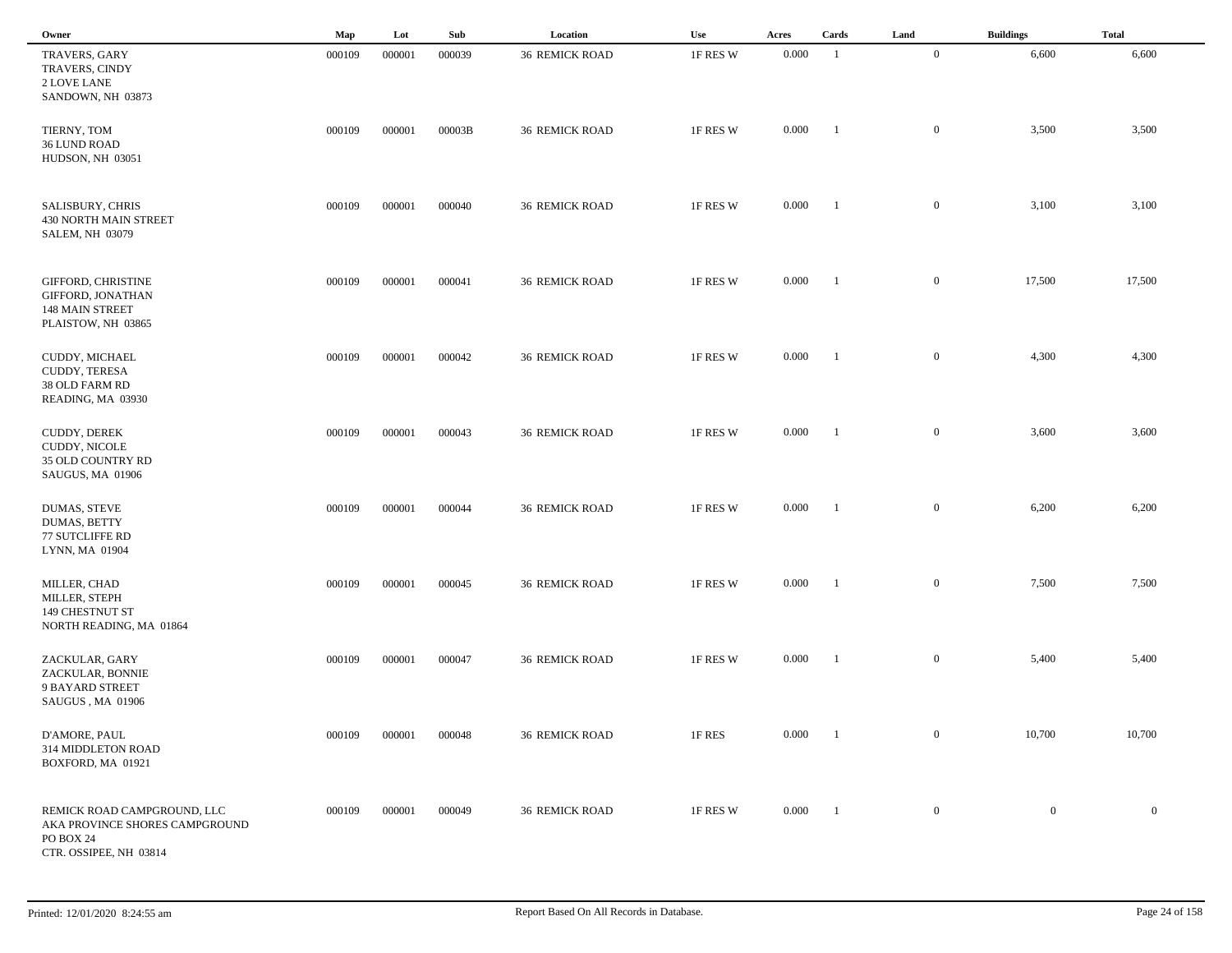| Owner                                                                                                | Map    | Lot    | Sub    | Location              | Use      | Acres | Cards          | Land           | <b>Buildings</b> | <b>Total</b>     |
|------------------------------------------------------------------------------------------------------|--------|--------|--------|-----------------------|----------|-------|----------------|----------------|------------------|------------------|
| TRAVERS, GARY<br>TRAVERS, CINDY<br>2 LOVE LANE<br>SANDOWN, NH 03873                                  | 000109 | 000001 | 000039 | <b>36 REMICK ROAD</b> | 1F RES W | 0.000 | -1             | $\overline{0}$ | 6,600            | 6,600            |
| TIERNY, TOM<br>36 LUND ROAD<br>HUDSON, NH 03051                                                      | 000109 | 000001 | 00003B | <b>36 REMICK ROAD</b> | 1F RES W | 0.000 | - 1            | $\overline{0}$ | 3,500            | 3,500            |
| <b>SALISBURY, CHRIS</b><br><b>430 NORTH MAIN STREET</b><br><b>SALEM, NH 03079</b>                    | 000109 | 000001 | 000040 | <b>36 REMICK ROAD</b> | 1F RES W | 0.000 | -1             | $\overline{0}$ | 3,100            | 3,100            |
| GIFFORD, CHRISTINE<br>GIFFORD, JONATHAN<br><b>148 MAIN STREET</b><br>PLAISTOW, NH 03865              | 000109 | 000001 | 000041 | <b>36 REMICK ROAD</b> | 1F RES W | 0.000 | - 1            | $\mathbf{0}$   | 17,500           | 17,500           |
| CUDDY, MICHAEL<br>CUDDY, TERESA<br>38 OLD FARM RD<br>READING, MA 03930                               | 000109 | 000001 | 000042 | <b>36 REMICK ROAD</b> | 1F RES W | 0.000 | $\blacksquare$ | $\mathbf{0}$   | 4,300            | 4,300            |
| CUDDY, DEREK<br>CUDDY, NICOLE<br>35 OLD COUNTRY RD<br>SAUGUS, MA 01906                               | 000109 | 000001 | 000043 | <b>36 REMICK ROAD</b> | 1F RES W | 0.000 | $\blacksquare$ | $\mathbf{0}$   | 3,600            | 3,600            |
| DUMAS, STEVE<br><b>DUMAS, BETTY</b><br><b>77 SUTCLIFFE RD</b><br>LYNN, MA 01904                      | 000109 | 000001 | 000044 | <b>36 REMICK ROAD</b> | 1F RES W | 0.000 | $\blacksquare$ | $\mathbf{0}$   | 6,200            | 6,200            |
| MILLER, CHAD<br>MILLER, STEPH<br>149 CHESTNUT ST<br>NORTH READING, MA 01864                          | 000109 | 000001 | 000045 | <b>36 REMICK ROAD</b> | 1F RES W | 0.000 | - 1            | $\mathbf{0}$   | 7,500            | 7,500            |
| ZACKULAR, GARY<br>ZACKULAR, BONNIE<br>9 BAYARD STREET<br>SAUGUS, MA 01906                            | 000109 | 000001 | 000047 | <b>36 REMICK ROAD</b> | 1F RES W | 0.000 |                | $\mathbf{0}$   | 5,400            | 5,400            |
| D'AMORE, PAUL<br>314 MIDDLETON ROAD<br>BOXFORD, MA 01921                                             | 000109 | 000001 | 000048 | <b>36 REMICK ROAD</b> | 1F RES   | 0.000 | $\blacksquare$ | $\mathbf{0}$   | 10,700           | 10,700           |
| REMICK ROAD CAMPGROUND, LLC<br>AKA PROVINCE SHORES CAMPGROUND<br>PO BOX 24<br>CTR. OSSIPEE, NH 03814 | 000109 | 000001 | 000049 | <b>36 REMICK ROAD</b> | 1F RES W | 0.000 | $\blacksquare$ | $\overline{0}$ | $\overline{0}$   | $\boldsymbol{0}$ |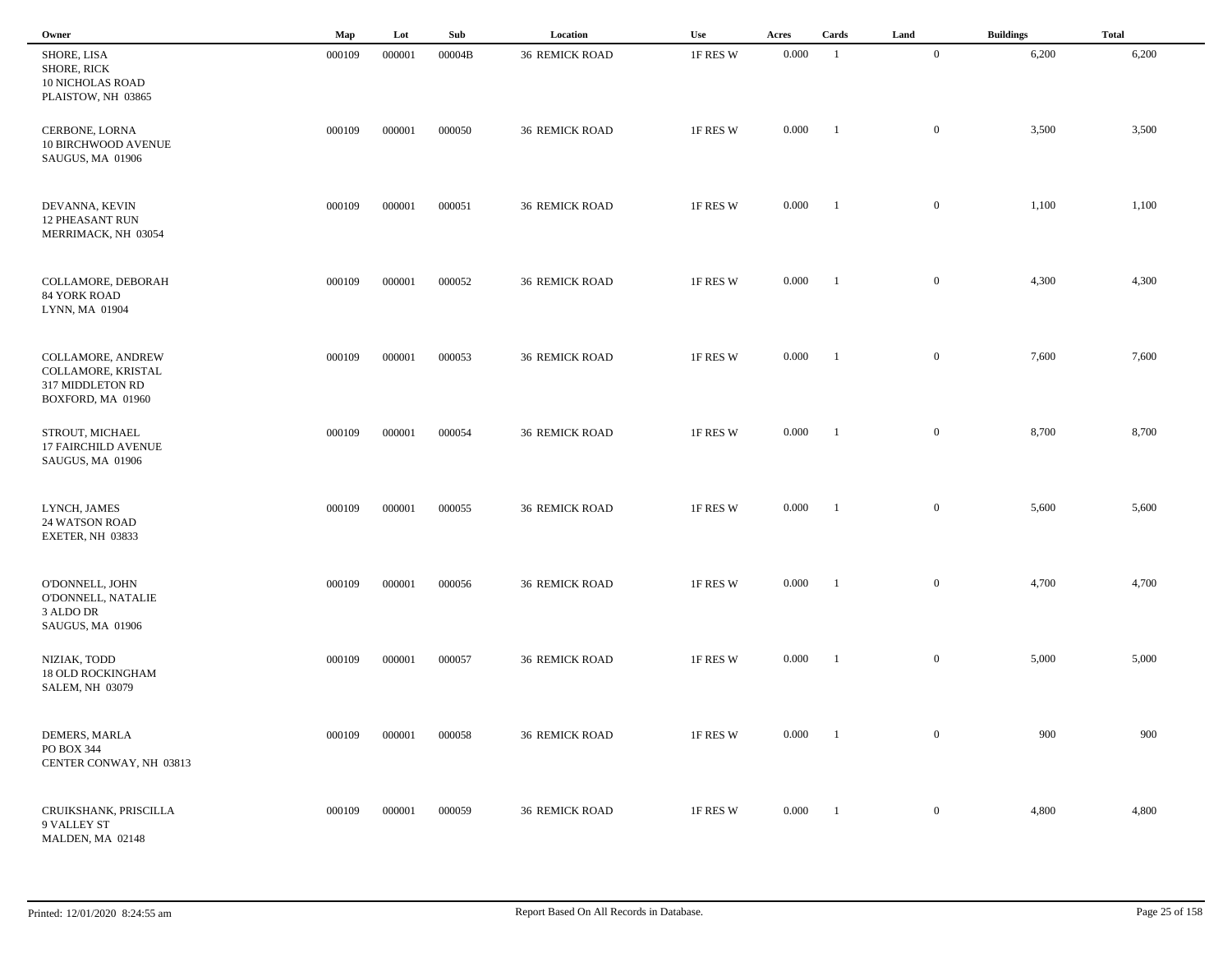| Owner                                                                              | Map    | Lot    | Sub    | Location              | Use      | Acres | Cards          | Land             | <b>Buildings</b> | <b>Total</b> |
|------------------------------------------------------------------------------------|--------|--------|--------|-----------------------|----------|-------|----------------|------------------|------------------|--------------|
| SHORE, LISA<br><b>SHORE, RICK</b><br><b>10 NICHOLAS ROAD</b><br>PLAISTOW, NH 03865 | 000109 | 000001 | 00004B | <b>36 REMICK ROAD</b> | 1F RES W | 0.000 | -1             | $\overline{0}$   | 6,200            | 6,200        |
| CERBONE, LORNA<br><b>10 BIRCHWOOD AVENUE</b><br>SAUGUS, MA 01906                   | 000109 | 000001 | 000050 | <b>36 REMICK ROAD</b> | 1F RES W | 0.000 | -1             | $\mathbf{0}$     | 3,500            | 3,500        |
| DEVANNA, KEVIN<br><b>12 PHEASANT RUN</b><br>MERRIMACK, NH 03054                    | 000109 | 000001 | 000051 | <b>36 REMICK ROAD</b> | 1F RES W | 0.000 | $\blacksquare$ | $\overline{0}$   | 1,100            | 1,100        |
| COLLAMORE, DEBORAH<br><b>84 YORK ROAD</b><br>LYNN, MA 01904                        | 000109 | 000001 | 000052 | <b>36 REMICK ROAD</b> | 1F RES W | 0.000 | $\blacksquare$ | $\overline{0}$   | 4,300            | 4,300        |
| COLLAMORE, ANDREW<br>COLLAMORE, KRISTAL<br>317 MIDDLETON RD<br>BOXFORD, MA 01960   | 000109 | 000001 | 000053 | <b>36 REMICK ROAD</b> | 1F RES W | 0.000 | $\blacksquare$ | $\mathbf{0}$     | 7,600            | 7,600        |
| STROUT, MICHAEL<br>17 FAIRCHILD AVENUE<br>SAUGUS, MA 01906                         | 000109 | 000001 | 000054 | <b>36 REMICK ROAD</b> | 1F RES W | 0.000 | $\blacksquare$ | $\mathbf{0}$     | 8,700            | 8,700        |
| LYNCH, JAMES<br><b>24 WATSON ROAD</b><br>EXETER, NH 03833                          | 000109 | 000001 | 000055 | <b>36 REMICK ROAD</b> | 1F RES W | 0.000 | -1             | $\mathbf{0}$     | 5,600            | 5,600        |
| O'DONNELL, JOHN<br>O'DONNELL, NATALIE<br>3 ALDO DR<br>SAUGUS, MA 01906             | 000109 | 000001 | 000056 | <b>36 REMICK ROAD</b> | 1F RES W | 0.000 | -1             | $\mathbf{0}$     | 4,700            | 4,700        |
| NIZIAK, TODD<br><b>18 OLD ROCKINGHAM</b><br><b>SALEM, NH 03079</b>                 | 000109 | 000001 | 000057 | <b>36 REMICK ROAD</b> | 1F RES W | 0.000 | -1             | $\mathbf{0}$     | 5,000            | 5,000        |
| DEMERS, MARLA<br>PO BOX 344<br>CENTER CONWAY, NH 03813                             | 000109 | 000001 | 000058 | <b>36 REMICK ROAD</b> | 1F RES W | 0.000 | $\blacksquare$ | $\overline{0}$   | 900              | 900          |
| CRUIKSHANK, PRISCILLA<br>9 VALLEY ST<br>MALDEN, MA 02148                           | 000109 | 000001 | 000059 | <b>36 REMICK ROAD</b> | 1F RES W | 0.000 | $\blacksquare$ | $\boldsymbol{0}$ | 4,800            | 4,800        |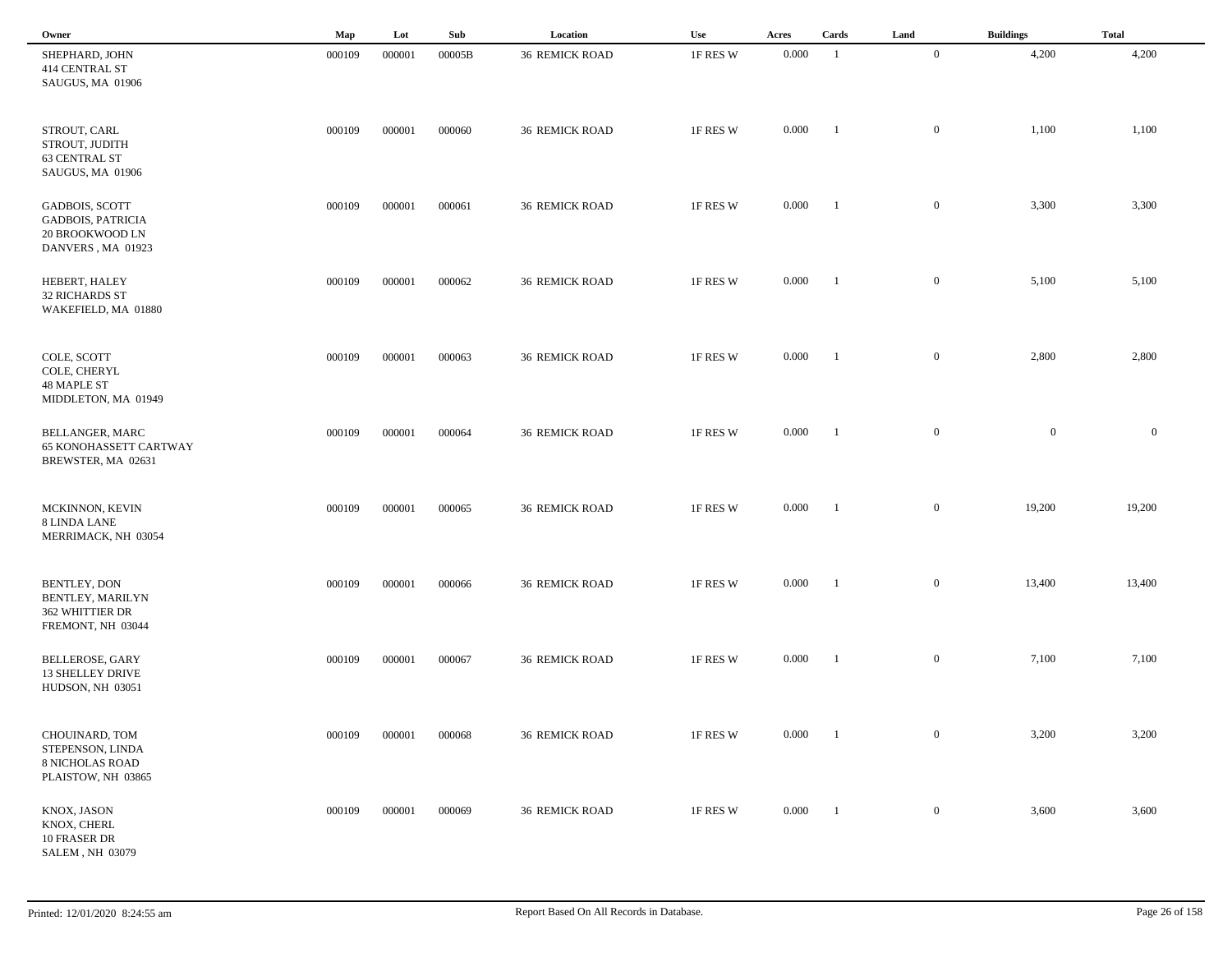| Owner                                                                                     | Map    | Lot    | Sub    | Location              | Use      | Acres | Cards          | Land             | <b>Buildings</b> | <b>Total</b>   |
|-------------------------------------------------------------------------------------------|--------|--------|--------|-----------------------|----------|-------|----------------|------------------|------------------|----------------|
| SHEPHARD, JOHN<br>414 CENTRAL ST<br>SAUGUS, MA 01906                                      | 000109 | 000001 | 00005B | <b>36 REMICK ROAD</b> | 1F RES W | 0.000 | -1             | $\overline{0}$   | 4,200            | 4,200          |
| STROUT, CARL<br>STROUT, JUDITH<br>63 CENTRAL ST<br>SAUGUS, MA 01906                       | 000109 | 000001 | 000060 | <b>36 REMICK ROAD</b> | 1F RES W | 0.000 | - 1            | $\overline{0}$   | 1,100            | 1,100          |
| <b>GADBOIS, SCOTT</b><br><b>GADBOIS, PATRICIA</b><br>20 BROOKWOOD LN<br>DANVERS, MA 01923 | 000109 | 000001 | 000061 | <b>36 REMICK ROAD</b> | 1F RES W | 0.000 | -1             | $\mathbf{0}$     | 3,300            | 3,300          |
| HEBERT, HALEY<br><b>32 RICHARDS ST</b><br>WAKEFIELD, MA 01880                             | 000109 | 000001 | 000062 | <b>36 REMICK ROAD</b> | 1F RES W | 0.000 | $\blacksquare$ | $\mathbf{0}$     | 5,100            | 5,100          |
| COLE, SCOTT<br>COLE, CHERYL<br>48 MAPLE ST<br>MIDDLETON, MA 01949                         | 000109 | 000001 | 000063 | <b>36 REMICK ROAD</b> | 1F RES W | 0.000 | $\blacksquare$ | $\mathbf{0}$     | 2,800            | 2,800          |
| <b>BELLANGER, MARC</b><br><b>65 KONOHASSETT CARTWAY</b><br>BREWSTER, MA 02631             | 000109 | 000001 | 000064 | <b>36 REMICK ROAD</b> | 1F RES W | 0.000 | $\blacksquare$ | $\mathbf{0}$     | $\mathbf{0}$     | $\overline{0}$ |
| MCKINNON, KEVIN<br>8 LINDA LANE<br>MERRIMACK, NH 03054                                    | 000109 | 000001 | 000065 | <b>36 REMICK ROAD</b> | 1F RES W | 0.000 | $\blacksquare$ | $\mathbf{0}$     | 19,200           | 19,200         |
| BENTLEY, DON<br>BENTLEY, MARILYN<br>362 WHITTIER DR<br>FREMONT, NH 03044                  | 000109 | 000001 | 000066 | <b>36 REMICK ROAD</b> | 1F RES W | 0.000 | - 1            | $\mathbf{0}$     | 13,400           | 13,400         |
| BELLEROSE, GARY<br><b>13 SHELLEY DRIVE</b><br>HUDSON, NH 03051                            | 000109 | 000001 | 000067 | <b>36 REMICK ROAD</b> | 1F RES W | 0.000 | - 1            | $\mathbf{0}$     | 7,100            | 7,100          |
| CHOUINARD, TOM<br>STEPENSON, LINDA<br><b>8 NICHOLAS ROAD</b><br>PLAISTOW, NH 03865        | 000109 | 000001 | 000068 | <b>36 REMICK ROAD</b> | 1F RES W | 0.000 | $\blacksquare$ | $\boldsymbol{0}$ | 3,200            | 3,200          |
| KNOX, JASON<br>KNOX, CHERL<br>10 FRASER DR<br>SALEM, NH 03079                             | 000109 | 000001 | 000069 | <b>36 REMICK ROAD</b> | 1F RES W | 0.000 | $\blacksquare$ | $\boldsymbol{0}$ | 3,600            | 3,600          |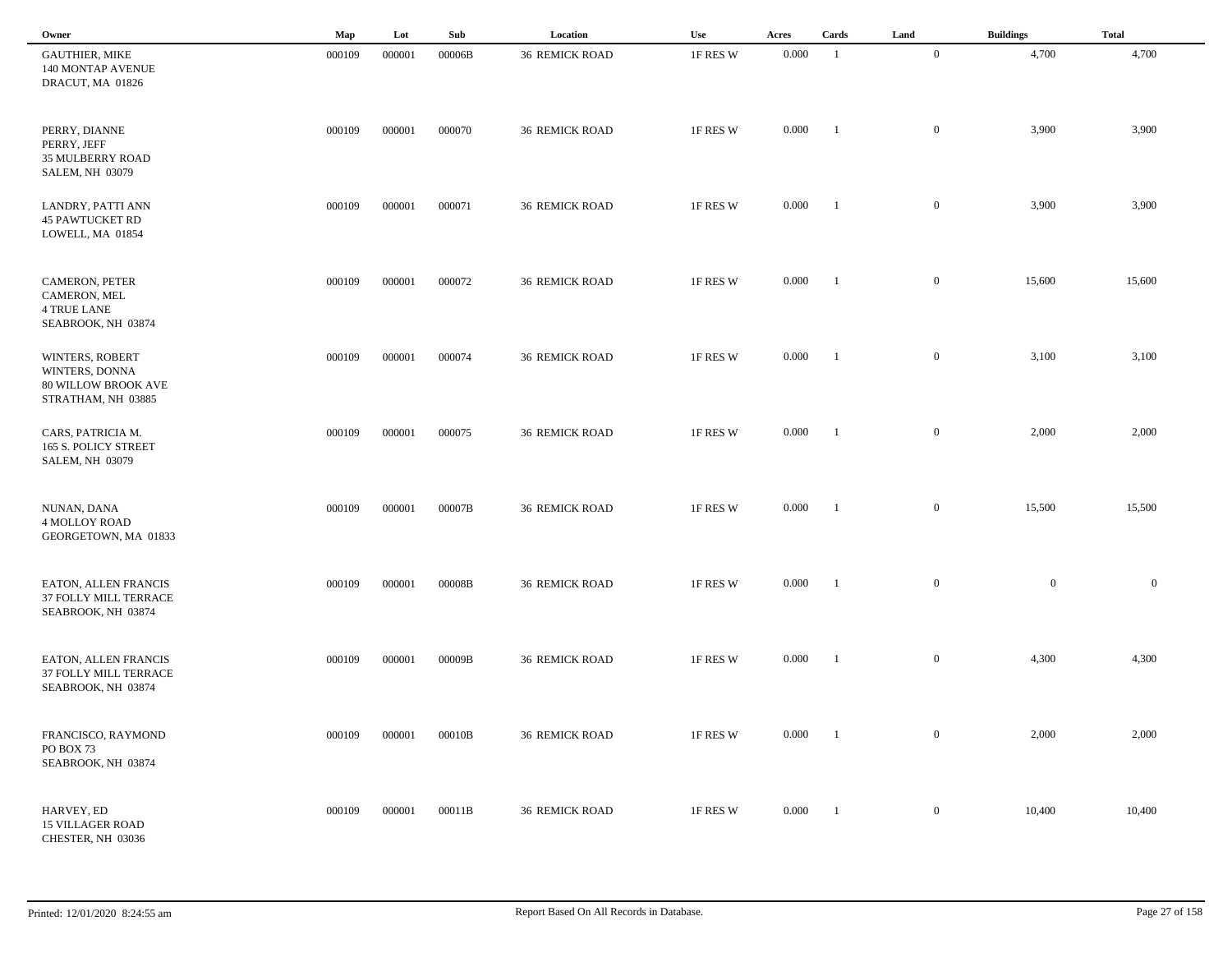| Owner                                                                                 | Map    | Lot    | Sub    | Location              | Use      | Acres     | Cards          | Land             | <b>Buildings</b> | <b>Total</b> |
|---------------------------------------------------------------------------------------|--------|--------|--------|-----------------------|----------|-----------|----------------|------------------|------------------|--------------|
| <b>GAUTHIER, MIKE</b><br>140 MONTAP AVENUE<br>DRACUT, MA 01826                        | 000109 | 000001 | 00006B | <b>36 REMICK ROAD</b> | 1F RES W | 0.000     | -1             | $\overline{0}$   | 4,700            | 4,700        |
| PERRY, DIANNE<br>PERRY, JEFF<br><b>35 MULBERRY ROAD</b><br><b>SALEM, NH 03079</b>     | 000109 | 000001 | 000070 | <b>36 REMICK ROAD</b> | 1F RES W | 0.000     | -1             | $\mathbf{0}$     | 3,900            | 3,900        |
| LANDRY, PATTI ANN<br><b>45 PAWTUCKET RD</b><br>LOWELL, MA 01854                       | 000109 | 000001 | 000071 | <b>36 REMICK ROAD</b> | 1F RES W | 0.000     | $\blacksquare$ | $\overline{0}$   | 3,900            | 3,900        |
| CAMERON, PETER<br>CAMERON, MEL<br><b>4 TRUE LANE</b><br>SEABROOK, NH 03874            | 000109 | 000001 | 000072 | <b>36 REMICK ROAD</b> | 1F RES W | 0.000     | $\blacksquare$ | $\mathbf{0}$     | 15,600           | 15,600       |
| WINTERS, ROBERT<br>WINTERS, DONNA<br><b>80 WILLOW BROOK AVE</b><br>STRATHAM, NH 03885 | 000109 | 000001 | 000074 | <b>36 REMICK ROAD</b> | 1F RES W | 0.000     | $\blacksquare$ | $\mathbf{0}$     | 3,100            | 3,100        |
| CARS, PATRICIA M.<br>165 S. POLICY STREET<br><b>SALEM, NH 03079</b>                   | 000109 | 000001 | 000075 | <b>36 REMICK ROAD</b> | 1F RES W | 0.000     | $\blacksquare$ | $\mathbf{0}$     | 2,000            | 2,000        |
| NUNAN, DANA<br><b>4 MOLLOY ROAD</b><br>GEORGETOWN, MA 01833                           | 000109 | 000001 | 00007B | <b>36 REMICK ROAD</b> | 1F RES W | 0.000     | - 1            | $\mathbf{0}$     | 15,500           | 15,500       |
| EATON, ALLEN FRANCIS<br>37 FOLLY MILL TERRACE<br>SEABROOK, NH 03874                   | 000109 | 000001 | 00008B | <b>36 REMICK ROAD</b> | 1F RES W | 0.000     | - 1            | $\mathbf{0}$     | $\overline{0}$   | $\mathbf{0}$ |
| EATON, ALLEN FRANCIS<br>37 FOLLY MILL TERRACE<br>SEABROOK, NH 03874                   | 000109 | 000001 | 00009B | <b>36 REMICK ROAD</b> | 1F RES W | 0.000     | -1             | $\mathbf{0}$     | 4,300            | 4,300        |
| FRANCISCO, RAYMOND<br>PO BOX 73<br>SEABROOK, NH 03874                                 | 000109 | 000001 | 00010B | <b>36 REMICK ROAD</b> | 1F RES W | $0.000\,$ | $\blacksquare$ | $\overline{0}$   | 2,000            | 2,000        |
| HARVEY, ED<br><b>15 VILLAGER ROAD</b><br>CHESTER, NH 03036                            | 000109 | 000001 | 00011B | <b>36 REMICK ROAD</b> | 1F RES W | 0.000     | $\blacksquare$ | $\boldsymbol{0}$ | 10,400           | 10,400       |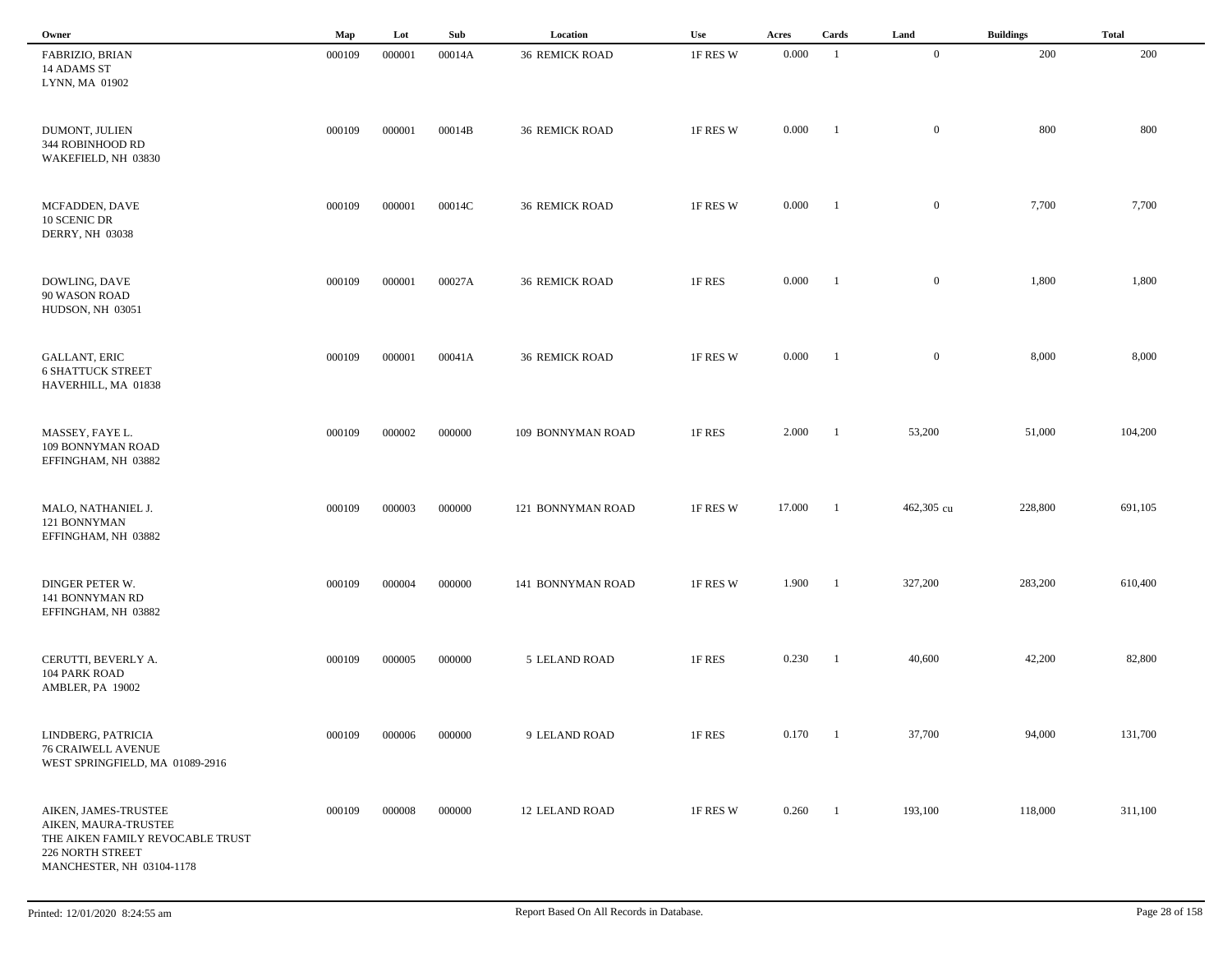| Owner                                                                                                                             | Map    | Lot    | Sub    | Location              | Use      | Acres  | Cards          | Land           | <b>Buildings</b> | <b>Total</b> |
|-----------------------------------------------------------------------------------------------------------------------------------|--------|--------|--------|-----------------------|----------|--------|----------------|----------------|------------------|--------------|
| FABRIZIO, BRIAN<br>14 ADAMS ST<br>LYNN, MA 01902                                                                                  | 000109 | 000001 | 00014A | <b>36 REMICK ROAD</b> | 1F RES W | 0.000  | -1             | $\overline{0}$ | 200              | 200          |
| DUMONT, JULIEN<br>344 ROBINHOOD RD<br>WAKEFIELD, NH 03830                                                                         | 000109 | 000001 | 00014B | <b>36 REMICK ROAD</b> | 1F RES W | 0.000  | - 1            | $\overline{0}$ | 800              | 800          |
| MCFADDEN, DAVE<br>10 SCENIC DR<br><b>DERRY, NH 03038</b>                                                                          | 000109 | 000001 | 00014C | <b>36 REMICK ROAD</b> | 1F RES W | 0.000  | - 1            | $\mathbf{0}$   | 7,700            | 7,700        |
| DOWLING, DAVE<br>90 WASON ROAD<br>HUDSON, NH 03051                                                                                | 000109 | 000001 | 00027A | <b>36 REMICK ROAD</b> | 1F RES   | 0.000  | -1             | $\mathbf{0}$   | 1,800            | 1,800        |
| <b>GALLANT, ERIC</b><br><b>6 SHATTUCK STREET</b><br>HAVERHILL, MA 01838                                                           | 000109 | 000001 | 00041A | <b>36 REMICK ROAD</b> | 1F RES W | 0.000  | $\blacksquare$ | $\mathbf{0}$   | 8,000            | 8,000        |
| MASSEY, FAYE L.<br>109 BONNYMAN ROAD<br>EFFINGHAM, NH 03882                                                                       | 000109 | 000002 | 000000 | 109 BONNYMAN ROAD     | 1F RES   | 2.000  | $\blacksquare$ | 53,200         | 51,000           | 104,200      |
| MALO, NATHANIEL J.<br>121 BONNYMAN<br>EFFINGHAM, NH 03882                                                                         | 000109 | 000003 | 000000 | 121 BONNYMAN ROAD     | 1F RES W | 17.000 | -1             | 462,305 cu     | 228,800          | 691,105      |
| DINGER PETER W.<br>141 BONNYMAN RD<br>EFFINGHAM, NH 03882                                                                         | 000109 | 000004 | 000000 | 141 BONNYMAN ROAD     | 1F RES W | 1.900  | - 1            | 327,200        | 283,200          | 610,400      |
| CERUTTI, BEVERLY A.<br>104 PARK ROAD<br>AMBLER, PA 19002                                                                          | 000109 | 000005 | 000000 | 5 LELAND ROAD         | 1F RES   | 0.230  | -1             | 40,600         | 42,200           | 82,800       |
| LINDBERG, PATRICIA<br><b>76 CRAIWELL AVENUE</b><br>WEST SPRINGFIELD, MA 01089-2916                                                | 000109 | 000006 | 000000 | 9 LELAND ROAD         | 1F RES   | 0.170  | $\blacksquare$ | 37,700         | 94,000           | 131,700      |
| AIKEN, JAMES-TRUSTEE<br>AIKEN, MAURA-TRUSTEE<br>THE AIKEN FAMILY REVOCABLE TRUST<br>226 NORTH STREET<br>MANCHESTER, NH 03104-1178 | 000109 | 000008 | 000000 | <b>12 LELAND ROAD</b> | 1F RES W | 0.260  | $\overline{1}$ | 193,100        | 118,000          | 311,100      |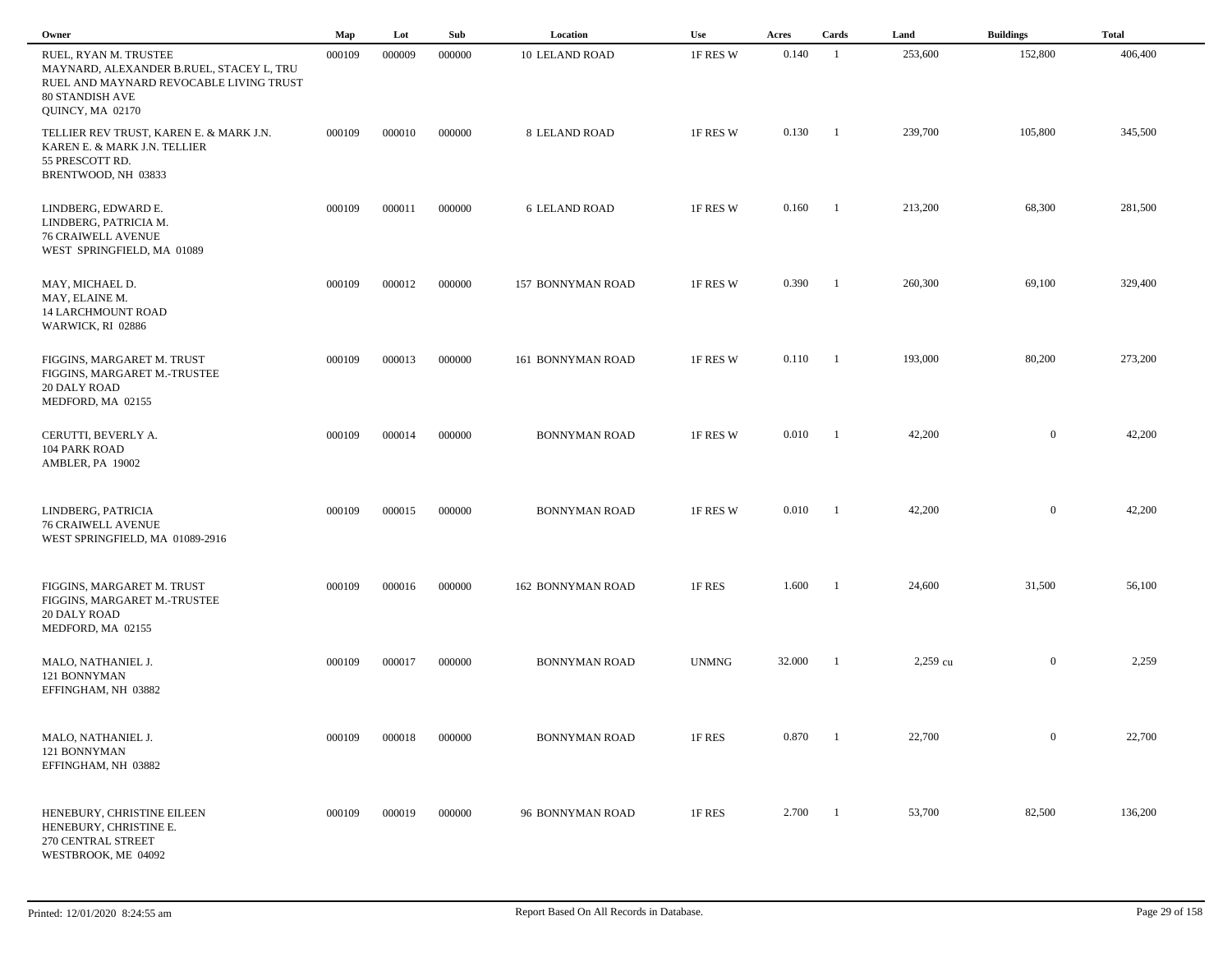| Owner                                                                                                                                                      | Map    | Lot    | Sub    | Location                 | Use          | Acres  | Cards          | Land     | <b>Buildings</b> | <b>Total</b> |  |
|------------------------------------------------------------------------------------------------------------------------------------------------------------|--------|--------|--------|--------------------------|--------------|--------|----------------|----------|------------------|--------------|--|
| RUEL, RYAN M. TRUSTEE<br>MAYNARD, ALEXANDER B.RUEL, STACEY L, TRU<br>RUEL AND MAYNARD REVOCABLE LIVING TRUST<br><b>80 STANDISH AVE</b><br>QUINCY, MA 02170 | 000109 | 000009 | 000000 | <b>10 LELAND ROAD</b>    | 1F RES W     | 0.140  | $\overline{1}$ | 253,600  | 152,800          | 406,400      |  |
| TELLIER REV TRUST, KAREN E. & MARK J.N.<br>KAREN E. & MARK J.N. TELLIER<br>55 PRESCOTT RD.<br>BRENTWOOD, NH 03833                                          | 000109 | 000010 | 000000 | 8 LELAND ROAD            | 1F RES W     | 0.130  | $\blacksquare$ | 239,700  | 105,800          | 345,500      |  |
| LINDBERG, EDWARD E.<br>LINDBERG, PATRICIA M.<br><b>76 CRAIWELL AVENUE</b><br>WEST SPRINGFIELD, MA 01089                                                    | 000109 | 000011 | 000000 | <b>6 LELAND ROAD</b>     | 1F RES W     | 0.160  | $\blacksquare$ | 213,200  | 68,300           | 281,500      |  |
| MAY, MICHAEL D.<br>MAY, ELAINE M.<br><b>14 LARCHMOUNT ROAD</b><br>WARWICK, RI 02886                                                                        | 000109 | 000012 | 000000 | <b>157 BONNYMAN ROAD</b> | 1F RES W     | 0.390  | $\blacksquare$ | 260,300  | 69,100           | 329,400      |  |
| FIGGINS, MARGARET M. TRUST<br>FIGGINS, MARGARET M.-TRUSTEE<br>20 DALY ROAD<br>MEDFORD, MA 02155                                                            | 000109 | 000013 | 000000 | 161 BONNYMAN ROAD        | 1F RES W     | 0.110  | $\blacksquare$ | 193,000  | 80,200           | 273,200      |  |
| CERUTTI, BEVERLY A.<br><b>104 PARK ROAD</b><br>AMBLER, PA 19002                                                                                            | 000109 | 000014 | 000000 | <b>BONNYMAN ROAD</b>     | 1F RES W     | 0.010  | -1             | 42,200   | $\overline{0}$   | 42,200       |  |
| LINDBERG, PATRICIA<br><b>76 CRAIWELL AVENUE</b><br>WEST SPRINGFIELD, MA 01089-2916                                                                         | 000109 | 000015 | 000000 | <b>BONNYMAN ROAD</b>     | 1F RES W     | 0.010  | -1             | 42,200   | $\boldsymbol{0}$ | 42,200       |  |
| FIGGINS, MARGARET M. TRUST<br>FIGGINS, MARGARET M.-TRUSTEE<br>20 DALY ROAD<br>MEDFORD, MA 02155                                                            | 000109 | 000016 | 000000 | <b>162 BONNYMAN ROAD</b> | 1F RES       | 1.600  | - 1            | 24,600   | 31,500           | 56,100       |  |
| MALO, NATHANIEL J.<br>121 BONNYMAN<br>EFFINGHAM, NH 03882                                                                                                  | 000109 | 000017 | 000000 | <b>BONNYMAN ROAD</b>     | <b>UNMNG</b> | 32.000 | - 1            | 2,259 cu | $\boldsymbol{0}$ | 2,259        |  |
| MALO, NATHANIEL J.<br>121 BONNYMAN<br>EFFINGHAM, NH 03882                                                                                                  | 000109 | 000018 | 000000 | <b>BONNYMAN ROAD</b>     | 1F RES       | 0.870  | $\blacksquare$ | 22,700   | $\overline{0}$   | 22,700       |  |
| HENEBURY, CHRISTINE EILEEN<br>HENEBURY, CHRISTINE E.<br>270 CENTRAL STREET<br>WESTBROOK, ME 04092                                                          | 000109 | 000019 | 000000 | 96 BONNYMAN ROAD         | 1F RES       | 2.700  | $\blacksquare$ | 53,700   | 82,500           | 136,200      |  |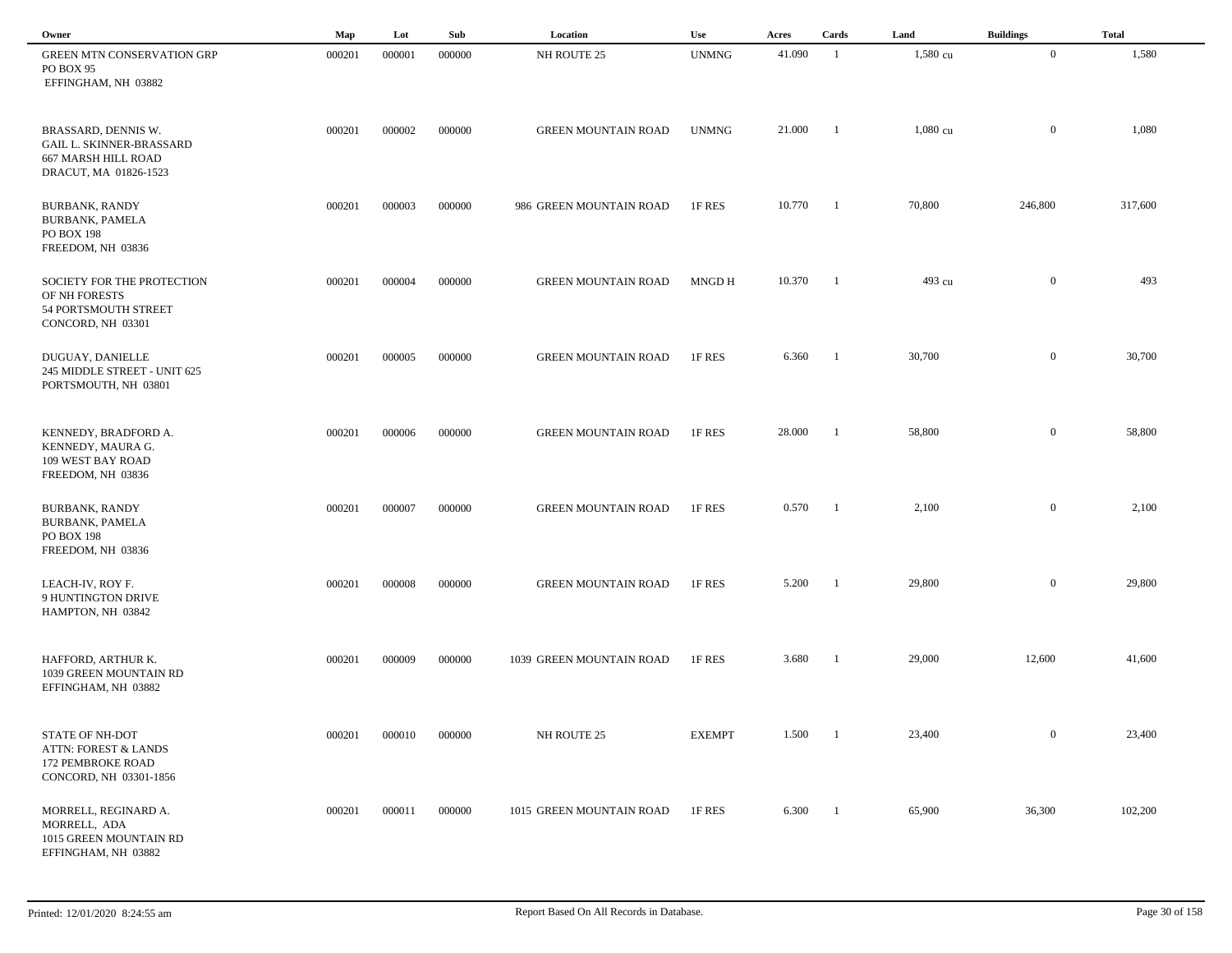| Owner                                                                                                  | Map    | Lot    | Sub    | Location                   | Use           | Acres  | Cards                    | Land               | <b>Buildings</b> | <b>Total</b> |  |
|--------------------------------------------------------------------------------------------------------|--------|--------|--------|----------------------------|---------------|--------|--------------------------|--------------------|------------------|--------------|--|
| GREEN MTN CONSERVATION GRP<br>PO BOX 95<br>EFFINGHAM, NH 03882                                         | 000201 | 000001 | 000000 | NH ROUTE 25                | <b>UNMNG</b>  | 41.090 | -1                       | 1,580 cu           | $\overline{0}$   | 1,580        |  |
| BRASSARD, DENNIS W.<br><b>GAIL L. SKINNER-BRASSARD</b><br>667 MARSH HILL ROAD<br>DRACUT, MA 01826-1523 | 000201 | 000002 | 000000 | <b>GREEN MOUNTAIN ROAD</b> | <b>UNMNG</b>  | 21.000 | - 1                      | $1,080 \text{ cu}$ | $\overline{0}$   | 1,080        |  |
| <b>BURBANK, RANDY</b><br><b>BURBANK, PAMELA</b><br><b>PO BOX 198</b><br>FREEDOM, NH 03836              | 000201 | 000003 | 000000 | 986 GREEN MOUNTAIN ROAD    | 1F RES        | 10.770 | $\blacksquare$           | 70,800             | 246,800          | 317,600      |  |
| SOCIETY FOR THE PROTECTION<br>OF NH FORESTS<br>54 PORTSMOUTH STREET<br>CONCORD, NH 03301               | 000201 | 000004 | 000000 | <b>GREEN MOUNTAIN ROAD</b> | MNGD H        | 10.370 | $\blacksquare$           | 493 cu             | $\overline{0}$   | 493          |  |
| DUGUAY, DANIELLE<br>245 MIDDLE STREET - UNIT 625<br>PORTSMOUTH, NH 03801                               | 000201 | 000005 | 000000 | <b>GREEN MOUNTAIN ROAD</b> | 1F RES        | 6.360  | $\overline{\phantom{a}}$ | 30,700             | $\overline{0}$   | 30,700       |  |
| KENNEDY, BRADFORD A.<br>KENNEDY, MAURA G.<br>109 WEST BAY ROAD<br>FREEDOM, NH 03836                    | 000201 | 000006 | 000000 | <b>GREEN MOUNTAIN ROAD</b> | 1F RES        | 28.000 | -1                       | 58,800             | $\overline{0}$   | 58,800       |  |
| <b>BURBANK, RANDY</b><br><b>BURBANK, PAMELA</b><br>PO BOX 198<br>FREEDOM, NH 03836                     | 000201 | 000007 | 000000 | <b>GREEN MOUNTAIN ROAD</b> | 1F RES        | 0.570  | $^{-1}$                  | 2,100              | $\overline{0}$   | 2,100        |  |
| LEACH-IV, ROY F.<br>9 HUNTINGTON DRIVE<br>HAMPTON, NH 03842                                            | 000201 | 000008 | 000000 | <b>GREEN MOUNTAIN ROAD</b> | 1F RES        | 5.200  | - 1                      | 29,800             | $\overline{0}$   | 29,800       |  |
| HAFFORD, ARTHUR K.<br>1039 GREEN MOUNTAIN RD<br>EFFINGHAM, NH 03882                                    | 000201 | 000009 | 000000 | 1039 GREEN MOUNTAIN ROAD   | 1F RES        | 3.680  | -1                       | 29,000             | 12,600           | 41,600       |  |
| STATE OF NH-DOT<br><b>ATTN: FOREST &amp; LANDS</b><br>172 PEMBROKE ROAD<br>CONCORD, NH 03301-1856      | 000201 | 000010 | 000000 | NH ROUTE 25                | <b>EXEMPT</b> | 1.500  | $\overline{\phantom{a}}$ | 23,400             | $\mathbf{0}$     | 23,400       |  |
| MORRELL, REGINARD A.<br>MORRELL, ADA<br>1015 GREEN MOUNTAIN RD<br>EFFINGHAM, NH 03882                  | 000201 | 000011 | 000000 | 1015 GREEN MOUNTAIN ROAD   | 1F RES        | 6.300  | $\mathbf{1}$             | 65,900             | 36,300           | 102,200      |  |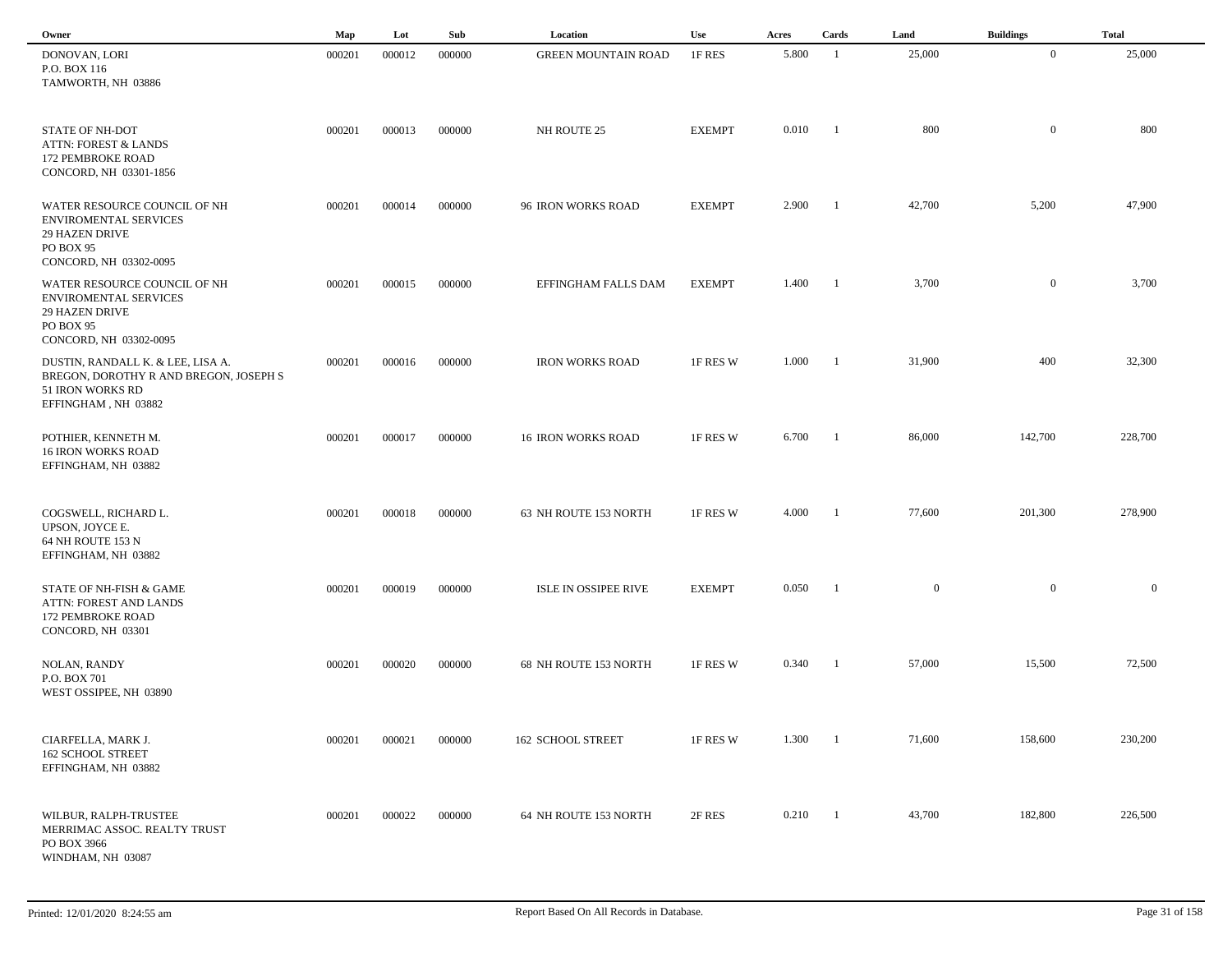| Owner                                                                                                                        | Map    | Lot    | Sub    | Location                   | Use           | Acres | Cards                    | Land         | <b>Buildings</b> | <b>Total</b> |
|------------------------------------------------------------------------------------------------------------------------------|--------|--------|--------|----------------------------|---------------|-------|--------------------------|--------------|------------------|--------------|
| DONOVAN, LORI<br>P.O. BOX 116<br>TAMWORTH, NH 03886                                                                          | 000201 | 000012 | 000000 | <b>GREEN MOUNTAIN ROAD</b> | 1F RES        | 5.800 | $\overline{1}$           | 25,000       | $\overline{0}$   | 25,000       |
| <b>STATE OF NH-DOT</b><br><b>ATTN: FOREST &amp; LANDS</b><br>172 PEMBROKE ROAD<br>CONCORD, NH 03301-1856                     | 000201 | 000013 | 000000 | NH ROUTE 25                | <b>EXEMPT</b> | 0.010 | $\mathbf{1}$             | 800          | $\mathbf{0}$     | 800          |
| WATER RESOURCE COUNCIL OF NH<br>ENVIROMENTAL SERVICES<br>29 HAZEN DRIVE<br>PO BOX 95<br>CONCORD, NH 03302-0095               | 000201 | 000014 | 000000 | 96 IRON WORKS ROAD         | <b>EXEMPT</b> | 2.900 | $\overline{\phantom{0}}$ | 42,700       | 5,200            | 47,900       |
| WATER RESOURCE COUNCIL OF NH<br><b>ENVIROMENTAL SERVICES</b><br><b>29 HAZEN DRIVE</b><br>PO BOX 95<br>CONCORD, NH 03302-0095 | 000201 | 000015 | 000000 | EFFINGHAM FALLS DAM        | <b>EXEMPT</b> | 1.400 | $\blacksquare$           | 3,700        | $\overline{0}$   | 3,700        |
| DUSTIN, RANDALL K. & LEE, LISA A.<br>BREGON, DOROTHY R AND BREGON, JOSEPH S<br>51 IRON WORKS RD<br>EFFINGHAM, NH 03882       | 000201 | 000016 | 000000 | <b>IRON WORKS ROAD</b>     | 1F RES W      | 1.000 | $\blacksquare$           | 31,900       | 400              | 32,300       |
| POTHIER, KENNETH M.<br><b>16 IRON WORKS ROAD</b><br>EFFINGHAM, NH 03882                                                      | 000201 | 000017 | 000000 | <b>16 IRON WORKS ROAD</b>  | 1F RES W      | 6.700 | $\blacksquare$           | 86,000       | 142,700          | 228,700      |
| COGSWELL, RICHARD L.<br>UPSON, JOYCE E.<br>64 NH ROUTE 153 N<br>EFFINGHAM, NH 03882                                          | 000201 | 000018 | 000000 | 63 NH ROUTE 153 NORTH      | 1F RES W      | 4.000 | $\overline{1}$           | 77,600       | 201,300          | 278,900      |
| STATE OF NH-FISH & GAME<br>ATTN: FOREST AND LANDS<br>172 PEMBROKE ROAD<br>CONCORD, NH 03301                                  | 000201 | 000019 | 000000 | ISLE IN OSSIPEE RIVE       | <b>EXEMPT</b> | 0.050 | $\mathbf{1}$             | $\mathbf{0}$ | $\mathbf{0}$     | $\mathbf{0}$ |
| <b>NOLAN, RANDY</b><br>P.O. BOX 701<br>WEST OSSIPEE, NH 03890                                                                | 000201 | 000020 | 000000 | 68 NH ROUTE 153 NORTH      | 1F RES W      | 0.340 | $\blacksquare$           | 57,000       | 15,500           | 72,500       |
| CIARFELLA, MARK J.<br><b>162 SCHOOL STREET</b><br>EFFINGHAM, NH 03882                                                        | 000201 | 000021 | 000000 | 162 SCHOOL STREET          | 1F RES W      | 1.300 | $\blacksquare$           | 71,600       | 158,600          | 230,200      |
| WILBUR, RALPH-TRUSTEE<br>MERRIMAC ASSOC. REALTY TRUST<br>PO BOX 3966<br>WINDHAM, NH 03087                                    | 000201 | 000022 | 000000 | 64 NH ROUTE 153 NORTH      | 2F RES        | 0.210 | $\overline{\phantom{0}}$ | 43,700       | 182,800          | 226,500      |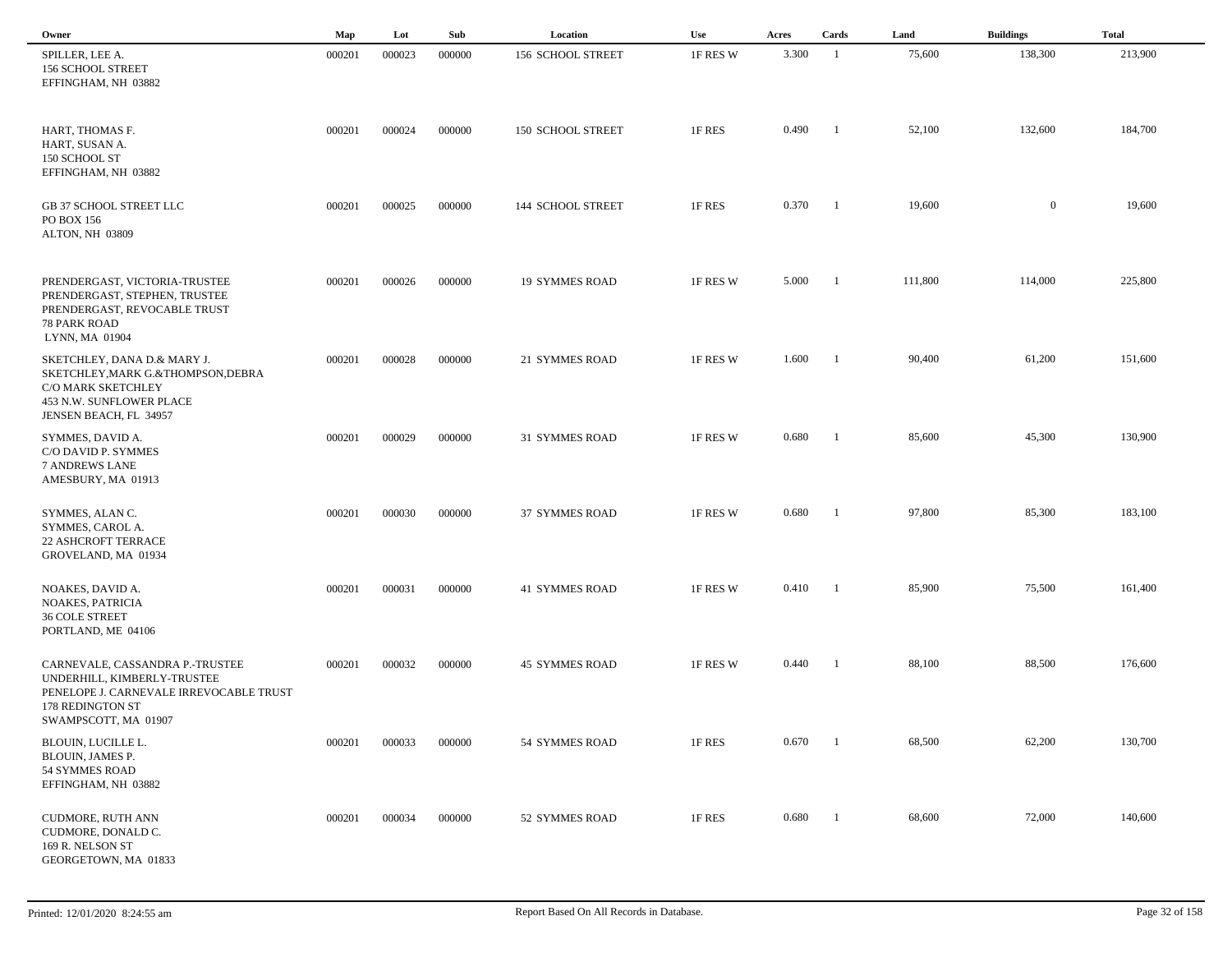| Owner                                                                                                                                                 | Map    | Lot    | Sub    | Location              | <b>Use</b> | Acres | Cards                    | Land    | <b>Buildings</b> | <b>Total</b> |
|-------------------------------------------------------------------------------------------------------------------------------------------------------|--------|--------|--------|-----------------------|------------|-------|--------------------------|---------|------------------|--------------|
| SPILLER, LEE A.<br>156 SCHOOL STREET<br>EFFINGHAM, NH 03882                                                                                           | 000201 | 000023 | 000000 | 156 SCHOOL STREET     | 1F RES W   | 3.300 | - 1                      | 75,600  | 138,300          | 213,900      |
| HART, THOMAS F.<br>HART, SUSAN A.<br>150 SCHOOL ST<br>EFFINGHAM, NH 03882                                                                             | 000201 | 000024 | 000000 | 150 SCHOOL STREET     | 1F RES     | 0.490 | -1                       | 52,100  | 132,600          | 184,700      |
| GB 37 SCHOOL STREET LLC<br>PO BOX 156<br>ALTON, NH 03809                                                                                              | 000201 | 000025 | 000000 | 144 SCHOOL STREET     | 1F RES     | 0.370 | $\blacksquare$           | 19,600  | $\overline{0}$   | 19,600       |
| PRENDERGAST, VICTORIA-TRUSTEE<br>PRENDERGAST, STEPHEN, TRUSTEE<br>PRENDERGAST, REVOCABLE TRUST<br>78 PARK ROAD<br>LYNN, MA 01904                      | 000201 | 000026 | 000000 | <b>19 SYMMES ROAD</b> | 1F RES W   | 5.000 | $\overline{1}$           | 111,800 | 114,000          | 225,800      |
| SKETCHLEY, DANA D.& MARY J.<br>SKETCHLEY, MARK G.&THOMPSON, DEBRA<br>C/O MARK SKETCHLEY<br>453 N.W. SUNFLOWER PLACE<br>JENSEN BEACH, FL 34957         | 000201 | 000028 | 000000 | 21 SYMMES ROAD        | 1F RES W   | 1.600 | $\blacksquare$           | 90,400  | 61,200           | 151,600      |
| SYMMES, DAVID A.<br>C/O DAVID P. SYMMES<br><b>7 ANDREWS LANE</b><br>AMESBURY, MA 01913                                                                | 000201 | 000029 | 000000 | 31 SYMMES ROAD        | 1F RES W   | 0.680 | -1                       | 85,600  | 45,300           | 130,900      |
| SYMMES, ALAN C.<br>SYMMES, CAROL A.<br><b>22 ASHCROFT TERRACE</b><br>GROVELAND, MA 01934                                                              | 000201 | 000030 | 000000 | 37 SYMMES ROAD        | 1F RES W   | 0.680 | - 1                      | 97,800  | 85,300           | 183,100      |
| NOAKES, DAVID A.<br><b>NOAKES, PATRICIA</b><br><b>36 COLE STREET</b><br>PORTLAND, ME 04106                                                            | 000201 | 000031 | 000000 | <b>41 SYMMES ROAD</b> | 1F RES W   | 0.410 | - 1                      | 85,900  | 75,500           | 161,400      |
| CARNEVALE, CASSANDRA P.-TRUSTEE<br>UNDERHILL, KIMBERLY-TRUSTEE<br>PENELOPE J. CARNEVALE IRREVOCABLE TRUST<br>178 REDINGTON ST<br>SWAMPSCOTT, MA 01907 | 000201 | 000032 | 000000 | <b>45 SYMMES ROAD</b> | 1F RES W   | 0.440 | $\overline{\phantom{0}}$ | 88,100  | 88,500           | 176,600      |
| BLOUIN, LUCILLE L.<br>BLOUIN, JAMES P.<br>54 SYMMES ROAD<br>EFFINGHAM, NH 03882                                                                       | 000201 | 000033 | 000000 | 54 SYMMES ROAD        | 1F RES     | 0.670 | $\mathbf{1}$             | 68,500  | 62,200           | 130,700      |
| CUDMORE, RUTH ANN<br>CUDMORE, DONALD C.<br>169 R. NELSON ST<br>GEORGETOWN, MA 01833                                                                   | 000201 | 000034 | 000000 | 52 SYMMES ROAD        | 1F RES     | 0.680 | $\overline{\phantom{a}}$ | 68,600  | 72,000           | 140,600      |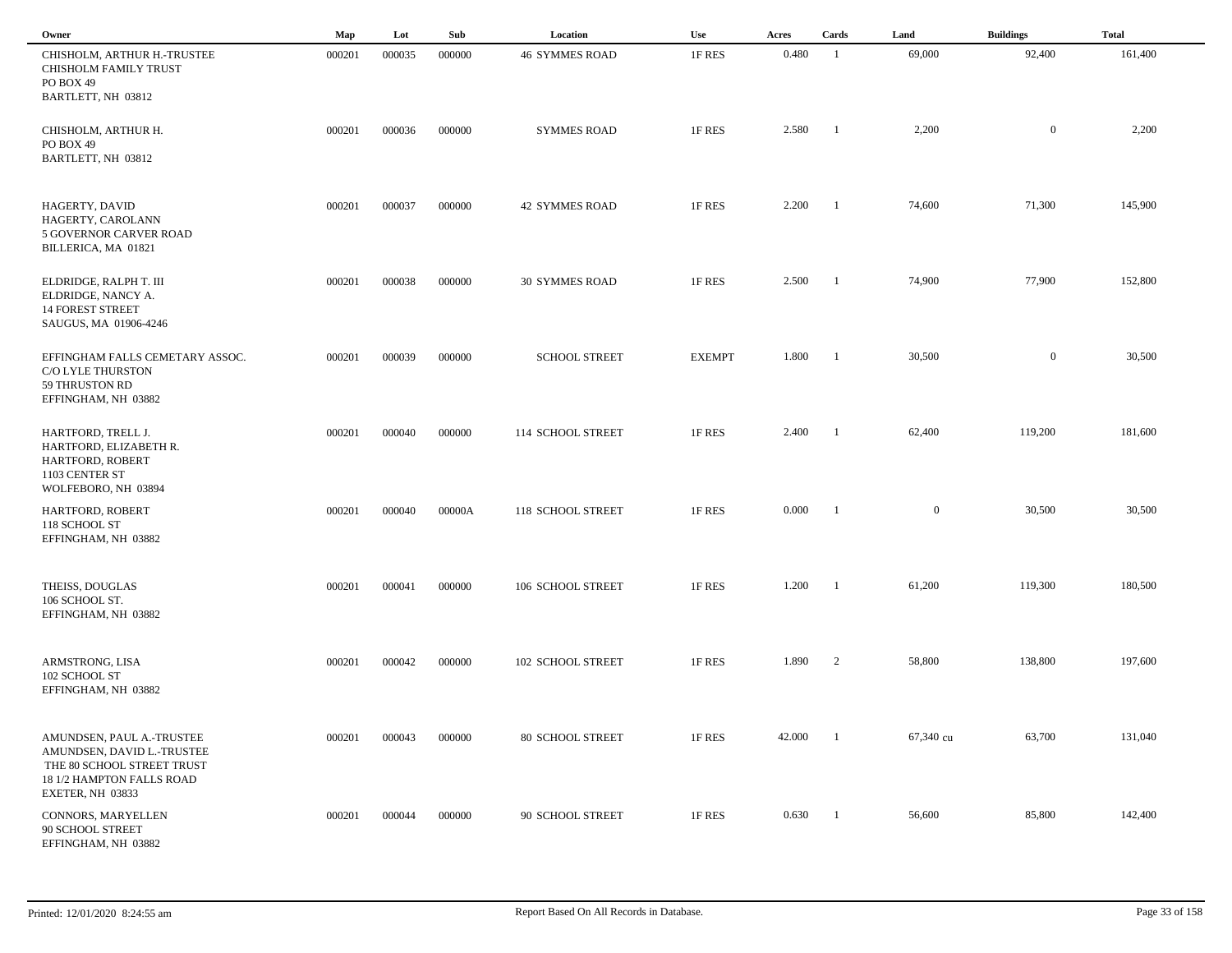| Owner                                                                                                              | Map    | Lot    | Sub    | Location              | Use           | Acres  | Cards          | Land         | <b>Buildings</b> | <b>Total</b> |  |
|--------------------------------------------------------------------------------------------------------------------|--------|--------|--------|-----------------------|---------------|--------|----------------|--------------|------------------|--------------|--|
| CHISHOLM, ARTHUR H.-TRUSTEE<br>CHISHOLM FAMILY TRUST<br>PO BOX 49<br>BARTLETT, NH 03812                            | 000201 | 000035 | 000000 | <b>46 SYMMES ROAD</b> | 1F RES        | 0.480  | - 1            | 69,000       | 92,400           | 161,400      |  |
| CHISHOLM, ARTHUR H.<br>PO BOX 49<br>BARTLETT, NH 03812                                                             | 000201 | 000036 | 000000 | <b>SYMMES ROAD</b>    | 1F RES        | 2.580  | $\overline{1}$ | 2,200        | $\overline{0}$   | 2,200        |  |
| HAGERTY, DAVID<br>HAGERTY, CAROLANN<br>5 GOVERNOR CARVER ROAD<br>BILLERICA, MA 01821                               | 000201 | 000037 | 000000 | <b>42 SYMMES ROAD</b> | 1F RES        | 2.200  | $\overline{1}$ | 74,600       | 71,300           | 145,900      |  |
| ELDRIDGE, RALPH T. III<br>ELDRIDGE, NANCY A.<br><b>14 FOREST STREET</b><br>SAUGUS, MA 01906-4246                   | 000201 | 000038 | 000000 | <b>30 SYMMES ROAD</b> | 1F RES        | 2.500  | $\blacksquare$ | 74,900       | 77,900           | 152,800      |  |
| EFFINGHAM FALLS CEMETARY ASSOC.<br><b>C/O LYLE THURSTON</b><br>59 THRUSTON RD<br>EFFINGHAM, NH 03882               | 000201 | 000039 | 000000 | <b>SCHOOL STREET</b>  | <b>EXEMPT</b> | 1.800  | $\blacksquare$ | 30,500       | $\overline{0}$   | 30,500       |  |
| HARTFORD, TRELL J.<br>HARTFORD, ELIZABETH R.<br>HARTFORD, ROBERT<br>1103 CENTER ST<br>WOLFEBORO, NH 03894          | 000201 | 000040 | 000000 | 114 SCHOOL STREET     | 1F RES        | 2.400  | $\blacksquare$ | 62,400       | 119,200          | 181,600      |  |
| HARTFORD, ROBERT<br>118 SCHOOL ST<br>EFFINGHAM, NH 03882                                                           | 000201 | 000040 | 00000A | 118 SCHOOL STREET     | 1F RES        | 0.000  | - 1            | $\mathbf{0}$ | 30,500           | 30,500       |  |
| THEISS, DOUGLAS<br>106 SCHOOL ST.<br>EFFINGHAM, NH 03882                                                           | 000201 | 000041 | 000000 | 106 SCHOOL STREET     | 1F RES        | 1.200  | $\mathbf{1}$   | 61,200       | 119,300          | 180,500      |  |
| ARMSTRONG, LISA<br>102 SCHOOL ST<br>EFFINGHAM, NH 03882                                                            | 000201 | 000042 | 000000 | 102 SCHOOL STREET     | 1F RES        | 1.890  | $\overline{2}$ | 58,800       | 138,800          | 197,600      |  |
| AMUNDSEN, PAUL A.-TRUSTEE<br>AMUNDSEN, DAVID L.-TRUSTEE<br>THE 80 SCHOOL STREET TRUST<br>18 1/2 HAMPTON FALLS ROAD | 000201 | 000043 | 000000 | 80 SCHOOL STREET      | 1F RES        | 42.000 | $\overline{1}$ | 67,340 cu    | 63,700           | 131,040      |  |
| EXETER, NH 03833<br>CONNORS, MARYELLEN<br>90 SCHOOL STREET<br>EFFINGHAM, NH 03882                                  | 000201 | 000044 | 000000 | 90 SCHOOL STREET      | 1F RES        | 0.630  | $\blacksquare$ | 56,600       | 85,800           | 142,400      |  |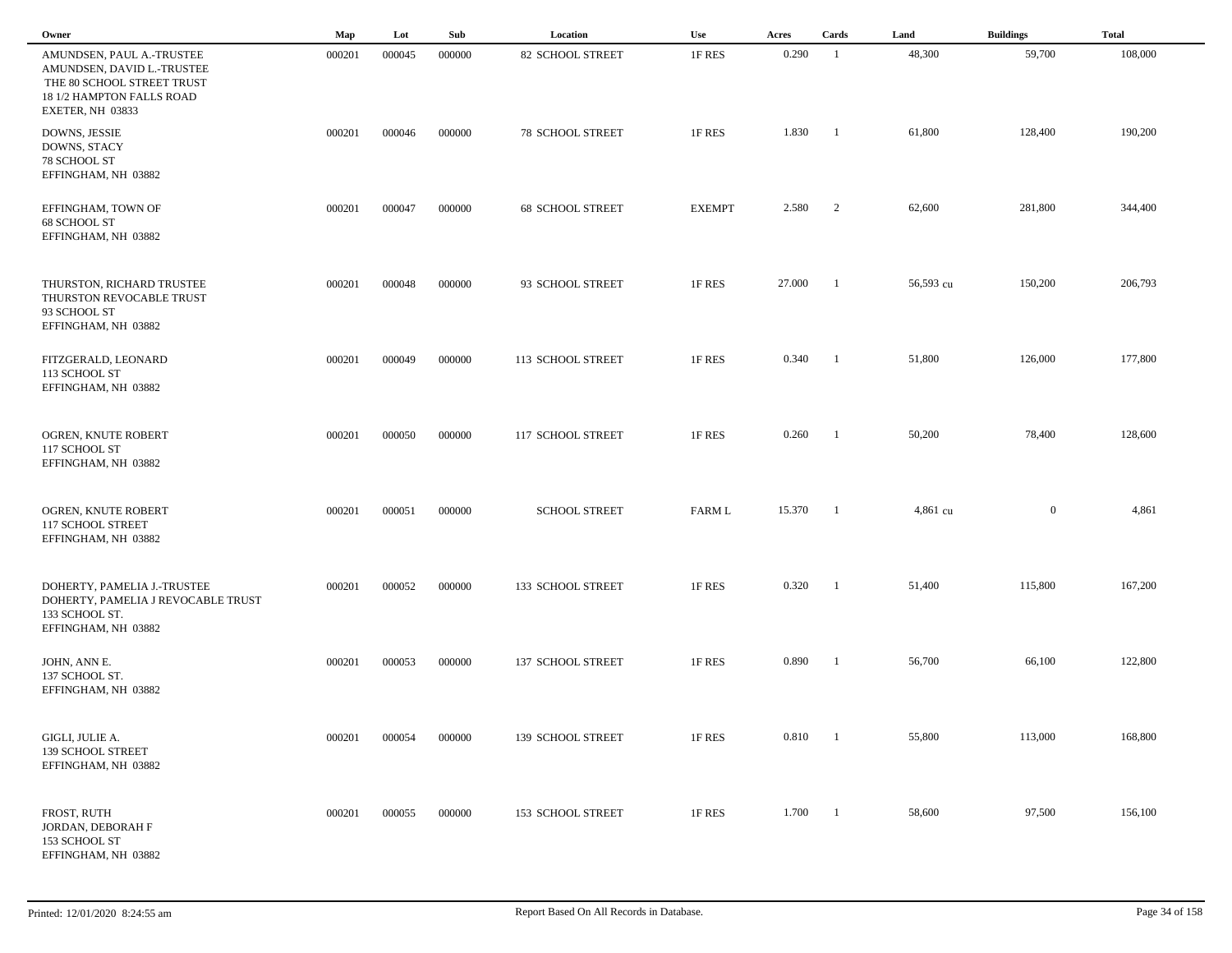| Owner                                                                                                                                  | $\mathbf{Map}$ | Lot    | Sub    | Location                | Use           | Acres  | Cards                    | Land      | <b>Buildings</b> | <b>Total</b> |
|----------------------------------------------------------------------------------------------------------------------------------------|----------------|--------|--------|-------------------------|---------------|--------|--------------------------|-----------|------------------|--------------|
| AMUNDSEN, PAUL A.-TRUSTEE<br>AMUNDSEN, DAVID L.-TRUSTEE<br>THE 80 SCHOOL STREET TRUST<br>18 1/2 HAMPTON FALLS ROAD<br>EXETER, NH 03833 | 000201         | 000045 | 000000 | <b>82 SCHOOL STREET</b> | 1F RES        | 0.290  | -1                       | 48,300    | 59,700           | 108,000      |
| DOWNS, JESSIE<br>DOWNS, STACY<br>78 SCHOOL ST<br>EFFINGHAM, NH 03882                                                                   | 000201         | 000046 | 000000 | <b>78 SCHOOL STREET</b> | 1F RES        | 1.830  | $\blacksquare$           | 61,800    | 128,400          | 190,200      |
| EFFINGHAM, TOWN OF<br>68 SCHOOL ST<br>EFFINGHAM, NH 03882                                                                              | 000201         | 000047 | 000000 | <b>68 SCHOOL STREET</b> | <b>EXEMPT</b> | 2.580  | $\overline{\phantom{a}}$ | 62,600    | 281,800          | 344,400      |
| THURSTON, RICHARD TRUSTEE<br>THURSTON REVOCABLE TRUST<br>93 SCHOOL ST<br>EFFINGHAM, NH 03882                                           | 000201         | 000048 | 000000 | 93 SCHOOL STREET        | 1F RES        | 27.000 | -1                       | 56,593 cu | 150,200          | 206,793      |
| FITZGERALD, LEONARD<br>113 SCHOOL ST<br>EFFINGHAM, NH 03882                                                                            | 000201         | 000049 | 000000 | 113 SCHOOL STREET       | 1F RES        | 0.340  | - 1                      | 51,800    | 126,000          | 177,800      |
| OGREN, KNUTE ROBERT<br>117 SCHOOL ST<br>EFFINGHAM, NH 03882                                                                            | 000201         | 000050 | 000000 | 117 SCHOOL STREET       | 1F RES        | 0.260  | -1                       | 50,200    | 78,400           | 128,600      |
| OGREN, KNUTE ROBERT<br>117 SCHOOL STREET<br>EFFINGHAM, NH 03882                                                                        | 000201         | 000051 | 000000 | <b>SCHOOL STREET</b>    | FARM L        | 15.370 | -1                       | 4,861 cu  | $\mathbf{0}$     | 4,861        |
| DOHERTY, PAMELIA J.-TRUSTEE<br>DOHERTY, PAMELIA J REVOCABLE TRUST<br>133 SCHOOL ST.<br>EFFINGHAM, NH 03882                             | 000201         | 000052 | 000000 | 133 SCHOOL STREET       | 1F RES        | 0.320  | -1                       | 51,400    | 115,800          | 167,200      |
| JOHN, ANN E.<br>137 SCHOOL ST.<br>EFFINGHAM, NH 03882                                                                                  | 000201         | 000053 | 000000 | 137 SCHOOL STREET       | 1F RES        | 0.890  | -1                       | 56,700    | 66,100           | 122,800      |
| GIGLI, JULIE A.<br>139 SCHOOL STREET<br>EFFINGHAM, NH 03882                                                                            | 000201         | 000054 | 000000 | 139 SCHOOL STREET       | 1F RES        | 0.810  | - 1                      | 55,800    | 113,000          | 168,800      |
| FROST, RUTH<br>JORDAN, DEBORAH F<br>153 SCHOOL ST<br>EFFINGHAM, NH 03882                                                               | 000201         | 000055 | 000000 | 153 SCHOOL STREET       | 1F RES        | 1.700  | $\blacksquare$           | 58,600    | 97,500           | 156,100      |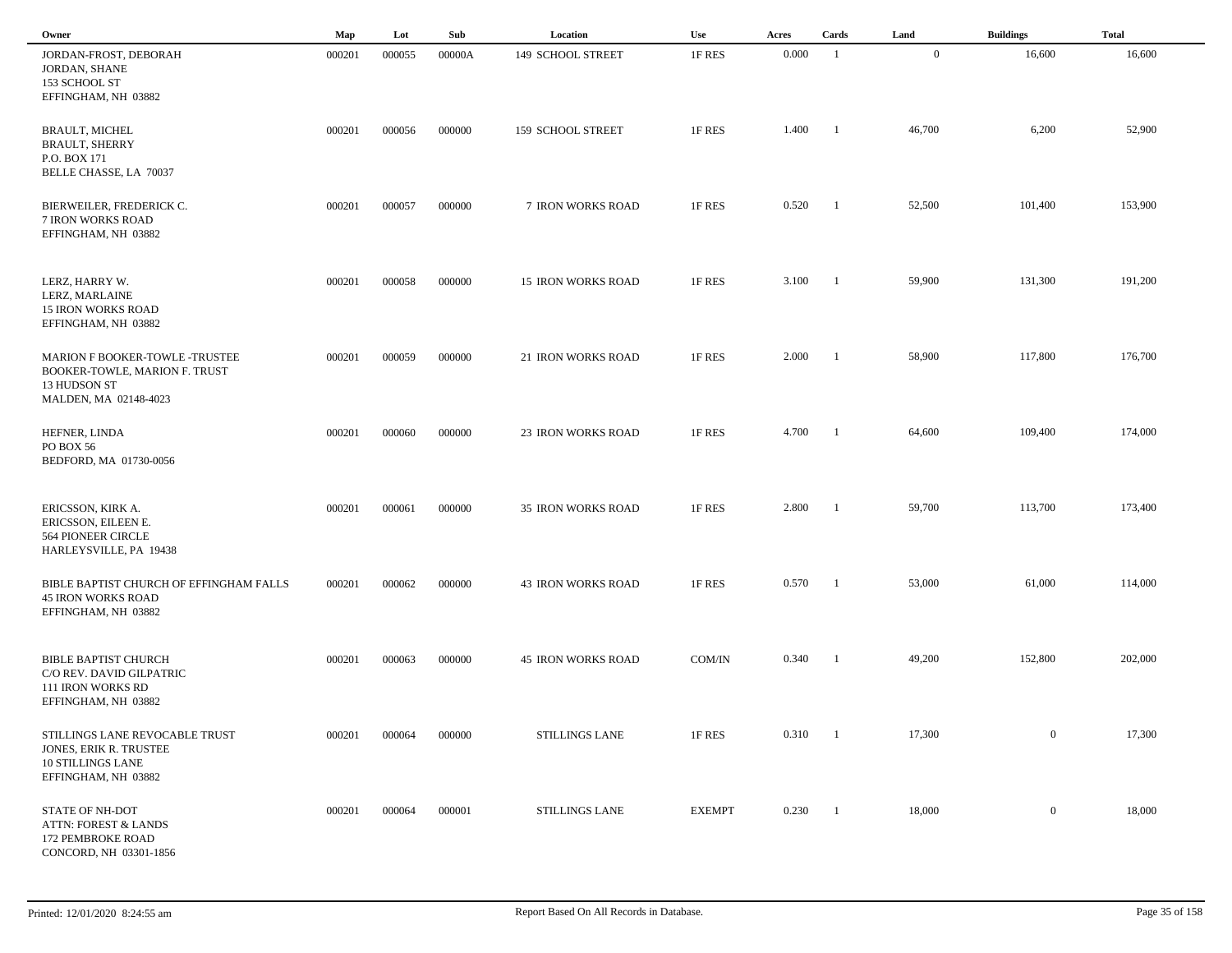| Owner                                                                                                       | Map    | Lot    | Sub    | Location                  | Use           | Acres | Cards                    | Land           | <b>Buildings</b> | <b>Total</b> |
|-------------------------------------------------------------------------------------------------------------|--------|--------|--------|---------------------------|---------------|-------|--------------------------|----------------|------------------|--------------|
| JORDAN-FROST, DEBORAH<br>JORDAN, SHANE<br>153 SCHOOL ST<br>EFFINGHAM, NH 03882                              | 000201 | 000055 | 00000A | 149 SCHOOL STREET         | 1F RES        | 0.000 | - 1                      | $\overline{0}$ | 16,600           | 16,600       |
| <b>BRAULT, MICHEL</b><br><b>BRAULT, SHERRY</b><br>P.O. BOX 171<br>BELLE CHASSE, LA 70037                    | 000201 | 000056 | 000000 | 159 SCHOOL STREET         | 1F RES        | 1.400 | $\blacksquare$           | 46,700         | 6,200            | 52,900       |
| BIERWEILER, FREDERICK C.<br>7 IRON WORKS ROAD<br>EFFINGHAM, NH 03882                                        | 000201 | 000057 | 000000 | 7 IRON WORKS ROAD         | 1F RES        | 0.520 | - 1                      | 52,500         | 101,400          | 153,900      |
| LERZ, HARRY W.<br>LERZ, MARLAINE<br><b>15 IRON WORKS ROAD</b><br>EFFINGHAM, NH 03882                        | 000201 | 000058 | 000000 | <b>15 IRON WORKS ROAD</b> | 1F RES        | 3.100 | $\blacksquare$           | 59,900         | 131,300          | 191,200      |
| MARION F BOOKER-TOWLE -TRUSTEE<br>BOOKER-TOWLE, MARION F. TRUST<br>13 HUDSON ST<br>MALDEN, MA 02148-4023    | 000201 | 000059 | 000000 | 21 IRON WORKS ROAD        | 1F RES        | 2.000 | $\blacksquare$           | 58,900         | 117,800          | 176,700      |
| HEFNER, LINDA<br>PO BOX 56<br>BEDFORD, MA 01730-0056                                                        | 000201 | 000060 | 000000 | <b>23 IRON WORKS ROAD</b> | 1F RES        | 4.700 | $\blacksquare$           | 64,600         | 109,400          | 174,000      |
| ERICSSON, KIRK A.<br>ERICSSON, EILEEN E.<br><b>564 PIONEER CIRCLE</b><br>HARLEYSVILLE, PA 19438             | 000201 | 000061 | 000000 | <b>35 IRON WORKS ROAD</b> | 1F RES        | 2.800 | $\overline{\phantom{a}}$ | 59,700         | 113,700          | 173,400      |
| BIBLE BAPTIST CHURCH OF EFFINGHAM FALLS<br><b>45 IRON WORKS ROAD</b><br>EFFINGHAM, NH 03882                 | 000201 | 000062 | 000000 | <b>43 IRON WORKS ROAD</b> | 1F RES        | 0.570 | - 1                      | 53,000         | 61,000           | 114,000      |
| <b>BIBLE BAPTIST CHURCH</b><br>C/O REV. DAVID GILPATRIC<br>111 IRON WORKS RD<br>EFFINGHAM, NH 03882         | 000201 | 000063 | 000000 | <b>45 IRON WORKS ROAD</b> | COM/IN        | 0.340 | -1                       | 49,200         | 152,800          | 202,000      |
| STILLINGS LANE REVOCABLE TRUST<br>JONES, ERIK R. TRUSTEE<br><b>10 STILLINGS LANE</b><br>EFFINGHAM, NH 03882 | 000201 | 000064 | 000000 | STILLINGS LANE            | 1F RES        | 0.310 | $\blacksquare$           | 17,300         | $\overline{0}$   | 17,300       |
| <b>STATE OF NH-DOT</b><br><b>ATTN: FOREST &amp; LANDS</b><br>172 PEMBROKE ROAD<br>CONCORD, NH 03301-1856    | 000201 | 000064 | 000001 | STILLINGS LANE            | <b>EXEMPT</b> | 0.230 | $\overline{\phantom{a}}$ | 18,000         | $\overline{0}$   | 18,000       |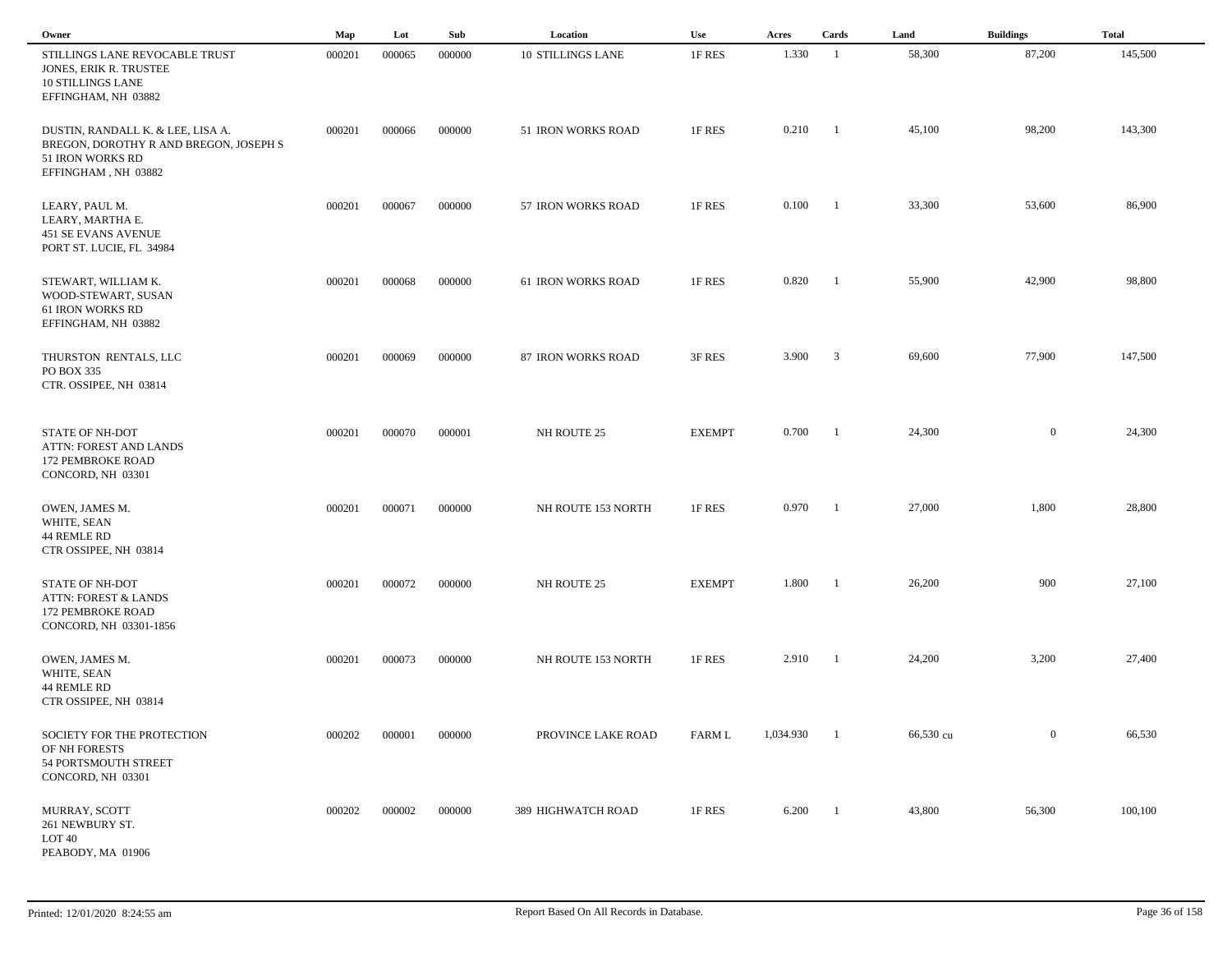| Owner                                                                                                                  | Map    | Lot    | Sub    | Location                 | Use           | Acres     | Cards                   | Land      | <b>Buildings</b> | <b>Total</b> |
|------------------------------------------------------------------------------------------------------------------------|--------|--------|--------|--------------------------|---------------|-----------|-------------------------|-----------|------------------|--------------|
| STILLINGS LANE REVOCABLE TRUST<br>JONES, ERIK R. TRUSTEE<br><b>10 STILLINGS LANE</b><br>EFFINGHAM, NH 03882            | 000201 | 000065 | 000000 | <b>10 STILLINGS LANE</b> | 1F RES        | 1.330     | $\overline{1}$          | 58,300    | 87,200           | 145,500      |
| DUSTIN, RANDALL K. & LEE, LISA A.<br>BREGON, DOROTHY R AND BREGON, JOSEPH S<br>51 IRON WORKS RD<br>EFFINGHAM, NH 03882 | 000201 | 000066 | 000000 | 51 IRON WORKS ROAD       | 1F RES        | 0.210     | $\blacksquare$          | 45,100    | 98,200           | 143,300      |
| LEARY, PAUL M.<br>LEARY, MARTHA E.<br>451 SE EVANS AVENUE<br>PORT ST. LUCIE, FL 34984                                  | 000201 | 000067 | 000000 | 57 IRON WORKS ROAD       | 1F RES        | 0.100     | -1                      | 33,300    | 53,600           | 86,900       |
| STEWART, WILLIAM K.<br>WOOD-STEWART, SUSAN<br>61 IRON WORKS RD<br>EFFINGHAM, NH 03882                                  | 000201 | 000068 | 000000 | 61 IRON WORKS ROAD       | 1F RES        | 0.820     | -1                      | 55,900    | 42,900           | 98,800       |
| THURSTON RENTALS, LLC<br>PO BOX 335<br>CTR. OSSIPEE, NH 03814                                                          | 000201 | 000069 | 000000 | 87 IRON WORKS ROAD       | 3F RES        | 3.900     | $\overline{\mathbf{3}}$ | 69,600    | 77,900           | 147,500      |
| <b>STATE OF NH-DOT</b><br>ATTN: FOREST AND LANDS<br>172 PEMBROKE ROAD<br>CONCORD, NH 03301                             | 000201 | 000070 | 000001 | NH ROUTE 25              | <b>EXEMPT</b> | 0.700     | $\blacksquare$          | 24,300    | $\mathbf{0}$     | 24,300       |
| OWEN, JAMES M.<br>WHITE, SEAN<br>44 REMLE RD<br>CTR OSSIPEE, NH 03814                                                  | 000201 | 000071 | 000000 | NH ROUTE 153 NORTH       | 1F RES        | 0.970     | - 1                     | 27,000    | 1,800            | 28,800       |
| STATE OF NH-DOT<br>ATTN: FOREST & LANDS<br>172 PEMBROKE ROAD<br>CONCORD, NH 03301-1856                                 | 000201 | 000072 | 000000 | NH ROUTE 25              | <b>EXEMPT</b> | 1.800     | - 1                     | 26,200    | 900              | 27,100       |
| OWEN, JAMES M.<br>WHITE, SEAN<br>44 REMLE RD<br>CTR OSSIPEE, NH 03814                                                  | 000201 | 000073 | 000000 | NH ROUTE 153 NORTH       | 1F RES        | 2.910     | -1                      | 24,200    | 3,200            | 27,400       |
| SOCIETY FOR THE PROTECTION<br>OF NH FORESTS<br>54 PORTSMOUTH STREET<br>CONCORD, NH 03301                               | 000202 | 000001 | 000000 | PROVINCE LAKE ROAD       | FARM L        | 1,034.930 | - 1                     | 66,530 cu | $\mathbf{0}$     | 66,530       |
| MURRAY, SCOTT<br>261 NEWBURY ST.<br>LOT 40<br>PEABODY, MA 01906                                                        | 000202 | 000002 | 000000 | 389 HIGHWATCH ROAD       | 1F RES        | 6.200     | $\overline{1}$          | 43,800    | 56,300           | 100,100      |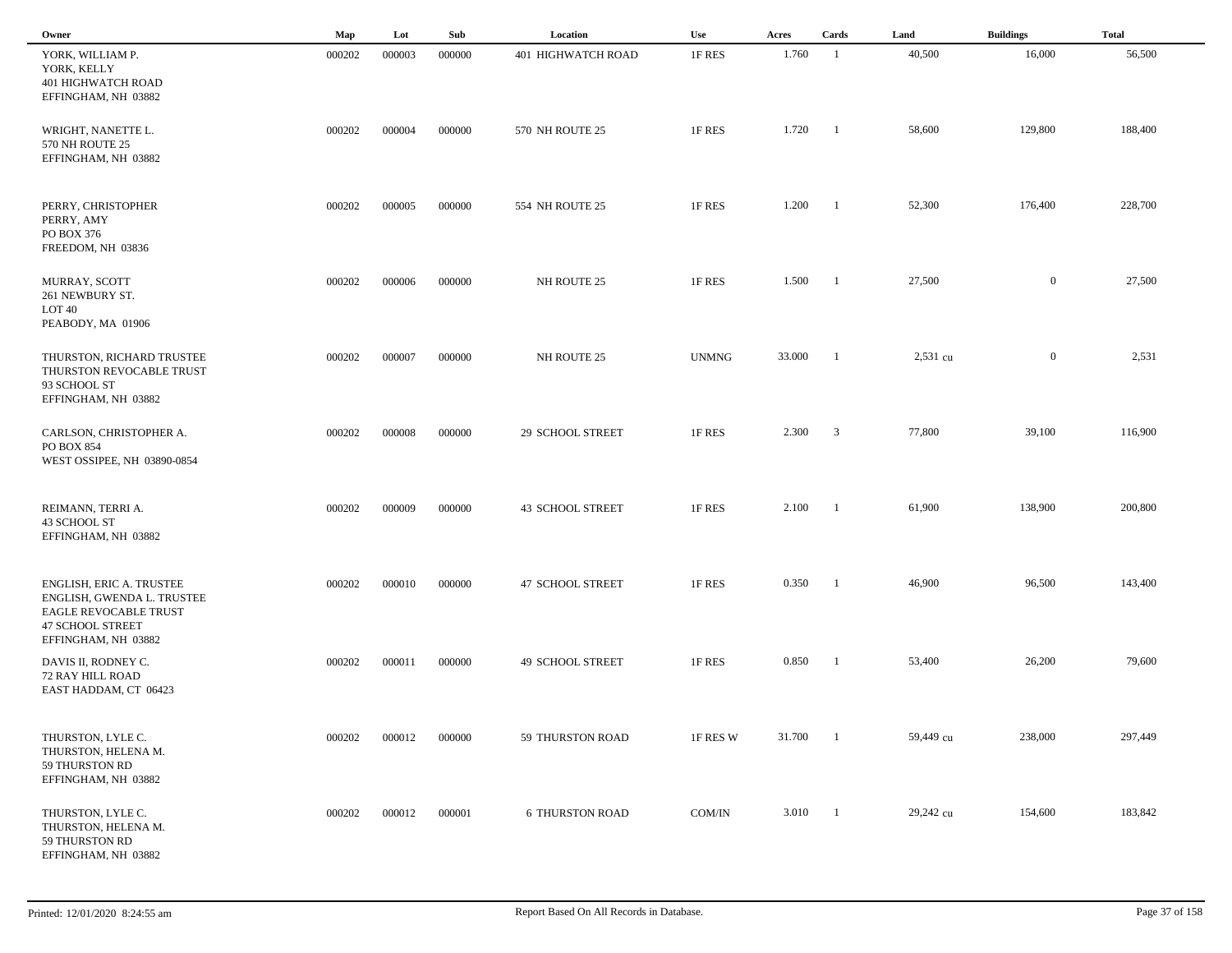| Owner                                                                                                                                    | $\mathbf{Map}$ | Lot    | Sub    | Location                | Use          | Acres  | Cards                   | Land      | <b>Buildings</b> | <b>Total</b> |  |
|------------------------------------------------------------------------------------------------------------------------------------------|----------------|--------|--------|-------------------------|--------------|--------|-------------------------|-----------|------------------|--------------|--|
| YORK, WILLIAM P.<br>YORK, KELLY<br>401 HIGHWATCH ROAD<br>EFFINGHAM, NH 03882                                                             | 000202         | 000003 | 000000 | 401 HIGHWATCH ROAD      | 1F RES       | 1.760  | - 1                     | 40,500    | 16,000           | 56,500       |  |
| WRIGHT, NANETTE L.<br>570 NH ROUTE 25<br>EFFINGHAM, NH 03882                                                                             | 000202         | 000004 | 000000 | 570 NH ROUTE 25         | 1F RES       | 1.720  | - 1                     | 58,600    | 129,800          | 188,400      |  |
| PERRY, CHRISTOPHER<br>PERRY, AMY<br>PO BOX 376<br>FREEDOM, NH 03836                                                                      | 000202         | 000005 | 000000 | 554 NH ROUTE 25         | 1F RES       | 1.200  | -1                      | 52,300    | 176,400          | 228,700      |  |
| MURRAY, SCOTT<br>261 NEWBURY ST.<br>LOT 40<br>PEABODY, MA 01906                                                                          | 000202         | 000006 | 000000 | NH ROUTE 25             | 1F RES       | 1.500  | - 1                     | 27,500    | $\mathbf{0}$     | 27,500       |  |
| THURSTON, RICHARD TRUSTEE<br>THURSTON REVOCABLE TRUST<br>93 SCHOOL ST<br>EFFINGHAM, NH 03882                                             | 000202         | 000007 | 000000 | NH ROUTE 25             | <b>UNMNG</b> | 33.000 | - 1                     | 2,531 cu  | $\mathbf{0}$     | 2,531        |  |
| CARLSON, CHRISTOPHER A.<br>PO BOX 854<br>WEST OSSIPEE, NH 03890-0854                                                                     | 000202         | 000008 | 000000 | 29 SCHOOL STREET        | 1F RES       | 2.300  | $\overline{\mathbf{3}}$ | 77,800    | 39,100           | 116,900      |  |
| REIMANN, TERRI A.<br>43 SCHOOL ST<br>EFFINGHAM, NH 03882                                                                                 | 000202         | 000009 | 000000 | <b>43 SCHOOL STREET</b> | 1F RES       | 2.100  | -1                      | 61,900    | 138,900          | 200,800      |  |
| ENGLISH, ERIC A. TRUSTEE<br>ENGLISH, GWENDA L. TRUSTEE<br><b>EAGLE REVOCABLE TRUST</b><br><b>47 SCHOOL STREET</b><br>EFFINGHAM, NH 03882 | 000202         | 000010 | 000000 | <b>47 SCHOOL STREET</b> | 1F RES       | 0.350  |                         | 46,900    | 96,500           | 143,400      |  |
| DAVIS II, RODNEY C.<br>72 RAY HILL ROAD<br>EAST HADDAM, CT 06423                                                                         | 000202         | 000011 | 000000 | <b>49 SCHOOL STREET</b> | 1F RES       | 0.850  | -1                      | 53,400    | 26,200           | 79,600       |  |
| THURSTON, LYLE C.<br>THURSTON, HELENA M.<br>59 THURSTON RD<br>EFFINGHAM, NH 03882                                                        | 000202         | 000012 | 000000 | 59 THURSTON ROAD        | 1F RES W     | 31.700 | - 1                     | 59,449 cu | 238,000          | 297,449      |  |
| THURSTON, LYLE C.<br>THURSTON, HELENA M.<br>59 THURSTON RD<br>EFFINGHAM, NH 03882                                                        | 000202         | 000012 | 000001 | <b>6 THURSTON ROAD</b>  | COM/IN       | 3.010  | $\blacksquare$          | 29,242 cu | 154,600          | 183,842      |  |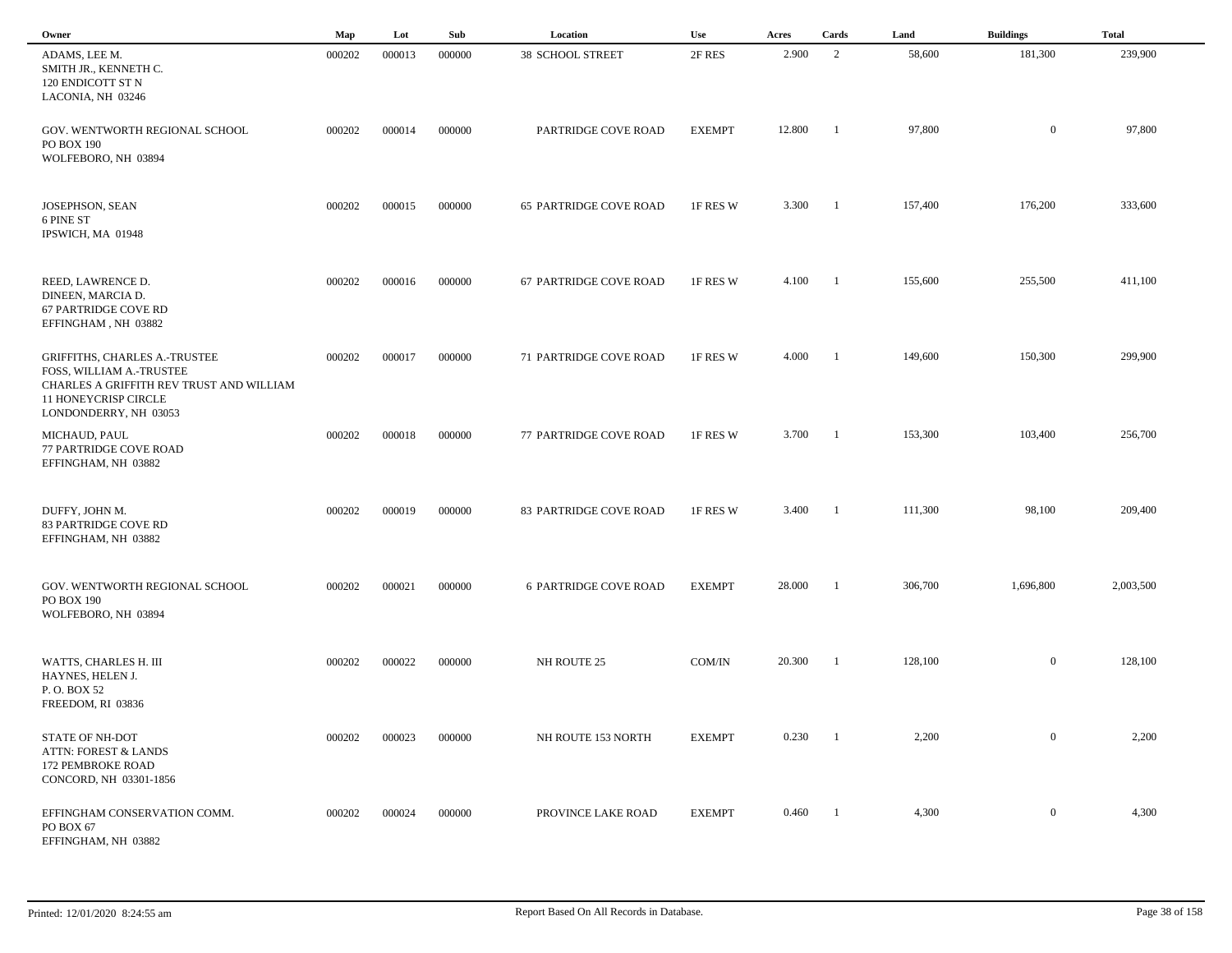| Owner                                                                                                                                                         | Map    | Lot    | Sub    | Location                      | <b>Use</b>    | Acres  | Cards          | Land    | <b>Buildings</b> | <b>Total</b> |  |
|---------------------------------------------------------------------------------------------------------------------------------------------------------------|--------|--------|--------|-------------------------------|---------------|--------|----------------|---------|------------------|--------------|--|
| ADAMS, LEE M.<br>SMITH JR., KENNETH C.<br>120 ENDICOTT ST N<br>LACONIA, NH 03246                                                                              | 000202 | 000013 | 000000 | <b>38 SCHOOL STREET</b>       | 2F RES        | 2.900  | 2              | 58,600  | 181,300          | 239,900      |  |
| GOV. WENTWORTH REGIONAL SCHOOL<br>PO BOX 190<br>WOLFEBORO, NH 03894                                                                                           | 000202 | 000014 | 000000 | PARTRIDGE COVE ROAD           | <b>EXEMPT</b> | 12.800 | -1             | 97,800  | $\mathbf{0}$     | 97,800       |  |
| <b>JOSEPHSON, SEAN</b><br>6 PINE ST<br>IPSWICH, MA 01948                                                                                                      | 000202 | 000015 | 000000 | <b>65 PARTRIDGE COVE ROAD</b> | 1F RES W      | 3.300  | - 1            | 157,400 | 176,200          | 333,600      |  |
| REED, LAWRENCE D.<br>DINEEN, MARCIA D.<br>67 PARTRIDGE COVE RD<br>EFFINGHAM, NH 03882                                                                         | 000202 | 000016 | 000000 | 67 PARTRIDGE COVE ROAD        | 1F RES W      | 4.100  | $\blacksquare$ | 155,600 | 255,500          | 411,100      |  |
| <b>GRIFFITHS, CHARLES A.-TRUSTEE</b><br>FOSS, WILLIAM A.-TRUSTEE<br>CHARLES A GRIFFITH REV TRUST AND WILLIAM<br>11 HONEYCRISP CIRCLE<br>LONDONDERRY, NH 03053 | 000202 | 000017 | 000000 | 71 PARTRIDGE COVE ROAD        | 1F RES W      | 4.000  | - 1            | 149,600 | 150,300          | 299,900      |  |
| MICHAUD, PAUL<br>77 PARTRIDGE COVE ROAD<br>EFFINGHAM, NH 03882                                                                                                | 000202 | 000018 | 000000 | 77 PARTRIDGE COVE ROAD        | 1F RES W      | 3.700  | - 1            | 153,300 | 103,400          | 256,700      |  |
| DUFFY, JOHN M.<br>83 PARTRIDGE COVE RD<br>EFFINGHAM, NH 03882                                                                                                 | 000202 | 000019 | 000000 | 83 PARTRIDGE COVE ROAD        | 1F RES W      | 3.400  | - 1            | 111,300 | 98,100           | 209,400      |  |
| GOV. WENTWORTH REGIONAL SCHOOL<br>PO BOX 190<br>WOLFEBORO, NH 03894                                                                                           | 000202 | 000021 | 000000 | <b>6 PARTRIDGE COVE ROAD</b>  | <b>EXEMPT</b> | 28.000 | - 1            | 306,700 | 1,696,800        | 2,003,500    |  |
| WATTS, CHARLES H. III<br>HAYNES, HELEN J.<br>P.O. BOX 52<br>FREEDOM, RI 03836                                                                                 | 000202 | 000022 | 000000 | NH ROUTE 25                   | COM/IN        | 20.300 | -1             | 128,100 | $\mathbf{0}$     | 128,100      |  |
| STATE OF NH-DOT<br><b>ATTN: FOREST &amp; LANDS</b><br>172 PEMBROKE ROAD<br>CONCORD, NH 03301-1856                                                             | 000202 | 000023 | 000000 | NH ROUTE 153 NORTH            | <b>EXEMPT</b> | 0.230  |                | 2,200   | $\overline{0}$   | 2,200        |  |
| EFFINGHAM CONSERVATION COMM.<br>PO BOX 67<br>EFFINGHAM, NH 03882                                                                                              | 000202 | 000024 | 000000 | PROVINCE LAKE ROAD            | <b>EXEMPT</b> | 0.460  | $\blacksquare$ | 4,300   | $\mathbf{0}$     | 4,300        |  |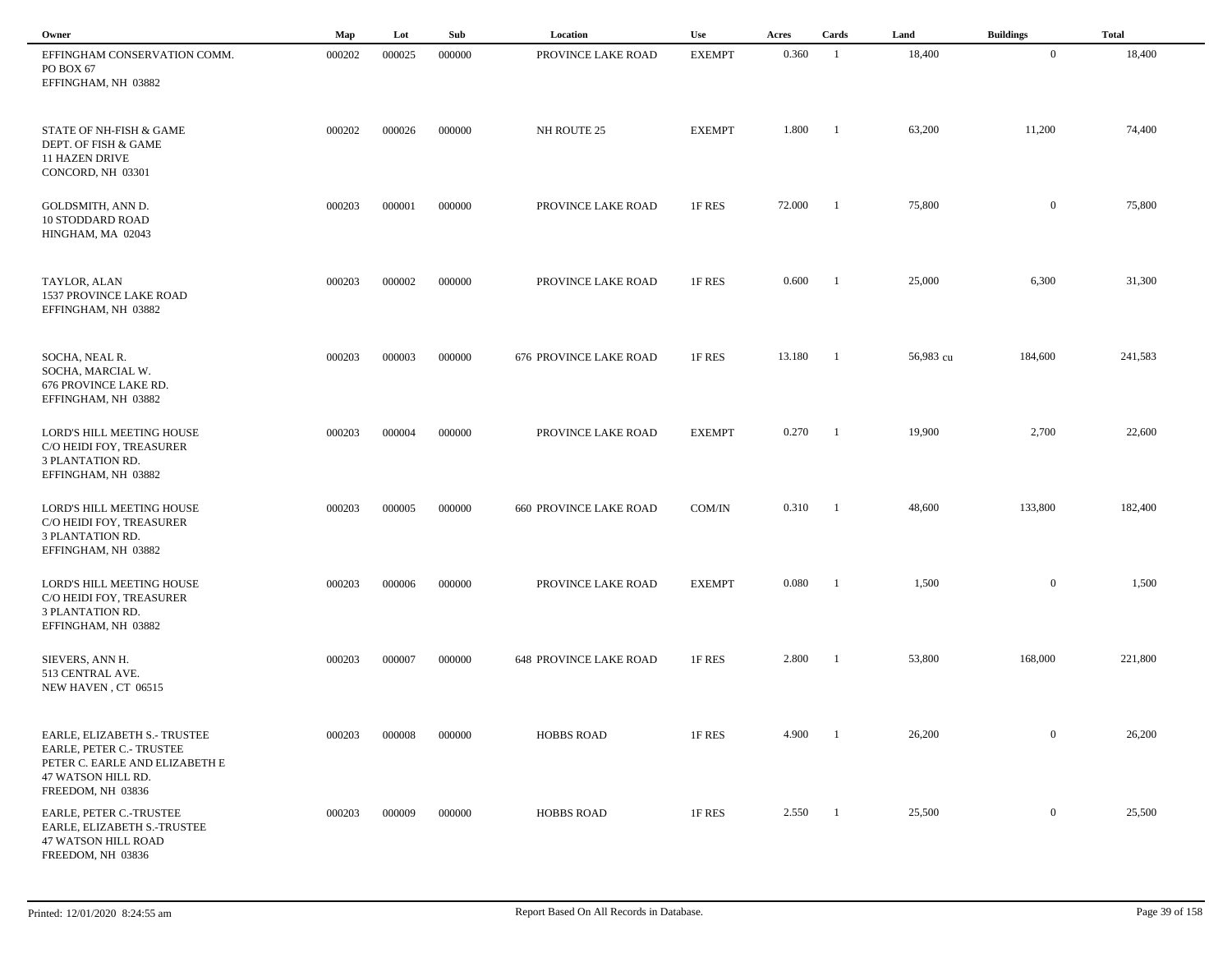| Owner                                                                                                                                 | Map    | Lot    | Sub    | Location                      | Use           | Acres  | Cards          | Land      | <b>Buildings</b> | <b>Total</b> |  |
|---------------------------------------------------------------------------------------------------------------------------------------|--------|--------|--------|-------------------------------|---------------|--------|----------------|-----------|------------------|--------------|--|
| EFFINGHAM CONSERVATION COMM.<br>PO BOX 67<br>EFFINGHAM, NH 03882                                                                      | 000202 | 000025 | 000000 | PROVINCE LAKE ROAD            | <b>EXEMPT</b> | 0.360  | $\mathbf{1}$   | 18,400    | $\mathbf{0}$     | 18,400       |  |
| STATE OF NH-FISH & GAME<br>DEPT. OF FISH & GAME<br><b>11 HAZEN DRIVE</b><br>CONCORD, NH 03301                                         | 000202 | 000026 | 000000 | NH ROUTE 25                   | <b>EXEMPT</b> | 1.800  | $\overline{1}$ | 63,200    | 11,200           | 74,400       |  |
| GOLDSMITH, ANN D.<br><b>10 STODDARD ROAD</b><br>HINGHAM, MA 02043                                                                     | 000203 | 000001 | 000000 | PROVINCE LAKE ROAD            | 1F RES        | 72.000 | $\blacksquare$ | 75,800    | $\overline{0}$   | 75,800       |  |
| TAYLOR, ALAN<br><b>1537 PROVINCE LAKE ROAD</b><br>EFFINGHAM, NH 03882                                                                 | 000203 | 000002 | 000000 | PROVINCE LAKE ROAD            | 1F RES        | 0.600  | $\blacksquare$ | 25,000    | 6,300            | 31,300       |  |
| SOCHA, NEAL R.<br>SOCHA, MARCIAL W.<br>676 PROVINCE LAKE RD.<br>EFFINGHAM, NH 03882                                                   | 000203 | 000003 | 000000 | <b>676 PROVINCE LAKE ROAD</b> | 1F RES        | 13.180 | $\blacksquare$ | 56,983 cu | 184,600          | 241,583      |  |
| LORD'S HILL MEETING HOUSE<br>C/O HEIDI FOY, TREASURER<br>3 PLANTATION RD.<br>EFFINGHAM, NH 03882                                      | 000203 | 000004 | 000000 | PROVINCE LAKE ROAD            | <b>EXEMPT</b> | 0.270  | $\blacksquare$ | 19,900    | 2,700            | 22,600       |  |
| LORD'S HILL MEETING HOUSE<br>C/O HEIDI FOY, TREASURER<br><b>3 PLANTATION RD.</b><br>EFFINGHAM, NH 03882                               | 000203 | 000005 | 000000 | <b>660 PROVINCE LAKE ROAD</b> | COM/IN        | 0.310  | - 1            | 48,600    | 133,800          | 182,400      |  |
| LORD'S HILL MEETING HOUSE<br>C/O HEIDI FOY, TREASURER<br>3 PLANTATION RD.<br>EFFINGHAM, NH 03882                                      | 000203 | 000006 | 000000 | PROVINCE LAKE ROAD            | <b>EXEMPT</b> | 0.080  | $\overline{1}$ | 1,500     | $\overline{0}$   | 1,500        |  |
| SIEVERS, ANN H.<br>513 CENTRAL AVE.<br>NEW HAVEN, CT 06515                                                                            | 000203 | 000007 | 000000 | <b>648 PROVINCE LAKE ROAD</b> | 1F RES        | 2.800  | - 1            | 53,800    | 168,000          | 221,800      |  |
| EARLE, ELIZABETH S.- TRUSTEE<br>EARLE, PETER C.- TRUSTEE<br>PETER C. EARLE AND ELIZABETH E<br>47 WATSON HILL RD.<br>FREEDOM, NH 03836 | 000203 | 000008 | 000000 | <b>HOBBS ROAD</b>             | 1F RES        | 4.900  | - 1            | 26,200    | $\overline{0}$   | 26,200       |  |
| EARLE, PETER C.-TRUSTEE<br>EARLE, ELIZABETH S.-TRUSTEE<br>47 WATSON HILL ROAD<br>FREEDOM, NH 03836                                    | 000203 | 000009 | 000000 | <b>HOBBS ROAD</b>             | 1F RES        | 2.550  | $\overline{1}$ | 25,500    | $\overline{0}$   | 25,500       |  |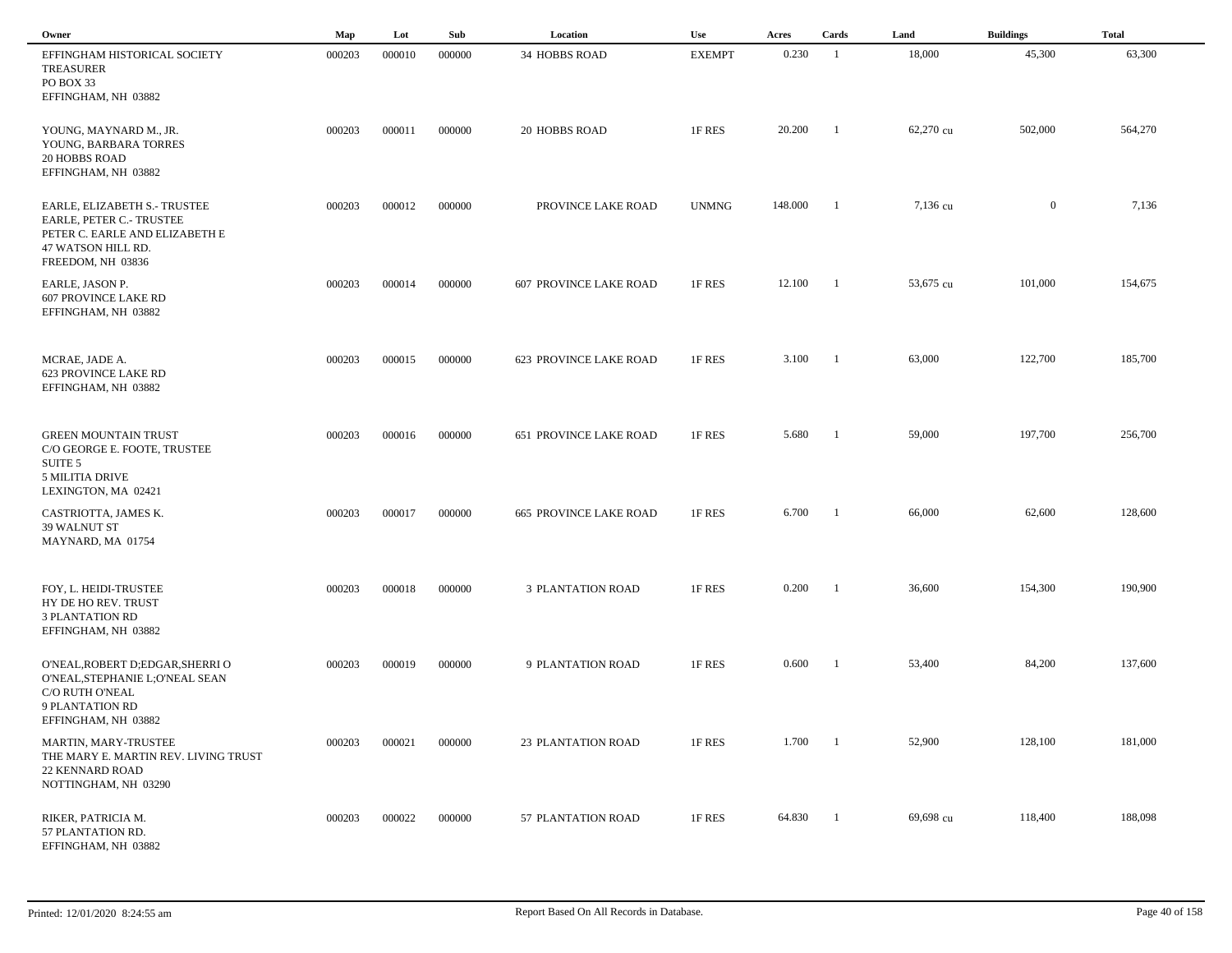| Owner                                                                                                                                 | Map    | Lot    | Sub    | Location                      | Use           | Acres   | Cards          | Land      | <b>Buildings</b> | <b>Total</b> |
|---------------------------------------------------------------------------------------------------------------------------------------|--------|--------|--------|-------------------------------|---------------|---------|----------------|-----------|------------------|--------------|
| EFFINGHAM HISTORICAL SOCIETY<br><b>TREASURER</b><br>PO BOX 33<br>EFFINGHAM, NH 03882                                                  | 000203 | 000010 | 000000 | 34 HOBBS ROAD                 | <b>EXEMPT</b> | 0.230   | -1             | 18,000    | 45,300           | 63,300       |
| YOUNG, MAYNARD M., JR.<br>YOUNG, BARBARA TORRES<br><b>20 HOBBS ROAD</b><br>EFFINGHAM, NH 03882                                        | 000203 | 000011 | 000000 | 20 HOBBS ROAD                 | 1F RES        | 20.200  | - 1            | 62,270 cu | 502,000          | 564,270      |
| EARLE, ELIZABETH S.- TRUSTEE<br>EARLE, PETER C.- TRUSTEE<br>PETER C. EARLE AND ELIZABETH E<br>47 WATSON HILL RD.<br>FREEDOM, NH 03836 | 000203 | 000012 | 000000 | PROVINCE LAKE ROAD            | <b>UNMNG</b>  | 148.000 | -1             | 7,136 cu  | $\overline{0}$   | 7,136        |
| EARLE, JASON P.<br><b>607 PROVINCE LAKE RD</b><br>EFFINGHAM, NH 03882                                                                 | 000203 | 000014 | 000000 | <b>607 PROVINCE LAKE ROAD</b> | 1F RES        | 12.100  | $\overline{1}$ | 53,675 cu | 101,000          | 154,675      |
| MCRAE, JADE A.<br><b>623 PROVINCE LAKE RD</b><br>EFFINGHAM, NH 03882                                                                  | 000203 | 000015 | 000000 | 623 PROVINCE LAKE ROAD        | 1F RES        | 3.100   | $\blacksquare$ | 63,000    | 122,700          | 185,700      |
| <b>GREEN MOUNTAIN TRUST</b><br>C/O GEORGE E. FOOTE, TRUSTEE<br>SUITE <sub>5</sub><br><b>5 MILITIA DRIVE</b><br>LEXINGTON, MA 02421    | 000203 | 000016 | 000000 | <b>651 PROVINCE LAKE ROAD</b> | 1F RES        | 5.680   | -1             | 59,000    | 197,700          | 256,700      |
| CASTRIOTTA, JAMES K.<br>39 WALNUT ST<br>MAYNARD, MA 01754                                                                             | 000203 | 000017 | 000000 | <b>665 PROVINCE LAKE ROAD</b> | 1F RES        | 6.700   | $\mathbf{1}$   | 66,000    | 62,600           | 128,600      |
| FOY, L. HEIDI-TRUSTEE<br>HY DE HO REV. TRUST<br><b>3 PLANTATION RD</b><br>EFFINGHAM, NH 03882                                         | 000203 | 000018 | 000000 | <b>3 PLANTATION ROAD</b>      | 1F RES        | 0.200   | - 1            | 36,600    | 154,300          | 190,900      |
| O'NEAL, ROBERT D; EDGAR, SHERRI O<br>O'NEAL, STEPHANIE L; O'NEAL SEAN<br>C/O RUTH O'NEAL<br>9 PLANTATION RD<br>EFFINGHAM, NH 03882    | 000203 | 000019 | 000000 | 9 PLANTATION ROAD             | 1F RES        | 0.600   | -1             | 53,400    | 84,200           | 137,600      |
| MARTIN, MARY-TRUSTEE<br>THE MARY E. MARTIN REV. LIVING TRUST<br><b>22 KENNARD ROAD</b><br>NOTTINGHAM, NH 03290                        | 000203 | 000021 | 000000 | <b>23 PLANTATION ROAD</b>     | 1F RES        | 1.700   | $\blacksquare$ | 52,900    | 128,100          | 181,000      |
| RIKER, PATRICIA M.<br>57 PLANTATION RD.<br>EFFINGHAM, NH 03882                                                                        | 000203 | 000022 | 000000 | 57 PLANTATION ROAD            | 1F RES        | 64.830  | $\blacksquare$ | 69,698 cu | 118,400          | 188,098      |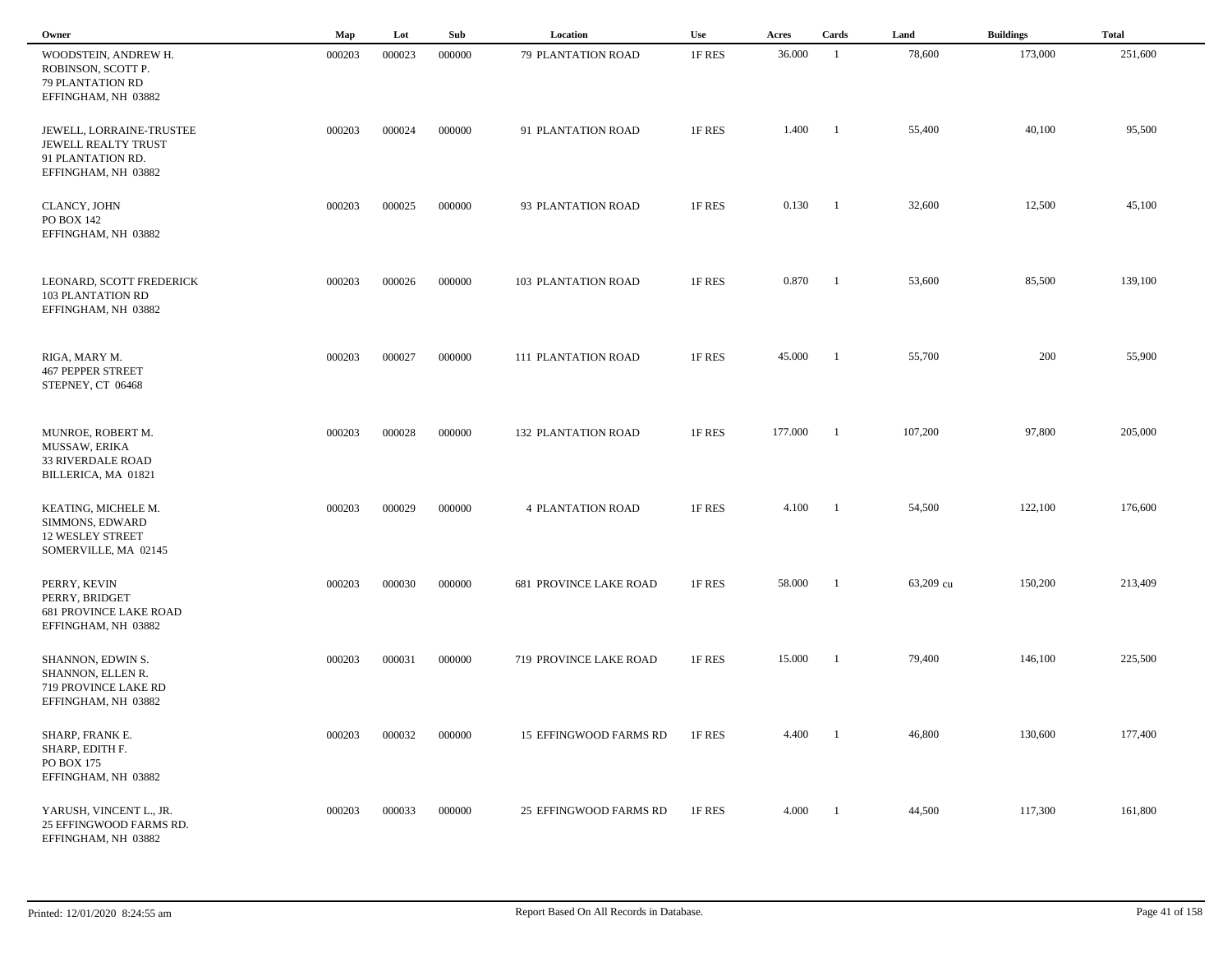| Owner                                                                                       | Map    | Lot    | Sub    | Location                      | Use    | Acres   | Cards                    | Land      | <b>Buildings</b> | <b>Total</b> |  |
|---------------------------------------------------------------------------------------------|--------|--------|--------|-------------------------------|--------|---------|--------------------------|-----------|------------------|--------------|--|
| WOODSTEIN, ANDREW H.<br>ROBINSON, SCOTT P.<br>79 PLANTATION RD<br>EFFINGHAM, NH 03882       | 000203 | 000023 | 000000 | 79 PLANTATION ROAD            | 1F RES | 36.000  | -1                       | 78,600    | 173,000          | 251,600      |  |
| JEWELL, LORRAINE-TRUSTEE<br>JEWELL REALTY TRUST<br>91 PLANTATION RD.<br>EFFINGHAM, NH 03882 | 000203 | 000024 | 000000 | 91 PLANTATION ROAD            | 1F RES | 1.400   | $\blacksquare$           | 55,400    | 40,100           | 95,500       |  |
| CLANCY, JOHN<br>PO BOX 142<br>EFFINGHAM, NH 03882                                           | 000203 | 000025 | 000000 | 93 PLANTATION ROAD            | 1F RES | 0.130   | $\blacksquare$           | 32,600    | 12,500           | 45,100       |  |
| LEONARD, SCOTT FREDERICK<br>103 PLANTATION RD<br>EFFINGHAM, NH 03882                        | 000203 | 000026 | 000000 | 103 PLANTATION ROAD           | 1F RES | 0.870   | $\overline{\phantom{a}}$ | 53,600    | 85,500           | 139,100      |  |
| RIGA, MARY M.<br><b>467 PEPPER STREET</b><br>STEPNEY, CT 06468                              | 000203 | 000027 | 000000 | <b>111 PLANTATION ROAD</b>    | 1F RES | 45.000  | $\overline{\phantom{a}}$ | 55,700    | 200              | 55,900       |  |
| MUNROE, ROBERT M.<br>MUSSAW, ERIKA<br>33 RIVERDALE ROAD<br>BILLERICA, MA 01821              | 000203 | 000028 | 000000 | <b>132 PLANTATION ROAD</b>    | 1F RES | 177.000 | $\overline{\phantom{0}}$ | 107,200   | 97,800           | 205,000      |  |
| KEATING, MICHELE M.<br>SIMMONS, EDWARD<br><b>12 WESLEY STREET</b><br>SOMERVILLE, MA 02145   | 000203 | 000029 | 000000 | <b>4 PLANTATION ROAD</b>      | 1F RES | 4.100   | - 1                      | 54,500    | 122,100          | 176,600      |  |
| PERRY, KEVIN<br>PERRY, BRIDGET<br><b>681 PROVINCE LAKE ROAD</b><br>EFFINGHAM, NH 03882      | 000203 | 000030 | 000000 | <b>681 PROVINCE LAKE ROAD</b> | 1F RES | 58.000  | - 1                      | 63,209 cu | 150,200          | 213,409      |  |
| SHANNON, EDWIN S.<br>SHANNON, ELLEN R.<br>719 PROVINCE LAKE RD<br>EFFINGHAM, NH 03882       | 000203 | 000031 | 000000 | 719 PROVINCE LAKE ROAD        | 1F RES | 15.000  | - 1                      | 79,400    | 146,100          | 225,500      |  |
| SHARP, FRANK E.<br>SHARP, EDITH F.<br><b>PO BOX 175</b><br>EFFINGHAM, NH 03882              | 000203 | 000032 | 000000 | 15 EFFINGWOOD FARMS RD        | 1F RES | 4.400   | $\overline{1}$           | 46,800    | 130,600          | 177,400      |  |
| YARUSH, VINCENT L., JR.<br>25 EFFINGWOOD FARMS RD.<br>EFFINGHAM, NH 03882                   | 000203 | 000033 | 000000 | 25 EFFINGWOOD FARMS RD        | 1F RES | 4.000   | $\overline{1}$           | 44,500    | 117,300          | 161,800      |  |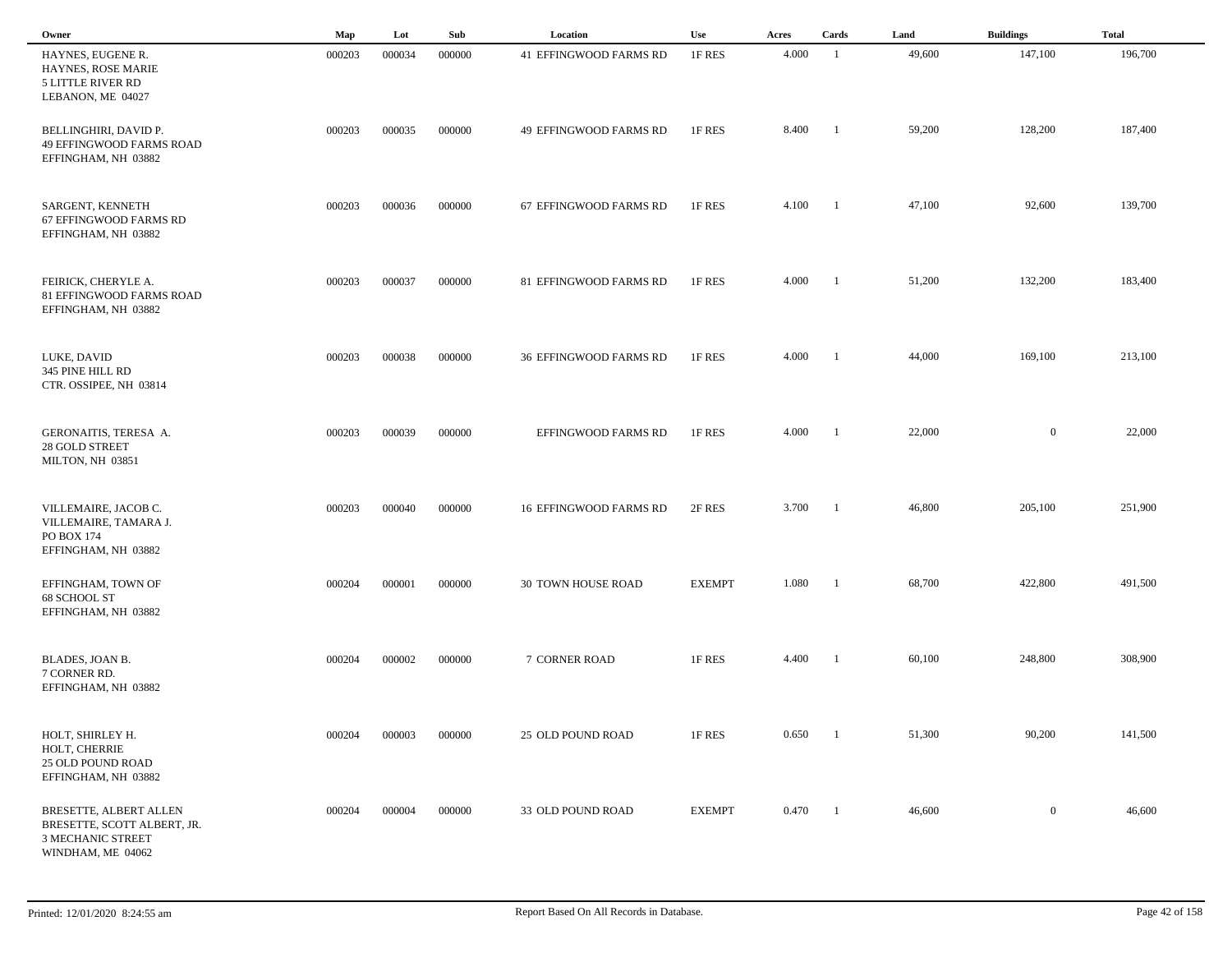| Owner                                                                                                  | Map    | Lot    | Sub    | Location                      | Use           | Acres | Cards                    | Land   | <b>Buildings</b> | <b>Total</b> |
|--------------------------------------------------------------------------------------------------------|--------|--------|--------|-------------------------------|---------------|-------|--------------------------|--------|------------------|--------------|
| HAYNES, EUGENE R.<br>HAYNES, ROSE MARIE<br><b>5 LITTLE RIVER RD</b><br>LEBANON, ME 04027               | 000203 | 000034 | 000000 | <b>41 EFFINGWOOD FARMS RD</b> | 1F RES        | 4.000 | - 1                      | 49,600 | 147,100          | 196,700      |
| BELLINGHIRI, DAVID P.<br>49 EFFINGWOOD FARMS ROAD<br>EFFINGHAM, NH 03882                               | 000203 | 000035 | 000000 | 49 EFFINGWOOD FARMS RD        | 1F RES        | 8.400 | - 1                      | 59,200 | 128,200          | 187,400      |
| SARGENT, KENNETH<br>67 EFFINGWOOD FARMS RD<br>EFFINGHAM, NH 03882                                      | 000203 | 000036 | 000000 | 67 EFFINGWOOD FARMS RD        | 1F RES        | 4.100 | $\overline{\phantom{a}}$ | 47,100 | 92,600           | 139,700      |
| FEIRICK, CHERYLE A.<br>81 EFFINGWOOD FARMS ROAD<br>EFFINGHAM, NH 03882                                 | 000203 | 000037 | 000000 | 81 EFFINGWOOD FARMS RD        | 1F RES        | 4.000 | $\overline{1}$           | 51,200 | 132,200          | 183,400      |
| LUKE, DAVID<br>345 PINE HILL RD<br>CTR. OSSIPEE, NH 03814                                              | 000203 | 000038 | 000000 | 36 EFFINGWOOD FARMS RD        | 1F RES        | 4.000 | $\blacksquare$           | 44,000 | 169,100          | 213,100      |
| GERONAITIS, TERESA A.<br><b>28 GOLD STREET</b><br>MILTON, NH 03851                                     | 000203 | 000039 | 000000 | EFFINGWOOD FARMS RD           | 1F RES        | 4.000 | $\overline{\phantom{a}}$ | 22,000 | $\overline{0}$   | 22,000       |
| VILLEMAIRE, JACOB C.<br>VILLEMAIRE, TAMARA J.<br>PO BOX 174<br>EFFINGHAM, NH 03882                     | 000203 | 000040 | 000000 | <b>16 EFFINGWOOD FARMS RD</b> | 2F RES        | 3.700 | - 1                      | 46,800 | 205,100          | 251,900      |
| EFFINGHAM, TOWN OF<br>68 SCHOOL ST<br>EFFINGHAM, NH 03882                                              | 000204 | 000001 | 000000 | 30 TOWN HOUSE ROAD            | <b>EXEMPT</b> | 1.080 | - 1                      | 68,700 | 422,800          | 491,500      |
| BLADES, JOAN B.<br>7 CORNER RD.<br>EFFINGHAM, NH 03882                                                 | 000204 | 000002 | 000000 | 7 CORNER ROAD                 | 1F RES        | 4.400 | $\overline{\phantom{a}}$ | 60,100 | 248,800          | 308,900      |
| HOLT, SHIRLEY H.<br>HOLT, CHERRIE<br>25 OLD POUND ROAD<br>EFFINGHAM, NH 03882                          | 000204 | 000003 | 000000 | 25 OLD POUND ROAD             | 1F RES        | 0.650 | $\overline{\phantom{a}}$ | 51,300 | 90,200           | 141,500      |
| BRESETTE, ALBERT ALLEN<br>BRESETTE, SCOTT ALBERT, JR.<br><b>3 MECHANIC STREET</b><br>WINDHAM, ME 04062 | 000204 | 000004 | 000000 | 33 OLD POUND ROAD             | <b>EXEMPT</b> | 0.470 | $\overline{1}$           | 46,600 | $\overline{0}$   | 46,600       |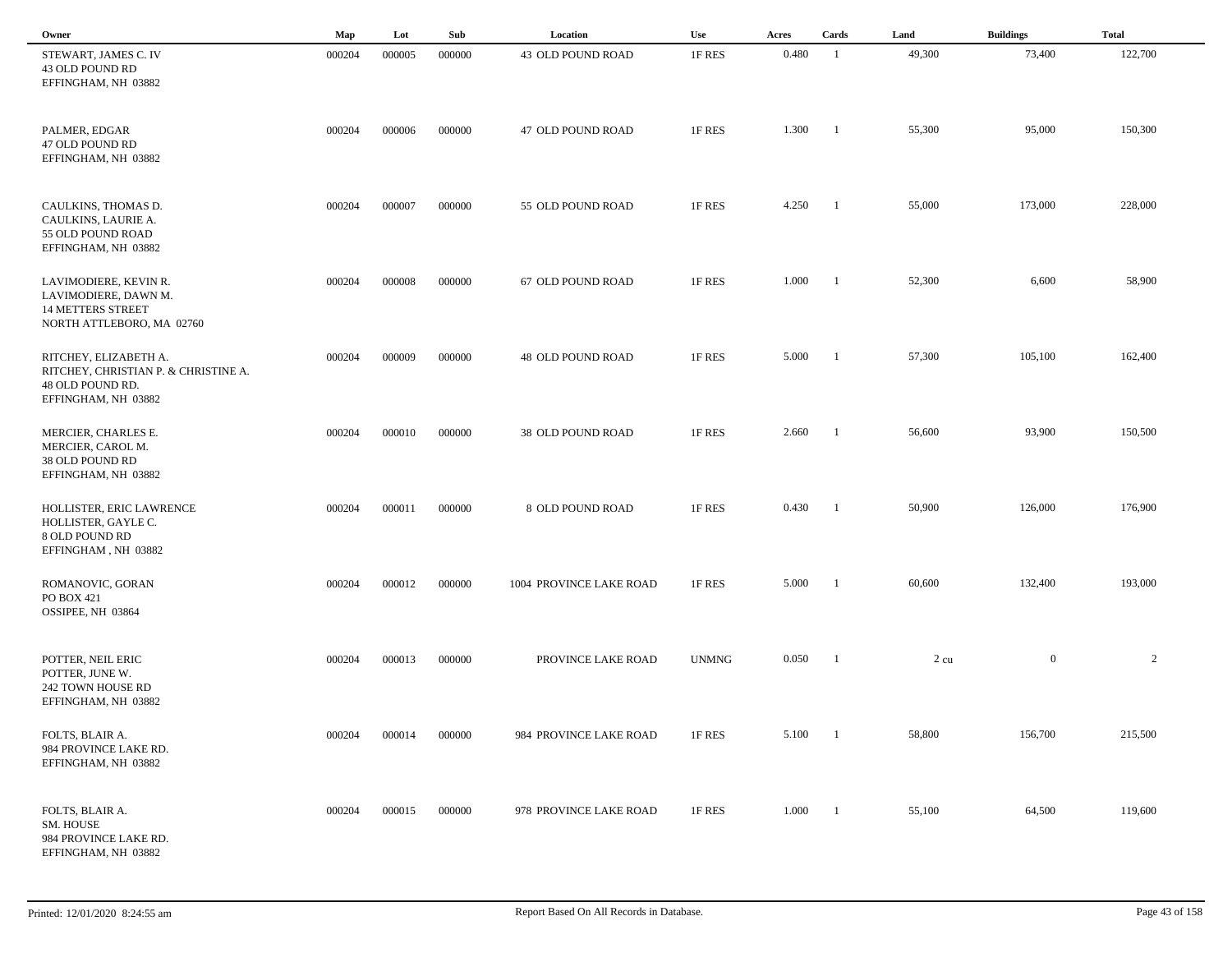| Owner                                                                                                    | Map    | Lot    | Sub    | Location                 | Use          | Acres | Cards                    | Land   | <b>Buildings</b> | <b>Total</b>   |
|----------------------------------------------------------------------------------------------------------|--------|--------|--------|--------------------------|--------------|-------|--------------------------|--------|------------------|----------------|
| STEWART, JAMES C. IV<br>43 OLD POUND RD<br>EFFINGHAM, NH 03882                                           | 000204 | 000005 | 000000 | 43 OLD POUND ROAD        | 1F RES       | 0.480 | -1                       | 49,300 | 73,400           | 122,700        |
| PALMER, EDGAR<br>47 OLD POUND RD<br>EFFINGHAM, NH 03882                                                  | 000204 | 000006 | 000000 | 47 OLD POUND ROAD        | 1F RES       | 1.300 | $\blacksquare$           | 55,300 | 95,000           | 150,300        |
| CAULKINS, THOMAS D.<br>CAULKINS, LAURIE A.<br>55 OLD POUND ROAD<br>EFFINGHAM, NH 03882                   | 000204 | 000007 | 000000 | 55 OLD POUND ROAD        | 1F RES       | 4.250 | - 1                      | 55,000 | 173,000          | 228,000        |
| LAVIMODIERE, KEVIN R.<br>LAVIMODIERE, DAWN M.<br><b>14 METTERS STREET</b><br>NORTH ATTLEBORO, MA 02760   | 000204 | 000008 | 000000 | 67 OLD POUND ROAD        | 1F RES       | 1.000 | - 1                      | 52,300 | 6,600            | 58,900         |
| RITCHEY, ELIZABETH A.<br>RITCHEY, CHRISTIAN P. & CHRISTINE A.<br>48 OLD POUND RD.<br>EFFINGHAM, NH 03882 | 000204 | 000009 | 000000 | <b>48 OLD POUND ROAD</b> | 1F RES       | 5.000 | $\blacksquare$           | 57,300 | 105,100          | 162,400        |
| MERCIER, CHARLES E.<br>MERCIER, CAROL M.<br>38 OLD POUND RD<br>EFFINGHAM, NH 03882                       | 000204 | 000010 | 000000 | 38 OLD POUND ROAD        | 1F RES       | 2.660 | -1                       | 56,600 | 93,900           | 150,500        |
| HOLLISTER, ERIC LAWRENCE<br>HOLLISTER, GAYLE C.<br>8 OLD POUND RD<br>EFFINGHAM, NH 03882                 | 000204 | 000011 | 000000 | 8 OLD POUND ROAD         | 1F RES       | 0.430 | -1                       | 50,900 | 126,000          | 176,900        |
| ROMANOVIC, GORAN<br>PO BOX 421<br>OSSIPEE, NH 03864                                                      | 000204 | 000012 | 000000 | 1004 PROVINCE LAKE ROAD  | 1F RES       | 5.000 |                          | 60,600 | 132,400          | 193,000        |
| POTTER, NEIL ERIC<br>POTTER, JUNE W.<br>242 TOWN HOUSE RD<br>EFFINGHAM, NH 03882                         | 000204 | 000013 | 000000 | PROVINCE LAKE ROAD       | <b>UNMNG</b> | 0.050 |                          | 2 cu   | $\boldsymbol{0}$ | $\overline{c}$ |
| FOLTS, BLAIR A.<br>984 PROVINCE LAKE RD.<br>EFFINGHAM, NH 03882                                          | 000204 | 000014 | 000000 | 984 PROVINCE LAKE ROAD   | 1F RES       | 5.100 | $\overline{\phantom{0}}$ | 58,800 | 156,700          | 215,500        |
| FOLTS, BLAIR A.<br>SM. HOUSE<br>984 PROVINCE LAKE RD.<br>EFFINGHAM, NH 03882                             | 000204 | 000015 | 000000 | 978 PROVINCE LAKE ROAD   | 1F RES       | 1.000 | $\blacksquare$           | 55,100 | 64,500           | 119,600        |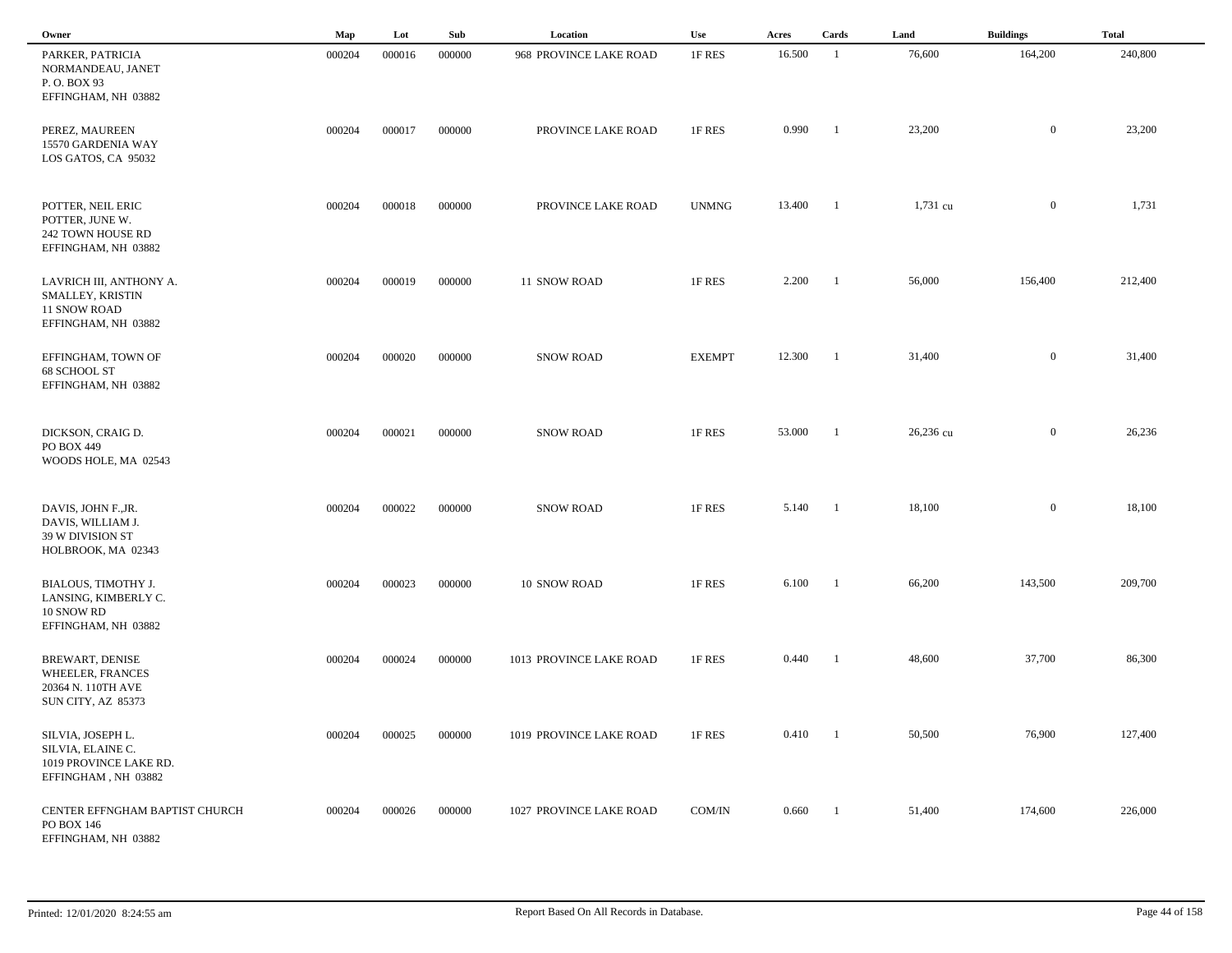| Owner                                                                                         | Map    | Lot    | Sub    | Location                | <b>Use</b>    | Acres  | Cards          | Land      | <b>Buildings</b> | <b>Total</b> |  |
|-----------------------------------------------------------------------------------------------|--------|--------|--------|-------------------------|---------------|--------|----------------|-----------|------------------|--------------|--|
| PARKER, PATRICIA<br>NORMANDEAU, JANET<br>P.O. BOX 93<br>EFFINGHAM, NH 03882                   | 000204 | 000016 | 000000 | 968 PROVINCE LAKE ROAD  | 1F RES        | 16.500 | -1             | 76,600    | 164,200          | 240,800      |  |
| PEREZ, MAUREEN<br>15570 GARDENIA WAY<br>LOS GATOS, CA 95032                                   | 000204 | 000017 | 000000 | PROVINCE LAKE ROAD      | 1F RES        | 0.990  | -1             | 23,200    | $\mathbf{0}$     | 23,200       |  |
| POTTER, NEIL ERIC<br>POTTER, JUNE W.<br>242 TOWN HOUSE RD<br>EFFINGHAM, NH 03882              | 000204 | 000018 | 000000 | PROVINCE LAKE ROAD      | <b>UNMNG</b>  | 13.400 | - 1            | 1,731 cu  | $\mathbf{0}$     | 1,731        |  |
| LAVRICH III, ANTHONY A.<br>SMALLEY, KRISTIN<br><b>11 SNOW ROAD</b><br>EFFINGHAM, NH 03882     | 000204 | 000019 | 000000 | 11 SNOW ROAD            | 1F RES        | 2.200  | $\blacksquare$ | 56,000    | 156,400          | 212,400      |  |
| EFFINGHAM, TOWN OF<br>68 SCHOOL ST<br>EFFINGHAM, NH 03882                                     | 000204 | 000020 | 000000 | <b>SNOW ROAD</b>        | <b>EXEMPT</b> | 12.300 | - 1            | 31,400    | $\overline{0}$   | 31,400       |  |
| DICKSON, CRAIG D.<br>PO BOX 449<br>WOODS HOLE, MA 02543                                       | 000204 | 000021 | 000000 | <b>SNOW ROAD</b>        | 1F RES        | 53.000 | -1             | 26,236 cu | $\mathbf{0}$     | 26,236       |  |
| DAVIS, JOHN F., JR.<br>DAVIS, WILLIAM J.<br>39 W DIVISION ST<br>HOLBROOK, MA 02343            | 000204 | 000022 | 000000 | <b>SNOW ROAD</b>        | 1F RES        | 5.140  | -1             | 18,100    | $\mathbf{0}$     | 18,100       |  |
| BIALOUS, TIMOTHY J.<br>LANSING, KIMBERLY C.<br>10 SNOW RD<br>EFFINGHAM, NH 03882              | 000204 | 000023 | 000000 | 10 SNOW ROAD            | 1F RES        | 6.100  | - 1            | 66,200    | 143,500          | 209,700      |  |
| BREWART, DENISE<br><b>WHEELER, FRANCES</b><br>20364 N. 110TH AVE<br><b>SUN CITY, AZ 85373</b> | 000204 | 000024 | 000000 | 1013 PROVINCE LAKE ROAD | 1F RES        | 0.440  | - 1            | 48,600    | 37,700           | 86,300       |  |
| SILVIA, JOSEPH L.<br>SILVIA, ELAINE C.<br>1019 PROVINCE LAKE RD.<br>EFFINGHAM, NH 03882       | 000204 | 000025 | 000000 | 1019 PROVINCE LAKE ROAD | 1F RES        | 0.410  | $\blacksquare$ | 50,500    | 76,900           | 127,400      |  |
| CENTER EFFNGHAM BAPTIST CHURCH<br>PO BOX 146<br>EFFINGHAM, NH 03882                           | 000204 | 000026 | 000000 | 1027 PROVINCE LAKE ROAD | COM/IN        | 0.660  | $\blacksquare$ | 51,400    | 174,600          | 226,000      |  |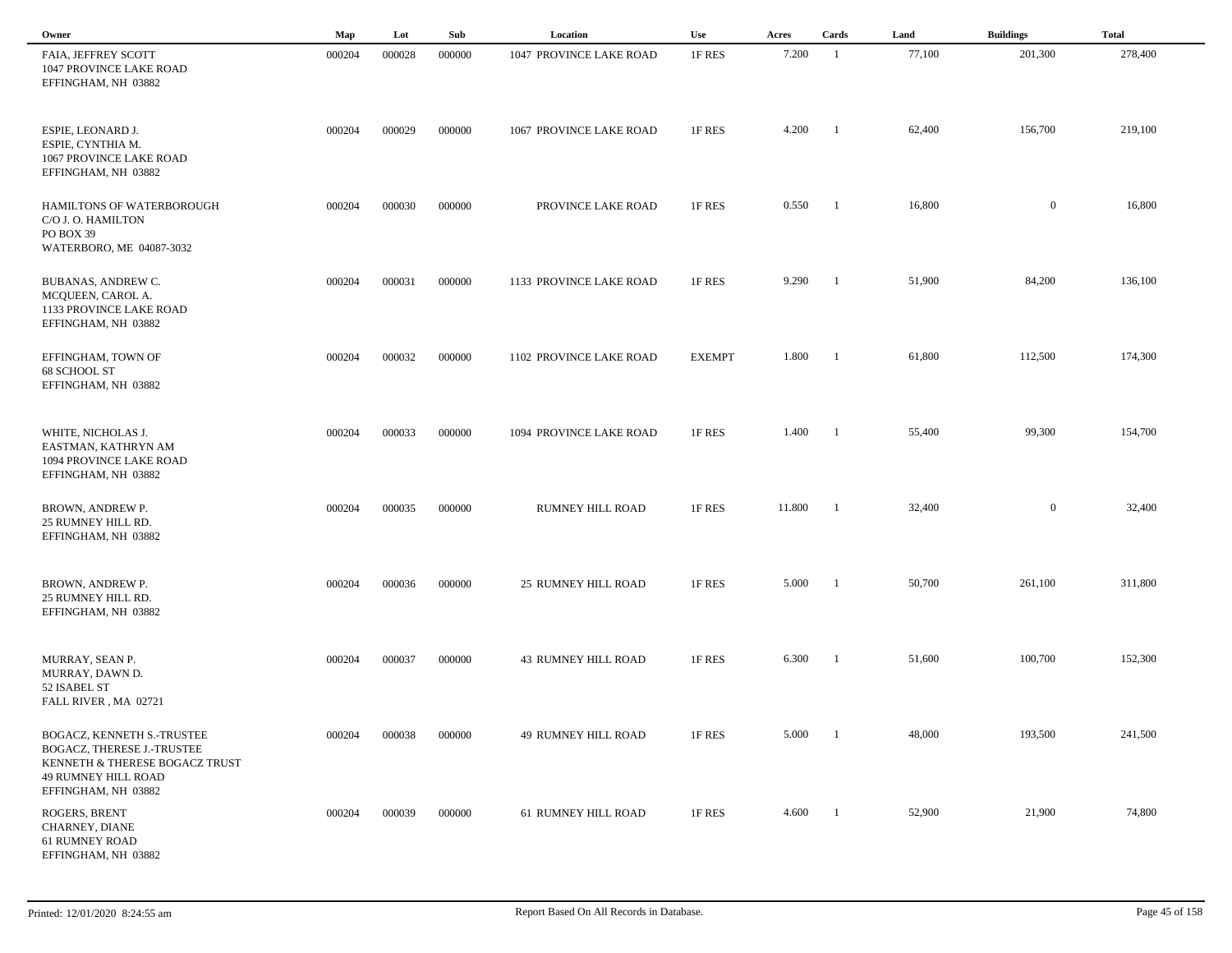| Owner                                                                                                                                    | Map    | Lot    | Sub    | Location                   | Use           | Acres  | Cards                    | Land   | <b>Buildings</b> | <b>Total</b> |
|------------------------------------------------------------------------------------------------------------------------------------------|--------|--------|--------|----------------------------|---------------|--------|--------------------------|--------|------------------|--------------|
| FAIA, JEFFREY SCOTT<br>1047 PROVINCE LAKE ROAD<br>EFFINGHAM, NH 03882                                                                    | 000204 | 000028 | 000000 | 1047 PROVINCE LAKE ROAD    | 1F RES        | 7.200  | $\overline{1}$           | 77,100 | 201,300          | 278,400      |
| ESPIE, LEONARD J.<br>ESPIE, CYNTHIA M.<br>1067 PROVINCE LAKE ROAD<br>EFFINGHAM, NH 03882                                                 | 000204 | 000029 | 000000 | 1067 PROVINCE LAKE ROAD    | 1F RES        | 4.200  | $\overline{\phantom{a}}$ | 62,400 | 156,700          | 219,100      |
| HAMILTONS OF WATERBOROUGH<br>C/O J. O. HAMILTON<br>PO BOX 39<br>WATERBORO, ME 04087-3032                                                 | 000204 | 000030 | 000000 | PROVINCE LAKE ROAD         | 1F RES        | 0.550  | - 1                      | 16,800 | $\overline{0}$   | 16,800       |
| BUBANAS, ANDREW C.<br>MCQUEEN, CAROL A.<br>1133 PROVINCE LAKE ROAD<br>EFFINGHAM, NH 03882                                                | 000204 | 000031 | 000000 | 1133 PROVINCE LAKE ROAD    | 1F RES        | 9.290  | $\overline{\phantom{a}}$ | 51,900 | 84,200           | 136,100      |
| EFFINGHAM, TOWN OF<br>68 SCHOOL ST<br>EFFINGHAM, NH 03882                                                                                | 000204 | 000032 | 000000 | 1102 PROVINCE LAKE ROAD    | <b>EXEMPT</b> | 1.800  | $\blacksquare$           | 61,800 | 112,500          | 174,300      |
| WHITE, NICHOLAS J.<br>EASTMAN, KATHRYN AM<br>1094 PROVINCE LAKE ROAD<br>EFFINGHAM, NH 03882                                              | 000204 | 000033 | 000000 | 1094 PROVINCE LAKE ROAD    | 1F RES        | 1.400  | $\blacksquare$           | 55,400 | 99,300           | 154,700      |
| BROWN, ANDREW P.<br>25 RUMNEY HILL RD.<br>EFFINGHAM, NH 03882                                                                            | 000204 | 000035 | 000000 | <b>RUMNEY HILL ROAD</b>    | 1F RES        | 11.800 | $\overline{\phantom{a}}$ | 32,400 | $\overline{0}$   | 32,400       |
| BROWN, ANDREW P.<br>25 RUMNEY HILL RD.<br>EFFINGHAM, NH 03882                                                                            | 000204 | 000036 | 000000 | <b>25 RUMNEY HILL ROAD</b> | 1F RES        | 5.000  | - 1                      | 50,700 | 261,100          | 311,800      |
| MURRAY, SEAN P.<br>MURRAY, DAWN D.<br>52 ISABEL ST<br>FALL RIVER, MA 02721                                                               | 000204 | 000037 | 000000 | <b>43 RUMNEY HILL ROAD</b> | 1F RES        | 6.300  | -1                       | 51,600 | 100,700          | 152,300      |
| BOGACZ, KENNETH S.-TRUSTEE<br>BOGACZ, THERESE J.-TRUSTEE<br>KENNETH & THERESE BOGACZ TRUST<br>49 RUMNEY HILL ROAD<br>EFFINGHAM, NH 03882 | 000204 | 000038 | 000000 | <b>49 RUMNEY HILL ROAD</b> | 1F RES        | 5.000  | $\overline{1}$           | 48,000 | 193,500          | 241,500      |
| ROGERS, BRENT<br>CHARNEY, DIANE<br>61 RUMNEY ROAD<br>EFFINGHAM, NH 03882                                                                 | 000204 | 000039 | 000000 | 61 RUMNEY HILL ROAD        | 1F RES        | 4.600  | $\blacksquare$           | 52,900 | 21,900           | 74,800       |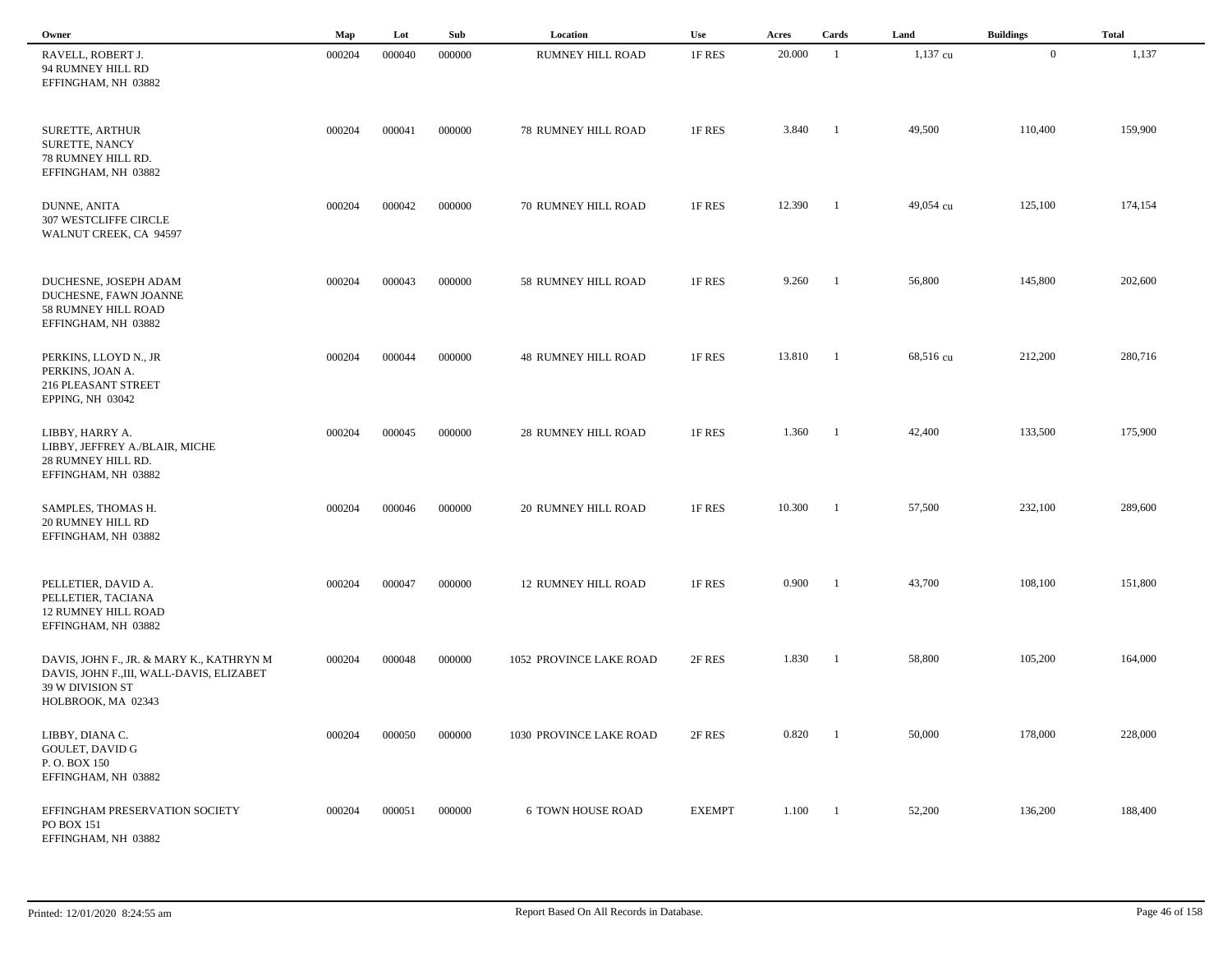| Owner                                                                                                                           | Map    | Lot    | Sub    | Location                   | Use           | Acres  | Cards                    | Land      | <b>Buildings</b> | <b>Total</b> |
|---------------------------------------------------------------------------------------------------------------------------------|--------|--------|--------|----------------------------|---------------|--------|--------------------------|-----------|------------------|--------------|
| RAVELL, ROBERT J.<br>94 RUMNEY HILL RD<br>EFFINGHAM, NH 03882                                                                   | 000204 | 000040 | 000000 | RUMNEY HILL ROAD           | 1F RES        | 20.000 | -1                       | 1,137 cu  | $\mathbf{0}$     | 1,137        |
| SURETTE, ARTHUR<br>SURETTE, NANCY<br>78 RUMNEY HILL RD.<br>EFFINGHAM, NH 03882                                                  | 000204 | 000041 | 000000 | <b>78 RUMNEY HILL ROAD</b> | 1F RES        | 3.840  | - 1                      | 49,500    | 110,400          | 159,900      |
| DUNNE, ANITA<br><b>307 WESTCLIFFE CIRCLE</b><br>WALNUT CREEK, CA 94597                                                          | 000204 | 000042 | 000000 | <b>70 RUMNEY HILL ROAD</b> | 1F RES        | 12.390 | $\blacksquare$           | 49,054 cu | 125,100          | 174,154      |
| DUCHESNE, JOSEPH ADAM<br>DUCHESNE, FAWN JOANNE<br>58 RUMNEY HILL ROAD<br>EFFINGHAM, NH 03882                                    | 000204 | 000043 | 000000 | 58 RUMNEY HILL ROAD        | 1F RES        | 9.260  | $\blacksquare$           | 56,800    | 145,800          | 202,600      |
| PERKINS, LLOYD N., JR<br>PERKINS, JOAN A.<br>216 PLEASANT STREET<br>EPPING, NH 03042                                            | 000204 | 000044 | 000000 | <b>48 RUMNEY HILL ROAD</b> | 1F RES        | 13.810 | $\blacksquare$           | 68,516 cu | 212,200          | 280,716      |
| LIBBY, HARRY A.<br>LIBBY, JEFFREY A./BLAIR, MICHE<br>28 RUMNEY HILL RD.<br>EFFINGHAM, NH 03882                                  | 000204 | 000045 | 000000 | <b>28 RUMNEY HILL ROAD</b> | 1F RES        | 1.360  | $\overline{\phantom{a}}$ | 42,400    | 133,500          | 175,900      |
| SAMPLES, THOMAS H.<br><b>20 RUMNEY HILL RD</b><br>EFFINGHAM, NH 03882                                                           | 000204 | 000046 | 000000 | <b>20 RUMNEY HILL ROAD</b> | 1F RES        | 10.300 | - 1                      | 57,500    | 232,100          | 289,600      |
| PELLETIER, DAVID A.<br>PELLETIER, TACIANA<br><b>12 RUMNEY HILL ROAD</b><br>EFFINGHAM, NH 03882                                  | 000204 | 000047 | 000000 | <b>12 RUMNEY HILL ROAD</b> | 1F RES        | 0.900  | $\mathbf{1}$             | 43,700    | 108,100          | 151,800      |
| DAVIS, JOHN F., JR. & MARY K., KATHRYN M<br>DAVIS, JOHN F., III, WALL-DAVIS, ELIZABET<br>39 W DIVISION ST<br>HOLBROOK, MA 02343 | 000204 | 000048 | 000000 | 1052 PROVINCE LAKE ROAD    | 2F RES        | 1.830  | $^{-1}$                  | 58,800    | 105,200          | 164,000      |
| LIBBY, DIANA C.<br><b>GOULET, DAVID G</b><br>P.O. BOX 150<br>EFFINGHAM, NH 03882                                                | 000204 | 000050 | 000000 | 1030 PROVINCE LAKE ROAD    | 2F RES        | 0.820  | $\overline{\phantom{0}}$ | 50,000    | 178,000          | 228,000      |
| EFFINGHAM PRESERVATION SOCIETY<br>PO BOX 151<br>EFFINGHAM, NH 03882                                                             | 000204 | 000051 | 000000 | <b>6 TOWN HOUSE ROAD</b>   | <b>EXEMPT</b> | 1.100  | $\blacksquare$           | 52,200    | 136,200          | 188,400      |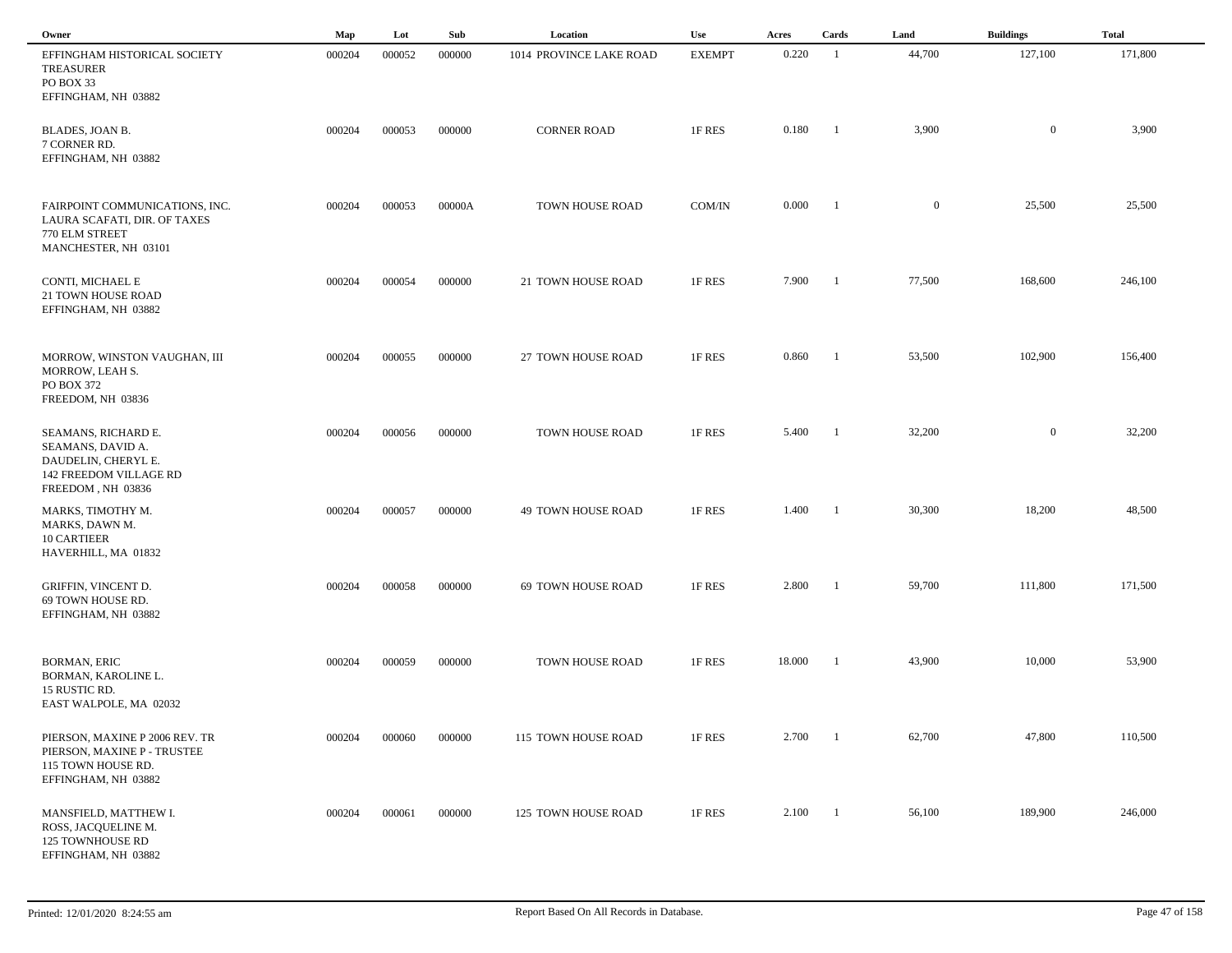| Owner                                                                                                          | Map    | Lot    | Sub    | Location                  | Use           | Acres  | Cards          | Land         | <b>Buildings</b> | <b>Total</b> |
|----------------------------------------------------------------------------------------------------------------|--------|--------|--------|---------------------------|---------------|--------|----------------|--------------|------------------|--------------|
| EFFINGHAM HISTORICAL SOCIETY<br><b>TREASURER</b><br>PO BOX 33<br>EFFINGHAM, NH 03882                           | 000204 | 000052 | 000000 | 1014 PROVINCE LAKE ROAD   | <b>EXEMPT</b> | 0.220  | -1             | 44,700       | 127,100          | 171,800      |
| BLADES, JOAN B.<br>7 CORNER RD.<br>EFFINGHAM, NH 03882                                                         | 000204 | 000053 | 000000 | <b>CORNER ROAD</b>        | 1F RES        | 0.180  | - 1            | 3,900        | $\mathbf{0}$     | 3,900        |
| FAIRPOINT COMMUNICATIONS, INC.<br>LAURA SCAFATI, DIR. OF TAXES<br>770 ELM STREET<br>MANCHESTER, NH 03101       | 000204 | 000053 | 00000A | TOWN HOUSE ROAD           | COM/IN        | 0.000  | - 1            | $\mathbf{0}$ | 25,500           | 25,500       |
| CONTI, MICHAEL E<br>21 TOWN HOUSE ROAD<br>EFFINGHAM, NH 03882                                                  | 000204 | 000054 | 000000 | 21 TOWN HOUSE ROAD        | 1F RES        | 7.900  | -1             | 77,500       | 168,600          | 246,100      |
| MORROW, WINSTON VAUGHAN, III<br>MORROW, LEAH S.<br>PO BOX 372<br>FREEDOM, NH 03836                             | 000204 | 000055 | 000000 | 27 TOWN HOUSE ROAD        | 1F RES        | 0.860  | $\blacksquare$ | 53,500       | 102,900          | 156,400      |
| SEAMANS, RICHARD E.<br>SEAMANS, DAVID A.<br>DAUDELIN, CHERYL E.<br>142 FREEDOM VILLAGE RD<br>FREEDOM, NH 03836 | 000204 | 000056 | 000000 | TOWN HOUSE ROAD           | 1F RES        | 5.400  | -1             | 32,200       | $\mathbf{0}$     | 32,200       |
| MARKS, TIMOTHY M.<br>MARKS, DAWN M.<br><b>10 CARTIEER</b><br>HAVERHILL, MA 01832                               | 000204 | 000057 | 000000 | <b>49 TOWN HOUSE ROAD</b> | 1F RES        | 1.400  | - 1            | 30,300       | 18,200           | 48,500       |
| GRIFFIN, VINCENT D.<br>69 TOWN HOUSE RD.<br>EFFINGHAM, NH 03882                                                | 000204 | 000058 | 000000 | 69 TOWN HOUSE ROAD        | 1F RES        | 2.800  | -1             | 59,700       | 111,800          | 171,500      |
| <b>BORMAN, ERIC</b><br>BORMAN, KAROLINE L.<br>15 RUSTIC RD.<br>EAST WALPOLE, MA 02032                          | 000204 | 000059 | 000000 | TOWN HOUSE ROAD           | 1F RES        | 18.000 | - 1            | 43,900       | 10,000           | 53,900       |
| PIERSON, MAXINE P 2006 REV. TR<br>PIERSON, MAXINE P - TRUSTEE<br>115 TOWN HOUSE RD.<br>EFFINGHAM, NH 03882     | 000204 | 000060 | 000000 | 115 TOWN HOUSE ROAD       | 1F RES        | 2.700  | - 1            | 62,700       | 47,800           | 110,500      |
| MANSFIELD, MATTHEW I.<br>ROSS, JACQUELINE M.<br>125 TOWNHOUSE RD<br>EFFINGHAM, NH 03882                        | 000204 | 000061 | 000000 | 125 TOWN HOUSE ROAD       | 1F RES        | 2.100  | $\blacksquare$ | 56,100       | 189,900          | 246,000      |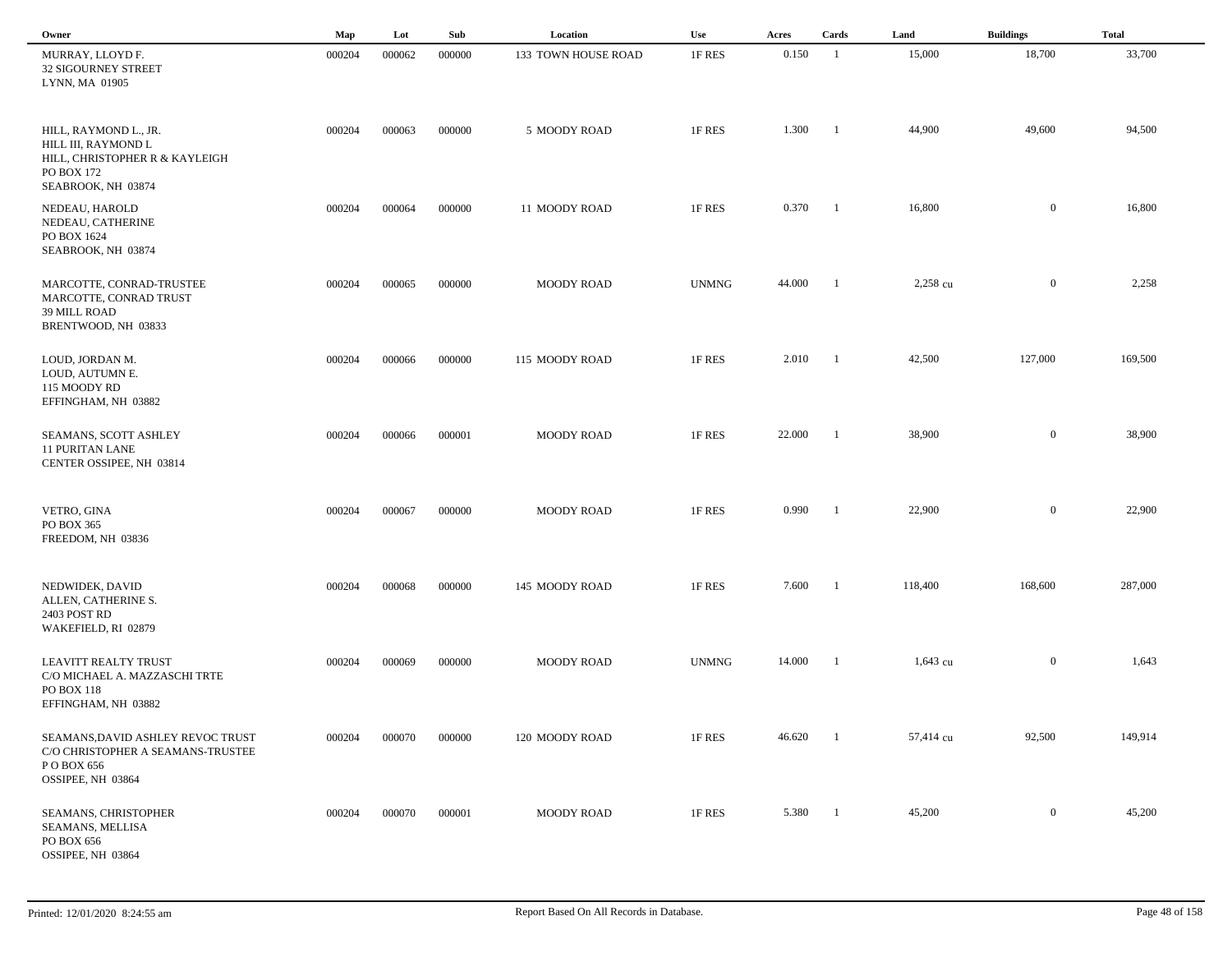| Owner                                                                                                              | Map    | Lot    | Sub    | Location            | Use          | Acres  | Cards                    | Land       | <b>Buildings</b> | <b>Total</b> |
|--------------------------------------------------------------------------------------------------------------------|--------|--------|--------|---------------------|--------------|--------|--------------------------|------------|------------------|--------------|
| MURRAY, LLOYD F.<br><b>32 SIGOURNEY STREET</b><br>LYNN, MA 01905                                                   | 000204 | 000062 | 000000 | 133 TOWN HOUSE ROAD | 1F RES       | 0.150  | $\overline{1}$           | 15,000     | 18,700           | 33,700       |
| HILL, RAYMOND L., JR.<br>HILL III, RAYMOND L<br>HILL, CHRISTOPHER R & KAYLEIGH<br>PO BOX 172<br>SEABROOK, NH 03874 | 000204 | 000063 | 000000 | 5 MOODY ROAD        | 1F RES       | 1.300  | $\overline{\phantom{0}}$ | 44,900     | 49,600           | 94,500       |
| NEDEAU, HAROLD<br>NEDEAU, CATHERINE<br>PO BOX 1624<br>SEABROOK, NH 03874                                           | 000204 | 000064 | 000000 | 11 MOODY ROAD       | 1F RES       | 0.370  | $\blacksquare$           | 16,800     | $\overline{0}$   | 16,800       |
| MARCOTTE, CONRAD-TRUSTEE<br>MARCOTTE, CONRAD TRUST<br>39 MILL ROAD<br>BRENTWOOD, NH 03833                          | 000204 | 000065 | 000000 | MOODY ROAD          | <b>UNMNG</b> | 44.000 | $\overline{\phantom{a}}$ | 2,258 cu   | $\overline{0}$   | 2,258        |
| LOUD, JORDAN M.<br>LOUD, AUTUMN E.<br>115 MOODY RD<br>EFFINGHAM, NH 03882                                          | 000204 | 000066 | 000000 | 115 MOODY ROAD      | 1F RES       | 2.010  | - 1                      | 42,500     | 127,000          | 169,500      |
| SEAMANS, SCOTT ASHLEY<br><b>11 PURITAN LANE</b><br>CENTER OSSIPEE, NH 03814                                        | 000204 | 000066 | 000001 | MOODY ROAD          | 1F RES       | 22.000 | - 1                      | 38,900     | $\boldsymbol{0}$ | 38,900       |
| VETRO, GINA<br>PO BOX 365<br>FREEDOM, NH 03836                                                                     | 000204 | 000067 | 000000 | <b>MOODY ROAD</b>   | 1F RES       | 0.990  | $^{-1}$                  | 22,900     | $\overline{0}$   | 22,900       |
| NEDWIDEK, DAVID<br>ALLEN, CATHERINE S.<br>2403 POST RD<br>WAKEFIELD, RI 02879                                      | 000204 | 000068 | 000000 | 145 MOODY ROAD      | 1F RES       | 7.600  | - 1                      | 118,400    | 168,600          | 287,000      |
| LEAVITT REALTY TRUST<br>C/O MICHAEL A. MAZZASCHI TRTE<br>PO BOX 118<br>EFFINGHAM, NH 03882                         | 000204 | 000069 | 000000 | MOODY ROAD          | <b>UNMNG</b> | 14.000 | - 1                      | $1,643$ cu | $\overline{0}$   | 1,643        |
| SEAMANS, DAVID ASHLEY REVOC TRUST<br>C/O CHRISTOPHER A SEAMANS-TRUSTEE<br>P O BOX 656<br>OSSIPEE, NH 03864         | 000204 | 000070 | 000000 | 120 MOODY ROAD      | 1F RES       | 46.620 | -1                       | 57,414 cu  | 92,500           | 149,914      |
| SEAMANS, CHRISTOPHER<br>SEAMANS, MELLISA<br>PO BOX 656<br>OSSIPEE, NH 03864                                        | 000204 | 000070 | 000001 | MOODY ROAD          | 1F RES       | 5.380  | $\blacksquare$           | 45,200     | $\overline{0}$   | 45,200       |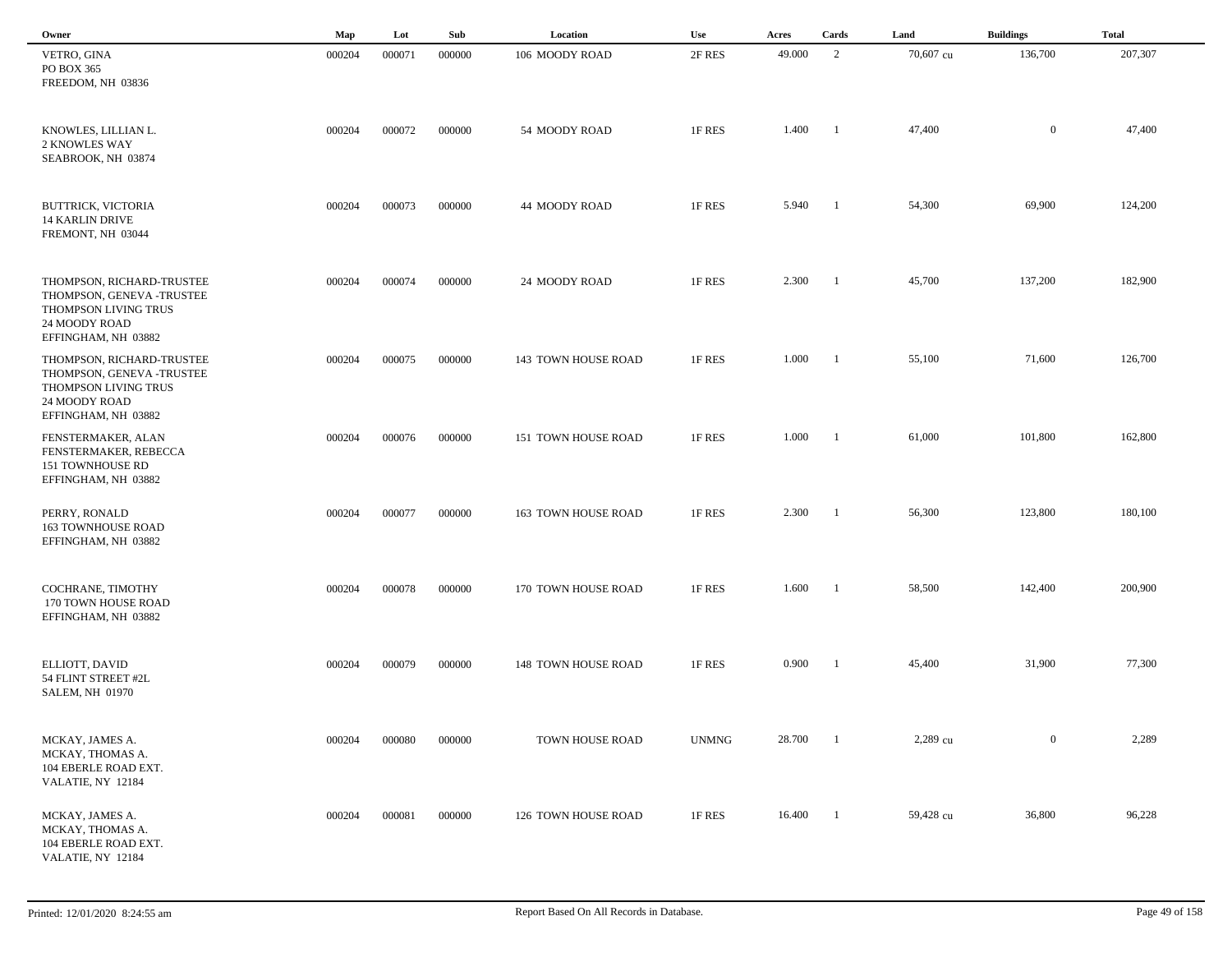| Owner                                                                                                                  | Map    | Lot    | Sub    | Location            | Use          | Acres  | Cards          | Land      | <b>Buildings</b> | <b>Total</b> |
|------------------------------------------------------------------------------------------------------------------------|--------|--------|--------|---------------------|--------------|--------|----------------|-----------|------------------|--------------|
| VETRO, GINA<br>PO BOX 365<br>FREEDOM, NH 03836                                                                         | 000204 | 000071 | 000000 | 106 MOODY ROAD      | 2F RES       | 49.000 | 2              | 70,607 cu | 136,700          | 207,307      |
| KNOWLES, LILLIAN L.<br>2 KNOWLES WAY<br>SEABROOK, NH 03874                                                             | 000204 | 000072 | 000000 | 54 MOODY ROAD       | 1F RES       | 1.400  | $\blacksquare$ | 47,400    | $\bf{0}$         | 47,400       |
| BUTTRICK, VICTORIA<br><b>14 KARLIN DRIVE</b><br>FREMONT, NH 03044                                                      | 000204 | 000073 | 000000 | 44 MOODY ROAD       | 1F RES       | 5.940  | $\blacksquare$ | 54,300    | 69,900           | 124,200      |
| THOMPSON, RICHARD-TRUSTEE<br>THOMPSON, GENEVA -TRUSTEE<br>THOMPSON LIVING TRUS<br>24 MOODY ROAD<br>EFFINGHAM, NH 03882 | 000204 | 000074 | 000000 | 24 MOODY ROAD       | 1F RES       | 2.300  | $\blacksquare$ | 45,700    | 137,200          | 182,900      |
| THOMPSON, RICHARD-TRUSTEE<br>THOMPSON, GENEVA -TRUSTEE<br>THOMPSON LIVING TRUS<br>24 MOODY ROAD<br>EFFINGHAM, NH 03882 | 000204 | 000075 | 000000 | 143 TOWN HOUSE ROAD | 1F RES       | 1.000  | $\blacksquare$ | 55,100    | 71,600           | 126,700      |
| FENSTERMAKER, ALAN<br>FENSTERMAKER, REBECCA<br>151 TOWNHOUSE RD<br>EFFINGHAM, NH 03882                                 | 000204 | 000076 | 000000 | 151 TOWN HOUSE ROAD | 1F RES       | 1.000  | - 1            | 61,000    | 101,800          | 162,800      |
| PERRY, RONALD<br><b>163 TOWNHOUSE ROAD</b><br>EFFINGHAM, NH 03882                                                      | 000204 | 000077 | 000000 | 163 TOWN HOUSE ROAD | 1F RES       | 2.300  | -1             | 56,300    | 123,800          | 180,100      |
| COCHRANE, TIMOTHY<br>170 TOWN HOUSE ROAD<br>EFFINGHAM, NH 03882                                                        | 000204 | 000078 | 000000 | 170 TOWN HOUSE ROAD | 1F RES       | 1.600  | $^{-1}$        | 58,500    | 142,400          | 200,900      |
| ELLIOTT, DAVID<br>54 FLINT STREET #2L<br><b>SALEM, NH 01970</b>                                                        | 000204 | 000079 | 000000 | 148 TOWN HOUSE ROAD | 1F RES       | 0.900  | $\blacksquare$ | 45,400    | 31,900           | 77,300       |
| MCKAY, JAMES A.<br>MCKAY, THOMAS A.<br>104 EBERLE ROAD EXT.<br>VALATIE, NY 12184                                       | 000204 | 000080 | 000000 | TOWN HOUSE ROAD     | <b>UNMNG</b> | 28.700 | $\blacksquare$ | 2,289 cu  | $\overline{0}$   | 2,289        |
| MCKAY, JAMES A.<br>MCKAY, THOMAS A.<br>104 EBERLE ROAD EXT.<br>VALATIE, NY 12184                                       | 000204 | 000081 | 000000 | 126 TOWN HOUSE ROAD | 1F RES       | 16.400 | $\mathbf{1}$   | 59,428 cu | 36,800           | 96,228       |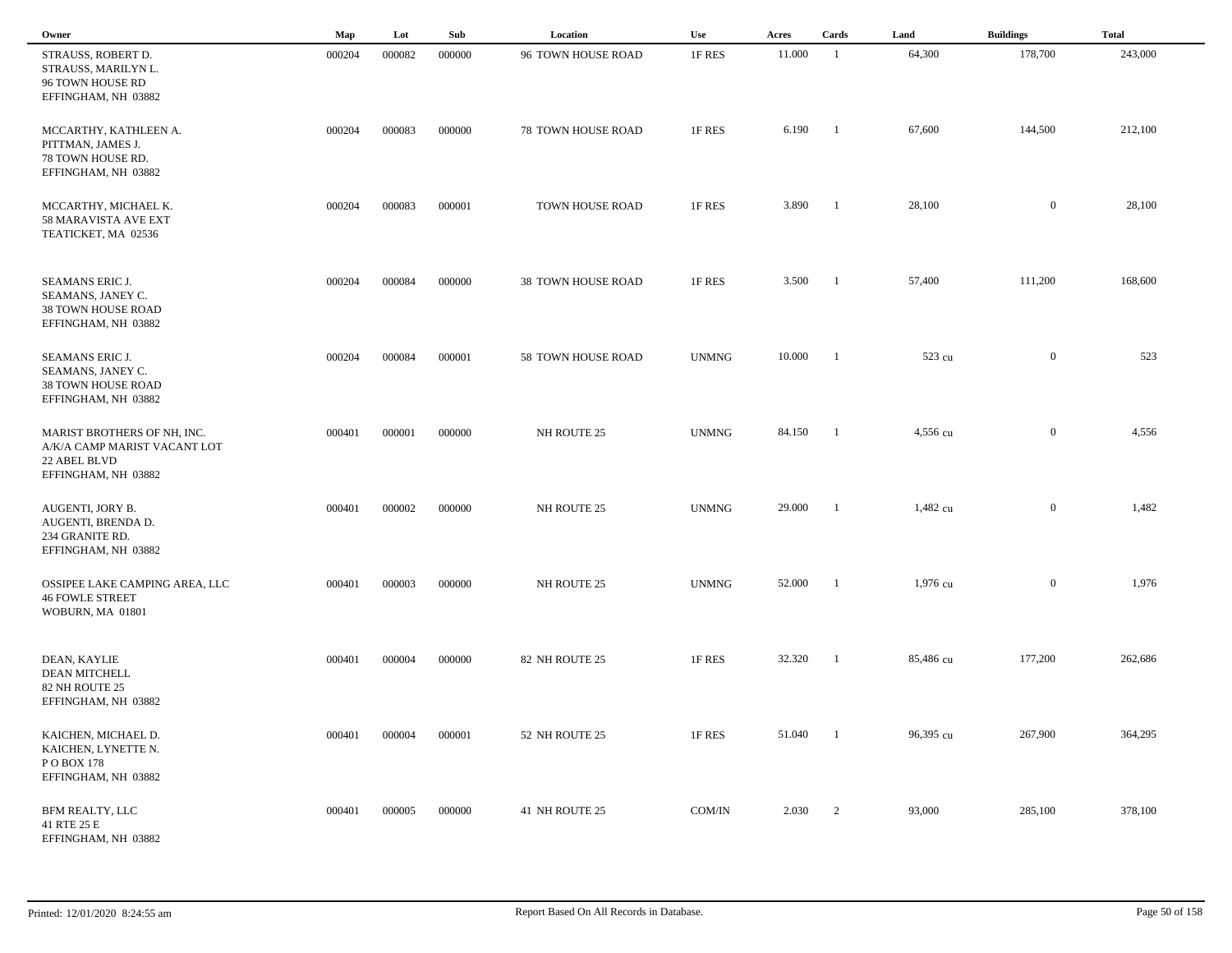| Owner                                                                                              | Map    | Lot    | Sub    | Location           | <b>Use</b>   | Acres  | Cards                    | Land      | <b>Buildings</b> | <b>Total</b> |  |
|----------------------------------------------------------------------------------------------------|--------|--------|--------|--------------------|--------------|--------|--------------------------|-----------|------------------|--------------|--|
| STRAUSS, ROBERT D.<br>STRAUSS, MARILYN L.<br>96 TOWN HOUSE RD<br>EFFINGHAM, NH 03882               | 000204 | 000082 | 000000 | 96 TOWN HOUSE ROAD | 1F RES       | 11.000 | -1                       | 64,300    | 178,700          | 243,000      |  |
| MCCARTHY, KATHLEEN A.<br>PITTMAN, JAMES J.<br>78 TOWN HOUSE RD.<br>EFFINGHAM, NH 03882             | 000204 | 000083 | 000000 | 78 TOWN HOUSE ROAD | 1F RES       | 6.190  | - 1                      | 67,600    | 144,500          | 212,100      |  |
| MCCARTHY, MICHAEL K.<br>58 MARAVISTA AVE EXT<br>TEATICKET, MA 02536                                | 000204 | 000083 | 000001 | TOWN HOUSE ROAD    | 1F RES       | 3.890  | $\blacksquare$           | 28,100    | $\mathbf{0}$     | 28,100       |  |
| SEAMANS ERIC J.<br>SEAMANS, JANEY C.<br>38 TOWN HOUSE ROAD<br>EFFINGHAM, NH 03882                  | 000204 | 000084 | 000000 | 38 TOWN HOUSE ROAD | 1F RES       | 3.500  | $\blacksquare$           | 57,400    | 111,200          | 168,600      |  |
| SEAMANS ERIC J.<br>SEAMANS, JANEY C.<br>38 TOWN HOUSE ROAD<br>EFFINGHAM, NH 03882                  | 000204 | 000084 | 000001 | 58 TOWN HOUSE ROAD | <b>UNMNG</b> | 10.000 | - 1                      | 523 cu    | $\mathbf{0}$     | 523          |  |
| MARIST BROTHERS OF NH, INC.<br>A/K/A CAMP MARIST VACANT LOT<br>22 ABEL BLVD<br>EFFINGHAM, NH 03882 | 000401 | 000001 | 000000 | NH ROUTE 25        | <b>UNMNG</b> | 84.150 | - 1                      | 4,556 cu  | $\mathbf{0}$     | 4,556        |  |
| AUGENTI, JORY B.<br>AUGENTI, BRENDA D.<br>234 GRANITE RD.<br>EFFINGHAM, NH 03882                   | 000401 | 000002 | 000000 | NH ROUTE 25        | <b>UNMNG</b> | 29.000 | -1                       | 1,482 cu  | $\overline{0}$   | 1,482        |  |
| OSSIPEE LAKE CAMPING AREA, LLC<br><b>46 FOWLE STREET</b><br>WOBURN, MA 01801                       | 000401 | 000003 | 000000 | NH ROUTE 25        | <b>UNMNG</b> | 52.000 | -1                       | 1,976 cu  | $\mathbf{0}$     | 1,976        |  |
| DEAN, KAYLIE<br><b>DEAN MITCHELL</b><br>82 NH ROUTE 25<br>EFFINGHAM, NH 03882                      | 000401 | 000004 | 000000 | 82 NH ROUTE 25     | 1F RES       | 32.320 | -1                       | 85,486 cu | 177,200          | 262,686      |  |
| KAICHEN, MICHAEL D.<br>KAICHEN, LYNETTE N.<br>P O BOX 178<br>EFFINGHAM, NH 03882                   | 000401 | 000004 | 000001 | 52 NH ROUTE 25     | 1F RES       | 51.040 | -1                       | 96,395 cu | 267,900          | 364,295      |  |
| BFM REALTY, LLC<br>41 RTE 25 E<br>EFFINGHAM, NH 03882                                              | 000401 | 000005 | 000000 | 41 NH ROUTE 25     | COM/IN       | 2.030  | $\overline{\phantom{a}}$ | 93,000    | 285,100          | 378,100      |  |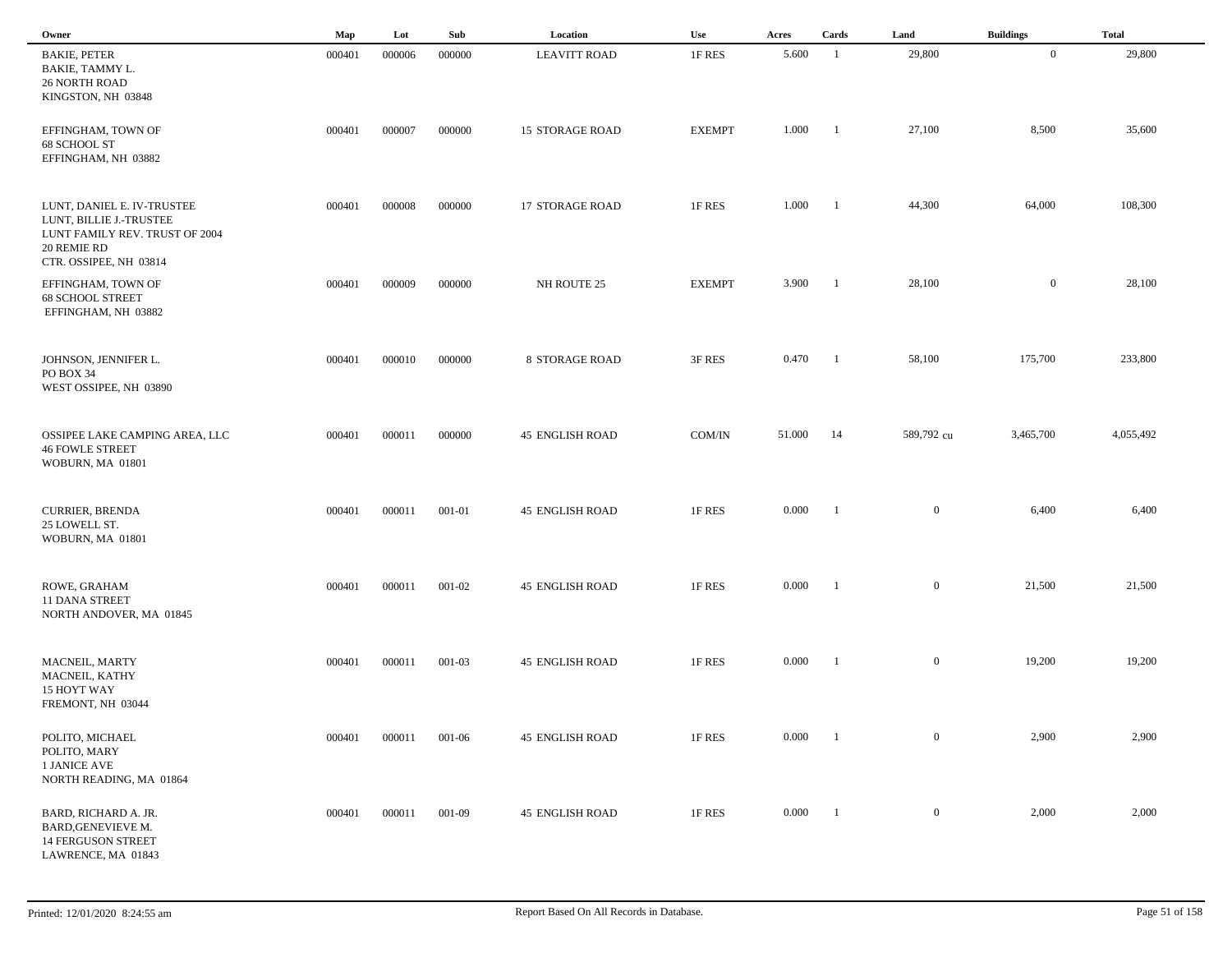| Owner                                                                                                                            | Map    | Lot    | Sub    | Location               | Use           | Acres  | Cards          | Land         | <b>Buildings</b> | <b>Total</b> |  |
|----------------------------------------------------------------------------------------------------------------------------------|--------|--------|--------|------------------------|---------------|--------|----------------|--------------|------------------|--------------|--|
| <b>BAKIE, PETER</b><br>BAKIE, TAMMY L.<br><b>26 NORTH ROAD</b><br>KINGSTON, NH 03848                                             | 000401 | 000006 | 000000 | <b>LEAVITT ROAD</b>    | 1F RES        | 5.600  | -1             | 29,800       | $\overline{0}$   | 29,800       |  |
| EFFINGHAM, TOWN OF<br>68 SCHOOL ST<br>EFFINGHAM, NH 03882                                                                        | 000401 | 000007 | 000000 | <b>15 STORAGE ROAD</b> | <b>EXEMPT</b> | 1.000  | - 1            | 27,100       | 8,500            | 35,600       |  |
| LUNT, DANIEL E. IV-TRUSTEE<br>LUNT, BILLIE J.-TRUSTEE<br>LUNT FAMILY REV. TRUST OF 2004<br>20 REMIE RD<br>CTR. OSSIPEE, NH 03814 | 000401 | 000008 | 000000 | 17 STORAGE ROAD        | 1F RES        | 1.000  | -1             | 44,300       | 64,000           | 108,300      |  |
| EFFINGHAM, TOWN OF<br><b>68 SCHOOL STREET</b><br>EFFINGHAM, NH 03882                                                             | 000401 | 000009 | 000000 | NH ROUTE 25            | <b>EXEMPT</b> | 3.900  | - 1            | 28,100       | $\overline{0}$   | 28,100       |  |
| JOHNSON, JENNIFER L.<br>PO BOX 34<br>WEST OSSIPEE, NH 03890                                                                      | 000401 | 000010 | 000000 | <b>8 STORAGE ROAD</b>  | 3F RES        | 0.470  | - 1            | 58,100       | 175,700          | 233,800      |  |
| OSSIPEE LAKE CAMPING AREA, LLC<br><b>46 FOWLE STREET</b><br>WOBURN, MA 01801                                                     | 000401 | 000011 | 000000 | <b>45 ENGLISH ROAD</b> | COM/IN        | 51.000 | 14             | 589,792 cu   | 3,465,700        | 4,055,492    |  |
| <b>CURRIER, BRENDA</b><br>25 LOWELL ST.<br>WOBURN, MA 01801                                                                      | 000401 | 000011 | 001-01 | <b>45 ENGLISH ROAD</b> | 1F RES        | 0.000  | - 1            | $\mathbf{0}$ | 6,400            | 6,400        |  |
| ROWE, GRAHAM<br><b>11 DANA STREET</b><br>NORTH ANDOVER, MA 01845                                                                 | 000401 | 000011 | 001-02 | <b>45 ENGLISH ROAD</b> | 1F RES        | 0.000  | - 1            | $\mathbf{0}$ | 21,500           | 21,500       |  |
| MACNEIL, MARTY<br>MACNEIL, KATHY<br>15 HOYT WAY<br>FREMONT, NH 03044                                                             | 000401 | 000011 | 001-03 | <b>45 ENGLISH ROAD</b> | 1F RES        | 0.000  | - 1            | $\mathbf{0}$ | 19,200           | 19,200       |  |
| POLITO, MICHAEL<br>POLITO, MARY<br>1 JANICE AVE<br>NORTH READING, MA 01864                                                       | 000401 | 000011 | 001-06 | <b>45 ENGLISH ROAD</b> | 1F RES        | 0.000  | - 1            | $\mathbf{0}$ | 2,900            | 2,900        |  |
| BARD, RICHARD A. JR.<br>BARD, GENEVIEVE M.<br><b>14 FERGUSON STREET</b><br>LAWRENCE, MA 01843                                    | 000401 | 000011 | 001-09 | <b>45 ENGLISH ROAD</b> | 1F RES        | 0.000  | $\blacksquare$ | $\mathbf{0}$ | 2,000            | 2,000        |  |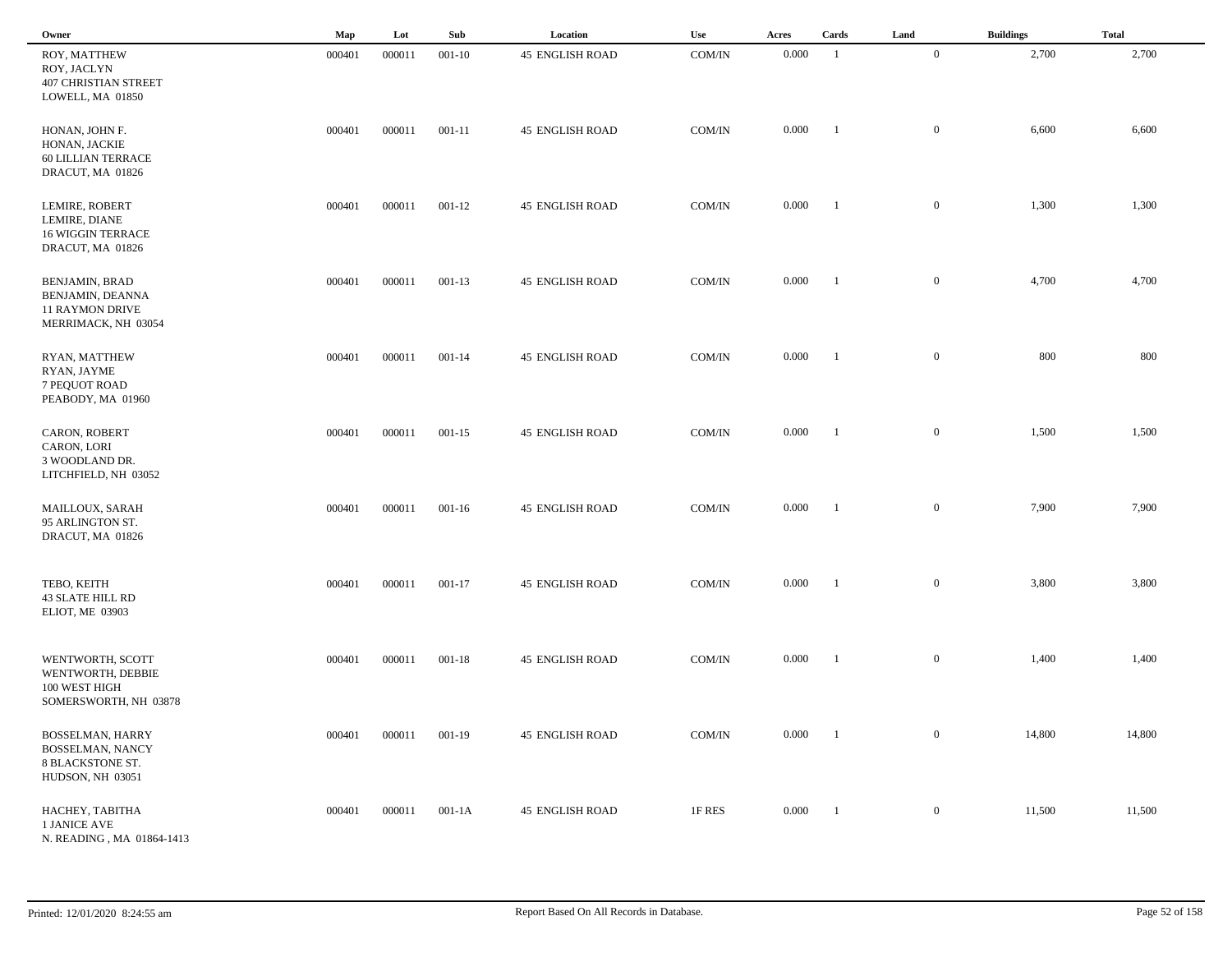| Owner                                                                                      | Map    | Lot    | Sub        | Location               | Use           | Acres     | Cards          | Land             | <b>Buildings</b> | <b>Total</b> |
|--------------------------------------------------------------------------------------------|--------|--------|------------|------------------------|---------------|-----------|----------------|------------------|------------------|--------------|
| ROY, MATTHEW<br>ROY, JACLYN<br><b>407 CHRISTIAN STREET</b><br>LOWELL, MA 01850             | 000401 | 000011 | $001 - 10$ | <b>45 ENGLISH ROAD</b> | COM/IN        | 0.000     | -1             | $\mathbf{0}$     | 2,700            | 2,700        |
| HONAN, JOHN F.<br>HONAN, JACKIE<br><b>60 LILLIAN TERRACE</b><br>DRACUT, MA 01826           | 000401 | 000011 | $001 - 11$ | <b>45 ENGLISH ROAD</b> | COM/IN        | 0.000     | -1             | $\mathbf{0}$     | 6,600            | 6,600        |
| LEMIRE, ROBERT<br>LEMIRE, DIANE<br><b>16 WIGGIN TERRACE</b><br>DRACUT, MA 01826            | 000401 | 000011 | $001 - 12$ | <b>45 ENGLISH ROAD</b> | COM/IN        | 0.000     | $\blacksquare$ | $\overline{0}$   | 1,300            | 1,300        |
| <b>BENJAMIN, BRAD</b><br>BENJAMIN, DEANNA<br><b>11 RAYMON DRIVE</b><br>MERRIMACK, NH 03054 | 000401 | 000011 | $001 - 13$ | <b>45 ENGLISH ROAD</b> | COM/IN        | 0.000     | $\blacksquare$ | $\mathbf{0}$     | 4,700            | 4,700        |
| RYAN, MATTHEW<br>RYAN, JAYME<br>7 PEQUOT ROAD<br>PEABODY, MA 01960                         | 000401 | 000011 | $001 - 14$ | <b>45 ENGLISH ROAD</b> | COM/IN        | 0.000     | $\blacksquare$ | $\mathbf{0}$     | 800              | 800          |
| CARON, ROBERT<br>CARON, LORI<br>3 WOODLAND DR.<br>LITCHFIELD, NH 03052                     | 000401 | 000011 | $001 - 15$ | <b>45 ENGLISH ROAD</b> | COM/IN        | 0.000     | $\blacksquare$ | $\mathbf{0}$     | 1,500            | 1,500        |
| MAILLOUX, SARAH<br>95 ARLINGTON ST.<br>DRACUT, MA 01826                                    | 000401 | 000011 | $001 - 16$ | <b>45 ENGLISH ROAD</b> | COM/IN        | 0.000     | -1             | $\mathbf{0}$     | 7,900            | 7,900        |
| TEBO, KEITH<br><b>43 SLATE HILL RD</b><br><b>ELIOT, ME 03903</b>                           | 000401 | 000011 | $001 - 17$ | <b>45 ENGLISH ROAD</b> | COM/IN        | 0.000     | - 1            | $\mathbf{0}$     | 3,800            | 3,800        |
| WENTWORTH, SCOTT<br>WENTWORTH, DEBBIE<br>100 WEST HIGH<br>SOMERSWORTH, NH 03878            | 000401 | 000011 | $001 - 18$ | <b>45 ENGLISH ROAD</b> | COM/IN        | 0.000     | - 1            | $\mathbf{0}$     | 1,400            | 1,400        |
| BOSSELMAN, HARRY<br>BOSSELMAN, NANCY<br>8 BLACKSTONE ST.<br>HUDSON, NH 03051               | 000401 | 000011 | 001-19     | <b>45 ENGLISH ROAD</b> | $\rm{COM/IN}$ | $0.000\,$ | $\blacksquare$ | $\overline{0}$   | 14,800           | 14,800       |
| HACHEY, TABITHA<br>1 JANICE AVE<br>N. READING, MA 01864-1413                               | 000401 | 000011 | $001-1A$   | <b>45 ENGLISH ROAD</b> | 1F RES        | 0.000     | $\blacksquare$ | $\boldsymbol{0}$ | 11,500           | 11,500       |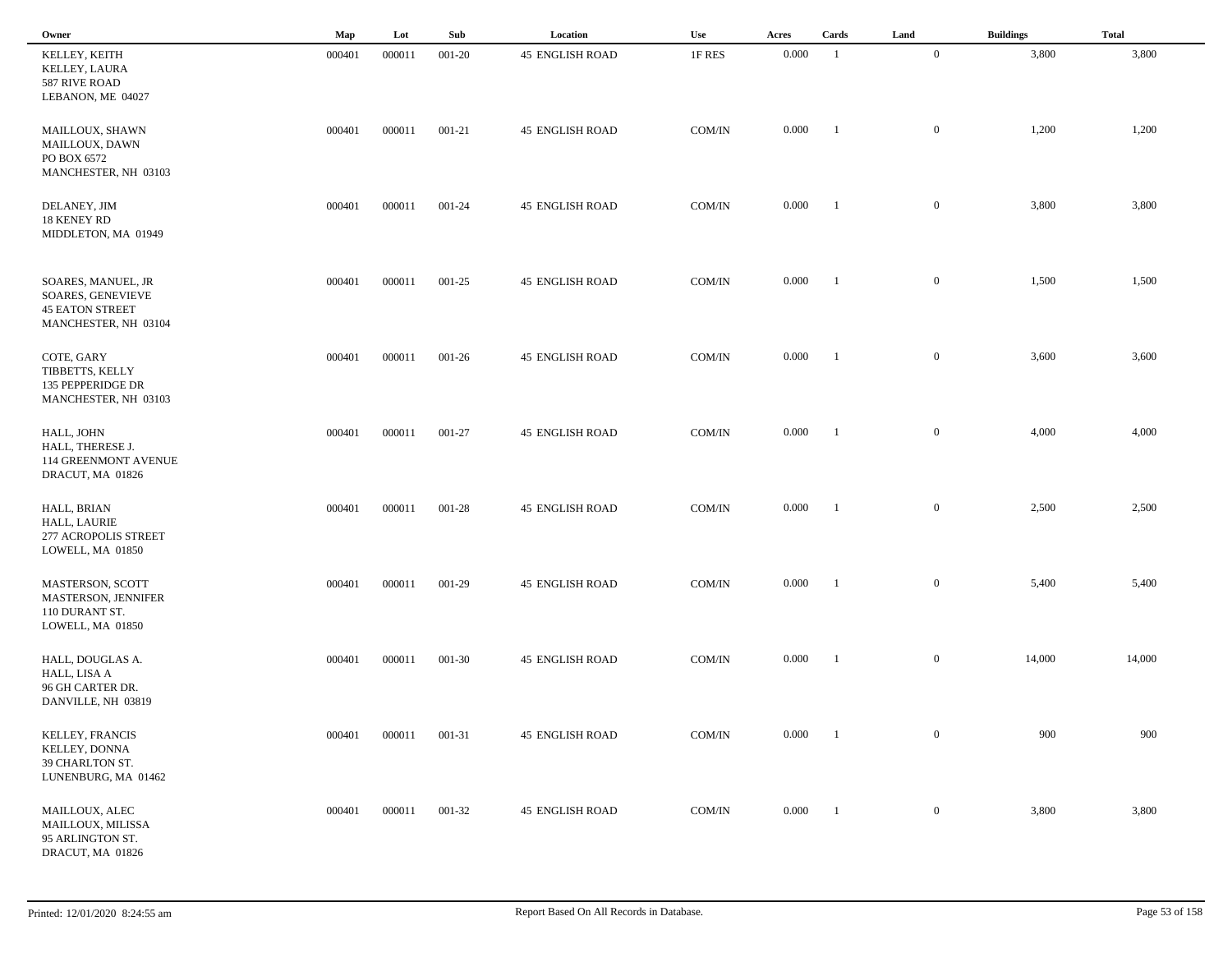| Owner                                                                                     | Map    | Lot    | Sub    | Location               | Use    | Acres | Cards                    | Land             | <b>Buildings</b> | <b>Total</b> |
|-------------------------------------------------------------------------------------------|--------|--------|--------|------------------------|--------|-------|--------------------------|------------------|------------------|--------------|
| KELLEY, KEITH<br>KELLEY, LAURA<br>587 RIVE ROAD<br>LEBANON, ME 04027                      | 000401 | 000011 | 001-20 | <b>45 ENGLISH ROAD</b> | 1F RES | 0.000 | - 1                      | $\mathbf{0}$     | 3,800            | 3,800        |
| MAILLOUX, SHAWN<br>MAILLOUX, DAWN<br>PO BOX 6572<br>MANCHESTER, NH 03103                  | 000401 | 000011 | 001-21 | <b>45 ENGLISH ROAD</b> | COM/IN | 0.000 | $\overline{\phantom{0}}$ | $\overline{0}$   | 1,200            | 1,200        |
| DELANEY, JIM<br><b>18 KENEY RD</b><br>MIDDLETON, MA 01949                                 | 000401 | 000011 | 001-24 | <b>45 ENGLISH ROAD</b> | COM/IN | 0.000 | $\overline{1}$           | $\mathbf{0}$     | 3,800            | 3,800        |
| SOARES, MANUEL, JR<br>SOARES, GENEVIEVE<br><b>45 EATON STREET</b><br>MANCHESTER, NH 03104 | 000401 | 000011 | 001-25 | <b>45 ENGLISH ROAD</b> | COM/IN | 0.000 | $\blacksquare$           | $\mathbf{0}$     | 1,500            | 1,500        |
| COTE, GARY<br>TIBBETTS, KELLY<br>135 PEPPERIDGE DR<br>MANCHESTER, NH 03103                | 000401 | 000011 | 001-26 | <b>45 ENGLISH ROAD</b> | COM/IN | 0.000 | $\blacksquare$           | $\overline{0}$   | 3,600            | 3,600        |
| HALL, JOHN<br>HALL, THERESE J.<br>114 GREENMONT AVENUE<br>DRACUT, MA 01826                | 000401 | 000011 | 001-27 | <b>45 ENGLISH ROAD</b> | COM/IN | 0.000 | $\overline{\phantom{a}}$ | $\overline{0}$   | 4,000            | 4,000        |
| HALL, BRIAN<br>HALL, LAURIE<br>277 ACROPOLIS STREET<br>LOWELL, MA 01850                   | 000401 | 000011 | 001-28 | <b>45 ENGLISH ROAD</b> | COM/IN | 0.000 | $^{-1}$                  | $\overline{0}$   | 2,500            | 2,500        |
| MASTERSON, SCOTT<br>MASTERSON, JENNIFER<br>110 DURANT ST.<br>LOWELL, MA 01850             | 000401 | 000011 | 001-29 | <b>45 ENGLISH ROAD</b> | COM/IN | 0.000 | - 1                      | $\mathbf{0}$     | 5,400            | 5,400        |
| HALL, DOUGLAS A.<br>HALL, LISA A<br>96 GH CARTER DR.<br>DANVILLE, NH 03819                | 000401 | 000011 | 001-30 | <b>45 ENGLISH ROAD</b> | COM/IN | 0.000 | - 1                      | $\mathbf{0}$     | 14,000           | 14,000       |
| KELLEY, FRANCIS<br>KELLEY, DONNA<br>39 CHARLTON ST.<br>LUNENBURG, MA 01462                | 000401 | 000011 | 001-31 | <b>45 ENGLISH ROAD</b> | COM/IN | 0.000 | $\overline{\phantom{a}}$ | $\boldsymbol{0}$ | 900              | 900          |
| MAILLOUX, ALEC<br>MAILLOUX, MILISSA<br>95 ARLINGTON ST.<br>DRACUT, MA 01826               | 000401 | 000011 | 001-32 | <b>45 ENGLISH ROAD</b> | COM/IN | 0.000 | $\blacksquare$           | $\boldsymbol{0}$ | 3,800            | 3,800        |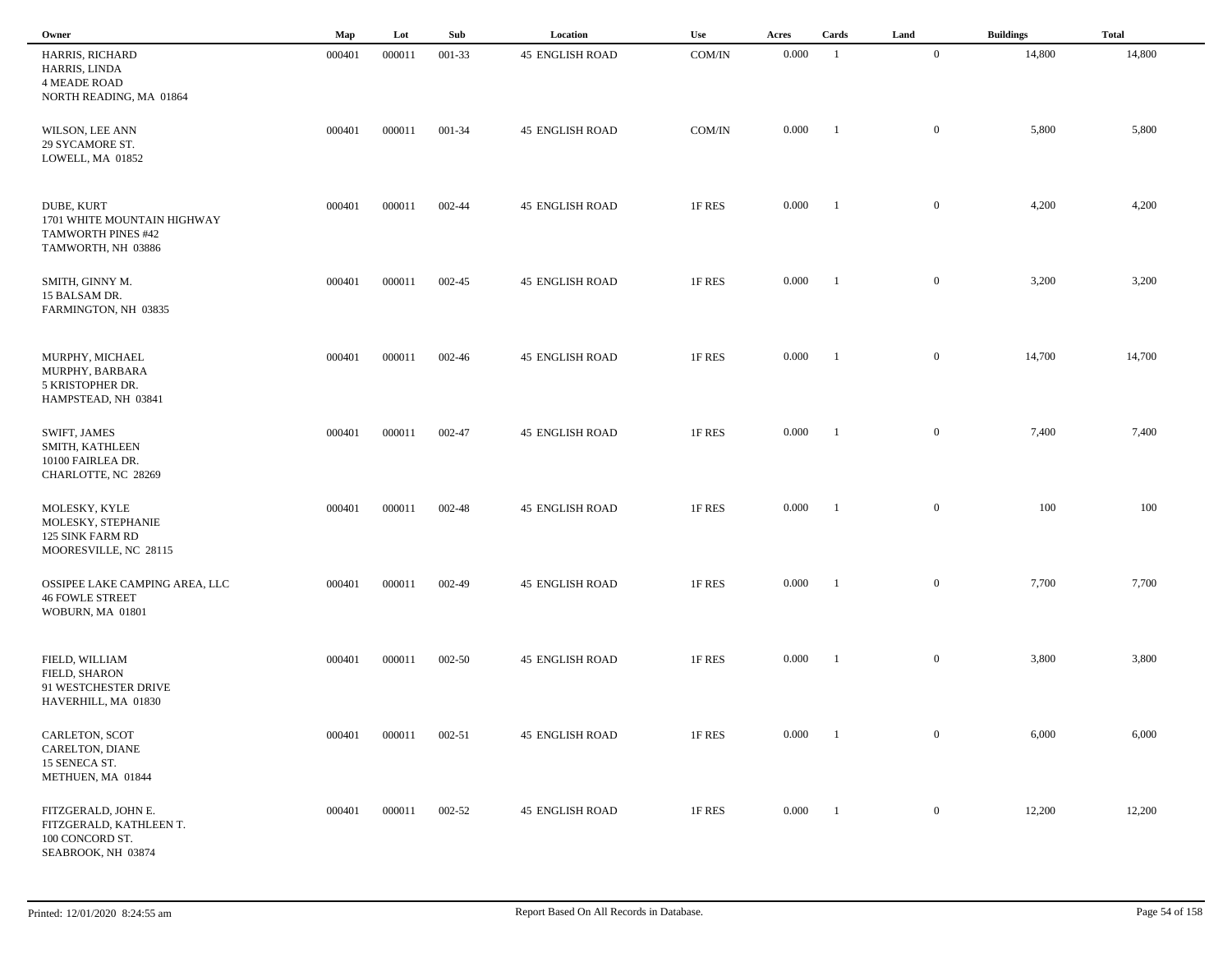| Owner                                                                                        | Map    | Lot    | Sub    | Location               | Use    | Acres | Cards          | Land           | <b>Buildings</b> | <b>Total</b> |
|----------------------------------------------------------------------------------------------|--------|--------|--------|------------------------|--------|-------|----------------|----------------|------------------|--------------|
| HARRIS, RICHARD<br>HARRIS, LINDA<br><b>4 MEADE ROAD</b><br>NORTH READING, MA 01864           | 000401 | 000011 | 001-33 | <b>45 ENGLISH ROAD</b> | COM/IN | 0.000 | -1             | $\overline{0}$ | 14,800           | 14,800       |
| WILSON, LEE ANN<br>29 SYCAMORE ST.<br>LOWELL, MA 01852                                       | 000401 | 000011 | 001-34 | <b>45 ENGLISH ROAD</b> | COM/IN | 0.000 | $\blacksquare$ | $\overline{0}$ | 5,800            | 5,800        |
| DUBE, KURT<br>1701 WHITE MOUNTAIN HIGHWAY<br><b>TAMWORTH PINES #42</b><br>TAMWORTH, NH 03886 | 000401 | 000011 | 002-44 | <b>45 ENGLISH ROAD</b> | 1F RES | 0.000 | -1             | $\overline{0}$ | 4,200            | 4,200        |
| SMITH, GINNY M.<br>15 BALSAM DR.<br>FARMINGTON, NH 03835                                     | 000401 | 000011 | 002-45 | <b>45 ENGLISH ROAD</b> | 1F RES | 0.000 | - 1            | $\mathbf{0}$   | 3,200            | 3,200        |
| MURPHY, MICHAEL<br>MURPHY, BARBARA<br>5 KRISTOPHER DR.<br>HAMPSTEAD, NH 03841                | 000401 | 000011 | 002-46 | <b>45 ENGLISH ROAD</b> | 1F RES | 0.000 | $\blacksquare$ | $\mathbf{0}$   | 14,700           | 14,700       |
| SWIFT, JAMES<br>SMITH, KATHLEEN<br>10100 FAIRLEA DR.<br>CHARLOTTE, NC 28269                  | 000401 | 000011 | 002-47 | <b>45 ENGLISH ROAD</b> | 1F RES | 0.000 | $\blacksquare$ | $\mathbf{0}$   | 7,400            | 7,400        |
| MOLESKY, KYLE<br>MOLESKY, STEPHANIE<br>125 SINK FARM RD<br>MOORESVILLE, NC 28115             | 000401 | 000011 | 002-48 | <b>45 ENGLISH ROAD</b> | 1F RES | 0.000 | - 1            | $\mathbf{0}$   | 100              | 100          |
| OSSIPEE LAKE CAMPING AREA, LLC<br><b>46 FOWLE STREET</b><br>WOBURN, MA 01801                 | 000401 | 000011 | 002-49 | <b>45 ENGLISH ROAD</b> | 1F RES | 0.000 |                | $\mathbf{0}$   | 7,700            | 7,700        |
| FIELD, WILLIAM<br>FIELD, SHARON<br>91 WESTCHESTER DRIVE<br>HAVERHILL, MA 01830               | 000401 | 000011 | 002-50 | <b>45 ENGLISH ROAD</b> | 1F RES | 0.000 |                | $\mathbf{0}$   | 3,800            | 3,800        |
| CARLETON, SCOT<br>CARELTON, DIANE<br>15 SENECA ST.<br>METHUEN, MA 01844                      | 000401 | 000011 | 002-51 | <b>45 ENGLISH ROAD</b> | 1F RES | 0.000 | $\blacksquare$ | $\overline{0}$ | 6,000            | 6,000        |
| FITZGERALD, JOHN E.<br>FITZGERALD, KATHLEEN T.<br>100 CONCORD ST.<br>SEABROOK, NH 03874      | 000401 | 000011 | 002-52 | <b>45 ENGLISH ROAD</b> | 1F RES | 0.000 | $\blacksquare$ | $\overline{0}$ | 12,200           | 12,200       |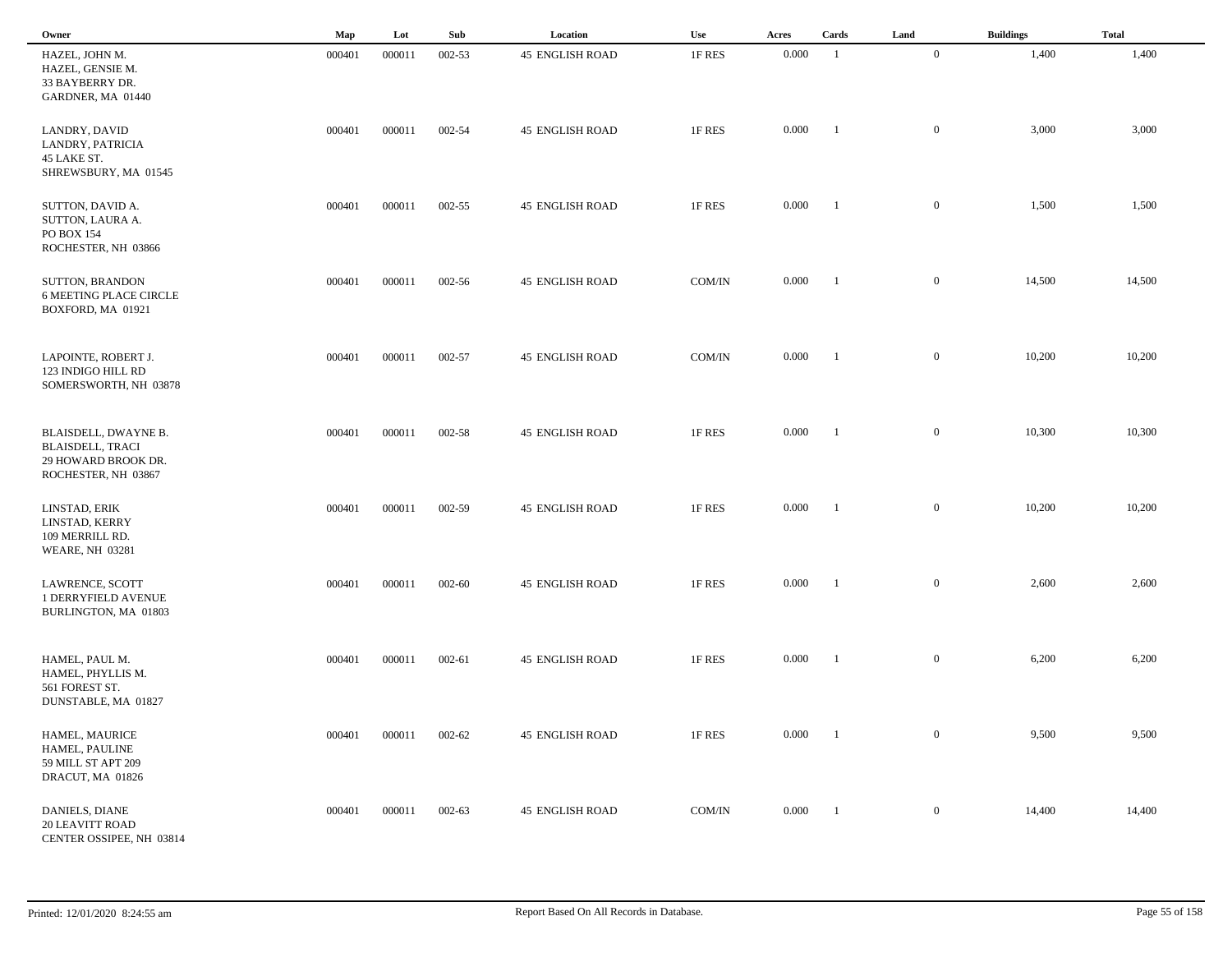| Owner                                                                                         | Map    | Lot    | Sub        | Location               | Use    | Acres     | Cards          | Land             | <b>Buildings</b> | <b>Total</b> |  |
|-----------------------------------------------------------------------------------------------|--------|--------|------------|------------------------|--------|-----------|----------------|------------------|------------------|--------------|--|
| HAZEL, JOHN M.<br>HAZEL, GENSIE M.<br>33 BAYBERRY DR.<br>GARDNER, MA 01440                    | 000401 | 000011 | 002-53     | <b>45 ENGLISH ROAD</b> | 1F RES | 0.000     | $\overline{1}$ | $\mathbf{0}$     | 1,400            | 1,400        |  |
| LANDRY, DAVID<br>LANDRY, PATRICIA<br>45 LAKE ST.<br>SHREWSBURY, MA 01545                      | 000401 | 000011 | 002-54     | <b>45 ENGLISH ROAD</b> | 1F RES | 0.000     | -1             | $\mathbf{0}$     | 3,000            | 3,000        |  |
| SUTTON, DAVID A.<br>SUTTON, LAURA A.<br>PO BOX 154<br>ROCHESTER, NH 03866                     | 000401 | 000011 | 002-55     | <b>45 ENGLISH ROAD</b> | 1F RES | 0.000     | $\blacksquare$ | $\overline{0}$   | 1,500            | 1,500        |  |
| SUTTON, BRANDON<br><b>6 MEETING PLACE CIRCLE</b><br>BOXFORD, MA 01921                         | 000401 | 000011 | 002-56     | <b>45 ENGLISH ROAD</b> | COM/IN | 0.000     | $\blacksquare$ | $\mathbf{0}$     | 14,500           | 14,500       |  |
| LAPOINTE, ROBERT J.<br>123 INDIGO HILL RD<br>SOMERSWORTH, NH 03878                            | 000401 | 000011 | 002-57     | <b>45 ENGLISH ROAD</b> | COM/IN | 0.000     | $\blacksquare$ | $\mathbf{0}$     | 10,200           | 10,200       |  |
| BLAISDELL, DWAYNE B.<br><b>BLAISDELL, TRACI</b><br>29 HOWARD BROOK DR.<br>ROCHESTER, NH 03867 | 000401 | 000011 | 002-58     | <b>45 ENGLISH ROAD</b> | 1F RES | 0.000     | $\blacksquare$ | $\mathbf{0}$     | 10,300           | 10,300       |  |
| LINSTAD, ERIK<br>LINSTAD, KERRY<br>109 MERRILL RD.<br><b>WEARE, NH 03281</b>                  | 000401 | 000011 | 002-59     | <b>45 ENGLISH ROAD</b> | 1F RES | 0.000     | -1             | $\mathbf{0}$     | 10,200           | 10,200       |  |
| LAWRENCE, SCOTT<br>1 DERRYFIELD AVENUE<br>BURLINGTON, MA 01803                                | 000401 | 000011 | 002-60     | <b>45 ENGLISH ROAD</b> | 1F RES | 0.000     | - 1            | $\mathbf{0}$     | 2,600            | 2,600        |  |
| HAMEL, PAUL M.<br>HAMEL, PHYLLIS M.<br>561 FOREST ST.<br>DUNSTABLE, MA 01827                  | 000401 | 000011 | 002-61     | <b>45 ENGLISH ROAD</b> | 1F RES | 0.000     | - 1            | $\mathbf{0}$     | 6,200            | 6,200        |  |
| HAMEL, MAURICE<br>HAMEL, PAULINE<br>59 MILL ST APT 209<br>DRACUT, MA 01826                    | 000401 | 000011 | 002-62     | <b>45 ENGLISH ROAD</b> | 1F RES | $0.000\,$ | $\blacksquare$ | $\overline{0}$   | 9,500            | 9,500        |  |
| DANIELS, DIANE<br><b>20 LEAVITT ROAD</b><br>CENTER OSSIPEE, NH 03814                          | 000401 | 000011 | $002 - 63$ | <b>45 ENGLISH ROAD</b> | COM/IN | 0.000     | $\blacksquare$ | $\boldsymbol{0}$ | 14,400           | 14,400       |  |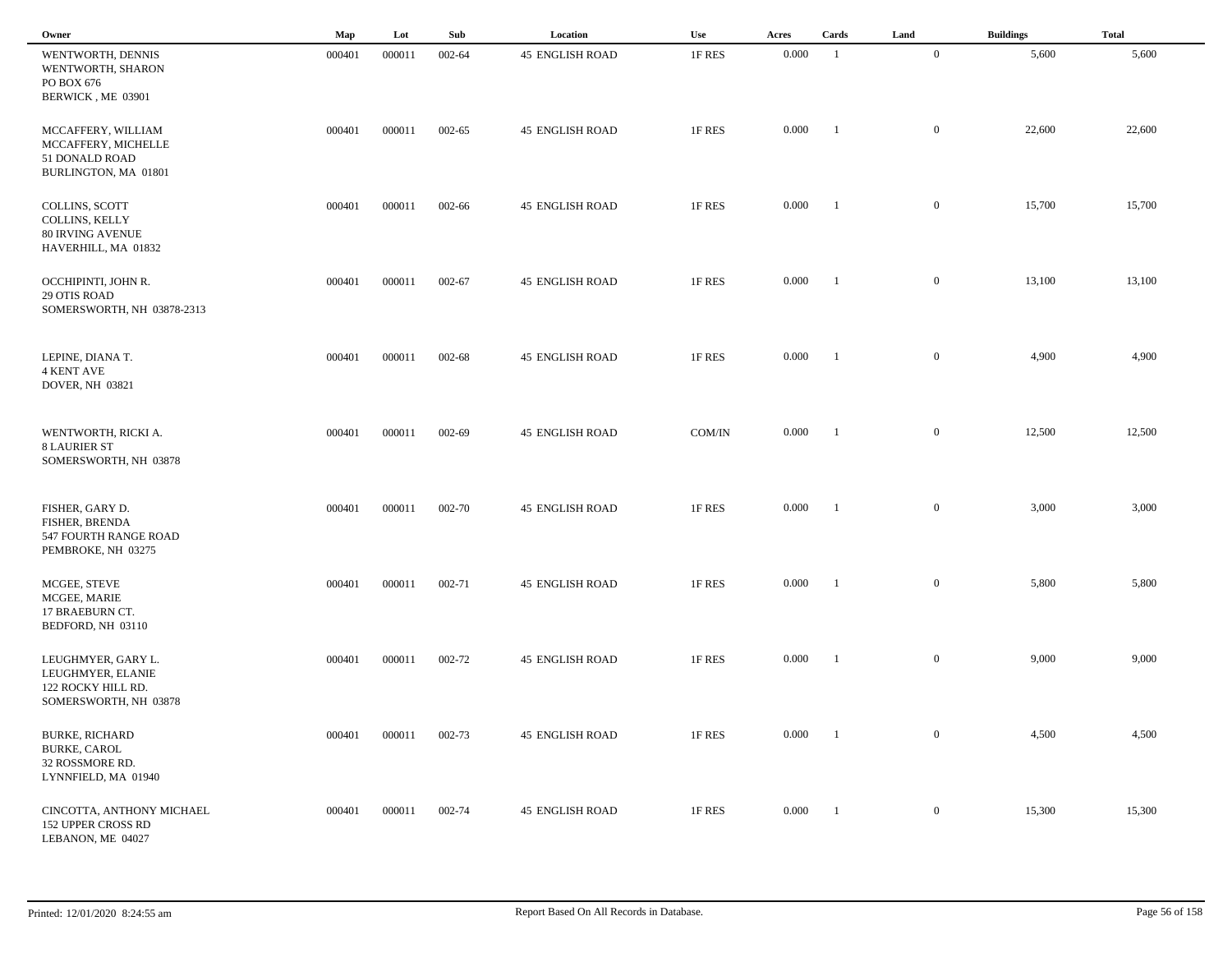| Owner                                                                                  | Map    | Lot    | Sub        | Location               | Use    | Acres | Cards                    | Land           | <b>Buildings</b> | <b>Total</b> |
|----------------------------------------------------------------------------------------|--------|--------|------------|------------------------|--------|-------|--------------------------|----------------|------------------|--------------|
| WENTWORTH, DENNIS<br>WENTWORTH, SHARON<br>PO BOX 676<br>BERWICK, ME 03901              | 000401 | 000011 | 002-64     | <b>45 ENGLISH ROAD</b> | 1F RES | 0.000 | -1                       | $\overline{0}$ | 5,600            | 5,600        |
| MCCAFFERY, WILLIAM<br>MCCAFFERY, MICHELLE<br>51 DONALD ROAD<br>BURLINGTON, MA 01801    | 000401 | 000011 | 002-65     | <b>45 ENGLISH ROAD</b> | 1F RES | 0.000 | $\overline{1}$           | $\overline{0}$ | 22,600           | 22,600       |
| COLLINS, SCOTT<br>COLLINS, KELLY<br><b>80 IRVING AVENUE</b><br>HAVERHILL, MA 01832     | 000401 | 000011 | 002-66     | <b>45 ENGLISH ROAD</b> | 1F RES | 0.000 | $\blacksquare$           | $\mathbf{0}$   | 15,700           | 15,700       |
| OCCHIPINTI, JOHN R.<br><b>29 OTIS ROAD</b><br>SOMERSWORTH, NH 03878-2313               | 000401 | 000011 | $002 - 67$ | <b>45 ENGLISH ROAD</b> | 1F RES | 0.000 | $\overline{\phantom{a}}$ | $\overline{0}$ | 13,100           | 13,100       |
| LEPINE, DIANA T.<br><b>4 KENT AVE</b><br><b>DOVER, NH 03821</b>                        | 000401 | 000011 | 002-68     | <b>45 ENGLISH ROAD</b> | 1F RES | 0.000 | $\blacksquare$           | $\overline{0}$ | 4,900            | 4,900        |
| WENTWORTH, RICKI A.<br><b>8 LAURIER ST</b><br>SOMERSWORTH, NH 03878                    | 000401 | 000011 | 002-69     | <b>45 ENGLISH ROAD</b> | COM/IN | 0.000 | $\blacksquare$           | $\mathbf{0}$   | 12,500           | 12,500       |
| FISHER, GARY D.<br>FISHER, BRENDA<br>547 FOURTH RANGE ROAD<br>PEMBROKE, NH 03275       | 000401 | 000011 | 002-70     | <b>45 ENGLISH ROAD</b> | 1F RES | 0.000 | - 1                      | $\mathbf{0}$   | 3,000            | 3,000        |
| MCGEE, STEVE<br>MCGEE, MARIE<br>17 BRAEBURN CT.<br>BEDFORD, NH 03110                   | 000401 | 000011 | 002-71     | <b>45 ENGLISH ROAD</b> | 1F RES | 0.000 | $^{-1}$                  | $\mathbf{0}$   | 5,800            | 5,800        |
| LEUGHMYER, GARY L.<br>LEUGHMYER, ELANIE<br>122 ROCKY HILL RD.<br>SOMERSWORTH, NH 03878 | 000401 | 000011 | 002-72     | <b>45 ENGLISH ROAD</b> | 1F RES | 0.000 | $\blacksquare$           | $\mathbf{0}$   | 9,000            | 9,000        |
| <b>BURKE, RICHARD</b><br><b>BURKE, CAROL</b><br>32 ROSSMORE RD.<br>LYNNFIELD, MA 01940 | 000401 | 000011 | 002-73     | <b>45 ENGLISH ROAD</b> | 1F RES | 0.000 | $\blacksquare$           | $\mathbf{0}$   | 4,500            | 4,500        |
| CINCOTTA, ANTHONY MICHAEL<br><b>152 UPPER CROSS RD</b><br>LEBANON, ME 04027            | 000401 | 000011 | 002-74     | <b>45 ENGLISH ROAD</b> | 1F RES | 0.000 | $\blacksquare$           | $\overline{0}$ | 15,300           | 15,300       |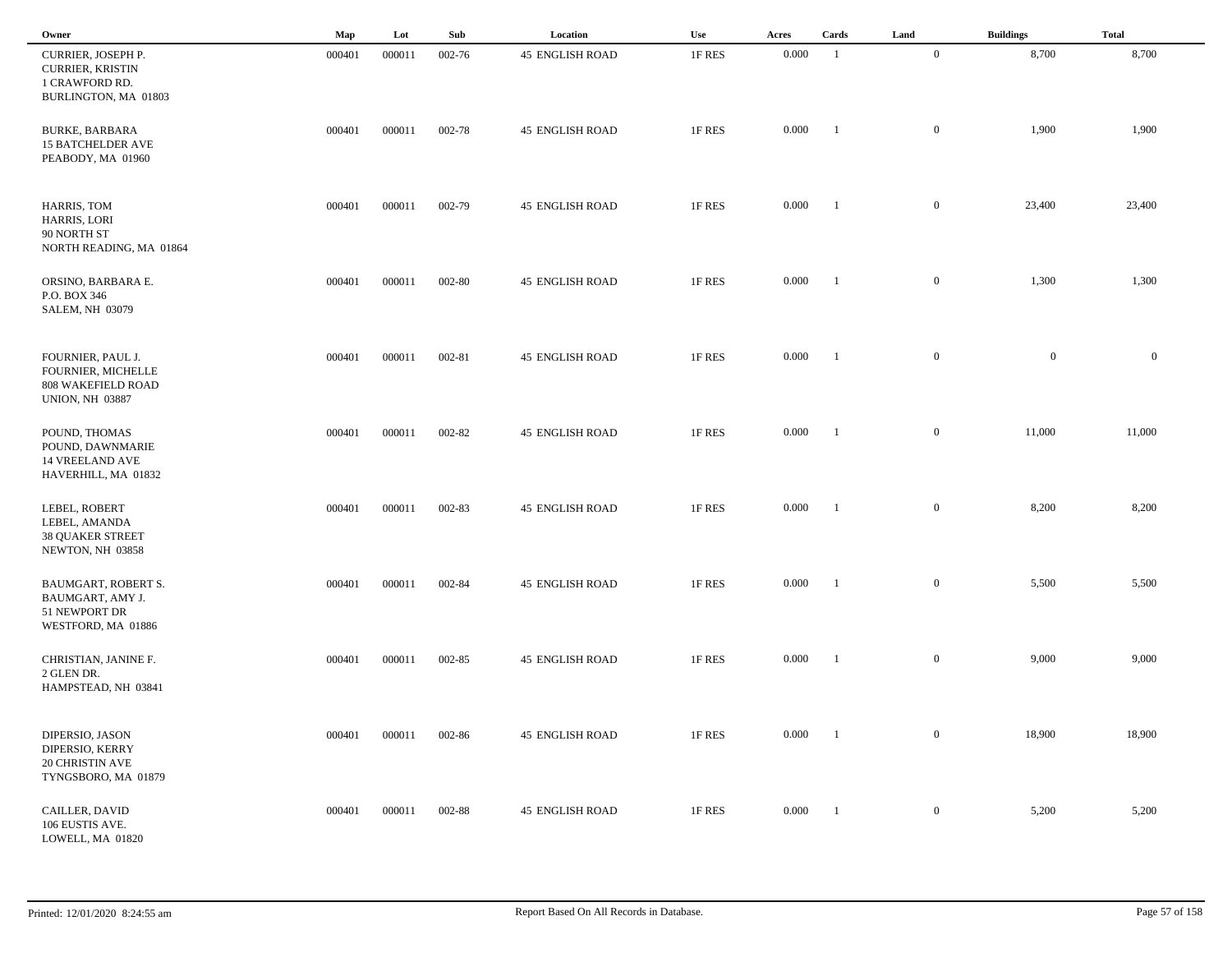| Owner                                                                                          | Map    | Lot    | Sub    | Location               | Use    | Acres     | Cards          | Land             | <b>Buildings</b> | <b>Total</b>   |  |
|------------------------------------------------------------------------------------------------|--------|--------|--------|------------------------|--------|-----------|----------------|------------------|------------------|----------------|--|
| CURRIER, JOSEPH P.<br><b>CURRIER, KRISTIN</b><br>1 CRAWFORD RD.<br>BURLINGTON, MA 01803        | 000401 | 000011 | 002-76 | <b>45 ENGLISH ROAD</b> | 1F RES | 0.000     | $\overline{1}$ | $\mathbf{0}$     | 8,700            | 8,700          |  |
| <b>BURKE, BARBARA</b><br><b>15 BATCHELDER AVE</b><br>PEABODY, MA 01960                         | 000401 | 000011 | 002-78 | <b>45 ENGLISH ROAD</b> | 1F RES | 0.000     | -1             | $\mathbf{0}$     | 1,900            | 1,900          |  |
| HARRIS, TOM<br>HARRIS, LORI<br>90 NORTH ST<br>NORTH READING, MA 01864                          | 000401 | 000011 | 002-79 | <b>45 ENGLISH ROAD</b> | 1F RES | 0.000     | $\blacksquare$ | $\overline{0}$   | 23,400           | 23,400         |  |
| ORSINO, BARBARA E.<br>P.O. BOX 346<br><b>SALEM, NH 03079</b>                                   | 000401 | 000011 | 002-80 | <b>45 ENGLISH ROAD</b> | 1F RES | 0.000     | $\blacksquare$ | $\mathbf{0}$     | 1,300            | 1,300          |  |
| FOURNIER, PAUL J.<br>FOURNIER, MICHELLE<br><b>808 WAKEFIELD ROAD</b><br><b>UNION, NH 03887</b> | 000401 | 000011 | 002-81 | <b>45 ENGLISH ROAD</b> | 1F RES | 0.000     | $\blacksquare$ | $\mathbf{0}$     | $\overline{0}$   | $\overline{0}$ |  |
| POUND, THOMAS<br>POUND, DAWNMARIE<br>14 VREELAND AVE<br>HAVERHILL, MA 01832                    | 000401 | 000011 | 002-82 | <b>45 ENGLISH ROAD</b> | 1F RES | 0.000     | $\blacksquare$ | $\mathbf{0}$     | 11,000           | 11,000         |  |
| LEBEL, ROBERT<br>LEBEL, AMANDA<br><b>38 QUAKER STREET</b><br>NEWTON, NH 03858                  | 000401 | 000011 | 002-83 | <b>45 ENGLISH ROAD</b> | 1F RES | 0.000     | -1             | $\mathbf{0}$     | 8,200            | 8,200          |  |
| BAUMGART, ROBERT S.<br>BAUMGART, AMY J.<br>51 NEWPORT DR<br>WESTFORD, MA 01886                 | 000401 | 000011 | 002-84 | <b>45 ENGLISH ROAD</b> | 1F RES | 0.000     | - 1            | $\mathbf{0}$     | 5,500            | 5,500          |  |
| CHRISTIAN, JANINE F.<br>2 GLEN DR.<br>HAMPSTEAD, NH 03841                                      | 000401 | 000011 | 002-85 | <b>45 ENGLISH ROAD</b> | 1F RES | 0.000     | - 1            | $\mathbf{0}$     | 9,000            | 9,000          |  |
| DIPERSIO, JASON<br>DIPERSIO, KERRY<br>20 CHRISTIN AVE<br>TYNGSBORO, MA 01879                   | 000401 | 000011 | 002-86 | <b>45 ENGLISH ROAD</b> | 1F RES | $0.000\,$ | $\blacksquare$ | $\overline{0}$   | 18,900           | 18,900         |  |
| CAILLER, DAVID<br>106 EUSTIS AVE.<br>LOWELL, MA 01820                                          | 000401 | 000011 | 002-88 | <b>45 ENGLISH ROAD</b> | 1F RES | 0.000     | $\blacksquare$ | $\boldsymbol{0}$ | 5,200            | 5,200          |  |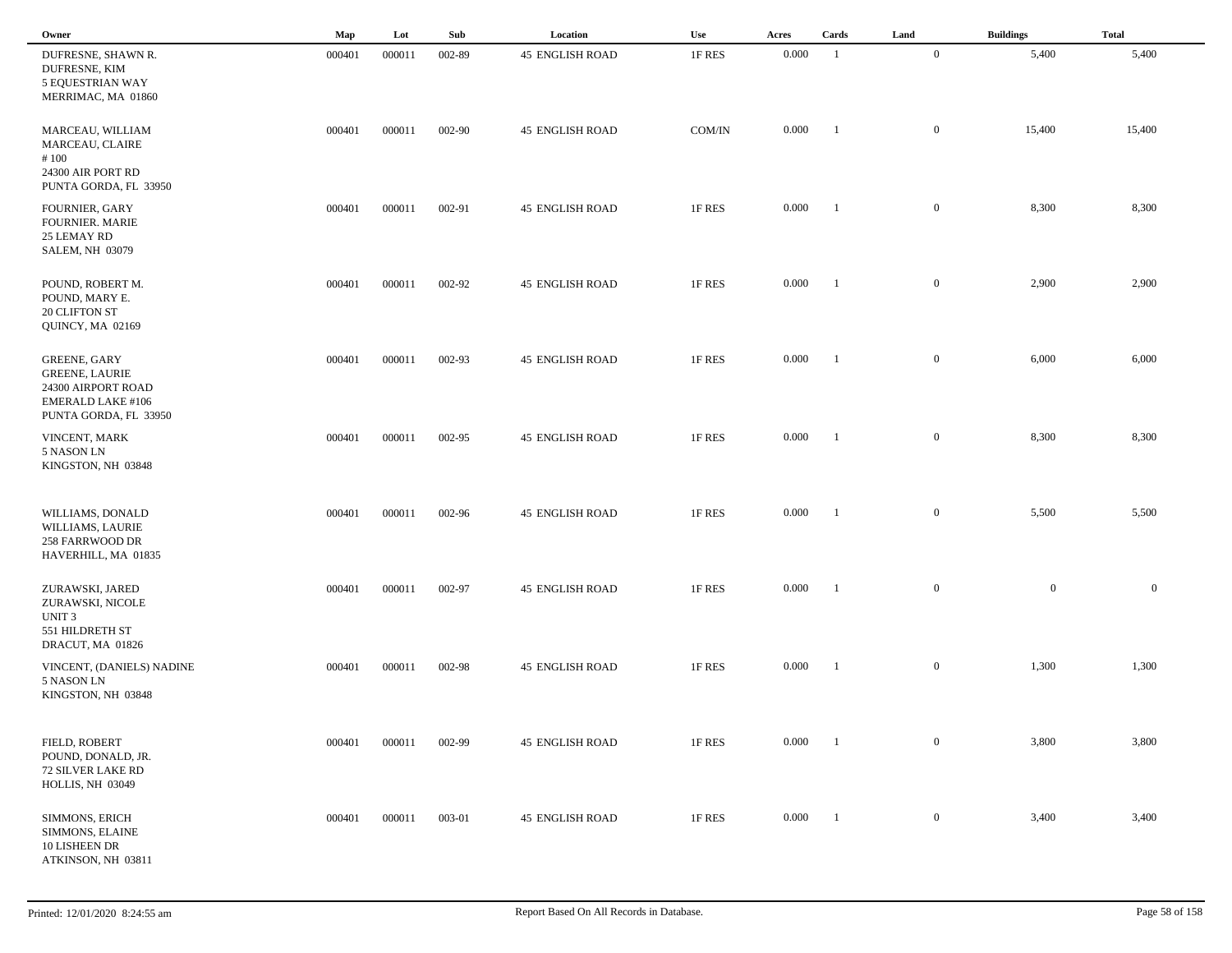| Owner                                                                                                     | Map    | Lot    | Sub    | Location               | Use    | Acres | Cards          | Land           | <b>Buildings</b> | <b>Total</b> |
|-----------------------------------------------------------------------------------------------------------|--------|--------|--------|------------------------|--------|-------|----------------|----------------|------------------|--------------|
| DUFRESNE, SHAWN R.<br>DUFRESNE, KIM<br>5 EQUESTRIAN WAY<br>MERRIMAC, MA 01860                             | 000401 | 000011 | 002-89 | <b>45 ENGLISH ROAD</b> | 1F RES | 0.000 | -1             | $\mathbf{0}$   | 5,400            | 5,400        |
| MARCEAU, WILLIAM<br>MARCEAU, CLAIRE<br>#100<br>24300 AIR PORT RD<br>PUNTA GORDA, FL 33950                 | 000401 | 000011 | 002-90 | <b>45 ENGLISH ROAD</b> | COM/IN | 0.000 | -1             | $\mathbf{0}$   | 15,400           | 15,400       |
| FOURNIER, GARY<br><b>FOURNIER. MARIE</b><br>25 LEMAY RD<br><b>SALEM, NH 03079</b>                         | 000401 | 000011 | 002-91 | <b>45 ENGLISH ROAD</b> | 1F RES | 0.000 | $\blacksquare$ | $\mathbf{0}$   | 8,300            | 8,300        |
| POUND, ROBERT M.<br>POUND, MARY E.<br>20 CLIFTON ST<br>QUINCY, MA 02169                                   | 000401 | 000011 | 002-92 | <b>45 ENGLISH ROAD</b> | 1F RES | 0.000 | - 1            | $\mathbf{0}$   | 2,900            | 2,900        |
| GREENE, GARY<br><b>GREENE, LAURIE</b><br>24300 AIRPORT ROAD<br>EMERALD LAKE #106<br>PUNTA GORDA, FL 33950 | 000401 | 000011 | 002-93 | <b>45 ENGLISH ROAD</b> | 1F RES | 0.000 | - 1            | $\mathbf{0}$   | 6,000            | 6,000        |
| VINCENT, MARK<br>5 NASON LN<br>KINGSTON, NH 03848                                                         | 000401 | 000011 | 002-95 | <b>45 ENGLISH ROAD</b> | 1F RES | 0.000 | - 1            | $\mathbf{0}$   | 8,300            | 8,300        |
| WILLIAMS, DONALD<br>WILLIAMS, LAURIE<br>258 FARRWOOD DR<br>HAVERHILL, MA 01835                            | 000401 | 000011 | 002-96 | <b>45 ENGLISH ROAD</b> | 1F RES | 0.000 | -1             | $\overline{0}$ | 5,500            | 5,500        |
| ZURAWSKI, JARED<br>ZURAWSKI, NICOLE<br>UNIT 3<br>551 HILDRETH ST<br>DRACUT, MA 01826                      | 000401 | 000011 | 002-97 | <b>45 ENGLISH ROAD</b> | 1F RES | 0.000 | - 1            | $\mathbf{0}$   | $\mathbf{0}$     | $\mathbf{0}$ |
| VINCENT, (DANIELS) NADINE<br>5 NASON LN<br>KINGSTON, NH 03848                                             | 000401 | 000011 | 002-98 | <b>45 ENGLISH ROAD</b> | 1F RES | 0.000 | - 1            | $\mathbf{0}$   | 1,300            | 1,300        |
| FIELD, ROBERT<br>POUND, DONALD, JR.<br><b>72 SILVER LAKE RD</b><br>HOLLIS, NH 03049                       | 000401 | 000011 | 002-99 | <b>45 ENGLISH ROAD</b> | 1F RES | 0.000 |                | $\mathbf{0}$   | 3,800            | 3,800        |
| SIMMONS, ERICH<br>SIMMONS, ELAINE<br>10 LISHEEN DR<br>ATKINSON, NH 03811                                  | 000401 | 000011 | 003-01 | <b>45 ENGLISH ROAD</b> | 1F RES | 0.000 | $\blacksquare$ | $\mathbf{0}$   | 3,400            | 3,400        |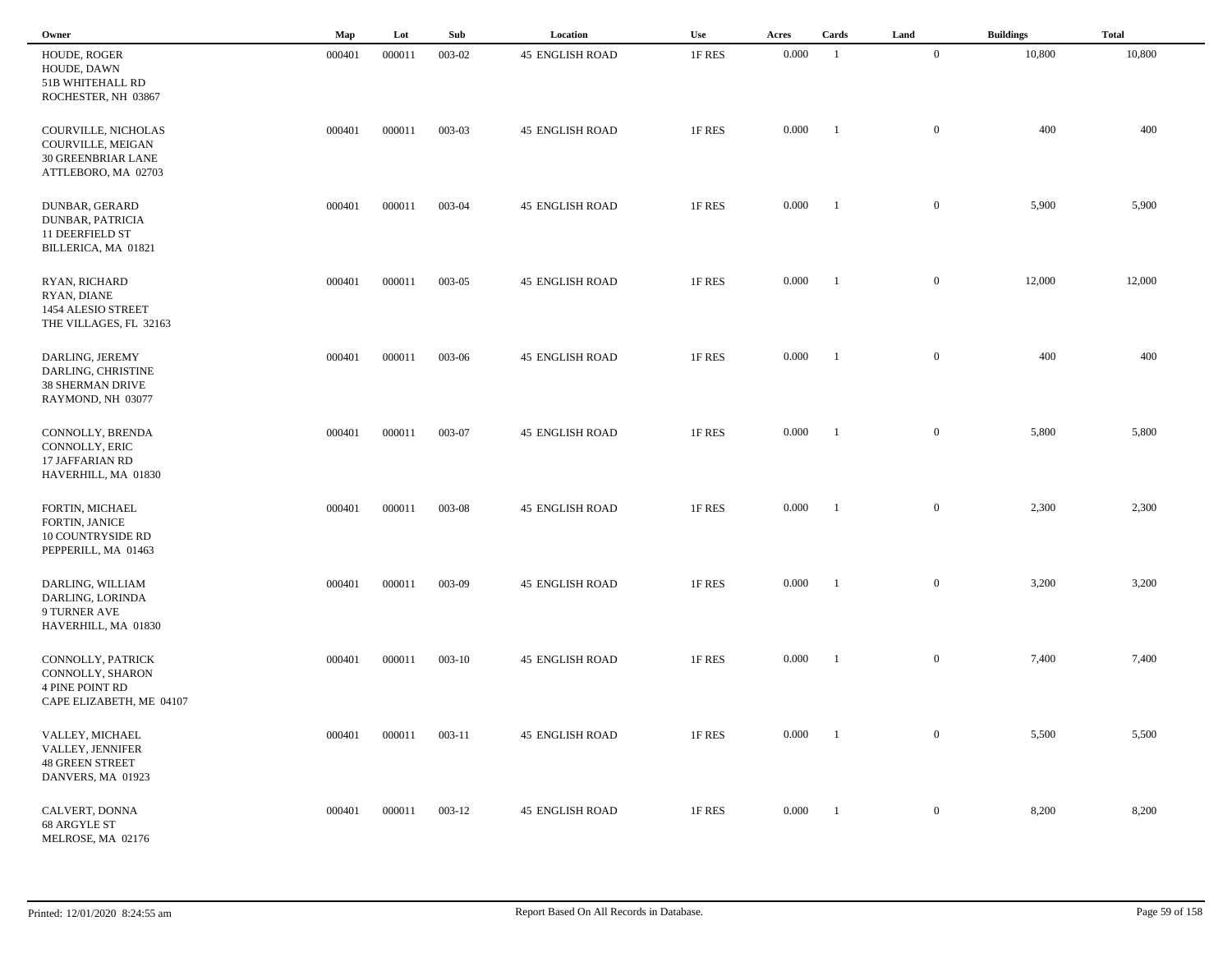| Owner                                                                                       | Map    | Lot    | Sub        | Location               | Use    | Acres | Cards          | Land             | <b>Buildings</b> | <b>Total</b> |
|---------------------------------------------------------------------------------------------|--------|--------|------------|------------------------|--------|-------|----------------|------------------|------------------|--------------|
| HOUDE, ROGER<br>HOUDE, DAWN<br>51B WHITEHALL RD<br>ROCHESTER, NH 03867                      | 000401 | 000011 | 003-02     | <b>45 ENGLISH ROAD</b> | 1F RES | 0.000 | $\overline{1}$ | $\overline{0}$   | 10,800           | 10,800       |
| COURVILLE, NICHOLAS<br>COURVILLE, MEIGAN<br>30 GREENBRIAR LANE<br>ATTLEBORO, MA 02703       | 000401 | 000011 | 003-03     | <b>45 ENGLISH ROAD</b> | 1F RES | 0.000 | $\blacksquare$ | $\mathbf{0}$     | 400              | 400          |
| DUNBAR, GERARD<br>DUNBAR, PATRICIA<br><b>11 DEERFIELD ST</b><br>BILLERICA, MA 01821         | 000401 | 000011 | 003-04     | <b>45 ENGLISH ROAD</b> | 1F RES | 0.000 | $\blacksquare$ | $\mathbf{0}$     | 5,900            | 5,900        |
| RYAN, RICHARD<br>RYAN, DIANE<br>1454 ALESIO STREET<br>THE VILLAGES, FL 32163                | 000401 | 000011 | 003-05     | <b>45 ENGLISH ROAD</b> | 1F RES | 0.000 | $\blacksquare$ | $\mathbf{0}$     | 12,000           | 12,000       |
| DARLING, JEREMY<br>DARLING, CHRISTINE<br><b>38 SHERMAN DRIVE</b><br>RAYMOND, NH 03077       | 000401 | 000011 | 003-06     | <b>45 ENGLISH ROAD</b> | 1F RES | 0.000 | $\blacksquare$ | $\mathbf{0}$     | 400              | 400          |
| CONNOLLY, BRENDA<br>CONNOLLY, ERIC<br>17 JAFFARIAN RD<br>HAVERHILL, MA 01830                | 000401 | 000011 | 003-07     | <b>45 ENGLISH ROAD</b> | 1F RES | 0.000 | - 1            | $\mathbf{0}$     | 5,800            | 5,800        |
| FORTIN, MICHAEL<br>FORTIN, JANICE<br>10 COUNTRYSIDE RD<br>PEPPERILL, MA 01463               | 000401 | 000011 | 003-08     | <b>45 ENGLISH ROAD</b> | 1F RES | 0.000 | - 1            | $\mathbf{0}$     | 2,300            | 2,300        |
| DARLING, WILLIAM<br>DARLING, LORINDA<br>9 TURNER AVE<br>HAVERHILL, MA 01830                 | 000401 | 000011 | 003-09     | <b>45 ENGLISH ROAD</b> | 1F RES | 0.000 | - 1            | $\mathbf{0}$     | 3,200            | 3,200        |
| CONNOLLY, PATRICK<br>CONNOLLY, SHARON<br><b>4 PINE POINT RD</b><br>CAPE ELIZABETH, ME 04107 | 000401 | 000011 | $003 - 10$ | <b>45 ENGLISH ROAD</b> | 1F RES | 0.000 | - 1            | $\overline{0}$   | 7,400            | 7,400        |
| VALLEY, MICHAEL<br>VALLEY, JENNIFER<br><b>48 GREEN STREET</b><br>DANVERS, MA 01923          | 000401 | 000011 | 003-11     | <b>45 ENGLISH ROAD</b> | 1F RES | 0.000 | $\blacksquare$ | $\mathbf{0}$     | 5,500            | 5,500        |
| CALVERT, DONNA<br>68 ARGYLE ST<br>MELROSE, MA 02176                                         | 000401 | 000011 | $003 - 12$ | <b>45 ENGLISH ROAD</b> | 1F RES | 0.000 | $\blacksquare$ | $\boldsymbol{0}$ | 8,200            | 8,200        |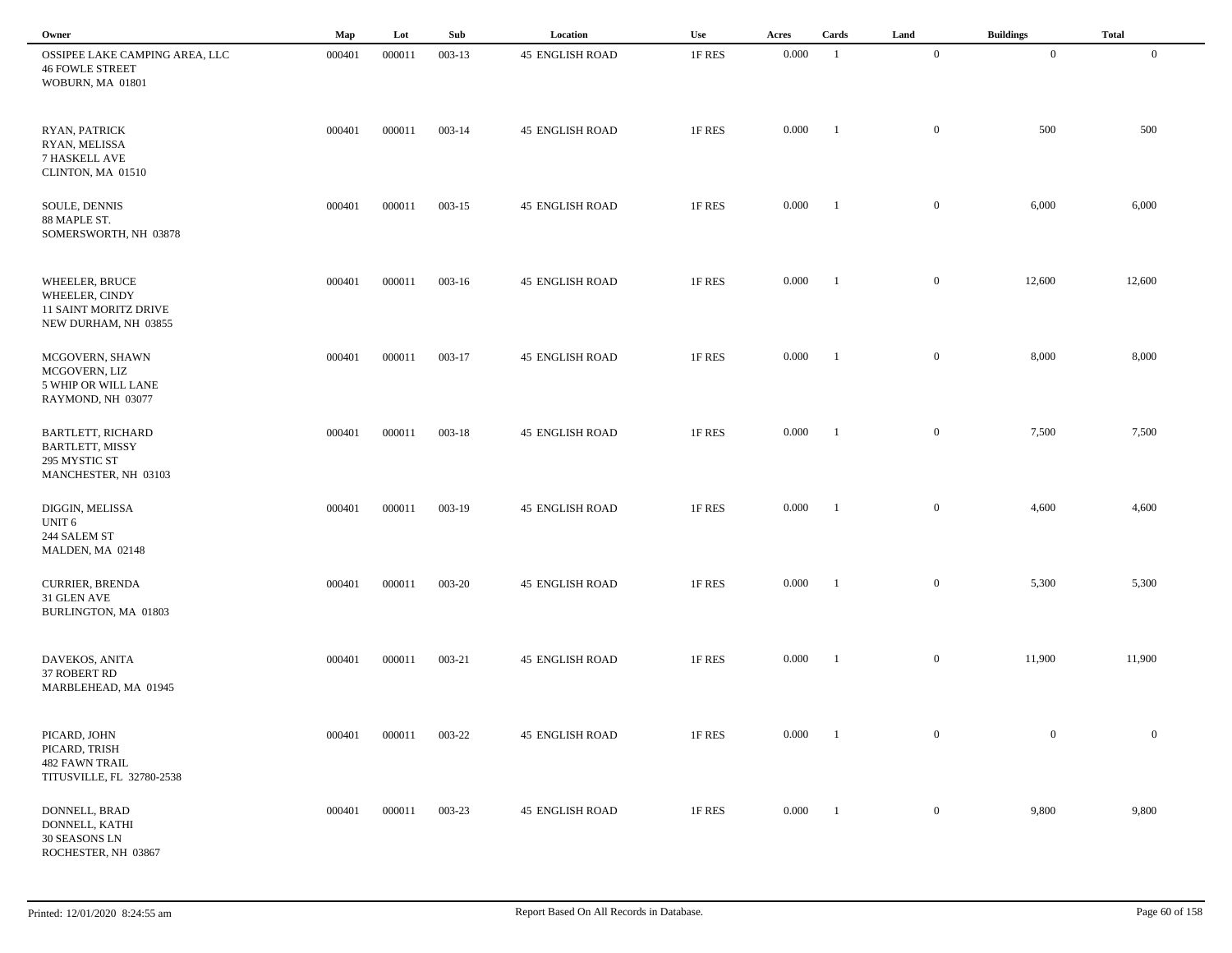| Owner                                                                                       | Map    | Lot    | Sub        | Location               | Use    | Acres | Cards                    | Land           | <b>Buildings</b> | <b>Total</b>   |
|---------------------------------------------------------------------------------------------|--------|--------|------------|------------------------|--------|-------|--------------------------|----------------|------------------|----------------|
| OSSIPEE LAKE CAMPING AREA, LLC<br><b>46 FOWLE STREET</b><br>WOBURN, MA 01801                | 000401 | 000011 | $003 - 13$ | <b>45 ENGLISH ROAD</b> | 1F RES | 0.000 | -1                       | $\mathbf{0}$   | $\overline{0}$   | $\overline{0}$ |
| RYAN, PATRICK<br>RYAN, MELISSA<br>7 HASKELL AVE<br>CLINTON, MA 01510                        | 000401 | 000011 | $003 - 14$ | <b>45 ENGLISH ROAD</b> | 1F RES | 0.000 | $\overline{\phantom{0}}$ | $\mathbf{0}$   | 500              | 500            |
| SOULE, DENNIS<br>88 MAPLE ST.<br>SOMERSWORTH, NH 03878                                      | 000401 | 000011 | $003 - 15$ | <b>45 ENGLISH ROAD</b> | 1F RES | 0.000 | $\overline{1}$           | $\overline{0}$ | 6,000            | 6,000          |
| WHEELER, BRUCE<br>WHEELER, CINDY<br>11 SAINT MORITZ DRIVE<br>NEW DURHAM, NH 03855           | 000401 | 000011 | $003-16$   | <b>45 ENGLISH ROAD</b> | 1F RES | 0.000 | $\overline{1}$           | $\overline{0}$ | 12,600           | 12,600         |
| MCGOVERN, SHAWN<br>MCGOVERN, LIZ<br>5 WHIP OR WILL LANE<br>RAYMOND, NH 03077                | 000401 | 000011 | 003-17     | <b>45 ENGLISH ROAD</b> | 1F RES | 0.000 | $\blacksquare$           | $\mathbf{0}$   | 8,000            | 8,000          |
| <b>BARTLETT, RICHARD</b><br><b>BARTLETT, MISSY</b><br>295 MYSTIC ST<br>MANCHESTER, NH 03103 | 000401 | 000011 | $003 - 18$ | <b>45 ENGLISH ROAD</b> | 1F RES | 0.000 | $\blacksquare$           | $\overline{0}$ | 7,500            | 7,500          |
| DIGGIN, MELISSA<br>UNIT <sub>6</sub><br>244 SALEM ST<br>MALDEN, MA 02148                    | 000401 | 000011 | 003-19     | <b>45 ENGLISH ROAD</b> | 1F RES | 0.000 | $\overline{\phantom{a}}$ | $\overline{0}$ | 4,600            | 4,600          |
| <b>CURRIER, BRENDA</b><br>31 GLEN AVE<br>BURLINGTON, MA 01803                               | 000401 | 000011 | 003-20     | <b>45 ENGLISH ROAD</b> | 1F RES | 0.000 | $^{-1}$                  | $\overline{0}$ | 5,300            | 5,300          |
| DAVEKOS, ANITA<br>37 ROBERT RD<br>MARBLEHEAD, MA 01945                                      | 000401 | 000011 | 003-21     | <b>45 ENGLISH ROAD</b> | 1F RES | 0.000 | - 1                      | $\mathbf{0}$   | 11,900           | 11,900         |
| PICARD, JOHN<br>PICARD, TRISH<br><b>482 FAWN TRAIL</b><br>TITUSVILLE, FL 32780-2538         | 000401 | 000011 | 003-22     | <b>45 ENGLISH ROAD</b> | 1F RES | 0.000 | $\blacksquare$           | $\mathbf{0}$   | $\bf{0}$         | $\overline{0}$ |
| DONNELL, BRAD<br>DONNELL, KATHI<br><b>30 SEASONS LN</b><br>ROCHESTER, NH 03867              | 000401 | 000011 | 003-23     | <b>45 ENGLISH ROAD</b> | 1F RES | 0.000 | $\overline{\phantom{a}}$ | $\mathbf{0}$   | 9,800            | 9,800          |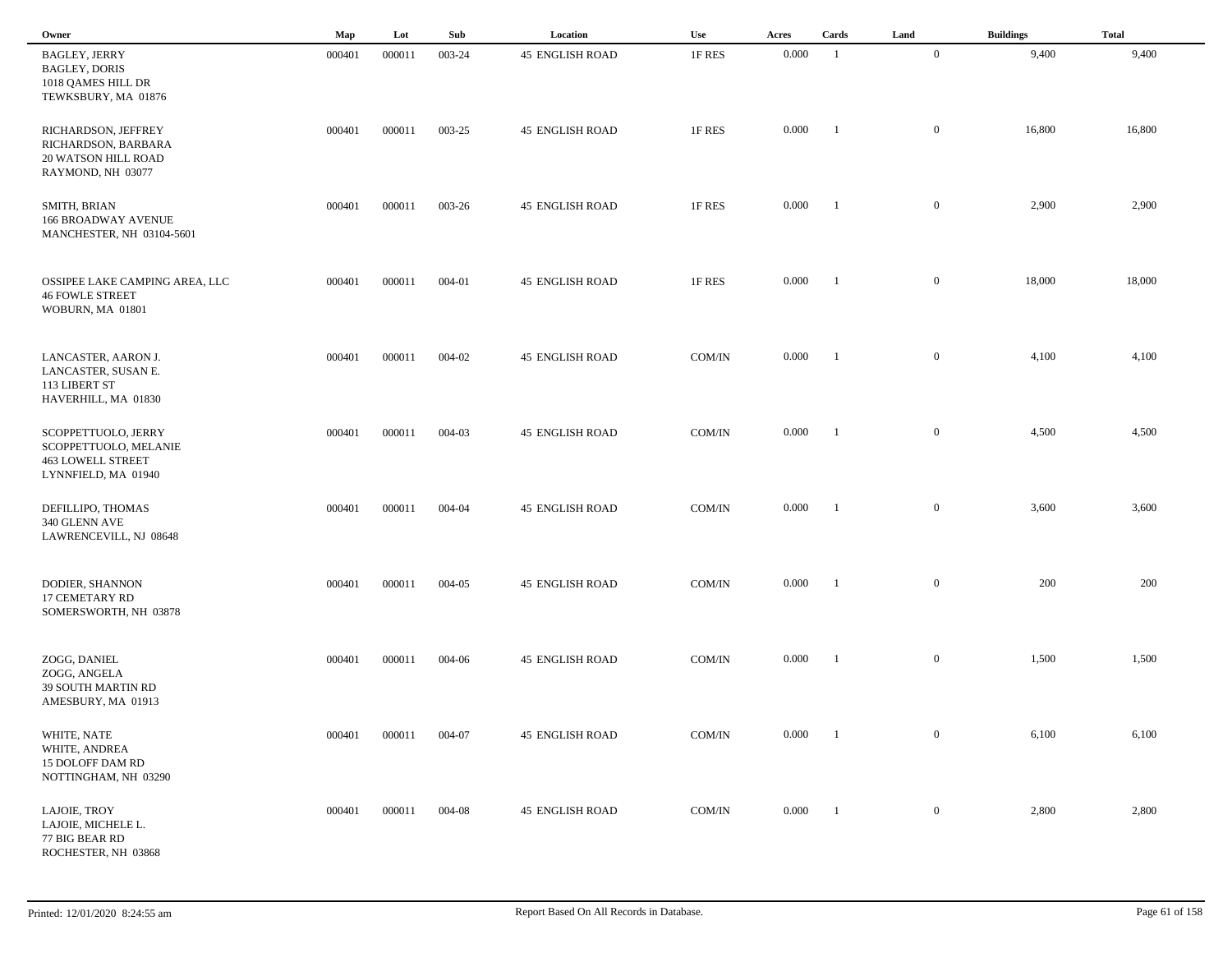| Owner                                                                                           | Map    | Lot    | Sub    | Location               | Use           | Acres | Cards          | Land           | <b>Buildings</b> | <b>Total</b> |
|-------------------------------------------------------------------------------------------------|--------|--------|--------|------------------------|---------------|-------|----------------|----------------|------------------|--------------|
| <b>BAGLEY, JERRY</b><br><b>BAGLEY, DORIS</b><br>1018 QAMES HILL DR<br>TEWKSBURY, MA 01876       | 000401 | 000011 | 003-24 | <b>45 ENGLISH ROAD</b> | 1F RES        | 0.000 | $\overline{1}$ | $\overline{0}$ | 9,400            | 9,400        |
| RICHARDSON, JEFFREY<br>RICHARDSON, BARBARA<br><b>20 WATSON HILL ROAD</b><br>RAYMOND, NH 03077   | 000401 | 000011 | 003-25 | <b>45 ENGLISH ROAD</b> | 1F RES        | 0.000 | -1             | $\mathbf{0}$   | 16,800           | 16,800       |
| SMITH, BRIAN<br><b>166 BROADWAY AVENUE</b><br>MANCHESTER, NH 03104-5601                         | 000401 | 000011 | 003-26 | <b>45 ENGLISH ROAD</b> | 1F RES        | 0.000 | - 1            | $\overline{0}$ | 2,900            | 2,900        |
| OSSIPEE LAKE CAMPING AREA, LLC<br><b>46 FOWLE STREET</b><br>WOBURN, MA 01801                    | 000401 | 000011 | 004-01 | <b>45 ENGLISH ROAD</b> | 1F RES        | 0.000 | $\blacksquare$ | $\mathbf{0}$   | 18,000           | 18,000       |
| LANCASTER, AARON J.<br>LANCASTER, SUSAN E.<br>113 LIBERT ST<br>HAVERHILL, MA 01830              | 000401 | 000011 | 004-02 | <b>45 ENGLISH ROAD</b> | COM/IN        | 0.000 | $\blacksquare$ | $\mathbf{0}$   | 4,100            | 4,100        |
| SCOPPETTUOLO, JERRY<br>SCOPPETTUOLO, MELANIE<br><b>463 LOWELL STREET</b><br>LYNNFIELD, MA 01940 | 000401 | 000011 | 004-03 | <b>45 ENGLISH ROAD</b> | COM/IN        | 0.000 | $\blacksquare$ | $\mathbf{0}$   | 4,500            | 4,500        |
| DEFILLIPO, THOMAS<br>340 GLENN AVE<br>LAWRENCEVILL, NJ 08648                                    | 000401 | 000011 | 004-04 | <b>45 ENGLISH ROAD</b> | COM/IN        | 0.000 | -1             | $\mathbf{0}$   | 3,600            | 3,600        |
| DODIER, SHANNON<br>17 CEMETARY RD<br>SOMERSWORTH, NH 03878                                      | 000401 | 000011 | 004-05 | <b>45 ENGLISH ROAD</b> | COM/IN        | 0.000 | - 1            | $\mathbf{0}$   | 200              | 200          |
| ZOGG, DANIEL<br>ZOGG, ANGELA<br><b>39 SOUTH MARTIN RD</b><br>AMESBURY, MA 01913                 | 000401 | 000011 | 004-06 | <b>45 ENGLISH ROAD</b> | COM/IN        | 0.000 | - 1            | $\mathbf{0}$   | 1,500            | 1,500        |
| WHITE, NATE<br>WHITE, ANDREA<br>15 DOLOFF DAM RD<br>NOTTINGHAM, NH 03290                        | 000401 | 000011 | 004-07 | <b>45 ENGLISH ROAD</b> | $\rm{COM/IN}$ | 0.000 | $\blacksquare$ | $\overline{0}$ | 6,100            | 6,100        |
| LAJOIE, TROY<br>LAJOIE, MICHELE L.<br>77 BIG BEAR RD<br>ROCHESTER, NH 03868                     | 000401 | 000011 | 004-08 | <b>45 ENGLISH ROAD</b> | COM/IN        | 0.000 | $\blacksquare$ | $\overline{0}$ | 2,800            | 2,800        |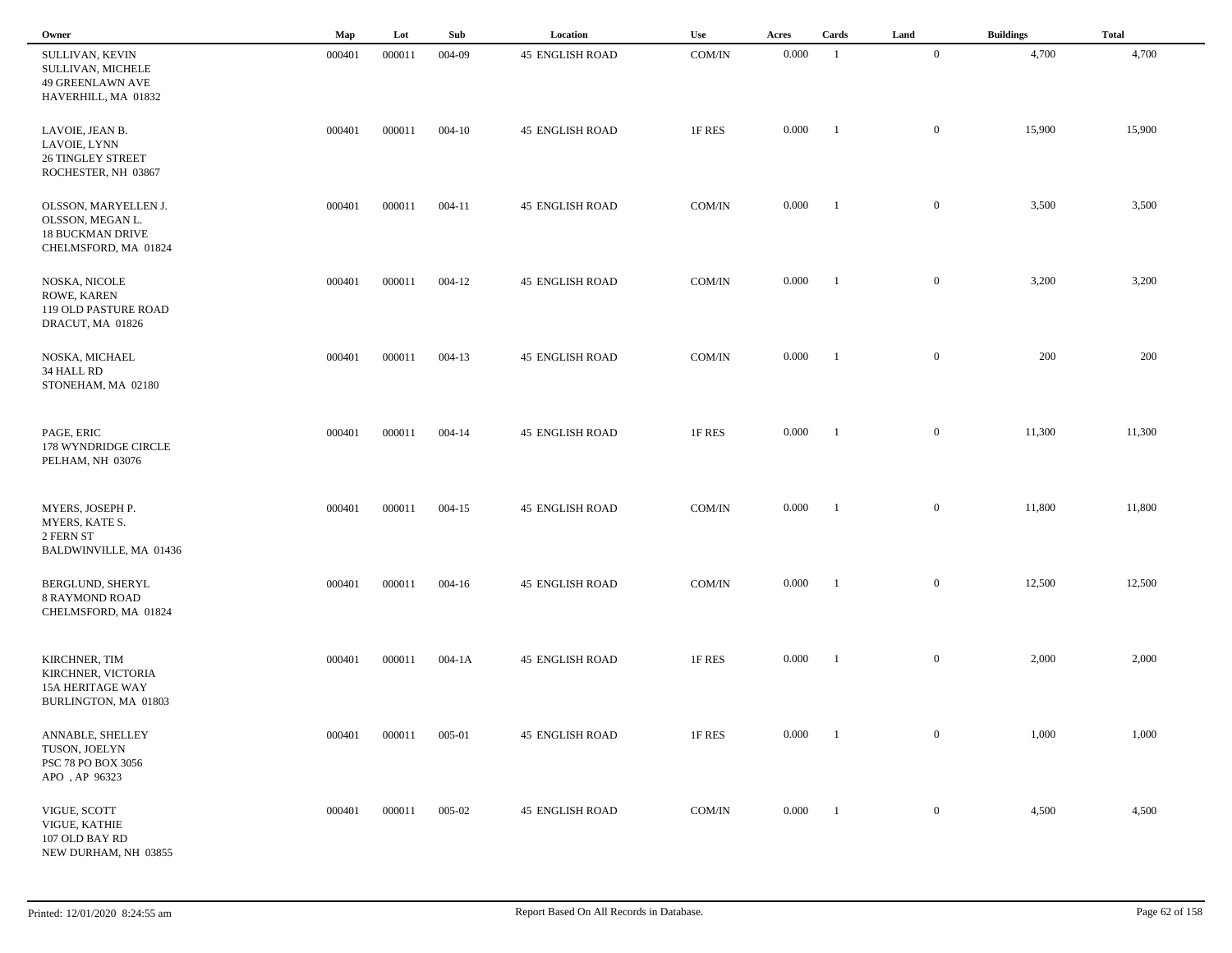| Owner                                                                                       | Map    | Lot    | Sub        | Location               | Use           | Acres | Cards          | Land           | <b>Buildings</b> | <b>Total</b> |
|---------------------------------------------------------------------------------------------|--------|--------|------------|------------------------|---------------|-------|----------------|----------------|------------------|--------------|
| SULLIVAN, KEVIN<br>SULLIVAN, MICHELE<br>49 GREENLAWN AVE<br>HAVERHILL, MA 01832             | 000401 | 000011 | 004-09     | <b>45 ENGLISH ROAD</b> | COM/IN        | 0.000 | -1             | $\overline{0}$ | 4,700            | 4,700        |
| LAVOIE, JEAN B.<br>LAVOIE, LYNN<br><b>26 TINGLEY STREET</b><br>ROCHESTER, NH 03867          | 000401 | 000011 | $004 - 10$ | <b>45 ENGLISH ROAD</b> | 1F RES        | 0.000 | $\blacksquare$ | $\overline{0}$ | 15,900           | 15,900       |
| OLSSON, MARYELLEN J.<br>OLSSON, MEGAN L.<br><b>18 BUCKMAN DRIVE</b><br>CHELMSFORD, MA 01824 | 000401 | 000011 | $004 - 11$ | <b>45 ENGLISH ROAD</b> | COM/IN        | 0.000 | -1             | $\mathbf{0}$   | 3,500            | 3,500        |
| NOSKA, NICOLE<br>ROWE, KAREN<br>119 OLD PASTURE ROAD<br>DRACUT, MA 01826                    | 000401 | 000011 | $004 - 12$ | <b>45 ENGLISH ROAD</b> | COM/IN        | 0.000 | $\blacksquare$ | $\mathbf{0}$   | 3,200            | 3,200        |
| NOSKA, MICHAEL<br>34 HALL RD<br>STONEHAM, MA 02180                                          | 000401 | 000011 | $004 - 13$ | <b>45 ENGLISH ROAD</b> | COM/IN        | 0.000 | $\blacksquare$ | $\mathbf{0}$   | 200              | 200          |
| PAGE, ERIC<br>178 WYNDRIDGE CIRCLE<br>PELHAM, NH 03076                                      | 000401 | 000011 | $004 - 14$ | <b>45 ENGLISH ROAD</b> | 1F RES        | 0.000 | $\blacksquare$ | $\mathbf{0}$   | 11,300           | 11,300       |
| MYERS, JOSEPH P.<br>MYERS, KATE S.<br>2 FERN ST<br>BALDWINVILLE, MA 01436                   | 000401 | 000011 | $004 - 15$ | <b>45 ENGLISH ROAD</b> | COM/IN        | 0.000 | $\blacksquare$ | $\mathbf{0}$   | 11,800           | 11,800       |
| BERGLUND, SHERYL<br><b>8 RAYMOND ROAD</b><br>CHELMSFORD, MA 01824                           | 000401 | 000011 | $004 - 16$ | <b>45 ENGLISH ROAD</b> | COM/IN        | 0.000 | - 1            | $\mathbf{0}$   | 12,500           | 12,500       |
| KIRCHNER, TIM<br>KIRCHNER, VICTORIA<br><b>15A HERITAGE WAY</b><br>BURLINGTON, MA 01803      | 000401 | 000011 | $004 - 1A$ | <b>45 ENGLISH ROAD</b> | 1F RES        | 0.000 |                | $\mathbf{0}$   | 2,000            | 2,000        |
| ANNABLE, SHELLEY<br>TUSON, JOELYN<br>PSC 78 PO BOX 3056<br>APO, AP 96323                    | 000401 | 000011 | 005-01     | <b>45 ENGLISH ROAD</b> | 1F RES        | 0.000 | $\blacksquare$ | $\overline{0}$ | 1,000            | 1,000        |
| VIGUE, SCOTT<br>VIGUE, KATHIE<br>107 OLD BAY RD<br>NEW DURHAM, NH 03855                     | 000401 | 000011 | 005-02     | <b>45 ENGLISH ROAD</b> | $\rm{COM/IN}$ | 0.000 | $\blacksquare$ | $\overline{0}$ | 4,500            | 4,500        |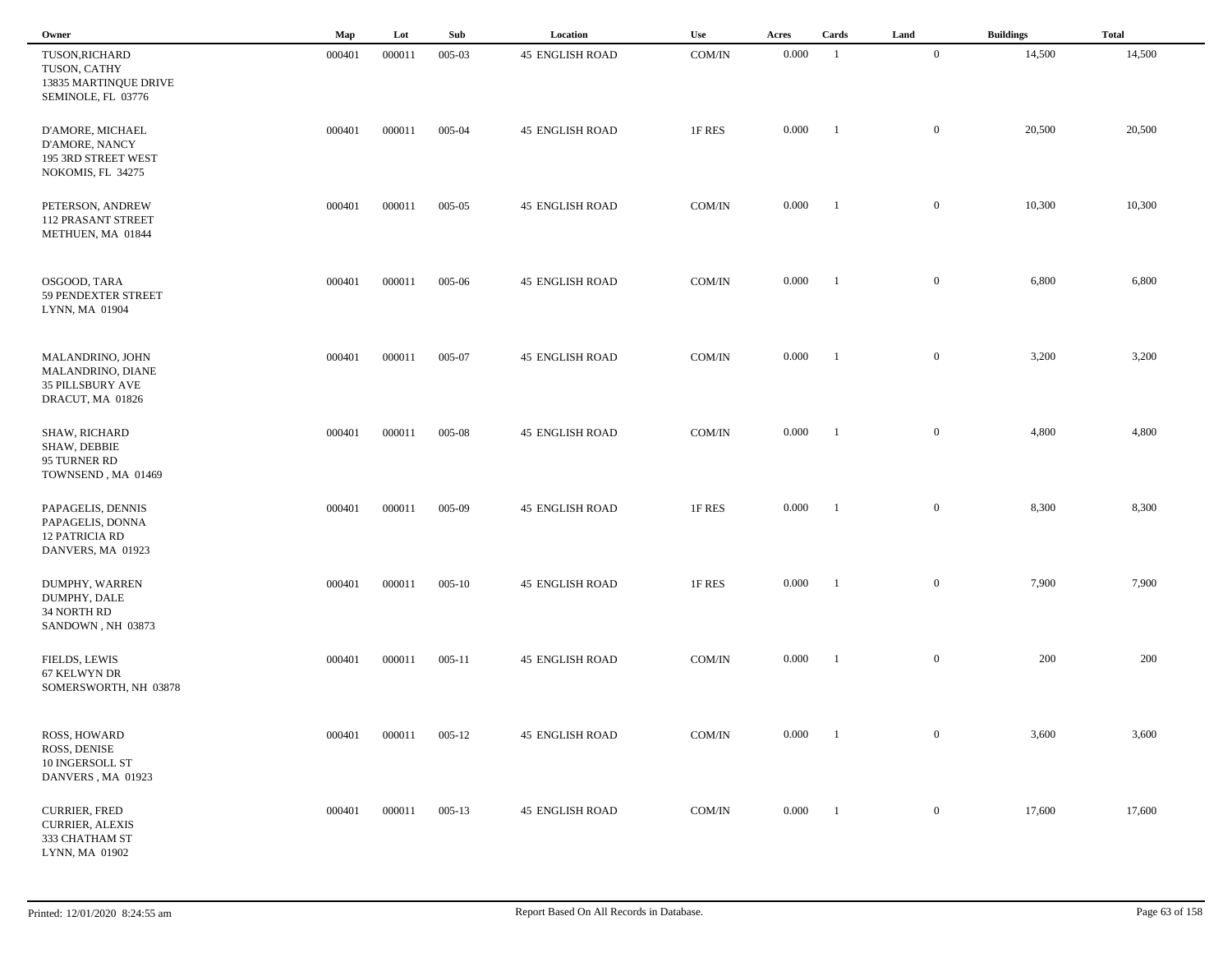| Owner                                                                                | Map    | Lot    | Sub        | Location               | Use                | Acres     | Cards          | Land             | <b>Buildings</b> | <b>Total</b> |
|--------------------------------------------------------------------------------------|--------|--------|------------|------------------------|--------------------|-----------|----------------|------------------|------------------|--------------|
| TUSON, RICHARD<br>TUSON, CATHY<br>13835 MARTINQUE DRIVE<br>SEMINOLE, FL 03776        | 000401 | 000011 | 005-03     | <b>45 ENGLISH ROAD</b> | COM/IN             | 0.000     | $\overline{1}$ | $\mathbf{0}$     | 14,500           | 14,500       |
| D'AMORE, MICHAEL<br>D'AMORE, NANCY<br>195 3RD STREET WEST<br>NOKOMIS, FL 34275       | 000401 | 000011 | 005-04     | <b>45 ENGLISH ROAD</b> | 1F RES             | 0.000     | -1             | $\mathbf{0}$     | 20,500           | 20,500       |
| PETERSON, ANDREW<br><b>112 PRASANT STREET</b><br>METHUEN, MA 01844                   | 000401 | 000011 | $005 - 05$ | <b>45 ENGLISH ROAD</b> | COM/IN             | 0.000     | $\blacksquare$ | $\overline{0}$   | 10,300           | 10,300       |
| OSGOOD, TARA<br>59 PENDEXTER STREET<br>LYNN, MA 01904                                | 000401 | 000011 | 005-06     | <b>45 ENGLISH ROAD</b> | COM/IN             | 0.000     | $\blacksquare$ | $\mathbf{0}$     | 6,800            | 6,800        |
| MALANDRINO, JOHN<br>MALANDRINO, DIANE<br><b>35 PILLSBURY AVE</b><br>DRACUT, MA 01826 | 000401 | 000011 | 005-07     | <b>45 ENGLISH ROAD</b> | COM/IN             | 0.000     | $\blacksquare$ | $\mathbf{0}$     | 3,200            | 3,200        |
| <b>SHAW, RICHARD</b><br>SHAW, DEBBIE<br>95 TURNER RD<br>TOWNSEND, MA 01469           | 000401 | 000011 | 005-08     | <b>45 ENGLISH ROAD</b> | COM/IN             | 0.000     | $\blacksquare$ | $\mathbf{0}$     | 4,800            | 4,800        |
| PAPAGELIS, DENNIS<br>PAPAGELIS, DONNA<br><b>12 PATRICIA RD</b><br>DANVERS, MA 01923  | 000401 | 000011 | 005-09     | <b>45 ENGLISH ROAD</b> | 1F RES             | 0.000     | -1             | $\mathbf{0}$     | 8,300            | 8,300        |
| DUMPHY, WARREN<br>DUMPHY, DALE<br>34 NORTH RD<br>SANDOWN, NH 03873                   | 000401 | 000011 | $005 - 10$ | <b>45 ENGLISH ROAD</b> | 1F RES             | 0.000     | - 1            | $\mathbf{0}$     | 7,900            | 7,900        |
| FIELDS, LEWIS<br>67 KELWYN DR<br>SOMERSWORTH, NH 03878                               | 000401 | 000011 | $005 - 11$ | <b>45 ENGLISH ROAD</b> | COM/IN             | 0.000     | - 1            | $\mathbf{0}$     | 200              | 200          |
| ROSS, HOWARD<br>ROSS, DENISE<br>10 INGERSOLL ST<br>DANVERS, MA 01923                 | 000401 | 000011 | $005 - 12$ | <b>45 ENGLISH ROAD</b> | $\rm{COM/IN}$      | $0.000\,$ | $\blacksquare$ | $\overline{0}$   | 3,600            | 3,600        |
| <b>CURRIER, FRED</b><br><b>CURRIER, ALEXIS</b><br>333 CHATHAM ST<br>LYNN, MA 01902   | 000401 | 000011 | $005 - 13$ | <b>45 ENGLISH ROAD</b> | $\rm{COM}/\rm{IN}$ | 0.000     | $\blacksquare$ | $\boldsymbol{0}$ | 17,600           | 17,600       |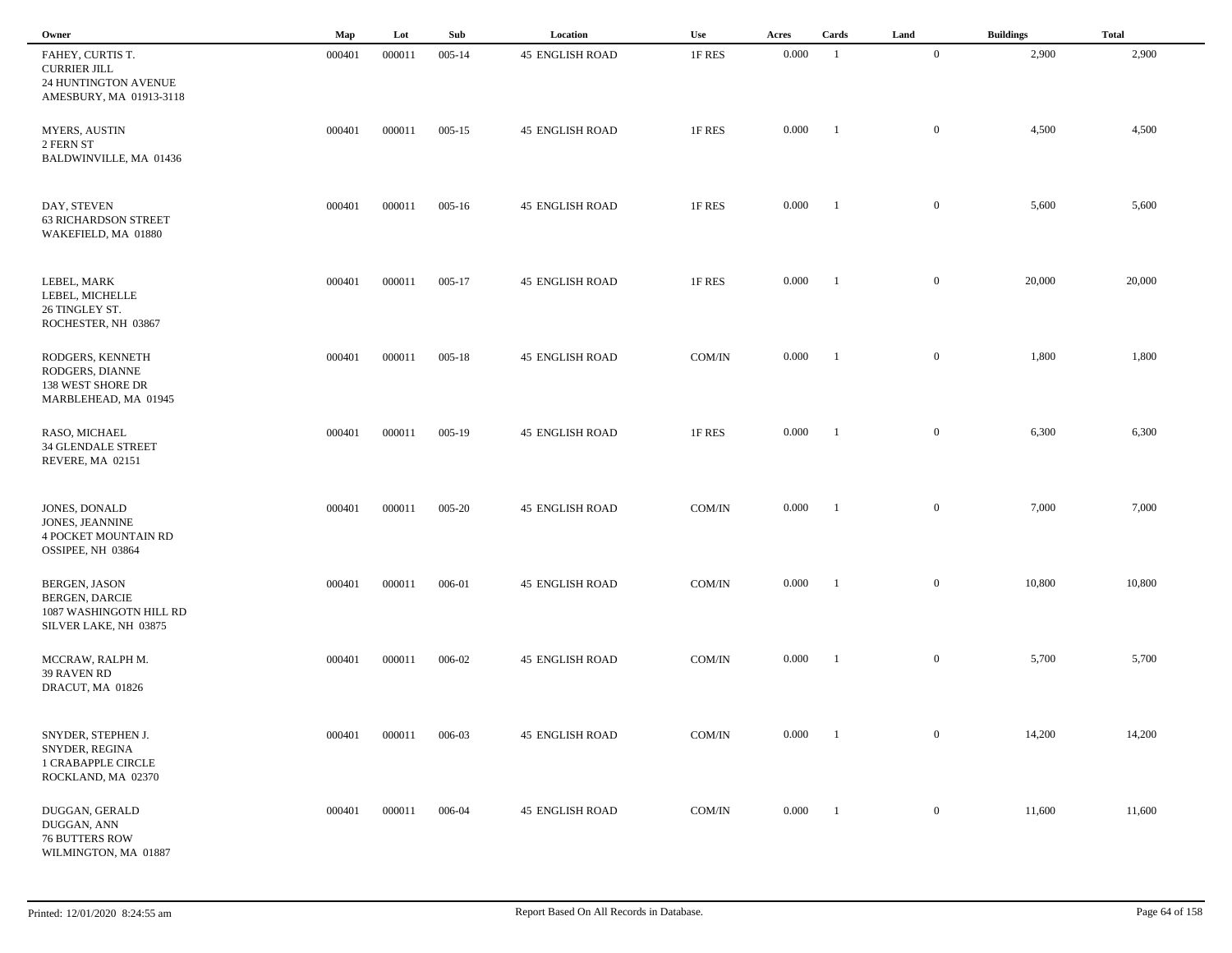| Owner                                                                                             | Map    | Lot    | Sub        | Location               | Use           | Acres | Cards          | Land             | <b>Buildings</b> | <b>Total</b> |
|---------------------------------------------------------------------------------------------------|--------|--------|------------|------------------------|---------------|-------|----------------|------------------|------------------|--------------|
| FAHEY, CURTIS T.<br><b>CURRIER JILL</b><br>24 HUNTINGTON AVENUE<br>AMESBURY, MA 01913-3118        | 000401 | 000011 | $005 - 14$ | <b>45 ENGLISH ROAD</b> | 1F RES        | 0.000 | -1             | $\overline{0}$   | 2,900            | 2,900        |
| <b>MYERS, AUSTIN</b><br>2 FERN ST<br>BALDWINVILLE, MA 01436                                       | 000401 | 000011 | $005 - 15$ | <b>45 ENGLISH ROAD</b> | 1F RES        | 0.000 | $\blacksquare$ | $\overline{0}$   | 4,500            | 4,500        |
| DAY, STEVEN<br><b>63 RICHARDSON STREET</b><br>WAKEFIELD, MA 01880                                 | 000401 | 000011 | $005 - 16$ | <b>45 ENGLISH ROAD</b> | 1F RES        | 0.000 | -1             | $\mathbf{0}$     | 5,600            | 5,600        |
| LEBEL, MARK<br>LEBEL, MICHELLE<br>26 TINGLEY ST.<br>ROCHESTER, NH 03867                           | 000401 | 000011 | $005 - 17$ | <b>45 ENGLISH ROAD</b> | 1F RES        | 0.000 | - 1            | $\mathbf{0}$     | 20,000           | 20,000       |
| RODGERS, KENNETH<br>RODGERS, DIANNE<br>138 WEST SHORE DR<br>MARBLEHEAD, MA 01945                  | 000401 | 000011 | $005 - 18$ | <b>45 ENGLISH ROAD</b> | COM/IN        | 0.000 | $\blacksquare$ | $\mathbf{0}$     | 1,800            | 1,800        |
| RASO, MICHAEL<br><b>34 GLENDALE STREET</b><br>REVERE, MA 02151                                    | 000401 | 000011 | $005-19$   | <b>45 ENGLISH ROAD</b> | 1F RES        | 0.000 | $\blacksquare$ | $\mathbf{0}$     | 6,300            | 6,300        |
| JONES, DONALD<br>JONES, JEANNINE<br><b>4 POCKET MOUNTAIN RD</b><br>OSSIPEE, NH 03864              | 000401 | 000011 | 005-20     | <b>45 ENGLISH ROAD</b> | COM/IN        | 0.000 | $\blacksquare$ | $\mathbf{0}$     | 7,000            | 7,000        |
| <b>BERGEN, JASON</b><br><b>BERGEN, DARCIE</b><br>1087 WASHINGOTN HILL RD<br>SILVER LAKE, NH 03875 | 000401 | 000011 | 006-01     | <b>45 ENGLISH ROAD</b> | COM/IN        | 0.000 | - 1            | $\mathbf{0}$     | 10,800           | 10,800       |
| MCCRAW, RALPH M.<br>39 RAVEN RD<br>DRACUT, MA 01826                                               | 000401 | 000011 | 006-02     | <b>45 ENGLISH ROAD</b> | COM/IN        | 0.000 | - 1            | $\mathbf{0}$     | 5,700            | 5,700        |
| SNYDER, STEPHEN J.<br>SNYDER, REGINA<br><b>1 CRABAPPLE CIRCLE</b><br>ROCKLAND, MA 02370           | 000401 | 000011 | 006-03     | <b>45 ENGLISH ROAD</b> | $\rm{COM/IN}$ | 0.000 | $\blacksquare$ | $\boldsymbol{0}$ | 14,200           | 14,200       |
| DUGGAN, GERALD<br>DUGGAN, ANN<br><b>76 BUTTERS ROW</b><br>WILMINGTON, MA 01887                    | 000401 | 000011 | 006-04     | <b>45 ENGLISH ROAD</b> | $\rm{COM/IN}$ | 0.000 | $\blacksquare$ | $\overline{0}$   | 11,600           | 11,600       |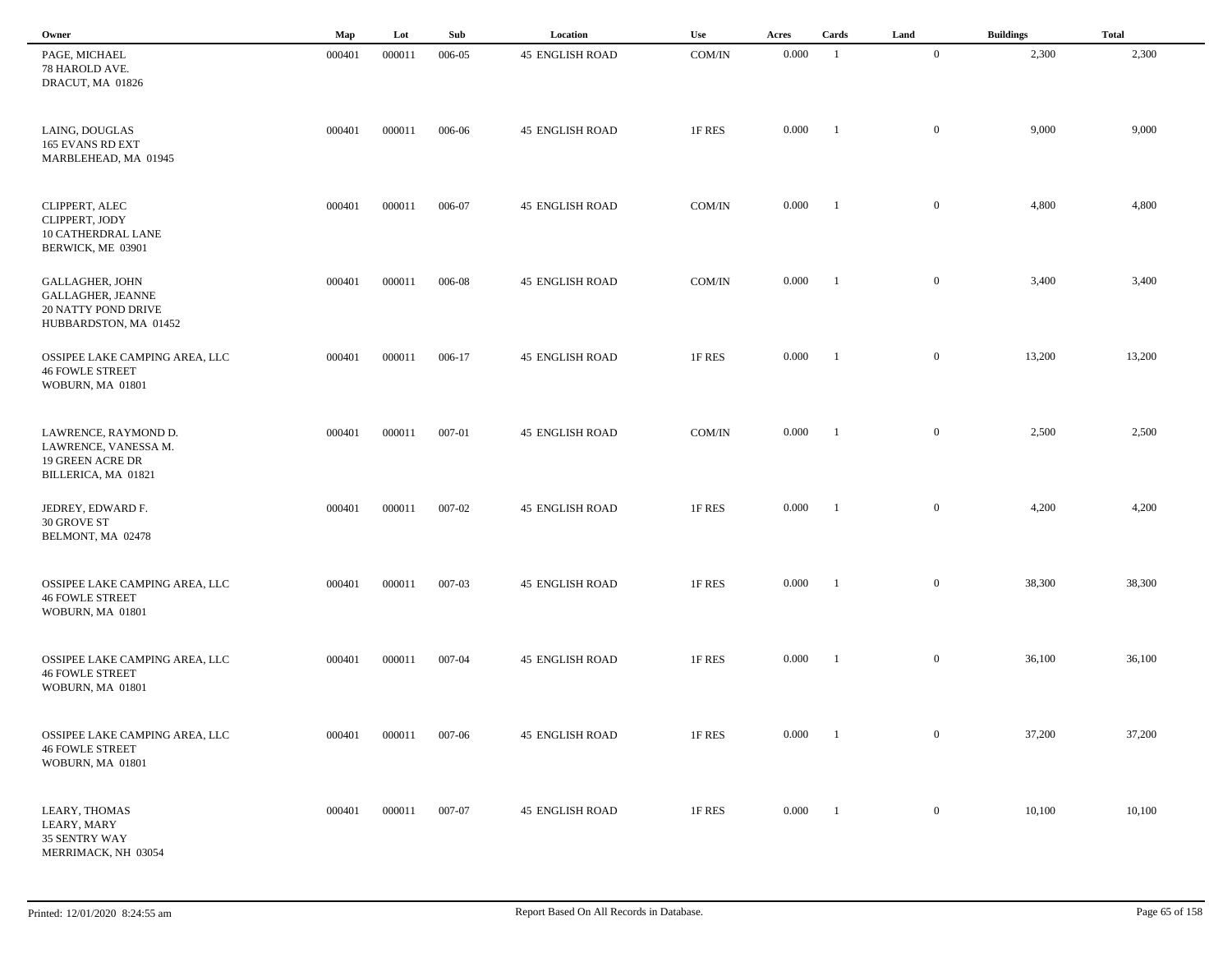| Owner                                                                                              | Map    | Lot    | Sub    | Location               | Use    | Acres | Cards          | Land           | <b>Buildings</b> | <b>Total</b> |
|----------------------------------------------------------------------------------------------------|--------|--------|--------|------------------------|--------|-------|----------------|----------------|------------------|--------------|
| PAGE, MICHAEL<br>78 HAROLD AVE.<br>DRACUT, MA 01826                                                | 000401 | 000011 | 006-05 | <b>45 ENGLISH ROAD</b> | COM/IN | 0.000 | $\overline{1}$ | $\overline{0}$ | 2,300            | 2,300        |
| LAING, DOUGLAS<br>165 EVANS RD EXT<br>MARBLEHEAD, MA 01945                                         | 000401 | 000011 | 006-06 | <b>45 ENGLISH ROAD</b> | 1F RES | 0.000 | -1             | $\mathbf{0}$   | 9,000            | 9,000        |
| CLIPPERT, ALEC<br>CLIPPERT, JODY<br>10 CATHERDRAL LANE<br>BERWICK, ME 03901                        | 000401 | 000011 | 006-07 | <b>45 ENGLISH ROAD</b> | COM/IN | 0.000 | $\blacksquare$ | $\overline{0}$ | 4,800            | 4,800        |
| <b>GALLAGHER, JOHN</b><br><b>GALLAGHER, JEANNE</b><br>20 NATTY POND DRIVE<br>HUBBARDSTON, MA 01452 | 000401 | 000011 | 006-08 | <b>45 ENGLISH ROAD</b> | COM/IN | 0.000 | $\blacksquare$ | $\mathbf{0}$   | 3,400            | 3,400        |
| OSSIPEE LAKE CAMPING AREA, LLC<br><b>46 FOWLE STREET</b><br>WOBURN, MA 01801                       | 000401 | 000011 | 006-17 | <b>45 ENGLISH ROAD</b> | 1F RES | 0.000 | $\blacksquare$ | $\mathbf{0}$   | 13,200           | 13,200       |
| LAWRENCE, RAYMOND D.<br>LAWRENCE, VANESSA M.<br><b>19 GREEN ACRE DR</b><br>BILLERICA, MA 01821     | 000401 | 000011 | 007-01 | <b>45 ENGLISH ROAD</b> | COM/IN | 0.000 | $\blacksquare$ | $\mathbf{0}$   | 2,500            | 2,500        |
| JEDREY, EDWARD F.<br>30 GROVE ST<br>BELMONT, MA 02478                                              | 000401 | 000011 | 007-02 | <b>45 ENGLISH ROAD</b> | 1F RES | 0.000 | -1             | $\mathbf{0}$   | 4,200            | 4,200        |
| OSSIPEE LAKE CAMPING AREA, LLC<br><b>46 FOWLE STREET</b><br>WOBURN, MA 01801                       | 000401 | 000011 | 007-03 | <b>45 ENGLISH ROAD</b> | 1F RES | 0.000 | - 1            | $\mathbf{0}$   | 38,300           | 38,300       |
| OSSIPEE LAKE CAMPING AREA, LLC<br><b>46 FOWLE STREET</b><br>WOBURN, MA 01801                       | 000401 | 000011 | 007-04 | <b>45 ENGLISH ROAD</b> | 1F RES | 0.000 | - 1            | $\mathbf{0}$   | 36,100           | 36,100       |
| OSSIPEE LAKE CAMPING AREA, LLC<br><b>46 FOWLE STREET</b><br>WOBURN, MA 01801                       | 000401 | 000011 | 007-06 | <b>45 ENGLISH ROAD</b> | 1F RES | 0.000 | $\blacksquare$ | $\overline{0}$ | 37,200           | 37,200       |
| LEARY, THOMAS<br>LEARY, MARY<br>35 SENTRY WAY<br>MERRIMACK, NH 03054                               | 000401 | 000011 | 007-07 | <b>45 ENGLISH ROAD</b> | 1F RES | 0.000 | $\blacksquare$ | $\overline{0}$ | 10,100           | 10,100       |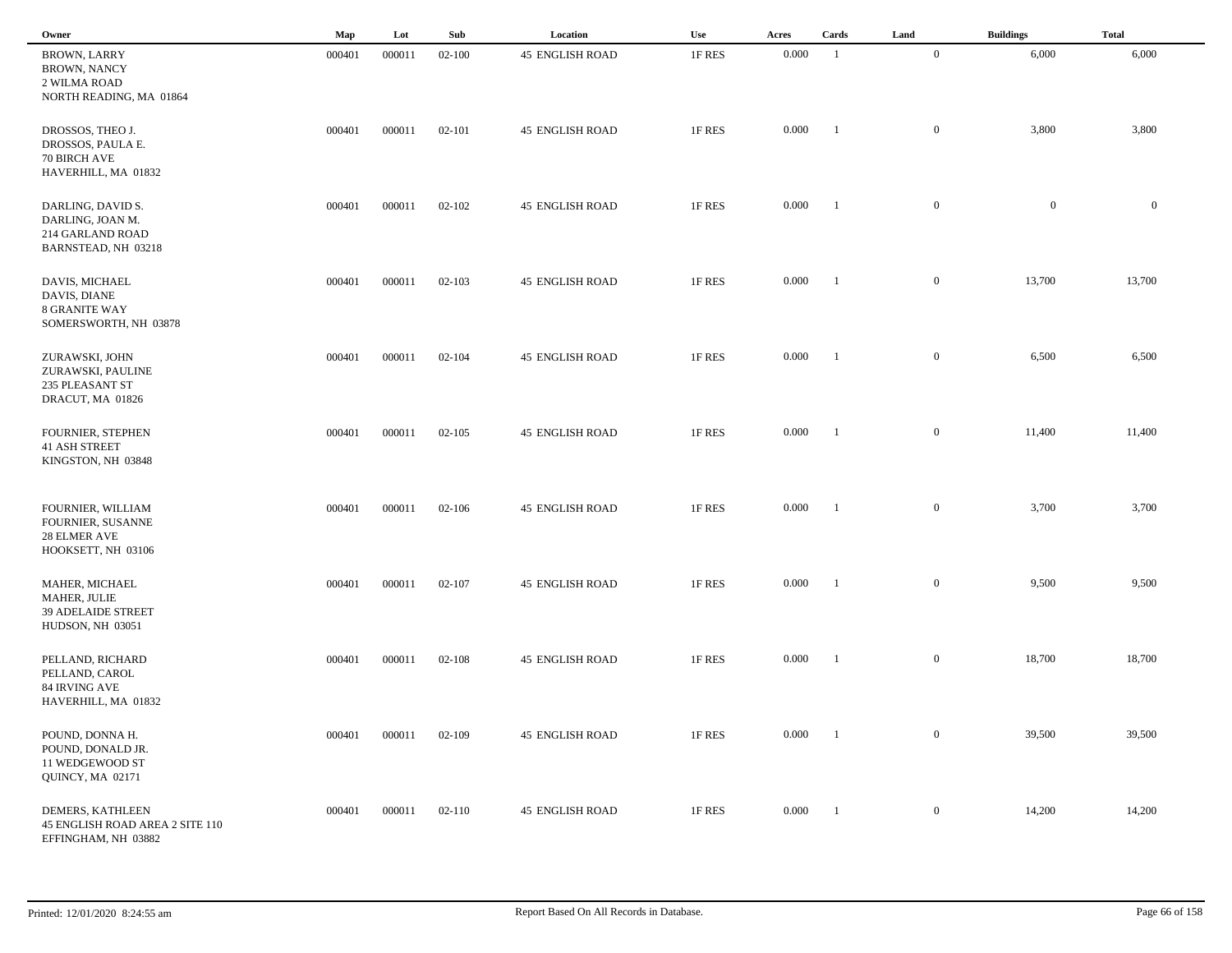| Owner                                                                                 | Map    | Lot    | Sub        | Location               | Use    | Acres | Cards          | Land           | <b>Buildings</b> | <b>Total</b> |
|---------------------------------------------------------------------------------------|--------|--------|------------|------------------------|--------|-------|----------------|----------------|------------------|--------------|
| <b>BROWN, LARRY</b><br><b>BROWN, NANCY</b><br>2 WILMA ROAD<br>NORTH READING, MA 01864 | 000401 | 000011 | $02 - 100$ | <b>45 ENGLISH ROAD</b> | 1F RES | 0.000 | $\overline{1}$ | $\mathbf{0}$   | 6,000            | 6,000        |
| DROSSOS, THEO J.<br>DROSSOS, PAULA E.<br>70 BIRCH AVE<br>HAVERHILL, MA 01832          | 000401 | 000011 | 02-101     | <b>45 ENGLISH ROAD</b> | 1F RES | 0.000 | - 1            | $\overline{0}$ | 3,800            | 3,800        |
| DARLING, DAVID S.<br>DARLING, JOAN M.<br>214 GARLAND ROAD<br>BARNSTEAD, NH 03218      | 000401 | 000011 | 02-102     | <b>45 ENGLISH ROAD</b> | 1F RES | 0.000 | -1             | $\mathbf{0}$   | $\bf{0}$         | $\mathbf{0}$ |
| DAVIS, MICHAEL<br>DAVIS, DIANE<br>8 GRANITE WAY<br>SOMERSWORTH, NH 03878              | 000401 | 000011 | $02 - 103$ | <b>45 ENGLISH ROAD</b> | 1F RES | 0.000 | - 1            | $\mathbf{0}$   | 13,700           | 13,700       |
| ZURAWSKI, JOHN<br>ZURAWSKI, PAULINE<br>235 PLEASANT ST<br>DRACUT, MA 01826            | 000401 | 000011 | $02 - 104$ | <b>45 ENGLISH ROAD</b> | 1F RES | 0.000 | $\blacksquare$ | $\mathbf{0}$   | 6,500            | 6,500        |
| FOURNIER, STEPHEN<br><b>41 ASH STREET</b><br>KINGSTON, NH 03848                       | 000401 | 000011 | $02 - 105$ | <b>45 ENGLISH ROAD</b> | 1F RES | 0.000 | $\blacksquare$ | $\mathbf{0}$   | 11,400           | 11,400       |
| FOURNIER, WILLIAM<br>FOURNIER, SUSANNE<br>28 ELMER AVE<br>HOOKSETT, NH 03106          | 000401 | 000011 | $02 - 106$ | <b>45 ENGLISH ROAD</b> | 1F RES | 0.000 | - 1            | $\mathbf{0}$   | 3,700            | 3,700        |
| MAHER, MICHAEL<br>MAHER, JULIE<br><b>39 ADELAIDE STREET</b><br>HUDSON, NH 03051       | 000401 | 000011 | $02 - 107$ | <b>45 ENGLISH ROAD</b> | 1F RES | 0.000 |                | $\mathbf{0}$   | 9,500            | 9,500        |
| PELLAND, RICHARD<br>PELLAND, CAROL<br>84 IRVING AVE<br>HAVERHILL, MA 01832            | 000401 | 000011 | $02 - 108$ | <b>45 ENGLISH ROAD</b> | 1F RES | 0.000 |                | $\mathbf{0}$   | 18,700           | 18,700       |
| POUND, DONNA H.<br>POUND, DONALD JR.<br>11 WEDGEWOOD ST<br>QUINCY, MA 02171           | 000401 | 000011 | $02 - 109$ | <b>45 ENGLISH ROAD</b> | 1F RES | 0.000 | $\blacksquare$ | $\overline{0}$ | 39,500           | 39,500       |
| DEMERS, KATHLEEN<br>45 ENGLISH ROAD AREA 2 SITE 110<br>EFFINGHAM, NH 03882            | 000401 | 000011 | $02 - 110$ | <b>45 ENGLISH ROAD</b> | 1F RES | 0.000 | $\blacksquare$ | $\overline{0}$ | 14,200           | 14,200       |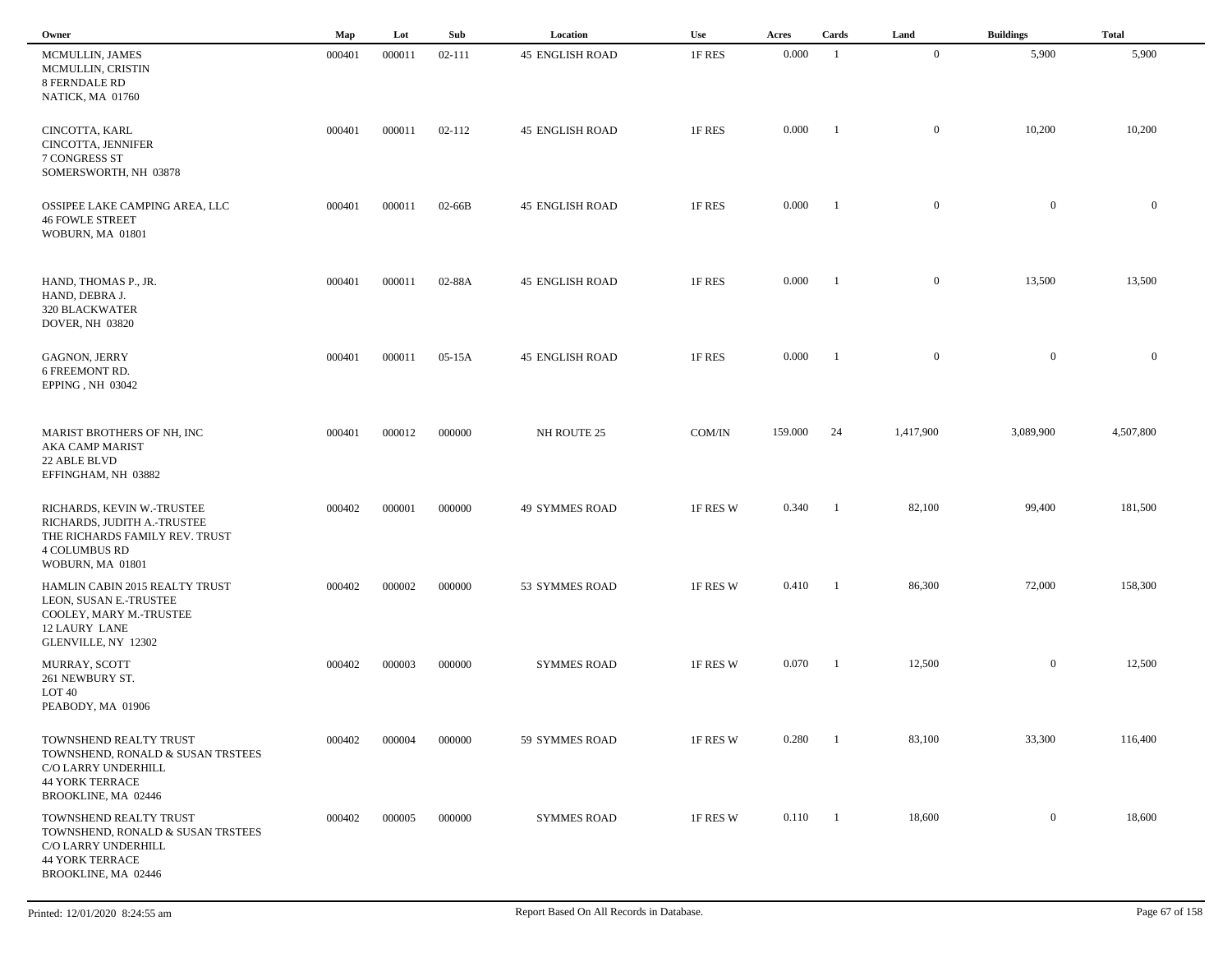| Owner                                                                                                                                   | $\mathbf{Map}$ | Lot    | Sub        | Location               | Use      | Acres            | Cards          | Land           | <b>Buildings</b> | <b>Total</b> |  |
|-----------------------------------------------------------------------------------------------------------------------------------------|----------------|--------|------------|------------------------|----------|------------------|----------------|----------------|------------------|--------------|--|
| MCMULLIN, JAMES<br>MCMULLIN, CRISTIN<br>8 FERNDALE RD<br>NATICK, MA 01760                                                               | 000401         | 000011 | $02 - 111$ | <b>45 ENGLISH ROAD</b> | 1F RES   | 0.000            | -1             | $\mathbf{0}$   | 5,900            | 5,900        |  |
| CINCOTTA, KARL<br>CINCOTTA, JENNIFER<br>7 CONGRESS ST<br>SOMERSWORTH, NH 03878                                                          | 000401         | 000011 | 02-112     | <b>45 ENGLISH ROAD</b> | 1F RES   | 0.000            | - 1            | $\mathbf{0}$   | 10,200           | 10,200       |  |
| OSSIPEE LAKE CAMPING AREA, LLC<br><b>46 FOWLE STREET</b><br>WOBURN, MA 01801                                                            | 000401         | 000011 | $02-66B$   | <b>45 ENGLISH ROAD</b> | 1F RES   | 0.000            | -1             | $\mathbf{0}$   | $\mathbf{0}$     | $\mathbf{0}$ |  |
| HAND, THOMAS P., JR.<br>HAND, DEBRA J.<br><b>320 BLACKWATER</b><br>DOVER, NH 03820                                                      | 000401         | 000011 | 02-88A     | <b>45 ENGLISH ROAD</b> | 1F RES   | 0.000            | -1             | $\mathbf{0}$   | 13,500           | 13,500       |  |
| <b>GAGNON, JERRY</b><br>6 FREEMONT RD.<br>EPPING, NH 03042                                                                              | 000401         | 000011 | 05-15A     | <b>45 ENGLISH ROAD</b> | 1F RES   | 0.000            | $\blacksquare$ | $\overline{0}$ | $\overline{0}$   | $\mathbf{0}$ |  |
| MARIST BROTHERS OF NH, INC<br>AKA CAMP MARIST<br>22 ABLE BLVD<br>EFFINGHAM, NH 03882                                                    | 000401         | 000012 | 000000     | NH ROUTE 25            | COM/IN   | 159.000          | 24             | 1,417,900      | 3,089,900        | 4,507,800    |  |
| RICHARDS, KEVIN W.-TRUSTEE<br>RICHARDS, JUDITH A.-TRUSTEE<br>THE RICHARDS FAMILY REV. TRUST<br><b>4 COLUMBUS RD</b><br>WOBURN, MA 01801 | 000402         | 000001 | 000000     | <b>49 SYMMES ROAD</b>  | 1F RES W | 0.340            | -1             | 82,100         | 99,400           | 181,500      |  |
| HAMLIN CABIN 2015 REALTY TRUST<br>LEON, SUSAN E.-TRUSTEE<br>COOLEY, MARY M.-TRUSTEE<br><b>12 LAURY LANE</b><br>GLENVILLE, NY 12302      | 000402         | 000002 | 000000     | 53 SYMMES ROAD         | 1F RES W | 0.410            | - 1            | 86,300         | 72,000           | 158,300      |  |
| MURRAY, SCOTT<br>261 NEWBURY ST.<br>LOT 40<br>PEABODY, MA 01906                                                                         | 000402         | 000003 | 000000     | <b>SYMMES ROAD</b>     | 1F RES W | 0.070            | - 1            | 12,500         | $\mathbf{0}$     | 12,500       |  |
| TOWNSHEND REALTY TRUST<br>TOWNSHEND, RONALD & SUSAN TRSTEES<br>C/O LARRY UNDERHILL<br><b>44 YORK TERRACE</b><br>BROOKLINE, MA 02446     | 000402         | 000004 | 000000     | 59 SYMMES ROAD         | 1F RES W | 0.280            | -1             | 83,100         | 33,300           | 116,400      |  |
| TOWNSHEND REALTY TRUST<br>TOWNSHEND, RONALD & SUSAN TRSTEES<br>C/O LARRY UNDERHILL<br><b>44 YORK TERRACE</b><br>BROOKLINE, MA 02446     | 000402         | 000005 | 000000     | <b>SYMMES ROAD</b>     | 1F RES W | $0.110 \qquad 1$ |                | 18,600         | $\overline{0}$   | 18,600       |  |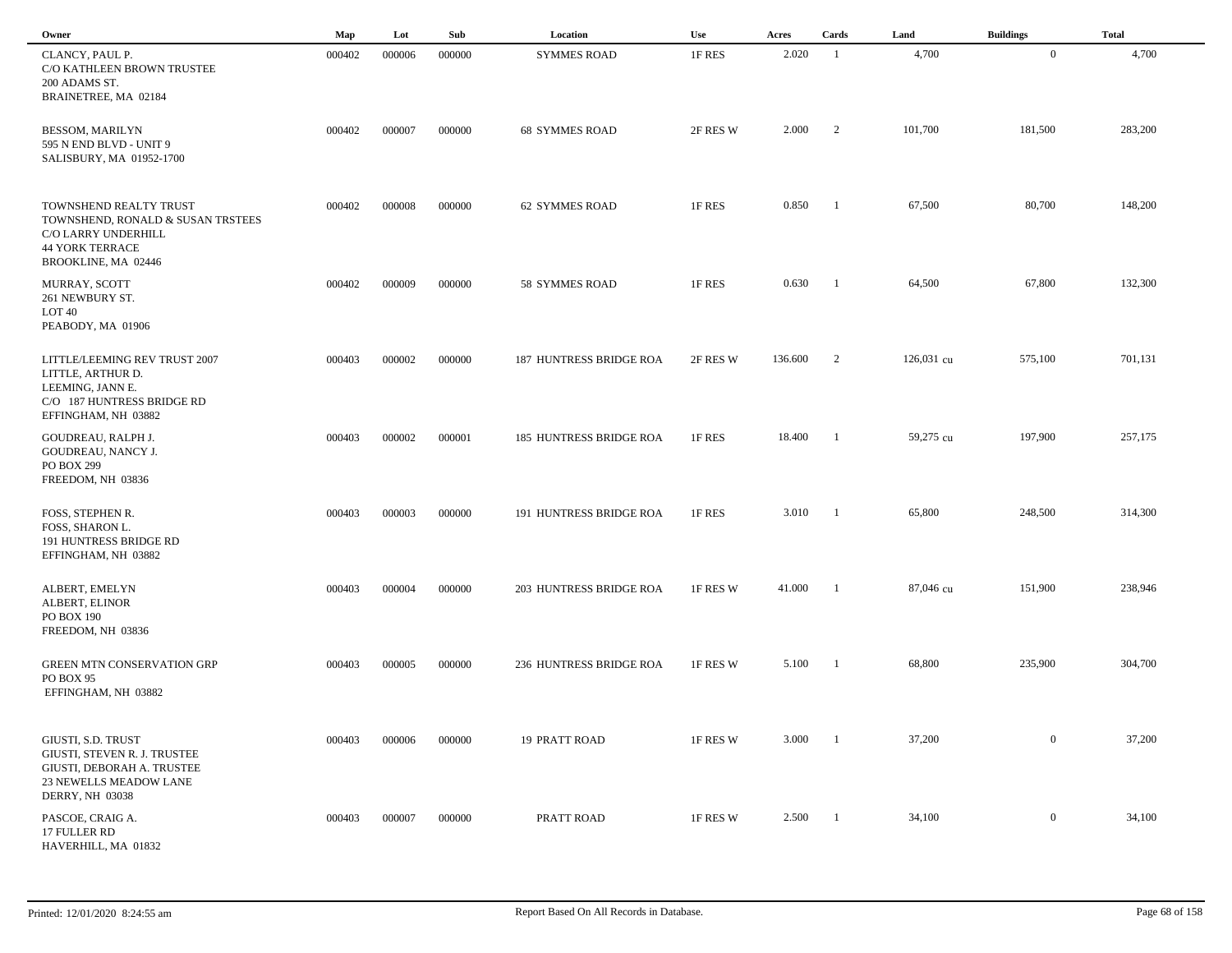| Owner                                                                                                                                | Map    | Lot    | Sub    | Location                       | Use      | Acres   | Cards          | Land       | <b>Buildings</b> | <b>Total</b> |
|--------------------------------------------------------------------------------------------------------------------------------------|--------|--------|--------|--------------------------------|----------|---------|----------------|------------|------------------|--------------|
| CLANCY, PAUL P.<br>C/O KATHLEEN BROWN TRUSTEE<br>200 ADAMS ST.<br>BRAINETREE, MA 02184                                               | 000402 | 000006 | 000000 | <b>SYMMES ROAD</b>             | 1F RES   | 2.020   | -1             | 4,700      | $\overline{0}$   | 4,700        |
| <b>BESSOM, MARILYN</b><br>595 N END BLVD - UNIT 9<br>SALISBURY, MA 01952-1700                                                        | 000402 | 000007 | 000000 | <b>68 SYMMES ROAD</b>          | 2F RES W | 2.000   | 2              | 101,700    | 181,500          | 283,200      |
| TOWNSHEND REALTY TRUST<br>TOWNSHEND, RONALD & SUSAN TRSTEES<br>C/O LARRY UNDERHILL<br><b>44 YORK TERRACE</b><br>BROOKLINE, MA 02446  | 000402 | 000008 | 000000 | <b>62 SYMMES ROAD</b>          | 1F RES   | 0.850   | -1             | 67,500     | 80,700           | 148,200      |
| MURRAY, SCOTT<br>261 NEWBURY ST.<br>LOT <sub>40</sub><br>PEABODY, MA 01906                                                           | 000402 | 000009 | 000000 | 58 SYMMES ROAD                 | 1F RES   | 0.630   | $\blacksquare$ | 64,500     | 67,800           | 132,300      |
| LITTLE/LEEMING REV TRUST 2007<br>LITTLE, ARTHUR D.<br>LEEMING, JANN E.<br>C/O 187 HUNTRESS BRIDGE RD<br>EFFINGHAM, NH 03882          | 000403 | 000002 | 000000 | <b>187 HUNTRESS BRIDGE ROA</b> | 2F RES W | 136.600 | 2              | 126,031 cu | 575,100          | 701,131      |
| GOUDREAU, RALPH J.<br>GOUDREAU, NANCY J.<br>PO BOX 299<br>FREEDOM, NH 03836                                                          | 000403 | 000002 | 000001 | <b>185 HUNTRESS BRIDGE ROA</b> | 1F RES   | 18.400  | -1             | 59,275 cu  | 197,900          | 257,175      |
| FOSS, STEPHEN R.<br>FOSS, SHARON L.<br>191 HUNTRESS BRIDGE RD<br>EFFINGHAM, NH 03882                                                 | 000403 | 000003 | 000000 | 191 HUNTRESS BRIDGE ROA        | 1F RES   | 3.010   | -1             | 65,800     | 248,500          | 314,300      |
| ALBERT, EMELYN<br>ALBERT, ELINOR<br>PO BOX 190<br>FREEDOM, NH 03836                                                                  | 000403 | 000004 | 000000 | 203 HUNTRESS BRIDGE ROA        | 1F RES W | 41.000  | -1             | 87,046 cu  | 151,900          | 238,946      |
| <b>GREEN MTN CONSERVATION GRP</b><br>PO BOX 95<br>EFFINGHAM, NH 03882                                                                | 000403 | 000005 | 000000 | 236 HUNTRESS BRIDGE ROA        | 1F RES W | 5.100   | - 1            | 68,800     | 235,900          | 304,700      |
| GIUSTI, S.D. TRUST<br>GIUSTI, STEVEN R. J. TRUSTEE<br>GIUSTI, DEBORAH A. TRUSTEE<br>23 NEWELLS MEADOW LANE<br><b>DERRY, NH 03038</b> | 000403 | 000006 | 000000 | <b>19 PRATT ROAD</b>           | 1F RES W | 3.000   | - 1            | 37,200     | $\overline{0}$   | 37,200       |
| PASCOE, CRAIG A.<br>17 FULLER RD<br>HAVERHILL, MA 01832                                                                              | 000403 | 000007 | 000000 | PRATT ROAD                     | 1F RES W | 2.500   | -1             | 34,100     | $\overline{0}$   | 34,100       |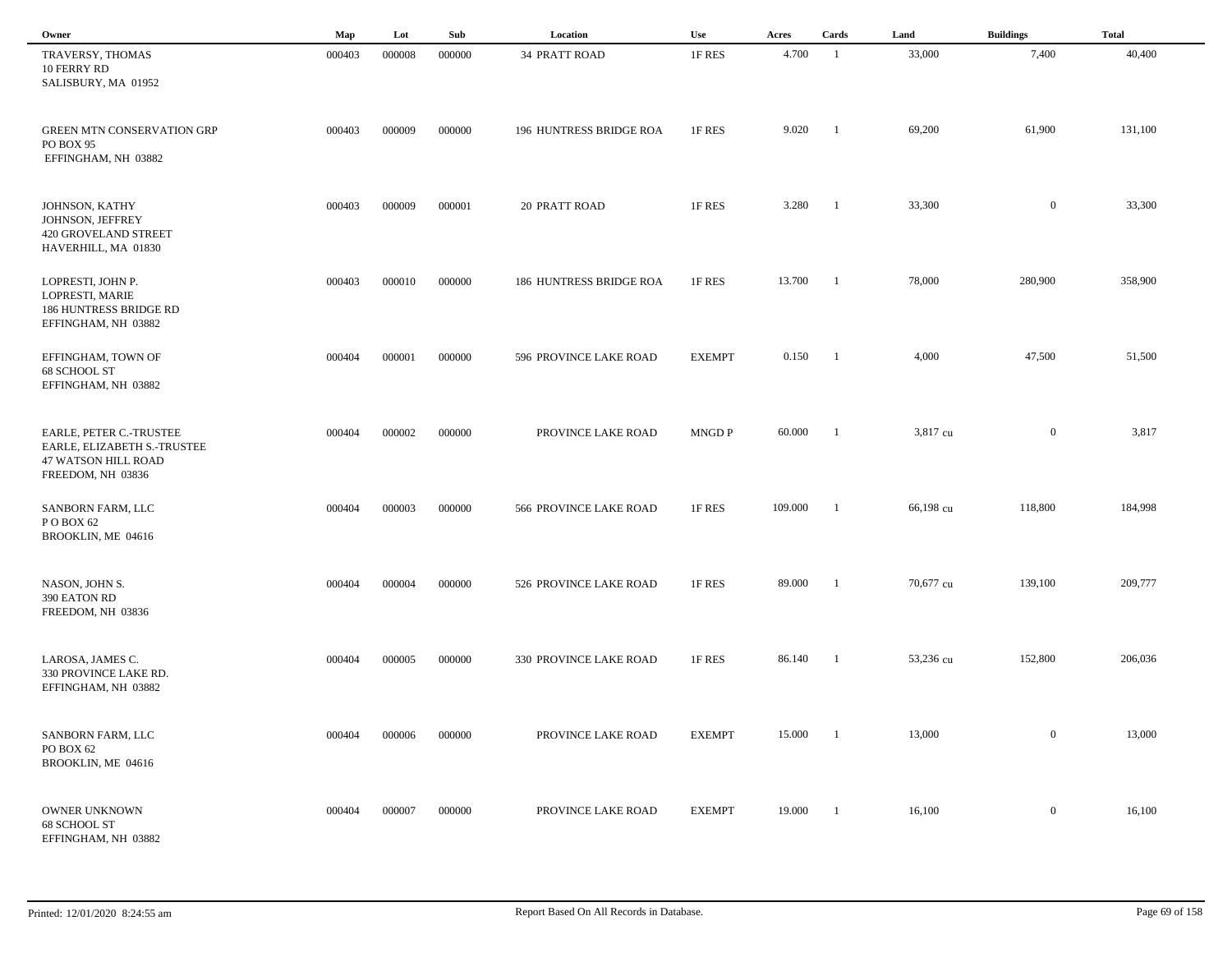| Owner                                                                                                     | Map    | Lot    | Sub    | Location                | Use           | Acres   | Cards          | Land      | <b>Buildings</b> | <b>Total</b> |  |
|-----------------------------------------------------------------------------------------------------------|--------|--------|--------|-------------------------|---------------|---------|----------------|-----------|------------------|--------------|--|
| TRAVERSY, THOMAS<br>10 FERRY RD<br>SALISBURY, MA 01952                                                    | 000403 | 000008 | 000000 | 34 PRATT ROAD           | 1F RES        | 4.700   | $\overline{1}$ | 33,000    | 7,400            | 40,400       |  |
| <b>GREEN MTN CONSERVATION GRP</b><br>PO BOX 95<br>EFFINGHAM, NH 03882                                     | 000403 | 000009 | 000000 | 196 HUNTRESS BRIDGE ROA | 1F RES        | 9.020   | -1             | 69,200    | 61,900           | 131,100      |  |
| JOHNSON, KATHY<br>JOHNSON, JEFFREY<br>420 GROVELAND STREET<br>HAVERHILL, MA 01830                         | 000403 | 000009 | 000001 | <b>20 PRATT ROAD</b>    | 1F RES        | 3.280   | $\blacksquare$ | 33,300    | $\overline{0}$   | 33,300       |  |
| LOPRESTI, JOHN P.<br>LOPRESTI, MARIE<br>186 HUNTRESS BRIDGE RD<br>EFFINGHAM, NH 03882                     | 000403 | 000010 | 000000 | 186 HUNTRESS BRIDGE ROA | 1F RES        | 13.700  | $\blacksquare$ | 78,000    | 280,900          | 358,900      |  |
| EFFINGHAM, TOWN OF<br>68 SCHOOL ST<br>EFFINGHAM, NH 03882                                                 | 000404 | 000001 | 000000 | 596 PROVINCE LAKE ROAD  | <b>EXEMPT</b> | 0.150   | $\blacksquare$ | 4,000     | 47,500           | 51,500       |  |
| EARLE, PETER C.-TRUSTEE<br>EARLE, ELIZABETH S.-TRUSTEE<br><b>47 WATSON HILL ROAD</b><br>FREEDOM, NH 03836 | 000404 | 000002 | 000000 | PROVINCE LAKE ROAD      | <b>MNGD P</b> | 60.000  | $\overline{1}$ | 3,817 cu  | $\overline{0}$   | 3,817        |  |
| SANBORN FARM, LLC<br>POBOX 62<br>BROOKLIN, ME 04616                                                       | 000404 | 000003 | 000000 | 566 PROVINCE LAKE ROAD  | 1F RES        | 109.000 | -1             | 66,198 cu | 118,800          | 184,998      |  |
| NASON, JOHN S.<br>390 EATON RD<br>FREEDOM, NH 03836                                                       | 000404 | 000004 | 000000 | 526 PROVINCE LAKE ROAD  | 1F RES        | 89.000  | $\overline{1}$ | 70,677 cu | 139,100          | 209,777      |  |
| LAROSA, JAMES C.<br>330 PROVINCE LAKE RD.<br>EFFINGHAM, NH 03882                                          | 000404 | 000005 | 000000 | 330 PROVINCE LAKE ROAD  | 1F RES        | 86.140  | $\overline{1}$ | 53,236 cu | 152,800          | 206,036      |  |
| SANBORN FARM, LLC<br>PO BOX 62<br>BROOKLIN, ME 04616                                                      | 000404 | 000006 | 000000 | PROVINCE LAKE ROAD      | <b>EXEMPT</b> | 15.000  | $\overline{1}$ | 13,000    | $\overline{0}$   | 13,000       |  |
| OWNER UNKNOWN<br>68 SCHOOL ST<br>EFFINGHAM, NH 03882                                                      | 000404 | 000007 | 000000 | PROVINCE LAKE ROAD      | <b>EXEMPT</b> | 19.000  | - 1            | 16,100    | $\overline{0}$   | 16,100       |  |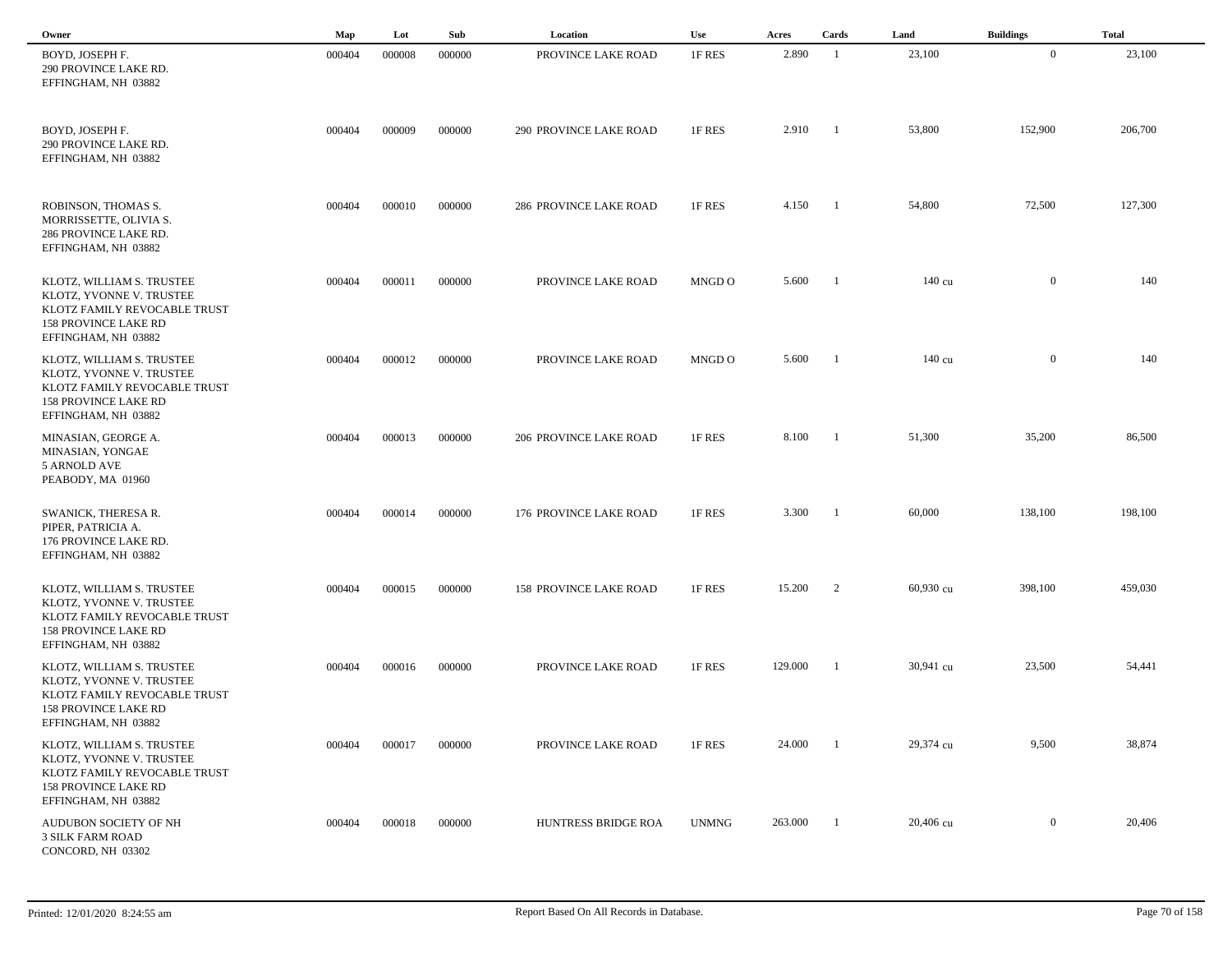| Owner                                                                                                                                       | Map    | Lot    | Sub    | Location                      | <b>Use</b>   | Acres   | Cards          | Land             | <b>Buildings</b> | <b>Total</b> |  |
|---------------------------------------------------------------------------------------------------------------------------------------------|--------|--------|--------|-------------------------------|--------------|---------|----------------|------------------|------------------|--------------|--|
| BOYD, JOSEPH F.<br>290 PROVINCE LAKE RD.<br>EFFINGHAM, NH 03882                                                                             | 000404 | 000008 | 000000 | PROVINCE LAKE ROAD            | 1F RES       | 2.890   | -1             | 23,100           | $\overline{0}$   | 23,100       |  |
| BOYD, JOSEPH F.<br>290 PROVINCE LAKE RD.<br>EFFINGHAM, NH 03882                                                                             | 000404 | 000009 | 000000 | <b>290 PROVINCE LAKE ROAD</b> | 1F RES       | 2.910   | -1             | 53,800           | 152,900          | 206,700      |  |
| ROBINSON, THOMAS S.<br>MORRISSETTE, OLIVIA S.<br>286 PROVINCE LAKE RD.<br>EFFINGHAM, NH 03882                                               | 000404 | 000010 | 000000 | <b>286 PROVINCE LAKE ROAD</b> | 1F RES       | 4.150   | - 1            | 54,800           | 72,500           | 127,300      |  |
| KLOTZ, WILLIAM S. TRUSTEE<br>KLOTZ, YVONNE V. TRUSTEE<br>KLOTZ FAMILY REVOCABLE TRUST<br><b>158 PROVINCE LAKE RD</b><br>EFFINGHAM, NH 03882 | 000404 | 000011 | 000000 | PROVINCE LAKE ROAD            | MNGD O       | 5.600   | $\blacksquare$ | 140 cu           | $\overline{0}$   | 140          |  |
| KLOTZ, WILLIAM S. TRUSTEE<br>KLOTZ, YVONNE V. TRUSTEE<br>KLOTZ FAMILY REVOCABLE TRUST<br><b>158 PROVINCE LAKE RD</b><br>EFFINGHAM, NH 03882 | 000404 | 000012 | 000000 | PROVINCE LAKE ROAD            | MNGD O       | 5.600   |                | $140 \text{ cu}$ | $\overline{0}$   | 140          |  |
| MINASIAN, GEORGE A.<br>MINASIAN, YONGAE<br>5 ARNOLD AVE<br>PEABODY, MA 01960                                                                | 000404 | 000013 | 000000 | <b>206 PROVINCE LAKE ROAD</b> | 1F RES       | 8.100   | - 1            | 51,300           | 35,200           | 86,500       |  |
| SWANICK, THERESA R.<br>PIPER, PATRICIA A.<br>176 PROVINCE LAKE RD.<br>EFFINGHAM, NH 03882                                                   | 000404 | 000014 | 000000 | 176 PROVINCE LAKE ROAD        | 1F RES       | 3.300   | -1             | 60,000           | 138,100          | 198,100      |  |
| KLOTZ, WILLIAM S. TRUSTEE<br>KLOTZ, YVONNE V. TRUSTEE<br>KLOTZ FAMILY REVOCABLE TRUST<br><b>158 PROVINCE LAKE RD</b><br>EFFINGHAM, NH 03882 | 000404 | 000015 | 000000 | <b>158 PROVINCE LAKE ROAD</b> | 1F RES       | 15.200  | 2              | 60,930 cu        | 398,100          | 459,030      |  |
| KLOTZ, WILLIAM S. TRUSTEE<br>KLOTZ, YVONNE V. TRUSTEE<br>KLOTZ FAMILY REVOCABLE TRUST<br>158 PROVINCE LAKE RD<br>EFFINGHAM, NH 03882        | 000404 | 000016 | 000000 | PROVINCE LAKE ROAD            | 1F RES       | 129.000 | -1             | 30,941 cu        | 23,500           | 54,441       |  |
| KLOTZ, WILLIAM S. TRUSTEE<br>KLOTZ, YVONNE V. TRUSTEE<br>KLOTZ FAMILY REVOCABLE TRUST<br><b>158 PROVINCE LAKE RD</b><br>EFFINGHAM, NH 03882 | 000404 | 000017 | 000000 | PROVINCE LAKE ROAD            | 1F RES       | 24.000  |                | 29,374 cu        | 9,500            | 38,874       |  |
| AUDUBON SOCIETY OF NH<br><b>3 SILK FARM ROAD</b><br>CONCORD, NH 03302                                                                       | 000404 | 000018 | 000000 | HUNTRESS BRIDGE ROA           | <b>UNMNG</b> | 263.000 | $\overline{1}$ | 20,406 cu        | $\overline{0}$   | 20,406       |  |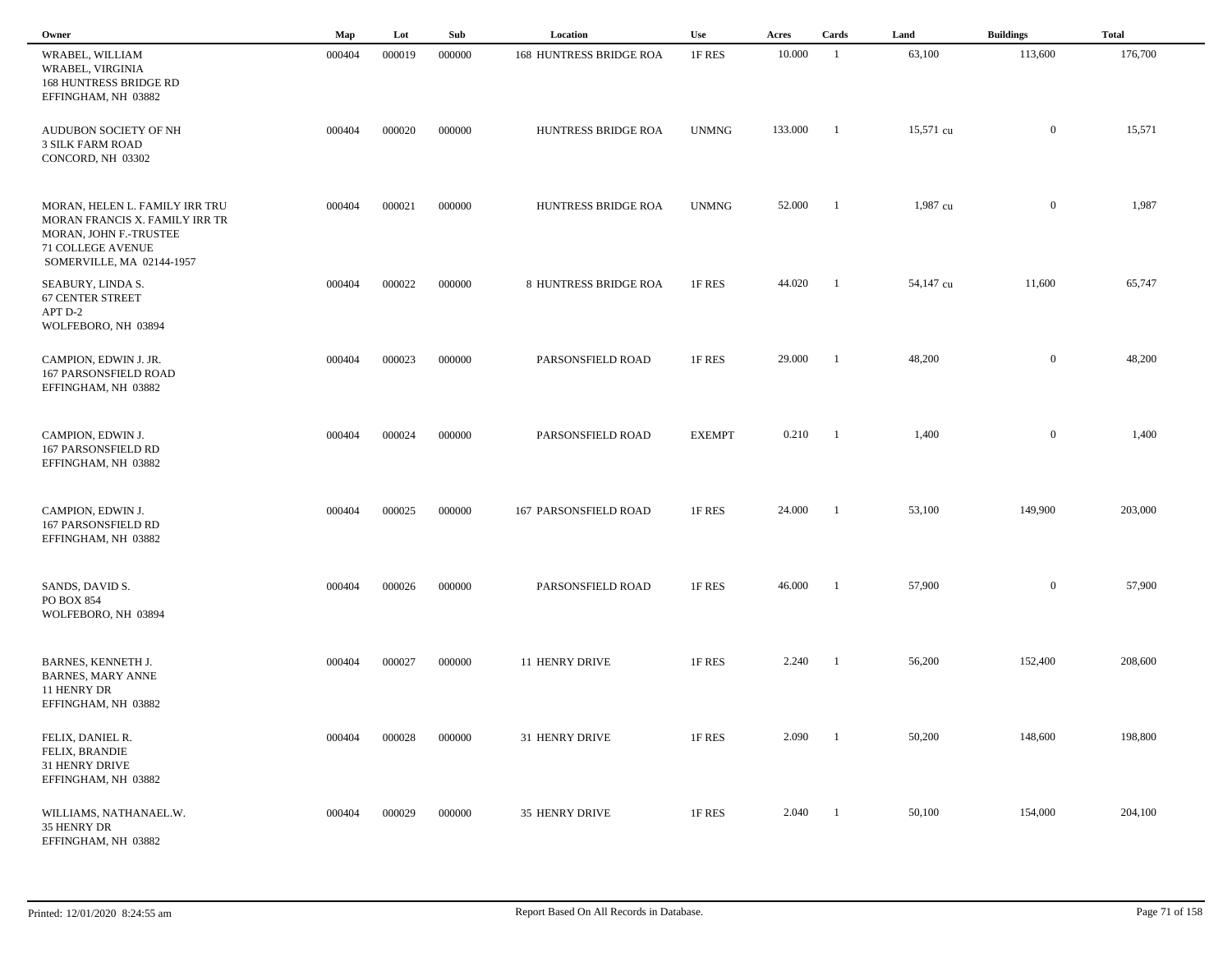| Owner                                                                                                                                        | Map    | Lot    | Sub    | Location                | Use           | Acres   | Cards          | Land      | <b>Buildings</b> | <b>Total</b> |  |
|----------------------------------------------------------------------------------------------------------------------------------------------|--------|--------|--------|-------------------------|---------------|---------|----------------|-----------|------------------|--------------|--|
| WRABEL, WILLIAM<br>WRABEL, VIRGINIA<br>168 HUNTRESS BRIDGE RD<br>EFFINGHAM, NH 03882                                                         | 000404 | 000019 | 000000 | 168 HUNTRESS BRIDGE ROA | 1F RES        | 10.000  | $\overline{1}$ | 63,100    | 113,600          | 176,700      |  |
| AUDUBON SOCIETY OF NH<br><b>3 SILK FARM ROAD</b><br>CONCORD, NH 03302                                                                        | 000404 | 000020 | 000000 | HUNTRESS BRIDGE ROA     | <b>UNMNG</b>  | 133.000 | -1             | 15,571 cu | $\mathbf{0}$     | 15,571       |  |
| MORAN, HELEN L. FAMILY IRR TRU<br>MORAN FRANCIS X. FAMILY IRR TR<br>MORAN, JOHN F.-TRUSTEE<br>71 COLLEGE AVENUE<br>SOMERVILLE, MA 02144-1957 | 000404 | 000021 | 000000 | HUNTRESS BRIDGE ROA     | <b>UNMNG</b>  | 52.000  | $\overline{1}$ | 1,987 cu  | $\mathbf{0}$     | 1,987        |  |
| SEABURY, LINDA S.<br><b>67 CENTER STREET</b><br>APT D-2<br>WOLFEBORO, NH 03894                                                               | 000404 | 000022 | 000000 | 8 HUNTRESS BRIDGE ROA   | 1F RES        | 44.020  | -1             | 54,147 cu | 11,600           | 65,747       |  |
| CAMPION, EDWIN J. JR.<br><b>167 PARSONSFIELD ROAD</b><br>EFFINGHAM, NH 03882                                                                 | 000404 | 000023 | 000000 | PARSONSFIELD ROAD       | 1F RES        | 29.000  | -1             | 48,200    | $\overline{0}$   | 48,200       |  |
| CAMPION, EDWIN J.<br><b>167 PARSONSFIELD RD</b><br>EFFINGHAM, NH 03882                                                                       | 000404 | 000024 | 000000 | PARSONSFIELD ROAD       | <b>EXEMPT</b> | 0.210   | - 1            | 1,400     | $\mathbf{0}$     | 1,400        |  |
| CAMPION, EDWIN J.<br>167 PARSONSFIELD RD<br>EFFINGHAM, NH 03882                                                                              | 000404 | 000025 | 000000 | 167 PARSONSFIELD ROAD   | 1F RES        | 24.000  |                | 53,100    | 149,900          | 203,000      |  |
| SANDS, DAVID S.<br>PO BOX 854<br>WOLFEBORO, NH 03894                                                                                         | 000404 | 000026 | 000000 | PARSONSFIELD ROAD       | 1F RES        | 46.000  | -1             | 57,900    | $\mathbf{0}$     | 57,900       |  |
| BARNES, KENNETH J.<br><b>BARNES, MARY ANNE</b><br>11 HENRY DR<br>EFFINGHAM, NH 03882                                                         | 000404 | 000027 | 000000 | 11 HENRY DRIVE          | 1F RES        | 2.240   | -1             | 56,200    | 152,400          | 208,600      |  |
| FELIX, DANIEL R.<br>FELIX, BRANDIE<br>31 HENRY DRIVE<br>EFFINGHAM, NH 03882                                                                  | 000404 | 000028 | 000000 | 31 HENRY DRIVE          | 1F RES        | 2.090   |                | 50,200    | 148,600          | 198,800      |  |
| WILLIAMS, NATHANAEL.W.<br>35 HENRY DR<br>EFFINGHAM, NH 03882                                                                                 | 000404 | 000029 | 000000 | 35 HENRY DRIVE          | 1F RES        | 2.040   | $\blacksquare$ | 50,100    | 154,000          | 204,100      |  |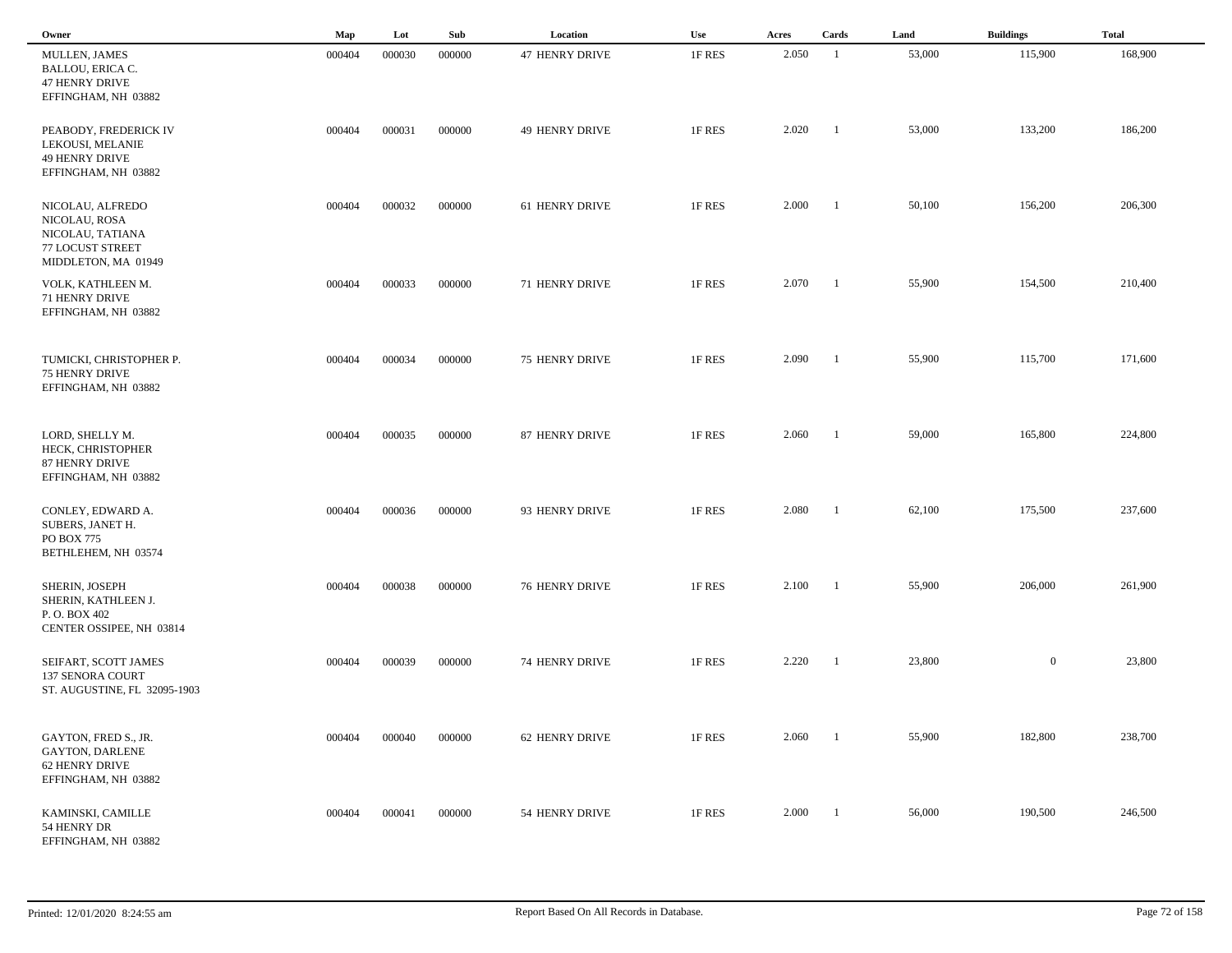| Owner                                                                                            | Map    | Lot    | Sub    | Location              | Use    | Acres | Cards                    | Land   | <b>Buildings</b> | <b>Total</b> |  |
|--------------------------------------------------------------------------------------------------|--------|--------|--------|-----------------------|--------|-------|--------------------------|--------|------------------|--------------|--|
| MULLEN, JAMES<br><b>BALLOU, ERICA C.</b><br><b>47 HENRY DRIVE</b><br>EFFINGHAM, NH 03882         | 000404 | 000030 | 000000 | <b>47 HENRY DRIVE</b> | 1F RES | 2.050 | - 1                      | 53,000 | 115,900          | 168,900      |  |
| PEABODY, FREDERICK IV<br>LEKOUSI, MELANIE<br><b>49 HENRY DRIVE</b><br>EFFINGHAM, NH 03882        | 000404 | 000031 | 000000 | <b>49 HENRY DRIVE</b> | 1F RES | 2.020 | $\blacksquare$           | 53,000 | 133,200          | 186,200      |  |
| NICOLAU, ALFREDO<br>NICOLAU, ROSA<br>NICOLAU, TATIANA<br>77 LOCUST STREET<br>MIDDLETON, MA 01949 | 000404 | 000032 | 000000 | 61 HENRY DRIVE        | 1F RES | 2.000 | $\overline{1}$           | 50,100 | 156,200          | 206,300      |  |
| VOLK, KATHLEEN M.<br>71 HENRY DRIVE<br>EFFINGHAM, NH 03882                                       | 000404 | 000033 | 000000 | 71 HENRY DRIVE        | 1F RES | 2.070 | - 1                      | 55,900 | 154,500          | 210,400      |  |
| TUMICKI, CHRISTOPHER P.<br>75 HENRY DRIVE<br>EFFINGHAM, NH 03882                                 | 000404 | 000034 | 000000 | 75 HENRY DRIVE        | 1F RES | 2.090 | - 1                      | 55,900 | 115,700          | 171,600      |  |
| LORD, SHELLY M.<br>HECK, CHRISTOPHER<br>87 HENRY DRIVE<br>EFFINGHAM, NH 03882                    | 000404 | 000035 | 000000 | 87 HENRY DRIVE        | 1F RES | 2.060 | $\overline{\phantom{0}}$ | 59,000 | 165,800          | 224,800      |  |
| CONLEY, EDWARD A.<br>SUBERS, JANET H.<br>PO BOX 775<br>BETHLEHEM, NH 03574                       | 000404 | 000036 | 000000 | 93 HENRY DRIVE        | 1F RES | 2.080 | $\overline{1}$           | 62,100 | 175,500          | 237,600      |  |
| SHERIN, JOSEPH<br>SHERIN, KATHLEEN J.<br>P.O. BOX 402<br>CENTER OSSIPEE, NH 03814                | 000404 | 000038 | 000000 | <b>76 HENRY DRIVE</b> | 1F RES | 2.100 | $\overline{\phantom{0}}$ | 55,900 | 206,000          | 261,900      |  |
| SEIFART, SCOTT JAMES<br>137 SENORA COURT<br>ST. AUGUSTINE, FL 32095-1903                         | 000404 | 000039 | 000000 | <b>74 HENRY DRIVE</b> | 1F RES | 2.220 | - 1                      | 23,800 | $\overline{0}$   | 23,800       |  |
| GAYTON, FRED S., JR.<br><b>GAYTON, DARLENE</b><br>62 HENRY DRIVE<br>EFFINGHAM, NH 03882          | 000404 | 000040 | 000000 | 62 HENRY DRIVE        | 1F RES | 2.060 | $\overline{1}$           | 55,900 | 182,800          | 238,700      |  |
| KAMINSKI, CAMILLE<br>54 HENRY DR<br>EFFINGHAM, NH 03882                                          | 000404 | 000041 | 000000 | 54 HENRY DRIVE        | 1F RES | 2.000 | $\blacksquare$           | 56,000 | 190,500          | 246,500      |  |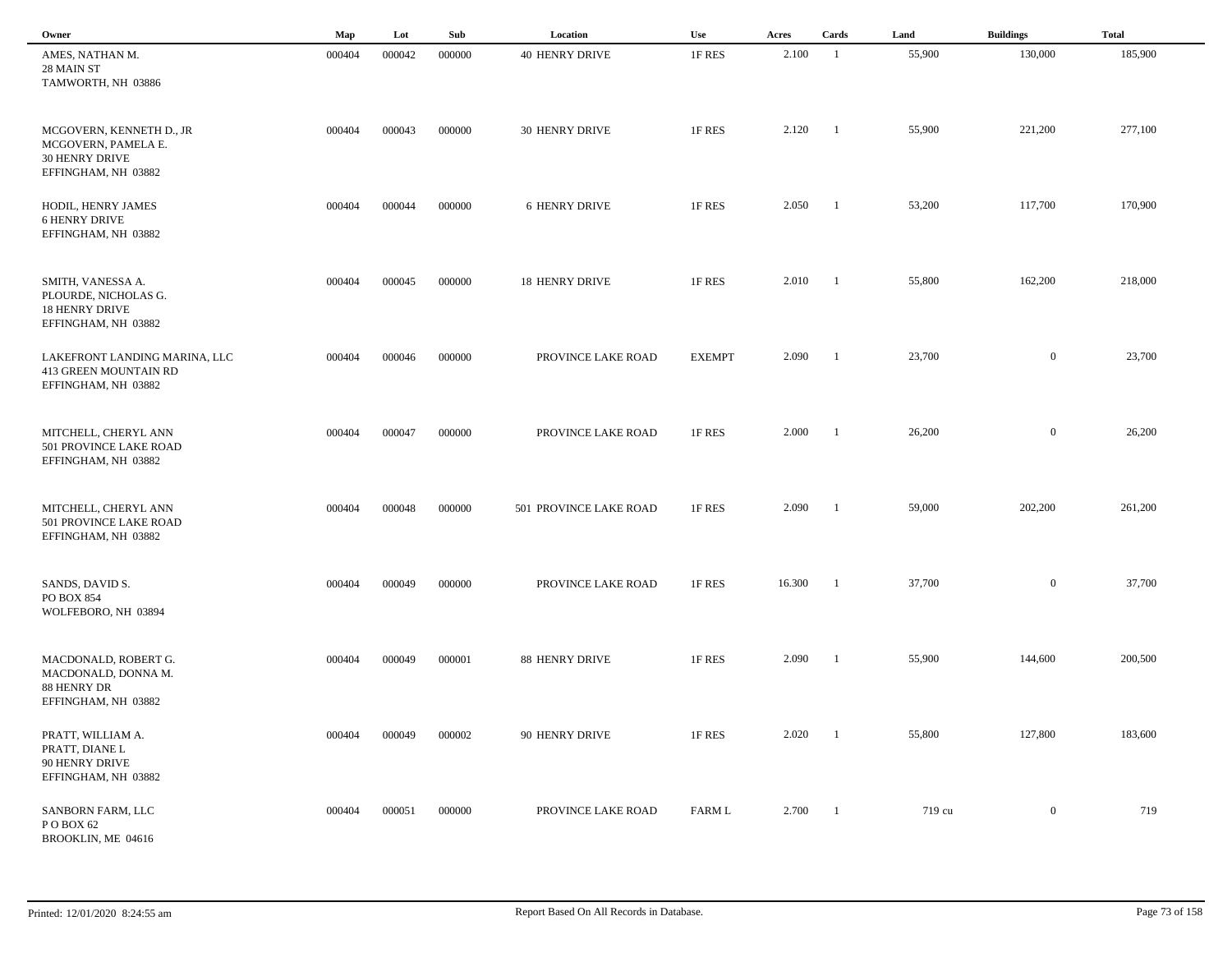| Owner                                                                                           | Map    | Lot    | Sub    | Location               | Use           | Acres  | Cards                    | Land   | <b>Buildings</b> | <b>Total</b> |  |
|-------------------------------------------------------------------------------------------------|--------|--------|--------|------------------------|---------------|--------|--------------------------|--------|------------------|--------------|--|
| AMES, NATHAN M.<br>28 MAIN ST<br>TAMWORTH, NH 03886                                             | 000404 | 000042 | 000000 | <b>40 HENRY DRIVE</b>  | 1F RES        | 2.100  | -1                       | 55,900 | 130,000          | 185,900      |  |
| MCGOVERN, KENNETH D., JR<br>MCGOVERN, PAMELA E.<br><b>30 HENRY DRIVE</b><br>EFFINGHAM, NH 03882 | 000404 | 000043 | 000000 | 30 HENRY DRIVE         | 1F RES        | 2.120  | $\blacksquare$           | 55,900 | 221,200          | 277,100      |  |
| HODIL, HENRY JAMES<br><b>6 HENRY DRIVE</b><br>EFFINGHAM, NH 03882                               | 000404 | 000044 | 000000 | 6 HENRY DRIVE          | 1F RES        | 2.050  | $\overline{\phantom{a}}$ | 53,200 | 117,700          | 170,900      |  |
| SMITH, VANESSA A.<br>PLOURDE, NICHOLAS G.<br><b>18 HENRY DRIVE</b><br>EFFINGHAM, NH 03882       | 000404 | 000045 | 000000 | <b>18 HENRY DRIVE</b>  | 1F RES        | 2.010  | $\overline{\phantom{a}}$ | 55,800 | 162,200          | 218,000      |  |
| LAKEFRONT LANDING MARINA, LLC<br>413 GREEN MOUNTAIN RD<br>EFFINGHAM, NH 03882                   | 000404 | 000046 | 000000 | PROVINCE LAKE ROAD     | <b>EXEMPT</b> | 2.090  | $\blacksquare$           | 23,700 | $\overline{0}$   | 23,700       |  |
| MITCHELL, CHERYL ANN<br>501 PROVINCE LAKE ROAD<br>EFFINGHAM, NH 03882                           | 000404 | 000047 | 000000 | PROVINCE LAKE ROAD     | 1F RES        | 2.000  | $\blacksquare$           | 26,200 | $\overline{0}$   | 26,200       |  |
| MITCHELL, CHERYL ANN<br>501 PROVINCE LAKE ROAD<br>EFFINGHAM, NH 03882                           | 000404 | 000048 | 000000 | 501 PROVINCE LAKE ROAD | 1F RES        | 2.090  | - 1                      | 59,000 | 202,200          | 261,200      |  |
| SANDS, DAVID S.<br>PO BOX 854<br>WOLFEBORO, NH 03894                                            | 000404 | 000049 | 000000 | PROVINCE LAKE ROAD     | 1F RES        | 16.300 | $\overline{\phantom{0}}$ | 37,700 | $\overline{0}$   | 37,700       |  |
| MACDONALD, ROBERT G.<br>MACDONALD, DONNA M.<br>88 HENRY DR<br>EFFINGHAM, NH 03882               | 000404 | 000049 | 000001 | 88 HENRY DRIVE         | 1F RES        | 2.090  | $\overline{1}$           | 55,900 | 144,600          | 200,500      |  |
| PRATT, WILLIAM A.<br>PRATT, DIANE L<br>90 HENRY DRIVE<br>EFFINGHAM, NH 03882                    | 000404 | 000049 | 000002 | 90 HENRY DRIVE         | 1F RES        | 2.020  | $\overline{1}$           | 55,800 | 127,800          | 183,600      |  |
| SANBORN FARM, LLC<br>PO BOX 62<br>BROOKLIN, ME 04616                                            | 000404 | 000051 | 000000 | PROVINCE LAKE ROAD     | FARM L        | 2.700  | $\blacksquare$           | 719 cu | $\bf{0}$         | 719          |  |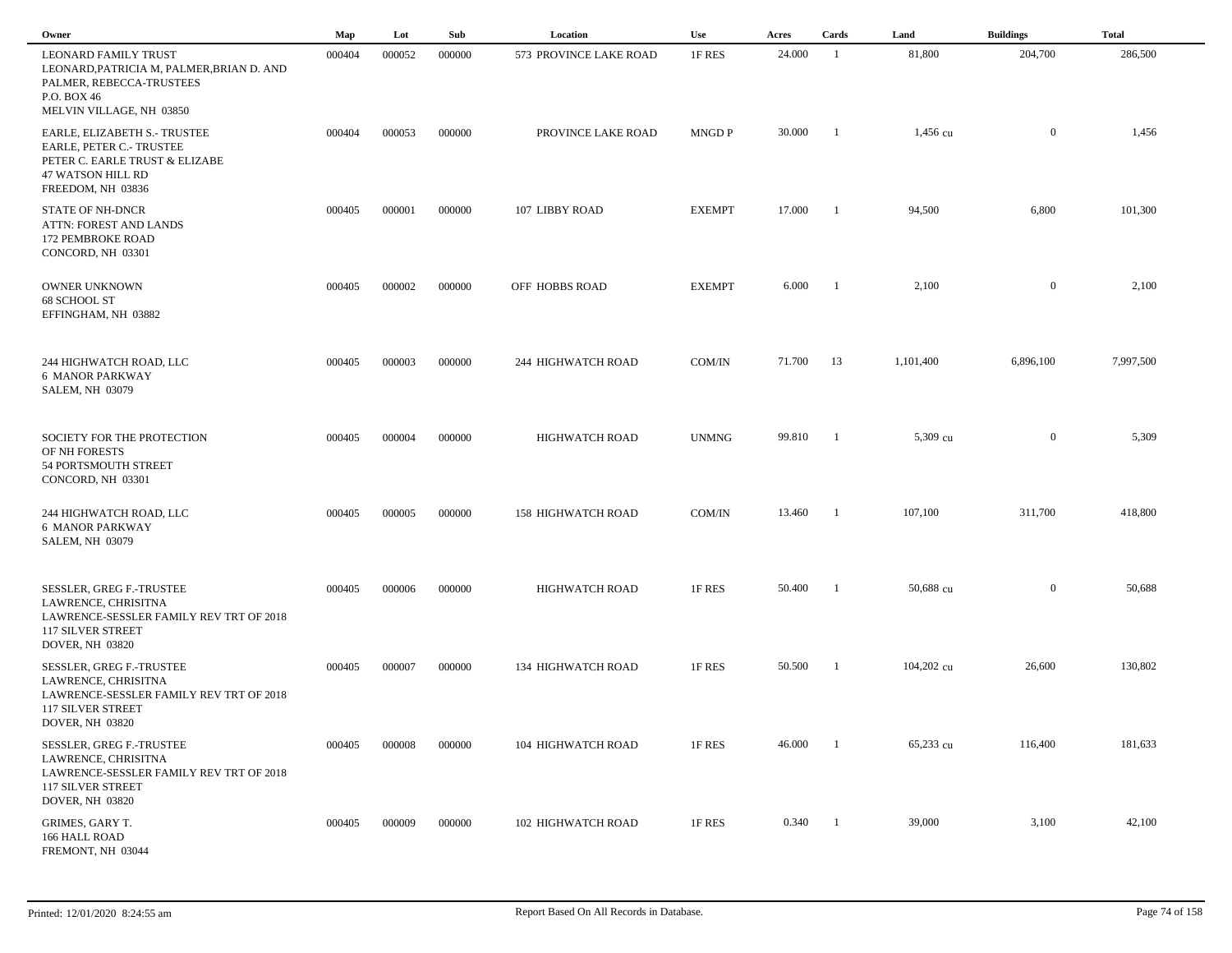| Owner                                                                                                                                            | Map    | Lot    | Sub    | Location                  | Use           | Acres  | Cards          | Land       | <b>Buildings</b> | <b>Total</b> |  |
|--------------------------------------------------------------------------------------------------------------------------------------------------|--------|--------|--------|---------------------------|---------------|--------|----------------|------------|------------------|--------------|--|
| <b>LEONARD FAMILY TRUST</b><br>LEONARD, PATRICIA M, PALMER, BRIAN D. AND<br>PALMER, REBECCA-TRUSTEES<br>P.O. BOX 46<br>MELVIN VILLAGE, NH 03850  | 000404 | 000052 | 000000 | 573 PROVINCE LAKE ROAD    | 1F RES        | 24.000 | -1             | 81,800     | 204,700          | 286,500      |  |
| EARLE, ELIZABETH S.- TRUSTEE<br>EARLE, PETER C.- TRUSTEE<br>PETER C. EARLE TRUST & ELIZABE<br><b>47 WATSON HILL RD</b><br>FREEDOM, NH 03836      | 000404 | 000053 | 000000 | PROVINCE LAKE ROAD        | <b>MNGD P</b> | 30.000 | $\blacksquare$ | 1,456 cu   | $\overline{0}$   | 1,456        |  |
| <b>STATE OF NH-DNCR</b><br>ATTN: FOREST AND LANDS<br>172 PEMBROKE ROAD<br>CONCORD, NH 03301                                                      | 000405 | 000001 | 000000 | 107 LIBBY ROAD            | <b>EXEMPT</b> | 17.000 | -1             | 94,500     | 6,800            | 101,300      |  |
| OWNER UNKNOWN<br>68 SCHOOL ST<br>EFFINGHAM, NH 03882                                                                                             | 000405 | 000002 | 000000 | OFF HOBBS ROAD            | <b>EXEMPT</b> | 6.000  | - 1            | 2,100      | $\overline{0}$   | 2,100        |  |
| 244 HIGHWATCH ROAD, LLC<br><b>6 MANOR PARKWAY</b><br><b>SALEM, NH 03079</b>                                                                      | 000405 | 000003 | 000000 | 244 HIGHWATCH ROAD        | COM/IN        | 71.700 | 13             | 1,101,400  | 6,896,100        | 7,997,500    |  |
| SOCIETY FOR THE PROTECTION<br>OF NH FORESTS<br>54 PORTSMOUTH STREET<br>CONCORD, NH 03301                                                         | 000405 | 000004 | 000000 | <b>HIGHWATCH ROAD</b>     | <b>UNMNG</b>  | 99.810 | $\blacksquare$ | 5,309 cu   | $\overline{0}$   | 5,309        |  |
| 244 HIGHWATCH ROAD, LLC<br><b>6 MANOR PARKWAY</b><br><b>SALEM, NH 03079</b>                                                                      | 000405 | 000005 | 000000 | <b>158 HIGHWATCH ROAD</b> | COM/IN        | 13.460 | $\blacksquare$ | 107,100    | 311,700          | 418,800      |  |
| SESSLER, GREG F.-TRUSTEE<br>LAWRENCE, CHRISITNA<br>LAWRENCE-SESSLER FAMILY REV TRT OF 2018<br><b>117 SILVER STREET</b><br><b>DOVER, NH 03820</b> | 000405 | 000006 | 000000 | <b>HIGHWATCH ROAD</b>     | 1F RES        | 50.400 | - 1            | 50,688 cu  | $\overline{0}$   | 50,688       |  |
| SESSLER, GREG F.-TRUSTEE<br>LAWRENCE, CHRISITNA<br>LAWRENCE-SESSLER FAMILY REV TRT OF 2018<br><b>117 SILVER STREET</b><br>DOVER, NH 03820        | 000405 | 000007 | 000000 | 134 HIGHWATCH ROAD        | 1F RES        | 50.500 | $\blacksquare$ | 104,202 cu | 26,600           | 130,802      |  |
| SESSLER, GREG F.-TRUSTEE<br>LAWRENCE, CHRISITNA<br>LAWRENCE-SESSLER FAMILY REV TRT OF 2018<br><b>117 SILVER STREET</b><br><b>DOVER, NH 03820</b> | 000405 | 000008 | 000000 | 104 HIGHWATCH ROAD        | 1F RES        | 46.000 | $\blacksquare$ | 65,233 cu  | 116,400          | 181,633      |  |
| GRIMES, GARY T.<br>166 HALL ROAD<br>FREMONT, NH 03044                                                                                            | 000405 | 000009 | 000000 | 102 HIGHWATCH ROAD        | 1F RES        | 0.340  | $\overline{1}$ | 39,000     | 3,100            | 42,100       |  |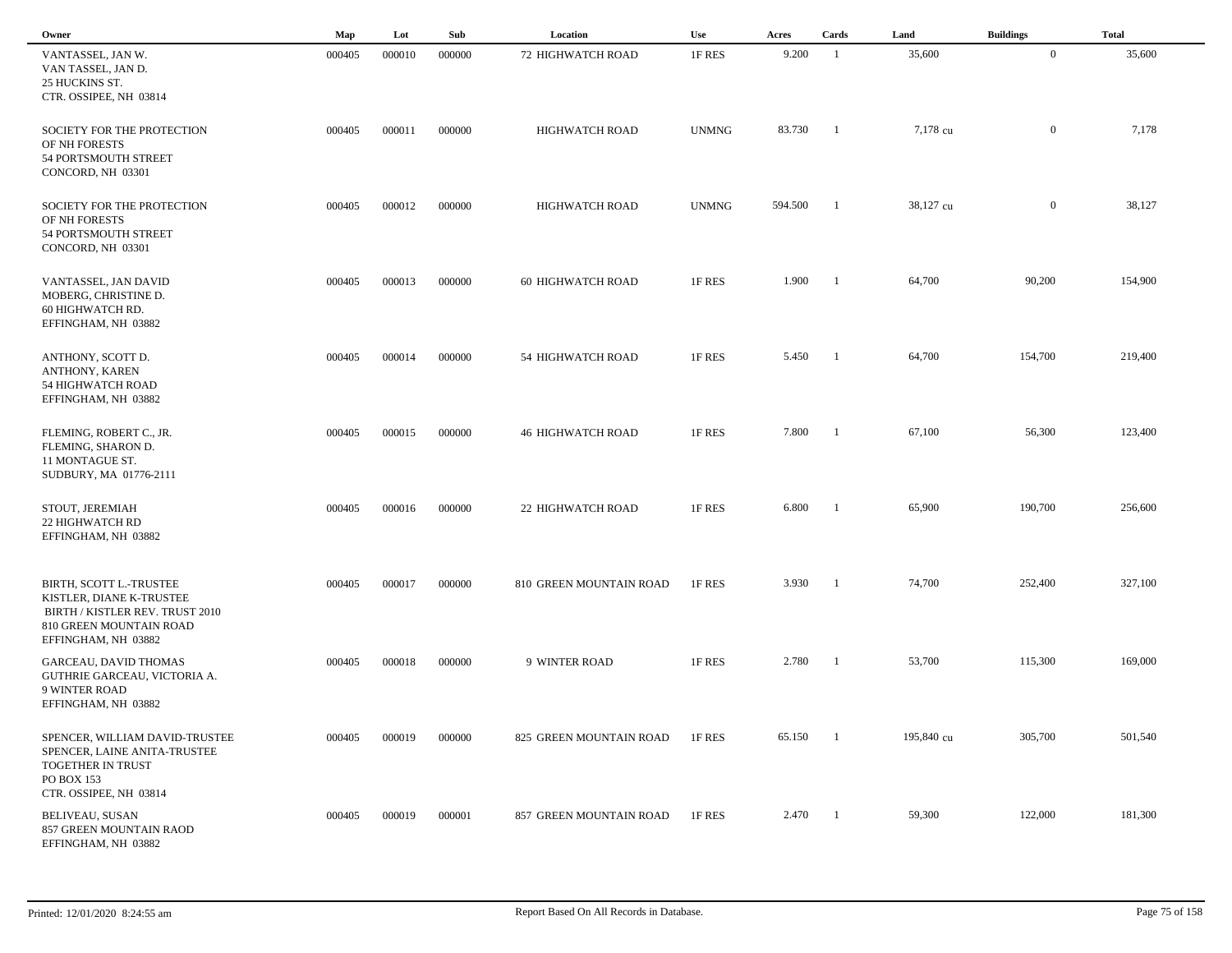| Owner                                                                                                                       | Map    | Lot    | Sub    | Location                 | <b>Use</b>   | Acres   | Cards          | Land       | <b>Buildings</b> | <b>Total</b> |  |
|-----------------------------------------------------------------------------------------------------------------------------|--------|--------|--------|--------------------------|--------------|---------|----------------|------------|------------------|--------------|--|
| VANTASSEL, JAN W.<br>VAN TASSEL, JAN D.<br>25 HUCKINS ST.<br>CTR. OSSIPEE, NH 03814                                         | 000405 | 000010 | 000000 | 72 HIGHWATCH ROAD        | 1F RES       | 9.200   | $\overline{1}$ | 35,600     | $\overline{0}$   | 35,600       |  |
| SOCIETY FOR THE PROTECTION<br>OF NH FORESTS<br>54 PORTSMOUTH STREET<br>CONCORD, NH 03301                                    | 000405 | 000011 | 000000 | <b>HIGHWATCH ROAD</b>    | <b>UNMNG</b> | 83.730  | - 1            | 7,178 cu   | $\mathbf{0}$     | 7,178        |  |
| SOCIETY FOR THE PROTECTION<br>OF NH FORESTS<br>54 PORTSMOUTH STREET<br>CONCORD, NH 03301                                    | 000405 | 000012 | 000000 | <b>HIGHWATCH ROAD</b>    | <b>UNMNG</b> | 594.500 | $\overline{1}$ | 38,127 cu  | $\mathbf{0}$     | 38,127       |  |
| VANTASSEL, JAN DAVID<br>MOBERG, CHRISTINE D.<br>60 HIGHWATCH RD.<br>EFFINGHAM, NH 03882                                     | 000405 | 000013 | 000000 | <b>60 HIGHWATCH ROAD</b> | 1F RES       | 1.900   | $\blacksquare$ | 64,700     | 90,200           | 154,900      |  |
| ANTHONY, SCOTT D.<br>ANTHONY, KAREN<br>54 HIGHWATCH ROAD<br>EFFINGHAM, NH 03882                                             | 000405 | 000014 | 000000 | 54 HIGHWATCH ROAD        | 1F RES       | 5.450   | - 1            | 64,700     | 154,700          | 219,400      |  |
| FLEMING, ROBERT C., JR.<br>FLEMING, SHARON D.<br>11 MONTAGUE ST.<br>SUDBURY, MA 01776-2111                                  | 000405 | 000015 | 000000 | <b>46 HIGHWATCH ROAD</b> | 1F RES       | 7.800   | -1             | 67,100     | 56,300           | 123,400      |  |
| STOUT, JEREMIAH<br>22 HIGHWATCH RD<br>EFFINGHAM, NH 03882                                                                   | 000405 | 000016 | 000000 | 22 HIGHWATCH ROAD        | 1F RES       | 6.800   |                | 65,900     | 190,700          | 256,600      |  |
| BIRTH, SCOTT L.-TRUSTEE<br>KISTLER, DIANE K-TRUSTEE<br>BIRTH / KISTLER REV. TRUST 2010<br>810 GREEN MOUNTAIN ROAD           | 000405 | 000017 | 000000 | 810 GREEN MOUNTAIN ROAD  | 1F RES       | 3.930   | - 1            | 74,700     | 252,400          | 327,100      |  |
| EFFINGHAM, NH 03882<br>GARCEAU, DAVID THOMAS<br>GUTHRIE GARCEAU, VICTORIA A.<br><b>9 WINTER ROAD</b><br>EFFINGHAM, NH 03882 | 000405 | 000018 | 000000 | 9 WINTER ROAD            | 1F RES       | 2.780   | -1             | 53,700     | 115,300          | 169,000      |  |
| SPENCER, WILLIAM DAVID-TRUSTEE<br>SPENCER, LAINE ANITA-TRUSTEE<br>TOGETHER IN TRUST<br>PO BOX 153                           | 000405 | 000019 | 000000 | 825 GREEN MOUNTAIN ROAD  | 1F RES       | 65.150  | -1             | 195,840 cu | 305,700          | 501,540      |  |
| CTR. OSSIPEE, NH 03814<br><b>BELIVEAU, SUSAN</b><br>857 GREEN MOUNTAIN RAOD<br>EFFINGHAM, NH 03882                          | 000405 | 000019 | 000001 | 857 GREEN MOUNTAIN ROAD  | 1F RES       | 2.470   | $\blacksquare$ | 59,300     | 122,000          | 181,300      |  |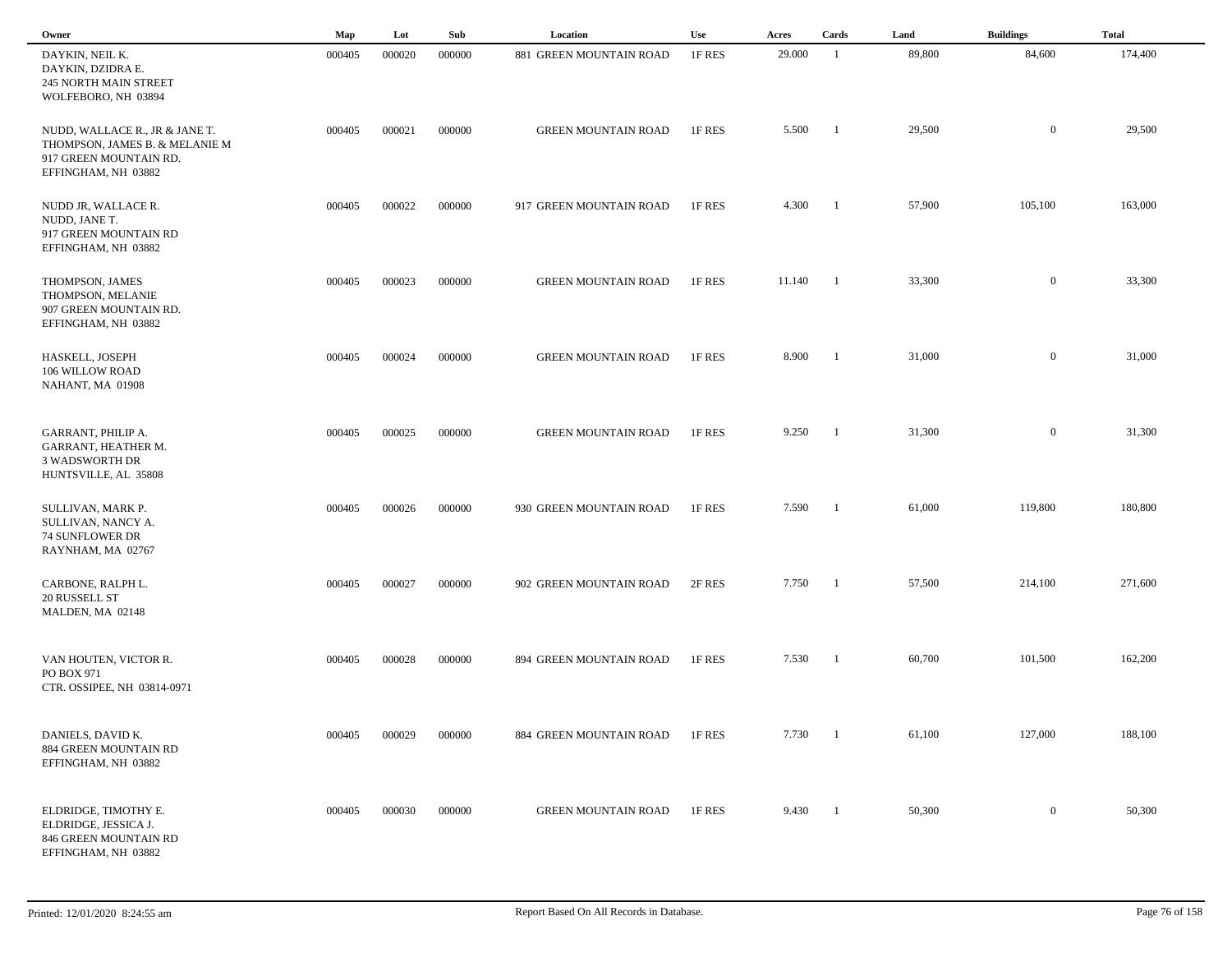| Owner                                                                                                             | Map    | Lot    | Sub    | Location                   | Use    | Acres  | Cards                    | Land   | <b>Buildings</b> | <b>Total</b> |
|-------------------------------------------------------------------------------------------------------------------|--------|--------|--------|----------------------------|--------|--------|--------------------------|--------|------------------|--------------|
| DAYKIN, NEIL K.<br>DAYKIN, DZIDRA E.<br><b>245 NORTH MAIN STREET</b><br>WOLFEBORO, NH 03894                       | 000405 | 000020 | 000000 | 881 GREEN MOUNTAIN ROAD    | 1F RES | 29.000 | -1                       | 89,800 | 84,600           | 174,400      |
| NUDD, WALLACE R., JR & JANE T.<br>THOMPSON, JAMES B. & MELANIE M<br>917 GREEN MOUNTAIN RD.<br>EFFINGHAM, NH 03882 | 000405 | 000021 | 000000 | <b>GREEN MOUNTAIN ROAD</b> | 1F RES | 5.500  | - 1                      | 29,500 | $\mathbf{0}$     | 29,500       |
| NUDD JR, WALLACE R.<br>NUDD, JANE T.<br>917 GREEN MOUNTAIN RD<br>EFFINGHAM, NH 03882                              | 000405 | 000022 | 000000 | 917 GREEN MOUNTAIN ROAD    | 1F RES | 4.300  | $\overline{\phantom{a}}$ | 57,900 | 105,100          | 163,000      |
| THOMPSON, JAMES<br>THOMPSON, MELANIE<br>907 GREEN MOUNTAIN RD.<br>EFFINGHAM, NH 03882                             | 000405 | 000023 | 000000 | <b>GREEN MOUNTAIN ROAD</b> | 1F RES | 11.140 | $\blacksquare$           | 33,300 | $\overline{0}$   | 33,300       |
| HASKELL, JOSEPH<br>106 WILLOW ROAD<br>NAHANT, MA 01908                                                            | 000405 | 000024 | 000000 | <b>GREEN MOUNTAIN ROAD</b> | 1F RES | 8.900  | $\overline{\phantom{a}}$ | 31,000 | $\overline{0}$   | 31,000       |
| GARRANT, PHILIP A.<br>GARRANT, HEATHER M.<br><b>3 WADSWORTH DR</b><br>HUNTSVILLE, AL 35808                        | 000405 | 000025 | 000000 | <b>GREEN MOUNTAIN ROAD</b> | 1F RES | 9.250  | $\blacksquare$           | 31,300 | $\overline{0}$   | 31,300       |
| SULLIVAN, MARK P.<br>SULLIVAN, NANCY A.<br><b>74 SUNFLOWER DR</b><br>RAYNHAM, MA 02767                            | 000405 | 000026 | 000000 | 930 GREEN MOUNTAIN ROAD    | 1F RES | 7.590  | - 1                      | 61,000 | 119,800          | 180,800      |
| CARBONE, RALPH L.<br>20 RUSSELL ST<br>MALDEN, MA 02148                                                            | 000405 | 000027 | 000000 | 902 GREEN MOUNTAIN ROAD    | 2F RES | 7.750  | - 1                      | 57,500 | 214,100          | 271,600      |
| VAN HOUTEN, VICTOR R.<br>PO BOX 971<br>CTR. OSSIPEE, NH 03814-0971                                                | 000405 | 000028 | 000000 | 894 GREEN MOUNTAIN ROAD    | 1F RES | 7.530  | - 1                      | 60,700 | 101,500          | 162,200      |
| DANIELS, DAVID K.<br>884 GREEN MOUNTAIN RD<br>EFFINGHAM, NH 03882                                                 | 000405 | 000029 | 000000 | 884 GREEN MOUNTAIN ROAD    | 1F RES | 7.730  | $\overline{1}$           | 61,100 | 127,000          | 188,100      |
| ELDRIDGE, TIMOTHY E.<br>ELDRIDGE, JESSICA J.<br>846 GREEN MOUNTAIN RD<br>EFFINGHAM, NH 03882                      | 000405 | 000030 | 000000 | <b>GREEN MOUNTAIN ROAD</b> | 1F RES | 9.430  | $\blacksquare$           | 50,300 | $\overline{0}$   | 50,300       |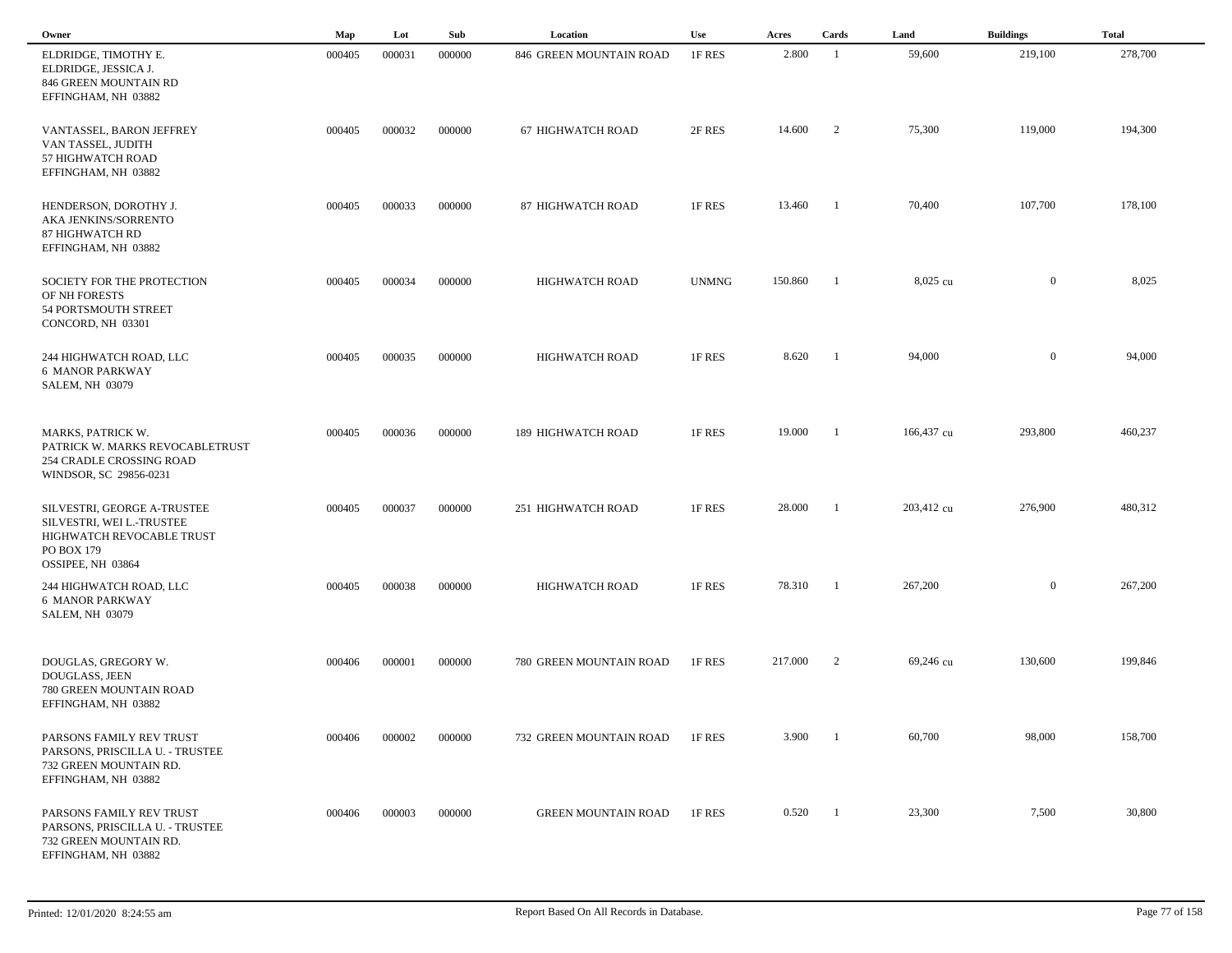| Owner                                                                                                                    | Map    | Lot    | Sub    | Location                   | <b>Use</b>   | Acres   | Cards          | Land       | <b>Buildings</b> | <b>Total</b> |
|--------------------------------------------------------------------------------------------------------------------------|--------|--------|--------|----------------------------|--------------|---------|----------------|------------|------------------|--------------|
| ELDRIDGE, TIMOTHY E.<br>ELDRIDGE, JESSICA J.<br>846 GREEN MOUNTAIN RD<br>EFFINGHAM, NH 03882                             | 000405 | 000031 | 000000 | 846 GREEN MOUNTAIN ROAD    | 1F RES       | 2.800   | $\overline{1}$ | 59,600     | 219,100          | 278,700      |
| VANTASSEL, BARON JEFFREY<br>VAN TASSEL, JUDITH<br>57 HIGHWATCH ROAD<br>EFFINGHAM, NH 03882                               | 000405 | 000032 | 000000 | <b>67 HIGHWATCH ROAD</b>   | 2F RES       | 14.600  | 2              | 75,300     | 119,000          | 194,300      |
| HENDERSON, DOROTHY J.<br>AKA JENKINS/SORRENTO<br>87 HIGHWATCH RD<br>EFFINGHAM, NH 03882                                  | 000405 | 000033 | 000000 | 87 HIGHWATCH ROAD          | 1F RES       | 13.460  | -1             | 70,400     | 107,700          | 178,100      |
| SOCIETY FOR THE PROTECTION<br>OF NH FORESTS<br>54 PORTSMOUTH STREET<br>CONCORD, NH 03301                                 | 000405 | 000034 | 000000 | <b>HIGHWATCH ROAD</b>      | <b>UNMNG</b> | 150.860 | -1             | 8,025 cu   | $\overline{0}$   | 8,025        |
| 244 HIGHWATCH ROAD, LLC<br><b>6 MANOR PARKWAY</b><br><b>SALEM, NH 03079</b>                                              | 000405 | 000035 | 000000 | HIGHWATCH ROAD             | 1F RES       | 8.620   | - 1            | 94,000     | $\overline{0}$   | 94,000       |
| MARKS, PATRICK W.<br>PATRICK W. MARKS REVOCABLETRUST<br>254 CRADLE CROSSING ROAD<br>WINDSOR, SC 29856-0231               | 000405 | 000036 | 000000 | 189 HIGHWATCH ROAD         | 1F RES       | 19.000  | -1             | 166,437 cu | 293,800          | 460,237      |
| SILVESTRI, GEORGE A-TRUSTEE<br>SILVESTRI, WEI L.-TRUSTEE<br>HIGHWATCH REVOCABLE TRUST<br>PO BOX 179<br>OSSIPEE, NH 03864 | 000405 | 000037 | 000000 | 251 HIGHWATCH ROAD         | 1F RES       | 28.000  | -1             | 203,412 cu | 276,900          | 480,312      |
| 244 HIGHWATCH ROAD, LLC<br><b>6 MANOR PARKWAY</b><br><b>SALEM, NH 03079</b>                                              | 000405 | 000038 | 000000 | <b>HIGHWATCH ROAD</b>      | 1F RES       | 78.310  | - 1            | 267,200    | $\overline{0}$   | 267,200      |
| DOUGLAS, GREGORY W.<br>DOUGLASS, JEEN<br>780 GREEN MOUNTAIN ROAD<br>EFFINGHAM, NH 03882                                  | 000406 | 000001 | 000000 | 780 GREEN MOUNTAIN ROAD    | 1F RES       | 217.000 | 2              | 69,246 cu  | 130,600          | 199,846      |
| PARSONS FAMILY REV TRUST<br>PARSONS, PRISCILLA U. - TRUSTEE<br>732 GREEN MOUNTAIN RD.<br>EFFINGHAM, NH 03882             | 000406 | 000002 | 000000 | 732 GREEN MOUNTAIN ROAD    | 1F RES       | 3.900   |                | 60,700     | 98,000           | 158,700      |
| PARSONS FAMILY REV TRUST<br>PARSONS, PRISCILLA U. - TRUSTEE<br>732 GREEN MOUNTAIN RD.<br>EFFINGHAM, NH 03882             | 000406 | 000003 | 000000 | <b>GREEN MOUNTAIN ROAD</b> | 1F RES       | 0.520   | -1             | 23,300     | 7,500            | 30,800       |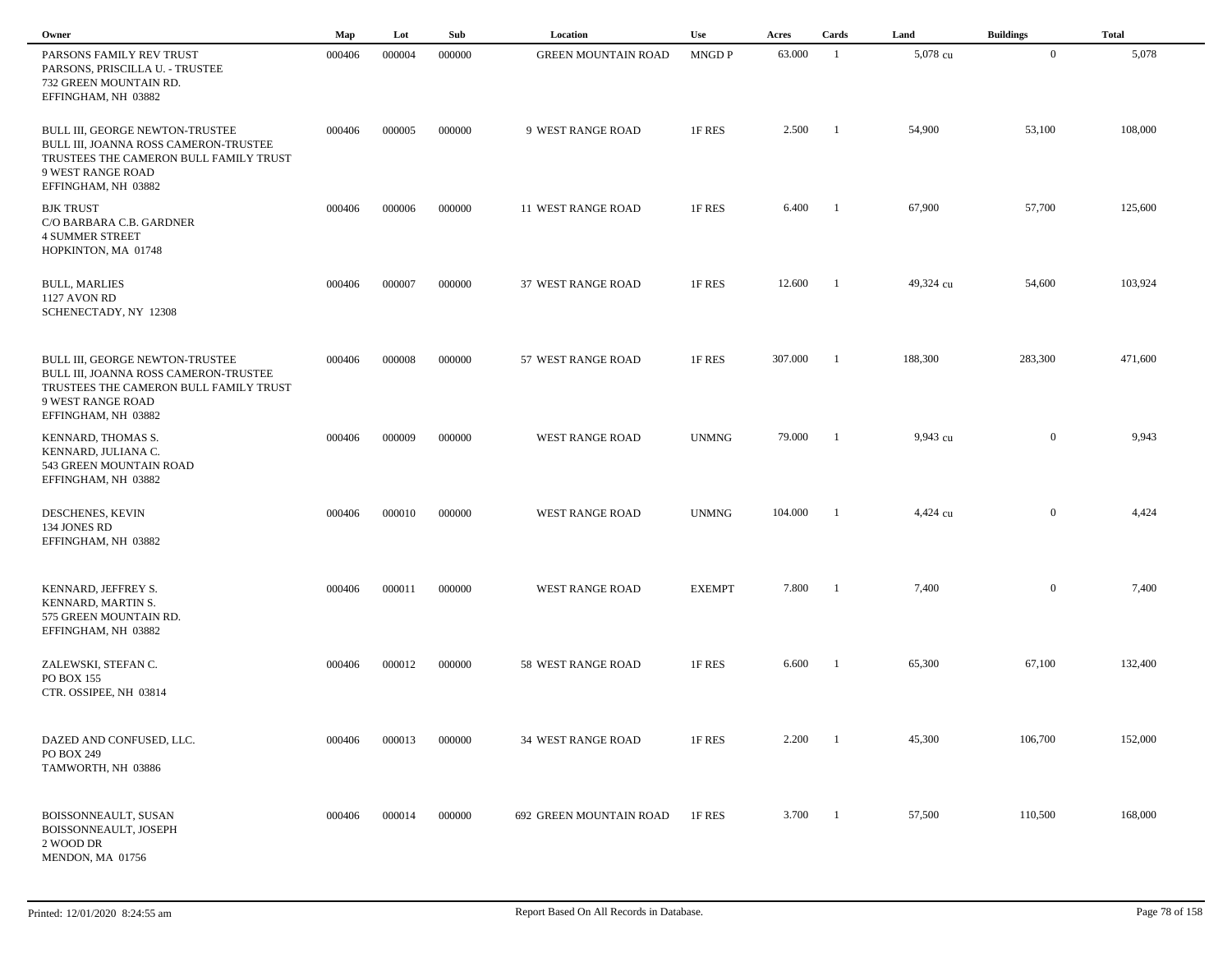| Owner                                                                                                                                                          | Map    | Lot    | Sub    | Location                   | Use           | Acres   | Cards                    | Land      | <b>Buildings</b> | <b>Total</b> |
|----------------------------------------------------------------------------------------------------------------------------------------------------------------|--------|--------|--------|----------------------------|---------------|---------|--------------------------|-----------|------------------|--------------|
| PARSONS FAMILY REV TRUST<br>PARSONS, PRISCILLA U. - TRUSTEE<br>732 GREEN MOUNTAIN RD.<br>EFFINGHAM, NH 03882                                                   | 000406 | 000004 | 000000 | <b>GREEN MOUNTAIN ROAD</b> | MNGD P        | 63.000  | -1                       | 5,078 cu  | $\bf{0}$         | 5,078        |
| BULL III, GEORGE NEWTON-TRUSTEE<br>BULL III, JOANNA ROSS CAMERON-TRUSTEE<br>TRUSTEES THE CAMERON BULL FAMILY TRUST<br>9 WEST RANGE ROAD<br>EFFINGHAM, NH 03882 | 000406 | 000005 | 000000 | 9 WEST RANGE ROAD          | 1F RES        | 2.500   | - 1                      | 54,900    | 53,100           | 108,000      |
| <b>BJK TRUST</b><br>C/O BARBARA C.B. GARDNER<br><b>4 SUMMER STREET</b><br>HOPKINTON, MA 01748                                                                  | 000406 | 000006 | 000000 | 11 WEST RANGE ROAD         | 1F RES        | 6.400   | $\blacksquare$           | 67,900    | 57,700           | 125,600      |
| <b>BULL, MARLIES</b><br>1127 AVON RD<br>SCHENECTADY, NY 12308                                                                                                  | 000406 | 000007 | 000000 | 37 WEST RANGE ROAD         | 1F RES        | 12.600  | $\overline{\phantom{a}}$ | 49,324 cu | 54,600           | 103,924      |
| BULL III, GEORGE NEWTON-TRUSTEE<br>BULL III, JOANNA ROSS CAMERON-TRUSTEE<br>TRUSTEES THE CAMERON BULL FAMILY TRUST<br>9 WEST RANGE ROAD<br>EFFINGHAM, NH 03882 | 000406 | 000008 | 000000 | 57 WEST RANGE ROAD         | 1F RES        | 307.000 | -1                       | 188,300   | 283,300          | 471,600      |
| KENNARD, THOMAS S.<br>KENNARD, JULIANA C.<br>543 GREEN MOUNTAIN ROAD<br>EFFINGHAM, NH 03882                                                                    | 000406 | 000009 | 000000 | WEST RANGE ROAD            | <b>UNMNG</b>  | 79.000  | - 1                      | 9,943 cu  | $\overline{0}$   | 9,943        |
| DESCHENES, KEVIN<br>134 JONES RD<br>EFFINGHAM, NH 03882                                                                                                        | 000406 | 000010 | 000000 | WEST RANGE ROAD            | <b>UNMNG</b>  | 104.000 | - 1                      | 4,424 cu  | $\overline{0}$   | 4,424        |
| KENNARD, JEFFREY S.<br>KENNARD, MARTIN S.<br>575 GREEN MOUNTAIN RD.<br>EFFINGHAM, NH 03882                                                                     | 000406 | 000011 | 000000 | WEST RANGE ROAD            | <b>EXEMPT</b> | 7.800   | $\blacksquare$           | 7,400     | $\overline{0}$   | 7,400        |
| ZALEWSKI, STEFAN C.<br>PO BOX 155<br>CTR. OSSIPEE, NH 03814                                                                                                    | 000406 | 000012 | 000000 | 58 WEST RANGE ROAD         | 1F RES        | 6.600   | $\blacksquare$           | 65,300    | 67,100           | 132,400      |
| DAZED AND CONFUSED, LLC.<br>PO BOX 249<br>TAMWORTH, NH 03886                                                                                                   | 000406 | 000013 | 000000 | 34 WEST RANGE ROAD         | 1F RES        | 2.200   | $\mathbf{1}$             | 45,300    | 106,700          | 152,000      |
| BOISSONNEAULT, SUSAN<br>BOISSONNEAULT, JOSEPH<br>2 WOOD DR<br>MENDON, MA 01756                                                                                 | 000406 | 000014 | 000000 | 692 GREEN MOUNTAIN ROAD    | 1F RES        | 3.700   | $\blacksquare$           | 57,500    | 110,500          | 168,000      |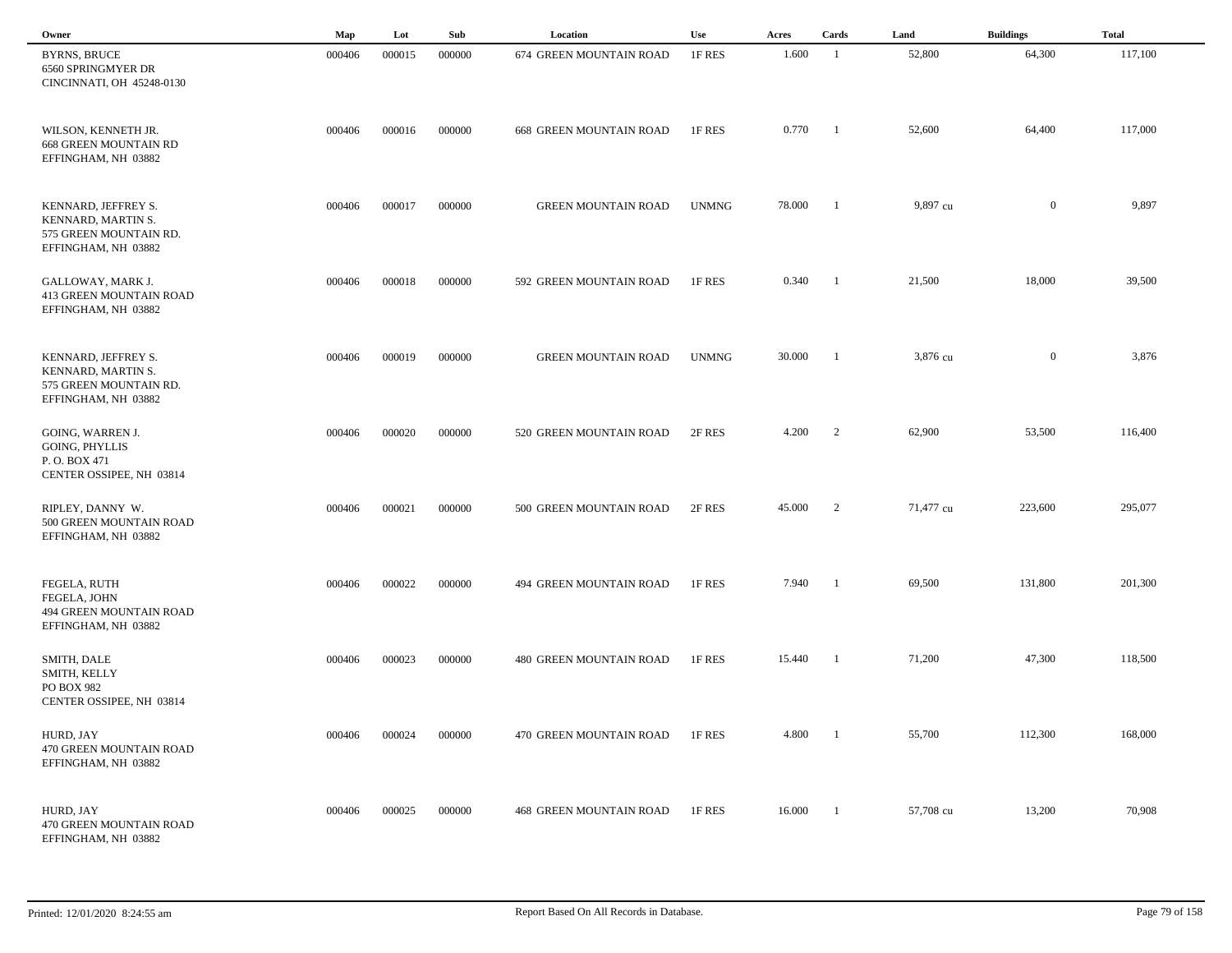| Owner                                                                                      | Map    | Lot    | Sub    | Location                       | <b>Use</b>   | Acres  | Cards                    | Land      | <b>Buildings</b> | <b>Total</b> |  |
|--------------------------------------------------------------------------------------------|--------|--------|--------|--------------------------------|--------------|--------|--------------------------|-----------|------------------|--------------|--|
| <b>BYRNS, BRUCE</b><br>6560 SPRINGMYER DR<br>CINCINNATI, OH 45248-0130                     | 000406 | 000015 | 000000 | 674 GREEN MOUNTAIN ROAD        | 1F RES       | 1.600  | -1                       | 52,800    | 64,300           | 117,100      |  |
| WILSON, KENNETH JR.<br><b>668 GREEN MOUNTAIN RD</b><br>EFFINGHAM, NH 03882                 | 000406 | 000016 | 000000 | <b>668 GREEN MOUNTAIN ROAD</b> | 1F RES       | 0.770  | -1                       | 52,600    | 64,400           | 117,000      |  |
| KENNARD, JEFFREY S.<br>KENNARD, MARTIN S.<br>575 GREEN MOUNTAIN RD.<br>EFFINGHAM, NH 03882 | 000406 | 000017 | 000000 | <b>GREEN MOUNTAIN ROAD</b>     | <b>UNMNG</b> | 78.000 | -1                       | 9,897 cu  | $\overline{0}$   | 9,897        |  |
| GALLOWAY, MARK J.<br>413 GREEN MOUNTAIN ROAD<br>EFFINGHAM, NH 03882                        | 000406 | 000018 | 000000 | 592 GREEN MOUNTAIN ROAD        | 1F RES       | 0.340  | $\blacksquare$           | 21,500    | 18,000           | 39,500       |  |
| KENNARD, JEFFREY S.<br>KENNARD, MARTIN S.<br>575 GREEN MOUNTAIN RD.<br>EFFINGHAM, NH 03882 | 000406 | 000019 | 000000 | <b>GREEN MOUNTAIN ROAD</b>     | <b>UNMNG</b> | 30.000 | -1                       | 3,876 cu  | $\mathbf{0}$     | 3,876        |  |
| GOING, WARREN J.<br><b>GOING, PHYLLIS</b><br>P.O. BOX 471<br>CENTER OSSIPEE, NH 03814      | 000406 | 000020 | 000000 | 520 GREEN MOUNTAIN ROAD        | 2F RES       | 4.200  | $\overline{\phantom{a}}$ | 62,900    | 53,500           | 116,400      |  |
| RIPLEY, DANNY W.<br>500 GREEN MOUNTAIN ROAD<br>EFFINGHAM, NH 03882                         | 000406 | 000021 | 000000 | 500 GREEN MOUNTAIN ROAD        | 2F RES       | 45.000 | 2                        | 71,477 cu | 223,600          | 295,077      |  |
| FEGELA, RUTH<br>FEGELA, JOHN<br>494 GREEN MOUNTAIN ROAD<br>EFFINGHAM, NH 03882             | 000406 | 000022 | 000000 | 494 GREEN MOUNTAIN ROAD        | 1F RES       | 7.940  | -1                       | 69,500    | 131,800          | 201,300      |  |
| SMITH, DALE<br>SMITH, KELLY<br>PO BOX 982<br>CENTER OSSIPEE, NH 03814                      | 000406 | 000023 | 000000 | 480 GREEN MOUNTAIN ROAD        | 1F RES       | 15.440 | -1                       | 71,200    | 47,300           | 118,500      |  |
| HURD, JAY<br><b>470 GREEN MOUNTAIN ROAD</b><br>EFFINGHAM, NH 03882                         | 000406 | 000024 | 000000 | 470 GREEN MOUNTAIN ROAD        | 1F RES       | 4.800  |                          | 55,700    | 112,300          | 168,000      |  |
| HURD, JAY<br>470 GREEN MOUNTAIN ROAD<br>EFFINGHAM, NH 03882                                | 000406 | 000025 | 000000 | <b>468 GREEN MOUNTAIN ROAD</b> | 1F RES       | 16.000 | -1                       | 57,708 cu | 13,200           | 70,908       |  |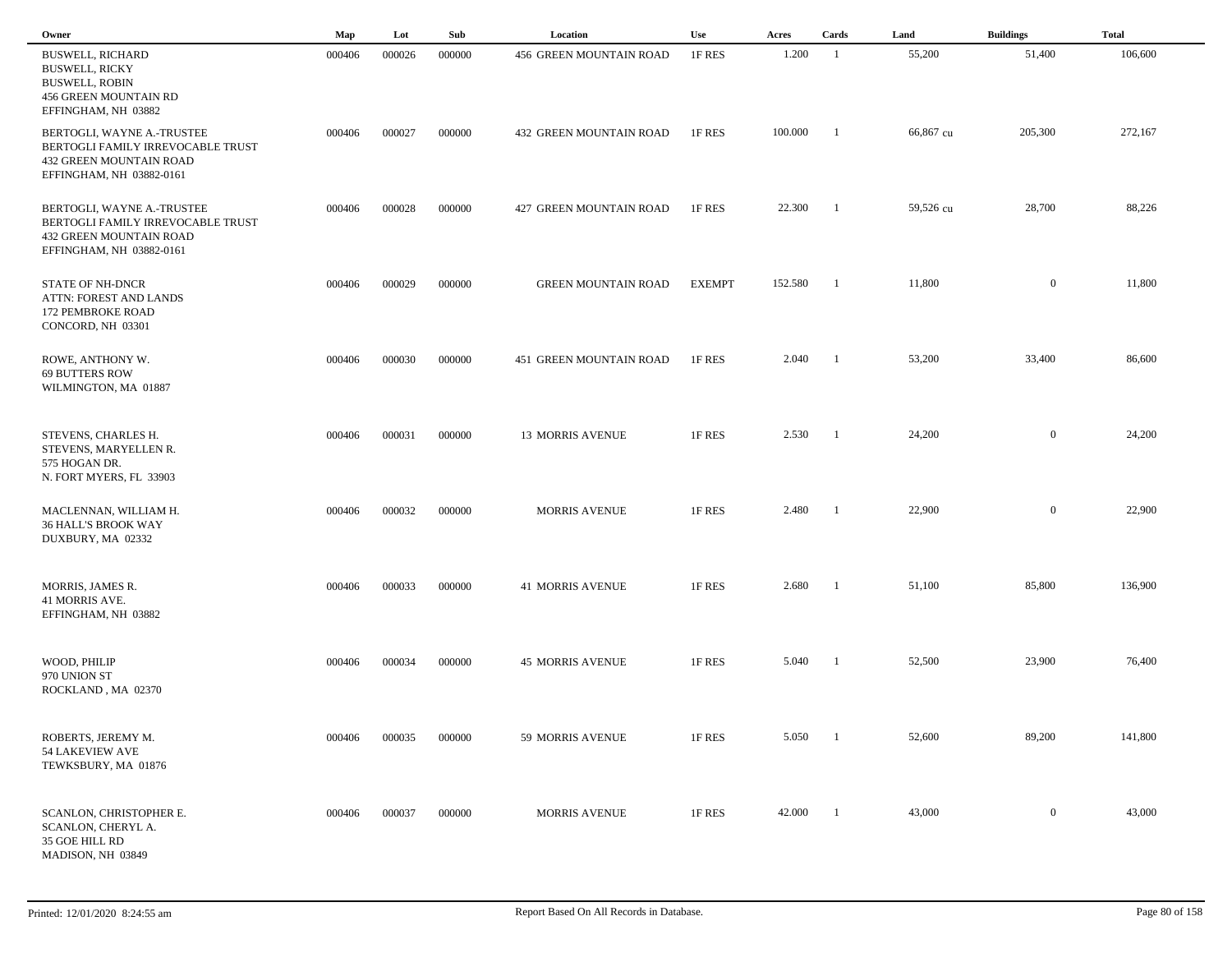| Owner                                                                                                                     | Map    | Lot    | Sub    | Location                   | <b>Use</b>    | Acres   | Cards                    | Land      | <b>Buildings</b> | <b>Total</b> |  |
|---------------------------------------------------------------------------------------------------------------------------|--------|--------|--------|----------------------------|---------------|---------|--------------------------|-----------|------------------|--------------|--|
| <b>BUSWELL, RICHARD</b><br><b>BUSWELL, RICKY</b><br><b>BUSWELL, ROBIN</b><br>456 GREEN MOUNTAIN RD<br>EFFINGHAM, NH 03882 | 000406 | 000026 | 000000 | 456 GREEN MOUNTAIN ROAD    | 1F RES        | 1.200   | $\overline{1}$           | 55,200    | 51,400           | 106,600      |  |
| BERTOGLI, WAYNE A.-TRUSTEE<br>BERTOGLI FAMILY IRREVOCABLE TRUST<br>432 GREEN MOUNTAIN ROAD<br>EFFINGHAM, NH 03882-0161    | 000406 | 000027 | 000000 | 432 GREEN MOUNTAIN ROAD    | 1F RES        | 100.000 | - 1                      | 66,867 cu | 205,300          | 272,167      |  |
| BERTOGLI, WAYNE A.-TRUSTEE<br>BERTOGLI FAMILY IRREVOCABLE TRUST<br>432 GREEN MOUNTAIN ROAD<br>EFFINGHAM, NH 03882-0161    | 000406 | 000028 | 000000 | 427 GREEN MOUNTAIN ROAD    | 1F RES        | 22.300  | $\blacksquare$           | 59,526 cu | 28,700           | 88,226       |  |
| <b>STATE OF NH-DNCR</b><br>ATTN: FOREST AND LANDS<br>172 PEMBROKE ROAD<br>CONCORD, NH 03301                               | 000406 | 000029 | 000000 | <b>GREEN MOUNTAIN ROAD</b> | <b>EXEMPT</b> | 152.580 | $\overline{\phantom{a}}$ | 11,800    | $\boldsymbol{0}$ | 11,800       |  |
| ROWE, ANTHONY W.<br>69 BUTTERS ROW<br>WILMINGTON, MA 01887                                                                | 000406 | 000030 | 000000 | 451 GREEN MOUNTAIN ROAD    | 1F RES        | 2.040   | - 1                      | 53,200    | 33,400           | 86,600       |  |
| STEVENS, CHARLES H.<br>STEVENS, MARYELLEN R.<br>575 HOGAN DR.<br>N. FORT MYERS, FL 33903                                  | 000406 | 000031 | 000000 | <b>13 MORRIS AVENUE</b>    | 1F RES        | 2.530   | - 1                      | 24,200    | $\overline{0}$   | 24,200       |  |
| MACLENNAN, WILLIAM H.<br>36 HALL'S BROOK WAY<br>DUXBURY, MA 02332                                                         | 000406 | 000032 | 000000 | <b>MORRIS AVENUE</b>       | 1F RES        | 2.480   | -1                       | 22,900    | $\overline{0}$   | 22,900       |  |
| MORRIS, JAMES R.<br>41 MORRIS AVE.<br>EFFINGHAM, NH 03882                                                                 | 000406 | 000033 | 000000 | <b>41 MORRIS AVENUE</b>    | 1F RES        | 2.680   | - 1                      | 51,100    | 85,800           | 136,900      |  |
| WOOD, PHILIP<br>970 UNION ST<br>ROCKLAND, MA 02370                                                                        | 000406 | 000034 | 000000 | <b>45 MORRIS AVENUE</b>    | 1F RES        | 5.040   | - 1                      | 52,500    | 23,900           | 76,400       |  |
| ROBERTS, JEREMY M.<br>54 LAKEVIEW AVE<br>TEWKSBURY, MA 01876                                                              | 000406 | 000035 | 000000 | 59 MORRIS AVENUE           | 1F RES        | 5.050   | - 1                      | 52,600    | 89,200           | 141,800      |  |
| SCANLON, CHRISTOPHER E.<br>SCANLON, CHERYL A.<br>35 GOE HILL RD<br>MADISON, NH 03849                                      | 000406 | 000037 | 000000 | <b>MORRIS AVENUE</b>       | 1F RES        | 42.000  | - 1                      | 43,000    | $\overline{0}$   | 43,000       |  |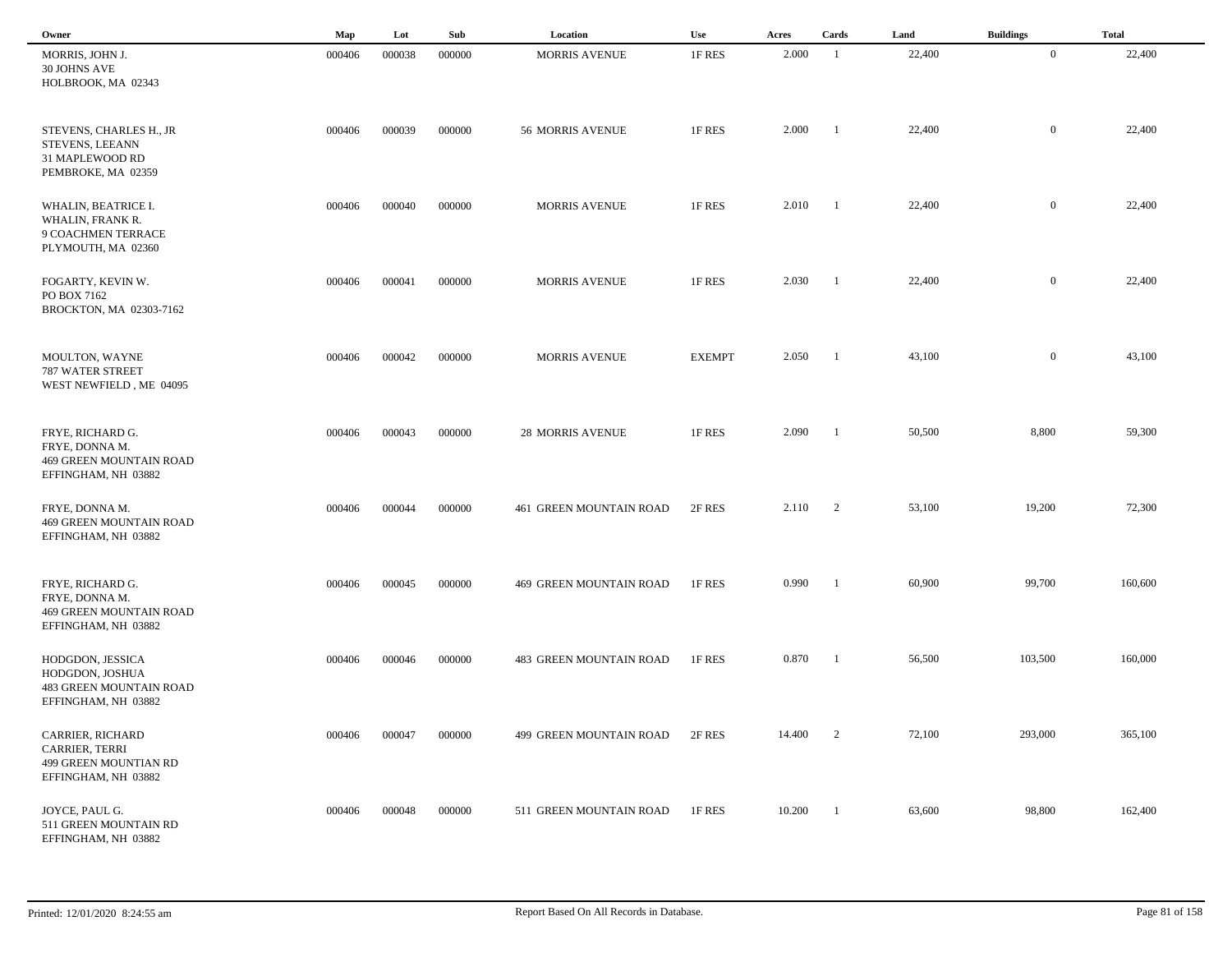| Owner                                                                                        | Map    | Lot    | Sub    | Location                | <b>Use</b>    | Acres  | Cards                    | Land   | <b>Buildings</b> | <b>Total</b> |  |
|----------------------------------------------------------------------------------------------|--------|--------|--------|-------------------------|---------------|--------|--------------------------|--------|------------------|--------------|--|
| MORRIS, JOHN J.<br>30 JOHNS AVE<br>HOLBROOK, MA 02343                                        | 000406 | 000038 | 000000 | <b>MORRIS AVENUE</b>    | 1F RES        | 2.000  | -1                       | 22,400 | $\bf{0}$         | 22,400       |  |
| STEVENS, CHARLES H., JR<br>STEVENS, LEEANN<br>31 MAPLEWOOD RD<br>PEMBROKE, MA 02359          | 000406 | 000039 | 000000 | 56 MORRIS AVENUE        | 1F RES        | 2.000  | $\overline{\phantom{a}}$ | 22,400 | $\overline{0}$   | 22,400       |  |
| WHALIN, BEATRICE I.<br>WHALIN, FRANK R.<br>9 COACHMEN TERRACE<br>PLYMOUTH, MA 02360          | 000406 | 000040 | 000000 | <b>MORRIS AVENUE</b>    | 1F RES        | 2.010  | $\blacksquare$           | 22,400 | $\overline{0}$   | 22,400       |  |
| FOGARTY, KEVIN W.<br>PO BOX 7162<br>BROCKTON, MA 02303-7162                                  | 000406 | 000041 | 000000 | <b>MORRIS AVENUE</b>    | 1F RES        | 2.030  | $\overline{\phantom{a}}$ | 22,400 | $\overline{0}$   | 22,400       |  |
| MOULTON, WAYNE<br>787 WATER STREET<br>WEST NEWFIELD, ME 04095                                | 000406 | 000042 | 000000 | <b>MORRIS AVENUE</b>    | <b>EXEMPT</b> | 2.050  | - 1                      | 43,100 | $\overline{0}$   | 43,100       |  |
| FRYE, RICHARD G.<br>FRYE, DONNA M.<br><b>469 GREEN MOUNTAIN ROAD</b><br>EFFINGHAM, NH 03882  | 000406 | 000043 | 000000 | <b>28 MORRIS AVENUE</b> | 1F RES        | 2.090  | - 1                      | 50,500 | 8,800            | 59,300       |  |
| FRYE, DONNA M.<br>469 GREEN MOUNTAIN ROAD<br>EFFINGHAM, NH 03882                             | 000406 | 000044 | 000000 | 461 GREEN MOUNTAIN ROAD | 2F RES        | 2.110  | $\overline{2}$           | 53,100 | 19,200           | 72,300       |  |
| FRYE, RICHARD G.<br>FRYE, DONNA M.<br>469 GREEN MOUNTAIN ROAD<br>EFFINGHAM, NH 03882         | 000406 | 000045 | 000000 | 469 GREEN MOUNTAIN ROAD | 1F RES        | 0.990  | - 1                      | 60,900 | 99,700           | 160,600      |  |
| HODGDON, JESSICA<br>HODGDON, JOSHUA<br><b>483 GREEN MOUNTAIN ROAD</b><br>EFFINGHAM, NH 03882 | 000406 | 000046 | 000000 | 483 GREEN MOUNTAIN ROAD | 1F RES        | 0.870  | $\blacksquare$           | 56,500 | 103,500          | 160,000      |  |
| CARRIER, RICHARD<br>CARRIER, TERRI<br>499 GREEN MOUNTIAN RD<br>EFFINGHAM, NH 03882           | 000406 | 000047 | 000000 | 499 GREEN MOUNTAIN ROAD | 2F RES        | 14.400 | $\overline{2}$           | 72,100 | 293,000          | 365,100      |  |
| JOYCE, PAUL G.<br>511 GREEN MOUNTAIN RD<br>EFFINGHAM, NH 03882                               | 000406 | 000048 | 000000 | 511 GREEN MOUNTAIN ROAD | 1F RES        | 10.200 | $\overline{1}$           | 63,600 | 98,800           | 162,400      |  |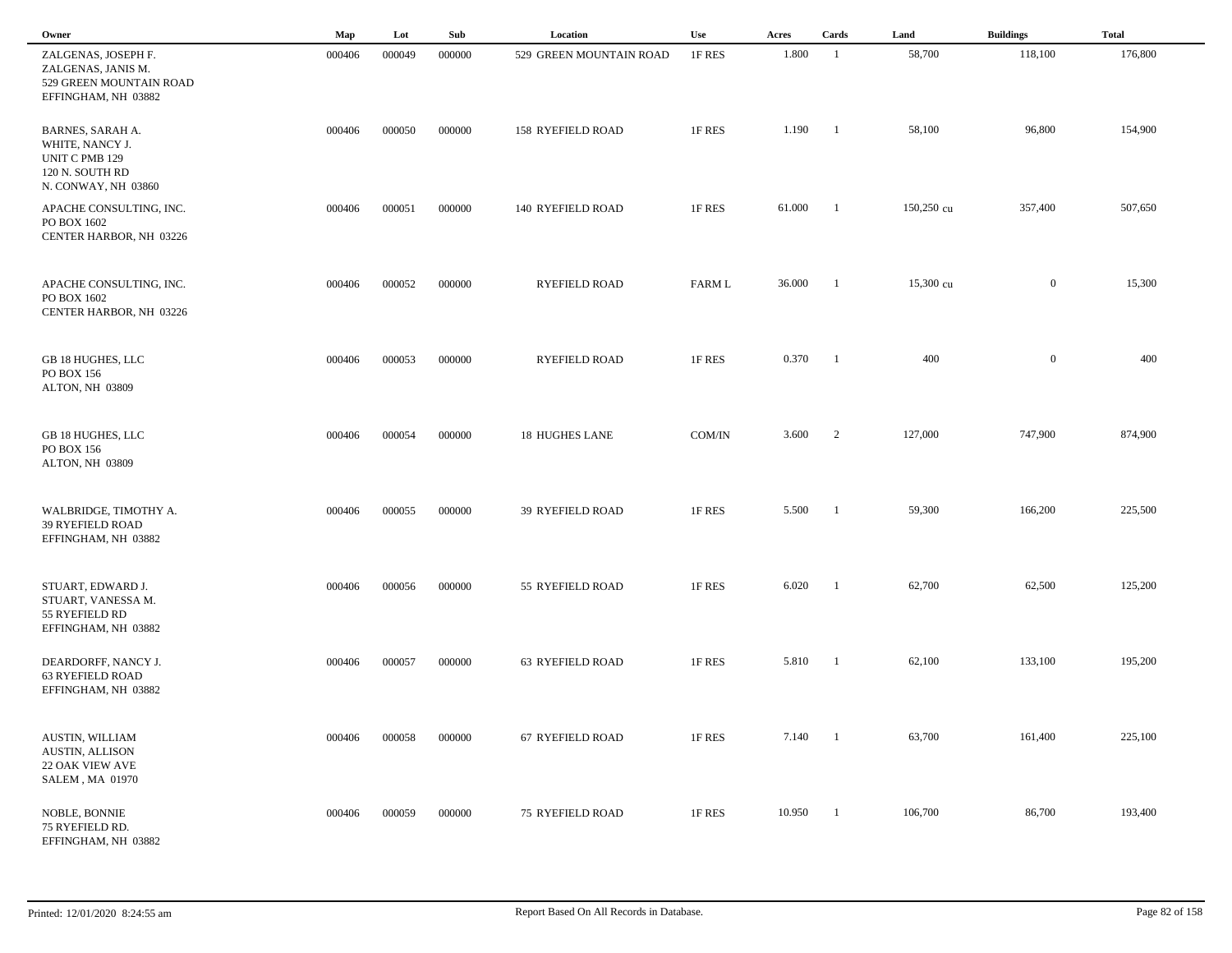| Owner                                                                                           | Map    | Lot    | Sub    | Location                | <b>Use</b>    | Acres  | Cards                    | Land       | <b>Buildings</b> | <b>Total</b> |  |
|-------------------------------------------------------------------------------------------------|--------|--------|--------|-------------------------|---------------|--------|--------------------------|------------|------------------|--------------|--|
| ZALGENAS, JOSEPH F.<br>ZALGENAS, JANIS M.<br>529 GREEN MOUNTAIN ROAD<br>EFFINGHAM, NH 03882     | 000406 | 000049 | 000000 | 529 GREEN MOUNTAIN ROAD | 1F RES        | 1.800  | -1                       | 58,700     | 118,100          | 176,800      |  |
| BARNES, SARAH A.<br>WHITE, NANCY J.<br>UNIT C PMB 129<br>120 N. SOUTH RD<br>N. CONWAY, NH 03860 | 000406 | 000050 | 000000 | 158 RYEFIELD ROAD       | 1F RES        | 1.190  | $\blacksquare$           | 58,100     | 96,800           | 154,900      |  |
| APACHE CONSULTING, INC.<br>PO BOX 1602<br>CENTER HARBOR, NH 03226                               | 000406 | 000051 | 000000 | 140 RYEFIELD ROAD       | 1F RES        | 61.000 | - 1                      | 150,250 cu | 357,400          | 507,650      |  |
| APACHE CONSULTING, INC.<br>PO BOX 1602<br>CENTER HARBOR, NH 03226                               | 000406 | 000052 | 000000 | RYEFIELD ROAD           | <b>FARM L</b> | 36.000 | -1                       | 15,300 cu  | $\mathbf{0}$     | 15,300       |  |
| GB 18 HUGHES, LLC<br>PO BOX 156<br>ALTON, NH 03809                                              | 000406 | 000053 | 000000 | <b>RYEFIELD ROAD</b>    | 1F RES        | 0.370  | - 1                      | 400        | $\boldsymbol{0}$ | 400          |  |
| GB 18 HUGHES, LLC<br>PO BOX 156<br>ALTON, NH 03809                                              | 000406 | 000054 | 000000 | 18 HUGHES LANE          | COM/IN        | 3.600  | $\overline{\phantom{a}}$ | 127,000    | 747,900          | 874,900      |  |
| WALBRIDGE, TIMOTHY A.<br>39 RYEFIELD ROAD<br>EFFINGHAM, NH 03882                                | 000406 | 000055 | 000000 | 39 RYEFIELD ROAD        | 1F RES        | 5.500  | -1                       | 59,300     | 166,200          | 225,500      |  |
| STUART, EDWARD J.<br>STUART, VANESSA M.<br>55 RYEFIELD RD<br>EFFINGHAM, NH 03882                | 000406 | 000056 | 000000 | 55 RYEFIELD ROAD        | 1F RES        | 6.020  | -1                       | 62,700     | 62,500           | 125,200      |  |
| DEARDORFF, NANCY J.<br><b>63 RYEFIELD ROAD</b><br>EFFINGHAM, NH 03882                           | 000406 | 000057 | 000000 | 63 RYEFIELD ROAD        | 1F RES        | 5.810  | -1                       | 62,100     | 133,100          | 195,200      |  |
| AUSTIN, WILLIAM<br>AUSTIN, ALLISON<br>22 OAK VIEW AVE<br>SALEM, MA 01970                        | 000406 | 000058 | 000000 | 67 RYEFIELD ROAD        | 1F RES        | 7.140  | - 1                      | 63,700     | 161,400          | 225,100      |  |
| <b>NOBLE, BONNIE</b><br>75 RYEFIELD RD.<br>EFFINGHAM, NH 03882                                  | 000406 | 000059 | 000000 | <b>75 RYEFIELD ROAD</b> | 1F RES        | 10.950 | -1                       | 106,700    | 86,700           | 193,400      |  |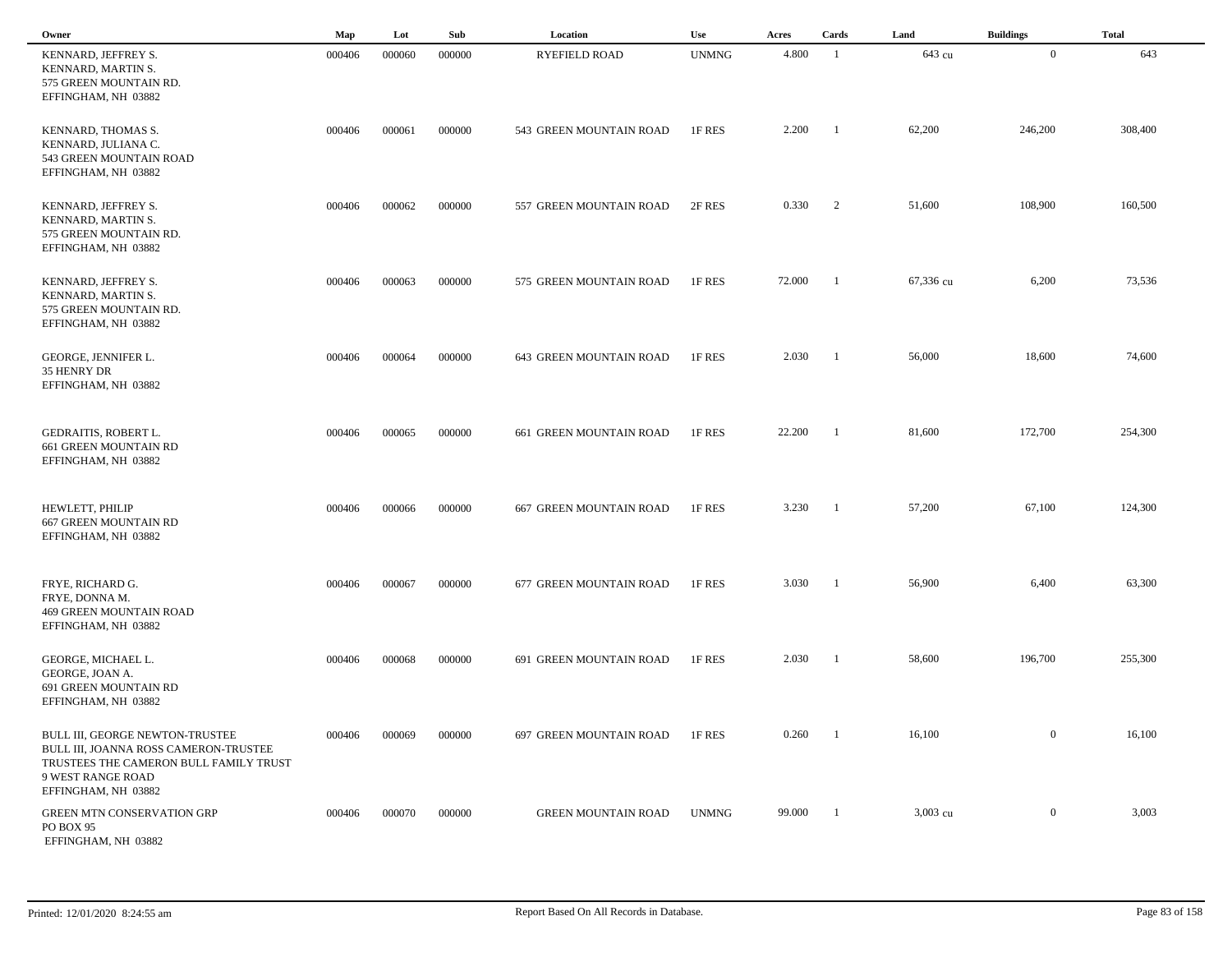| Owner                                                                                                                                                          | Map    | Lot    | Sub    | Location                   | Use          | Acres  | Cards          | Land      | <b>Buildings</b> | <b>Total</b> |
|----------------------------------------------------------------------------------------------------------------------------------------------------------------|--------|--------|--------|----------------------------|--------------|--------|----------------|-----------|------------------|--------------|
| KENNARD, JEFFREY S.<br>KENNARD, MARTIN S.<br>575 GREEN MOUNTAIN RD.<br>EFFINGHAM, NH 03882                                                                     | 000406 | 000060 | 000000 | <b>RYEFIELD ROAD</b>       | <b>UNMNG</b> | 4.800  | -1             | 643 cu    | $\overline{0}$   | 643          |
| KENNARD, THOMAS S.<br>KENNARD, JULIANA C.<br>543 GREEN MOUNTAIN ROAD<br>EFFINGHAM, NH 03882                                                                    | 000406 | 000061 | 000000 | 543 GREEN MOUNTAIN ROAD    | 1F RES       | 2.200  | -1             | 62,200    | 246,200          | 308,400      |
| KENNARD, JEFFREY S.<br>KENNARD, MARTIN S.<br>575 GREEN MOUNTAIN RD.<br>EFFINGHAM, NH 03882                                                                     | 000406 | 000062 | 000000 | 557 GREEN MOUNTAIN ROAD    | 2F RES       | 0.330  | 2              | 51,600    | 108,900          | 160,500      |
| KENNARD, JEFFREY S.<br>KENNARD, MARTIN S.<br>575 GREEN MOUNTAIN RD.<br>EFFINGHAM, NH 03882                                                                     | 000406 | 000063 | 000000 | 575 GREEN MOUNTAIN ROAD    | 1F RES       | 72.000 | - 1            | 67,336 cu | 6,200            | 73,536       |
| GEORGE, JENNIFER L.<br>35 HENRY DR<br>EFFINGHAM, NH 03882                                                                                                      | 000406 | 000064 | 000000 | 643 GREEN MOUNTAIN ROAD    | 1F RES       | 2.030  | $\overline{1}$ | 56,000    | 18,600           | 74,600       |
| GEDRAITIS, ROBERT L.<br>661 GREEN MOUNTAIN RD<br>EFFINGHAM, NH 03882                                                                                           | 000406 | 000065 | 000000 | 661 GREEN MOUNTAIN ROAD    | 1F RES       | 22.200 | - 1            | 81,600    | 172,700          | 254,300      |
| HEWLETT, PHILIP<br><b>667 GREEN MOUNTAIN RD</b><br>EFFINGHAM, NH 03882                                                                                         | 000406 | 000066 | 000000 | 667 GREEN MOUNTAIN ROAD    | 1F RES       | 3.230  | -1             | 57,200    | 67,100           | 124,300      |
| FRYE, RICHARD G.<br>FRYE, DONNA M.<br><b>469 GREEN MOUNTAIN ROAD</b><br>EFFINGHAM, NH 03882                                                                    | 000406 | 000067 | 000000 | 677 GREEN MOUNTAIN ROAD    | 1F RES       | 3.030  |                | 56,900    | 6,400            | 63,300       |
| GEORGE, MICHAEL L.<br>GEORGE, JOAN A.<br>691 GREEN MOUNTAIN RD<br>EFFINGHAM, NH 03882                                                                          | 000406 | 000068 | 000000 | 691 GREEN MOUNTAIN ROAD    | 1F RES       | 2.030  |                | 58,600    | 196,700          | 255,300      |
| BULL III, GEORGE NEWTON-TRUSTEE<br>BULL III, JOANNA ROSS CAMERON-TRUSTEE<br>TRUSTEES THE CAMERON BULL FAMILY TRUST<br>9 WEST RANGE ROAD<br>EFFINGHAM, NH 03882 | 000406 | 000069 | 000000 | 697 GREEN MOUNTAIN ROAD    | 1F RES       | 0.260  | $\blacksquare$ | 16,100    | $\overline{0}$   | 16,100       |
| <b>GREEN MTN CONSERVATION GRP</b><br>PO BOX 95<br>EFFINGHAM, NH 03882                                                                                          | 000406 | 000070 | 000000 | <b>GREEN MOUNTAIN ROAD</b> | <b>UNMNG</b> | 99.000 | - 1            | 3,003 cu  | $\mathbf{0}$     | 3,003        |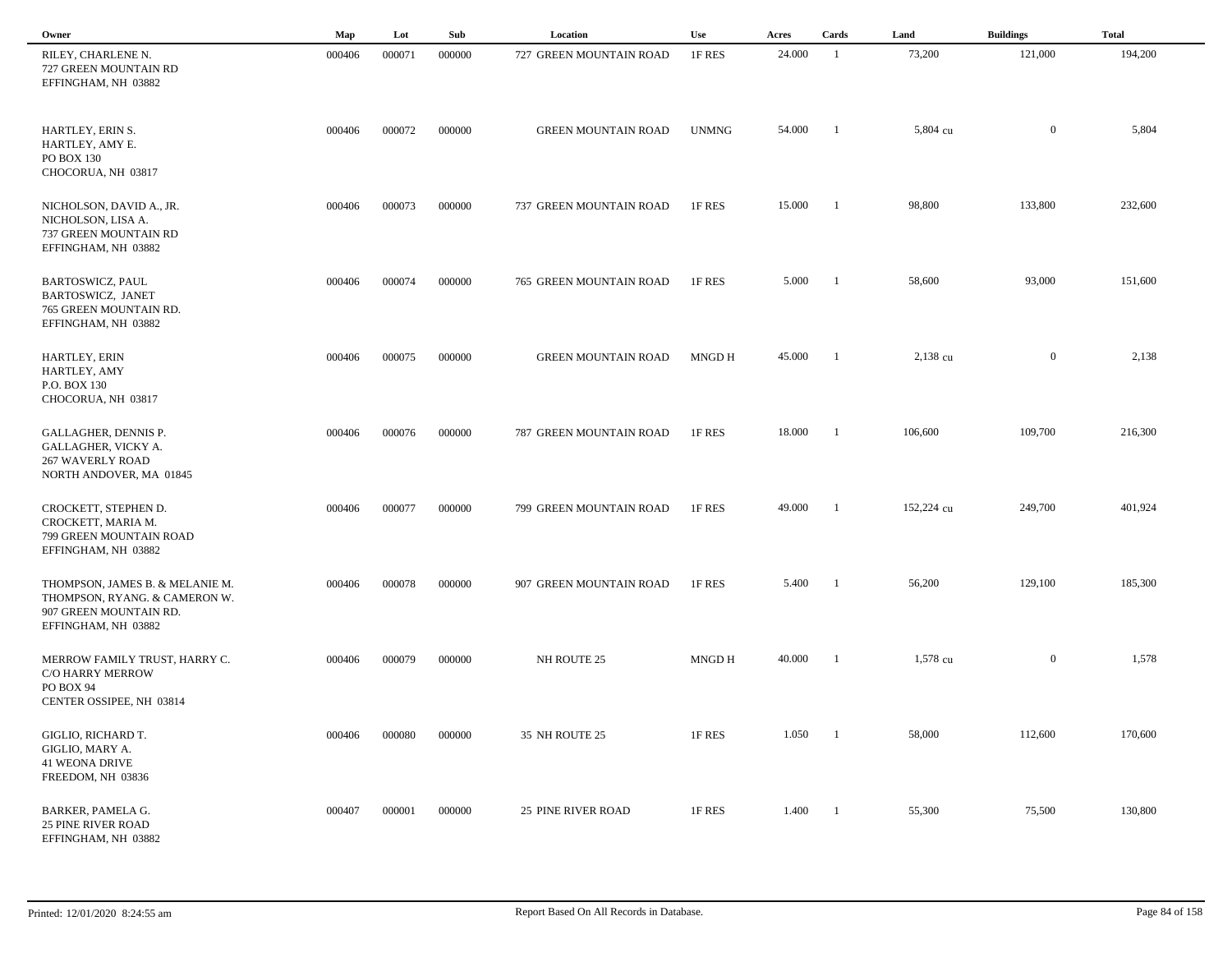| Owner                                                                                                             | Map    | Lot    | Sub    | Location                   | Use          | Acres  | Cards                    | Land       | <b>Buildings</b> | <b>Total</b> |  |
|-------------------------------------------------------------------------------------------------------------------|--------|--------|--------|----------------------------|--------------|--------|--------------------------|------------|------------------|--------------|--|
| RILEY, CHARLENE N.<br>727 GREEN MOUNTAIN RD<br>EFFINGHAM, NH 03882                                                | 000406 | 000071 | 000000 | 727 GREEN MOUNTAIN ROAD    | 1F RES       | 24.000 | -1                       | 73,200     | 121,000          | 194,200      |  |
| HARTLEY, ERIN S.<br>HARTLEY, AMY E.<br>PO BOX 130<br>CHOCORUA, NH 03817                                           | 000406 | 000072 | 000000 | <b>GREEN MOUNTAIN ROAD</b> | <b>UNMNG</b> | 54.000 | $\blacksquare$           | 5,804 cu   | $\overline{0}$   | 5,804        |  |
| NICHOLSON, DAVID A., JR.<br>NICHOLSON, LISA A.<br>737 GREEN MOUNTAIN RD<br>EFFINGHAM, NH 03882                    | 000406 | 000073 | 000000 | 737 GREEN MOUNTAIN ROAD    | 1F RES       | 15.000 | $\blacksquare$           | 98,800     | 133,800          | 232,600      |  |
| BARTOSWICZ, PAUL<br>BARTOSWICZ, JANET<br>765 GREEN MOUNTAIN RD.<br>EFFINGHAM, NH 03882                            | 000406 | 000074 | 000000 | 765 GREEN MOUNTAIN ROAD    | 1F RES       | 5.000  | $\blacksquare$           | 58,600     | 93,000           | 151,600      |  |
| HARTLEY, ERIN<br>HARTLEY, AMY<br>P.O. BOX 130<br>CHOCORUA, NH 03817                                               | 000406 | 000075 | 000000 | <b>GREEN MOUNTAIN ROAD</b> | MNGD H       | 45.000 | $\overline{\phantom{a}}$ | 2,138 cu   | $\overline{0}$   | 2,138        |  |
| GALLAGHER, DENNIS P.<br>GALLAGHER, VICKY A.<br><b>267 WAVERLY ROAD</b><br>NORTH ANDOVER, MA 01845                 | 000406 | 000076 | 000000 | 787 GREEN MOUNTAIN ROAD    | 1F RES       | 18.000 | - 1                      | 106,600    | 109,700          | 216,300      |  |
| CROCKETT, STEPHEN D.<br>CROCKETT, MARIA M.<br>799 GREEN MOUNTAIN ROAD<br>EFFINGHAM, NH 03882                      | 000406 | 000077 | 000000 | 799 GREEN MOUNTAIN ROAD    | 1F RES       | 49.000 | - 1                      | 152,224 cu | 249,700          | 401,924      |  |
| THOMPSON, JAMES B. & MELANIE M.<br>THOMPSON, RYANG. & CAMERON W.<br>907 GREEN MOUNTAIN RD.<br>EFFINGHAM, NH 03882 | 000406 | 000078 | 000000 | 907 GREEN MOUNTAIN ROAD    | 1F RES       | 5.400  | - 1                      | 56,200     | 129,100          | 185,300      |  |
| MERROW FAMILY TRUST, HARRY C.<br>C/O HARRY MERROW<br>PO BOX 94<br>CENTER OSSIPEE, NH 03814                        | 000406 | 000079 | 000000 | NH ROUTE 25                | MNGD H       | 40.000 | - 1                      | 1,578 cu   | $\overline{0}$   | 1,578        |  |
| GIGLIO, RICHARD T.<br>GIGLIO, MARY A.<br><b>41 WEONA DRIVE</b><br>FREEDOM, NH 03836                               | 000406 | 000080 | 000000 | 35 NH ROUTE 25             | 1F RES       | 1.050  | $\blacksquare$           | 58,000     | 112,600          | 170,600      |  |
| BARKER, PAMELA G.<br><b>25 PINE RIVER ROAD</b><br>EFFINGHAM, NH 03882                                             | 000407 | 000001 | 000000 | <b>25 PINE RIVER ROAD</b>  | 1F RES       | 1.400  | $\blacksquare$           | 55,300     | 75,500           | 130,800      |  |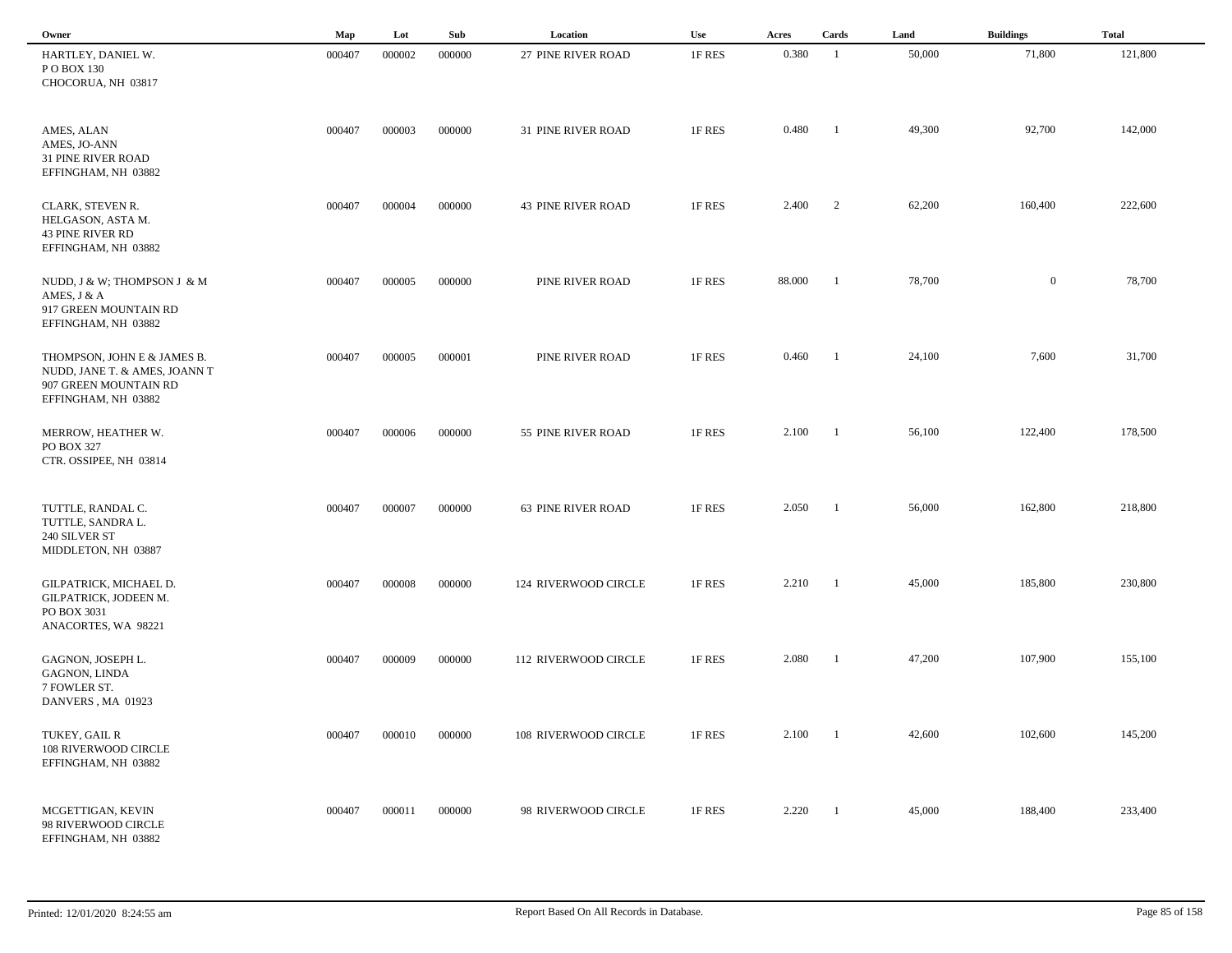| Owner                                                                                                        | Map    | Lot    | Sub    | Location                    | Use    | Acres  | Cards                    | Land   | <b>Buildings</b> | <b>Total</b> |  |
|--------------------------------------------------------------------------------------------------------------|--------|--------|--------|-----------------------------|--------|--------|--------------------------|--------|------------------|--------------|--|
| HARTLEY, DANIEL W.<br>P O BOX 130<br>CHOCORUA, NH 03817                                                      | 000407 | 000002 | 000000 | 27 PINE RIVER ROAD          | 1F RES | 0.380  | $\overline{1}$           | 50,000 | 71,800           | 121,800      |  |
| AMES, ALAN<br>AMES, JO-ANN<br><b>31 PINE RIVER ROAD</b><br>EFFINGHAM, NH 03882                               | 000407 | 000003 | 000000 | 31 PINE RIVER ROAD          | 1F RES | 0.480  | -1                       | 49,300 | 92,700           | 142,000      |  |
| CLARK, STEVEN R.<br>HELGASON, ASTA M.<br><b>43 PINE RIVER RD</b><br>EFFINGHAM, NH 03882                      | 000407 | 000004 | 000000 | <b>43 PINE RIVER ROAD</b>   | 1F RES | 2.400  | $\overline{\phantom{a}}$ | 62,200 | 160,400          | 222,600      |  |
| NUDD, J & W; THOMPSON J & M<br>AMES, J & A<br>917 GREEN MOUNTAIN RD<br>EFFINGHAM, NH 03882                   | 000407 | 000005 | 000000 | PINE RIVER ROAD             | 1F RES | 88.000 | - 1                      | 78,700 | $\mathbf{0}$     | 78,700       |  |
| THOMPSON, JOHN E & JAMES B.<br>NUDD, JANE T. & AMES, JOANN T<br>907 GREEN MOUNTAIN RD<br>EFFINGHAM, NH 03882 | 000407 | 000005 | 000001 | PINE RIVER ROAD             | 1F RES | 0.460  | - 1                      | 24,100 | 7,600            | 31,700       |  |
| MERROW, HEATHER W.<br>PO BOX 327<br>CTR. OSSIPEE, NH 03814                                                   | 000407 | 000006 | 000000 | 55 PINE RIVER ROAD          | 1F RES | 2.100  | - 1                      | 56,100 | 122,400          | 178,500      |  |
| TUTTLE, RANDAL C.<br>TUTTLE, SANDRA L.<br>240 SILVER ST<br>MIDDLETON, NH 03887                               | 000407 | 000007 | 000000 | 63 PINE RIVER ROAD          | 1F RES | 2.050  | -1                       | 56,000 | 162,800          | 218,800      |  |
| GILPATRICK, MICHAEL D.<br>GILPATRICK, JODEEN M.<br>PO BOX 3031<br>ANACORTES, WA 98221                        | 000407 | 000008 | 000000 | 124 RIVERWOOD CIRCLE        | 1F RES | 2.210  | - 1                      | 45,000 | 185,800          | 230,800      |  |
| GAGNON, JOSEPH L.<br>GAGNON, LINDA<br>7 FOWLER ST.<br>DANVERS, MA 01923                                      | 000407 | 000009 | 000000 | <b>112 RIVERWOOD CIRCLE</b> | 1F RES | 2.080  | -1                       | 47,200 | 107,900          | 155,100      |  |
| TUKEY, GAIL R<br>108 RIVERWOOD CIRCLE<br>EFFINGHAM, NH 03882                                                 | 000407 | 000010 | 000000 | 108 RIVERWOOD CIRCLE        | 1F RES | 2.100  | $\blacksquare$           | 42,600 | 102,600          | 145,200      |  |
| MCGETTIGAN, KEVIN<br>98 RIVERWOOD CIRCLE<br>EFFINGHAM, NH 03882                                              | 000407 | 000011 | 000000 | 98 RIVERWOOD CIRCLE         | 1F RES | 2.220  | $\overline{1}$           | 45,000 | 188,400          | 233,400      |  |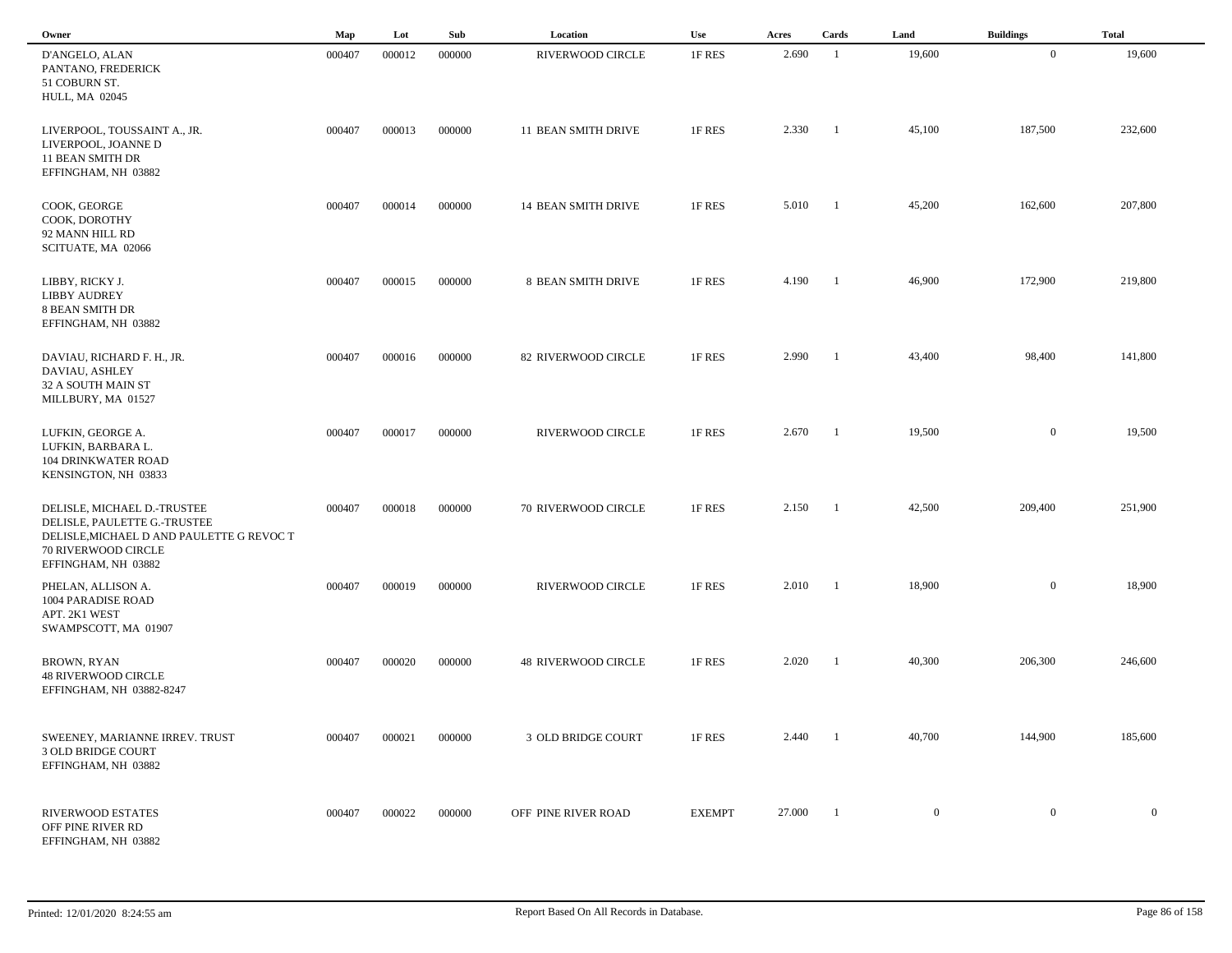| Owner                                                                                                                           | Map    | Lot    | Sub    | Location                   | <b>Use</b>    | Acres  | Cards          | Land         | <b>Buildings</b> | <b>Total</b> |  |
|---------------------------------------------------------------------------------------------------------------------------------|--------|--------|--------|----------------------------|---------------|--------|----------------|--------------|------------------|--------------|--|
| D'ANGELO, ALAN<br>PANTANO, FREDERICK<br>51 COBURN ST.<br><b>HULL, MA 02045</b>                                                  | 000407 | 000012 | 000000 | RIVERWOOD CIRCLE           | 1F RES        | 2.690  | - 1            | 19,600       | $\mathbf{0}$     | 19,600       |  |
| LIVERPOOL, TOUSSAINT A., JR.<br>LIVERPOOL, JOANNE D<br>11 BEAN SMITH DR<br>EFFINGHAM, NH 03882                                  | 000407 | 000013 | 000000 | <b>11 BEAN SMITH DRIVE</b> | 1F RES        | 2.330  | -1             | 45,100       | 187,500          | 232,600      |  |
| COOK, GEORGE<br>COOK, DOROTHY<br>92 MANN HILL RD<br>SCITUATE, MA 02066                                                          | 000407 | 000014 | 000000 | 14 BEAN SMITH DRIVE        | 1F RES        | 5.010  | - 1            | 45,200       | 162,600          | 207,800      |  |
| LIBBY, RICKY J.<br><b>LIBBY AUDREY</b><br><b>8 BEAN SMITH DR</b><br>EFFINGHAM, NH 03882                                         | 000407 | 000015 | 000000 | 8 BEAN SMITH DRIVE         | 1F RES        | 4.190  | $\blacksquare$ | 46,900       | 172,900          | 219,800      |  |
| DAVIAU, RICHARD F. H., JR.<br>DAVIAU, ASHLEY<br>32 A SOUTH MAIN ST<br>MILLBURY, MA 01527                                        | 000407 | 000016 | 000000 | 82 RIVERWOOD CIRCLE        | 1F RES        | 2.990  | - 1            | 43,400       | 98,400           | 141,800      |  |
| LUFKIN, GEORGE A.<br>LUFKIN, BARBARA L.<br><b>104 DRINKWATER ROAD</b><br>KENSINGTON, NH 03833                                   | 000407 | 000017 | 000000 | RIVERWOOD CIRCLE           | 1F RES        | 2.670  | - 1            | 19,500       | $\overline{0}$   | 19,500       |  |
| DELISLE, MICHAEL D.-TRUSTEE<br>DELISLE, PAULETTE G.-TRUSTEE<br>DELISLE, MICHAEL D AND PAULETTE G REVOC T<br>70 RIVERWOOD CIRCLE | 000407 | 000018 | 000000 | 70 RIVERWOOD CIRCLE        | 1F RES        | 2.150  | - 1            | 42,500       | 209,400          | 251,900      |  |
| EFFINGHAM, NH 03882<br>PHELAN, ALLISON A.<br>1004 PARADISE ROAD<br>APT. 2K1 WEST<br>SWAMPSCOTT, MA 01907                        | 000407 | 000019 | 000000 | RIVERWOOD CIRCLE           | 1F RES        | 2.010  | - 1            | 18,900       | $\mathbf{0}$     | 18,900       |  |
| <b>BROWN, RYAN</b><br><b>48 RIVERWOOD CIRCLE</b><br>EFFINGHAM, NH 03882-8247                                                    | 000407 | 000020 | 000000 | <b>48 RIVERWOOD CIRCLE</b> | 1F RES        | 2.020  | -1             | 40,300       | 206,300          | 246,600      |  |
| SWEENEY, MARIANNE IRREV. TRUST<br>3 OLD BRIDGE COURT<br>EFFINGHAM, NH 03882                                                     | 000407 | 000021 | 000000 | 3 OLD BRIDGE COURT         | 1F RES        | 2.440  |                | 40,700       | 144,900          | 185,600      |  |
| RIVERWOOD ESTATES<br>OFF PINE RIVER RD<br>EFFINGHAM, NH 03882                                                                   | 000407 | 000022 | 000000 | OFF PINE RIVER ROAD        | <b>EXEMPT</b> | 27.000 | $\blacksquare$ | $\mathbf{0}$ | $\mathbf{0}$     | $\mathbf{0}$ |  |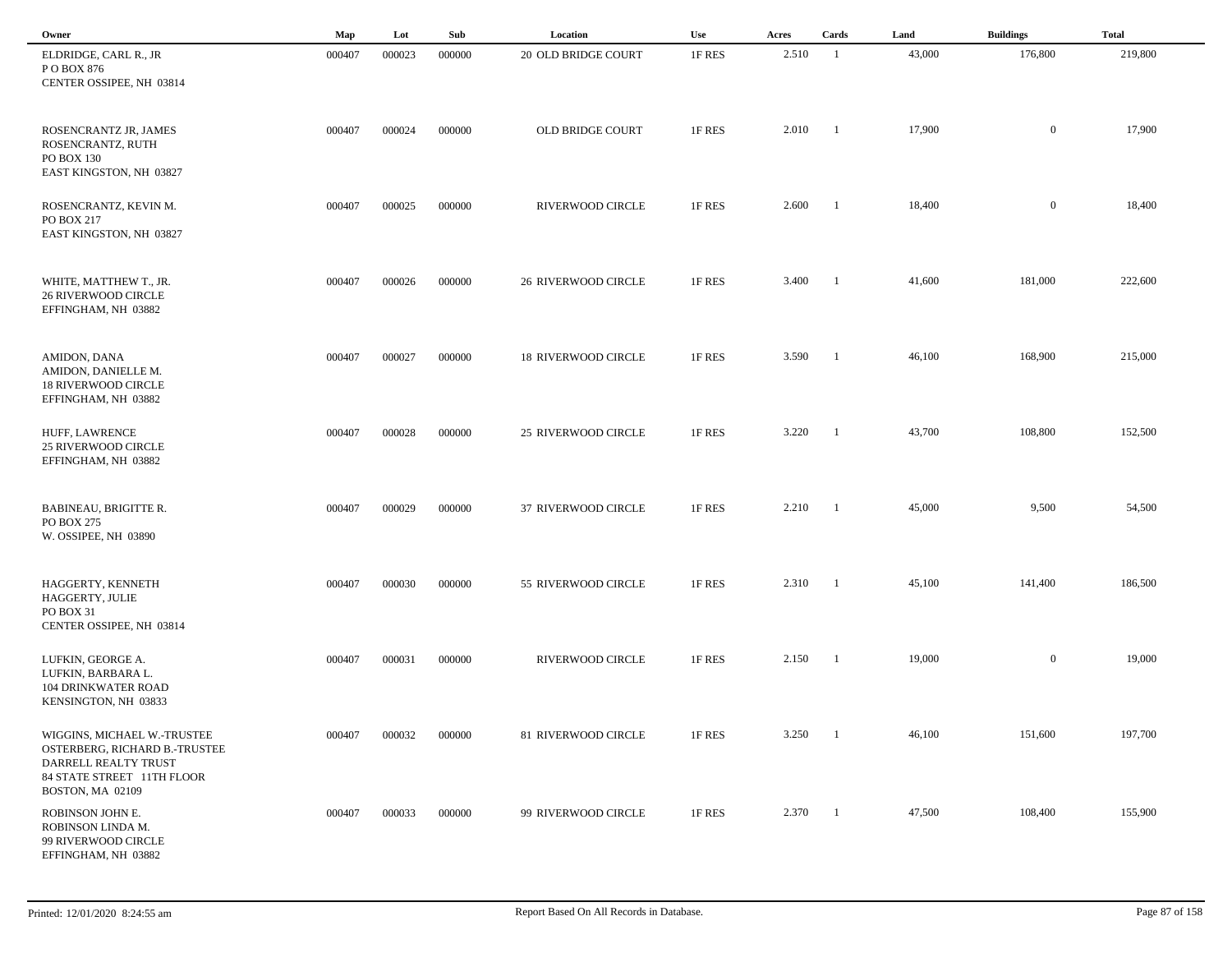| Owner                                                                                                              | Map    | Lot    | Sub    | Location                   | Use    | Acres | Cards          | Land   | <b>Buildings</b> | <b>Total</b> |
|--------------------------------------------------------------------------------------------------------------------|--------|--------|--------|----------------------------|--------|-------|----------------|--------|------------------|--------------|
| ELDRIDGE, CARL R., JR<br>PO BOX 876<br>CENTER OSSIPEE, NH 03814                                                    | 000407 | 000023 | 000000 | 20 OLD BRIDGE COURT        | 1F RES | 2.510 | - 1            | 43,000 | 176,800          | 219,800      |
| ROSENCRANTZ JR, JAMES<br>ROSENCRANTZ, RUTH<br>PO BOX 130<br>EAST KINGSTON, NH 03827                                | 000407 | 000024 | 000000 | OLD BRIDGE COURT           | 1F RES | 2.010 | -1             | 17,900 | $\mathbf{0}$     | 17,900       |
| ROSENCRANTZ, KEVIN M.<br>PO BOX 217<br>EAST KINGSTON, NH 03827                                                     | 000407 | 000025 | 000000 | RIVERWOOD CIRCLE           | 1F RES | 2.600 | - 1            | 18,400 | $\mathbf{0}$     | 18,400       |
| WHITE, MATTHEW T., JR.<br><b>26 RIVERWOOD CIRCLE</b><br>EFFINGHAM, NH 03882                                        | 000407 | 000026 | 000000 | <b>26 RIVERWOOD CIRCLE</b> | 1F RES | 3.400 | - 1            | 41,600 | 181,000          | 222,600      |
| AMIDON, DANA<br>AMIDON, DANIELLE M.<br><b>18 RIVERWOOD CIRCLE</b><br>EFFINGHAM, NH 03882                           | 000407 | 000027 | 000000 | <b>18 RIVERWOOD CIRCLE</b> | 1F RES | 3.590 | $\blacksquare$ | 46,100 | 168,900          | 215,000      |
| HUFF, LAWRENCE<br><b>25 RIVERWOOD CIRCLE</b><br>EFFINGHAM, NH 03882                                                | 000407 | 000028 | 000000 | 25 RIVERWOOD CIRCLE        | 1F RES | 3.220 | -1             | 43,700 | 108,800          | 152,500      |
| BABINEAU, BRIGITTE R.<br>PO BOX 275<br>W. OSSIPEE, NH 03890                                                        | 000407 | 000029 | 000000 | 37 RIVERWOOD CIRCLE        | 1F RES | 2.210 | - 1            | 45,000 | 9,500            | 54,500       |
| HAGGERTY, KENNETH<br>HAGGERTY, JULIE<br>PO BOX 31<br>CENTER OSSIPEE, NH 03814                                      | 000407 | 000030 | 000000 | 55 RIVERWOOD CIRCLE        | 1F RES | 2.310 | -1             | 45,100 | 141,400          | 186,500      |
| LUFKIN, GEORGE A.<br>LUFKIN, BARBARA L.<br>104 DRINKWATER ROAD<br>KENSINGTON, NH 03833                             | 000407 | 000031 | 000000 | RIVERWOOD CIRCLE           | 1F RES | 2.150 | -1             | 19,000 | $\mathbf{0}$     | 19,000       |
| WIGGINS, MICHAEL W.-TRUSTEE<br>OSTERBERG, RICHARD B.-TRUSTEE<br>DARRELL REALTY TRUST<br>84 STATE STREET 11TH FLOOR | 000407 | 000032 | 000000 | 81 RIVERWOOD CIRCLE        | 1F RES | 3.250 |                | 46,100 | 151,600          | 197,700      |
| BOSTON, MA 02109<br>ROBINSON JOHN E.<br>ROBINSON LINDA M.<br>99 RIVERWOOD CIRCLE<br>EFFINGHAM, NH 03882            | 000407 | 000033 | 000000 | 99 RIVERWOOD CIRCLE        | 1F RES | 2.370 | $\blacksquare$ | 47,500 | 108,400          | 155,900      |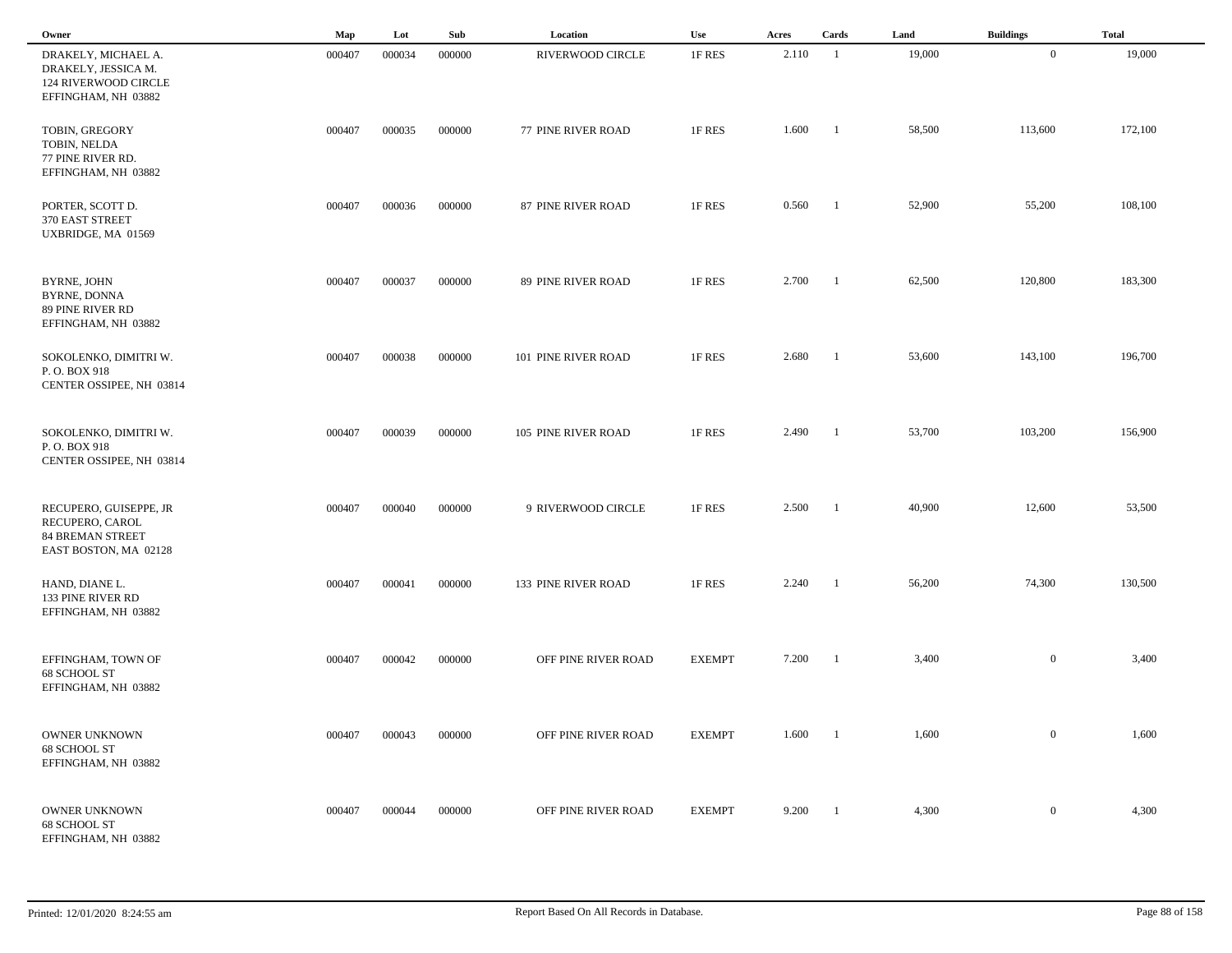| Owner                                                                                         | Map    | Lot    | Sub    | Location            | Use           | Acres | Cards          | Land   | <b>Buildings</b> | <b>Total</b> |  |
|-----------------------------------------------------------------------------------------------|--------|--------|--------|---------------------|---------------|-------|----------------|--------|------------------|--------------|--|
| DRAKELY, MICHAEL A.<br>DRAKELY, JESSICA M.<br>124 RIVERWOOD CIRCLE<br>EFFINGHAM, NH 03882     | 000407 | 000034 | 000000 | RIVERWOOD CIRCLE    | 1F RES        | 2.110 | -1             | 19,000 | $\overline{0}$   | 19,000       |  |
| TOBIN, GREGORY<br>TOBIN, NELDA<br>77 PINE RIVER RD.<br>EFFINGHAM, NH 03882                    | 000407 | 000035 | 000000 | 77 PINE RIVER ROAD  | 1F RES        | 1.600 | $\blacksquare$ | 58,500 | 113,600          | 172,100      |  |
| PORTER, SCOTT D.<br>370 EAST STREET<br>UXBRIDGE, MA 01569                                     | 000407 | 000036 | 000000 | 87 PINE RIVER ROAD  | 1F RES        | 0.560 | $\blacksquare$ | 52,900 | 55,200           | 108,100      |  |
| BYRNE, JOHN<br>BYRNE, DONNA<br>89 PINE RIVER RD<br>EFFINGHAM, NH 03882                        | 000407 | 000037 | 000000 | 89 PINE RIVER ROAD  | 1F RES        | 2.700 | $\blacksquare$ | 62,500 | 120,800          | 183,300      |  |
| SOKOLENKO, DIMITRI W.<br>P.O. BOX 918<br>CENTER OSSIPEE, NH 03814                             | 000407 | 000038 | 000000 | 101 PINE RIVER ROAD | 1F RES        | 2.680 | $\blacksquare$ | 53,600 | 143,100          | 196,700      |  |
| SOKOLENKO, DIMITRI W.<br>P.O. BOX 918<br>CENTER OSSIPEE, NH 03814                             | 000407 | 000039 | 000000 | 105 PINE RIVER ROAD | 1F RES        | 2.490 | -1             | 53,700 | 103,200          | 156,900      |  |
| RECUPERO, GUISEPPE, JR<br>RECUPERO, CAROL<br><b>84 BREMAN STREET</b><br>EAST BOSTON, MA 02128 | 000407 | 000040 | 000000 | 9 RIVERWOOD CIRCLE  | 1F RES        | 2.500 | -1             | 40,900 | 12,600           | 53,500       |  |
| HAND, DIANE L.<br>133 PINE RIVER RD<br>EFFINGHAM, NH 03882                                    | 000407 | 000041 | 000000 | 133 PINE RIVER ROAD | 1F RES        | 2.240 | - 1            | 56,200 | 74,300           | 130,500      |  |
| EFFINGHAM, TOWN OF<br>68 SCHOOL ST<br>EFFINGHAM, NH 03882                                     | 000407 | 000042 | 000000 | OFF PINE RIVER ROAD | <b>EXEMPT</b> | 7.200 | -1             | 3,400  | $\overline{0}$   | 3,400        |  |
| OWNER UNKNOWN<br>68 SCHOOL ST<br>EFFINGHAM, NH 03882                                          | 000407 | 000043 | 000000 | OFF PINE RIVER ROAD | <b>EXEMPT</b> | 1.600 | $\blacksquare$ | 1,600  | $\overline{0}$   | 1,600        |  |
| OWNER UNKNOWN<br>68 SCHOOL ST<br>EFFINGHAM, NH 03882                                          | 000407 | 000044 | 000000 | OFF PINE RIVER ROAD | <b>EXEMPT</b> | 9.200 | $\blacksquare$ | 4,300  | $\mathbf{0}$     | 4,300        |  |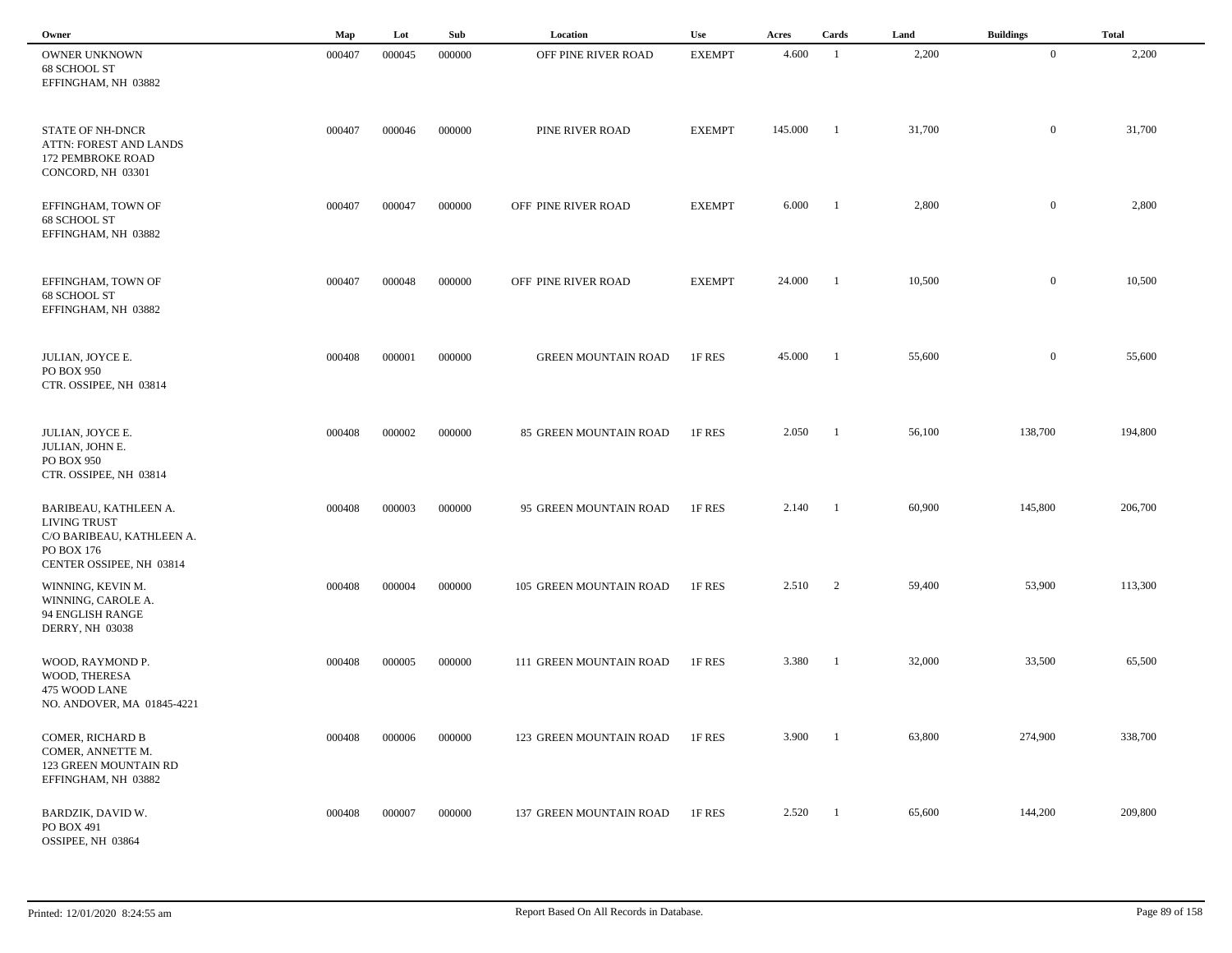| Owner                                                                                                               | Map    | Lot    | Sub    | Location                   | Use           | Acres   | Cards                    | Land   | <b>Buildings</b> | <b>Total</b> |
|---------------------------------------------------------------------------------------------------------------------|--------|--------|--------|----------------------------|---------------|---------|--------------------------|--------|------------------|--------------|
| OWNER UNKNOWN<br>68 SCHOOL ST<br>EFFINGHAM, NH 03882                                                                | 000407 | 000045 | 000000 | OFF PINE RIVER ROAD        | <b>EXEMPT</b> | 4.600   | - 1                      | 2,200  | $\overline{0}$   | 2,200        |
| <b>STATE OF NH-DNCR</b><br>ATTN: FOREST AND LANDS<br>172 PEMBROKE ROAD<br>CONCORD, NH 03301                         | 000407 | 000046 | 000000 | PINE RIVER ROAD            | <b>EXEMPT</b> | 145.000 | $\mathbf{1}$             | 31,700 | $\bf{0}$         | 31,700       |
| EFFINGHAM, TOWN OF<br>68 SCHOOL ST<br>EFFINGHAM, NH 03882                                                           | 000407 | 000047 | 000000 | OFF PINE RIVER ROAD        | <b>EXEMPT</b> | 6.000   | $\blacksquare$           | 2,800  | $\overline{0}$   | 2,800        |
| EFFINGHAM, TOWN OF<br>68 SCHOOL ST<br>EFFINGHAM, NH 03882                                                           | 000407 | 000048 | 000000 | OFF PINE RIVER ROAD        | <b>EXEMPT</b> | 24.000  | $\overline{\phantom{0}}$ | 10,500 | $\overline{0}$   | 10,500       |
| JULIAN, JOYCE E.<br>PO BOX 950<br>CTR. OSSIPEE, NH 03814                                                            | 000408 | 000001 | 000000 | <b>GREEN MOUNTAIN ROAD</b> | 1F RES        | 45.000  | - 1                      | 55,600 | $\overline{0}$   | 55,600       |
| JULIAN, JOYCE E.<br>JULIAN, JOHN E.<br>PO BOX 950<br>CTR. OSSIPEE, NH 03814                                         | 000408 | 000002 | 000000 | 85 GREEN MOUNTAIN ROAD     | 1F RES        | 2.050   | - 1                      | 56,100 | 138,700          | 194,800      |
| BARIBEAU, KATHLEEN A.<br><b>LIVING TRUST</b><br>C/O BARIBEAU, KATHLEEN A.<br>PO BOX 176<br>CENTER OSSIPEE, NH 03814 | 000408 | 000003 | 000000 | 95 GREEN MOUNTAIN ROAD     | 1F RES        | 2.140   | $\blacksquare$           | 60,900 | 145,800          | 206,700      |
| WINNING, KEVIN M.<br>WINNING, CAROLE A.<br>94 ENGLISH RANGE<br><b>DERRY, NH 03038</b>                               | 000408 | 000004 | 000000 | 105 GREEN MOUNTAIN ROAD    | 1F RES        | 2.510   | $\overline{2}$           | 59,400 | 53,900           | 113,300      |
| WOOD, RAYMOND P.<br>WOOD, THERESA<br>475 WOOD LANE<br>NO. ANDOVER, MA 01845-4221                                    | 000408 | 000005 | 000000 | 111 GREEN MOUNTAIN ROAD    | 1F RES        | 3.380   | - 1                      | 32,000 | 33,500           | 65,500       |
| COMER, RICHARD B<br>COMER, ANNETTE M.<br>123 GREEN MOUNTAIN RD<br>EFFINGHAM, NH 03882                               | 000408 | 000006 | 000000 | 123 GREEN MOUNTAIN ROAD    | 1F RES        | 3.900   | $\blacksquare$           | 63,800 | 274,900          | 338,700      |
| BARDZIK, DAVID W.<br>PO BOX 491<br>OSSIPEE, NH 03864                                                                | 000408 | 000007 | 000000 | 137 GREEN MOUNTAIN ROAD    | 1F RES        | 2.520   | $\blacksquare$           | 65,600 | 144,200          | 209,800      |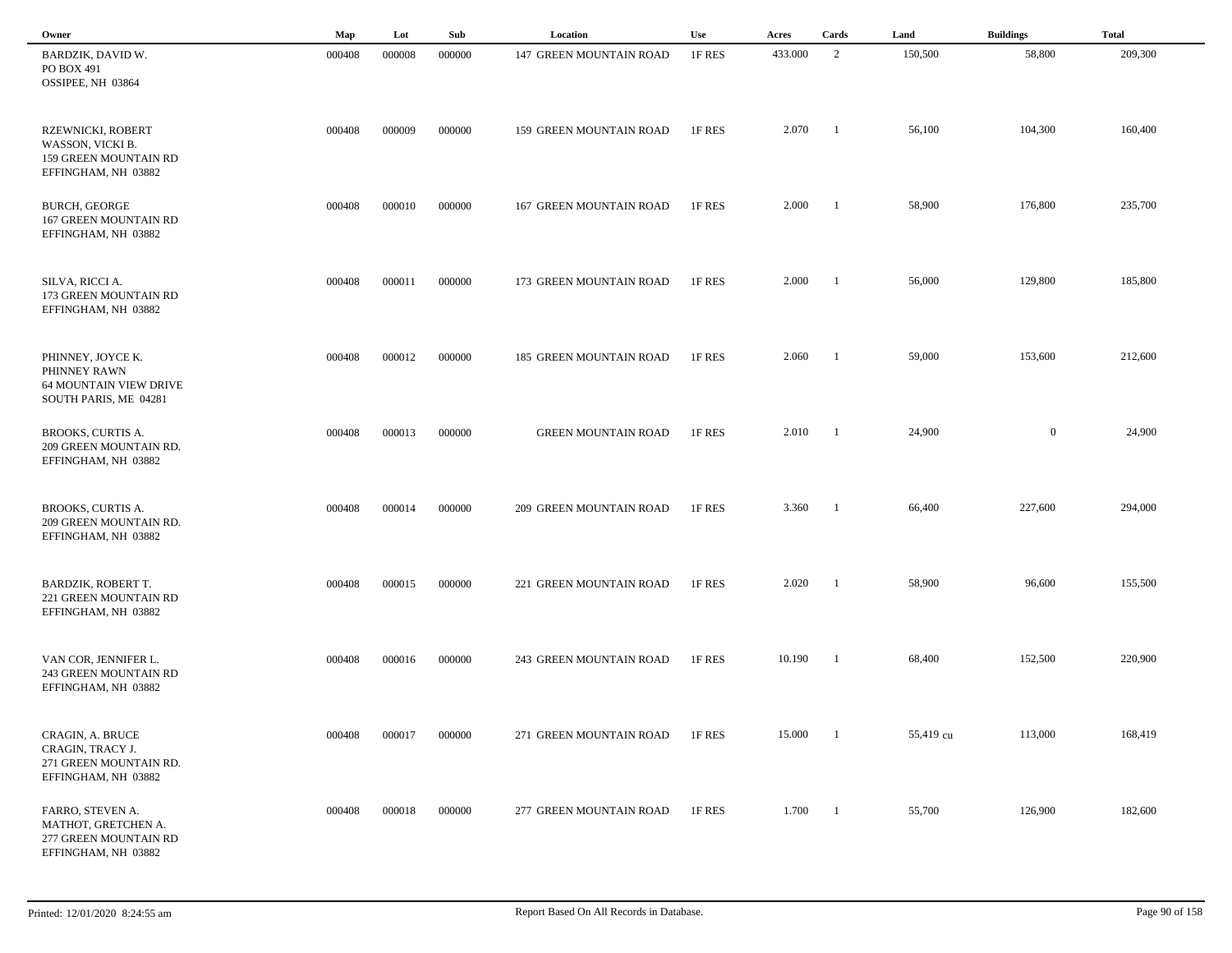| Owner                                                                                       | Map    | Lot    | Sub    | Location                   | Use    | Acres   | Cards                    | Land      | <b>Buildings</b> | <b>Total</b> |
|---------------------------------------------------------------------------------------------|--------|--------|--------|----------------------------|--------|---------|--------------------------|-----------|------------------|--------------|
| BARDZIK, DAVID W.<br>PO BOX 491<br>OSSIPEE, NH 03864                                        | 000408 | 000008 | 000000 | 147 GREEN MOUNTAIN ROAD    | 1F RES | 433.000 | 2                        | 150,500   | 58,800           | 209,300      |
| RZEWNICKI, ROBERT<br>WASSON, VICKI B.<br>159 GREEN MOUNTAIN RD<br>EFFINGHAM, NH 03882       | 000408 | 000009 | 000000 | 159 GREEN MOUNTAIN ROAD    | 1F RES | 2.070   | $\blacksquare$           | 56,100    | 104,300          | 160,400      |
| <b>BURCH, GEORGE</b><br>167 GREEN MOUNTAIN RD<br>EFFINGHAM, NH 03882                        | 000408 | 000010 | 000000 | 167 GREEN MOUNTAIN ROAD    | 1F RES | 2.000   | $\overline{\phantom{a}}$ | 58,900    | 176,800          | 235,700      |
| SILVA, RICCI A.<br>173 GREEN MOUNTAIN RD<br>EFFINGHAM, NH 03882                             | 000408 | 000011 | 000000 | 173 GREEN MOUNTAIN ROAD    | 1F RES | 2.000   | $\blacksquare$           | 56,000    | 129,800          | 185,800      |
| PHINNEY, JOYCE K.<br>PHINNEY RAWN<br><b>64 MOUNTAIN VIEW DRIVE</b><br>SOUTH PARIS, ME 04281 | 000408 | 000012 | 000000 | 185 GREEN MOUNTAIN ROAD    | 1F RES | 2.060   | $\overline{\phantom{a}}$ | 59,000    | 153,600          | 212,600      |
| BROOKS, CURTIS A.<br>209 GREEN MOUNTAIN RD.<br>EFFINGHAM, NH 03882                          | 000408 | 000013 | 000000 | <b>GREEN MOUNTAIN ROAD</b> | 1F RES | 2.010   | - 1                      | 24,900    | $\overline{0}$   | 24,900       |
| BROOKS, CURTIS A.<br>209 GREEN MOUNTAIN RD.<br>EFFINGHAM, NH 03882                          | 000408 | 000014 | 000000 | 209 GREEN MOUNTAIN ROAD    | 1F RES | 3.360   | - 1                      | 66,400    | 227,600          | 294,000      |
| <b>BARDZIK, ROBERT T.</b><br>221 GREEN MOUNTAIN RD<br>EFFINGHAM, NH 03882                   | 000408 | 000015 | 000000 | 221 GREEN MOUNTAIN ROAD    | 1F RES | 2.020   | - 1                      | 58,900    | 96,600           | 155,500      |
| VAN COR, JENNIFER L.<br><b>243 GREEN MOUNTAIN RD</b><br>EFFINGHAM, NH 03882                 | 000408 | 000016 | 000000 | 243 GREEN MOUNTAIN ROAD    | 1F RES | 10.190  | $\overline{\phantom{a}}$ | 68,400    | 152,500          | 220,900      |
| CRAGIN, A. BRUCE<br>CRAGIN, TRACY J.<br>271 GREEN MOUNTAIN RD.<br>EFFINGHAM, NH 03882       | 000408 | 000017 | 000000 | 271 GREEN MOUNTAIN ROAD    | 1F RES | 15.000  | $\overline{1}$           | 55,419 cu | 113,000          | 168,419      |
| FARRO, STEVEN A.<br>MATHOT, GRETCHEN A.<br>277 GREEN MOUNTAIN RD<br>EFFINGHAM, NH 03882     | 000408 | 000018 | 000000 | 277 GREEN MOUNTAIN ROAD    | 1F RES | 1.700   | $\overline{1}$           | 55,700    | 126,900          | 182,600      |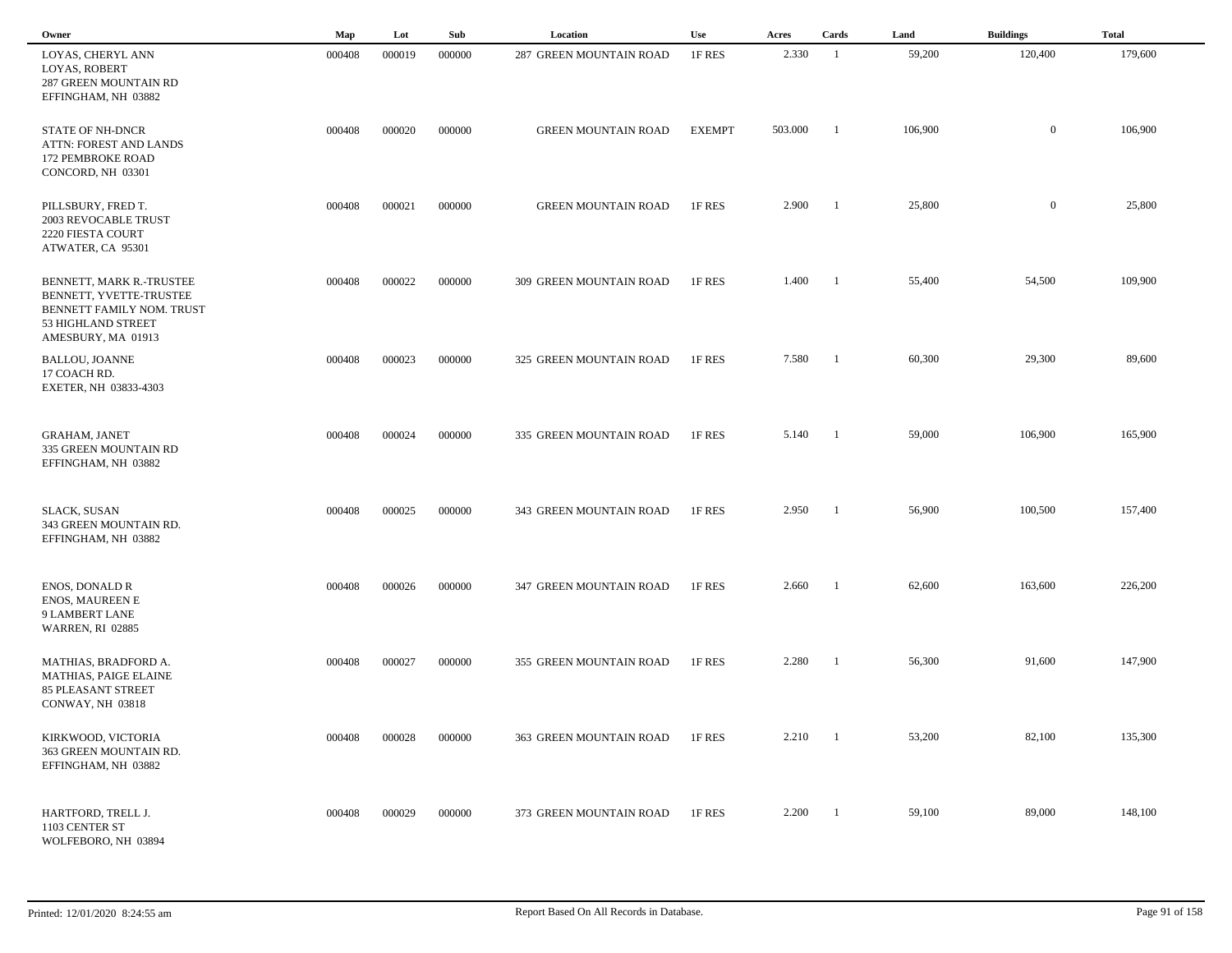| Owner                                                                                                                        | Map    | Lot    | Sub    | Location                   | Use           | Acres   | Cards                    | Land    | <b>Buildings</b> | <b>Total</b> |  |
|------------------------------------------------------------------------------------------------------------------------------|--------|--------|--------|----------------------------|---------------|---------|--------------------------|---------|------------------|--------------|--|
| LOYAS, CHERYL ANN<br>LOYAS, ROBERT<br><b>287 GREEN MOUNTAIN RD</b><br>EFFINGHAM, NH 03882                                    | 000408 | 000019 | 000000 | 287 GREEN MOUNTAIN ROAD    | 1F RES        | 2.330   | - 1                      | 59,200  | 120,400          | 179,600      |  |
| <b>STATE OF NH-DNCR</b><br>ATTN: FOREST AND LANDS<br>172 PEMBROKE ROAD<br>CONCORD, NH 03301                                  | 000408 | 000020 | 000000 | <b>GREEN MOUNTAIN ROAD</b> | <b>EXEMPT</b> | 503.000 | -1                       | 106,900 | $\overline{0}$   | 106,900      |  |
| PILLSBURY, FRED T.<br>2003 REVOCABLE TRUST<br>2220 FIESTA COURT<br>ATWATER, CA 95301                                         | 000408 | 000021 | 000000 | <b>GREEN MOUNTAIN ROAD</b> | 1F RES        | 2.900   | $\overline{\phantom{a}}$ | 25,800  | $\overline{0}$   | 25,800       |  |
| BENNETT, MARK R.-TRUSTEE<br>BENNETT, YVETTE-TRUSTEE<br>BENNETT FAMILY NOM. TRUST<br>53 HIGHLAND STREET<br>AMESBURY, MA 01913 | 000408 | 000022 | 000000 | 309 GREEN MOUNTAIN ROAD    | 1F RES        | 1.400   | $\blacksquare$           | 55,400  | 54,500           | 109,900      |  |
| <b>BALLOU, JOANNE</b><br>17 COACH RD.<br>EXETER, NH 03833-4303                                                               | 000408 | 000023 | 000000 | 325 GREEN MOUNTAIN ROAD    | 1F RES        | 7.580   | - 1                      | 60,300  | 29,300           | 89,600       |  |
| <b>GRAHAM, JANET</b><br>335 GREEN MOUNTAIN RD<br>EFFINGHAM, NH 03882                                                         | 000408 | 000024 | 000000 | 335 GREEN MOUNTAIN ROAD    | 1F RES        | 5.140   | $\overline{\phantom{a}}$ | 59,000  | 106,900          | 165,900      |  |
| <b>SLACK, SUSAN</b><br>343 GREEN MOUNTAIN RD.<br>EFFINGHAM, NH 03882                                                         | 000408 | 000025 | 000000 | 343 GREEN MOUNTAIN ROAD    | 1F RES        | 2.950   | -1                       | 56,900  | 100,500          | 157,400      |  |
| <b>ENOS, DONALD R</b><br><b>ENOS, MAUREEN E</b><br>9 LAMBERT LANE<br><b>WARREN, RI 02885</b>                                 | 000408 | 000026 | 000000 | 347 GREEN MOUNTAIN ROAD    | 1F RES        | 2.660   | $\overline{1}$           | 62,600  | 163,600          | 226,200      |  |
| MATHIAS, BRADFORD A.<br>MATHIAS, PAIGE ELAINE<br><b>85 PLEASANT STREET</b><br>CONWAY, NH 03818                               | 000408 | 000027 | 000000 | 355 GREEN MOUNTAIN ROAD    | 1F RES        | 2.280   | -1                       | 56,300  | 91,600           | 147,900      |  |
| KIRKWOOD, VICTORIA<br>363 GREEN MOUNTAIN RD.<br>EFFINGHAM, NH 03882                                                          | 000408 | 000028 | 000000 | 363 GREEN MOUNTAIN ROAD    | 1F RES        | 2.210   | - 1                      | 53,200  | 82,100           | 135,300      |  |
| HARTFORD, TRELL J.<br>1103 CENTER ST<br>WOLFEBORO, NH 03894                                                                  | 000408 | 000029 | 000000 | 373 GREEN MOUNTAIN ROAD    | 1F RES        | 2.200   | $\overline{\phantom{a}}$ | 59,100  | 89,000           | 148,100      |  |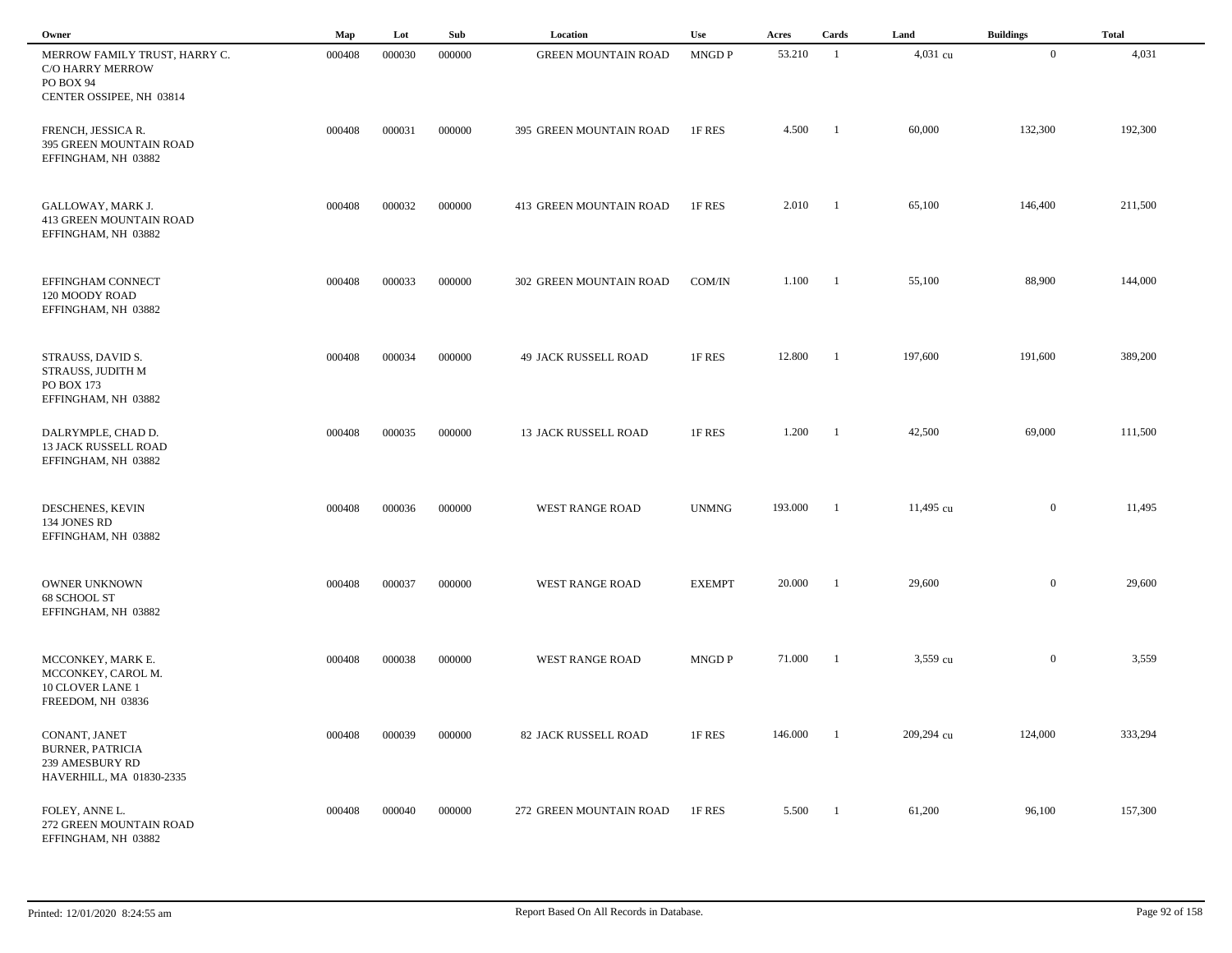| Owner                                                                                      | Map    | Lot    | Sub    | Location                    | Use           | Acres   | Cards          | Land       | <b>Buildings</b> | <b>Total</b> |  |
|--------------------------------------------------------------------------------------------|--------|--------|--------|-----------------------------|---------------|---------|----------------|------------|------------------|--------------|--|
| MERROW FAMILY TRUST, HARRY C.<br>C/O HARRY MERROW<br>PO BOX 94<br>CENTER OSSIPEE, NH 03814 | 000408 | 000030 | 000000 | <b>GREEN MOUNTAIN ROAD</b>  | MNGD P        | 53.210  | -1             | 4,031 cu   | $\overline{0}$   | 4,031        |  |
| FRENCH, JESSICA R.<br>395 GREEN MOUNTAIN ROAD<br>EFFINGHAM, NH 03882                       | 000408 | 000031 | 000000 | 395 GREEN MOUNTAIN ROAD     | 1F RES        | 4.500   | - 1            | 60,000     | 132,300          | 192,300      |  |
| GALLOWAY, MARK J.<br>413 GREEN MOUNTAIN ROAD<br>EFFINGHAM, NH 03882                        | 000408 | 000032 | 000000 | 413 GREEN MOUNTAIN ROAD     | 1F RES        | 2.010   | -1             | 65,100     | 146,400          | 211,500      |  |
| EFFINGHAM CONNECT<br>120 MOODY ROAD<br>EFFINGHAM, NH 03882                                 | 000408 | 000033 | 000000 | 302 GREEN MOUNTAIN ROAD     | COM/IN        | 1.100   | -1             | 55,100     | 88,900           | 144,000      |  |
| STRAUSS, DAVID S.<br>STRAUSS, JUDITH M<br>PO BOX 173<br>EFFINGHAM, NH 03882                | 000408 | 000034 | 000000 | 49 JACK RUSSELL ROAD        | 1F RES        | 12.800  | $\overline{1}$ | 197,600    | 191,600          | 389,200      |  |
| DALRYMPLE, CHAD D.<br>13 JACK RUSSELL ROAD<br>EFFINGHAM, NH 03882                          | 000408 | 000035 | 000000 | <b>13 JACK RUSSELL ROAD</b> | 1F RES        | 1.200   | - 1            | 42,500     | 69,000           | 111,500      |  |
| DESCHENES, KEVIN<br>134 JONES RD<br>EFFINGHAM, NH 03882                                    | 000408 | 000036 | 000000 | <b>WEST RANGE ROAD</b>      | <b>UNMNG</b>  | 193.000 | - 1            | 11,495 cu  | $\overline{0}$   | 11,495       |  |
| <b>OWNER UNKNOWN</b><br>68 SCHOOL ST<br>EFFINGHAM, NH 03882                                | 000408 | 000037 | 000000 | <b>WEST RANGE ROAD</b>      | <b>EXEMPT</b> | 20.000  | -1             | 29,600     | $\overline{0}$   | 29,600       |  |
| MCCONKEY, MARK E.<br>MCCONKEY, CAROL M.<br><b>10 CLOVER LANE 1</b><br>FREEDOM, NH 03836    | 000408 | 000038 | 000000 | <b>WEST RANGE ROAD</b>      | MNGD P        | 71.000  | -1             | 3,559 cu   | $\boldsymbol{0}$ | 3,559        |  |
| CONANT, JANET<br><b>BURNER, PATRICIA</b><br>239 AMESBURY RD<br>HAVERHILL, MA 01830-2335    | 000408 | 000039 | 000000 | 82 JACK RUSSELL ROAD        | 1F RES        | 146.000 | - 1            | 209,294 cu | 124,000          | 333,294      |  |
| FOLEY, ANNE L.<br>272 GREEN MOUNTAIN ROAD<br>EFFINGHAM, NH 03882                           | 000408 | 000040 | 000000 | 272 GREEN MOUNTAIN ROAD     | 1F RES        | 5.500   | - 1            | 61,200     | 96,100           | 157,300      |  |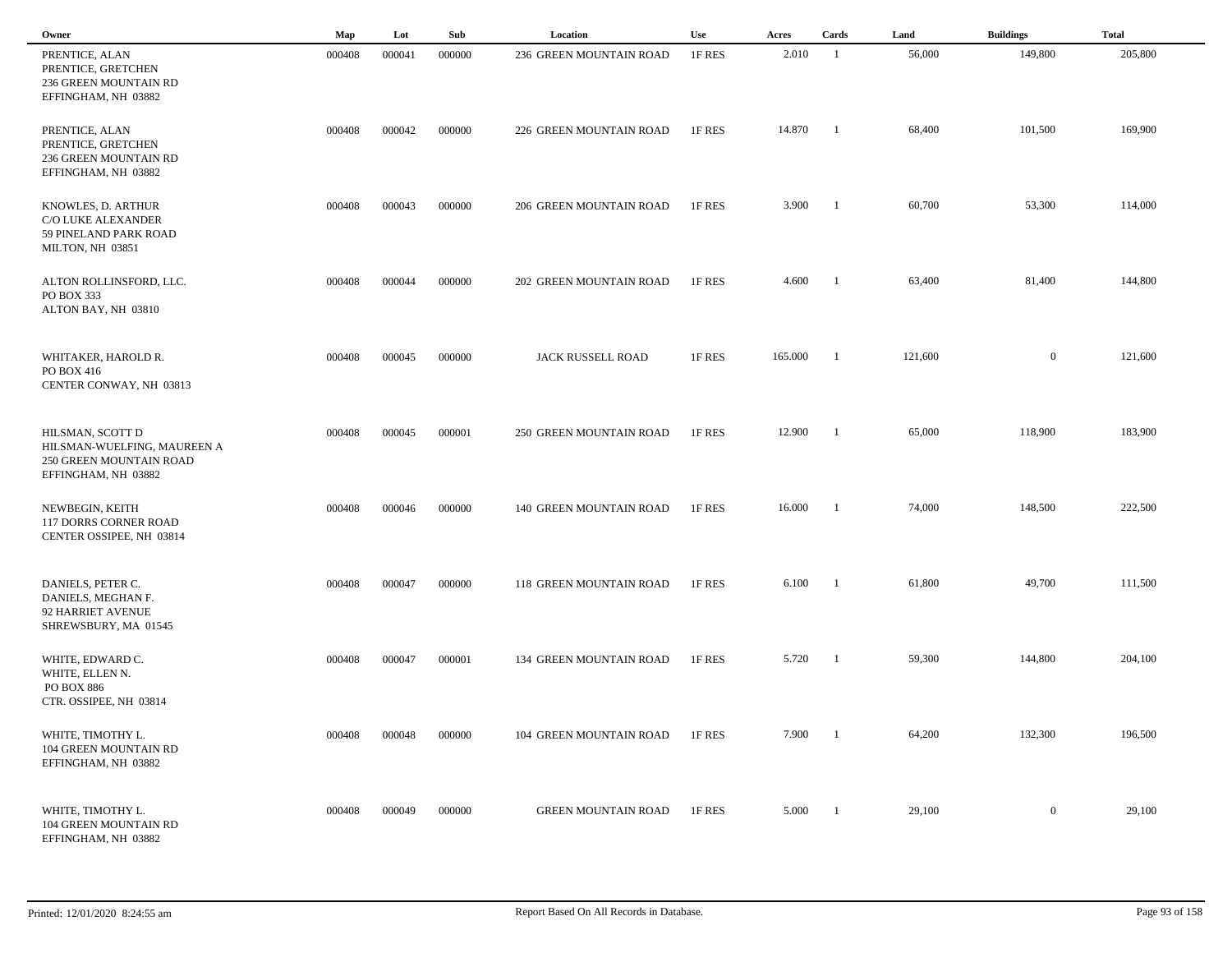| Owner                                                                                             | Map    | Lot    | Sub    | Location                       | Use    | Acres   | Cards                    | Land    | <b>Buildings</b> | <b>Total</b> |
|---------------------------------------------------------------------------------------------------|--------|--------|--------|--------------------------------|--------|---------|--------------------------|---------|------------------|--------------|
| PRENTICE, ALAN<br>PRENTICE, GRETCHEN<br>236 GREEN MOUNTAIN RD<br>EFFINGHAM, NH 03882              | 000408 | 000041 | 000000 | 236 GREEN MOUNTAIN ROAD        | 1F RES | 2.010   | - 1                      | 56,000  | 149,800          | 205,800      |
| PRENTICE, ALAN<br>PRENTICE, GRETCHEN<br>236 GREEN MOUNTAIN RD<br>EFFINGHAM, NH 03882              | 000408 | 000042 | 000000 | 226 GREEN MOUNTAIN ROAD        | 1F RES | 14.870  | - 1                      | 68,400  | 101,500          | 169,900      |
| KNOWLES, D. ARTHUR<br><b>C/O LUKE ALEXANDER</b><br>59 PINELAND PARK ROAD<br>MILTON, NH 03851      | 000408 | 000043 | 000000 | 206 GREEN MOUNTAIN ROAD        | 1F RES | 3.900   | $\overline{\phantom{a}}$ | 60,700  | 53,300           | 114,000      |
| ALTON ROLLINSFORD, LLC.<br>PO BOX 333<br>ALTON BAY, NH 03810                                      | 000408 | 000044 | 000000 | 202 GREEN MOUNTAIN ROAD        | 1F RES | 4.600   | $\blacksquare$           | 63,400  | 81,400           | 144,800      |
| WHITAKER, HAROLD R.<br>PO BOX 416<br>CENTER CONWAY, NH 03813                                      | 000408 | 000045 | 000000 | JACK RUSSELL ROAD              | 1F RES | 165.000 | - 1                      | 121,600 | $\boldsymbol{0}$ | 121,600      |
| HILSMAN, SCOTT D<br>HILSMAN-WUELFING, MAUREEN A<br>250 GREEN MOUNTAIN ROAD<br>EFFINGHAM, NH 03882 | 000408 | 000045 | 000001 | 250 GREEN MOUNTAIN ROAD        | 1F RES | 12.900  | $\overline{\phantom{a}}$ | 65,000  | 118,900          | 183,900      |
| NEWBEGIN, KEITH<br>117 DORRS CORNER ROAD<br>CENTER OSSIPEE, NH 03814                              | 000408 | 000046 | 000000 | 140 GREEN MOUNTAIN ROAD        | 1F RES | 16.000  | - 1                      | 74,000  | 148,500          | 222,500      |
| DANIELS, PETER C.<br>DANIELS, MEGHAN F.<br>92 HARRIET AVENUE<br>SHREWSBURY, MA 01545              | 000408 | 000047 | 000000 | 118 GREEN MOUNTAIN ROAD        | 1F RES | 6.100   | - 1                      | 61,800  | 49,700           | 111,500      |
| WHITE, EDWARD C.<br>WHITE, ELLEN N.<br><b>PO BOX 886</b><br>CTR. OSSIPEE, NH 03814                | 000408 | 000047 | 000001 | <b>134 GREEN MOUNTAIN ROAD</b> | 1F RES | 5.720   | - 1                      | 59,300  | 144,800          | 204,100      |
| WHITE, TIMOTHY L.<br>104 GREEN MOUNTAIN RD<br>EFFINGHAM, NH 03882                                 | 000408 | 000048 | 000000 | 104 GREEN MOUNTAIN ROAD        | 1F RES | 7.900   | $\overline{1}$           | 64,200  | 132,300          | 196,500      |
| WHITE, TIMOTHY L.<br>104 GREEN MOUNTAIN RD<br>EFFINGHAM, NH 03882                                 | 000408 | 000049 | 000000 | <b>GREEN MOUNTAIN ROAD</b>     | 1F RES | 5.000   | $\overline{\phantom{a}}$ | 29,100  | $\overline{0}$   | 29,100       |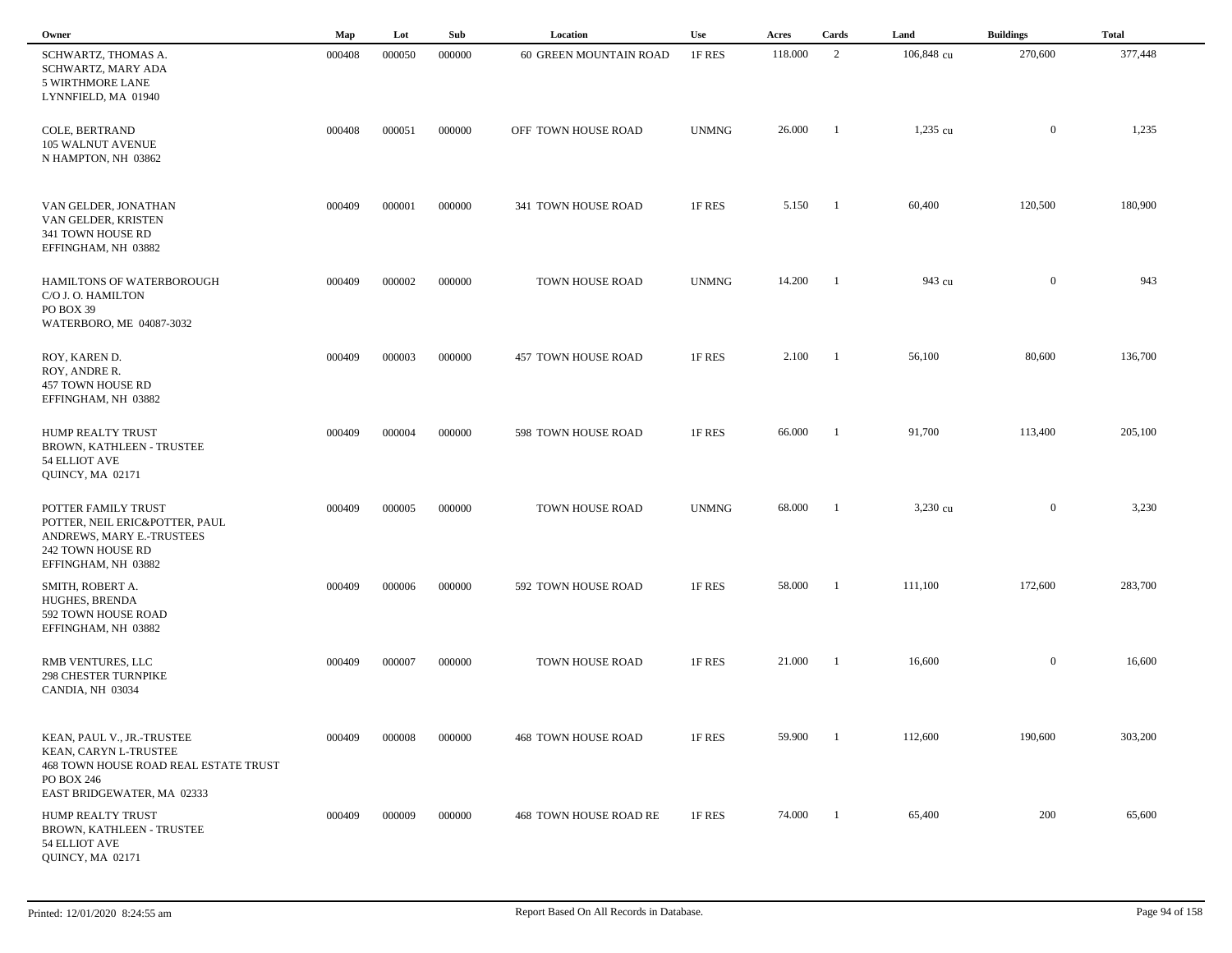| Owner                                                                                                                                           | Map    | Lot    | Sub    | Location                   | Use          | Acres   | Cards          | Land       | <b>Buildings</b> | <b>Total</b> |  |
|-------------------------------------------------------------------------------------------------------------------------------------------------|--------|--------|--------|----------------------------|--------------|---------|----------------|------------|------------------|--------------|--|
| SCHWARTZ, THOMAS A.<br>SCHWARTZ, MARY ADA<br>5 WIRTHMORE LANE<br>LYNNFIELD, MA 01940                                                            | 000408 | 000050 | 000000 | 60 GREEN MOUNTAIN ROAD     | 1F RES       | 118.000 | 2              | 106,848 cu | 270,600          | 377,448      |  |
| COLE, BERTRAND<br>105 WALNUT AVENUE<br>N HAMPTON, NH 03862                                                                                      | 000408 | 000051 | 000000 | OFF TOWN HOUSE ROAD        | <b>UNMNG</b> | 26.000  | -1             | $1,235$ cu | $\mathbf{0}$     | 1,235        |  |
| VAN GELDER, JONATHAN<br>VAN GELDER, KRISTEN<br>341 TOWN HOUSE RD<br>EFFINGHAM, NH 03882                                                         | 000409 | 000001 | 000000 | 341 TOWN HOUSE ROAD        | 1F RES       | 5.150   | $\overline{1}$ | 60,400     | 120,500          | 180,900      |  |
| HAMILTONS OF WATERBOROUGH<br>C/O J. O. HAMILTON<br>PO BOX 39<br>WATERBORO, ME 04087-3032                                                        | 000409 | 000002 | 000000 | TOWN HOUSE ROAD            | <b>UNMNG</b> | 14.200  | -1             | 943 cu     | $\overline{0}$   | 943          |  |
| ROY, KAREN D.<br>ROY, ANDRE R.<br>457 TOWN HOUSE RD<br>EFFINGHAM, NH 03882                                                                      | 000409 | 000003 | 000000 | 457 TOWN HOUSE ROAD        | 1F RES       | 2.100   | $\blacksquare$ | 56,100     | 80,600           | 136,700      |  |
| HUMP REALTY TRUST<br>BROWN, KATHLEEN - TRUSTEE<br>54 ELLIOT AVE<br><b>OUINCY, MA 02171</b>                                                      | 000409 | 000004 | 000000 | 598 TOWN HOUSE ROAD        | 1F RES       | 66.000  | -1             | 91,700     | 113,400          | 205,100      |  |
| POTTER FAMILY TRUST<br>POTTER, NEIL ERIC&POTTER, PAUL<br>ANDREWS, MARY E.-TRUSTEES<br>242 TOWN HOUSE RD<br>EFFINGHAM, NH 03882                  | 000409 | 000005 | 000000 | TOWN HOUSE ROAD            | <b>UNMNG</b> | 68.000  | -1             | 3,230 cu   | $\overline{0}$   | 3,230        |  |
| SMITH, ROBERT A.<br>HUGHES, BRENDA<br>592 TOWN HOUSE ROAD<br>EFFINGHAM, NH 03882                                                                | 000409 | 000006 | 000000 | 592 TOWN HOUSE ROAD        | 1F RES       | 58.000  | -1             | 111,100    | 172,600          | 283,700      |  |
| RMB VENTURES, LLC<br><b>298 CHESTER TURNPIKE</b><br>CANDIA, NH 03034                                                                            | 000409 | 000007 | 000000 | TOWN HOUSE ROAD            | 1F RES       | 21.000  | -1             | 16,600     | $\mathbf{0}$     | 16,600       |  |
| KEAN, PAUL V., JR.-TRUSTEE<br>KEAN, CARYN L-TRUSTEE<br><b>468 TOWN HOUSE ROAD REAL ESTATE TRUST</b><br>PO BOX 246<br>EAST BRIDGEWATER, MA 02333 | 000409 | 000008 | 000000 | <b>468 TOWN HOUSE ROAD</b> | 1F RES       | 59.900  |                | 112,600    | 190,600          | 303,200      |  |
| <b>HUMP REALTY TRUST</b><br>BROWN, KATHLEEN - TRUSTEE<br>54 ELLIOT AVE<br><b>OUINCY, MA 02171</b>                                               | 000409 | 000009 | 000000 | 468 TOWN HOUSE ROAD RE     | 1F RES       | 74.000  | - 1            | 65,400     | 200              | 65,600       |  |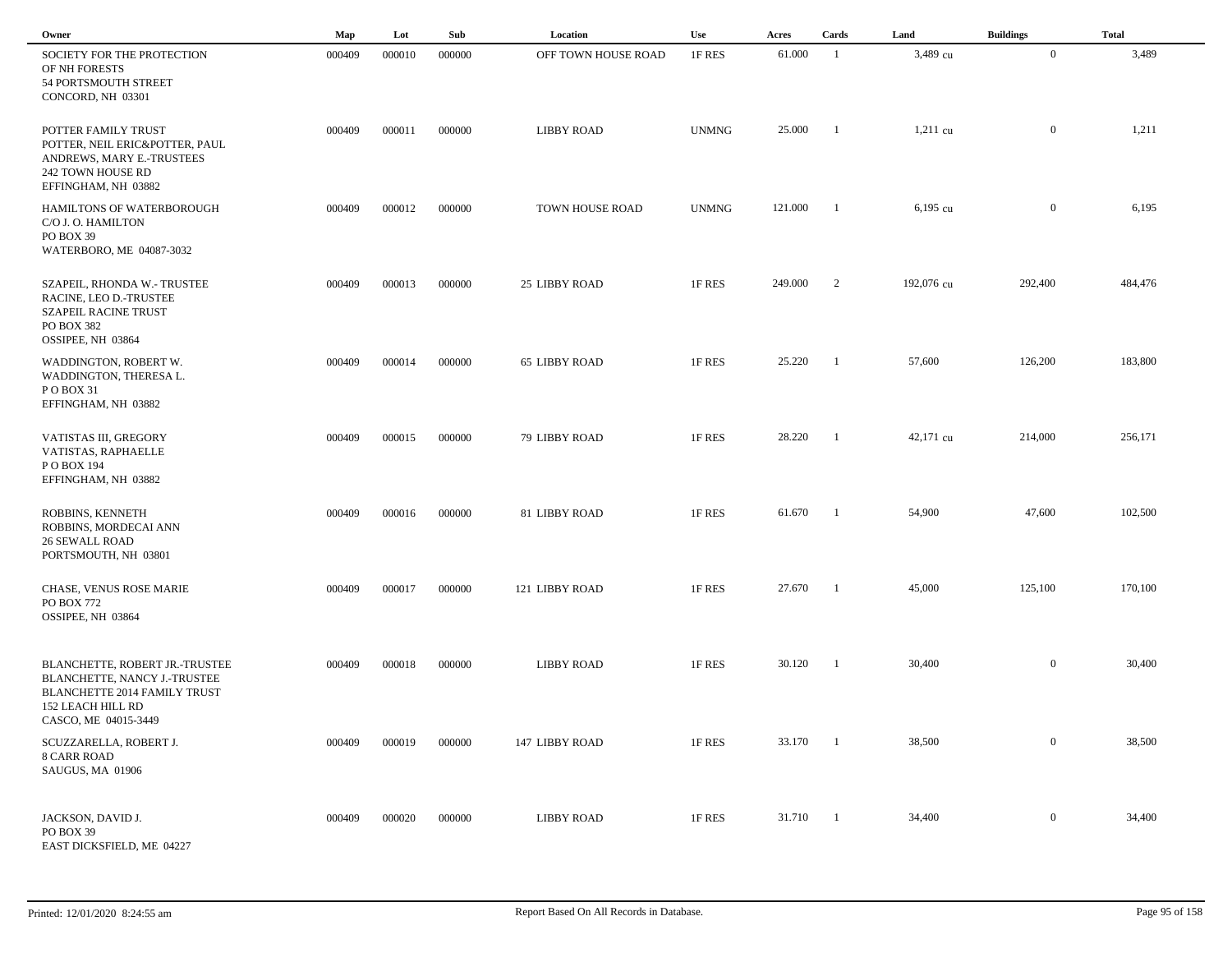| Owner                                                                                                                                              | Map    | Lot    | Sub    | Location             | Use          | Acres    | Cards          | Land       | <b>Buildings</b> | <b>Total</b> |  |
|----------------------------------------------------------------------------------------------------------------------------------------------------|--------|--------|--------|----------------------|--------------|----------|----------------|------------|------------------|--------------|--|
| SOCIETY FOR THE PROTECTION<br>OF NH FORESTS<br>54 PORTSMOUTH STREET<br>CONCORD, NH 03301                                                           | 000409 | 000010 | 000000 | OFF TOWN HOUSE ROAD  | 1F RES       | 61.000   | -1             | 3,489 cu   | $\bf{0}$         | 3,489        |  |
| POTTER FAMILY TRUST<br>POTTER, NEIL ERIC&POTTER, PAUL<br>ANDREWS, MARY E.-TRUSTEES<br>242 TOWN HOUSE RD<br>EFFINGHAM, NH 03882                     | 000409 | 000011 | 000000 | <b>LIBBY ROAD</b>    | <b>UNMNG</b> | 25.000   | $\overline{1}$ | $1,211$ cu | $\overline{0}$   | 1,211        |  |
| HAMILTONS OF WATERBOROUGH<br>C/O J. O. HAMILTON<br>PO BOX 39<br>WATERBORO, ME 04087-3032                                                           | 000409 | 000012 | 000000 | TOWN HOUSE ROAD      | <b>UNMNG</b> | 121.000  | $\overline{1}$ | 6,195 cu   | $\overline{0}$   | 6,195        |  |
| SZAPEIL, RHONDA W.- TRUSTEE<br>RACINE, LEO D.-TRUSTEE<br><b>SZAPEIL RACINE TRUST</b><br>PO BOX 382<br>OSSIPEE, NH 03864                            | 000409 | 000013 | 000000 | 25 LIBBY ROAD        | 1F RES       | 249.000  | $\overline{2}$ | 192,076 cu | 292,400          | 484,476      |  |
| WADDINGTON, ROBERT W.<br>WADDINGTON, THERESA L.<br>POBOX 31<br>EFFINGHAM, NH 03882                                                                 | 000409 | 000014 | 000000 | <b>65 LIBBY ROAD</b> | 1F RES       | 25.220   | -1             | 57,600     | 126,200          | 183,800      |  |
| VATISTAS III, GREGORY<br>VATISTAS, RAPHAELLE<br>P O BOX 194<br>EFFINGHAM, NH 03882                                                                 | 000409 | 000015 | 000000 | 79 LIBBY ROAD        | 1F RES       | 28.220   | - 1            | 42,171 cu  | 214,000          | 256,171      |  |
| ROBBINS, KENNETH<br>ROBBINS, MORDECAI ANN<br><b>26 SEWALL ROAD</b><br>PORTSMOUTH, NH 03801                                                         | 000409 | 000016 | 000000 | 81 LIBBY ROAD        | 1F RES       | 61.670   | - 1            | 54,900     | 47,600           | 102,500      |  |
| CHASE, VENUS ROSE MARIE<br>PO BOX 772<br>OSSIPEE, NH 03864                                                                                         | 000409 | 000017 | 000000 | 121 LIBBY ROAD       | 1F RES       | 27.670   | - 1            | 45,000     | 125,100          | 170,100      |  |
| BLANCHETTE, ROBERT JR.-TRUSTEE<br>BLANCHETTE, NANCY J.-TRUSTEE<br>BLANCHETTE 2014 FAMILY TRUST<br><b>152 LEACH HILL RD</b><br>CASCO, ME 04015-3449 | 000409 | 000018 | 000000 | <b>LIBBY ROAD</b>    | 1F RES       | 30.120   | $\blacksquare$ | 30,400     | $\overline{0}$   | 30,400       |  |
| SCUZZARELLA, ROBERT J.<br><b>8 CARR ROAD</b><br>SAUGUS, MA 01906                                                                                   | 000409 | 000019 | 000000 | 147 LIBBY ROAD       | 1F RES       | 33.170   | $\overline{1}$ | 38,500     | $\overline{0}$   | 38,500       |  |
| JACKSON, DAVID J.<br>PO BOX 39<br>EAST DICKSFIELD, ME 04227                                                                                        | 000409 | 000020 | 000000 | <b>LIBBY ROAD</b>    | 1F RES       | 31.710 1 |                | 34,400     | $\overline{0}$   | 34,400       |  |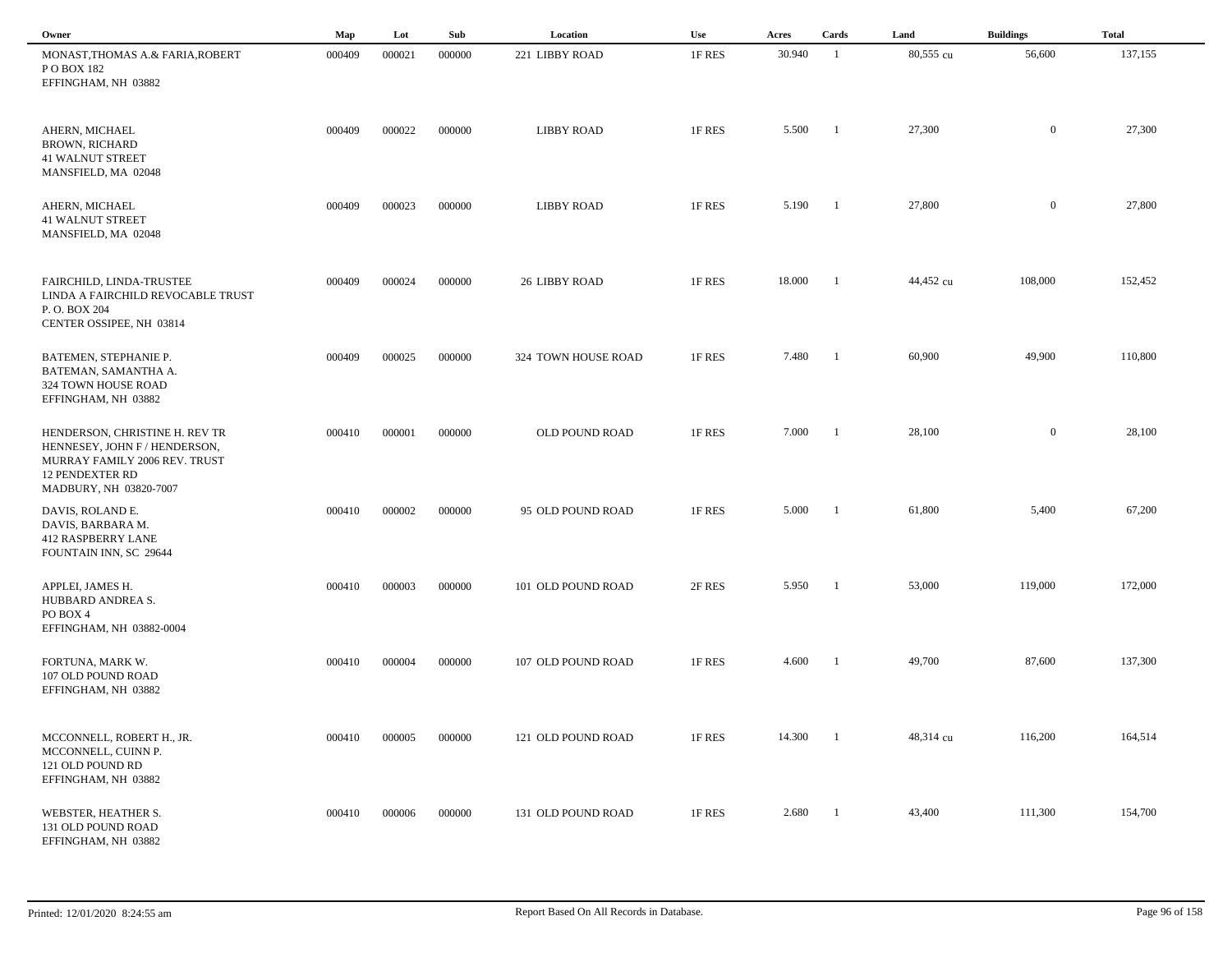| Owner                                                                                                                                                | Map    | Lot    | Sub    | Location            | Use    | Acres  | Cards          | Land      | <b>Buildings</b> | <b>Total</b> |  |
|------------------------------------------------------------------------------------------------------------------------------------------------------|--------|--------|--------|---------------------|--------|--------|----------------|-----------|------------------|--------------|--|
| MONAST, THOMAS A.& FARIA, ROBERT<br>P O BOX 182<br>EFFINGHAM, NH 03882                                                                               | 000409 | 000021 | 000000 | 221 LIBBY ROAD      | 1F RES | 30.940 | -1             | 80,555 cu | 56,600           | 137,155      |  |
| AHERN, MICHAEL<br><b>BROWN, RICHARD</b><br><b>41 WALNUT STREET</b><br>MANSFIELD, MA 02048                                                            | 000409 | 000022 | 000000 | <b>LIBBY ROAD</b>   | 1F RES | 5.500  | -1             | 27,300    | $\mathbf{0}$     | 27,300       |  |
| AHERN, MICHAEL<br><b>41 WALNUT STREET</b><br>MANSFIELD, MA 02048                                                                                     | 000409 | 000023 | 000000 | <b>LIBBY ROAD</b>   | 1F RES | 5.190  | - 1            | 27,800    | $\mathbf{0}$     | 27,800       |  |
| FAIRCHILD, LINDA-TRUSTEE<br>LINDA A FAIRCHILD REVOCABLE TRUST<br>P.O. BOX 204<br>CENTER OSSIPEE, NH 03814                                            | 000409 | 000024 | 000000 | 26 LIBBY ROAD       | 1F RES | 18.000 | - 1            | 44,452 cu | 108,000          | 152,452      |  |
| BATEMEN, STEPHANIE P.<br>BATEMAN, SAMANTHA A.<br>324 TOWN HOUSE ROAD<br>EFFINGHAM, NH 03882                                                          | 000409 | 000025 | 000000 | 324 TOWN HOUSE ROAD | 1F RES | 7.480  | $\blacksquare$ | 60,900    | 49,900           | 110,800      |  |
| HENDERSON, CHRISTINE H. REV TR<br>HENNESEY, JOHN F / HENDERSON,<br>MURRAY FAMILY 2006 REV. TRUST<br><b>12 PENDEXTER RD</b><br>MADBURY, NH 03820-7007 | 000410 | 000001 | 000000 | OLD POUND ROAD      | 1F RES | 7.000  | - 1            | 28,100    | $\overline{0}$   | 28,100       |  |
| DAVIS, ROLAND E.<br>DAVIS, BARBARA M.<br>412 RASPBERRY LANE<br>FOUNTAIN INN, SC 29644                                                                | 000410 | 000002 | 000000 | 95 OLD POUND ROAD   | 1F RES | 5.000  | -1             | 61,800    | 5,400            | 67,200       |  |
| APPLEI, JAMES H.<br>HUBBARD ANDREA S.<br>PO BOX 4<br>EFFINGHAM, NH 03882-0004                                                                        | 000410 | 000003 | 000000 | 101 OLD POUND ROAD  | 2F RES | 5.950  | -1             | 53,000    | 119,000          | 172,000      |  |
| FORTUNA, MARK W.<br>107 OLD POUND ROAD<br>EFFINGHAM, NH 03882                                                                                        | 000410 | 000004 | 000000 | 107 OLD POUND ROAD  | 1F RES | 4.600  | -1             | 49,700    | 87,600           | 137,300      |  |
| MCCONNELL, ROBERT H., JR.<br>MCCONNELL, CUINN P.<br>121 OLD POUND RD<br>EFFINGHAM, NH 03882                                                          | 000410 | 000005 | 000000 | 121 OLD POUND ROAD  | 1F RES | 14.300 |                | 48,314 cu | 116,200          | 164,514      |  |
| WEBSTER, HEATHER S.<br>131 OLD POUND ROAD<br>EFFINGHAM, NH 03882                                                                                     | 000410 | 000006 | 000000 | 131 OLD POUND ROAD  | 1F RES | 2.680  | $\blacksquare$ | 43,400    | 111,300          | 154,700      |  |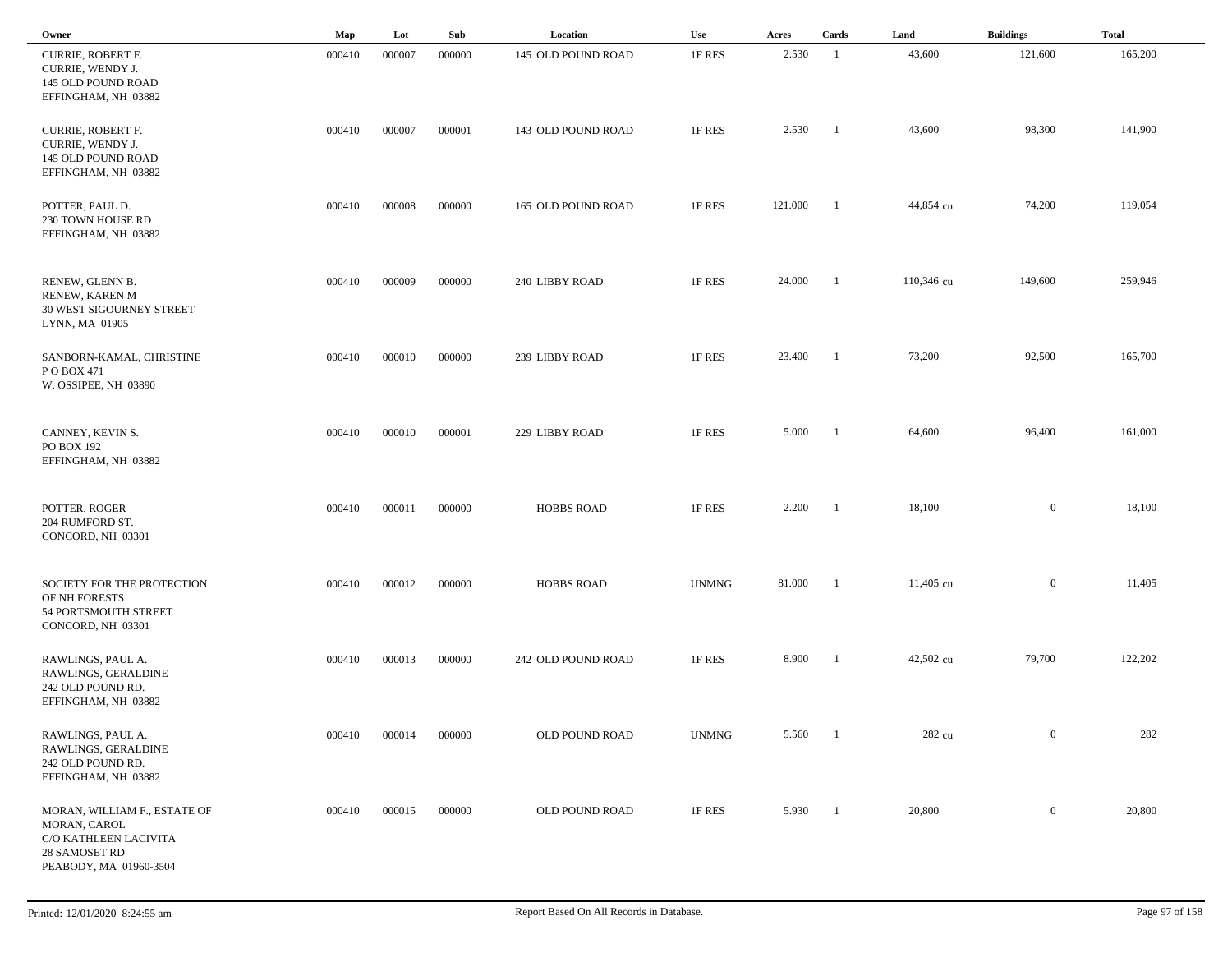| Owner                                                                                                            | Map    | Lot    | Sub    | Location           | Use          | Acres   | Cards          | Land       | <b>Buildings</b> | <b>Total</b> |
|------------------------------------------------------------------------------------------------------------------|--------|--------|--------|--------------------|--------------|---------|----------------|------------|------------------|--------------|
| CURRIE, ROBERT F.<br>CURRIE, WENDY J.<br>145 OLD POUND ROAD<br>EFFINGHAM, NH 03882                               | 000410 | 000007 | 000000 | 145 OLD POUND ROAD | 1F RES       | 2.530   | -1             | 43,600     | 121,600          | 165,200      |
| <b>CURRIE, ROBERT F.</b><br>CURRIE, WENDY J.<br>145 OLD POUND ROAD<br>EFFINGHAM, NH 03882                        | 000410 | 000007 | 000001 | 143 OLD POUND ROAD | 1F RES       | 2.530   | - 1            | 43,600     | 98,300           | 141,900      |
| POTTER, PAUL D.<br>230 TOWN HOUSE RD<br>EFFINGHAM, NH 03882                                                      | 000410 | 000008 | 000000 | 165 OLD POUND ROAD | 1F RES       | 121.000 | -1             | 44,854 cu  | 74,200           | 119,054      |
| RENEW, GLENN B.<br>RENEW, KAREN M<br>30 WEST SIGOURNEY STREET<br>LYNN, MA 01905                                  | 000410 | 000009 | 000000 | 240 LIBBY ROAD     | 1F RES       | 24.000  | -1             | 110,346 cu | 149,600          | 259,946      |
| SANBORN-KAMAL, CHRISTINE<br>PO BOX 471<br>W. OSSIPEE, NH 03890                                                   | 000410 | 000010 | 000000 | 239 LIBBY ROAD     | 1F RES       | 23.400  | -1             | 73,200     | 92,500           | 165,700      |
| CANNEY, KEVIN S.<br>PO BOX 192<br>EFFINGHAM, NH 03882                                                            | 000410 | 000010 | 000001 | 229 LIBBY ROAD     | 1F RES       | 5.000   | - 1            | 64,600     | 96,400           | 161,000      |
| POTTER, ROGER<br>204 RUMFORD ST.<br>CONCORD, NH 03301                                                            | 000410 | 000011 | 000000 | <b>HOBBS ROAD</b>  | 1F RES       | 2.200   | -1             | 18,100     | $\mathbf{0}$     | 18,100       |
| SOCIETY FOR THE PROTECTION<br>OF NH FORESTS<br>54 PORTSMOUTH STREET<br>CONCORD, NH 03301                         | 000410 | 000012 | 000000 | <b>HOBBS ROAD</b>  | <b>UNMNG</b> | 81.000  |                | 11,405 cu  | $\mathbf{0}$     | 11,405       |
| RAWLINGS, PAUL A.<br>RAWLINGS, GERALDINE<br>242 OLD POUND RD.<br>EFFINGHAM, NH 03882                             | 000410 | 000013 | 000000 | 242 OLD POUND ROAD | 1F RES       | 8.900   |                | 42,502 cu  | 79,700           | 122,202      |
| RAWLINGS, PAUL A.<br>RAWLINGS, GERALDINE<br>242 OLD POUND RD.<br>EFFINGHAM, NH 03882                             | 000410 | 000014 | 000000 | OLD POUND ROAD     | <b>UNMNG</b> | 5.560   | $\blacksquare$ | 282 cu     | $\overline{0}$   | 282          |
| MORAN, WILLIAM F., ESTATE OF<br>MORAN, CAROL<br>C/O KATHLEEN LACIVITA<br>28 SAMOSET RD<br>PEABODY, MA 01960-3504 | 000410 | 000015 | 000000 | OLD POUND ROAD     | 1F RES       | 5.930   | $\blacksquare$ | 20,800     | $\overline{0}$   | 20,800       |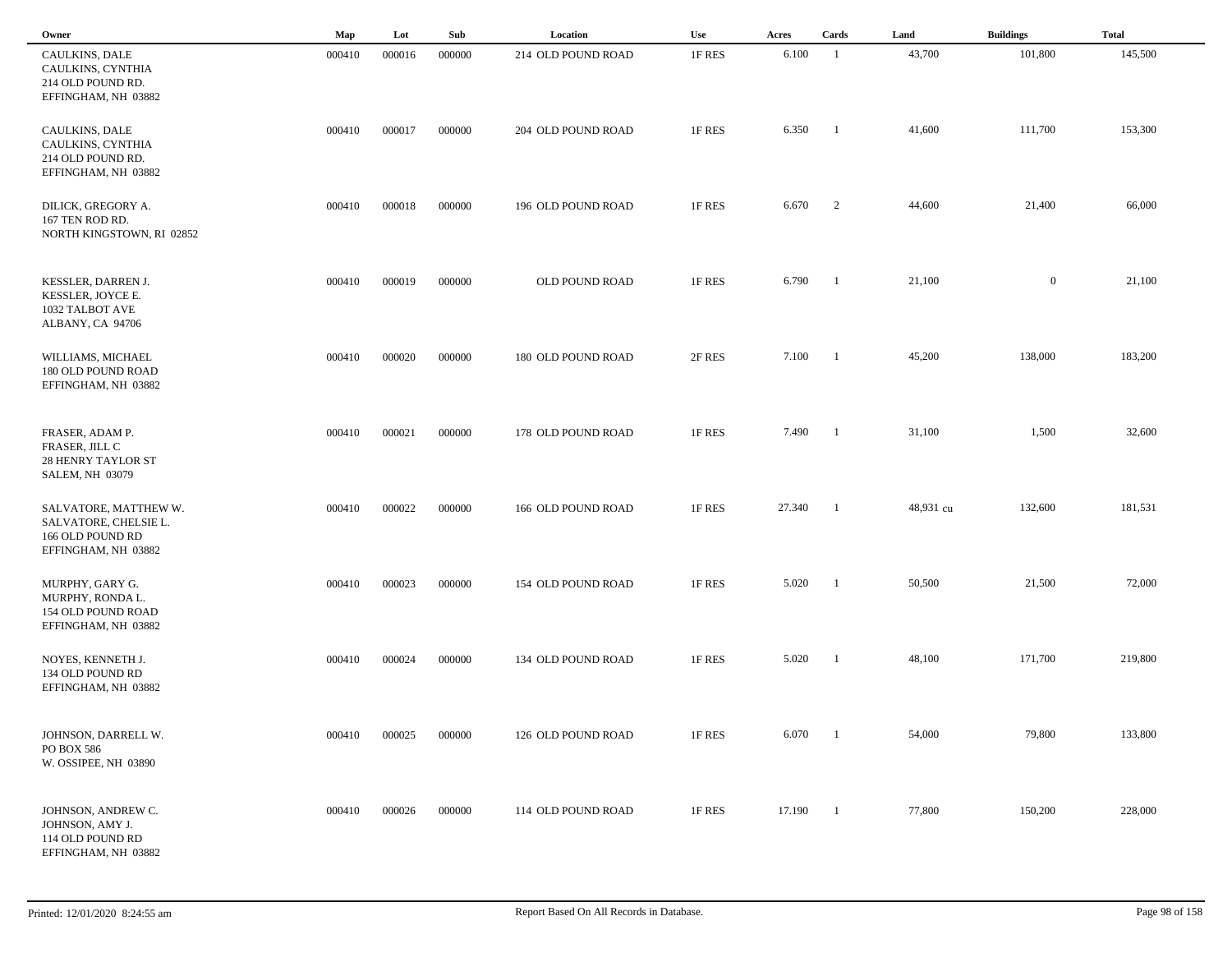| Owner                                                                                     | Map    | Lot    | Sub    | Location           | <b>Use</b> | Acres  | Cards          | Land      | <b>Buildings</b> | <b>Total</b> |
|-------------------------------------------------------------------------------------------|--------|--------|--------|--------------------|------------|--------|----------------|-----------|------------------|--------------|
| CAULKINS, DALE<br>CAULKINS, CYNTHIA<br>214 OLD POUND RD.<br>EFFINGHAM, NH 03882           | 000410 | 000016 | 000000 | 214 OLD POUND ROAD | 1F RES     | 6.100  | $\overline{1}$ | 43,700    | 101,800          | 145,500      |
| CAULKINS, DALE<br>CAULKINS, CYNTHIA<br>214 OLD POUND RD.<br>EFFINGHAM, NH 03882           | 000410 | 000017 | 000000 | 204 OLD POUND ROAD | 1F RES     | 6.350  | -1             | 41,600    | 111,700          | 153,300      |
| DILICK, GREGORY A.<br>167 TEN ROD RD.<br>NORTH KINGSTOWN, RI 02852                        | 000410 | 000018 | 000000 | 196 OLD POUND ROAD | 1F RES     | 6.670  | $\overline{2}$ | 44,600    | 21,400           | 66,000       |
| KESSLER, DARREN J.<br>KESSLER, JOYCE E.<br>1032 TALBOT AVE<br>ALBANY, CA 94706            | 000410 | 000019 | 000000 | OLD POUND ROAD     | 1F RES     | 6.790  | $\overline{1}$ | 21,100    | $\overline{0}$   | 21,100       |
| WILLIAMS, MICHAEL<br>180 OLD POUND ROAD<br>EFFINGHAM, NH 03882                            | 000410 | 000020 | 000000 | 180 OLD POUND ROAD | 2F RES     | 7.100  | $\blacksquare$ | 45,200    | 138,000          | 183,200      |
| FRASER, ADAM P.<br>FRASER, JILL C<br><b>28 HENRY TAYLOR ST</b><br><b>SALEM, NH 03079</b>  | 000410 | 000021 | 000000 | 178 OLD POUND ROAD | 1F RES     | 7.490  | $\blacksquare$ | 31,100    | 1,500            | 32,600       |
| SALVATORE, MATTHEW W.<br>SALVATORE, CHELSIE L.<br>166 OLD POUND RD<br>EFFINGHAM, NH 03882 | 000410 | 000022 | 000000 | 166 OLD POUND ROAD | 1F RES     | 27.340 | - 1            | 48,931 cu | 132,600          | 181,531      |
| MURPHY, GARY G.<br>MURPHY, RONDA L.<br>154 OLD POUND ROAD<br>EFFINGHAM, NH 03882          | 000410 | 000023 | 000000 | 154 OLD POUND ROAD | 1F RES     | 5.020  | - 1            | 50,500    | 21,500           | 72,000       |
| NOYES, KENNETH J.<br>134 OLD POUND RD<br>EFFINGHAM, NH 03882                              | 000410 | 000024 | 000000 | 134 OLD POUND ROAD | 1F RES     | 5.020  | - 1            | 48,100    | 171,700          | 219,800      |
| JOHNSON, DARRELL W.<br>PO BOX 586<br>W. OSSIPEE, NH 03890                                 | 000410 | 000025 | 000000 | 126 OLD POUND ROAD | 1F RES     | 6.070  | $\overline{1}$ | 54,000    | 79,800           | 133,800      |
| JOHNSON, ANDREW C.<br>JOHNSON, AMY J.<br>114 OLD POUND RD<br>EFFINGHAM, NH 03882          | 000410 | 000026 | 000000 | 114 OLD POUND ROAD | 1F RES     | 17.190 | $\overline{1}$ | 77,800    | 150,200          | 228,000      |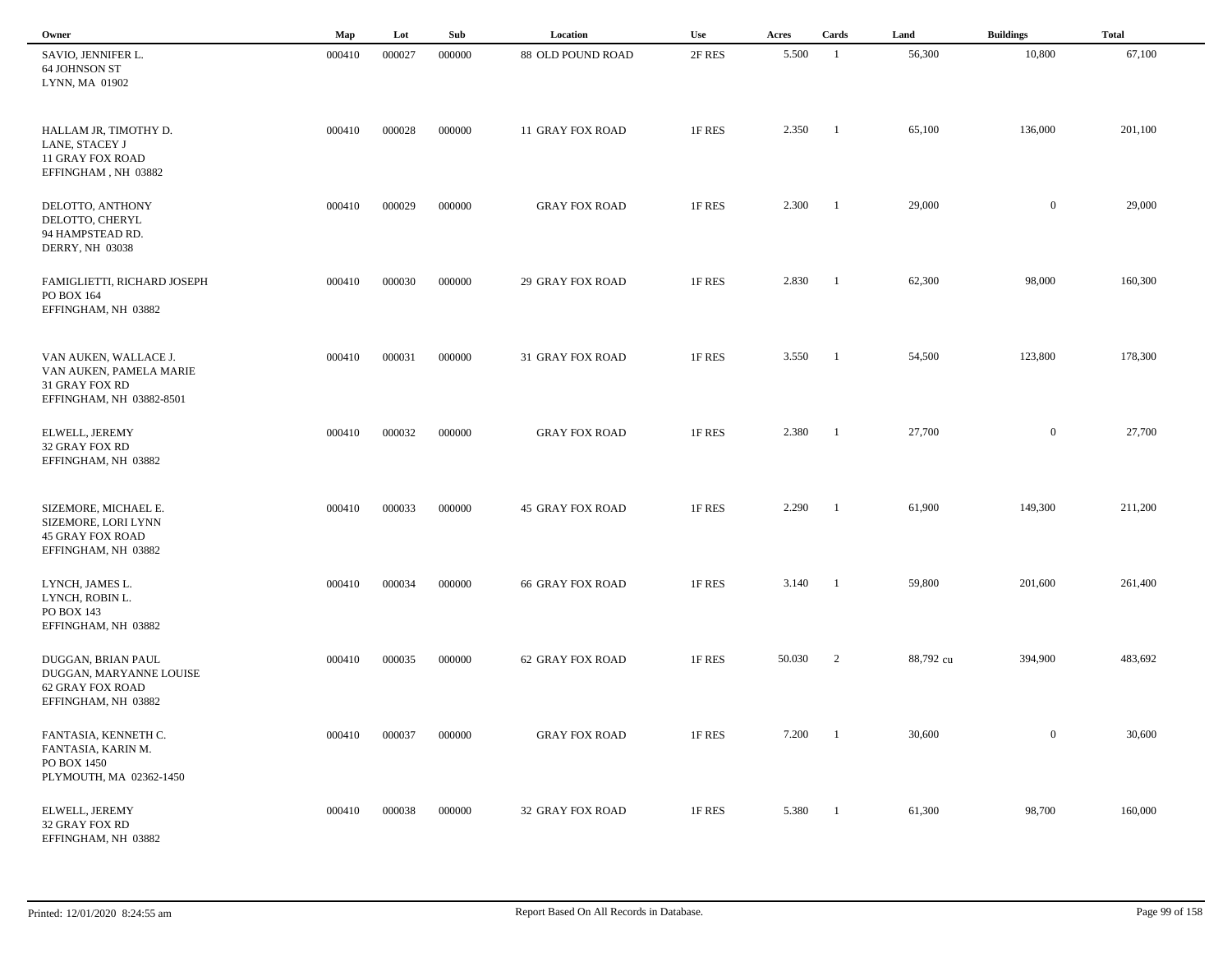| Owner                                                                                          | Map    | Lot    | Sub    | Location                | Use    | Acres  | Cards                    | Land      | <b>Buildings</b> | <b>Total</b> |  |
|------------------------------------------------------------------------------------------------|--------|--------|--------|-------------------------|--------|--------|--------------------------|-----------|------------------|--------------|--|
| SAVIO, JENNIFER L.<br>64 JOHNSON ST<br>LYNN, MA 01902                                          | 000410 | 000027 | 000000 | 88 OLD POUND ROAD       | 2F RES | 5.500  | - 1                      | 56,300    | 10,800           | 67,100       |  |
| HALLAM JR, TIMOTHY D.<br>LANE, STACEY J<br><b>11 GRAY FOX ROAD</b><br>EFFINGHAM, NH 03882      | 000410 | 000028 | 000000 | 11 GRAY FOX ROAD        | 1F RES | 2.350  | $\overline{\phantom{a}}$ | 65,100    | 136,000          | 201,100      |  |
| DELOTTO, ANTHONY<br>DELOTTO, CHERYL<br>94 HAMPSTEAD RD.<br><b>DERRY, NH 03038</b>              | 000410 | 000029 | 000000 | <b>GRAY FOX ROAD</b>    | 1F RES | 2.300  | $\blacksquare$           | 29,000    | $\overline{0}$   | 29,000       |  |
| FAMIGLIETTI, RICHARD JOSEPH<br>PO BOX 164<br>EFFINGHAM, NH 03882                               | 000410 | 000030 | 000000 | <b>29 GRAY FOX ROAD</b> | 1F RES | 2.830  | $\overline{\phantom{a}}$ | 62,300    | 98,000           | 160,300      |  |
| VAN AUKEN, WALLACE J.<br>VAN AUKEN, PAMELA MARIE<br>31 GRAY FOX RD<br>EFFINGHAM, NH 03882-8501 | 000410 | 000031 | 000000 | 31 GRAY FOX ROAD        | 1F RES | 3.550  | $\overline{\phantom{a}}$ | 54,500    | 123,800          | 178,300      |  |
| ELWELL, JEREMY<br>32 GRAY FOX RD<br>EFFINGHAM, NH 03882                                        | 000410 | 000032 | 000000 | <b>GRAY FOX ROAD</b>    | 1F RES | 2.380  | - 1                      | 27,700    | $\overline{0}$   | 27,700       |  |
| SIZEMORE, MICHAEL E.<br>SIZEMORE, LORI LYNN<br><b>45 GRAY FOX ROAD</b><br>EFFINGHAM, NH 03882  | 000410 | 000033 | 000000 | <b>45 GRAY FOX ROAD</b> | 1F RES | 2.290  | - 1                      | 61,900    | 149,300          | 211,200      |  |
| LYNCH, JAMES L.<br>LYNCH, ROBIN L.<br>PO BOX 143<br>EFFINGHAM, NH 03882                        | 000410 | 000034 | 000000 | <b>66 GRAY FOX ROAD</b> | 1F RES | 3.140  | $\overline{\phantom{a}}$ | 59,800    | 201,600          | 261,400      |  |
| DUGGAN, BRIAN PAUL<br>DUGGAN, MARYANNE LOUISE<br>62 GRAY FOX ROAD<br>EFFINGHAM, NH 03882       | 000410 | 000035 | 000000 | <b>62 GRAY FOX ROAD</b> | 1F RES | 50.030 | 2                        | 88,792 cu | 394,900          | 483,692      |  |
| FANTASIA, KENNETH C.<br>FANTASIA, KARIN M.<br>PO BOX 1450<br>PLYMOUTH, MA 02362-1450           | 000410 | 000037 | 000000 | <b>GRAY FOX ROAD</b>    | 1F RES | 7.200  | $\overline{\phantom{a}}$ | 30,600    | $\overline{0}$   | 30,600       |  |
| ELWELL, JEREMY<br>32 GRAY FOX RD<br>EFFINGHAM, NH 03882                                        | 000410 | 000038 | 000000 | 32 GRAY FOX ROAD        | 1F RES | 5.380  | $\overline{1}$           | 61,300    | 98,700           | 160,000      |  |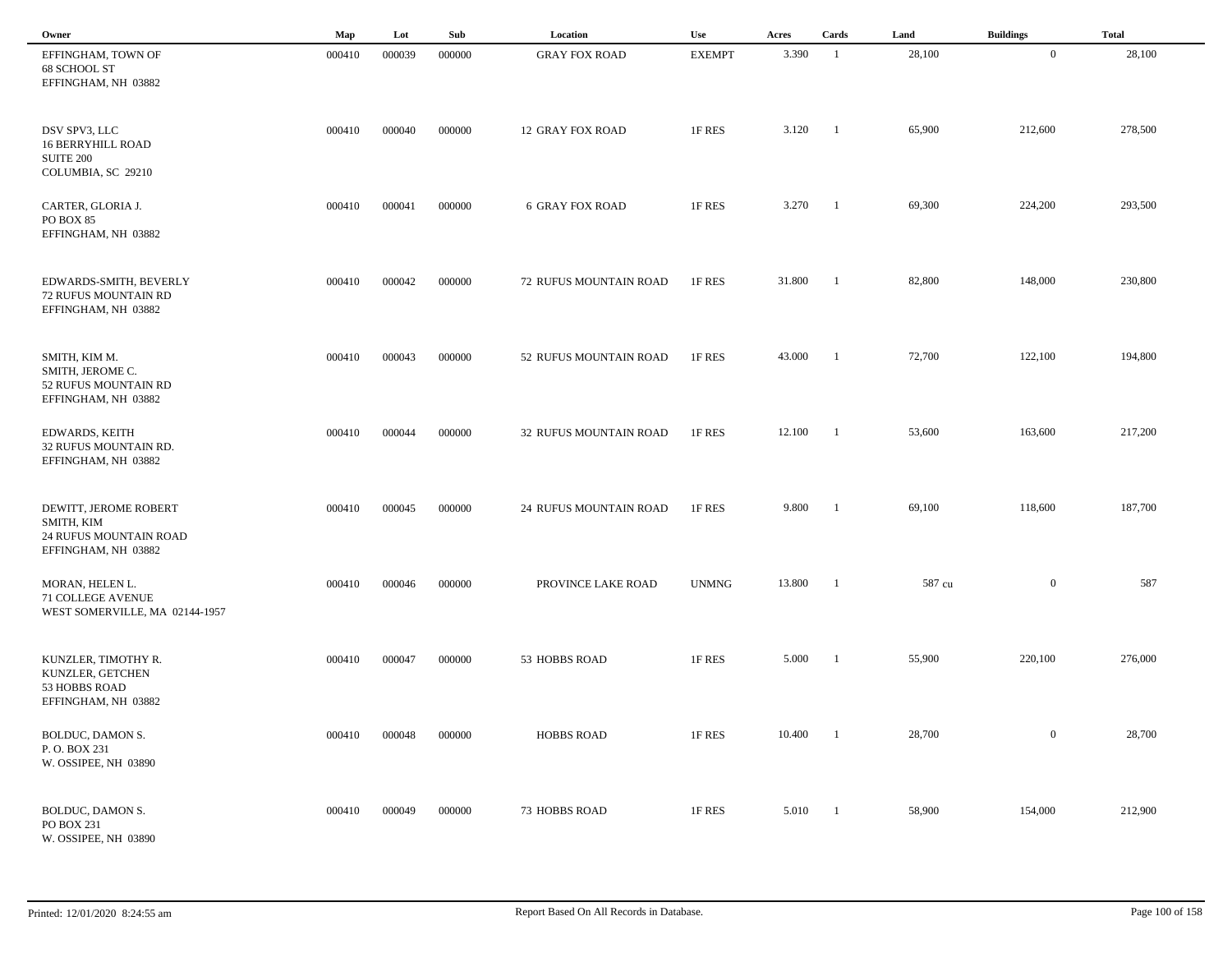| Owner                                                                                | Map    | Lot    | Sub    | Location                | Use           | Acres  | Cards                    | Land   | <b>Buildings</b> | <b>Total</b> |  |
|--------------------------------------------------------------------------------------|--------|--------|--------|-------------------------|---------------|--------|--------------------------|--------|------------------|--------------|--|
| EFFINGHAM, TOWN OF<br>68 SCHOOL ST<br>EFFINGHAM, NH 03882                            | 000410 | 000039 | 000000 | <b>GRAY FOX ROAD</b>    | <b>EXEMPT</b> | 3.390  | $\overline{1}$           | 28,100 | $\mathbf{0}$     | 28,100       |  |
| DSV SPV3, LLC<br><b>16 BERRYHILL ROAD</b><br><b>SUITE 200</b><br>COLUMBIA, SC 29210  | 000410 | 000040 | 000000 | <b>12 GRAY FOX ROAD</b> | 1F RES        | 3.120  | $\overline{1}$           | 65,900 | 212,600          | 278,500      |  |
| CARTER, GLORIA J.<br>PO BOX 85<br>EFFINGHAM, NH 03882                                | 000410 | 000041 | 000000 | <b>6 GRAY FOX ROAD</b>  | 1F RES        | 3.270  | $\overline{\phantom{0}}$ | 69,300 | 224,200          | 293,500      |  |
| EDWARDS-SMITH, BEVERLY<br>72 RUFUS MOUNTAIN RD<br>EFFINGHAM, NH 03882                | 000410 | 000042 | 000000 | 72 RUFUS MOUNTAIN ROAD  | 1F RES        | 31.800 | $\overline{\phantom{a}}$ | 82,800 | 148,000          | 230,800      |  |
| SMITH, KIM M.<br>SMITH, JEROME C.<br>52 RUFUS MOUNTAIN RD<br>EFFINGHAM, NH 03882     | 000410 | 000043 | 000000 | 52 RUFUS MOUNTAIN ROAD  | 1F RES        | 43.000 | $\blacksquare$           | 72,700 | 122,100          | 194,800      |  |
| <b>EDWARDS, KEITH</b><br>32 RUFUS MOUNTAIN RD.<br>EFFINGHAM, NH 03882                | 000410 | 000044 | 000000 | 32 RUFUS MOUNTAIN ROAD  | 1F RES        | 12.100 | $\overline{\phantom{a}}$ | 53,600 | 163,600          | 217,200      |  |
| DEWITT, JEROME ROBERT<br>SMITH, KIM<br>24 RUFUS MOUNTAIN ROAD<br>EFFINGHAM, NH 03882 | 000410 | 000045 | 000000 | 24 RUFUS MOUNTAIN ROAD  | 1F RES        | 9.800  | - 1                      | 69,100 | 118,600          | 187,700      |  |
| MORAN, HELEN L.<br>71 COLLEGE AVENUE<br>WEST SOMERVILLE, MA 02144-1957               | 000410 | 000046 | 000000 | PROVINCE LAKE ROAD      | <b>UNMNG</b>  | 13.800 | $\overline{1}$           | 587 cu | $\overline{0}$   | 587          |  |
| KUNZLER, TIMOTHY R.<br>KUNZLER, GETCHEN<br>53 HOBBS ROAD<br>EFFINGHAM, NH 03882      | 000410 | 000047 | 000000 | 53 HOBBS ROAD           | 1F RES        | 5.000  | $\blacksquare$           | 55,900 | 220,100          | 276,000      |  |
| BOLDUC, DAMON S.<br>P.O. BOX 231<br>W. OSSIPEE, NH 03890                             | 000410 | 000048 | 000000 | <b>HOBBS ROAD</b>       | 1F RES        | 10.400 | $\overline{1}$           | 28,700 | $\overline{0}$   | 28,700       |  |
| BOLDUC, DAMON S.<br>PO BOX 231<br>W. OSSIPEE, NH 03890                               | 000410 | 000049 | 000000 | 73 HOBBS ROAD           | 1F RES        | 5.010  | $\blacksquare$           | 58,900 | 154,000          | 212,900      |  |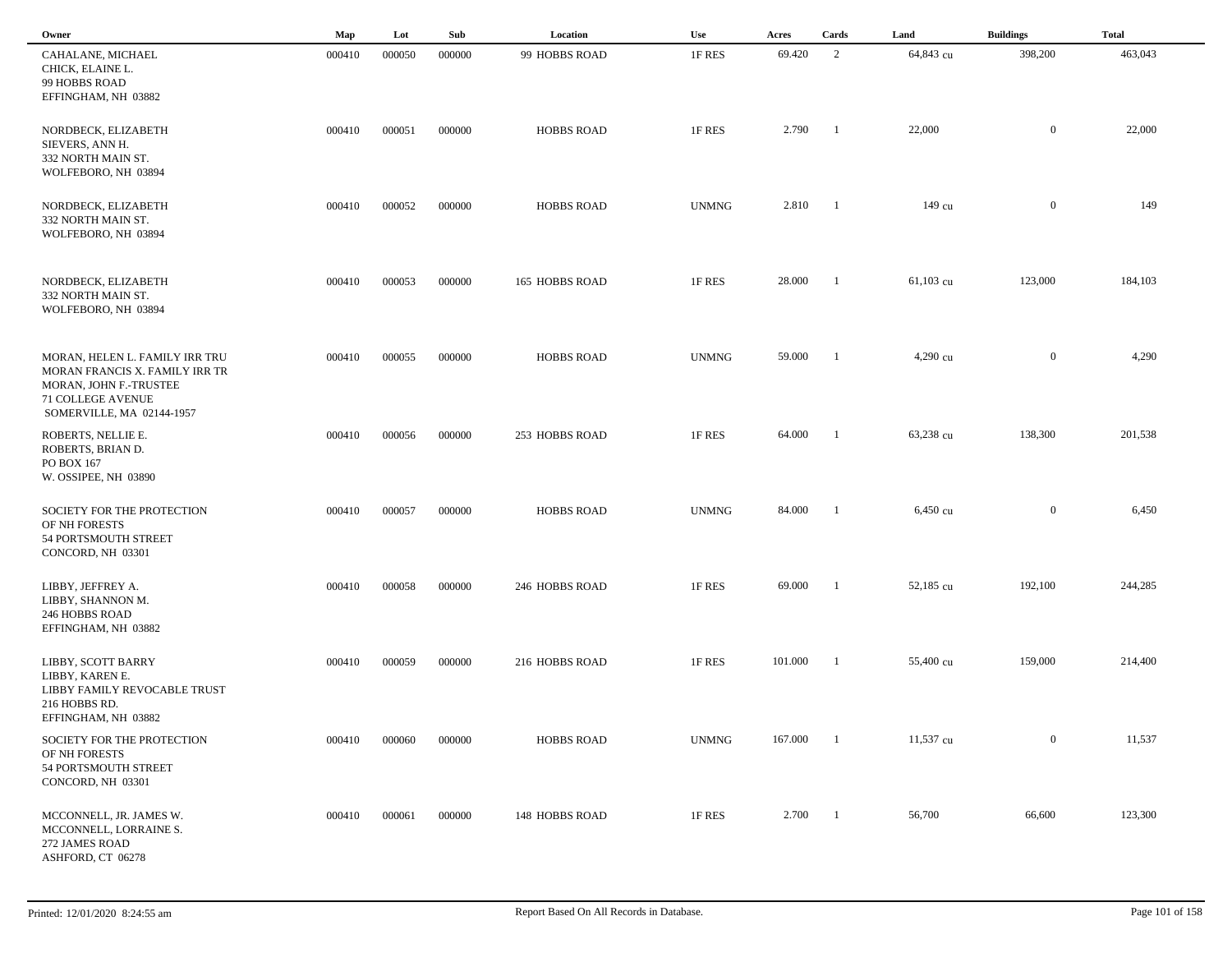| Owner                                                                                                                                               | Map    | Lot    | Sub    | Location          | Use          | Acres   | Cards          | Land      | <b>Buildings</b> | <b>Total</b> |  |
|-----------------------------------------------------------------------------------------------------------------------------------------------------|--------|--------|--------|-------------------|--------------|---------|----------------|-----------|------------------|--------------|--|
| CAHALANE, MICHAEL<br>CHICK, ELAINE L.<br>99 HOBBS ROAD<br>EFFINGHAM, NH 03882                                                                       | 000410 | 000050 | 000000 | 99 HOBBS ROAD     | 1F RES       | 69.420  | 2              | 64,843 cu | 398,200          | 463,043      |  |
| NORDBECK, ELIZABETH<br>SIEVERS, ANN H.<br>332 NORTH MAIN ST.<br>WOLFEBORO, NH 03894                                                                 | 000410 | 000051 | 000000 | <b>HOBBS ROAD</b> | 1F RES       | 2.790   | -1             | 22,000    | $\mathbf{0}$     | 22,000       |  |
| NORDBECK, ELIZABETH<br>332 NORTH MAIN ST.<br>WOLFEBORO, NH 03894                                                                                    | 000410 | 000052 | 000000 | <b>HOBBS ROAD</b> | <b>UNMNG</b> | 2.810   | $\blacksquare$ | 149 cu    | $\overline{0}$   | 149          |  |
| NORDBECK, ELIZABETH<br>332 NORTH MAIN ST.<br>WOLFEBORO, NH 03894                                                                                    | 000410 | 000053 | 000000 | 165 HOBBS ROAD    | 1F RES       | 28.000  | - 1            | 61,103 cu | 123,000          | 184,103      |  |
| MORAN, HELEN L. FAMILY IRR TRU<br>MORAN FRANCIS X. FAMILY IRR TR<br>MORAN, JOHN F.-TRUSTEE<br><b>71 COLLEGE AVENUE</b><br>SOMERVILLE, MA 02144-1957 | 000410 | 000055 | 000000 | <b>HOBBS ROAD</b> | <b>UNMNG</b> | 59.000  | -1             | 4,290 cu  | $\overline{0}$   | 4,290        |  |
| ROBERTS, NELLIE E.<br>ROBERTS, BRIAN D.<br>PO BOX 167<br>W. OSSIPEE, NH 03890                                                                       | 000410 | 000056 | 000000 | 253 HOBBS ROAD    | 1F RES       | 64.000  | -1             | 63,238 cu | 138,300          | 201,538      |  |
| SOCIETY FOR THE PROTECTION<br>OF NH FORESTS<br>54 PORTSMOUTH STREET<br>CONCORD, NH 03301                                                            | 000410 | 000057 | 000000 | <b>HOBBS ROAD</b> | <b>UNMNG</b> | 84.000  | -1             | 6,450 cu  | $\overline{0}$   | 6,450        |  |
| LIBBY, JEFFREY A.<br>LIBBY, SHANNON M.<br>246 HOBBS ROAD<br>EFFINGHAM, NH 03882                                                                     | 000410 | 000058 | 000000 | 246 HOBBS ROAD    | 1F RES       | 69.000  | - 1            | 52,185 cu | 192,100          | 244,285      |  |
| LIBBY, SCOTT BARRY<br>LIBBY, KAREN E.<br>LIBBY FAMILY REVOCABLE TRUST<br>216 HOBBS RD.<br>EFFINGHAM, NH 03882                                       | 000410 | 000059 | 000000 | 216 HOBBS ROAD    | 1F RES       | 101.000 | -1             | 55,400 cu | 159,000          | 214,400      |  |
| SOCIETY FOR THE PROTECTION<br>OF NH FORESTS<br>54 PORTSMOUTH STREET<br>CONCORD, NH 03301                                                            | 000410 | 000060 | 000000 | <b>HOBBS ROAD</b> | <b>UNMNG</b> | 167.000 | $\blacksquare$ | 11,537 cu | $\overline{0}$   | 11,537       |  |
| MCCONNELL, JR. JAMES W.<br>MCCONNELL, LORRAINE S.<br>272 JAMES ROAD<br>ASHFORD, CT 06278                                                            | 000410 | 000061 | 000000 | 148 HOBBS ROAD    | 1F RES       | 2.700   | -1             | 56,700    | 66,600           | 123,300      |  |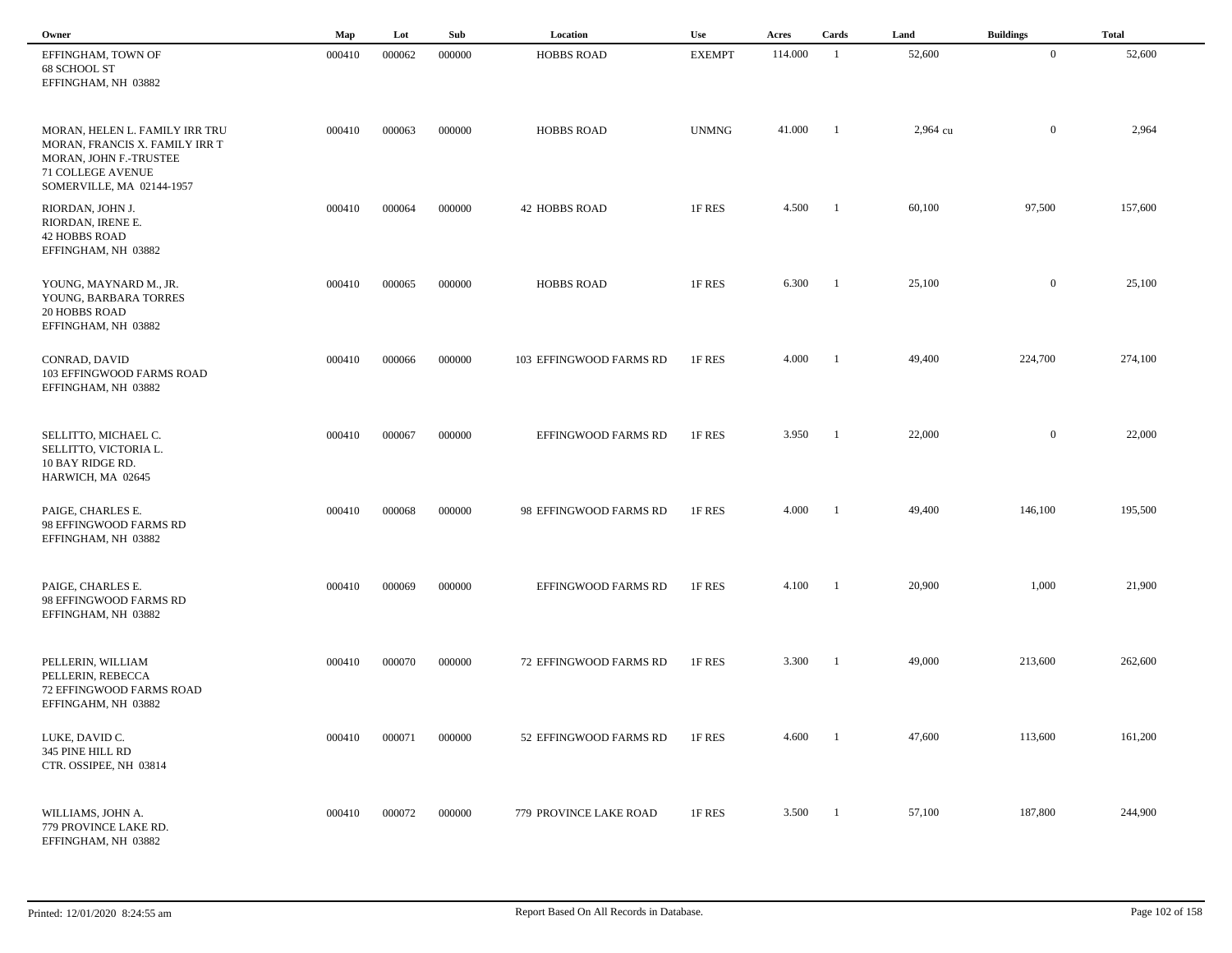| Owner                                                                                                                                        | Map    | Lot    | Sub    | Location                | <b>Use</b>    | Acres   | Cards          | Land     | <b>Buildings</b> | <b>Total</b> |  |
|----------------------------------------------------------------------------------------------------------------------------------------------|--------|--------|--------|-------------------------|---------------|---------|----------------|----------|------------------|--------------|--|
| EFFINGHAM, TOWN OF<br>68 SCHOOL ST<br>EFFINGHAM, NH 03882                                                                                    | 000410 | 000062 | 000000 | <b>HOBBS ROAD</b>       | <b>EXEMPT</b> | 114.000 | -1             | 52,600   | $\overline{0}$   | 52,600       |  |
| MORAN, HELEN L. FAMILY IRR TRU<br>MORAN, FRANCIS X. FAMILY IRR T<br>MORAN, JOHN F.-TRUSTEE<br>71 COLLEGE AVENUE<br>SOMERVILLE, MA 02144-1957 | 000410 | 000063 | 000000 | <b>HOBBS ROAD</b>       | <b>UNMNG</b>  | 41.000  | - 1            | 2,964 cu | $\mathbf{0}$     | 2,964        |  |
| RIORDAN, JOHN J.<br>RIORDAN, IRENE E.<br><b>42 HOBBS ROAD</b><br>EFFINGHAM, NH 03882                                                         | 000410 | 000064 | 000000 | <b>42 HOBBS ROAD</b>    | 1F RES        | 4.500   | $\blacksquare$ | 60,100   | 97,500           | 157,600      |  |
| YOUNG, MAYNARD M., JR.<br>YOUNG, BARBARA TORRES<br><b>20 HOBBS ROAD</b><br>EFFINGHAM, NH 03882                                               | 000410 | 000065 | 000000 | <b>HOBBS ROAD</b>       | 1F RES        | 6.300   | -1             | 25,100   | $\mathbf{0}$     | 25,100       |  |
| CONRAD, DAVID<br>103 EFFINGWOOD FARMS ROAD<br>EFFINGHAM, NH 03882                                                                            | 000410 | 000066 | 000000 | 103 EFFINGWOOD FARMS RD | 1F RES        | 4.000   | -1             | 49,400   | 224,700          | 274,100      |  |
| SELLITTO, MICHAEL C.<br>SELLITTO, VICTORIA L.<br>10 BAY RIDGE RD.<br>HARWICH, MA 02645                                                       | 000410 | 000067 | 000000 | EFFINGWOOD FARMS RD     | 1F RES        | 3.950   | -1             | 22,000   | $\mathbf{0}$     | 22,000       |  |
| PAIGE, CHARLES E.<br>98 EFFINGWOOD FARMS RD<br>EFFINGHAM, NH 03882                                                                           | 000410 | 000068 | 000000 | 98 EFFINGWOOD FARMS RD  | 1F RES        | 4.000   |                | 49,400   | 146,100          | 195,500      |  |
| PAIGE, CHARLES E.<br>98 EFFINGWOOD FARMS RD<br>EFFINGHAM, NH 03882                                                                           | 000410 | 000069 | 000000 | EFFINGWOOD FARMS RD     | 1F RES        | 4.100   | -1             | 20,900   | 1,000            | 21,900       |  |
| PELLERIN, WILLIAM<br>PELLERIN, REBECCA<br>72 EFFINGWOOD FARMS ROAD<br>EFFINGAHM, NH 03882                                                    | 000410 | 000070 | 000000 | 72 EFFINGWOOD FARMS RD  | 1F RES        | 3.300   | -1             | 49,000   | 213,600          | 262,600      |  |
| LUKE, DAVID C.<br>345 PINE HILL RD<br>CTR. OSSIPEE, NH 03814                                                                                 | 000410 | 000071 | 000000 | 52 EFFINGWOOD FARMS RD  | 1F RES        | 4.600   |                | 47,600   | 113,600          | 161,200      |  |
| WILLIAMS, JOHN A.<br>779 PROVINCE LAKE RD.<br>EFFINGHAM, NH 03882                                                                            | 000410 | 000072 | 000000 | 779 PROVINCE LAKE ROAD  | 1F RES        | 3.500   | $\blacksquare$ | 57,100   | 187,800          | 244,900      |  |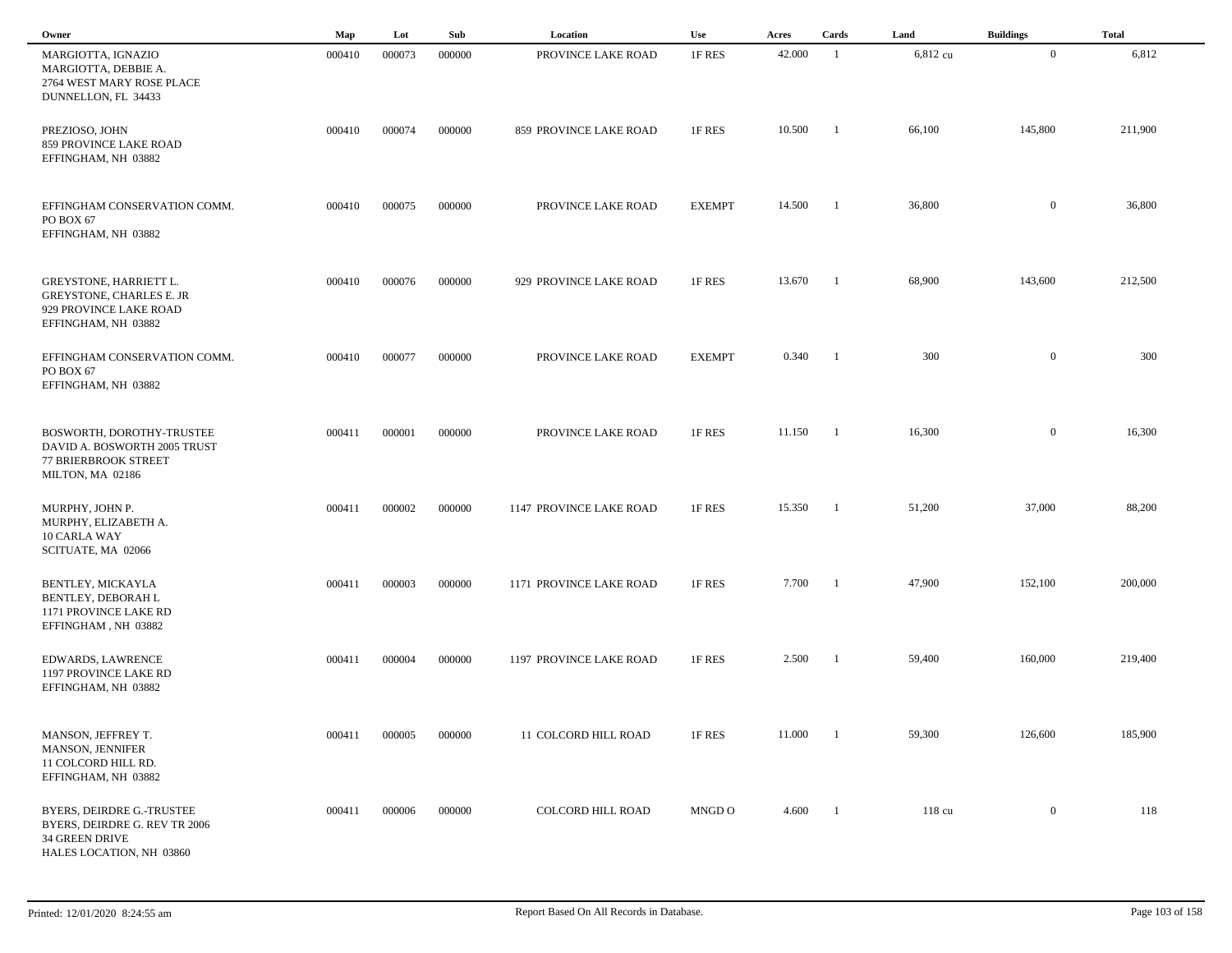| Owner                                                                                                             | Map    | Lot    | Sub    | Location                | Use           | Acres  | Cards          | Land     | <b>Buildings</b> | <b>Total</b> |  |
|-------------------------------------------------------------------------------------------------------------------|--------|--------|--------|-------------------------|---------------|--------|----------------|----------|------------------|--------------|--|
| MARGIOTTA, IGNAZIO<br>MARGIOTTA, DEBBIE A.<br>2764 WEST MARY ROSE PLACE<br>DUNNELLON, FL 34433                    | 000410 | 000073 | 000000 | PROVINCE LAKE ROAD      | 1F RES        | 42.000 | -1             | 6,812 cu | $\overline{0}$   | 6,812        |  |
| PREZIOSO, JOHN<br>859 PROVINCE LAKE ROAD<br>EFFINGHAM, NH 03882                                                   | 000410 | 000074 | 000000 | 859 PROVINCE LAKE ROAD  | 1F RES        | 10.500 | - 1            | 66,100   | 145,800          | 211,900      |  |
| EFFINGHAM CONSERVATION COMM.<br>PO BOX 67<br>EFFINGHAM, NH 03882                                                  | 000410 | 000075 | 000000 | PROVINCE LAKE ROAD      | <b>EXEMPT</b> | 14.500 | -1             | 36,800   | $\mathbf{0}$     | 36,800       |  |
| <b>GREYSTONE, HARRIETT L.</b><br><b>GREYSTONE, CHARLES E. JR</b><br>929 PROVINCE LAKE ROAD<br>EFFINGHAM, NH 03882 | 000410 | 000076 | 000000 | 929 PROVINCE LAKE ROAD  | 1F RES        | 13.670 | -1             | 68,900   | 143,600          | 212,500      |  |
| EFFINGHAM CONSERVATION COMM.<br>PO BOX 67<br>EFFINGHAM, NH 03882                                                  | 000410 | 000077 | 000000 | PROVINCE LAKE ROAD      | <b>EXEMPT</b> | 0.340  | $\overline{1}$ | 300      | $\mathbf{0}$     | 300          |  |
| BOSWORTH, DOROTHY-TRUSTEE<br>DAVID A. BOSWORTH 2005 TRUST<br><b>77 BRIERBROOK STREET</b><br>MILTON, MA 02186      | 000411 | 000001 | 000000 | PROVINCE LAKE ROAD      | 1F RES        | 11.150 | - 1            | 16,300   | $\mathbf{0}$     | 16,300       |  |
| MURPHY, JOHN P.<br>MURPHY, ELIZABETH A.<br>10 CARLA WAY<br>SCITUATE, MA 02066                                     | 000411 | 000002 | 000000 | 1147 PROVINCE LAKE ROAD | 1F RES        | 15.350 | -1             | 51,200   | 37,000           | 88,200       |  |
| BENTLEY, MICKAYLA<br>BENTLEY, DEBORAH L<br>1171 PROVINCE LAKE RD<br>EFFINGHAM, NH 03882                           | 000411 | 000003 | 000000 | 1171 PROVINCE LAKE ROAD | 1F RES        | 7.700  | -1             | 47,900   | 152,100          | 200,000      |  |
| EDWARDS, LAWRENCE<br>1197 PROVINCE LAKE RD<br>EFFINGHAM, NH 03882                                                 | 000411 | 000004 | 000000 | 1197 PROVINCE LAKE ROAD | 1F RES        | 2.500  |                | 59,400   | 160,000          | 219,400      |  |
| MANSON, JEFFREY T.<br>MANSON, JENNIFER<br>11 COLCORD HILL RD.<br>EFFINGHAM, NH 03882                              | 000411 | 000005 | 000000 | 11 COLCORD HILL ROAD    | 1F RES        | 11.000 | - 1            | 59,300   | 126,600          | 185,900      |  |
| BYERS, DEIRDRE G.-TRUSTEE<br>BYERS, DEIRDRE G. REV TR 2006<br>34 GREEN DRIVE<br>HALES LOCATION, NH 03860          | 000411 | 000006 | 000000 | COLCORD HILL ROAD       | MNGD O        | 4.600  | $\blacksquare$ | 118 cu   | $\mathbf{0}$     | 118          |  |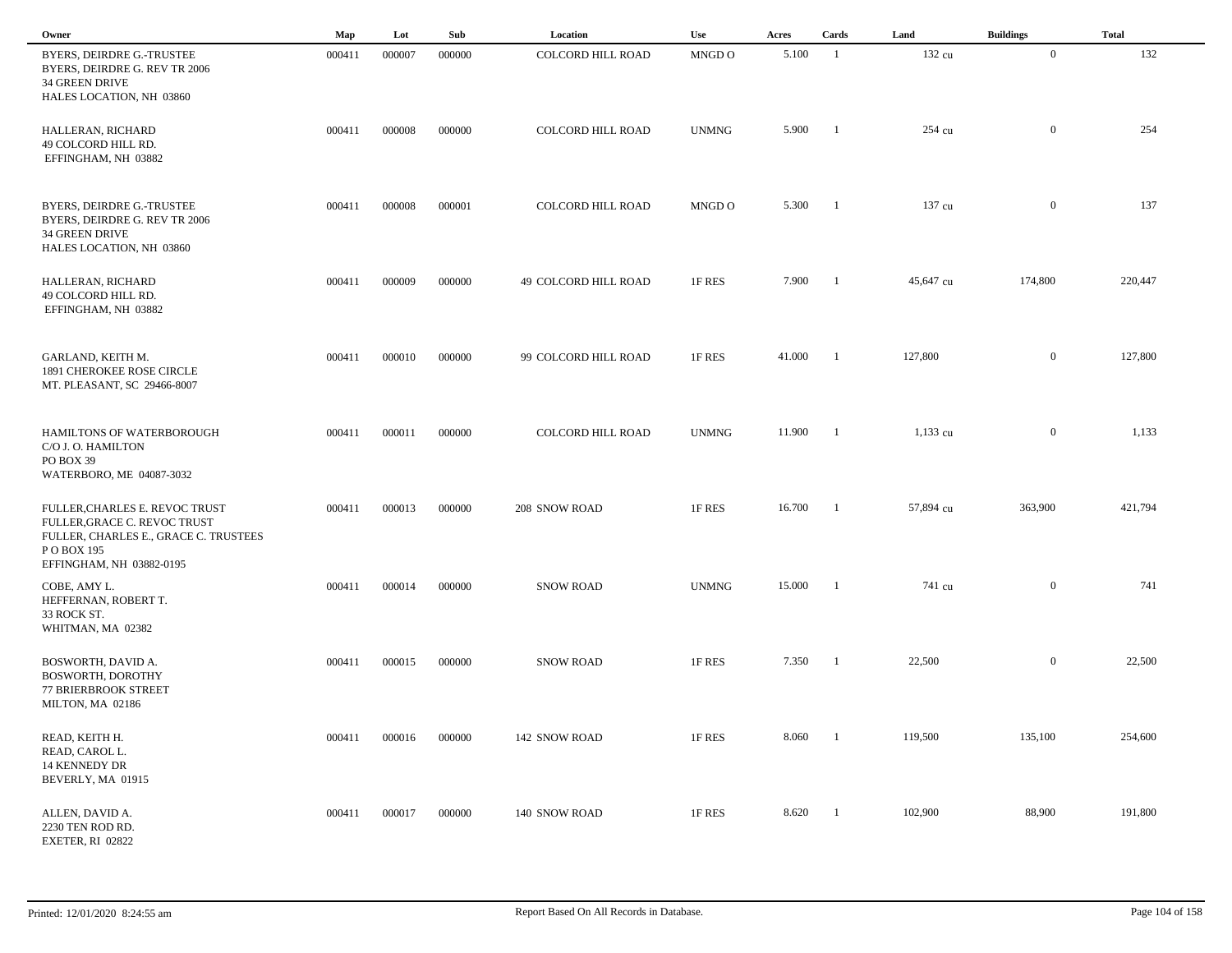| Owner                                                                                                                                              | Map    | Lot    | Sub    | Location                 | Use          | Acres  | Cards          | Land       | <b>Buildings</b> | <b>Total</b> |  |
|----------------------------------------------------------------------------------------------------------------------------------------------------|--------|--------|--------|--------------------------|--------------|--------|----------------|------------|------------------|--------------|--|
| <b>BYERS, DEIRDRE G.-TRUSTEE</b><br>BYERS, DEIRDRE G. REV TR 2006<br>34 GREEN DRIVE<br>HALES LOCATION, NH 03860                                    | 000411 | 000007 | 000000 | <b>COLCORD HILL ROAD</b> | MNGD O       | 5.100  | -1             | 132 cu     | $\overline{0}$   | 132          |  |
| HALLERAN, RICHARD<br>49 COLCORD HILL RD.<br>EFFINGHAM, NH 03882                                                                                    | 000411 | 000008 | 000000 | <b>COLCORD HILL ROAD</b> | <b>UNMNG</b> | 5.900  | - 1            | 254 cu     | $\overline{0}$   | 254          |  |
| <b>BYERS, DEIRDRE G.-TRUSTEE</b><br>BYERS, DEIRDRE G. REV TR 2006<br><b>34 GREEN DRIVE</b><br>HALES LOCATION, NH 03860                             | 000411 | 000008 | 000001 | <b>COLCORD HILL ROAD</b> | MNGD O       | 5.300  | - 1            | 137 cu     | $\mathbf{0}$     | 137          |  |
| HALLERAN, RICHARD<br>49 COLCORD HILL RD.<br>EFFINGHAM, NH 03882                                                                                    | 000411 | 000009 | 000000 | 49 COLCORD HILL ROAD     | 1F RES       | 7.900  | -1             | 45,647 cu  | 174,800          | 220,447      |  |
| GARLAND, KEITH M.<br>1891 CHEROKEE ROSE CIRCLE<br>MT. PLEASANT, SC 29466-8007                                                                      | 000411 | 000010 | 000000 | 99 COLCORD HILL ROAD     | 1F RES       | 41.000 | $\overline{1}$ | 127,800    | $\mathbf{0}$     | 127,800      |  |
| HAMILTONS OF WATERBOROUGH<br>C/O J. O. HAMILTON<br>PO BOX 39<br>WATERBORO, ME 04087-3032                                                           | 000411 | 000011 | 000000 | <b>COLCORD HILL ROAD</b> | <b>UNMNG</b> | 11.900 | $\blacksquare$ | $1,133$ cu | $\mathbf{0}$     | 1,133        |  |
| FULLER, CHARLES E. REVOC TRUST<br>FULLER, GRACE C. REVOC TRUST<br>FULLER, CHARLES E., GRACE C. TRUSTEES<br>P O BOX 195<br>EFFINGHAM, NH 03882-0195 | 000411 | 000013 | 000000 | 208 SNOW ROAD            | 1F RES       | 16.700 | -1             | 57,894 cu  | 363,900          | 421,794      |  |
| COBE, AMY L.<br>HEFFERNAN, ROBERT T.<br>33 ROCK ST.<br>WHITMAN, MA 02382                                                                           | 000411 | 000014 | 000000 | <b>SNOW ROAD</b>         | <b>UNMNG</b> | 15.000 | - 1            | 741 cu     | $\overline{0}$   | 741          |  |
| BOSWORTH, DAVID A.<br><b>BOSWORTH, DOROTHY</b><br><b>77 BRIERBROOK STREET</b><br>MILTON, MA 02186                                                  | 000411 | 000015 | 000000 | <b>SNOW ROAD</b>         | 1F RES       | 7.350  | -1             | 22,500     | $\overline{0}$   | 22,500       |  |
| READ, KEITH H.<br>READ, CAROL L.<br>14 KENNEDY DR<br>BEVERLY, MA 01915                                                                             | 000411 | 000016 | 000000 | 142 SNOW ROAD            | 1F RES       | 8.060  |                | 119,500    | 135,100          | 254,600      |  |
| ALLEN, DAVID A.<br>2230 TEN ROD RD.<br>EXETER, RI 02822                                                                                            | 000411 | 000017 | 000000 | 140 SNOW ROAD            | 1F RES       | 8.620  | -1             | 102,900    | 88,900           | 191,800      |  |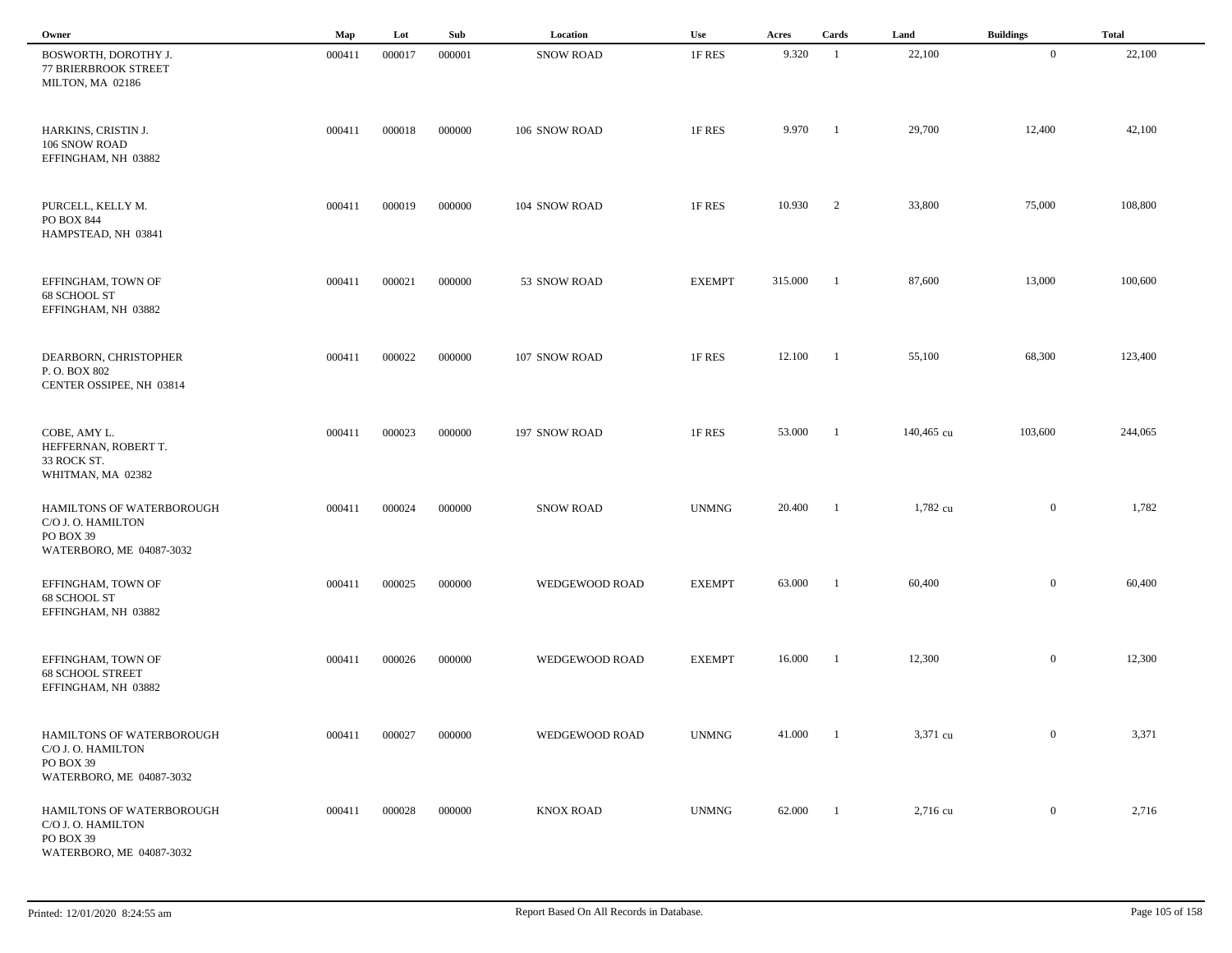| Owner                                                                                    | Map    | Lot    | Sub    | Location         | Use           | Acres   | Cards                    | Land       | <b>Buildings</b> | <b>Total</b> |
|------------------------------------------------------------------------------------------|--------|--------|--------|------------------|---------------|---------|--------------------------|------------|------------------|--------------|
| BOSWORTH, DOROTHY J.<br>77 BRIERBROOK STREET<br>MILTON, MA 02186                         | 000411 | 000017 | 000001 | <b>SNOW ROAD</b> | 1F RES        | 9.320   | -1                       | 22,100     | $\overline{0}$   | 22,100       |
| HARKINS, CRISTIN J.<br>106 SNOW ROAD<br>EFFINGHAM, NH 03882                              | 000411 | 000018 | 000000 | 106 SNOW ROAD    | 1F RES        | 9.970   | - 1                      | 29,700     | 12,400           | 42,100       |
| PURCELL, KELLY M.<br>PO BOX 844<br>HAMPSTEAD, NH 03841                                   | 000411 | 000019 | 000000 | 104 SNOW ROAD    | 1F RES        | 10.930  | $\overline{2}$           | 33,800     | 75,000           | 108,800      |
| EFFINGHAM, TOWN OF<br>68 SCHOOL ST<br>EFFINGHAM, NH 03882                                | 000411 | 000021 | 000000 | 53 SNOW ROAD     | <b>EXEMPT</b> | 315.000 | -1                       | 87,600     | 13,000           | 100,600      |
| DEARBORN, CHRISTOPHER<br>P.O. BOX 802<br>CENTER OSSIPEE, NH 03814                        | 000411 | 000022 | 000000 | 107 SNOW ROAD    | 1F RES        | 12.100  | $\blacksquare$           | 55,100     | 68,300           | 123,400      |
| COBE, AMY L.<br>HEFFERNAN, ROBERT T.<br>33 ROCK ST.<br>WHITMAN, MA 02382                 | 000411 | 000023 | 000000 | 197 SNOW ROAD    | 1F RES        | 53.000  | -1                       | 140,465 cu | 103,600          | 244,065      |
| HAMILTONS OF WATERBOROUGH<br>C/O J. O. HAMILTON<br>PO BOX 39<br>WATERBORO, ME 04087-3032 | 000411 | 000024 | 000000 | <b>SNOW ROAD</b> | <b>UNMNG</b>  | 20.400  | -1                       | 1,782 cu   | $\mathbf{0}$     | 1,782        |
| EFFINGHAM, TOWN OF<br>68 SCHOOL ST<br>EFFINGHAM, NH 03882                                | 000411 | 000025 | 000000 | WEDGEWOOD ROAD   | <b>EXEMPT</b> | 63.000  |                          | 60,400     | $\mathbf{0}$     | 60,400       |
| EFFINGHAM, TOWN OF<br><b>68 SCHOOL STREET</b><br>EFFINGHAM, NH 03882                     | 000411 | 000026 | 000000 | WEDGEWOOD ROAD   | <b>EXEMPT</b> | 16.000  | - 1                      | 12,300     | $\mathbf{0}$     | 12,300       |
| HAMILTONS OF WATERBOROUGH<br>C/O J. O. HAMILTON<br>PO BOX 39<br>WATERBORO, ME 04087-3032 | 000411 | 000027 | 000000 | WEDGEWOOD ROAD   | <b>UNMNG</b>  | 41.000  | $\overline{\phantom{a}}$ | 3,371 cu   | $\overline{0}$   | 3,371        |
| HAMILTONS OF WATERBOROUGH<br>C/O J. O. HAMILTON<br>PO BOX 39<br>WATERBORO, ME 04087-3032 | 000411 | 000028 | 000000 | <b>KNOX ROAD</b> | <b>UNMNG</b>  | 62.000  | $\overline{1}$           | 2,716 cu   | $\mathbf{0}$     | 2,716        |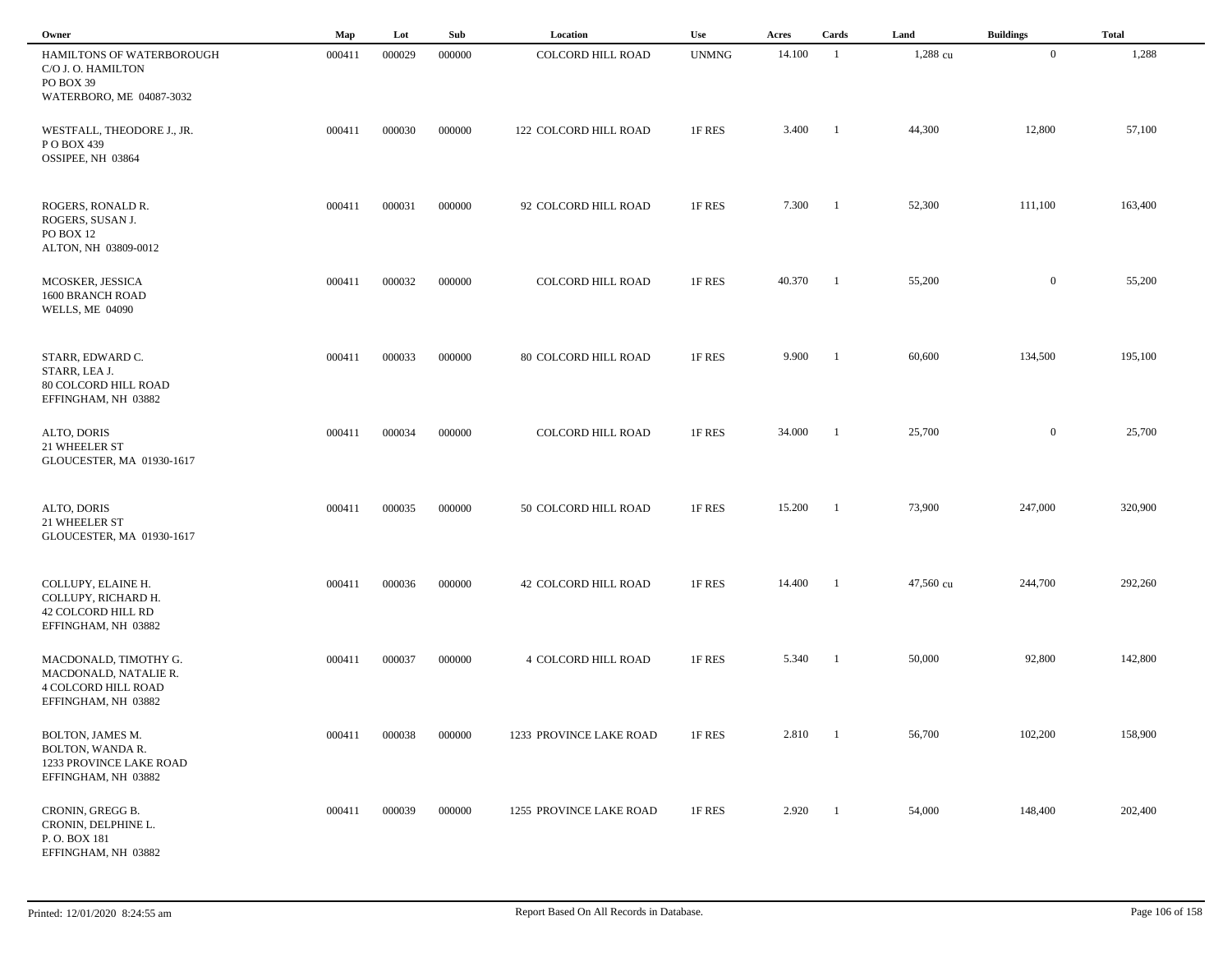| Owner                                                                                               | Map    | Lot    | Sub    | Location                    | Use          | Acres  | Cards          | Land      | <b>Buildings</b> | <b>Total</b> |
|-----------------------------------------------------------------------------------------------------|--------|--------|--------|-----------------------------|--------------|--------|----------------|-----------|------------------|--------------|
| HAMILTONS OF WATERBOROUGH<br>C/O J. O. HAMILTON<br>PO BOX 39<br>WATERBORO, ME 04087-3032            | 000411 | 000029 | 000000 | <b>COLCORD HILL ROAD</b>    | <b>UNMNG</b> | 14.100 | -1             | 1,288 cu  | $\overline{0}$   | 1,288        |
| WESTFALL, THEODORE J., JR.<br>P O BOX 439<br>OSSIPEE, NH 03864                                      | 000411 | 000030 | 000000 | 122 COLCORD HILL ROAD       | 1F RES       | 3.400  | - 1            | 44,300    | 12,800           | 57,100       |
| ROGERS, RONALD R.<br>ROGERS, SUSAN J.<br>PO BOX 12<br>ALTON, NH 03809-0012                          | 000411 | 000031 | 000000 | 92 COLCORD HILL ROAD        | 1F RES       | 7.300  | - 1            | 52,300    | 111,100          | 163,400      |
| MCOSKER, JESSICA<br>1600 BRANCH ROAD<br><b>WELLS, ME 04090</b>                                      | 000411 | 000032 | 000000 | COLCORD HILL ROAD           | 1F RES       | 40.370 | -1             | 55,200    | $\mathbf{0}$     | 55,200       |
| STARR, EDWARD C.<br>STARR, LEA J.<br>80 COLCORD HILL ROAD<br>EFFINGHAM, NH 03882                    | 000411 | 000033 | 000000 | 80 COLCORD HILL ROAD        | 1F RES       | 9.900  | $\overline{1}$ | 60,600    | 134,500          | 195,100      |
| ALTO, DORIS<br>21 WHEELER ST<br>GLOUCESTER, MA 01930-1617                                           | 000411 | 000034 | 000000 | <b>COLCORD HILL ROAD</b>    | 1F RES       | 34.000 | -1             | 25,700    | $\mathbf{0}$     | 25,700       |
| ALTO, DORIS<br>21 WHEELER ST<br>GLOUCESTER, MA 01930-1617                                           | 000411 | 000035 | 000000 | 50 COLCORD HILL ROAD        | 1F RES       | 15.200 | - 1            | 73,900    | 247,000          | 320,900      |
| COLLUPY, ELAINE H.<br>COLLUPY, RICHARD H.<br>42 COLCORD HILL RD<br>EFFINGHAM, NH 03882              | 000411 | 000036 | 000000 | <b>42 COLCORD HILL ROAD</b> | 1F RES       | 14.400 | -1             | 47,560 cu | 244,700          | 292,260      |
| MACDONALD, TIMOTHY G.<br>MACDONALD, NATALIE R.<br><b>4 COLCORD HILL ROAD</b><br>EFFINGHAM, NH 03882 | 000411 | 000037 | 000000 | <b>4 COLCORD HILL ROAD</b>  | 1F RES       | 5.340  | -1             | 50,000    | 92,800           | 142,800      |
| BOLTON, JAMES M.<br>BOLTON, WANDA R.<br>1233 PROVINCE LAKE ROAD<br>EFFINGHAM, NH 03882              | 000411 | 000038 | 000000 | 1233 PROVINCE LAKE ROAD     | 1F RES       | 2.810  | $\blacksquare$ | 56,700    | 102,200          | 158,900      |
| CRONIN, GREGG B.<br>CRONIN, DELPHINE L.<br>P.O. BOX 181<br>EFFINGHAM, NH 03882                      | 000411 | 000039 | 000000 | 1255 PROVINCE LAKE ROAD     | 1F RES       | 2.920  | - 1            | 54,000    | 148,400          | 202,400      |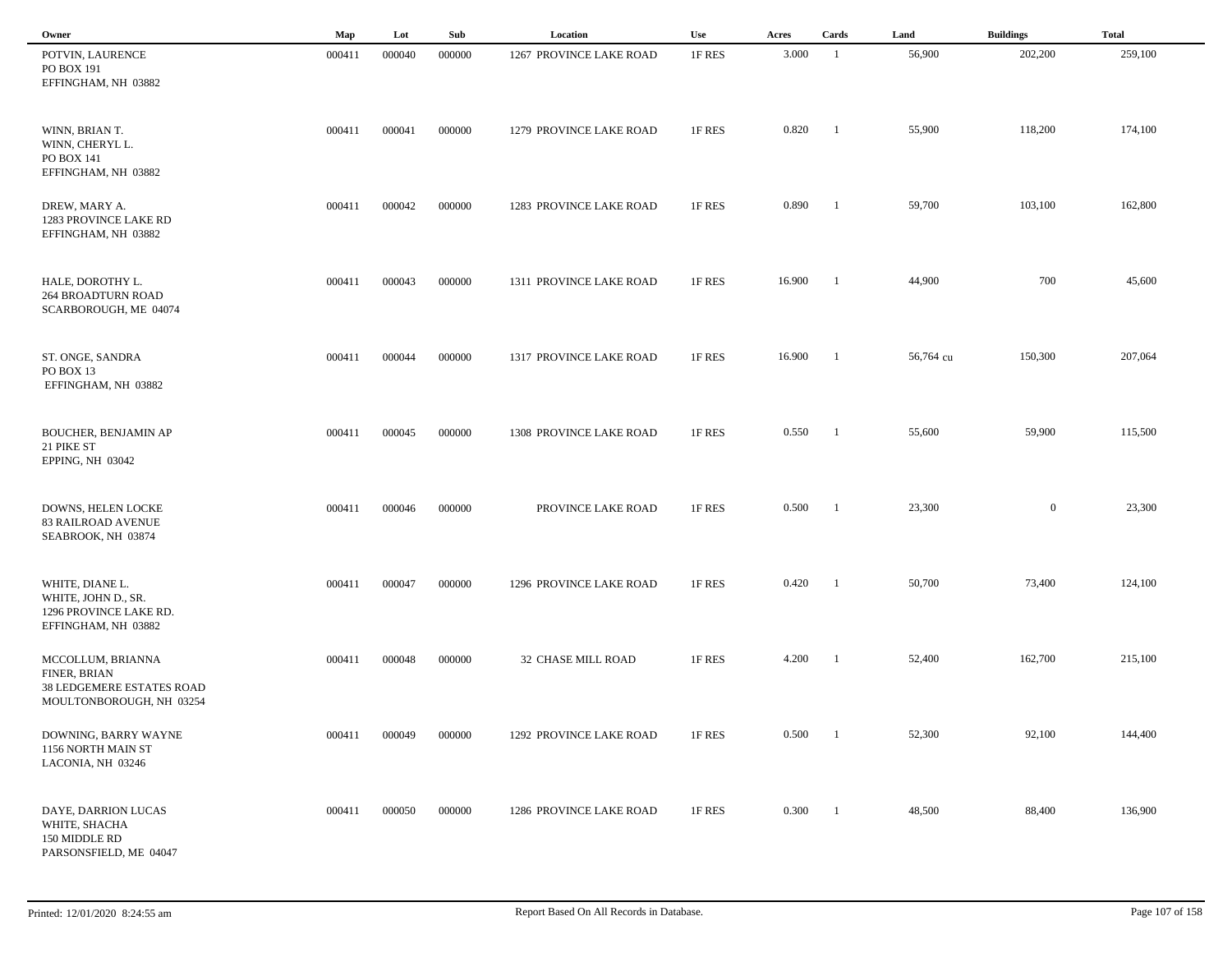| Owner                                                                                             | Map    | Lot    | Sub    | Location                | Use    | Acres  | Cards          | Land      | <b>Buildings</b> | <b>Total</b> |
|---------------------------------------------------------------------------------------------------|--------|--------|--------|-------------------------|--------|--------|----------------|-----------|------------------|--------------|
| POTVIN, LAURENCE<br>PO BOX 191<br>EFFINGHAM, NH 03882                                             | 000411 | 000040 | 000000 | 1267 PROVINCE LAKE ROAD | 1F RES | 3.000  | -1             | 56,900    | 202,200          | 259,100      |
| WINN, BRIAN T.<br>WINN, CHERYL L.<br>PO BOX 141<br>EFFINGHAM, NH 03882                            | 000411 | 000041 | 000000 | 1279 PROVINCE LAKE ROAD | 1F RES | 0.820  | -1             | 55,900    | 118,200          | 174,100      |
| DREW, MARY A.<br>1283 PROVINCE LAKE RD<br>EFFINGHAM, NH 03882                                     | 000411 | 000042 | 000000 | 1283 PROVINCE LAKE ROAD | 1F RES | 0.890  | -1             | 59,700    | 103,100          | 162,800      |
| HALE, DOROTHY L.<br><b>264 BROADTURN ROAD</b><br>SCARBOROUGH, ME 04074                            | 000411 | 000043 | 000000 | 1311 PROVINCE LAKE ROAD | 1F RES | 16.900 | -1             | 44,900    | 700              | 45,600       |
| ST. ONGE, SANDRA<br>PO BOX 13<br>EFFINGHAM, NH 03882                                              | 000411 | 000044 | 000000 | 1317 PROVINCE LAKE ROAD | 1F RES | 16.900 | -1             | 56,764 cu | 150,300          | 207,064      |
| <b>BOUCHER, BENJAMIN AP</b><br>21 PIKE ST<br>EPPING, NH 03042                                     | 000411 | 000045 | 000000 | 1308 PROVINCE LAKE ROAD | 1F RES | 0.550  | $\blacksquare$ | 55,600    | 59,900           | 115,500      |
| DOWNS, HELEN LOCKE<br><b>83 RAILROAD AVENUE</b><br>SEABROOK, NH 03874                             | 000411 | 000046 | 000000 | PROVINCE LAKE ROAD      | 1F RES | 0.500  | - 1            | 23,300    | $\overline{0}$   | 23,300       |
| WHITE, DIANE L.<br>WHITE, JOHN D., SR.<br>1296 PROVINCE LAKE RD.<br>EFFINGHAM, NH 03882           | 000411 | 000047 | 000000 | 1296 PROVINCE LAKE ROAD | 1F RES | 0.420  |                | 50,700    | 73,400           | 124,100      |
| MCCOLLUM, BRIANNA<br>FINER, BRIAN<br><b>38 LEDGEMERE ESTATES ROAD</b><br>MOULTONBOROUGH, NH 03254 | 000411 | 000048 | 000000 | 32 CHASE MILL ROAD      | 1F RES | 4.200  |                | 52,400    | 162,700          | 215,100      |
| DOWNING, BARRY WAYNE<br>1156 NORTH MAIN ST<br>LACONIA, NH 03246                                   | 000411 | 000049 | 000000 | 1292 PROVINCE LAKE ROAD | 1F RES | 0.500  | $\blacksquare$ | 52,300    | 92,100           | 144,400      |
| DAYE, DARRION LUCAS<br>WHITE, SHACHA<br>150 MIDDLE RD<br>PARSONSFIELD, ME 04047                   | 000411 | 000050 | 000000 | 1286 PROVINCE LAKE ROAD | 1F RES | 0.300  | $\blacksquare$ | 48,500    | 88,400           | 136,900      |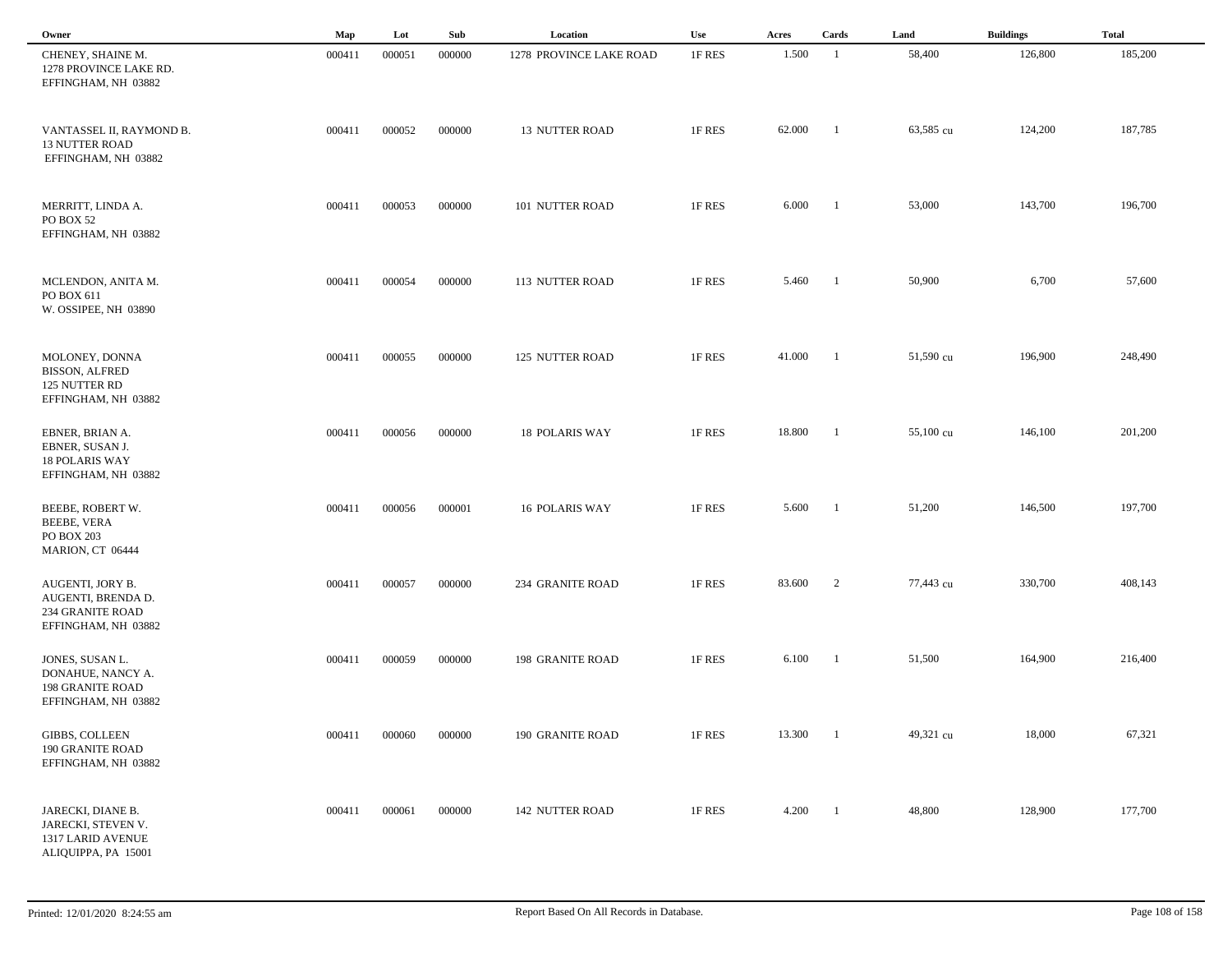| Owner                                                                                    | Map    | Lot    | Sub    | Location                | Use    | Acres  | Cards                    | Land      | <b>Buildings</b> | <b>Total</b> |
|------------------------------------------------------------------------------------------|--------|--------|--------|-------------------------|--------|--------|--------------------------|-----------|------------------|--------------|
| CHENEY, SHAINE M.<br>1278 PROVINCE LAKE RD.<br>EFFINGHAM, NH 03882                       | 000411 | 000051 | 000000 | 1278 PROVINCE LAKE ROAD | 1F RES | 1.500  | $\overline{1}$           | 58,400    | 126,800          | 185,200      |
| VANTASSEL II, RAYMOND B.<br><b>13 NUTTER ROAD</b><br>EFFINGHAM, NH 03882                 | 000411 | 000052 | 000000 | <b>13 NUTTER ROAD</b>   | 1F RES | 62.000 | $\overline{1}$           | 63,585 cu | 124,200          | 187,785      |
| MERRITT, LINDA A.<br>PO BOX 52<br>EFFINGHAM, NH 03882                                    | 000411 | 000053 | 000000 | 101 NUTTER ROAD         | 1F RES | 6.000  | $\blacksquare$           | 53,000    | 143,700          | 196,700      |
| MCLENDON, ANITA M.<br>PO BOX 611<br>W. OSSIPEE, NH 03890                                 | 000411 | 000054 | 000000 | 113 NUTTER ROAD         | 1F RES | 5.460  | $\overline{\phantom{a}}$ | 50,900    | 6,700            | 57,600       |
| MOLONEY, DONNA<br><b>BISSON, ALFRED</b><br>125 NUTTER RD<br>EFFINGHAM, NH 03882          | 000411 | 000055 | 000000 | 125 NUTTER ROAD         | 1F RES | 41.000 | $\blacksquare$           | 51,590 cu | 196,900          | 248,490      |
| EBNER, BRIAN A.<br>EBNER, SUSAN J.<br><b>18 POLARIS WAY</b><br>EFFINGHAM, NH 03882       | 000411 | 000056 | 000000 | <b>18 POLARIS WAY</b>   | 1F RES | 18.800 | $\overline{\phantom{a}}$ | 55,100 cu | 146,100          | 201,200      |
| BEEBE, ROBERT W.<br><b>BEEBE, VERA</b><br>PO BOX 203<br>MARION, CT 06444                 | 000411 | 000056 | 000001 | 16 POLARIS WAY          | 1F RES | 5.600  | $\overline{\phantom{a}}$ | 51,200    | 146,500          | 197,700      |
| AUGENTI, JORY B.<br>AUGENTI, BRENDA D.<br><b>234 GRANITE ROAD</b><br>EFFINGHAM, NH 03882 | 000411 | 000057 | 000000 | 234 GRANITE ROAD        | 1F RES | 83.600 | 2                        | 77,443 cu | 330,700          | 408,143      |
| JONES, SUSAN L.<br>DONAHUE, NANCY A.<br><b>198 GRANITE ROAD</b><br>EFFINGHAM, NH 03882   | 000411 | 000059 | 000000 | 198 GRANITE ROAD        | 1F RES | 6.100  | - 1                      | 51,500    | 164,900          | 216,400      |
| <b>GIBBS, COLLEEN</b><br><b>190 GRANITE ROAD</b><br>EFFINGHAM, NH 03882                  | 000411 | 000060 | 000000 | <b>190 GRANITE ROAD</b> | 1F RES | 13.300 | $\overline{1}$           | 49,321 cu | 18,000           | 67,321       |
| JARECKI, DIANE B.<br>JARECKI, STEVEN V.<br>1317 LARID AVENUE<br>ALIQUIPPA, PA 15001      | 000411 | 000061 | 000000 | 142 NUTTER ROAD         | 1F RES | 4.200  | $\overline{\phantom{a}}$ | 48,800    | 128,900          | 177,700      |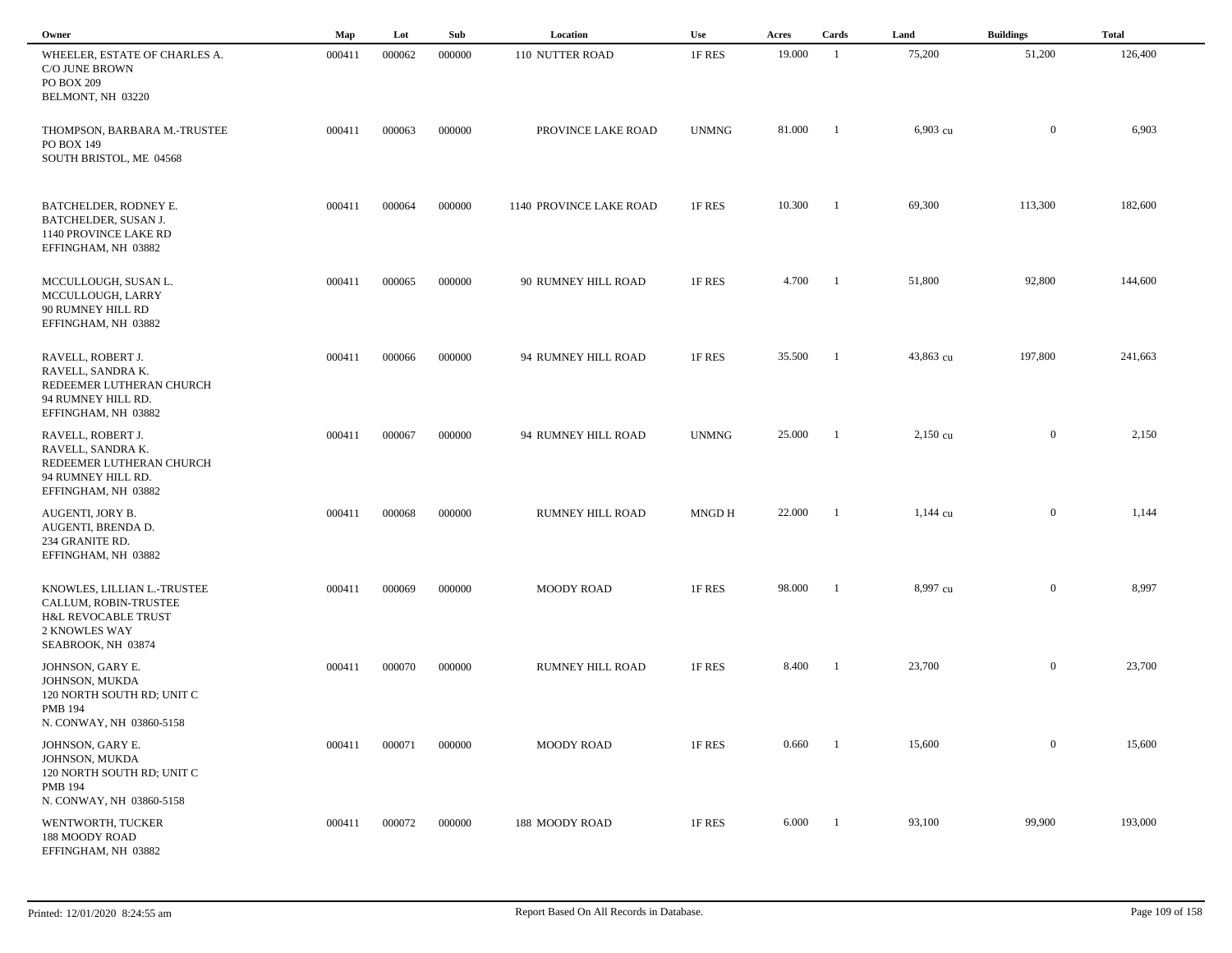| Owner                                                                                                              | Map    | Lot    | Sub    | Location                | Use          | Acres  | Cards          | Land               | <b>Buildings</b> | <b>Total</b> |  |
|--------------------------------------------------------------------------------------------------------------------|--------|--------|--------|-------------------------|--------------|--------|----------------|--------------------|------------------|--------------|--|
| WHEELER, ESTATE OF CHARLES A.<br><b>C/O JUNE BROWN</b><br>PO BOX 209<br>BELMONT, NH 03220                          | 000411 | 000062 | 000000 | 110 NUTTER ROAD         | 1F RES       | 19.000 | -1             | 75,200             | 51,200           | 126,400      |  |
| THOMPSON, BARBARA M.-TRUSTEE<br>PO BOX 149<br>SOUTH BRISTOL, ME 04568                                              | 000411 | 000063 | 000000 | PROVINCE LAKE ROAD      | <b>UNMNG</b> | 81.000 | - 1            | 6,903 cu           | $\boldsymbol{0}$ | 6,903        |  |
| BATCHELDER, RODNEY E.<br>BATCHELDER, SUSAN J.<br>1140 PROVINCE LAKE RD<br>EFFINGHAM, NH 03882                      | 000411 | 000064 | 000000 | 1140 PROVINCE LAKE ROAD | 1F RES       | 10.300 | -1             | 69,300             | 113,300          | 182,600      |  |
| MCCULLOUGH, SUSAN L.<br>MCCULLOUGH, LARRY<br>90 RUMNEY HILL RD<br>EFFINGHAM, NH 03882                              | 000411 | 000065 | 000000 | 90 RUMNEY HILL ROAD     | 1F RES       | 4.700  | -1             | 51,800             | 92,800           | 144,600      |  |
| RAVELL, ROBERT J.<br>RAVELL, SANDRA K.<br>REDEEMER LUTHERAN CHURCH<br>94 RUMNEY HILL RD.<br>EFFINGHAM, NH 03882    | 000411 | 000066 | 000000 | 94 RUMNEY HILL ROAD     | 1F RES       | 35.500 | $\overline{1}$ | 43,863 cu          | 197,800          | 241,663      |  |
| RAVELL, ROBERT J.<br>RAVELL, SANDRA K.<br>REDEEMER LUTHERAN CHURCH<br>94 RUMNEY HILL RD.<br>EFFINGHAM, NH 03882    | 000411 | 000067 | 000000 | 94 RUMNEY HILL ROAD     | <b>UNMNG</b> | 25.000 | -1             | $2,150$ cu         | $\mathbf{0}$     | 2,150        |  |
| AUGENTI, JORY B.<br>AUGENTI, BRENDA D.<br>234 GRANITE RD.<br>EFFINGHAM, NH 03882                                   | 000411 | 000068 | 000000 | RUMNEY HILL ROAD        | MNGD H       | 22.000 | - 1            | $1,144 \text{ cu}$ | $\mathbf{0}$     | 1,144        |  |
| KNOWLES, LILLIAN L.-TRUSTEE<br>CALLUM, ROBIN-TRUSTEE<br>H&L REVOCABLE TRUST<br>2 KNOWLES WAY<br>SEABROOK, NH 03874 | 000411 | 000069 | 000000 | <b>MOODY ROAD</b>       | 1F RES       | 98.000 | -1             | 8,997 cu           | $\mathbf{0}$     | 8,997        |  |
| JOHNSON, GARY E.<br>JOHNSON, MUKDA<br>120 NORTH SOUTH RD; UNIT C<br><b>PMB 194</b><br>N. CONWAY, NH 03860-5158     | 000411 | 000070 | 000000 | RUMNEY HILL ROAD        | 1F RES       | 8.400  | $\blacksquare$ | 23,700             | $\overline{0}$   | 23,700       |  |
| JOHNSON, GARY E.<br>JOHNSON, MUKDA<br>120 NORTH SOUTH RD; UNIT C<br><b>PMB 194</b><br>N. CONWAY, NH 03860-5158     | 000411 | 000071 | 000000 | <b>MOODY ROAD</b>       | 1F RES       | 0.660  | - 1            | 15,600             | $\overline{0}$   | 15,600       |  |
| WENTWORTH, TUCKER<br>188 MOODY ROAD<br>EFFINGHAM, NH 03882                                                         | 000411 | 000072 | 000000 | 188 MOODY ROAD          | 1F RES       | 6.000  | - 1            | 93,100             | 99,900           | 193,000      |  |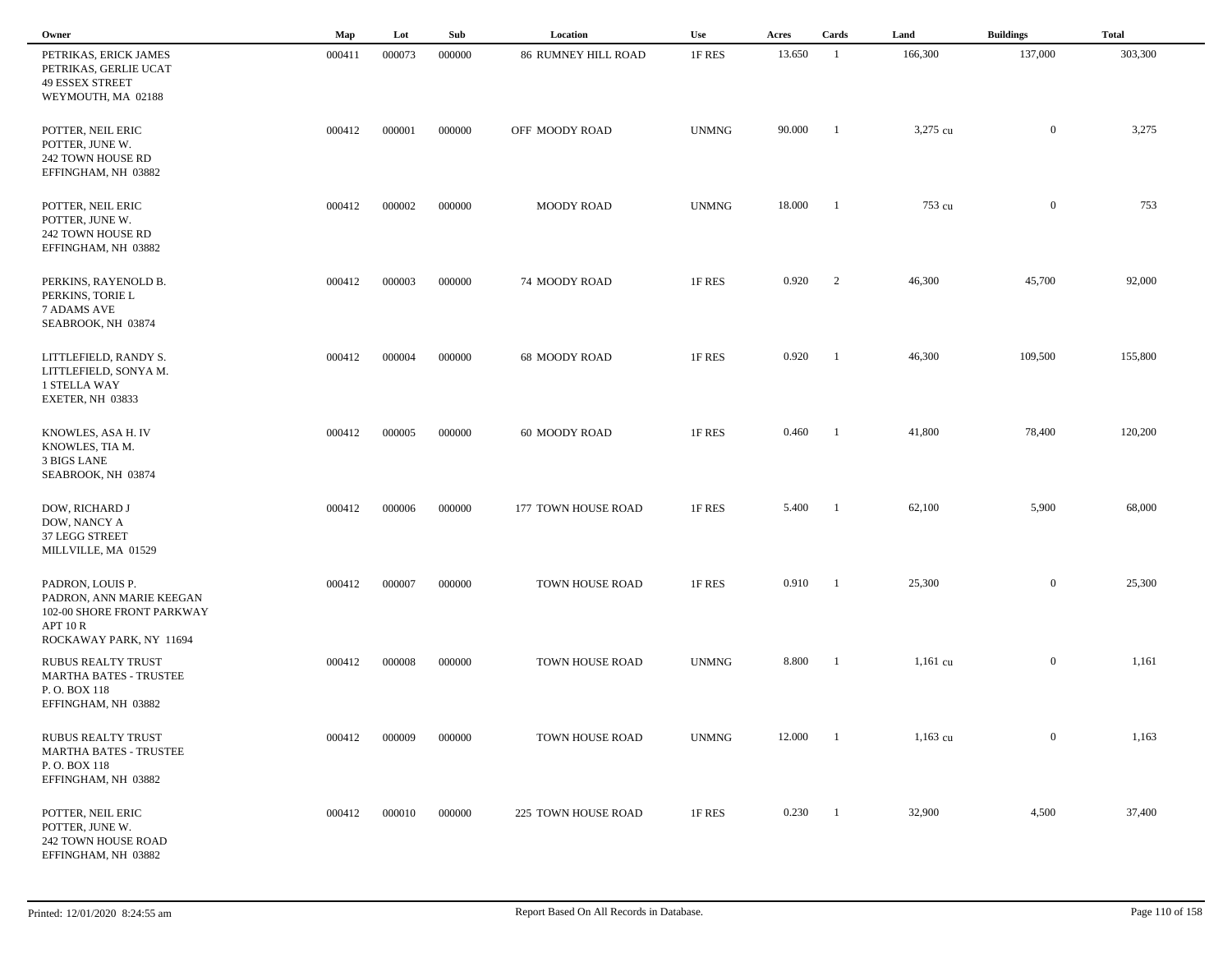| Owner                                                                                                             | Map    | Lot    | Sub    | Location                   | Use          | Acres  | Cards          | Land       | <b>Buildings</b> | <b>Total</b> |  |
|-------------------------------------------------------------------------------------------------------------------|--------|--------|--------|----------------------------|--------------|--------|----------------|------------|------------------|--------------|--|
| PETRIKAS, ERICK JAMES<br>PETRIKAS, GERLIE UCAT<br><b>49 ESSEX STREET</b><br>WEYMOUTH, MA 02188                    | 000411 | 000073 | 000000 | <b>86 RUMNEY HILL ROAD</b> | 1F RES       | 13.650 | -1             | 166,300    | 137,000          | 303,300      |  |
| POTTER, NEIL ERIC<br>POTTER, JUNE W.<br>242 TOWN HOUSE RD<br>EFFINGHAM, NH 03882                                  | 000412 | 000001 | 000000 | OFF MOODY ROAD             | <b>UNMNG</b> | 90.000 | -1             | 3,275 cu   | $\mathbf{0}$     | 3,275        |  |
| POTTER, NEIL ERIC<br>POTTER, JUNE W.<br>242 TOWN HOUSE RD<br>EFFINGHAM, NH 03882                                  | 000412 | 000002 | 000000 | <b>MOODY ROAD</b>          | <b>UNMNG</b> | 18.000 | - 1            | 753 cu     | $\mathbf{0}$     | 753          |  |
| PERKINS, RAYENOLD B.<br>PERKINS, TORIE L<br>7 ADAMS AVE<br>SEABROOK, NH 03874                                     | 000412 | 000003 | 000000 | 74 MOODY ROAD              | 1F RES       | 0.920  | 2              | 46,300     | 45,700           | 92,000       |  |
| LITTLEFIELD, RANDY S.<br>LITTLEFIELD, SONYA M.<br>1 STELLA WAY<br>EXETER, NH 03833                                | 000412 | 000004 | 000000 | 68 MOODY ROAD              | 1F RES       | 0.920  | - 1            | 46,300     | 109,500          | 155,800      |  |
| KNOWLES, ASA H. IV<br>KNOWLES, TIA M.<br>3 BIGS LANE<br>SEABROOK, NH 03874                                        | 000412 | 000005 | 000000 | 60 MOODY ROAD              | 1F RES       | 0.460  | - 1            | 41,800     | 78,400           | 120,200      |  |
| DOW, RICHARD J<br>DOW, NANCY A<br>37 LEGG STREET<br>MILLVILLE, MA 01529                                           | 000412 | 000006 | 000000 | 177 TOWN HOUSE ROAD        | 1F RES       | 5.400  | -1             | 62,100     | 5,900            | 68,000       |  |
| PADRON, LOUIS P.<br>PADRON, ANN MARIE KEEGAN<br>102-00 SHORE FRONT PARKWAY<br>APT 10 R<br>ROCKAWAY PARK, NY 11694 | 000412 | 000007 | 000000 | TOWN HOUSE ROAD            | 1F RES       | 0.910  |                | 25,300     | $\mathbf{0}$     | 25,300       |  |
| RUBUS REALTY TRUST<br><b>MARTHA BATES - TRUSTEE</b><br>P.O. BOX 118<br>EFFINGHAM, NH 03882                        | 000412 | 000008 | 000000 | TOWN HOUSE ROAD            | <b>UNMNG</b> | 8.800  | - 1            | $1,161$ cu | $\mathbf{0}$     | 1,161        |  |
| <b>RUBUS REALTY TRUST</b><br><b>MARTHA BATES - TRUSTEE</b><br>P.O. BOX 118<br>EFFINGHAM, NH 03882                 | 000412 | 000009 | 000000 | TOWN HOUSE ROAD            | <b>UNMNG</b> | 12.000 | -1             | $1,163$ cu | $\overline{0}$   | 1,163        |  |
| POTTER, NEIL ERIC<br>POTTER, JUNE W.<br>242 TOWN HOUSE ROAD<br>EFFINGHAM, NH 03882                                | 000412 | 000010 | 000000 | 225 TOWN HOUSE ROAD        | 1F RES       | 0.230  | $\blacksquare$ | 32,900     | 4,500            | 37,400       |  |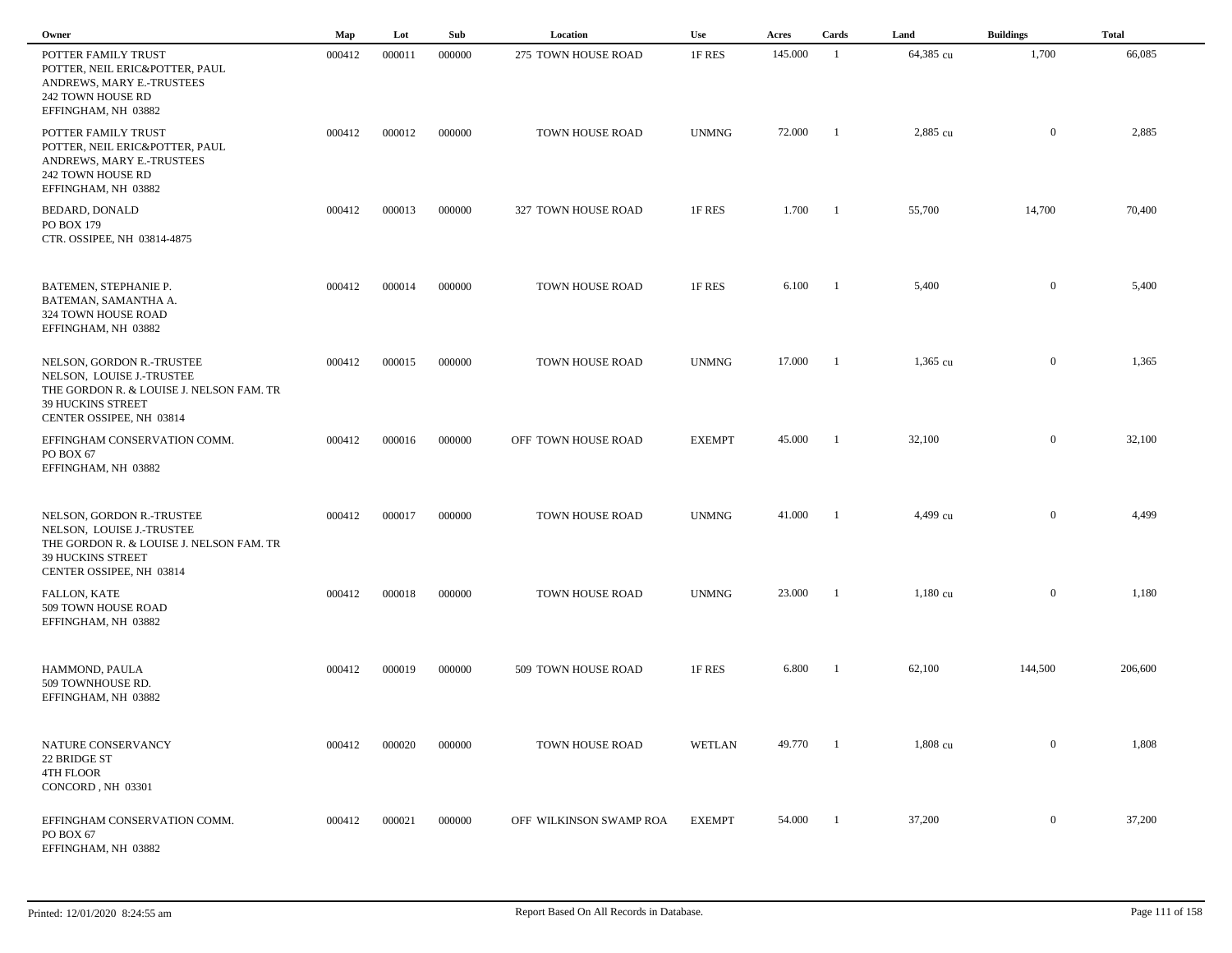| Owner                                                                                                                                                      | Map    | Lot    | Sub    | Location                | Use           | Acres   | Cards          | Land               | <b>Buildings</b> | <b>Total</b> |
|------------------------------------------------------------------------------------------------------------------------------------------------------------|--------|--------|--------|-------------------------|---------------|---------|----------------|--------------------|------------------|--------------|
| POTTER FAMILY TRUST<br>POTTER, NEIL ERIC&POTTER, PAUL<br>ANDREWS, MARY E.-TRUSTEES<br>242 TOWN HOUSE RD<br>EFFINGHAM, NH 03882                             | 000412 | 000011 | 000000 | 275 TOWN HOUSE ROAD     | 1F RES        | 145.000 | -1             | 64,385 cu          | 1,700            | 66,085       |
| POTTER FAMILY TRUST<br>POTTER, NEIL ERIC&POTTER, PAUL<br>ANDREWS, MARY E.-TRUSTEES<br>242 TOWN HOUSE RD<br>EFFINGHAM, NH 03882                             | 000412 | 000012 | 000000 | TOWN HOUSE ROAD         | <b>UNMNG</b>  | 72.000  | $\blacksquare$ | 2,885 cu           | $\mathbf{0}$     | 2,885        |
| <b>BEDARD, DONALD</b><br>PO BOX 179<br>CTR. OSSIPEE, NH 03814-4875                                                                                         | 000412 | 000013 | 000000 | 327 TOWN HOUSE ROAD     | 1F RES        | 1.700   | - 1            | 55,700             | 14,700           | 70,400       |
| BATEMEN, STEPHANIE P.<br>BATEMAN, SAMANTHA A.<br>324 TOWN HOUSE ROAD<br>EFFINGHAM, NH 03882                                                                | 000412 | 000014 | 000000 | TOWN HOUSE ROAD         | 1F RES        | 6.100   | - 1            | 5,400              | $\overline{0}$   | 5,400        |
| NELSON, GORDON R.-TRUSTEE<br>NELSON, LOUISE J.-TRUSTEE<br>THE GORDON R. & LOUISE J. NELSON FAM. TR<br>39 HUCKINS STREET<br>CENTER OSSIPEE, NH 03814        | 000412 | 000015 | 000000 | TOWN HOUSE ROAD         | <b>UNMNG</b>  | 17.000  | - 1            | $1,365$ cu         | $\boldsymbol{0}$ | 1,365        |
| EFFINGHAM CONSERVATION COMM.<br>PO BOX 67<br>EFFINGHAM, NH 03882                                                                                           | 000412 | 000016 | 000000 | OFF TOWN HOUSE ROAD     | <b>EXEMPT</b> | 45.000  | $\overline{1}$ | 32,100             | $\mathbf{0}$     | 32,100       |
| NELSON, GORDON R.-TRUSTEE<br>NELSON, LOUISE J.-TRUSTEE<br>THE GORDON R. & LOUISE J. NELSON FAM. TR<br><b>39 HUCKINS STREET</b><br>CENTER OSSIPEE, NH 03814 | 000412 | 000017 | 000000 | TOWN HOUSE ROAD         | <b>UNMNG</b>  | 41.000  | - 1            | 4,499 cu           | $\mathbf{0}$     | 4,499        |
| FALLON, KATE<br>509 TOWN HOUSE ROAD<br>EFFINGHAM, NH 03882                                                                                                 | 000412 | 000018 | 000000 | TOWN HOUSE ROAD         | <b>UNMNG</b>  | 23.000  | -1             | $1,180 \text{ cu}$ | $\overline{0}$   | 1,180        |
| HAMMOND, PAULA<br>509 TOWNHOUSE RD.<br>EFFINGHAM, NH 03882                                                                                                 | 000412 | 000019 | 000000 | 509 TOWN HOUSE ROAD     | 1F RES        | 6.800   | - 1            | 62,100             | 144,500          | 206,600      |
| NATURE CONSERVANCY<br>22 BRIDGE ST<br>4TH FLOOR<br>CONCORD, NH 03301                                                                                       | 000412 | 000020 | 000000 | TOWN HOUSE ROAD         | WETLAN        | 49.770  | $\blacksquare$ | 1,808 cu           | $\boldsymbol{0}$ | 1,808        |
| EFFINGHAM CONSERVATION COMM.<br>PO BOX 67<br>EFFINGHAM, NH 03882                                                                                           | 000412 | 000021 | 000000 | OFF WILKINSON SWAMP ROA | <b>EXEMPT</b> | 54.000  | - 1            | 37,200             | $\overline{0}$   | 37,200       |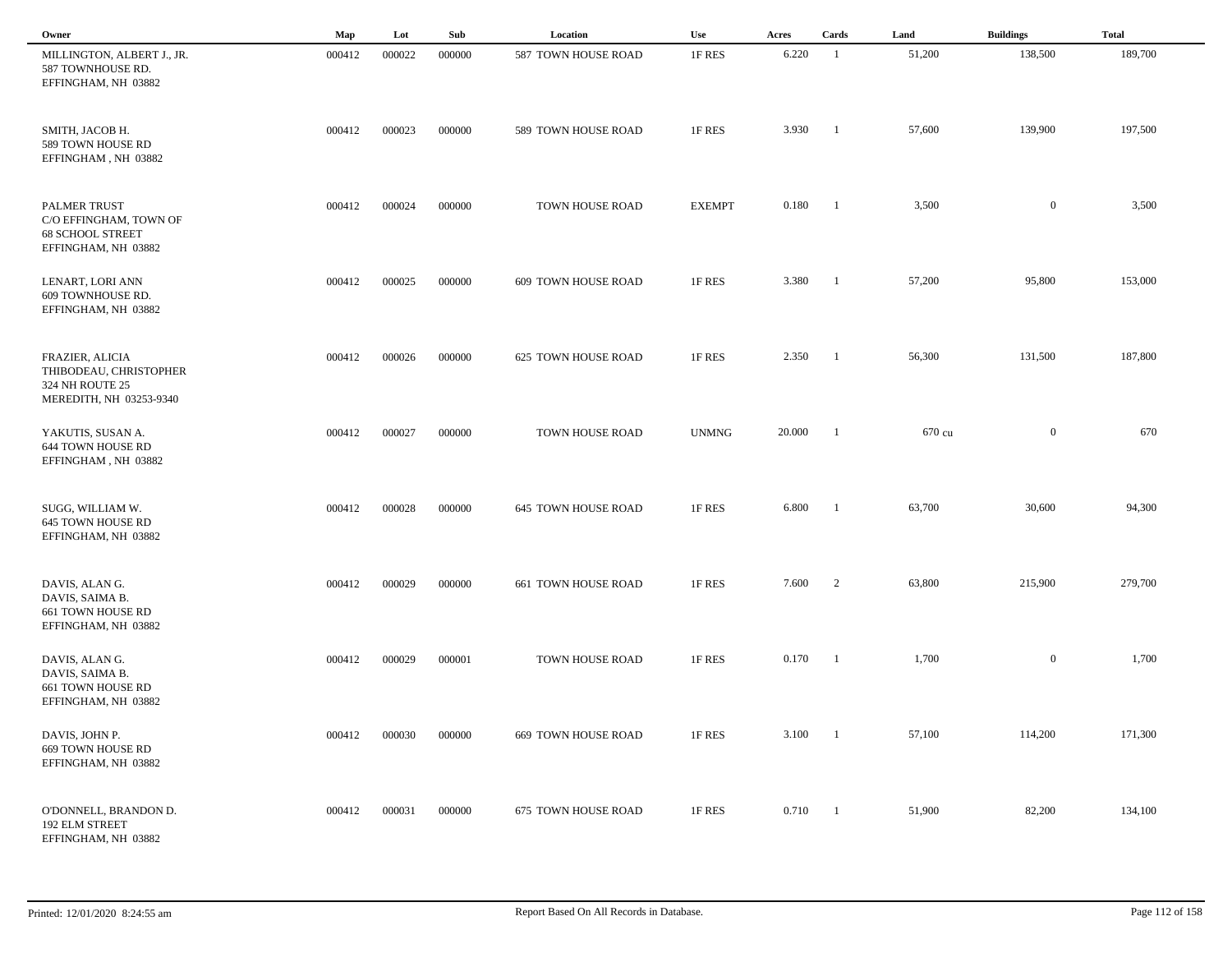| Owner                                                                                    | Map    | Lot    | Sub    | Location                   | Use           | Acres  | Cards          | Land   | <b>Buildings</b> | <b>Total</b> |  |
|------------------------------------------------------------------------------------------|--------|--------|--------|----------------------------|---------------|--------|----------------|--------|------------------|--------------|--|
| MILLINGTON, ALBERT J., JR.<br>587 TOWNHOUSE RD.<br>EFFINGHAM, NH 03882                   | 000412 | 000022 | 000000 | 587 TOWN HOUSE ROAD        | 1F RES        | 6.220  | - 1            | 51,200 | 138,500          | 189,700      |  |
| SMITH, JACOB H.<br>589 TOWN HOUSE RD<br>EFFINGHAM, NH 03882                              | 000412 | 000023 | 000000 | 589 TOWN HOUSE ROAD        | 1F RES        | 3.930  | -1             | 57,600 | 139,900          | 197,500      |  |
| PALMER TRUST<br>C/O EFFINGHAM, TOWN OF<br><b>68 SCHOOL STREET</b><br>EFFINGHAM, NH 03882 | 000412 | 000024 | 000000 | TOWN HOUSE ROAD            | <b>EXEMPT</b> | 0.180  | $\blacksquare$ | 3,500  | $\overline{0}$   | 3,500        |  |
| LENART, LORI ANN<br>609 TOWNHOUSE RD.<br>EFFINGHAM, NH 03882                             | 000412 | 000025 | 000000 | 609 TOWN HOUSE ROAD        | 1F RES        | 3.380  | $\blacksquare$ | 57,200 | 95,800           | 153,000      |  |
| FRAZIER, ALICIA<br>THIBODEAU, CHRISTOPHER<br>324 NH ROUTE 25<br>MEREDITH, NH 03253-9340  | 000412 | 000026 | 000000 | 625 TOWN HOUSE ROAD        | 1F RES        | 2.350  | - 1            | 56,300 | 131,500          | 187,800      |  |
| YAKUTIS, SUSAN A.<br>644 TOWN HOUSE RD<br>EFFINGHAM, NH 03882                            | 000412 | 000027 | 000000 | TOWN HOUSE ROAD            | <b>UNMNG</b>  | 20.000 | -1             | 670 cu | $\overline{0}$   | 670          |  |
| SUGG, WILLIAM W.<br>645 TOWN HOUSE RD<br>EFFINGHAM, NH 03882                             | 000412 | 000028 | 000000 | <b>645 TOWN HOUSE ROAD</b> | 1F RES        | 6.800  | - 1            | 63,700 | 30,600           | 94,300       |  |
| DAVIS, ALANG.<br>DAVIS, SAIMA B.<br>661 TOWN HOUSE RD<br>EFFINGHAM, NH 03882             | 000412 | 000029 | 000000 | 661 TOWN HOUSE ROAD        | 1F RES        | 7.600  | 2              | 63,800 | 215,900          | 279,700      |  |
| DAVIS, ALANG.<br>DAVIS, SAIMA B.<br>661 TOWN HOUSE RD<br>EFFINGHAM, NH 03882             | 000412 | 000029 | 000001 | TOWN HOUSE ROAD            | 1F RES        | 0.170  | - 1            | 1,700  | $\mathbf{0}$     | 1,700        |  |
| DAVIS, JOHN P.<br>669 TOWN HOUSE RD<br>EFFINGHAM, NH 03882                               | 000412 | 000030 | 000000 | <b>669 TOWN HOUSE ROAD</b> | 1F RES        | 3.100  | $\blacksquare$ | 57,100 | 114,200          | 171,300      |  |
| O'DONNELL, BRANDON D.<br>192 ELM STREET<br>EFFINGHAM, NH 03882                           | 000412 | 000031 | 000000 | 675 TOWN HOUSE ROAD        | 1F RES        | 0.710  | $\blacksquare$ | 51,900 | 82,200           | 134,100      |  |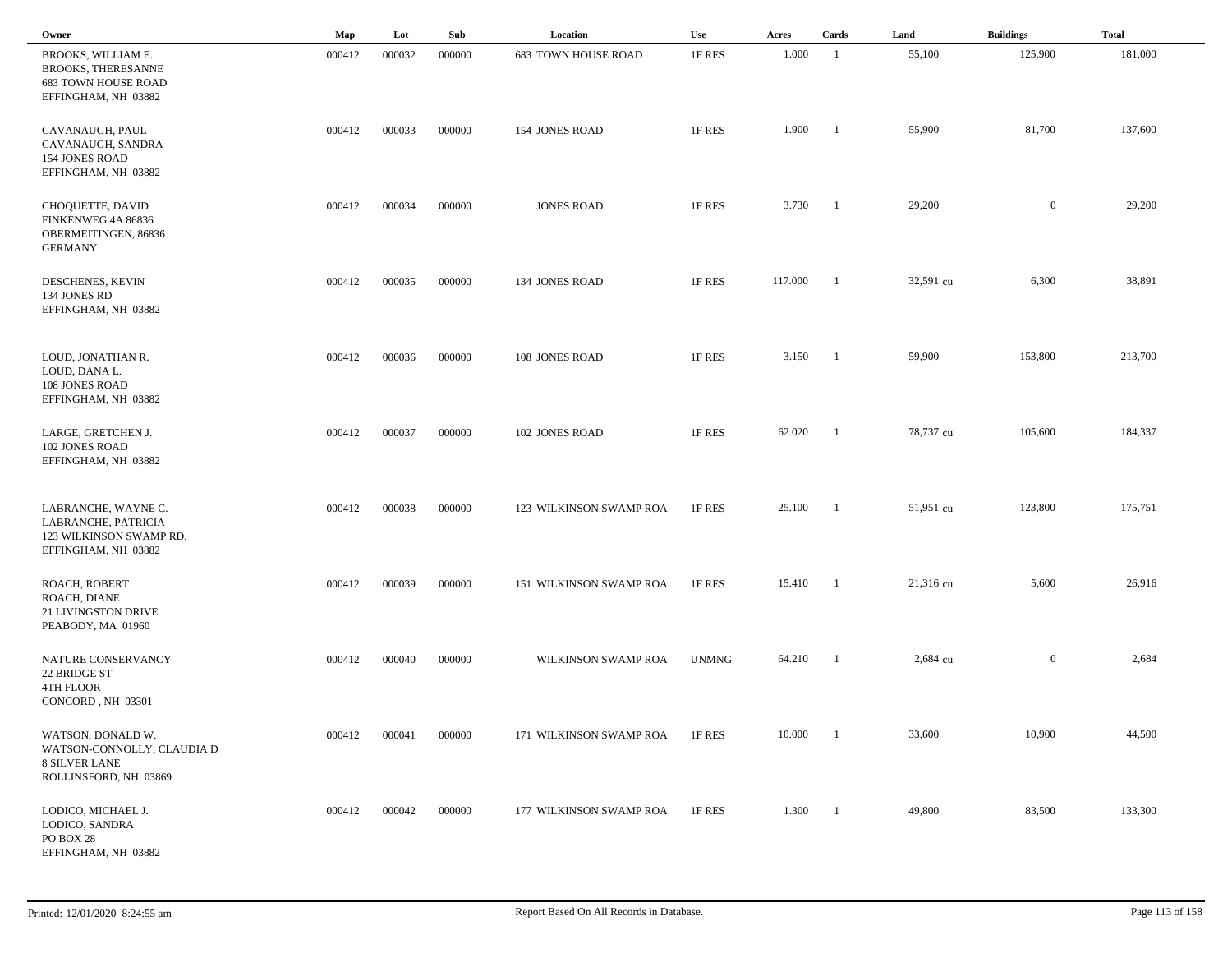| Owner                                                                                                | Map    | Lot    | Sub    | Location                   | Use          | Acres   | Cards          | Land      | <b>Buildings</b> | <b>Total</b> |
|------------------------------------------------------------------------------------------------------|--------|--------|--------|----------------------------|--------------|---------|----------------|-----------|------------------|--------------|
| BROOKS, WILLIAM E.<br><b>BROOKS, THERESANNE</b><br><b>683 TOWN HOUSE ROAD</b><br>EFFINGHAM, NH 03882 | 000412 | 000032 | 000000 | <b>683 TOWN HOUSE ROAD</b> | 1F RES       | 1.000   | -1             | 55,100    | 125,900          | 181,000      |
| CAVANAUGH, PAUL<br>CAVANAUGH, SANDRA<br>154 JONES ROAD<br>EFFINGHAM, NH 03882                        | 000412 | 000033 | 000000 | 154 JONES ROAD             | 1F RES       | 1.900   | -1             | 55,900    | 81,700           | 137,600      |
| CHOQUETTE, DAVID<br>FINKENWEG.4A 86836<br>OBERMEITINGEN, 86836<br><b>GERMANY</b>                     | 000412 | 000034 | 000000 | <b>JONES ROAD</b>          | 1F RES       | 3.730   | - 1            | 29,200    | $\overline{0}$   | 29,200       |
| DESCHENES, KEVIN<br>134 JONES RD<br>EFFINGHAM, NH 03882                                              | 000412 | 000035 | 000000 | 134 JONES ROAD             | 1F RES       | 117.000 | - 1            | 32,591 cu | 6,300            | 38,891       |
| LOUD, JONATHAN R.<br>LOUD, DANA L.<br>108 JONES ROAD<br>EFFINGHAM, NH 03882                          | 000412 | 000036 | 000000 | 108 JONES ROAD             | 1F RES       | 3.150   | $\blacksquare$ | 59,900    | 153,800          | 213,700      |
| LARGE, GRETCHEN J.<br>102 JONES ROAD<br>EFFINGHAM, NH 03882                                          | 000412 | 000037 | 000000 | 102 JONES ROAD             | 1F RES       | 62.020  | -1             | 78,737 cu | 105,600          | 184,337      |
| LABRANCHE, WAYNE C.<br>LABRANCHE, PATRICIA<br>123 WILKINSON SWAMP RD.<br>EFFINGHAM, NH 03882         | 000412 | 000038 | 000000 | 123 WILKINSON SWAMP ROA    | 1F RES       | 25.100  | -1             | 51,951 cu | 123,800          | 175,751      |
| ROACH, ROBERT<br>ROACH, DIANE<br>21 LIVINGSTON DRIVE<br>PEABODY, MA 01960                            | 000412 | 000039 | 000000 | 151 WILKINSON SWAMP ROA    | 1F RES       | 15.410  | -1             | 21,316 cu | 5,600            | 26,916       |
| NATURE CONSERVANCY<br>22 BRIDGE ST<br>4TH FLOOR<br>CONCORD, NH 03301                                 | 000412 | 000040 | 000000 | WILKINSON SWAMP ROA        | <b>UNMNG</b> | 64.210  | -1             | 2,684 cu  | $\overline{0}$   | 2,684        |
| WATSON, DONALD W.<br>WATSON-CONNOLLY, CLAUDIA D<br><b>8 SILVER LANE</b><br>ROLLINSFORD, NH 03869     | 000412 | 000041 | 000000 | 171 WILKINSON SWAMP ROA    | 1F RES       | 10.000  | - 1            | 33,600    | 10,900           | 44,500       |
| LODICO, MICHAEL J.<br>LODICO, SANDRA<br>PO BOX 28<br>EFFINGHAM, NH 03882                             | 000412 | 000042 | 000000 | 177 WILKINSON SWAMP ROA    | 1F RES       | 1.300   | -1             | 49,800    | 83,500           | 133,300      |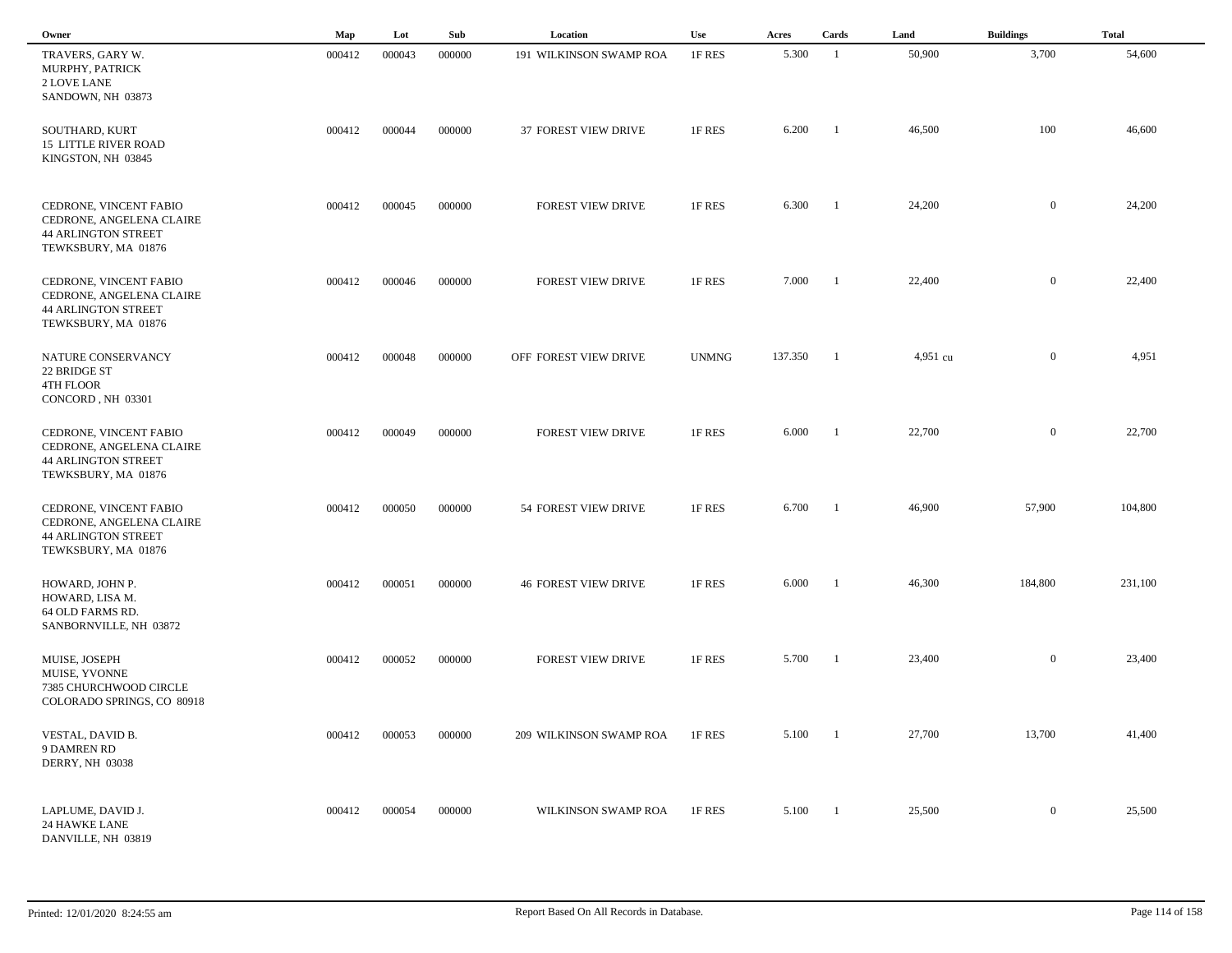| Owner                                                                                                   | Map    | Lot    | Sub    | Location                    | Use          | Acres   | Cards          | Land     | <b>Buildings</b> | <b>Total</b> |
|---------------------------------------------------------------------------------------------------------|--------|--------|--------|-----------------------------|--------------|---------|----------------|----------|------------------|--------------|
| TRAVERS, GARY W.<br>MURPHY, PATRICK<br>2 LOVE LANE<br>SANDOWN, NH 03873                                 | 000412 | 000043 | 000000 | 191 WILKINSON SWAMP ROA     | 1F RES       | 5.300   | -1             | 50,900   | 3,700            | 54,600       |
| SOUTHARD, KURT<br><b>15 LITTLE RIVER ROAD</b><br>KINGSTON, NH 03845                                     | 000412 | 000044 | 000000 | 37 FOREST VIEW DRIVE        | 1F RES       | 6.200   | - 1            | 46,500   | 100              | 46,600       |
| CEDRONE, VINCENT FABIO<br>CEDRONE, ANGELENA CLAIRE<br><b>44 ARLINGTON STREET</b><br>TEWKSBURY, MA 01876 | 000412 | 000045 | 000000 | FOREST VIEW DRIVE           | 1F RES       | 6.300   | $\overline{1}$ | 24,200   | $\mathbf{0}$     | 24,200       |
| CEDRONE, VINCENT FABIO<br>CEDRONE, ANGELENA CLAIRE<br><b>44 ARLINGTON STREET</b><br>TEWKSBURY, MA 01876 | 000412 | 000046 | 000000 | <b>FOREST VIEW DRIVE</b>    | 1F RES       | 7.000   | $\blacksquare$ | 22,400   | $\mathbf{0}$     | 22,400       |
| NATURE CONSERVANCY<br>22 BRIDGE ST<br>4TH FLOOR<br>CONCORD, NH 03301                                    | 000412 | 000048 | 000000 | OFF FOREST VIEW DRIVE       | <b>UNMNG</b> | 137.350 | - 1            | 4,951 cu | $\overline{0}$   | 4,951        |
| CEDRONE, VINCENT FABIO<br>CEDRONE, ANGELENA CLAIRE<br><b>44 ARLINGTON STREET</b><br>TEWKSBURY, MA 01876 | 000412 | 000049 | 000000 | FOREST VIEW DRIVE           | 1F RES       | 6.000   | - 1            | 22,700   | $\overline{0}$   | 22,700       |
| CEDRONE, VINCENT FABIO<br>CEDRONE, ANGELENA CLAIRE<br><b>44 ARLINGTON STREET</b><br>TEWKSBURY, MA 01876 | 000412 | 000050 | 000000 | 54 FOREST VIEW DRIVE        | 1F RES       | 6.700   | - 1            | 46,900   | 57,900           | 104,800      |
| HOWARD, JOHN P.<br>HOWARD, LISA M.<br>64 OLD FARMS RD.<br>SANBORNVILLE, NH 03872                        | 000412 | 000051 | 000000 | <b>46 FOREST VIEW DRIVE</b> | 1F RES       | 6.000   | - 1            | 46,300   | 184,800          | 231,100      |
| MUISE, JOSEPH<br>MUISE, YVONNE<br>7385 CHURCHWOOD CIRCLE<br>COLORADO SPRINGS, CO 80918                  | 000412 | 000052 | 000000 | <b>FOREST VIEW DRIVE</b>    | 1F RES       | 5.700   | -1             | 23,400   | $\overline{0}$   | 23,400       |
| VESTAL, DAVID B.<br>9 DAMREN RD<br><b>DERRY, NH 03038</b>                                               | 000412 | 000053 | 000000 | 209 WILKINSON SWAMP ROA     | 1F RES       | 5.100   | $\blacksquare$ | 27,700   | 13,700           | 41,400       |
| LAPLUME, DAVID J.<br>24 HAWKE LANE<br>DANVILLE, NH 03819                                                | 000412 | 000054 | 000000 | WILKINSON SWAMP ROA         | 1F RES       | 5.100   | $\blacksquare$ | 25,500   | $\mathbf{0}$     | 25,500       |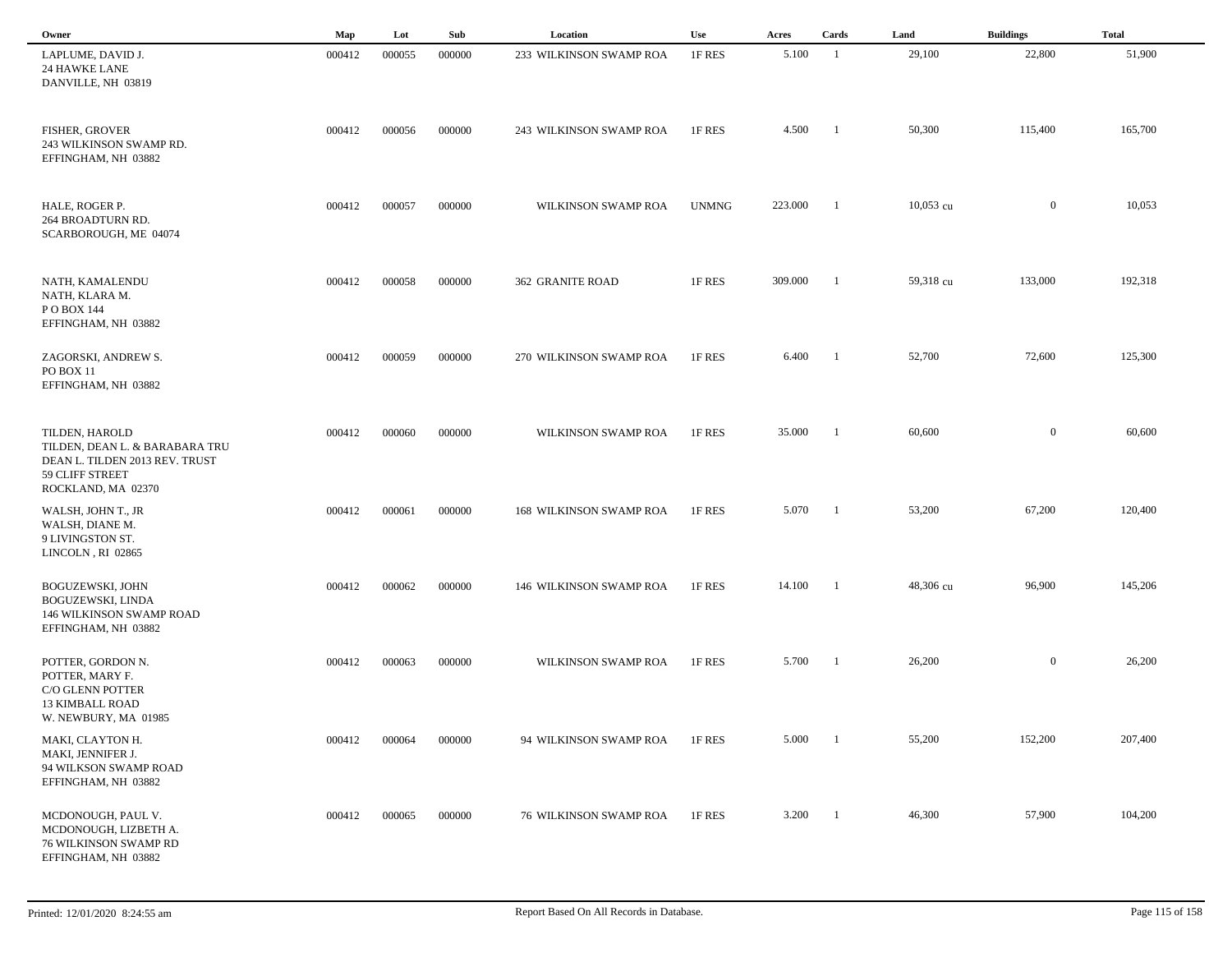| Owner                                                                                                         | Map    | Lot    | Sub    | Location                      | Use          | Acres   | Cards                    | Land        | <b>Buildings</b> | <b>Total</b> |
|---------------------------------------------------------------------------------------------------------------|--------|--------|--------|-------------------------------|--------------|---------|--------------------------|-------------|------------------|--------------|
| LAPLUME, DAVID J.<br>24 HAWKE LANE<br>DANVILLE, NH 03819                                                      | 000412 | 000055 | 000000 | 233 WILKINSON SWAMP ROA       | 1F RES       | 5.100   | - 1                      | 29,100      | 22,800           | 51,900       |
| FISHER, GROVER<br>243 WILKINSON SWAMP RD.<br>EFFINGHAM, NH 03882                                              | 000412 | 000056 | 000000 | 243 WILKINSON SWAMP ROA       | 1F RES       | 4.500   | - 1                      | 50,300      | 115,400          | 165,700      |
| HALE, ROGER P.<br>264 BROADTURN RD.<br>SCARBOROUGH, ME 04074                                                  | 000412 | 000057 | 000000 | WILKINSON SWAMP ROA           | <b>UNMNG</b> | 223.000 | - 1                      | $10,053$ cu | $\overline{0}$   | 10,053       |
| NATH, KAMALENDU<br>NATH, KLARA M.<br>P O BOX 144<br>EFFINGHAM, NH 03882                                       | 000412 | 000058 | 000000 | <b>362 GRANITE ROAD</b>       | 1F RES       | 309.000 | $\overline{1}$           | 59,318 cu   | 133,000          | 192,318      |
| ZAGORSKI, ANDREW S.<br>PO BOX 11<br>EFFINGHAM, NH 03882                                                       | 000412 | 000059 | 000000 | 270 WILKINSON SWAMP ROA       | 1F RES       | 6.400   | $\blacksquare$           | 52,700      | 72,600           | 125,300      |
| TILDEN, HAROLD<br>TILDEN, DEAN L. & BARABARA TRU<br>DEAN L. TILDEN 2013 REV. TRUST<br>59 CLIFF STREET         | 000412 | 000060 | 000000 | WILKINSON SWAMP ROA           | 1F RES       | 35.000  | $\overline{\phantom{a}}$ | 60,600      | $\overline{0}$   | 60,600       |
| ROCKLAND, MA 02370<br>WALSH, JOHN T., JR<br>WALSH, DIANE M.<br>9 LIVINGSTON ST.<br>LINCOLN, RI 02865          | 000412 | 000061 | 000000 | 168 WILKINSON SWAMP ROA       | 1F RES       | 5.070   | $\overline{\phantom{0}}$ | 53,200      | 67,200           | 120,400      |
| BOGUZEWSKI, JOHN<br>BOGUZEWSKI, LINDA<br>146 WILKINSON SWAMP ROAD<br>EFFINGHAM, NH 03882                      | 000412 | 000062 | 000000 | 146 WILKINSON SWAMP ROA       | 1F RES       | 14.100  | $\blacksquare$           | 48,306 cu   | 96,900           | 145,206      |
| POTTER, GORDON N.<br>POTTER, MARY F.<br>C/O GLENN POTTER<br><b>13 KIMBALL ROAD</b>                            | 000412 | 000063 | 000000 | WILKINSON SWAMP ROA           | 1F RES       | 5.700   | - 1                      | 26,200      | $\overline{0}$   | 26,200       |
| W. NEWBURY, MA 01985<br>MAKI, CLAYTON H.<br>MAKI, JENNIFER J.<br>94 WILKSON SWAMP ROAD<br>EFFINGHAM, NH 03882 | 000412 | 000064 | 000000 | 94 WILKINSON SWAMP ROA        | 1F RES       | 5.000   | $\blacksquare$           | 55,200      | 152,200          | 207,400      |
| MCDONOUGH, PAUL V.<br>MCDONOUGH, LIZBETH A.<br><b>76 WILKINSON SWAMP RD</b><br>EFFINGHAM, NH 03882            | 000412 | 000065 | 000000 | <b>76 WILKINSON SWAMP ROA</b> | 1F RES       | 3.200   | $\overline{\phantom{0}}$ | 46,300      | 57,900           | 104,200      |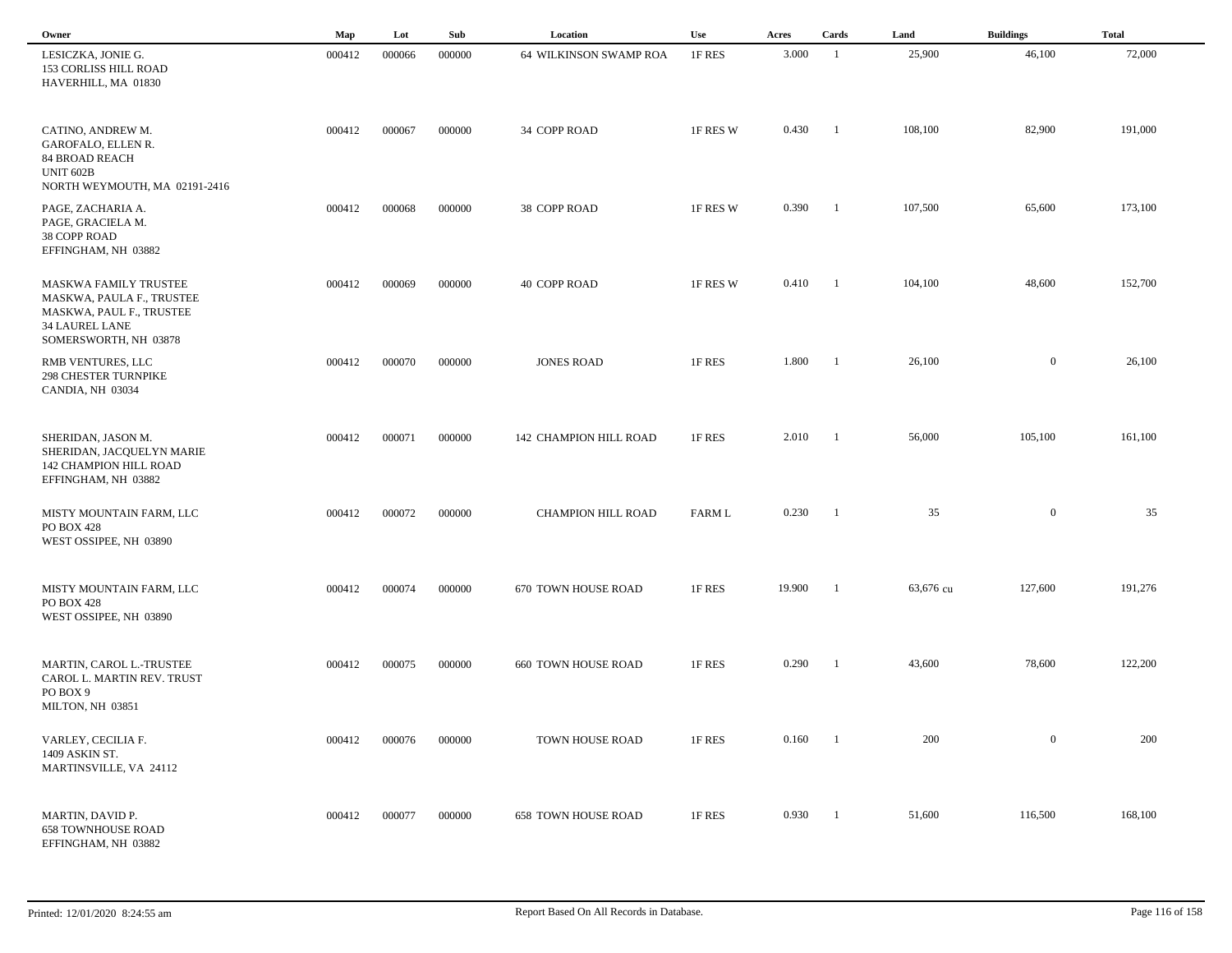| Owner                                                                                                                            | Map    | Lot    | Sub    | Location                      | Use      | Acres  | Cards          | Land      | <b>Buildings</b> | <b>Total</b> |  |
|----------------------------------------------------------------------------------------------------------------------------------|--------|--------|--------|-------------------------------|----------|--------|----------------|-----------|------------------|--------------|--|
| LESICZKA, JONIE G.<br>153 CORLISS HILL ROAD<br>HAVERHILL, MA 01830                                                               | 000412 | 000066 | 000000 | <b>64 WILKINSON SWAMP ROA</b> | 1F RES   | 3.000  | $\overline{1}$ | 25,900    | 46,100           | 72,000       |  |
| CATINO, ANDREW M.<br>GAROFALO, ELLEN R.<br><b>84 BROAD REACH</b><br><b>UNIT 602B</b><br>NORTH WEYMOUTH, MA 02191-2416            | 000412 | 000067 | 000000 | 34 COPP ROAD                  | 1F RES W | 0.430  | - 1            | 108,100   | 82,900           | 191,000      |  |
| PAGE, ZACHARIA A.<br>PAGE, GRACIELA M.<br>38 COPP ROAD<br>EFFINGHAM, NH 03882                                                    | 000412 | 000068 | 000000 | 38 COPP ROAD                  | 1F RES W | 0.390  | $\blacksquare$ | 107,500   | 65,600           | 173,100      |  |
| MASKWA FAMILY TRUSTEE<br>MASKWA, PAULA F., TRUSTEE<br>MASKWA, PAUL F., TRUSTEE<br><b>34 LAUREL LANE</b><br>SOMERSWORTH, NH 03878 | 000412 | 000069 | 000000 | 40 COPP ROAD                  | 1F RES W | 0.410  | -1             | 104,100   | 48,600           | 152,700      |  |
| RMB VENTURES, LLC<br><b>298 CHESTER TURNPIKE</b><br>CANDIA, NH 03034                                                             | 000412 | 000070 | 000000 | <b>JONES ROAD</b>             | 1F RES   | 1.800  | - 1            | 26,100    | $\mathbf{0}$     | 26,100       |  |
| SHERIDAN, JASON M.<br>SHERIDAN, JACQUELYN MARIE<br>142 CHAMPION HILL ROAD<br>EFFINGHAM, NH 03882                                 | 000412 | 000071 | 000000 | 142 CHAMPION HILL ROAD        | 1F RES   | 2.010  | -1             | 56,000    | 105,100          | 161,100      |  |
| MISTY MOUNTAIN FARM, LLC<br><b>PO BOX 428</b><br>WEST OSSIPEE, NH 03890                                                          | 000412 | 000072 | 000000 | CHAMPION HILL ROAD            | FARM L   | 0.230  | -1             | 35        | $\bf{0}$         | 35           |  |
| MISTY MOUNTAIN FARM, LLC<br><b>PO BOX 428</b><br>WEST OSSIPEE, NH 03890                                                          | 000412 | 000074 | 000000 | 670 TOWN HOUSE ROAD           | 1F RES   | 19.900 | $\overline{1}$ | 63,676 cu | 127,600          | 191,276      |  |
| MARTIN, CAROL L.-TRUSTEE<br>CAROL L. MARTIN REV. TRUST<br>PO BOX 9<br>MILTON, NH 03851                                           | 000412 | 000075 | 000000 | <b>660 TOWN HOUSE ROAD</b>    | 1F RES   | 0.290  | $\blacksquare$ | 43,600    | 78,600           | 122,200      |  |
| VARLEY, CECILIA F.<br>1409 ASKIN ST.<br>MARTINSVILLE, VA 24112                                                                   | 000412 | 000076 | 000000 | TOWN HOUSE ROAD               | 1F RES   | 0.160  | - 1            | 200       | $\boldsymbol{0}$ | 200          |  |
| MARTIN, DAVID P.<br><b>658 TOWNHOUSE ROAD</b><br>EFFINGHAM, NH 03882                                                             | 000412 | 000077 | 000000 | <b>658 TOWN HOUSE ROAD</b>    | 1F RES   | 0.930  | $\blacksquare$ | 51,600    | 116,500          | 168,100      |  |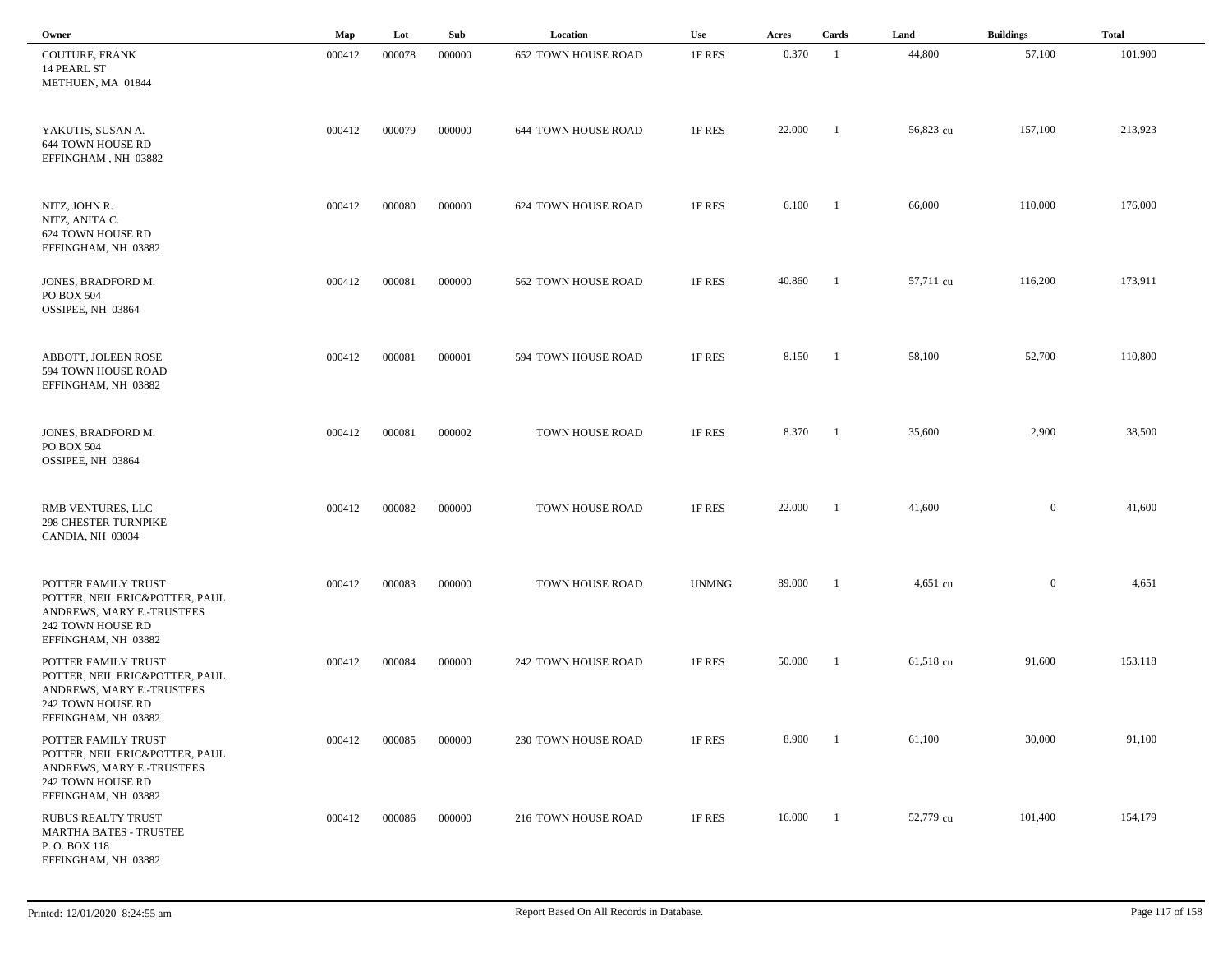| Owner                                                                                                                          | Map    | Lot    | Sub    | Location                   | Use          | Acres  | Cards          | Land      | <b>Buildings</b> | <b>Total</b> |
|--------------------------------------------------------------------------------------------------------------------------------|--------|--------|--------|----------------------------|--------------|--------|----------------|-----------|------------------|--------------|
| COUTURE, FRANK<br>14 PEARL ST<br>METHUEN, MA 01844                                                                             | 000412 | 000078 | 000000 | <b>652 TOWN HOUSE ROAD</b> | 1F RES       | 0.370  | - 1            | 44,800    | 57,100           | 101,900      |
| YAKUTIS, SUSAN A.<br>644 TOWN HOUSE RD<br>EFFINGHAM, NH 03882                                                                  | 000412 | 000079 | 000000 | <b>644 TOWN HOUSE ROAD</b> | 1F RES       | 22.000 | -1             | 56,823 cu | 157,100          | 213,923      |
| NITZ, JOHN R.<br>NITZ, ANITA C.<br>624 TOWN HOUSE RD<br>EFFINGHAM, NH 03882                                                    | 000412 | 000080 | 000000 | 624 TOWN HOUSE ROAD        | 1F RES       | 6.100  | - 1            | 66,000    | 110,000          | 176,000      |
| JONES, BRADFORD M.<br>PO BOX 504<br>OSSIPEE, NH 03864                                                                          | 000412 | 000081 | 000000 | 562 TOWN HOUSE ROAD        | 1F RES       | 40.860 | $\blacksquare$ | 57,711 cu | 116,200          | 173,911      |
| ABBOTT, JOLEEN ROSE<br>594 TOWN HOUSE ROAD<br>EFFINGHAM, NH 03882                                                              | 000412 | 000081 | 000001 | 594 TOWN HOUSE ROAD        | 1F RES       | 8.150  | $\blacksquare$ | 58,100    | 52,700           | 110,800      |
| JONES, BRADFORD M.<br>PO BOX 504<br>OSSIPEE, NH 03864                                                                          | 000412 | 000081 | 000002 | TOWN HOUSE ROAD            | 1F RES       | 8.370  | $\blacksquare$ | 35,600    | 2,900            | 38,500       |
| RMB VENTURES, LLC<br><b>298 CHESTER TURNPIKE</b><br>CANDIA, NH 03034                                                           | 000412 | 000082 | 000000 | TOWN HOUSE ROAD            | 1F RES       | 22.000 | -1             | 41,600    | $\mathbf{0}$     | 41,600       |
| POTTER FAMILY TRUST<br>POTTER, NEIL ERIC&POTTER, PAUL<br>ANDREWS, MARY E.-TRUSTEES<br>242 TOWN HOUSE RD<br>EFFINGHAM, NH 03882 | 000412 | 000083 | 000000 | TOWN HOUSE ROAD            | <b>UNMNG</b> | 89.000 | -1             | 4,651 cu  | $\overline{0}$   | 4,651        |
| POTTER FAMILY TRUST<br>POTTER, NEIL ERIC&POTTER, PAUL<br>ANDREWS, MARY E.-TRUSTEES<br>242 TOWN HOUSE RD<br>EFFINGHAM, NH 03882 | 000412 | 000084 | 000000 | 242 TOWN HOUSE ROAD        | 1F RES       | 50.000 | -1             | 61,518 cu | 91,600           | 153,118      |
| POTTER FAMILY TRUST<br>POTTER, NEIL ERIC&POTTER, PAUL<br>ANDREWS, MARY E.-TRUSTEES<br>242 TOWN HOUSE RD<br>EFFINGHAM, NH 03882 | 000412 | 000085 | 000000 | 230 TOWN HOUSE ROAD        | 1F RES       | 8.900  | $\blacksquare$ | 61,100    | 30,000           | 91,100       |
| <b>RUBUS REALTY TRUST</b><br><b>MARTHA BATES - TRUSTEE</b><br>P.O. BOX 118<br>EFFINGHAM, NH 03882                              | 000412 | 000086 | 000000 | 216 TOWN HOUSE ROAD        | 1F RES       | 16.000 | $\blacksquare$ | 52,779 cu | 101,400          | 154,179      |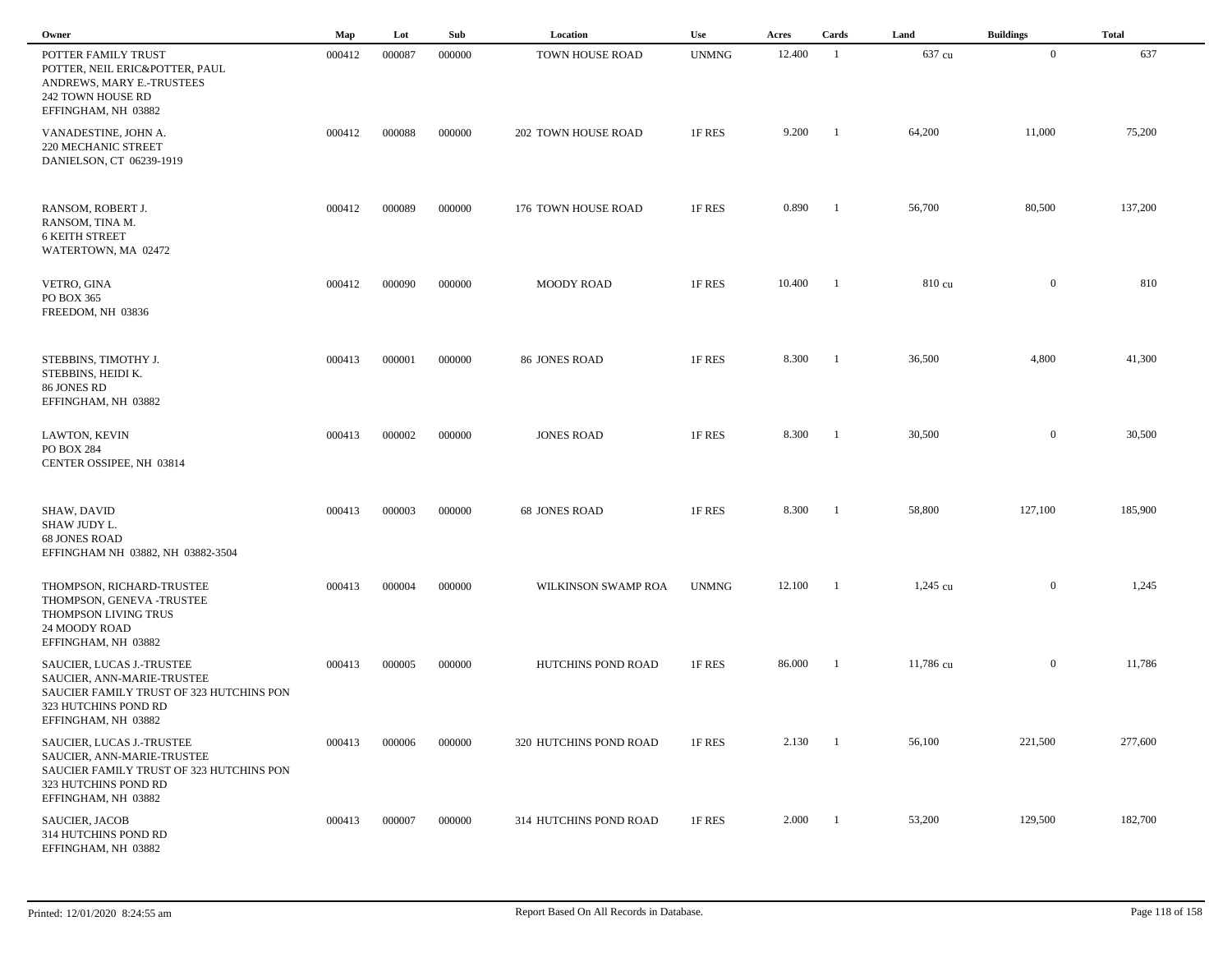| Owner                                                                                                                                              | Map    | Lot    | Sub    | Location               | Use          | Acres  | Cards          | Land               | <b>Buildings</b> | <b>Total</b> |  |
|----------------------------------------------------------------------------------------------------------------------------------------------------|--------|--------|--------|------------------------|--------------|--------|----------------|--------------------|------------------|--------------|--|
| POTTER FAMILY TRUST<br>POTTER, NEIL ERIC&POTTER, PAUL<br>ANDREWS, MARY E.-TRUSTEES<br>242 TOWN HOUSE RD<br>EFFINGHAM, NH 03882                     | 000412 | 000087 | 000000 | TOWN HOUSE ROAD        | <b>UNMNG</b> | 12.400 | -1             | 637 cu             | $\overline{0}$   | 637          |  |
| VANADESTINE, JOHN A.<br>220 MECHANIC STREET<br>DANIELSON, CT 06239-1919                                                                            | 000412 | 000088 | 000000 | 202 TOWN HOUSE ROAD    | 1F RES       | 9.200  | - 1            | 64,200             | 11,000           | 75,200       |  |
| RANSOM, ROBERT J.<br>RANSOM, TINA M.<br><b>6 KEITH STREET</b><br>WATERTOWN, MA 02472                                                               | 000412 | 000089 | 000000 | 176 TOWN HOUSE ROAD    | 1F RES       | 0.890  | $\blacksquare$ | 56,700             | 80,500           | 137,200      |  |
| VETRO, GINA<br>PO BOX 365<br>FREEDOM, NH 03836                                                                                                     | 000412 | 000090 | 000000 | <b>MOODY ROAD</b>      | 1F RES       | 10.400 | $\blacksquare$ | 810 cu             | $\overline{0}$   | 810          |  |
| STEBBINS, TIMOTHY J.<br>STEBBINS, HEIDI K.<br>86 JONES RD<br>EFFINGHAM, NH 03882                                                                   | 000413 | 000001 | 000000 | 86 JONES ROAD          | 1F RES       | 8.300  | - 1            | 36,500             | 4,800            | 41,300       |  |
| LAWTON, KEVIN<br>PO BOX 284<br>CENTER OSSIPEE, NH 03814                                                                                            | 000413 | 000002 | 000000 | <b>JONES ROAD</b>      | 1F RES       | 8.300  | - 1            | 30,500             | $\overline{0}$   | 30,500       |  |
| SHAW, DAVID<br>SHAW JUDY L.<br><b>68 JONES ROAD</b><br>EFFINGHAM NH 03882, NH 03882-3504                                                           | 000413 | 000003 | 000000 | <b>68 JONES ROAD</b>   | 1F RES       | 8.300  | - 1            | 58,800             | 127,100          | 185,900      |  |
| THOMPSON, RICHARD-TRUSTEE<br>THOMPSON, GENEVA -TRUSTEE<br>THOMPSON LIVING TRUS<br>24 MOODY ROAD<br>EFFINGHAM, NH 03882                             | 000413 | 000004 | 000000 | WILKINSON SWAMP ROA    | <b>UNMNG</b> | 12.100 | -1             | $1,245 \text{ cu}$ | $\overline{0}$   | 1,245        |  |
| SAUCIER, LUCAS J.-TRUSTEE<br>SAUCIER, ANN-MARIE-TRUSTEE<br>SAUCIER FAMILY TRUST OF 323 HUTCHINS PON<br>323 HUTCHINS POND RD<br>EFFINGHAM, NH 03882 | 000413 | 000005 | 000000 | HUTCHINS POND ROAD     | 1F RES       | 86.000 |                | 11,786 cu          | $\overline{0}$   | 11,786       |  |
| SAUCIER, LUCAS J.-TRUSTEE<br>SAUCIER, ANN-MARIE-TRUSTEE<br>SAUCIER FAMILY TRUST OF 323 HUTCHINS PON<br>323 HUTCHINS POND RD<br>EFFINGHAM, NH 03882 | 000413 | 000006 | 000000 | 320 HUTCHINS POND ROAD | 1F RES       | 2.130  | $\blacksquare$ | 56,100             | 221,500          | 277,600      |  |
| SAUCIER, JACOB<br>314 HUTCHINS POND RD<br>EFFINGHAM, NH 03882                                                                                      | 000413 | 000007 | 000000 | 314 HUTCHINS POND ROAD | 1F RES       | 2.000  | $\blacksquare$ | 53,200             | 129,500          | 182,700      |  |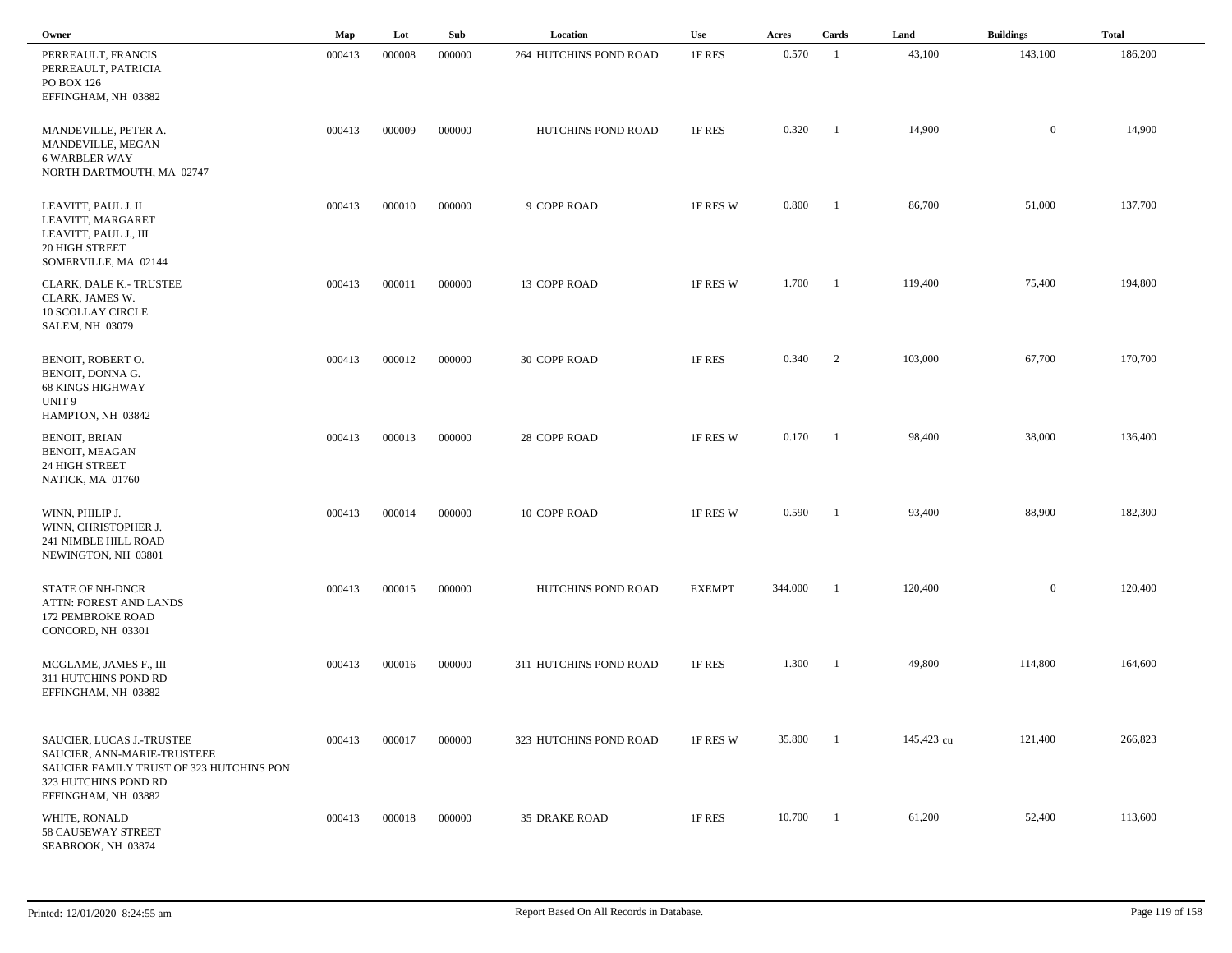| Owner                                                                                                                                               | Map    | Lot    | Sub    | Location               | <b>Use</b>    | Acres   | Cards                    | Land       | <b>Buildings</b> | <b>Total</b> |
|-----------------------------------------------------------------------------------------------------------------------------------------------------|--------|--------|--------|------------------------|---------------|---------|--------------------------|------------|------------------|--------------|
| PERREAULT, FRANCIS<br>PERREAULT, PATRICIA<br>PO BOX 126<br>EFFINGHAM, NH 03882                                                                      | 000413 | 000008 | 000000 | 264 HUTCHINS POND ROAD | 1F RES        | 0.570   | - 1                      | 43,100     | 143,100          | 186,200      |
| MANDEVILLE, PETER A.<br>MANDEVILLE, MEGAN<br><b>6 WARBLER WAY</b><br>NORTH DARTMOUTH, MA 02747                                                      | 000413 | 000009 | 000000 | HUTCHINS POND ROAD     | 1F RES        | 0.320   | -1                       | 14,900     | $\overline{0}$   | 14,900       |
| LEAVITT, PAUL J. II<br>LEAVITT, MARGARET<br>LEAVITT, PAUL J., III<br>20 HIGH STREET<br>SOMERVILLE, MA 02144                                         | 000413 | 000010 | 000000 | 9 COPP ROAD            | 1F RES W      | 0.800   | $\overline{\phantom{0}}$ | 86,700     | 51,000           | 137,700      |
| <b>CLARK, DALE K.- TRUSTEE</b><br>CLARK, JAMES W.<br><b>10 SCOLLAY CIRCLE</b><br><b>SALEM, NH 03079</b>                                             | 000413 | 000011 | 000000 | 13 COPP ROAD           | 1F RES W      | 1.700   | $\overline{\phantom{a}}$ | 119,400    | 75,400           | 194,800      |
| BENOIT, ROBERT O.<br>BENOIT, DONNA G.<br><b>68 KINGS HIGHWAY</b><br>UNIT <sub>9</sub><br>HAMPTON, NH 03842                                          | 000413 | 000012 | 000000 | 30 COPP ROAD           | 1F RES        | 0.340   | $\overline{2}$           | 103,000    | 67,700           | 170,700      |
| BENOIT, BRIAN<br>BENOIT, MEAGAN<br>24 HIGH STREET<br>NATICK, MA 01760                                                                               | 000413 | 000013 | 000000 | 28 COPP ROAD           | 1F RES W      | 0.170   | - 1                      | 98,400     | 38,000           | 136,400      |
| WINN, PHILIP J.<br>WINN, CHRISTOPHER J.<br>241 NIMBLE HILL ROAD<br>NEWINGTON, NH 03801                                                              | 000413 | 000014 | 000000 | 10 COPP ROAD           | 1F RES W      | 0.590   | - 1                      | 93,400     | 88,900           | 182,300      |
| <b>STATE OF NH-DNCR</b><br>ATTN: FOREST AND LANDS<br>172 PEMBROKE ROAD<br>CONCORD, NH 03301                                                         | 000413 | 000015 | 000000 | HUTCHINS POND ROAD     | <b>EXEMPT</b> | 344.000 | -1                       | 120,400    | $\overline{0}$   | 120,400      |
| MCGLAME, JAMES F., III<br>311 HUTCHINS POND RD<br>EFFINGHAM, NH 03882                                                                               | 000413 | 000016 | 000000 | 311 HUTCHINS POND ROAD | 1F RES        | 1.300   | $\overline{\phantom{0}}$ | 49,800     | 114,800          | 164,600      |
| SAUCIER, LUCAS J.-TRUSTEE<br>SAUCIER, ANN-MARIE-TRUSTEEE<br>SAUCIER FAMILY TRUST OF 323 HUTCHINS PON<br>323 HUTCHINS POND RD<br>EFFINGHAM, NH 03882 | 000413 | 000017 | 000000 | 323 HUTCHINS POND ROAD | 1F RES W      | 35.800  | $\overline{\phantom{0}}$ | 145,423 cu | 121,400          | 266,823      |
| WHITE, RONALD<br>58 CAUSEWAY STREET<br>SEABROOK, NH 03874                                                                                           | 000413 | 000018 | 000000 | 35 DRAKE ROAD          | 1F RES        | 10.700  | $\blacksquare$           | 61,200     | 52,400           | 113,600      |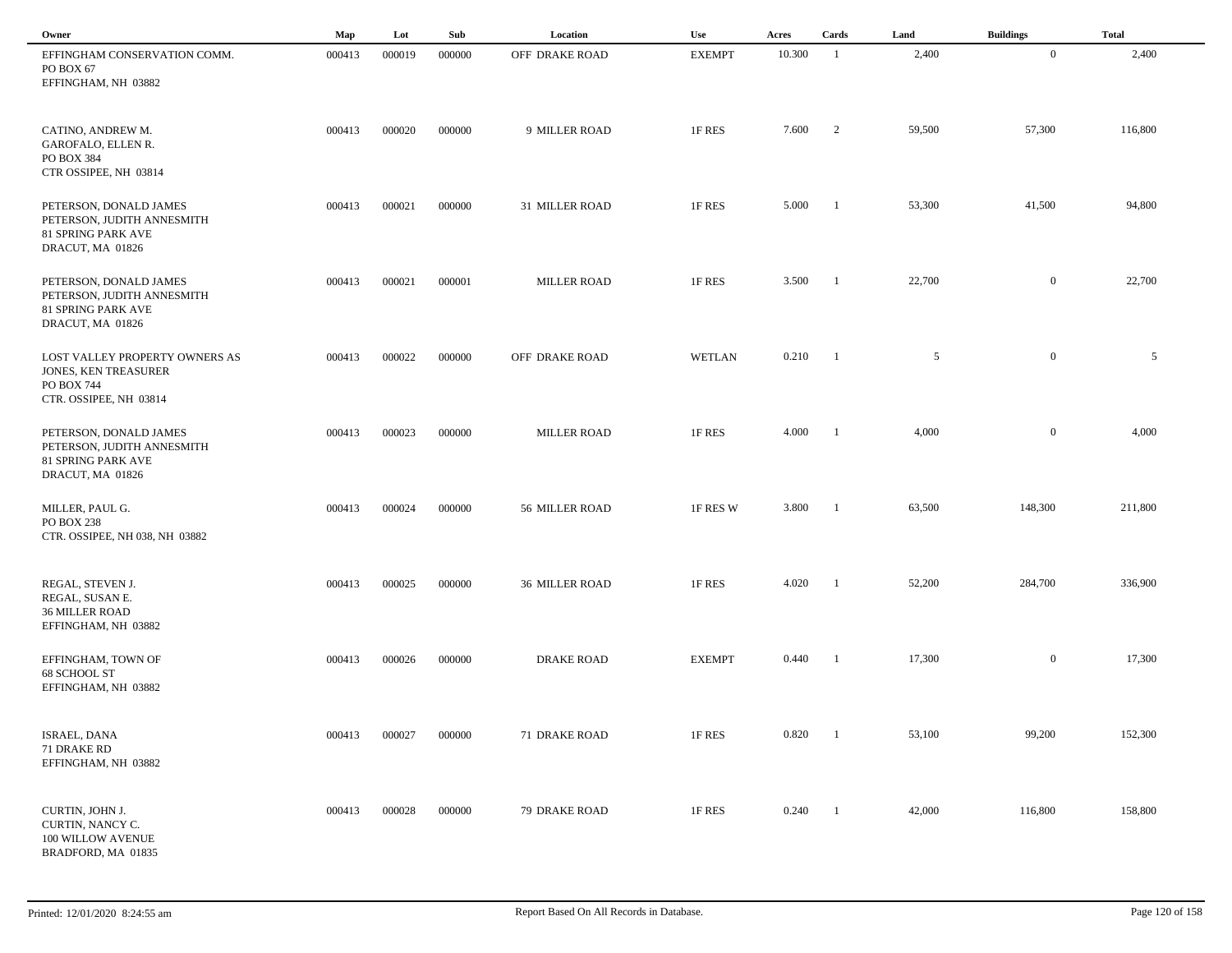| Owner                                                                                                        | Map    | Lot    | Sub    | Location              | Use           | Acres            | Cards                    | Land   | <b>Buildings</b> | <b>Total</b> |  |
|--------------------------------------------------------------------------------------------------------------|--------|--------|--------|-----------------------|---------------|------------------|--------------------------|--------|------------------|--------------|--|
| EFFINGHAM CONSERVATION COMM.<br>PO BOX 67<br>EFFINGHAM, NH 03882                                             | 000413 | 000019 | 000000 | OFF DRAKE ROAD        | <b>EXEMPT</b> | 10.300           | -1                       | 2,400  | $\overline{0}$   | 2,400        |  |
| CATINO, ANDREW M.<br>GAROFALO, ELLEN R.<br>PO BOX 384<br>CTR OSSIPEE, NH 03814                               | 000413 | 000020 | 000000 | 9 MILLER ROAD         | 1F RES        | 7.600            | $\overline{\phantom{a}}$ | 59,500 | 57,300           | 116,800      |  |
| PETERSON, DONALD JAMES<br>PETERSON, JUDITH ANNESMITH<br>81 SPRING PARK AVE<br>DRACUT, MA 01826               | 000413 | 000021 | 000000 | 31 MILLER ROAD        | 1F RES        | 5.000            | -1                       | 53,300 | 41,500           | 94,800       |  |
| PETERSON, DONALD JAMES<br>PETERSON, JUDITH ANNESMITH<br>81 SPRING PARK AVE<br>DRACUT, MA 01826               | 000413 | 000021 | 000001 | <b>MILLER ROAD</b>    | 1F RES        | 3.500            | - 1                      | 22,700 | $\overline{0}$   | 22,700       |  |
| LOST VALLEY PROPERTY OWNERS AS<br><b>JONES, KEN TREASURER</b><br><b>PO BOX 744</b><br>CTR. OSSIPEE, NH 03814 | 000413 | 000022 | 000000 | OFF DRAKE ROAD        | WETLAN        | $0.210 \qquad 1$ |                          | 5      | $\mathbf{0}$     | 5            |  |
| PETERSON, DONALD JAMES<br>PETERSON, JUDITH ANNESMITH<br><b>81 SPRING PARK AVE</b><br>DRACUT, MA 01826        | 000413 | 000023 | 000000 | <b>MILLER ROAD</b>    | 1F RES        | 4.000            | - 1                      | 4,000  | $\mathbf{0}$     | 4,000        |  |
| MILLER, PAUL G.<br>PO BOX 238<br>CTR. OSSIPEE, NH 038, NH 03882                                              | 000413 | 000024 | 000000 | 56 MILLER ROAD        | 1F RES W      | 3.800            | - 1                      | 63,500 | 148,300          | 211,800      |  |
| REGAL, STEVEN J.<br>REGAL, SUSAN E.<br><b>36 MILLER ROAD</b><br>EFFINGHAM, NH 03882                          | 000413 | 000025 | 000000 | <b>36 MILLER ROAD</b> | 1F RES        | 4.020            |                          | 52,200 | 284,700          | 336,900      |  |
| EFFINGHAM, TOWN OF<br>68 SCHOOL ST<br>EFFINGHAM, NH 03882                                                    | 000413 | 000026 | 000000 | <b>DRAKE ROAD</b>     | <b>EXEMPT</b> | 0.440            | - 1                      | 17,300 | $\mathbf{0}$     | 17,300       |  |
| ISRAEL, DANA<br>71 DRAKE RD<br>EFFINGHAM, NH 03882                                                           | 000413 | 000027 | 000000 | 71 DRAKE ROAD         | 1F RES        | 0.820            | $\blacksquare$           | 53,100 | 99,200           | 152,300      |  |
| CURTIN, JOHN J.<br>CURTIN, NANCY C.<br>100 WILLOW AVENUE<br>BRADFORD, MA 01835                               | 000413 | 000028 | 000000 | 79 DRAKE ROAD         | 1F RES        | 0.240            | $\blacksquare$           | 42,000 | 116,800          | 158,800      |  |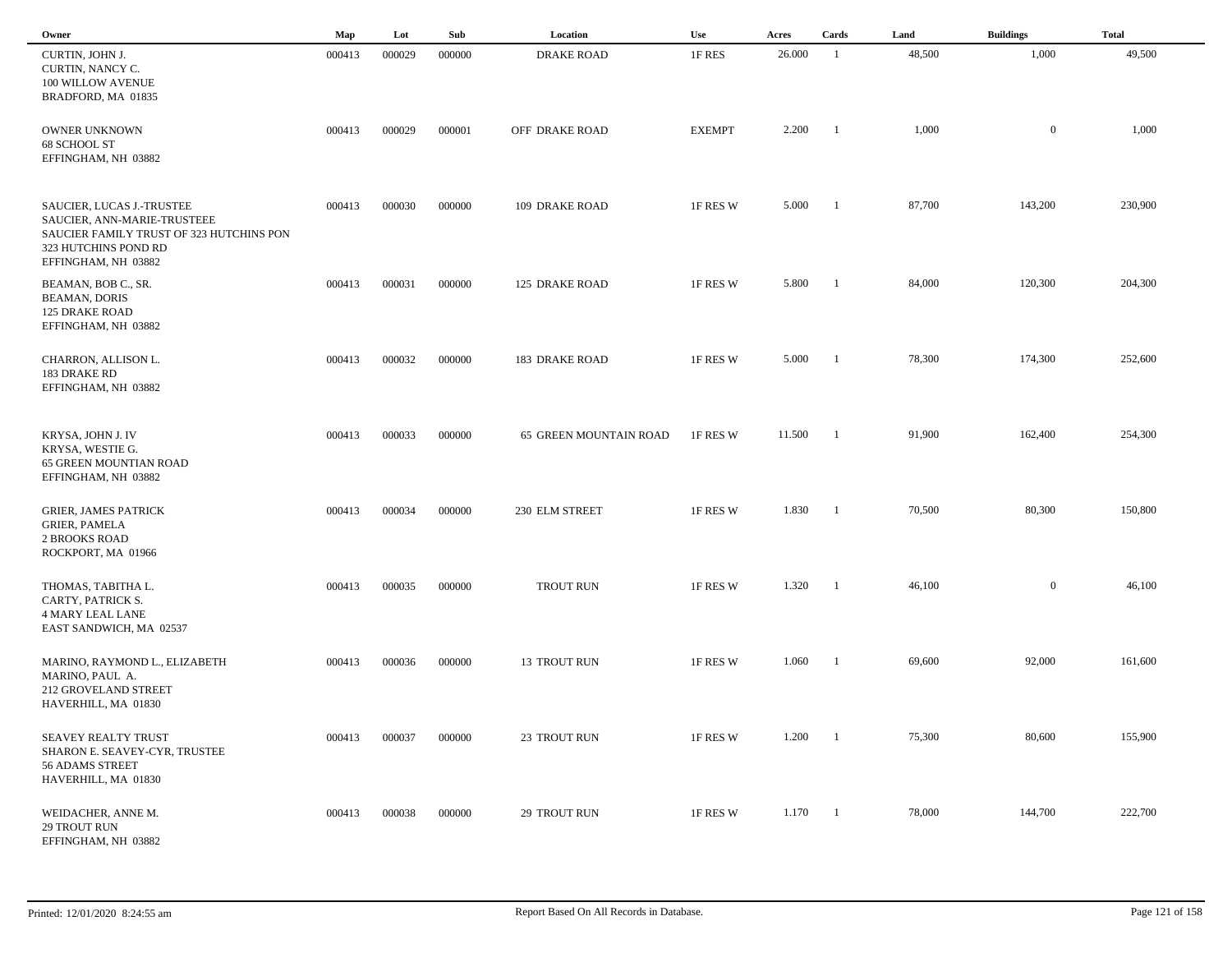| Owner                                                                                                                                               | Map    | Lot    | Sub    | Location               | Use           | Acres  | Cards          | Land   | <b>Buildings</b> | <b>Total</b> |
|-----------------------------------------------------------------------------------------------------------------------------------------------------|--------|--------|--------|------------------------|---------------|--------|----------------|--------|------------------|--------------|
| CURTIN, JOHN J.<br>CURTIN, NANCY C.<br>100 WILLOW AVENUE<br>BRADFORD, MA 01835                                                                      | 000413 | 000029 | 000000 | <b>DRAKE ROAD</b>      | 1F RES        | 26.000 | -1             | 48,500 | 1,000            | 49,500       |
| OWNER UNKNOWN<br>68 SCHOOL ST<br>EFFINGHAM, NH 03882                                                                                                | 000413 | 000029 | 000001 | OFF DRAKE ROAD         | <b>EXEMPT</b> | 2.200  | -1             | 1,000  | $\mathbf{0}$     | 1,000        |
| SAUCIER, LUCAS J.-TRUSTEE<br>SAUCIER, ANN-MARIE-TRUSTEEE<br>SAUCIER FAMILY TRUST OF 323 HUTCHINS PON<br>323 HUTCHINS POND RD<br>EFFINGHAM, NH 03882 | 000413 | 000030 | 000000 | 109 DRAKE ROAD         | 1F RES W      | 5.000  | -1             | 87,700 | 143,200          | 230,900      |
| BEAMAN, BOB C., SR.<br><b>BEAMAN, DORIS</b><br><b>125 DRAKE ROAD</b><br>EFFINGHAM, NH 03882                                                         | 000413 | 000031 | 000000 | <b>125 DRAKE ROAD</b>  | 1F RES W      | 5.800  | - 1            | 84,000 | 120,300          | 204,300      |
| CHARRON, ALLISON L.<br>183 DRAKE RD<br>EFFINGHAM, NH 03882                                                                                          | 000413 | 000032 | 000000 | <b>183 DRAKE ROAD</b>  | 1F RES W      | 5.000  | -1             | 78,300 | 174,300          | 252,600      |
| KRYSA, JOHN J. IV<br>KRYSA, WESTIE G.<br>65 GREEN MOUNTIAN ROAD<br>EFFINGHAM, NH 03882                                                              | 000413 | 000033 | 000000 | 65 GREEN MOUNTAIN ROAD | 1F RES W      | 11.500 | - 1            | 91,900 | 162,400          | 254,300      |
| <b>GRIER, JAMES PATRICK</b><br><b>GRIER, PAMELA</b><br><b>2 BROOKS ROAD</b><br>ROCKPORT, MA 01966                                                   | 000413 | 000034 | 000000 | 230 ELM STREET         | 1F RES W      | 1.830  | - 1            | 70,500 | 80,300           | 150,800      |
| THOMAS, TABITHA L.<br>CARTY, PATRICK S.<br><b>4 MARY LEAL LANE</b><br>EAST SANDWICH, MA 02537                                                       | 000413 | 000035 | 000000 | <b>TROUT RUN</b>       | 1F RES W      | 1.320  | - 1            | 46,100 | $\overline{0}$   | 46,100       |
| MARINO, RAYMOND L., ELIZABETH<br>MARINO, PAUL A.<br>212 GROVELAND STREET<br>HAVERHILL, MA 01830                                                     | 000413 | 000036 | 000000 | 13 TROUT RUN           | 1F RES W      | 1.060  | -1             | 69,600 | 92,000           | 161,600      |
| SEAVEY REALTY TRUST<br>SHARON E. SEAVEY-CYR, TRUSTEE<br>56 ADAMS STREET<br>HAVERHILL, MA 01830                                                      | 000413 | 000037 | 000000 | 23 TROUT RUN           | 1F RES W      | 1.200  |                | 75,300 | 80,600           | 155,900      |
| WEIDACHER, ANNE M.<br>29 TROUT RUN<br>EFFINGHAM, NH 03882                                                                                           | 000413 | 000038 | 000000 | 29 TROUT RUN           | 1F RES W      | 1.170  | $\blacksquare$ | 78,000 | 144,700          | 222,700      |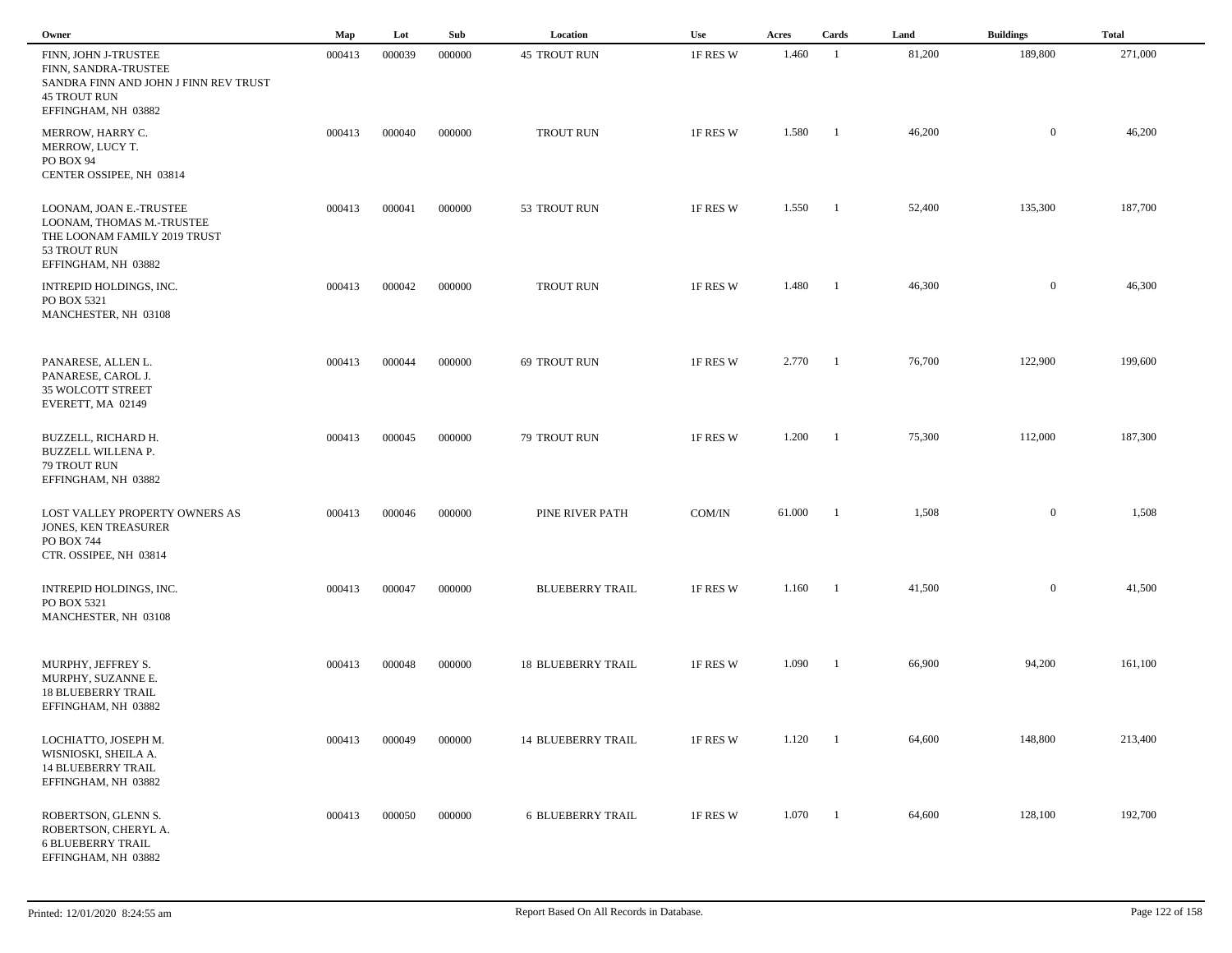| Owner                                                                                                                               | Map    | Lot    | Sub    | Location                  | Use      | Acres  | Cards          | Land   | <b>Buildings</b> | <b>Total</b> |  |
|-------------------------------------------------------------------------------------------------------------------------------------|--------|--------|--------|---------------------------|----------|--------|----------------|--------|------------------|--------------|--|
| FINN, JOHN J-TRUSTEE<br>FINN, SANDRA-TRUSTEE<br>SANDRA FINN AND JOHN J FINN REV TRUST<br><b>45 TROUT RUN</b><br>EFFINGHAM, NH 03882 | 000413 | 000039 | 000000 | <b>45 TROUT RUN</b>       | 1F RES W | 1.460  | -1             | 81,200 | 189,800          | 271,000      |  |
| MERROW, HARRY C.<br>MERROW, LUCY T.<br>PO BOX 94<br>CENTER OSSIPEE, NH 03814                                                        | 000413 | 000040 | 000000 | <b>TROUT RUN</b>          | 1F RES W | 1.580  | -1             | 46,200 | $\overline{0}$   | 46,200       |  |
| LOONAM, JOAN E.-TRUSTEE<br>LOONAM, THOMAS M.-TRUSTEE<br>THE LOONAM FAMILY 2019 TRUST<br>53 TROUT RUN<br>EFFINGHAM, NH 03882         | 000413 | 000041 | 000000 | 53 TROUT RUN              | 1F RES W | 1.550  | $\overline{1}$ | 52,400 | 135,300          | 187,700      |  |
| INTREPID HOLDINGS, INC.<br>PO BOX 5321<br>MANCHESTER, NH 03108                                                                      | 000413 | 000042 | 000000 | <b>TROUT RUN</b>          | 1F RES W | 1.480  | -1             | 46,300 | $\overline{0}$   | 46,300       |  |
| PANARESE, ALLEN L.<br>PANARESE, CAROL J.<br>35 WOLCOTT STREET<br>EVERETT, MA 02149                                                  | 000413 | 000044 | 000000 | 69 TROUT RUN              | 1F RES W | 2.770  | $\blacksquare$ | 76,700 | 122,900          | 199,600      |  |
| BUZZELL, RICHARD H.<br><b>BUZZELL WILLENA P.</b><br>79 TROUT RUN<br>EFFINGHAM, NH 03882                                             | 000413 | 000045 | 000000 | 79 TROUT RUN              | 1F RES W | 1.200  | - 1            | 75,300 | 112,000          | 187,300      |  |
| LOST VALLEY PROPERTY OWNERS AS<br>JONES, KEN TREASURER<br>PO BOX 744<br>CTR. OSSIPEE, NH 03814                                      | 000413 | 000046 | 000000 | PINE RIVER PATH           | COM/IN   | 61.000 | -1             | 1,508  | $\overline{0}$   | 1,508        |  |
| INTREPID HOLDINGS, INC.<br>PO BOX 5321<br>MANCHESTER, NH 03108                                                                      | 000413 | 000047 | 000000 | <b>BLUEBERRY TRAIL</b>    | 1F RES W | 1.160  | - 1            | 41,500 | $\mathbf{0}$     | 41,500       |  |
| MURPHY, JEFFREY S.<br>MURPHY, SUZANNE E.<br><b>18 BLUEBERRY TRAIL</b><br>EFFINGHAM, NH 03882                                        | 000413 | 000048 | 000000 | <b>18 BLUEBERRY TRAIL</b> | 1F RES W | 1.090  | - 1            | 66,900 | 94,200           | 161,100      |  |
| LOCHIATTO, JOSEPH M.<br>WISNIOSKI, SHEILA A.<br><b>14 BLUEBERRY TRAIL</b><br>EFFINGHAM, NH 03882                                    | 000413 | 000049 | 000000 | <b>14 BLUEBERRY TRAIL</b> | 1F RES W | 1.120  | - 1            | 64,600 | 148,800          | 213,400      |  |
| ROBERTSON, GLENN S.<br>ROBERTSON, CHERYL A.<br><b>6 BLUEBERRY TRAIL</b><br>EFFINGHAM, NH 03882                                      | 000413 | 000050 | 000000 | <b>6 BLUEBERRY TRAIL</b>  | 1F RES W | 1.070  | $\blacksquare$ | 64,600 | 128,100          | 192,700      |  |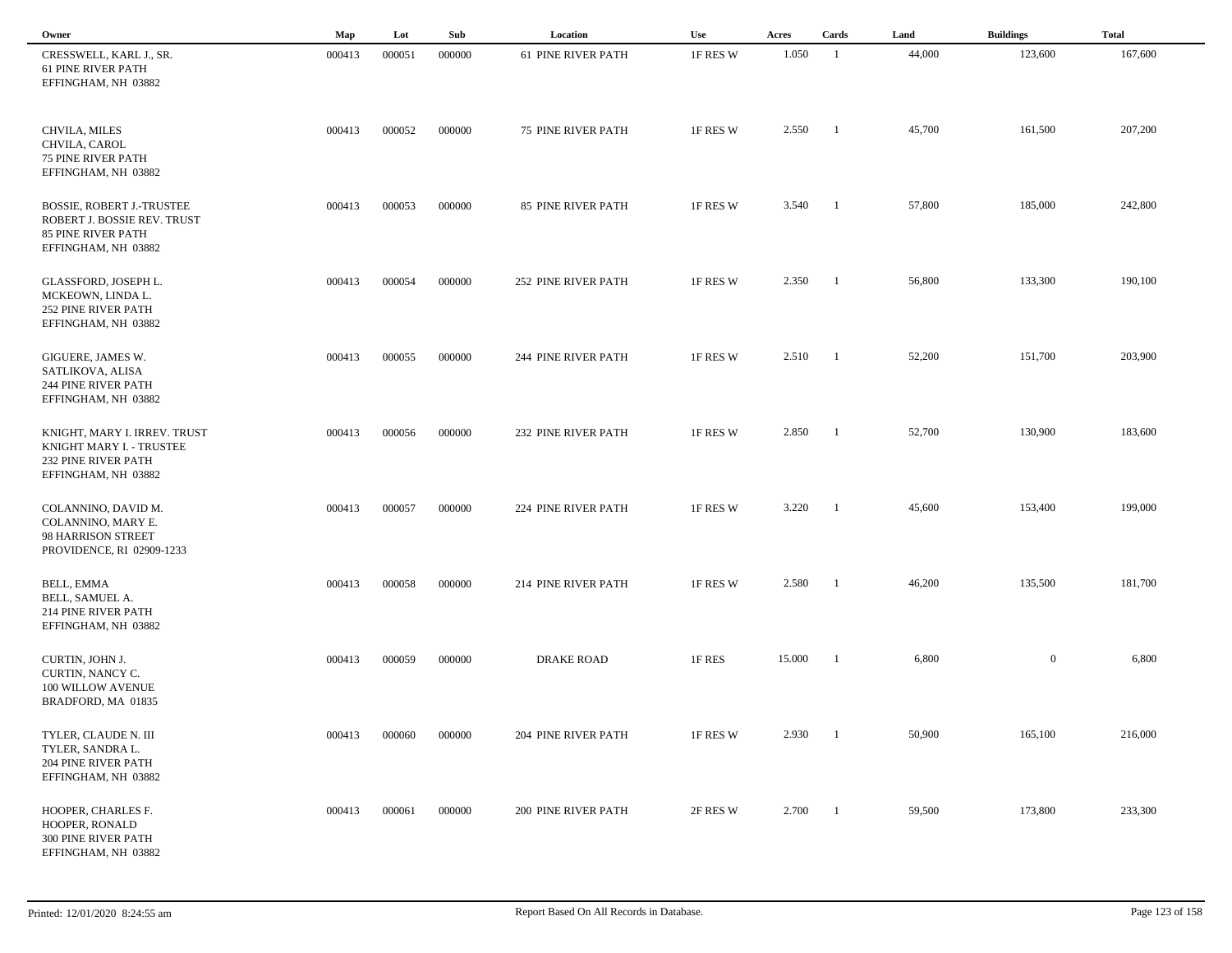| Owner                                                                                                               | Map    | Lot    | Sub    | Location                  | Use      | Acres       | Cards          | Land   | <b>Buildings</b> | <b>Total</b> |
|---------------------------------------------------------------------------------------------------------------------|--------|--------|--------|---------------------------|----------|-------------|----------------|--------|------------------|--------------|
| CRESSWELL, KARL J., SR.<br><b>61 PINE RIVER PATH</b><br>EFFINGHAM, NH 03882                                         | 000413 | 000051 | 000000 | <b>61 PINE RIVER PATH</b> | 1F RES W | 1.050       | -1             | 44,000 | 123,600          | 167,600      |
| CHVILA, MILES<br>CHVILA, CAROL<br><b>75 PINE RIVER PATH</b><br>EFFINGHAM, NH 03882                                  | 000413 | 000052 | 000000 | 75 PINE RIVER PATH        | 1F RES W | 2.550       | -1             | 45,700 | 161,500          | 207,200      |
| <b>BOSSIE, ROBERT J.-TRUSTEE</b><br>ROBERT J. BOSSIE REV. TRUST<br><b>85 PINE RIVER PATH</b><br>EFFINGHAM, NH 03882 | 000413 | 000053 | 000000 | 85 PINE RIVER PATH        | 1F RES W | 3.540       | -1             | 57,800 | 185,000          | 242,800      |
| GLASSFORD, JOSEPH L.<br>MCKEOWN, LINDA L.<br><b>252 PINE RIVER PATH</b><br>EFFINGHAM, NH 03882                      | 000413 | 000054 | 000000 | 252 PINE RIVER PATH       | 1F RES W | 2.350       | -1             | 56,800 | 133,300          | 190,100      |
| GIGUERE, JAMES W.<br>SATLIKOVA, ALISA<br>244 PINE RIVER PATH<br>EFFINGHAM, NH 03882                                 | 000413 | 000055 | 000000 | 244 PINE RIVER PATH       | 1F RES W | $2.510 \t1$ |                | 52,200 | 151,700          | 203,900      |
| KNIGHT, MARY I. IRREV. TRUST<br>KNIGHT MARY I. - TRUSTEE<br>232 PINE RIVER PATH<br>EFFINGHAM, NH 03882              | 000413 | 000056 | 000000 | 232 PINE RIVER PATH       | 1F RES W | 2.850       | -1             | 52,700 | 130,900          | 183,600      |
| COLANNINO, DAVID M.<br>COLANNINO, MARY E.<br>98 HARRISON STREET<br>PROVIDENCE, RI 02909-1233                        | 000413 | 000057 | 000000 | 224 PINE RIVER PATH       | 1F RES W | 3.220       | -1             | 45,600 | 153,400          | 199,000      |
| <b>BELL, EMMA</b><br>BELL, SAMUEL A.<br>214 PINE RIVER PATH<br>EFFINGHAM, NH 03882                                  | 000413 | 000058 | 000000 | 214 PINE RIVER PATH       | 1F RES W | 2.580       |                | 46,200 | 135,500          | 181,700      |
| CURTIN, JOHN J.<br>CURTIN, NANCY C.<br>100 WILLOW AVENUE<br>BRADFORD, MA 01835                                      | 000413 | 000059 | 000000 | <b>DRAKE ROAD</b>         | 1F RES   | 15.000      |                | 6,800  | $\boldsymbol{0}$ | 6,800        |
| TYLER, CLAUDE N. III<br>TYLER, SANDRA L.<br>204 PINE RIVER PATH<br>EFFINGHAM, NH 03882                              | 000413 | 000060 | 000000 | 204 PINE RIVER PATH       | 1F RES W | 2.930       | $\blacksquare$ | 50,900 | 165,100          | 216,000      |
| HOOPER, CHARLES F.<br>HOOPER, RONALD<br>300 PINE RIVER PATH<br>EFFINGHAM, NH 03882                                  | 000413 | 000061 | 000000 | 200 PINE RIVER PATH       | 2F RES W | 2.700       | $\blacksquare$ | 59,500 | 173,800          | 233,300      |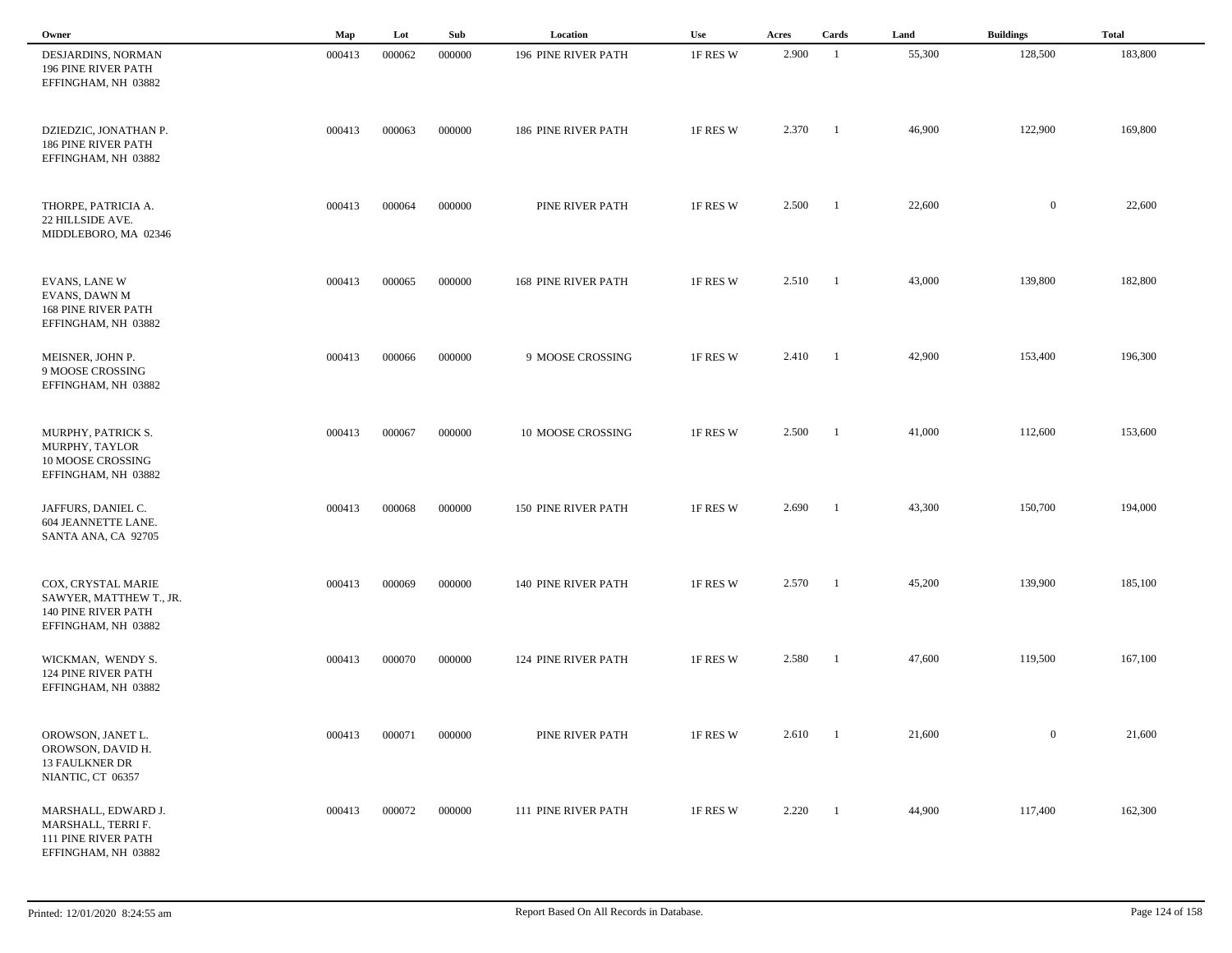| Owner                                                                                          | Map    | Lot    | Sub    | Location                   | <b>Use</b> | Acres | Cards                    | Land   | <b>Buildings</b> | <b>Total</b> |
|------------------------------------------------------------------------------------------------|--------|--------|--------|----------------------------|------------|-------|--------------------------|--------|------------------|--------------|
| DESJARDINS, NORMAN<br>196 PINE RIVER PATH<br>EFFINGHAM, NH 03882                               | 000413 | 000062 | 000000 | 196 PINE RIVER PATH        | 1F RES W   | 2.900 | -1                       | 55,300 | 128,500          | 183,800      |
| DZIEDZIC, JONATHAN P.<br><b>186 PINE RIVER PATH</b><br>EFFINGHAM, NH 03882                     | 000413 | 000063 | 000000 | 186 PINE RIVER PATH        | 1F RES W   | 2.370 | -1                       | 46,900 | 122,900          | 169,800      |
| THORPE, PATRICIA A.<br>22 HILLSIDE AVE.<br>MIDDLEBORO, MA 02346                                | 000413 | 000064 | 000000 | PINE RIVER PATH            | 1F RES W   | 2.500 | $\overline{\phantom{a}}$ | 22,600 | $\overline{0}$   | 22,600       |
| <b>EVANS, LANE W</b><br>EVANS, DAWN M<br><b>168 PINE RIVER PATH</b><br>EFFINGHAM, NH 03882     | 000413 | 000065 | 000000 | <b>168 PINE RIVER PATH</b> | 1F RES W   | 2.510 | $\blacksquare$           | 43,000 | 139,800          | 182,800      |
| MEISNER, JOHN P.<br>9 MOOSE CROSSING<br>EFFINGHAM, NH 03882                                    | 000413 | 000066 | 000000 | 9 MOOSE CROSSING           | 1F RES W   | 2.410 | $\blacksquare$           | 42,900 | 153,400          | 196,300      |
| MURPHY, PATRICK S.<br>MURPHY, TAYLOR<br>10 MOOSE CROSSING<br>EFFINGHAM, NH 03882               | 000413 | 000067 | 000000 | 10 MOOSE CROSSING          | 1F RES W   | 2.500 | $\blacksquare$           | 41,000 | 112,600          | 153,600      |
| JAFFURS, DANIEL C.<br>604 JEANNETTE LANE.<br>SANTA ANA, CA 92705                               | 000413 | 000068 | 000000 | 150 PINE RIVER PATH        | 1F RES W   | 2.690 | - 1                      | 43,300 | 150,700          | 194,000      |
| COX, CRYSTAL MARIE<br>SAWYER, MATTHEW T., JR.<br>140 PINE RIVER PATH<br>EFFINGHAM, NH 03882    | 000413 | 000069 | 000000 | 140 PINE RIVER PATH        | 1F RES W   | 2.570 | $\overline{1}$           | 45,200 | 139,900          | 185,100      |
| WICKMAN, WENDY S.<br><b>124 PINE RIVER PATH</b><br>EFFINGHAM, NH 03882                         | 000413 | 000070 | 000000 | 124 PINE RIVER PATH        | 1F RES W   | 2.580 | $\overline{1}$           | 47,600 | 119,500          | 167,100      |
| OROWSON, JANET L.<br>OROWSON, DAVID H.<br><b>13 FAULKNER DR</b><br>NIANTIC, CT 06357           | 000413 | 000071 | 000000 | PINE RIVER PATH            | 1F RES W   | 2.610 | $\overline{1}$           | 21,600 | $\bf{0}$         | 21,600       |
| MARSHALL, EDWARD J.<br>MARSHALL, TERRI F.<br><b>111 PINE RIVER PATH</b><br>EFFINGHAM, NH 03882 | 000413 | 000072 | 000000 | 111 PINE RIVER PATH        | 1F RES W   | 2.220 | $\overline{1}$           | 44,900 | 117,400          | 162,300      |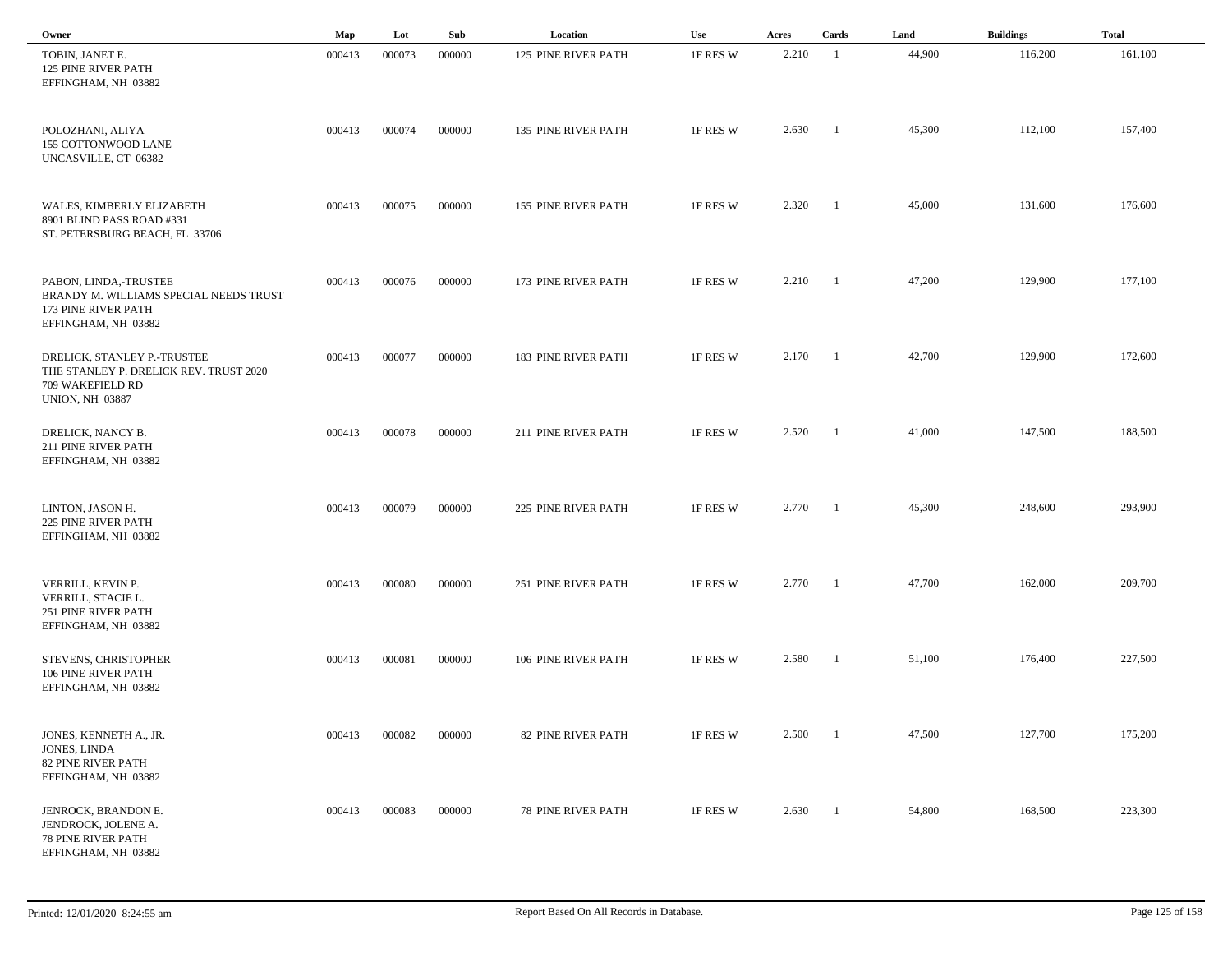| Owner                                                                                                               | Map    | Lot    | Sub    | Location                   | Use      | Acres | Cards                    | Land   | <b>Buildings</b> | <b>Total</b> |
|---------------------------------------------------------------------------------------------------------------------|--------|--------|--------|----------------------------|----------|-------|--------------------------|--------|------------------|--------------|
| TOBIN, JANET E.<br><b>125 PINE RIVER PATH</b><br>EFFINGHAM, NH 03882                                                | 000413 | 000073 | 000000 | 125 PINE RIVER PATH        | 1F RES W | 2.210 | -1                       | 44,900 | 116,200          | 161,100      |
| POLOZHANI, ALIYA<br>155 COTTONWOOD LANE<br>UNCASVILLE, CT 06382                                                     | 000413 | 000074 | 000000 | 135 PINE RIVER PATH        | 1F RES W | 2.630 | $\overline{\phantom{a}}$ | 45,300 | 112,100          | 157,400      |
| WALES, KIMBERLY ELIZABETH<br>8901 BLIND PASS ROAD #331<br>ST. PETERSBURG BEACH, FL 33706                            | 000413 | 000075 | 000000 | 155 PINE RIVER PATH        | 1F RES W | 2.320 | $\blacksquare$           | 45,000 | 131,600          | 176,600      |
| PABON, LINDA,-TRUSTEE<br>BRANDY M. WILLIAMS SPECIAL NEEDS TRUST<br>173 PINE RIVER PATH<br>EFFINGHAM, NH 03882       | 000413 | 000076 | 000000 | 173 PINE RIVER PATH        | 1F RES W | 2.210 | $\blacksquare$           | 47,200 | 129,900          | 177,100      |
| DRELICK, STANLEY P.-TRUSTEE<br>THE STANLEY P. DRELICK REV. TRUST 2020<br>709 WAKEFIELD RD<br><b>UNION, NH 03887</b> | 000413 | 000077 | 000000 | <b>183 PINE RIVER PATH</b> | 1F RES W | 2.170 | $\blacksquare$           | 42,700 | 129,900          | 172,600      |
| DRELICK, NANCY B.<br>211 PINE RIVER PATH<br>EFFINGHAM, NH 03882                                                     | 000413 | 000078 | 000000 | 211 PINE RIVER PATH        | 1F RES W | 2.520 | $\overline{\phantom{a}}$ | 41,000 | 147,500          | 188,500      |
| LINTON, JASON H.<br><b>225 PINE RIVER PATH</b><br>EFFINGHAM, NH 03882                                               | 000413 | 000079 | 000000 | 225 PINE RIVER PATH        | 1F RES W | 2.770 | $\blacksquare$           | 45,300 | 248,600          | 293,900      |
| VERRILL, KEVIN P.<br>VERRILL, STACIE L.<br>251 PINE RIVER PATH<br>EFFINGHAM, NH 03882                               | 000413 | 000080 | 000000 | 251 PINE RIVER PATH        | 1F RES W | 2.770 | $\overline{\phantom{a}}$ | 47,700 | 162,000          | 209,700      |
| STEVENS, CHRISTOPHER<br>106 PINE RIVER PATH<br>EFFINGHAM, NH 03882                                                  | 000413 | 000081 | 000000 | 106 PINE RIVER PATH        | 1F RES W | 2.580 | - 1                      | 51,100 | 176,400          | 227,500      |
| JONES, KENNETH A., JR.<br>JONES, LINDA<br><b>82 PINE RIVER PATH</b><br>EFFINGHAM, NH 03882                          | 000413 | 000082 | 000000 | 82 PINE RIVER PATH         | 1F RES W | 2.500 | $\overline{1}$           | 47,500 | 127,700          | 175,200      |
| JENROCK, BRANDON E.<br>JENDROCK, JOLENE A.<br>78 PINE RIVER PATH<br>EFFINGHAM, NH 03882                             | 000413 | 000083 | 000000 | <b>78 PINE RIVER PATH</b>  | 1F RES W | 2.630 | $\overline{1}$           | 54,800 | 168,500          | 223,300      |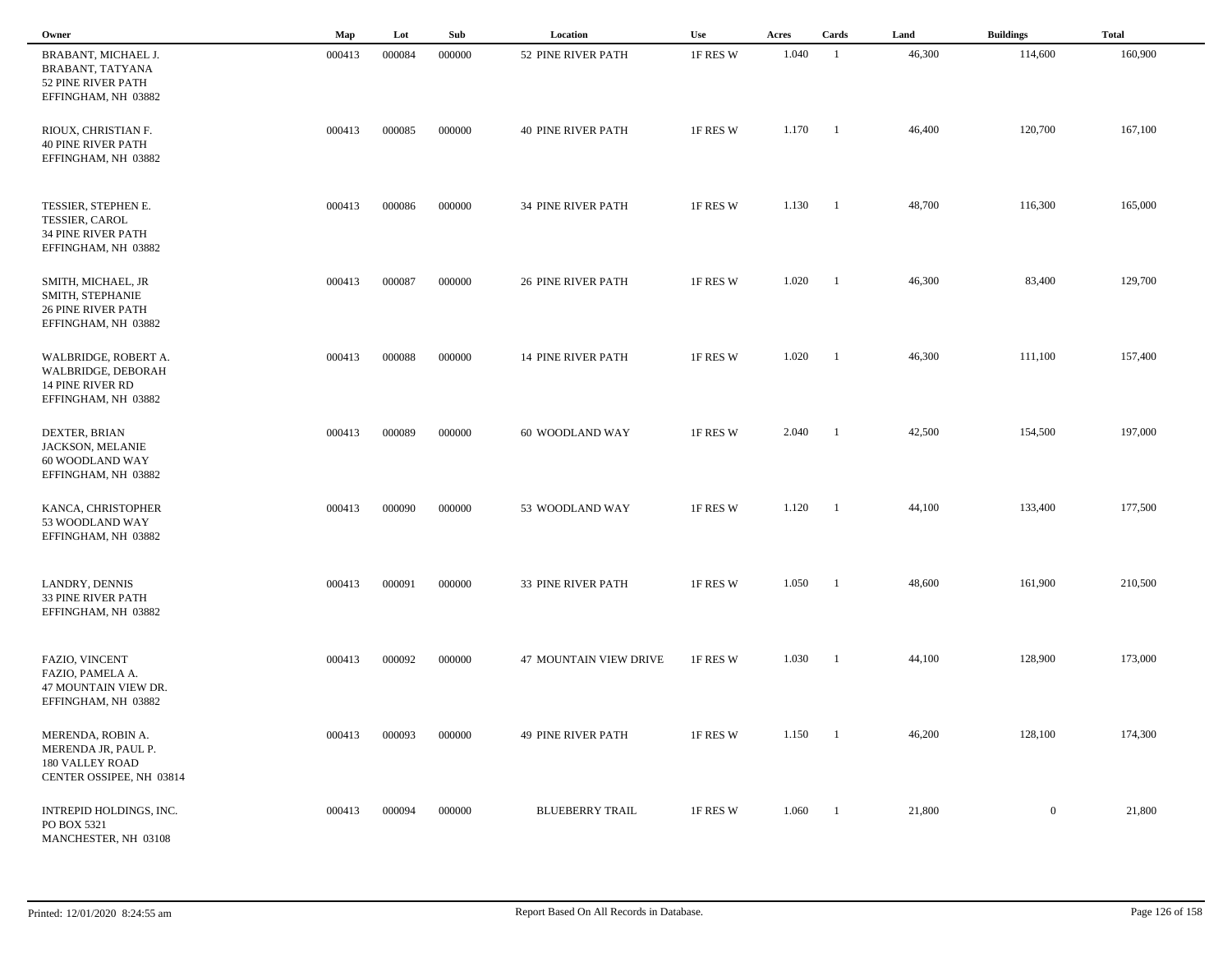| Owner                                                                                            | Map    | Lot    | Sub    | Location                      | <b>Use</b> | Acres | Cards                    | Land   | <b>Buildings</b> | <b>Total</b> |
|--------------------------------------------------------------------------------------------------|--------|--------|--------|-------------------------------|------------|-------|--------------------------|--------|------------------|--------------|
| BRABANT, MICHAEL J.<br>BRABANT, TATYANA<br>52 PINE RIVER PATH<br>EFFINGHAM, NH 03882             | 000413 | 000084 | 000000 | 52 PINE RIVER PATH            | 1F RES W   | 1.040 | -1                       | 46,300 | 114,600          | 160,900      |
| RIOUX, CHRISTIAN F.<br><b>40 PINE RIVER PATH</b><br>EFFINGHAM, NH 03882                          | 000413 | 000085 | 000000 | <b>40 PINE RIVER PATH</b>     | 1F RES W   | 1.170 | - 1                      | 46,400 | 120,700          | 167,100      |
| TESSIER, STEPHEN E.<br><b>TESSIER, CAROL</b><br><b>34 PINE RIVER PATH</b><br>EFFINGHAM, NH 03882 | 000413 | 000086 | 000000 | <b>34 PINE RIVER PATH</b>     | 1F RES W   | 1.130 | $\overline{\phantom{a}}$ | 48,700 | 116,300          | 165,000      |
| SMITH, MICHAEL, JR<br>SMITH, STEPHANIE<br><b>26 PINE RIVER PATH</b><br>EFFINGHAM, NH 03882       | 000413 | 000087 | 000000 | <b>26 PINE RIVER PATH</b>     | 1F RES W   | 1.020 | $\overline{1}$           | 46,300 | 83,400           | 129,700      |
| WALBRIDGE, ROBERT A.<br>WALBRIDGE, DEBORAH<br><b>14 PINE RIVER RD</b><br>EFFINGHAM, NH 03882     | 000413 | 000088 | 000000 | <b>14 PINE RIVER PATH</b>     | 1F RES W   | 1.020 | $\blacksquare$           | 46,300 | 111,100          | 157,400      |
| DEXTER, BRIAN<br>JACKSON, MELANIE<br>60 WOODLAND WAY<br>EFFINGHAM, NH 03882                      | 000413 | 000089 | 000000 | 60 WOODLAND WAY               | 1F RES W   | 2.040 | $\overline{\phantom{a}}$ | 42,500 | 154,500          | 197,000      |
| KANCA, CHRISTOPHER<br>53 WOODLAND WAY<br>EFFINGHAM, NH 03882                                     | 000413 | 000090 | 000000 | 53 WOODLAND WAY               | 1F RES W   | 1.120 | $\overline{\phantom{0}}$ | 44,100 | 133,400          | 177,500      |
| LANDRY, DENNIS<br>33 PINE RIVER PATH<br>EFFINGHAM, NH 03882                                      | 000413 | 000091 | 000000 | 33 PINE RIVER PATH            | 1F RES W   | 1.050 | - 1                      | 48,600 | 161,900          | 210,500      |
| FAZIO, VINCENT<br>FAZIO, PAMELA A.<br>47 MOUNTAIN VIEW DR.<br>EFFINGHAM, NH 03882                | 000413 | 000092 | 000000 | <b>47 MOUNTAIN VIEW DRIVE</b> | 1F RES W   | 1.030 | $\overline{1}$           | 44,100 | 128,900          | 173,000      |
| MERENDA, ROBIN A.<br>MERENDA JR, PAUL P.<br>180 VALLEY ROAD<br>CENTER OSSIPEE, NH 03814          | 000413 | 000093 | 000000 | <b>49 PINE RIVER PATH</b>     | 1F RES W   | 1.150 | $\overline{1}$           | 46,200 | 128,100          | 174,300      |
| INTREPID HOLDINGS, INC.<br>PO BOX 5321<br>MANCHESTER, NH 03108                                   | 000413 | 000094 | 000000 | <b>BLUEBERRY TRAIL</b>        | 1F RES W   | 1.060 | $\overline{1}$           | 21,800 | $\overline{0}$   | 21,800       |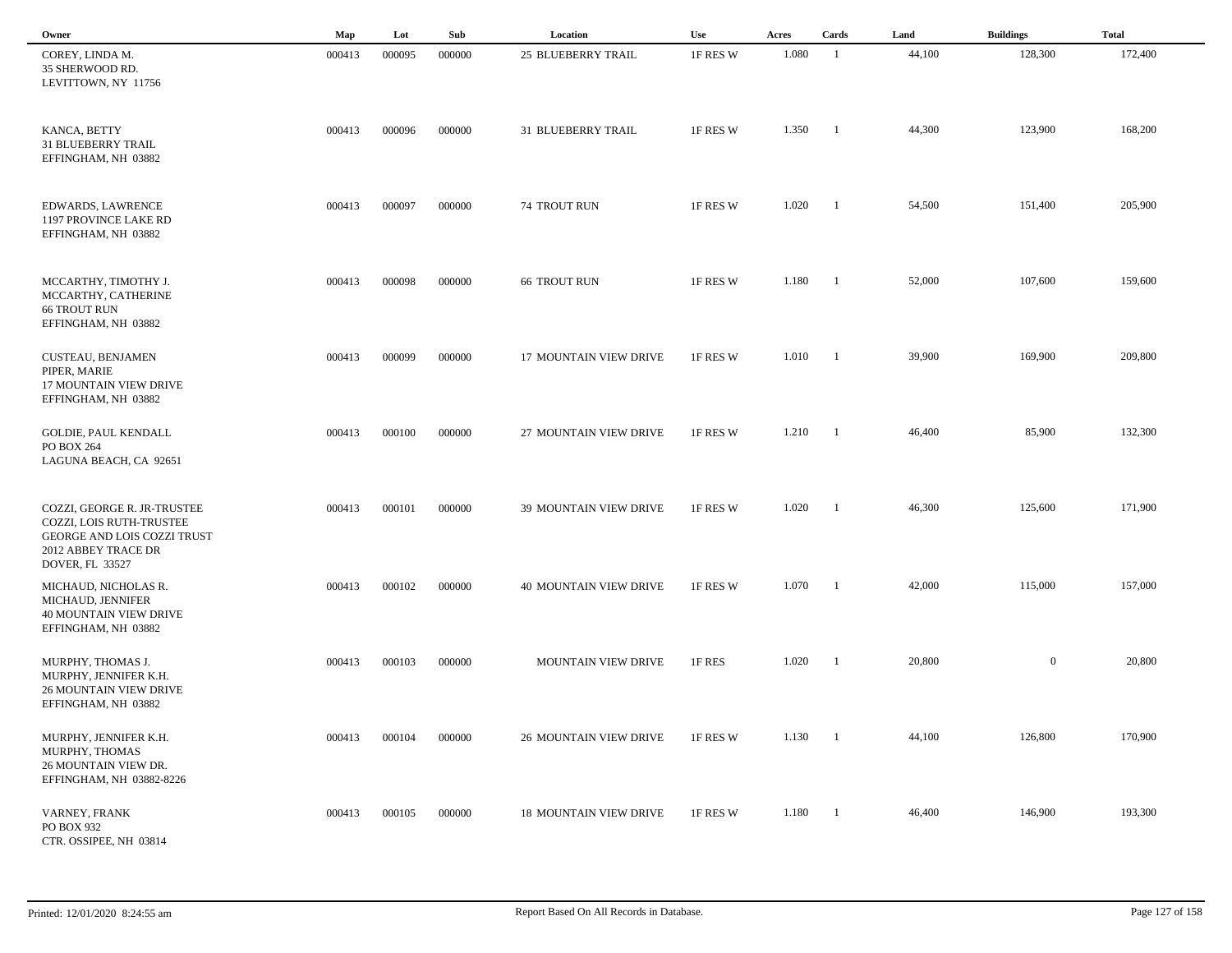| Owner                                                                                                                | Map    | Lot    | Sub    | Location                      | Use      | Acres | Cards          | Land   | <b>Buildings</b> | <b>Total</b> |
|----------------------------------------------------------------------------------------------------------------------|--------|--------|--------|-------------------------------|----------|-------|----------------|--------|------------------|--------------|
| COREY, LINDA M.<br>35 SHERWOOD RD.<br>LEVITTOWN, NY 11756                                                            | 000413 | 000095 | 000000 | 25 BLUEBERRY TRAIL            | 1F RES W | 1.080 | -1             | 44,100 | 128,300          | 172,400      |
| KANCA, BETTY<br><b>31 BLUEBERRY TRAIL</b><br>EFFINGHAM, NH 03882                                                     | 000413 | 000096 | 000000 | 31 BLUEBERRY TRAIL            | 1F RES W | 1.350 | $\blacksquare$ | 44,300 | 123,900          | 168,200      |
| EDWARDS, LAWRENCE<br>1197 PROVINCE LAKE RD<br>EFFINGHAM, NH 03882                                                    | 000413 | 000097 | 000000 | 74 TROUT RUN                  | 1F RES W | 1.020 | $\overline{1}$ | 54,500 | 151,400          | 205,900      |
| MCCARTHY, TIMOTHY J.<br>MCCARTHY, CATHERINE<br><b>66 TROUT RUN</b><br>EFFINGHAM, NH 03882                            | 000413 | 000098 | 000000 | <b>66 TROUT RUN</b>           | 1F RES W | 1.180 | $\overline{1}$ | 52,000 | 107,600          | 159,600      |
| <b>CUSTEAU, BENJAMEN</b><br>PIPER, MARIE<br><b>17 MOUNTAIN VIEW DRIVE</b><br>EFFINGHAM, NH 03882                     | 000413 | 000099 | 000000 | 17 MOUNTAIN VIEW DRIVE        | 1F RES W | 1.010 | $\blacksquare$ | 39,900 | 169,900          | 209,800      |
| <b>GOLDIE, PAUL KENDALL</b><br>PO BOX 264<br>LAGUNA BEACH, CA 92651                                                  | 000413 | 000100 | 000000 | 27 MOUNTAIN VIEW DRIVE        | 1F RES W | 1.210 | $\blacksquare$ | 46,400 | 85,900           | 132,300      |
| COZZI, GEORGE R. JR-TRUSTEE<br>COZZI, LOIS RUTH-TRUSTEE<br>GEORGE AND LOIS COZZI TRUST<br>2012 ABBEY TRACE DR        | 000413 | 000101 | 000000 | 39 MOUNTAIN VIEW DRIVE        | 1F RES W | 1.020 | $\blacksquare$ | 46,300 | 125,600          | 171,900      |
| DOVER, FL 33527<br>MICHAUD, NICHOLAS R.<br>MICHAUD, JENNIFER<br><b>40 MOUNTAIN VIEW DRIVE</b><br>EFFINGHAM, NH 03882 | 000413 | 000102 | 000000 | <b>40 MOUNTAIN VIEW DRIVE</b> | 1F RES W | 1.070 | $\overline{1}$ | 42,000 | 115,000          | 157,000      |
| MURPHY, THOMAS J.<br>MURPHY, JENNIFER K.H.<br><b>26 MOUNTAIN VIEW DRIVE</b><br>EFFINGHAM, NH 03882                   | 000413 | 000103 | 000000 | MOUNTAIN VIEW DRIVE           | 1F RES   | 1.020 | - 1            | 20,800 | $\overline{0}$   | 20,800       |
| MURPHY, JENNIFER K.H.<br>MURPHY, THOMAS<br>26 MOUNTAIN VIEW DR.<br>EFFINGHAM, NH 03882-8226                          | 000413 | 000104 | 000000 | <b>26 MOUNTAIN VIEW DRIVE</b> | 1F RES W | 1.130 | $\blacksquare$ | 44,100 | 126,800          | 170,900      |
| VARNEY, FRANK<br>PO BOX 932<br>CTR. OSSIPEE, NH 03814                                                                | 000413 | 000105 | 000000 | <b>18 MOUNTAIN VIEW DRIVE</b> | 1F RES W | 1.180 | $\blacksquare$ | 46,400 | 146,900          | 193,300      |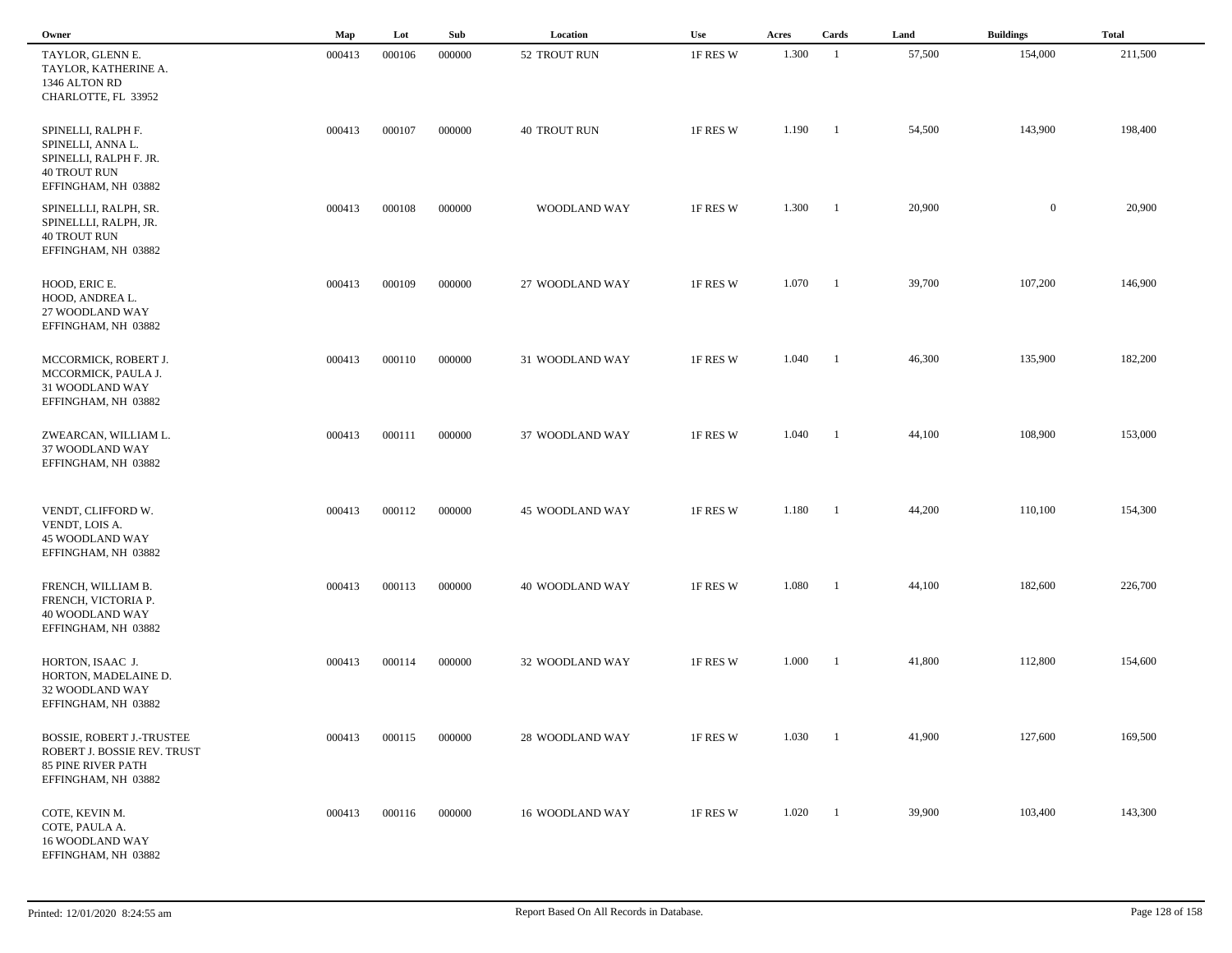| Owner                                                                                                           | Map    | Lot    | Sub    | Location            | Use      | Acres | Cards                    | Land   | <b>Buildings</b> | <b>Total</b> |
|-----------------------------------------------------------------------------------------------------------------|--------|--------|--------|---------------------|----------|-------|--------------------------|--------|------------------|--------------|
| TAYLOR, GLENN E.<br>TAYLOR, KATHERINE A.<br>1346 ALTON RD<br>CHARLOTTE, FL 33952                                | 000413 | 000106 | 000000 | 52 TROUT RUN        | 1F RES W | 1.300 | $\overline{1}$           | 57,500 | 154,000          | 211,500      |
| SPINELLI, RALPH F.<br>SPINELLI, ANNA L.<br>SPINELLI, RALPH F. JR.<br><b>40 TROUT RUN</b><br>EFFINGHAM, NH 03882 | 000413 | 000107 | 000000 | <b>40 TROUT RUN</b> | 1F RES W | 1.190 | $\blacksquare$           | 54,500 | 143,900          | 198,400      |
| SPINELLLI, RALPH, SR.<br>SPINELLLI, RALPH, JR.<br><b>40 TROUT RUN</b><br>EFFINGHAM, NH 03882                    | 000413 | 000108 | 000000 | WOODLAND WAY        | 1F RES W | 1.300 | $\blacksquare$           | 20,900 | $\overline{0}$   | 20,900       |
| HOOD, ERIC E.<br>HOOD, ANDREA L.<br>27 WOODLAND WAY<br>EFFINGHAM, NH 03882                                      | 000413 | 000109 | 000000 | 27 WOODLAND WAY     | 1F RES W | 1.070 | $\blacksquare$           | 39,700 | 107,200          | 146,900      |
| MCCORMICK, ROBERT J.<br>MCCORMICK, PAULA J.<br>31 WOODLAND WAY<br>EFFINGHAM, NH 03882                           | 000413 | 000110 | 000000 | 31 WOODLAND WAY     | 1F RES W | 1.040 | $\blacksquare$           | 46,300 | 135,900          | 182,200      |
| ZWEARCAN, WILLIAM L.<br>37 WOODLAND WAY<br>EFFINGHAM, NH 03882                                                  | 000413 | 000111 | 000000 | 37 WOODLAND WAY     | 1F RES W | 1.040 | - 1                      | 44,100 | 108,900          | 153,000      |
| VENDT, CLIFFORD W.<br>VENDT, LOIS A.<br>45 WOODLAND WAY<br>EFFINGHAM, NH 03882                                  | 000413 | 000112 | 000000 | 45 WOODLAND WAY     | 1F RES W | 1.180 | $\overline{\phantom{a}}$ | 44,200 | 110,100          | 154,300      |
| FRENCH, WILLIAM B.<br>FRENCH, VICTORIA P.<br>40 WOODLAND WAY<br>EFFINGHAM, NH 03882                             | 000413 | 000113 | 000000 | 40 WOODLAND WAY     | 1F RES W | 1.080 | - 1                      | 44,100 | 182,600          | 226,700      |
| HORTON, ISAAC J.<br>HORTON, MADELAINE D.<br>32 WOODLAND WAY<br>EFFINGHAM, NH 03882                              | 000413 | 000114 | 000000 | 32 WOODLAND WAY     | 1F RES W | 1.000 | $\overline{1}$           | 41,800 | 112,800          | 154,600      |
| <b>BOSSIE, ROBERT J.-TRUSTEE</b><br>ROBERT J. BOSSIE REV. TRUST<br>85 PINE RIVER PATH<br>EFFINGHAM, NH 03882    | 000413 | 000115 | 000000 | 28 WOODLAND WAY     | 1F RES W | 1.030 | $\mathbf{1}$             | 41,900 | 127,600          | 169,500      |
| COTE, KEVIN M.<br>COTE, PAULA A.<br>16 WOODLAND WAY<br>EFFINGHAM, NH 03882                                      | 000413 | 000116 | 000000 | 16 WOODLAND WAY     | 1F RES W | 1.020 | $\mathbf{1}$             | 39,900 | 103,400          | 143,300      |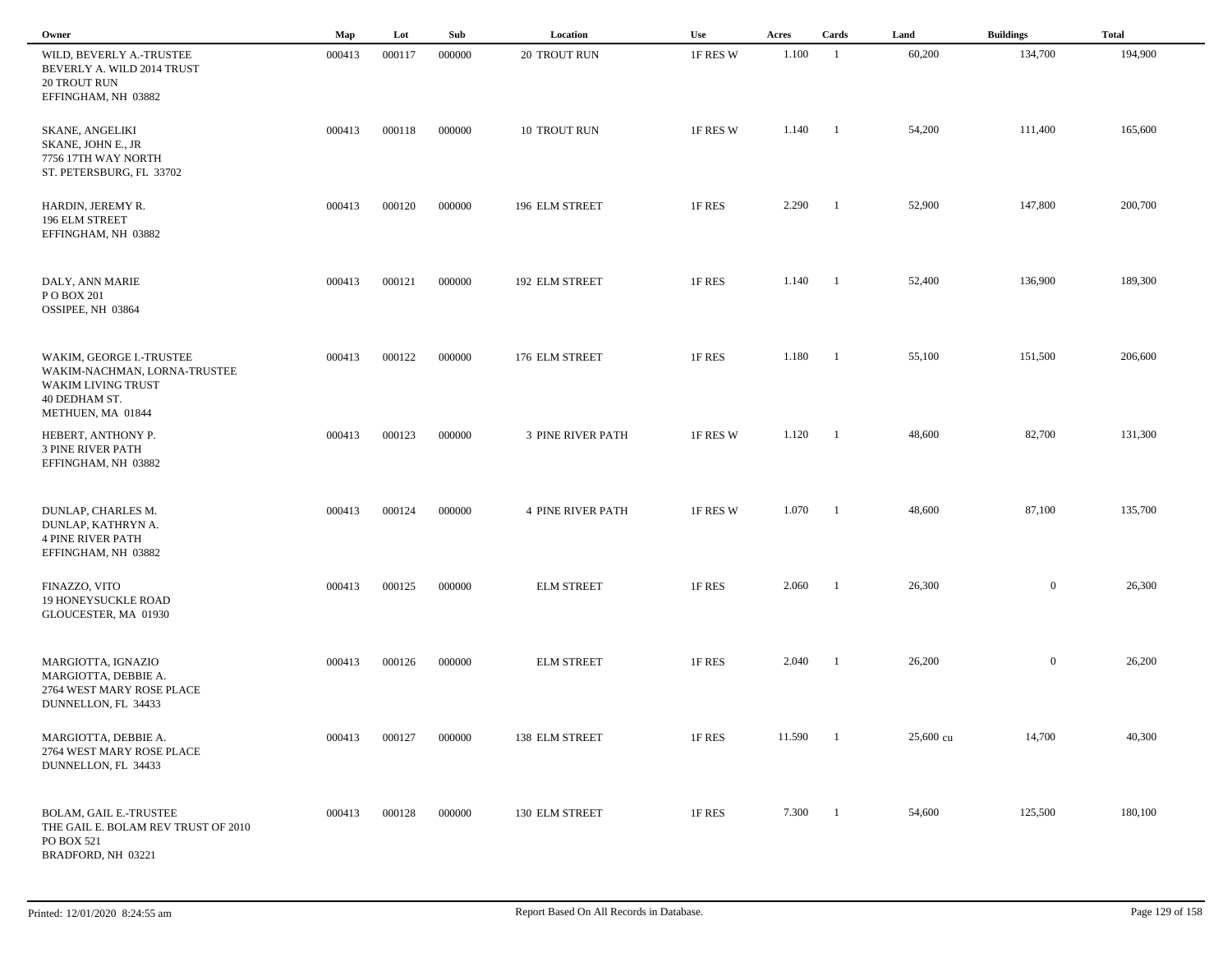| Owner                                                                                                                | Map    | Lot    | Sub    | Location                 | Use      | Acres  | Cards                    | Land      | <b>Buildings</b> | <b>Total</b> |
|----------------------------------------------------------------------------------------------------------------------|--------|--------|--------|--------------------------|----------|--------|--------------------------|-----------|------------------|--------------|
| WILD, BEVERLY A.-TRUSTEE<br>BEVERLY A. WILD 2014 TRUST<br><b>20 TROUT RUN</b><br>EFFINGHAM, NH 03882                 | 000413 | 000117 | 000000 | 20 TROUT RUN             | 1F RES W | 1.100  | $\overline{1}$           | 60,200    | 134,700          | 194,900      |
| <b>SKANE, ANGELIKI</b><br>SKANE, JOHN E., JR<br>7756 17TH WAY NORTH<br>ST. PETERSBURG, FL 33702                      | 000413 | 000118 | 000000 | 10 TROUT RUN             | 1F RES W | 1.140  | $\blacksquare$           | 54,200    | 111,400          | 165,600      |
| HARDIN, JEREMY R.<br>196 ELM STREET<br>EFFINGHAM, NH 03882                                                           | 000413 | 000120 | 000000 | 196 ELM STREET           | 1F RES   | 2.290  | - 1                      | 52,900    | 147,800          | 200,700      |
| DALY, ANN MARIE<br>P O BOX 201<br>OSSIPEE, NH 03864                                                                  | 000413 | 000121 | 000000 | 192 ELM STREET           | 1F RES   | 1.140  | $\blacksquare$           | 52,400    | 136,900          | 189,300      |
| WAKIM, GEORGE I.-TRUSTEE<br>WAKIM-NACHMAN, LORNA-TRUSTEE<br>WAKIM LIVING TRUST<br>40 DEDHAM ST.<br>METHUEN, MA 01844 | 000413 | 000122 | 000000 | 176 ELM STREET           | 1F RES   | 1.180  | $\blacksquare$           | 55,100    | 151,500          | 206,600      |
| HEBERT, ANTHONY P.<br><b>3 PINE RIVER PATH</b><br>EFFINGHAM, NH 03882                                                | 000413 | 000123 | 000000 | <b>3 PINE RIVER PATH</b> | 1F RES W | 1.120  | $\overline{\phantom{0}}$ | 48,600    | 82,700           | 131,300      |
| DUNLAP, CHARLES M.<br>DUNLAP, KATHRYN A.<br><b>4 PINE RIVER PATH</b><br>EFFINGHAM, NH 03882                          | 000413 | 000124 | 000000 | <b>4 PINE RIVER PATH</b> | 1F RES W | 1.070  | $\overline{\phantom{a}}$ | 48,600    | 87,100           | 135,700      |
| FINAZZO, VITO<br>19 HONEYSUCKLE ROAD<br>GLOUCESTER, MA 01930                                                         | 000413 | 000125 | 000000 | <b>ELM STREET</b>        | 1F RES   | 2.060  | - 1                      | 26,300    | $\overline{0}$   | 26,300       |
| MARGIOTTA, IGNAZIO<br>MARGIOTTA, DEBBIE A.<br>2764 WEST MARY ROSE PLACE<br>DUNNELLON, FL 34433                       | 000413 | 000126 | 000000 | <b>ELM STREET</b>        | 1F RES   | 2.040  | $\overline{1}$           | 26,200    | $\overline{0}$   | 26,200       |
| MARGIOTTA, DEBBIE A.<br>2764 WEST MARY ROSE PLACE<br>DUNNELLON, FL 34433                                             | 000413 | 000127 | 000000 | 138 ELM STREET           | 1F RES   | 11.590 | $\overline{1}$           | 25,600 cu | 14,700           | 40,300       |
| <b>BOLAM, GAIL E.-TRUSTEE</b><br>THE GAIL E. BOLAM REV TRUST OF 2010<br>PO BOX 521<br>BRADFORD, NH 03221             | 000413 | 000128 | 000000 | 130 ELM STREET           | 1F RES   | 7.300  | $\overline{1}$           | 54,600    | 125,500          | 180,100      |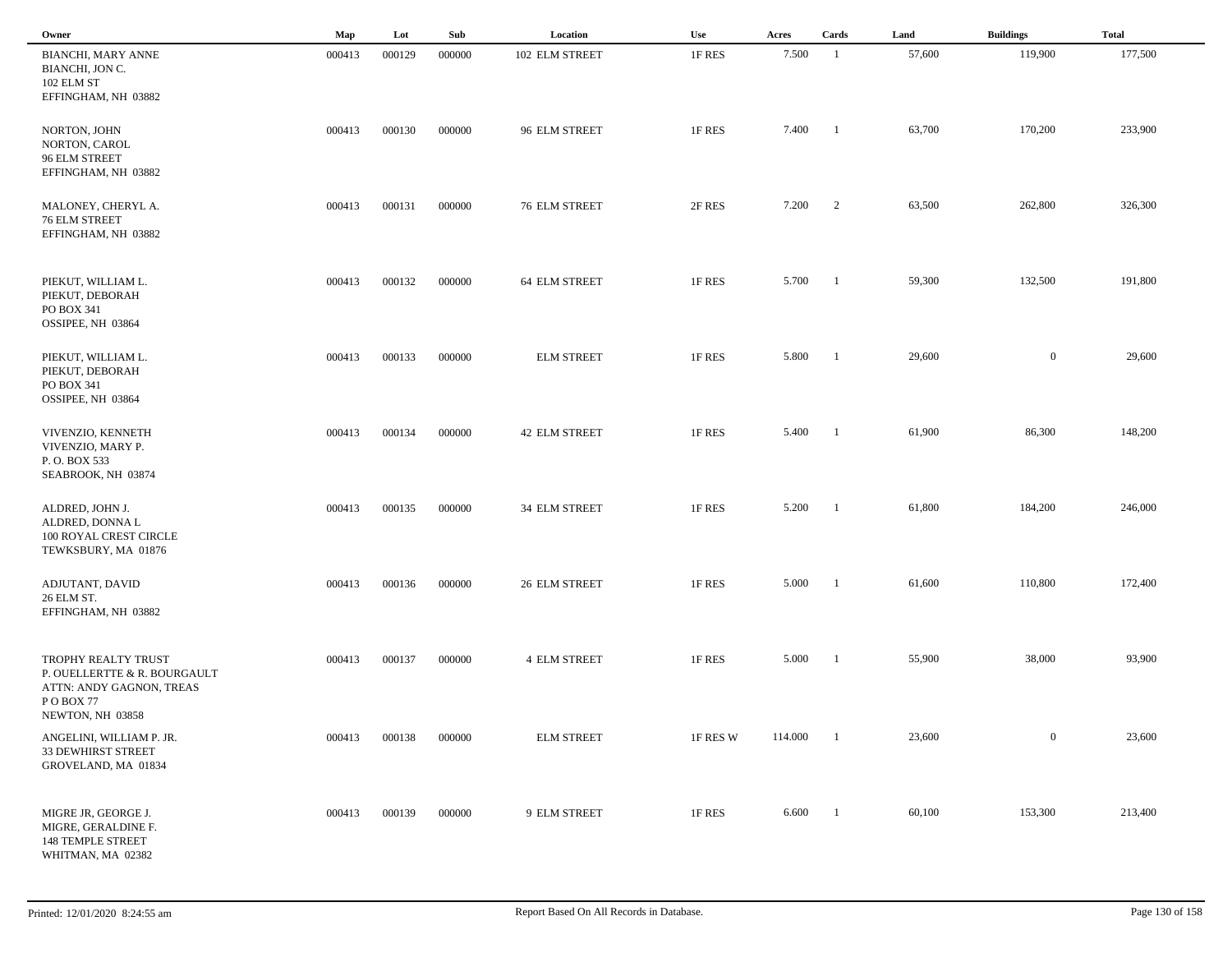| Owner                                                                                       | Map    | Lot    | Sub    | Location            | Use      | Acres   | Cards                    | Land   | <b>Buildings</b> | <b>Total</b> |
|---------------------------------------------------------------------------------------------|--------|--------|--------|---------------------|----------|---------|--------------------------|--------|------------------|--------------|
| <b>BIANCHI, MARY ANNE</b><br>BIANCHI, JON C.<br>102 ELM ST<br>EFFINGHAM, NH 03882           | 000413 | 000129 | 000000 | 102 ELM STREET      | 1F RES   | 7.500   | $\overline{1}$           | 57,600 | 119,900          | 177,500      |
| NORTON, JOHN<br>NORTON, CAROL<br>96 ELM STREET<br>EFFINGHAM, NH 03882                       | 000413 | 000130 | 000000 | 96 ELM STREET       | 1F RES   | 7.400   | $\overline{1}$           | 63,700 | 170,200          | 233,900      |
| MALONEY, CHERYL A.<br>76 ELM STREET<br>EFFINGHAM, NH 03882                                  | 000413 | 000131 | 000000 | 76 ELM STREET       | 2F RES   | 7.200   | 2                        | 63,500 | 262,800          | 326,300      |
| PIEKUT, WILLIAM L.<br>PIEKUT, DEBORAH<br>PO BOX 341<br>OSSIPEE, NH 03864                    | 000413 | 000132 | 000000 | 64 ELM STREET       | 1F RES   | 5.700   | $\overline{\phantom{0}}$ | 59,300 | 132,500          | 191,800      |
| PIEKUT, WILLIAM L.<br>PIEKUT, DEBORAH<br>PO BOX 341<br>OSSIPEE, NH 03864                    | 000413 | 000133 | 000000 | <b>ELM STREET</b>   | 1F RES   | 5.800   | $\overline{1}$           | 29,600 | $\overline{0}$   | 29,600       |
| VIVENZIO, KENNETH<br>VIVENZIO, MARY P.<br>P.O. BOX 533<br>SEABROOK, NH 03874                | 000413 | 000134 | 000000 | 42 ELM STREET       | 1F RES   | 5.400   | $\overline{\phantom{a}}$ | 61,900 | 86,300           | 148,200      |
| ALDRED, JOHN J.<br>ALDRED, DONNA L<br>100 ROYAL CREST CIRCLE<br>TEWKSBURY, MA 01876         | 000413 | 000135 | 000000 | 34 ELM STREET       | 1F RES   | 5.200   | $\overline{\phantom{0}}$ | 61,800 | 184,200          | 246,000      |
| ADJUTANT, DAVID<br>26 ELM ST.<br>EFFINGHAM, NH 03882                                        | 000413 | 000136 | 000000 | 26 ELM STREET       | 1F RES   | 5.000   | - 1                      | 61,600 | 110,800          | 172,400      |
| TROPHY REALTY TRUST<br>P. OUELLERTTE & R. BOURGAULT<br>ATTN: ANDY GAGNON, TREAS<br>POBOX 77 | 000413 | 000137 | 000000 | <b>4 ELM STREET</b> | 1F RES   | 5.000   | - 1                      | 55,900 | 38,000           | 93,900       |
| NEWTON, NH 03858<br>ANGELINI, WILLIAM P. JR.<br>33 DEWHIRST STREET<br>GROVELAND, MA 01834   | 000413 | 000138 | 000000 | <b>ELM STREET</b>   | 1F RES W | 114.000 | - 1                      | 23,600 | $\overline{0}$   | 23,600       |
| MIGRE JR, GEORGE J.<br>MIGRE, GERALDINE F.<br>148 TEMPLE STREET<br>WHITMAN, MA 02382        | 000413 | 000139 | 000000 | 9 ELM STREET        | 1F RES   | 6.600   | $\overline{1}$           | 60,100 | 153,300          | 213,400      |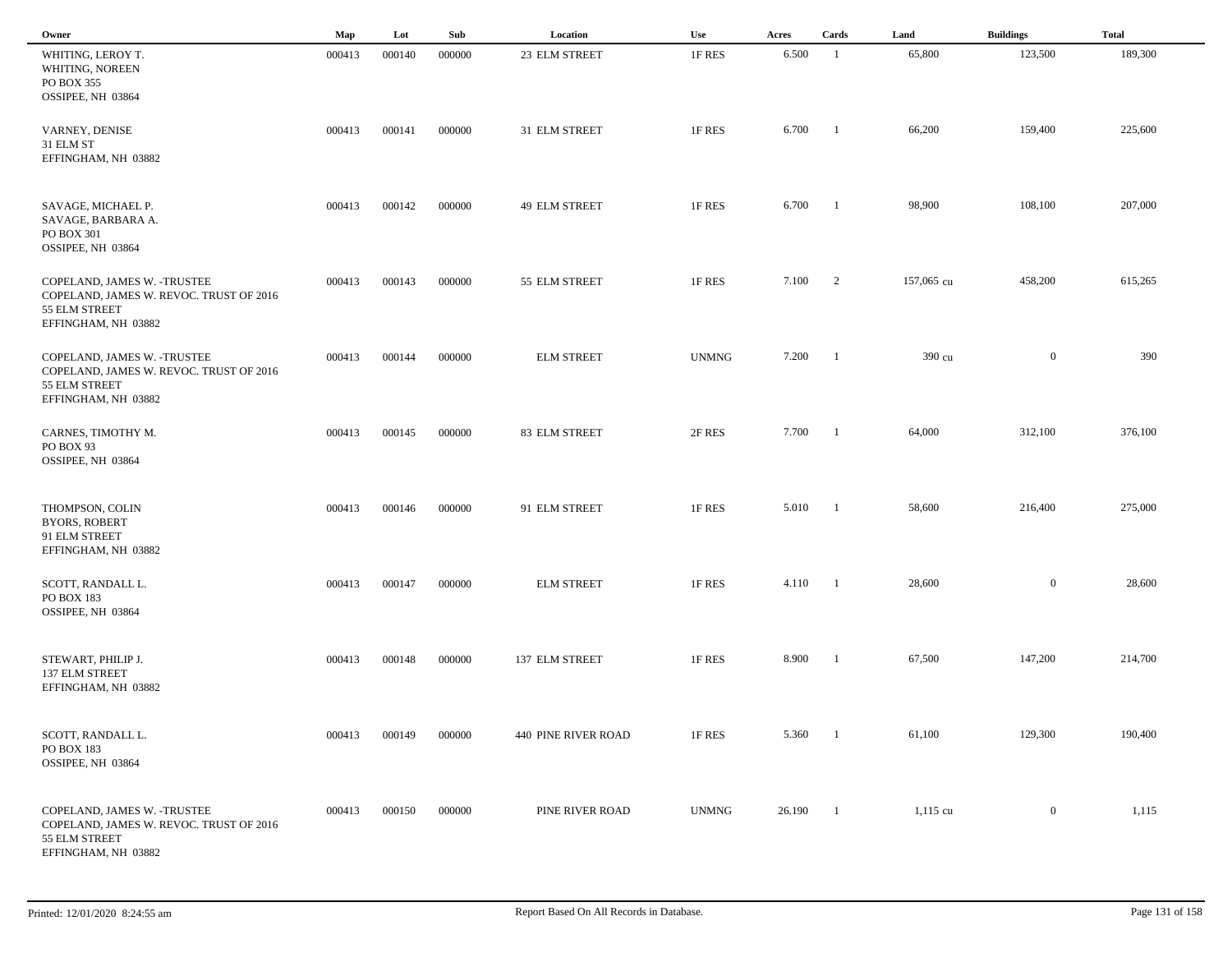| Owner                                                                                                           | Map    | Lot    | Sub    | Location            | Use          | Acres  | Cards                    | Land       | <b>Buildings</b> | <b>Total</b> |
|-----------------------------------------------------------------------------------------------------------------|--------|--------|--------|---------------------|--------------|--------|--------------------------|------------|------------------|--------------|
| WHITING, LEROY T.<br>WHITING, NOREEN<br>PO BOX 355<br>OSSIPEE, NH 03864                                         | 000413 | 000140 | 000000 | 23 ELM STREET       | 1F RES       | 6.500  | -1                       | 65,800     | 123,500          | 189,300      |
| VARNEY, DENISE<br>31 ELM ST<br>EFFINGHAM, NH 03882                                                              | 000413 | 000141 | 000000 | 31 ELM STREET       | 1F RES       | 6.700  | $\blacksquare$           | 66,200     | 159,400          | 225,600      |
| SAVAGE, MICHAEL P.<br>SAVAGE, BARBARA A.<br>PO BOX 301<br>OSSIPEE, NH 03864                                     | 000413 | 000142 | 000000 | 49 ELM STREET       | 1F RES       | 6.700  | $\blacksquare$           | 98,900     | 108,100          | 207,000      |
| COPELAND, JAMES W. - TRUSTEE<br>COPELAND, JAMES W. REVOC. TRUST OF 2016<br>55 ELM STREET<br>EFFINGHAM, NH 03882 | 000413 | 000143 | 000000 | 55 ELM STREET       | 1F RES       | 7.100  | $\overline{\phantom{a}}$ | 157,065 cu | 458,200          | 615,265      |
| COPELAND, JAMES W. - TRUSTEE<br>COPELAND, JAMES W. REVOC. TRUST OF 2016<br>55 ELM STREET<br>EFFINGHAM, NH 03882 | 000413 | 000144 | 000000 | <b>ELM STREET</b>   | <b>UNMNG</b> | 7.200  | $\blacksquare$           | 390 cu     | $\overline{0}$   | 390          |
| CARNES, TIMOTHY M.<br>PO BOX 93<br>OSSIPEE, NH 03864                                                            | 000413 | 000145 | 000000 | 83 ELM STREET       | 2F RES       | 7.700  | $\blacksquare$           | 64,000     | 312,100          | 376,100      |
| THOMPSON, COLIN<br><b>BYORS, ROBERT</b><br>91 ELM STREET<br>EFFINGHAM, NH 03882                                 | 000413 | 000146 | 000000 | 91 ELM STREET       | 1F RES       | 5.010  | $\blacksquare$           | 58,600     | 216,400          | 275,000      |
| SCOTT, RANDALL L.<br>PO BOX 183<br>OSSIPEE, NH 03864                                                            | 000413 | 000147 | 000000 | <b>ELM STREET</b>   | 1F RES       | 4.110  | $\blacksquare$           | 28,600     | $\overline{0}$   | 28,600       |
| STEWART, PHILIP J.<br>137 ELM STREET<br>EFFINGHAM, NH 03882                                                     | 000413 | 000148 | 000000 | 137 ELM STREET      | 1F RES       | 8.900  | - 1                      | 67,500     | 147,200          | 214,700      |
| SCOTT, RANDALL L.<br>PO BOX 183<br>OSSIPEE, NH 03864                                                            | 000413 | 000149 | 000000 | 440 PINE RIVER ROAD | 1F RES       | 5.360  | $\overline{\phantom{1}}$ | 61,100     | 129,300          | 190,400      |
| COPELAND, JAMES W. - TRUSTEE<br>COPELAND, JAMES W. REVOC. TRUST OF 2016<br>55 ELM STREET<br>EFFINGHAM, NH 03882 | 000413 | 000150 | 000000 | PINE RIVER ROAD     | <b>UNMNG</b> | 26.190 | $\blacksquare$           | $1,115$ cu | $\bf{0}$         | 1,115        |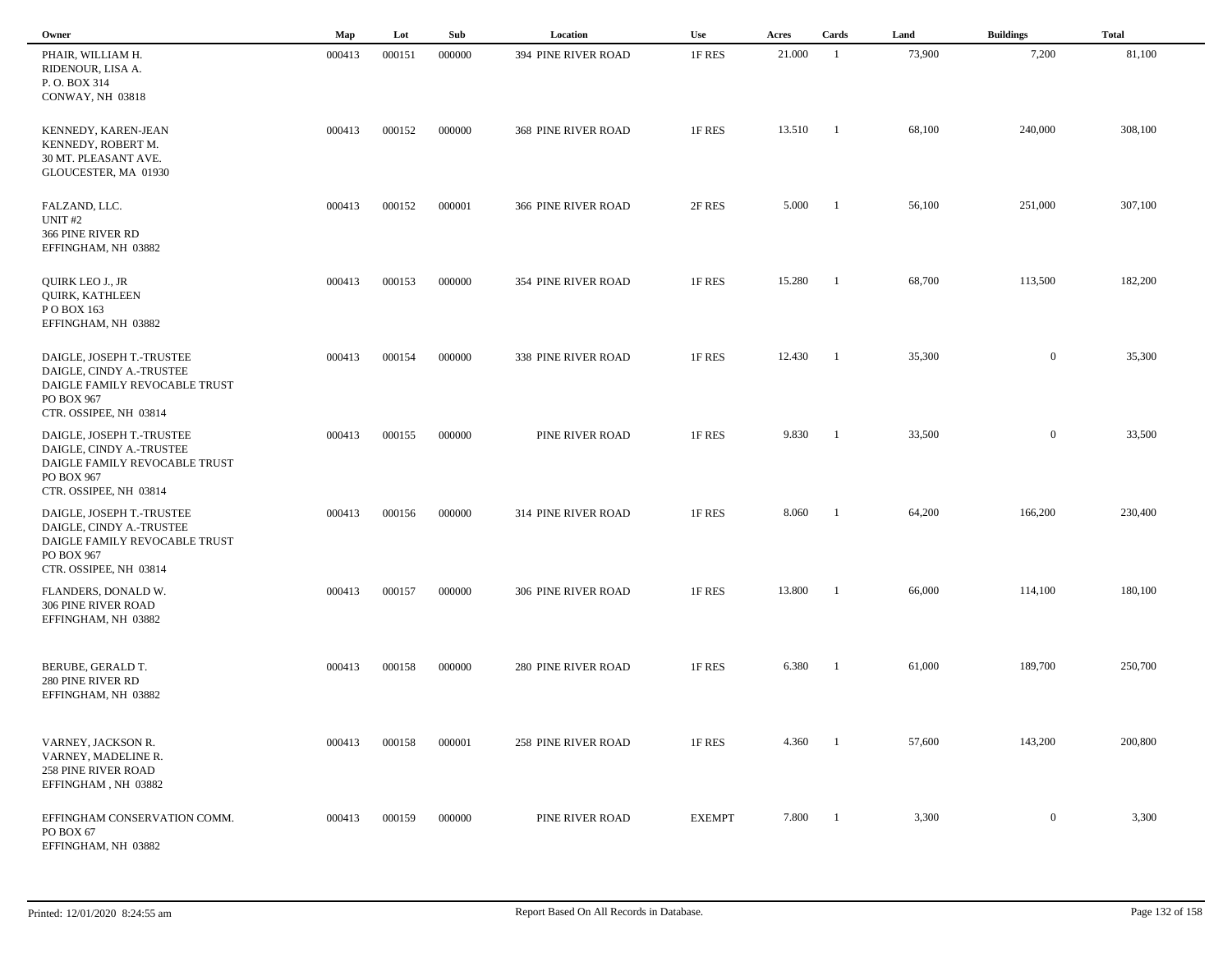| Owner                                                                                                                          | Map    | Lot    | Sub    | Location                   | <b>Use</b>    | Acres  | Cards          | Land   | <b>Buildings</b> | <b>Total</b> |  |
|--------------------------------------------------------------------------------------------------------------------------------|--------|--------|--------|----------------------------|---------------|--------|----------------|--------|------------------|--------------|--|
| PHAIR, WILLIAM H.<br>RIDENOUR, LISA A.<br>P.O. BOX 314<br>CONWAY, NH 03818                                                     | 000413 | 000151 | 000000 | 394 PINE RIVER ROAD        | 1F RES        | 21.000 | $\overline{1}$ | 73,900 | 7,200            | 81,100       |  |
| KENNEDY, KAREN-JEAN<br>KENNEDY, ROBERT M.<br>30 MT. PLEASANT AVE.<br>GLOUCESTER, MA 01930                                      | 000413 | 000152 | 000000 | <b>368 PINE RIVER ROAD</b> | 1F RES        | 13.510 | - 1            | 68,100 | 240,000          | 308,100      |  |
| FALZAND, LLC.<br>UNIT <sub>#2</sub><br>366 PINE RIVER RD<br>EFFINGHAM, NH 03882                                                | 000413 | 000152 | 000001 | 366 PINE RIVER ROAD        | 2F RES        | 5.000  | - 1            | 56,100 | 251,000          | 307,100      |  |
| QUIRK LEO J., JR<br>QUIRK, KATHLEEN<br>PO BOX 163<br>EFFINGHAM, NH 03882                                                       | 000413 | 000153 | 000000 | 354 PINE RIVER ROAD        | 1F RES        | 15.280 | -1             | 68,700 | 113,500          | 182,200      |  |
| DAIGLE, JOSEPH T.-TRUSTEE<br>DAIGLE, CINDY A.-TRUSTEE<br>DAIGLE FAMILY REVOCABLE TRUST<br>PO BOX 967<br>CTR. OSSIPEE, NH 03814 | 000413 | 000154 | 000000 | <b>338 PINE RIVER ROAD</b> | 1F RES        | 12.430 | -1             | 35,300 | $\overline{0}$   | 35,300       |  |
| DAIGLE, JOSEPH T.-TRUSTEE<br>DAIGLE, CINDY A.-TRUSTEE<br>DAIGLE FAMILY REVOCABLE TRUST<br>PO BOX 967<br>CTR. OSSIPEE, NH 03814 | 000413 | 000155 | 000000 | PINE RIVER ROAD            | 1F RES        | 9.830  | -1             | 33,500 | $\mathbf{0}$     | 33,500       |  |
| DAIGLE, JOSEPH T.-TRUSTEE<br>DAIGLE, CINDY A.-TRUSTEE<br>DAIGLE FAMILY REVOCABLE TRUST<br>PO BOX 967<br>CTR. OSSIPEE, NH 03814 | 000413 | 000156 | 000000 | 314 PINE RIVER ROAD        | 1F RES        | 8.060  | -1             | 64,200 | 166,200          | 230,400      |  |
| FLANDERS, DONALD W.<br>306 PINE RIVER ROAD<br>EFFINGHAM, NH 03882                                                              | 000413 | 000157 | 000000 | 306 PINE RIVER ROAD        | 1F RES        | 13.800 | - 1            | 66,000 | 114,100          | 180,100      |  |
| BERUBE, GERALD T.<br>280 PINE RIVER RD<br>EFFINGHAM, NH 03882                                                                  | 000413 | 000158 | 000000 | <b>280 PINE RIVER ROAD</b> | 1F RES        | 6.380  | -1             | 61,000 | 189,700          | 250,700      |  |
| VARNEY, JACKSON R.<br>VARNEY, MADELINE R.<br><b>258 PINE RIVER ROAD</b><br>EFFINGHAM, NH 03882                                 | 000413 | 000158 | 000001 | <b>258 PINE RIVER ROAD</b> | 1F RES        | 4.360  | - 1            | 57,600 | 143,200          | 200,800      |  |
| EFFINGHAM CONSERVATION COMM.<br>PO BOX 67<br>EFFINGHAM, NH 03882                                                               | 000413 | 000159 | 000000 | PINE RIVER ROAD            | <b>EXEMPT</b> | 7.800  | $\blacksquare$ | 3,300  | $\boldsymbol{0}$ | 3,300        |  |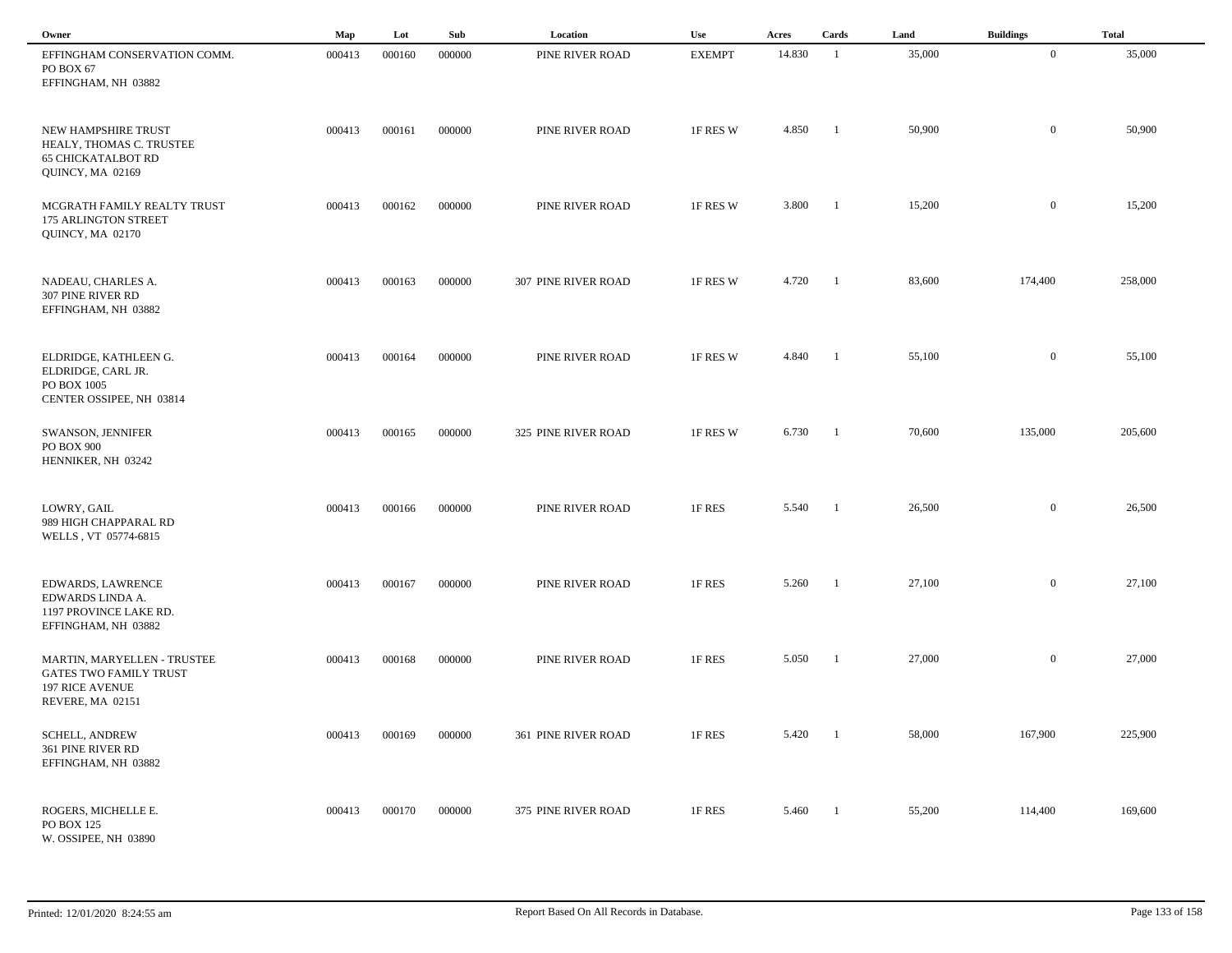| Owner                                                                                                      | Map    | Lot    | Sub    | Location                   | Use           | Acres  | Cards          | Land   | <b>Buildings</b> | <b>Total</b> |  |
|------------------------------------------------------------------------------------------------------------|--------|--------|--------|----------------------------|---------------|--------|----------------|--------|------------------|--------------|--|
| EFFINGHAM CONSERVATION COMM.<br>PO BOX 67<br>EFFINGHAM, NH 03882                                           | 000413 | 000160 | 000000 | PINE RIVER ROAD            | <b>EXEMPT</b> | 14.830 | -1             | 35,000 | $\overline{0}$   | 35,000       |  |
| NEW HAMPSHIRE TRUST<br>HEALY, THOMAS C. TRUSTEE<br><b>65 CHICKATALBOT RD</b><br>QUINCY, MA 02169           | 000413 | 000161 | 000000 | PINE RIVER ROAD            | 1F RES W      | 4.850  | -1             | 50,900 | $\mathbf{0}$     | 50,900       |  |
| MCGRATH FAMILY REALTY TRUST<br>175 ARLINGTON STREET<br>QUINCY, MA 02170                                    | 000413 | 000162 | 000000 | PINE RIVER ROAD            | 1F RES W      | 3.800  | $\blacksquare$ | 15,200 | $\mathbf{0}$     | 15,200       |  |
| NADEAU, CHARLES A.<br>307 PINE RIVER RD<br>EFFINGHAM, NH 03882                                             | 000413 | 000163 | 000000 | 307 PINE RIVER ROAD        | 1F RES W      | 4.720  | $\blacksquare$ | 83,600 | 174,400          | 258,000      |  |
| ELDRIDGE, KATHLEEN G.<br>ELDRIDGE, CARL JR.<br>PO BOX 1005<br>CENTER OSSIPEE, NH 03814                     | 000413 | 000164 | 000000 | PINE RIVER ROAD            | 1F RES W      | 4.840  | - 1            | 55,100 | $\overline{0}$   | 55,100       |  |
| SWANSON, JENNIFER<br>PO BOX 900<br>HENNIKER, NH 03242                                                      | 000413 | 000165 | 000000 | <b>325 PINE RIVER ROAD</b> | 1F RES W      | 6.730  | - 1            | 70,600 | 135,000          | 205,600      |  |
| LOWRY, GAIL<br>989 HIGH CHAPPARAL RD<br>WELLS, VT 05774-6815                                               | 000413 | 000166 | 000000 | PINE RIVER ROAD            | 1F RES        | 5.540  | -1             | 26,500 | $\overline{0}$   | 26,500       |  |
| <b>EDWARDS, LAWRENCE</b><br>EDWARDS LINDA A.<br>1197 PROVINCE LAKE RD.<br>EFFINGHAM, NH 03882              | 000413 | 000167 | 000000 | PINE RIVER ROAD            | 1F RES        | 5.260  | - 1            | 27,100 | $\mathbf{0}$     | 27,100       |  |
| MARTIN, MARYELLEN - TRUSTEE<br><b>GATES TWO FAMILY TRUST</b><br><b>197 RICE AVENUE</b><br>REVERE, MA 02151 | 000413 | 000168 | 000000 | PINE RIVER ROAD            | 1F RES        | 5.050  | -1             | 27,000 | $\overline{0}$   | 27,000       |  |
| <b>SCHELL, ANDREW</b><br>361 PINE RIVER RD<br>EFFINGHAM, NH 03882                                          | 000413 | 000169 | 000000 | 361 PINE RIVER ROAD        | 1F RES        | 5.420  | $\blacksquare$ | 58,000 | 167,900          | 225,900      |  |
| ROGERS, MICHELLE E.<br>PO BOX 125<br>W. OSSIPEE, NH 03890                                                  | 000413 | 000170 | 000000 | 375 PINE RIVER ROAD        | 1F RES        | 5.460  | $\blacksquare$ | 55,200 | 114,400          | 169,600      |  |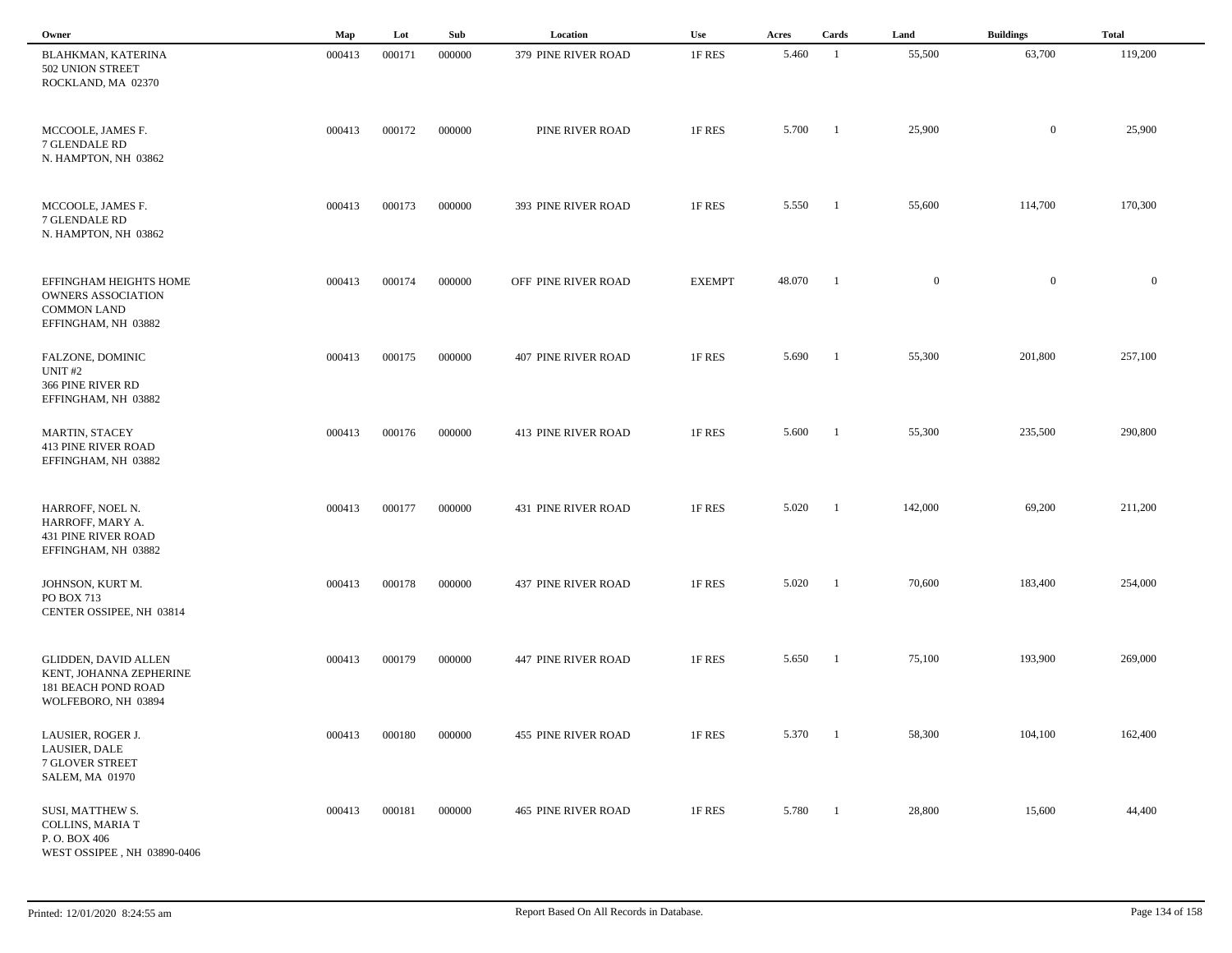| Owner                                                                                            | Map    | Lot    | Sub    | Location                   | Use           | Acres  | Cards          | Land           | <b>Buildings</b> | <b>Total</b> |
|--------------------------------------------------------------------------------------------------|--------|--------|--------|----------------------------|---------------|--------|----------------|----------------|------------------|--------------|
| BLAHKMAN, KATERINA<br>502 UNION STREET<br>ROCKLAND, MA 02370                                     | 000413 | 000171 | 000000 | 379 PINE RIVER ROAD        | 1F RES        | 5.460  | -1             | 55,500         | 63,700           | 119,200      |
| MCCOOLE, JAMES F.<br>7 GLENDALE RD<br>N. HAMPTON, NH 03862                                       | 000413 | 000172 | 000000 | PINE RIVER ROAD            | 1F RES        | 5.700  | $\blacksquare$ | 25,900         | $\mathbf{0}$     | 25,900       |
| MCCOOLE, JAMES F.<br>7 GLENDALE RD<br>N. HAMPTON, NH 03862                                       | 000413 | 000173 | 000000 | 393 PINE RIVER ROAD        | 1F RES        | 5.550  | -1             | 55,600         | 114,700          | 170,300      |
| EFFINGHAM HEIGHTS HOME<br><b>OWNERS ASSOCIATION</b><br><b>COMMON LAND</b><br>EFFINGHAM, NH 03882 | 000413 | 000174 | 000000 | OFF PINE RIVER ROAD        | <b>EXEMPT</b> | 48.070 | - 1            | $\overline{0}$ | $\mathbf{0}$     | $\mathbf{0}$ |
| FALZONE, DOMINIC<br>UNIT <sub>#2</sub><br>366 PINE RIVER RD<br>EFFINGHAM, NH 03882               | 000413 | 000175 | 000000 | <b>407 PINE RIVER ROAD</b> | 1F RES        | 5.690  | - 1            | 55,300         | 201,800          | 257,100      |
| <b>MARTIN, STACEY</b><br><b>413 PINE RIVER ROAD</b><br>EFFINGHAM, NH 03882                       | 000413 | 000176 | 000000 | <b>413 PINE RIVER ROAD</b> | 1F RES        | 5.600  | - 1            | 55,300         | 235,500          | 290,800      |
| HARROFF, NOEL N.<br>HARROFF, MARY A.<br><b>431 PINE RIVER ROAD</b><br>EFFINGHAM, NH 03882        | 000413 | 000177 | 000000 | <b>431 PINE RIVER ROAD</b> | 1F RES        | 5.020  | -1             | 142,000        | 69,200           | 211,200      |
| JOHNSON, KURT M.<br>PO BOX 713<br>CENTER OSSIPEE, NH 03814                                       | 000413 | 000178 | 000000 | <b>437 PINE RIVER ROAD</b> | 1F RES        | 5.020  |                | 70,600         | 183,400          | 254,000      |
| GLIDDEN, DAVID ALLEN<br>KENT, JOHANNA ZEPHERINE<br>181 BEACH POND ROAD<br>WOLFEBORO, NH 03894    | 000413 | 000179 | 000000 | <b>447 PINE RIVER ROAD</b> | 1F RES        | 5.650  | - 1            | 75,100         | 193,900          | 269,000      |
| LAUSIER, ROGER J.<br>LAUSIER, DALE<br><b>7 GLOVER STREET</b><br>SALEM, MA 01970                  | 000413 | 000180 | 000000 | <b>455 PINE RIVER ROAD</b> | 1F RES        | 5.370  | $\blacksquare$ | 58,300         | 104,100          | 162,400      |
| SUSI, MATTHEW S.<br>COLLINS, MARIA T<br>P.O. BOX 406<br>WEST OSSIPEE, NH 03890-0406              | 000413 | 000181 | 000000 | <b>465 PINE RIVER ROAD</b> | 1F RES        | 5.780  | $\blacksquare$ | 28,800         | 15,600           | 44,400       |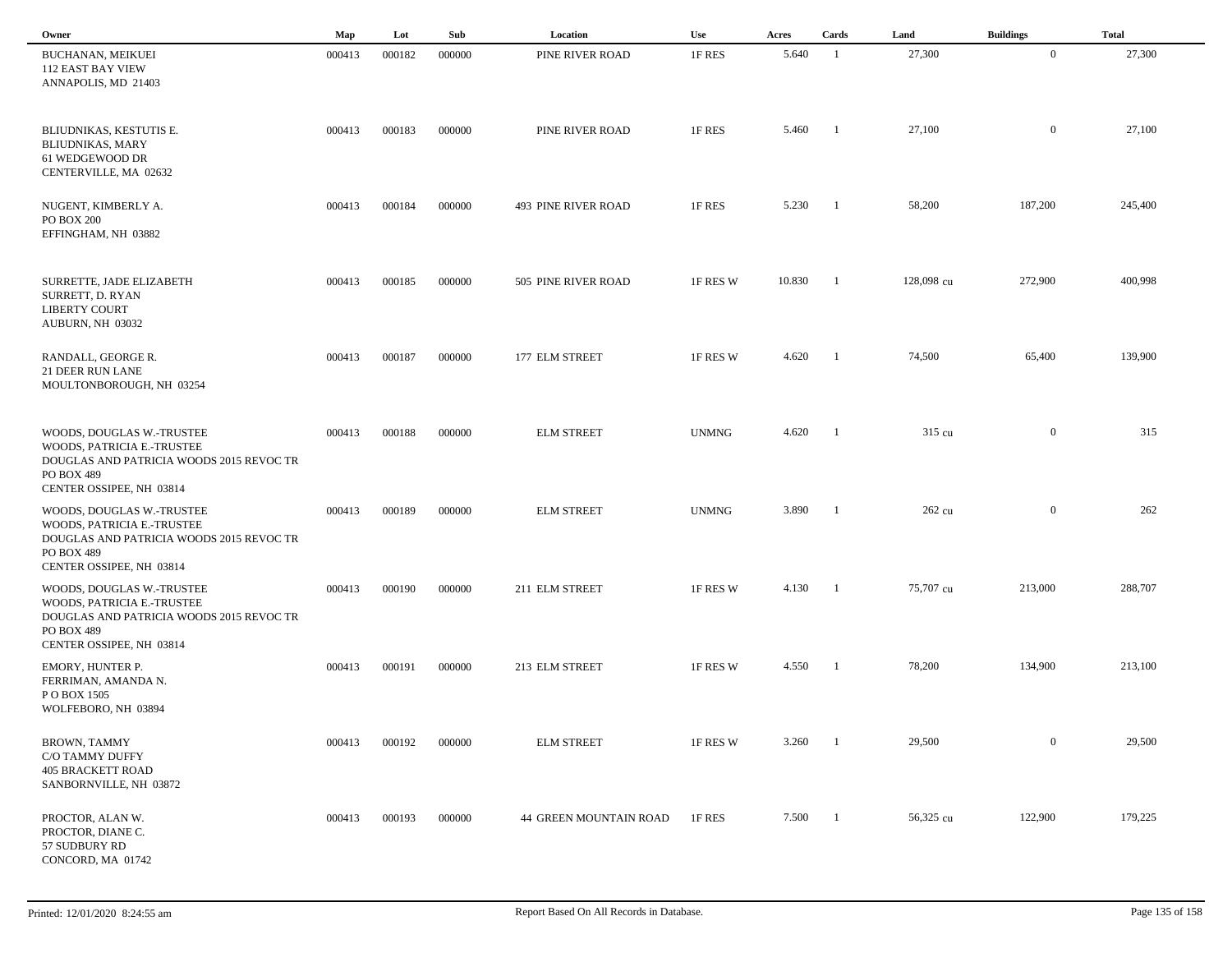| Owner                                                                                                                                         | Map    | Lot    | Sub    | Location               | Use          | Acres  | Cards          | Land       | <b>Buildings</b> | <b>Total</b> |  |
|-----------------------------------------------------------------------------------------------------------------------------------------------|--------|--------|--------|------------------------|--------------|--------|----------------|------------|------------------|--------------|--|
| BUCHANAN, MEIKUEI<br><b>112 EAST BAY VIEW</b><br>ANNAPOLIS, MD 21403                                                                          | 000413 | 000182 | 000000 | PINE RIVER ROAD        | 1F RES       | 5.640  | - 1            | 27,300     | $\mathbf{0}$     | 27,300       |  |
| BLIUDNIKAS, KESTUTIS E.<br><b>BLIUDNIKAS, MARY</b><br>61 WEDGEWOOD DR<br>CENTERVILLE, MA 02632                                                | 000413 | 000183 | 000000 | PINE RIVER ROAD        | 1F RES       | 5.460  | -1             | 27,100     | $\mathbf{0}$     | 27,100       |  |
| NUGENT, KIMBERLY A.<br><b>PO BOX 200</b><br>EFFINGHAM, NH 03882                                                                               | 000413 | 000184 | 000000 | 493 PINE RIVER ROAD    | 1F RES       | 5.230  | - 1            | 58,200     | 187,200          | 245,400      |  |
| SURRETTE, JADE ELIZABETH<br>SURRETT, D. RYAN<br><b>LIBERTY COURT</b><br>AUBURN, NH 03032                                                      | 000413 | 000185 | 000000 | 505 PINE RIVER ROAD    | 1F RES W     | 10.830 | - 1            | 128,098 cu | 272,900          | 400,998      |  |
| RANDALL, GEORGE R.<br><b>21 DEER RUN LANE</b><br>MOULTONBOROUGH, NH 03254                                                                     | 000413 | 000187 | 000000 | 177 ELM STREET         | 1F RES W     | 4.620  | - 1            | 74,500     | 65,400           | 139,900      |  |
| WOODS, DOUGLAS W.-TRUSTEE<br>WOODS, PATRICIA E.-TRUSTEE<br>DOUGLAS AND PATRICIA WOODS 2015 REVOC TR<br>PO BOX 489<br>CENTER OSSIPEE, NH 03814 | 000413 | 000188 | 000000 | <b>ELM STREET</b>      | <b>UNMNG</b> | 4.620  | $\blacksquare$ | 315 cu     | $\boldsymbol{0}$ | 315          |  |
| WOODS, DOUGLAS W.-TRUSTEE<br>WOODS, PATRICIA E.-TRUSTEE<br>DOUGLAS AND PATRICIA WOODS 2015 REVOC TR<br>PO BOX 489<br>CENTER OSSIPEE, NH 03814 | 000413 | 000189 | 000000 | <b>ELM STREET</b>      | <b>UNMNG</b> | 3.890  | - 1            | 262 cu     | $\overline{0}$   | 262          |  |
| WOODS, DOUGLAS W.-TRUSTEE<br>WOODS, PATRICIA E.-TRUSTEE<br>DOUGLAS AND PATRICIA WOODS 2015 REVOC TR<br>PO BOX 489<br>CENTER OSSIPEE, NH 03814 | 000413 | 000190 | 000000 | 211 ELM STREET         | 1F RES W     | 4.130  | -1             | 75,707 cu  | 213,000          | 288,707      |  |
| EMORY, HUNTER P.<br>FERRIMAN, AMANDA N.<br>PO BOX 1505<br>WOLFEBORO, NH 03894                                                                 | 000413 | 000191 | 000000 | 213 ELM STREET         | 1F RES W     | 4.550  | -1             | 78,200     | 134,900          | 213,100      |  |
| BROWN, TAMMY<br>C/O TAMMY DUFFY<br><b>405 BRACKETT ROAD</b><br>SANBORNVILLE, NH 03872                                                         | 000413 | 000192 | 000000 | <b>ELM STREET</b>      | 1F RES W     | 3.260  | - 1            | 29,500     | $\boldsymbol{0}$ | 29,500       |  |
| PROCTOR, ALAN W.<br>PROCTOR, DIANE C.<br>57 SUDBURY RD<br>CONCORD, MA 01742                                                                   | 000413 | 000193 | 000000 | 44 GREEN MOUNTAIN ROAD | 1F RES       | 7.500  | $\blacksquare$ | 56,325 cu  | 122,900          | 179,225      |  |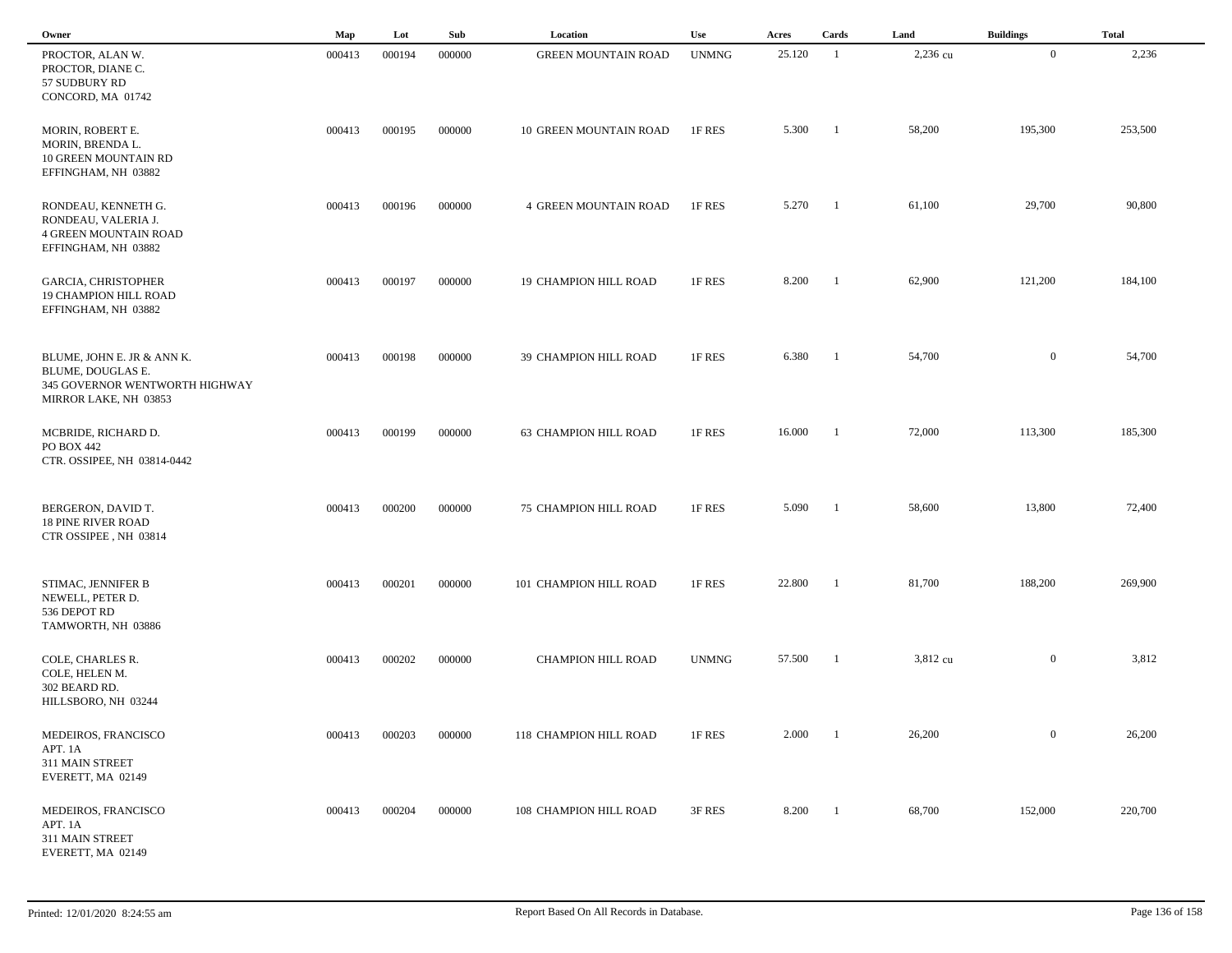| Owner                                                                                                      | Map    | Lot    | Sub    | Location                     | Use          | Acres  | Cards          | Land     | <b>Buildings</b> | <b>Total</b> |  |
|------------------------------------------------------------------------------------------------------------|--------|--------|--------|------------------------------|--------------|--------|----------------|----------|------------------|--------------|--|
| PROCTOR, ALAN W.<br>PROCTOR, DIANE C.<br>57 SUDBURY RD<br>CONCORD, MA 01742                                | 000413 | 000194 | 000000 | <b>GREEN MOUNTAIN ROAD</b>   | <b>UNMNG</b> | 25.120 | $\overline{1}$ | 2,236 cu | $\mathbf{0}$     | 2,236        |  |
| MORIN, ROBERT E.<br>MORIN, BRENDA L.<br>10 GREEN MOUNTAIN RD<br>EFFINGHAM, NH 03882                        | 000413 | 000195 | 000000 | 10 GREEN MOUNTAIN ROAD       | 1F RES       | 5.300  | $\blacksquare$ | 58,200   | 195,300          | 253,500      |  |
| RONDEAU, KENNETH G.<br>RONDEAU, VALERIA J.<br><b>4 GREEN MOUNTAIN ROAD</b><br>EFFINGHAM, NH 03882          | 000413 | 000196 | 000000 | <b>4 GREEN MOUNTAIN ROAD</b> | 1F RES       | 5.270  | $\blacksquare$ | 61,100   | 29,700           | 90,800       |  |
| <b>GARCIA, CHRISTOPHER</b><br><b>19 CHAMPION HILL ROAD</b><br>EFFINGHAM, NH 03882                          | 000413 | 000197 | 000000 | 19 CHAMPION HILL ROAD        | 1F RES       | 8.200  | $\blacksquare$ | 62,900   | 121,200          | 184,100      |  |
| BLUME, JOHN E. JR & ANN K.<br>BLUME, DOUGLAS E.<br>345 GOVERNOR WENTWORTH HIGHWAY<br>MIRROR LAKE, NH 03853 | 000413 | 000198 | 000000 | 39 CHAMPION HILL ROAD        | 1F RES       | 6.380  | $\blacksquare$ | 54,700   | $\overline{0}$   | 54,700       |  |
| MCBRIDE, RICHARD D.<br>PO BOX 442<br>CTR. OSSIPEE, NH 03814-0442                                           | 000413 | 000199 | 000000 | 63 CHAMPION HILL ROAD        | 1F RES       | 16.000 | $\overline{1}$ | 72,000   | 113,300          | 185,300      |  |
| BERGERON, DAVID T.<br><b>18 PINE RIVER ROAD</b><br>CTR OSSIPEE, NH 03814                                   | 000413 | 000200 | 000000 | <b>75 CHAMPION HILL ROAD</b> | 1F RES       | 5.090  | $\mathbf{1}$   | 58,600   | 13,800           | 72,400       |  |
| STIMAC, JENNIFER B<br>NEWELL, PETER D.<br>536 DEPOT RD<br>TAMWORTH, NH 03886                               | 000413 | 000201 | 000000 | 101 CHAMPION HILL ROAD       | 1F RES       | 22.800 | - 1            | 81,700   | 188,200          | 269,900      |  |
| COLE, CHARLES R.<br>COLE, HELEN M.<br>302 BEARD RD.<br>HILLSBORO, NH 03244                                 | 000413 | 000202 | 000000 | <b>CHAMPION HILL ROAD</b>    | <b>UNMNG</b> | 57.500 | $\overline{1}$ | 3,812 cu | $\overline{0}$   | 3,812        |  |
| MEDEIROS, FRANCISCO<br>APT. 1A<br>311 MAIN STREET<br>EVERETT, MA 02149                                     | 000413 | 000203 | 000000 | 118 CHAMPION HILL ROAD       | 1F RES       | 2.000  | $\blacksquare$ | 26,200   | $\bf{0}$         | 26,200       |  |
| MEDEIROS, FRANCISCO<br>APT. 1A<br>311 MAIN STREET<br>EVERETT, MA 02149                                     | 000413 | 000204 | 000000 | 108 CHAMPION HILL ROAD       | 3F RES       | 8.200  | $\blacksquare$ | 68,700   | 152,000          | 220,700      |  |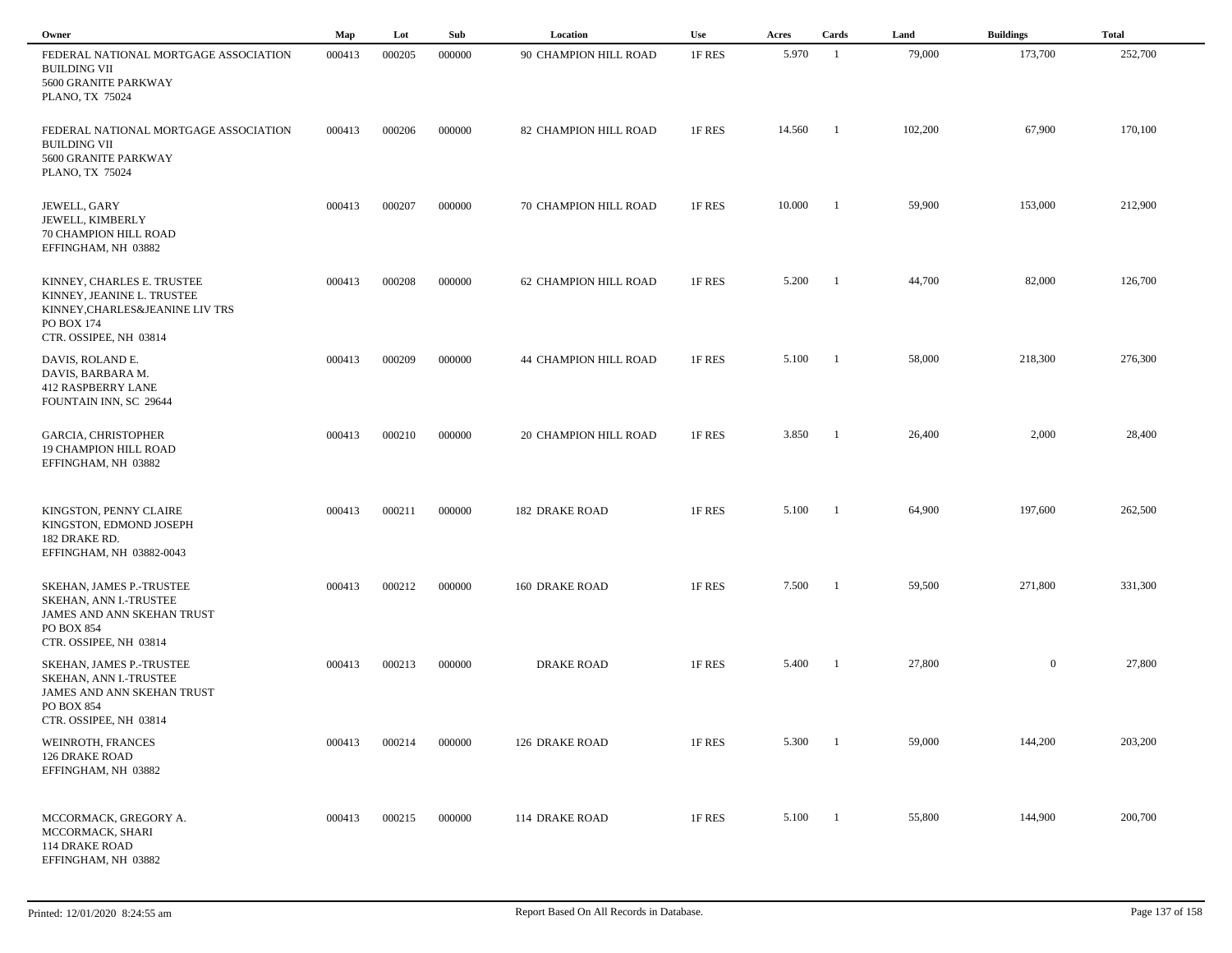| Owner                                                                                                                                 | Map    | Lot    | Sub    | Location                     | Use    | Acres  | Cards          | Land    | <b>Buildings</b> | <b>Total</b> |
|---------------------------------------------------------------------------------------------------------------------------------------|--------|--------|--------|------------------------------|--------|--------|----------------|---------|------------------|--------------|
| FEDERAL NATIONAL MORTGAGE ASSOCIATION<br><b>BUILDING VII</b><br>5600 GRANITE PARKWAY<br>PLANO, TX 75024                               | 000413 | 000205 | 000000 | 90 CHAMPION HILL ROAD        | 1F RES | 5.970  | $\overline{1}$ | 79,000  | 173,700          | 252,700      |
| FEDERAL NATIONAL MORTGAGE ASSOCIATION<br><b>BUILDING VII</b><br>5600 GRANITE PARKWAY<br>PLANO, TX 75024                               | 000413 | 000206 | 000000 | 82 CHAMPION HILL ROAD        | 1F RES | 14.560 | - 1            | 102,200 | 67,900           | 170,100      |
| JEWELL, GARY<br>JEWELL, KIMBERLY<br>70 CHAMPION HILL ROAD<br>EFFINGHAM, NH 03882                                                      | 000413 | 000207 | 000000 | 70 CHAMPION HILL ROAD        | 1F RES | 10.000 | - 1            | 59,900  | 153,000          | 212,900      |
| KINNEY, CHARLES E. TRUSTEE<br>KINNEY, JEANINE L. TRUSTEE<br>KINNEY, CHARLES & JEANINE LIV TRS<br>PO BOX 174<br>CTR. OSSIPEE, NH 03814 | 000413 | 000208 | 000000 | 62 CHAMPION HILL ROAD        | 1F RES | 5.200  | - 1            | 44,700  | 82,000           | 126,700      |
| DAVIS, ROLAND E.<br>DAVIS, BARBARA M.<br><b>412 RASPBERRY LANE</b><br>FOUNTAIN INN, SC 29644                                          | 000413 | 000209 | 000000 | <b>44 CHAMPION HILL ROAD</b> | 1F RES | 5.100  | - 1            | 58,000  | 218,300          | 276,300      |
| <b>GARCIA, CHRISTOPHER</b><br><b>19 CHAMPION HILL ROAD</b><br>EFFINGHAM, NH 03882                                                     | 000413 | 000210 | 000000 | <b>20 CHAMPION HILL ROAD</b> | 1F RES | 3.850  | -1             | 26,400  | 2,000            | 28,400       |
| KINGSTON, PENNY CLAIRE<br>KINGSTON, EDMOND JOSEPH<br>182 DRAKE RD.<br>EFFINGHAM, NH 03882-0043                                        | 000413 | 000211 | 000000 | <b>182 DRAKE ROAD</b>        | 1F RES | 5.100  | -1             | 64,900  | 197,600          | 262,500      |
| SKEHAN, JAMES P.-TRUSTEE<br>SKEHAN, ANN I.-TRUSTEE<br>JAMES AND ANN SKEHAN TRUST<br>PO BOX 854                                        | 000413 | 000212 | 000000 | <b>160 DRAKE ROAD</b>        | 1F RES | 7.500  | - 1            | 59,500  | 271,800          | 331,300      |
| CTR. OSSIPEE, NH 03814<br>SKEHAN, JAMES P.-TRUSTEE<br>SKEHAN, ANN I.-TRUSTEE<br>JAMES AND ANN SKEHAN TRUST<br>PO BOX 854              | 000413 | 000213 | 000000 | <b>DRAKE ROAD</b>            | 1F RES | 5.400  | -1             | 27,800  | $\mathbf{0}$     | 27,800       |
| CTR. OSSIPEE, NH 03814<br>WEINROTH, FRANCES<br><b>126 DRAKE ROAD</b><br>EFFINGHAM, NH 03882                                           | 000413 | 000214 | 000000 | 126 DRAKE ROAD               | 1F RES | 5.300  | - 1            | 59,000  | 144,200          | 203,200      |
| MCCORMACK, GREGORY A.<br>MCCORMACK, SHARI<br>114 DRAKE ROAD<br>EFFINGHAM, NH 03882                                                    | 000413 | 000215 | 000000 | <b>114 DRAKE ROAD</b>        | 1F RES | 5.100  | $\blacksquare$ | 55,800  | 144,900          | 200,700      |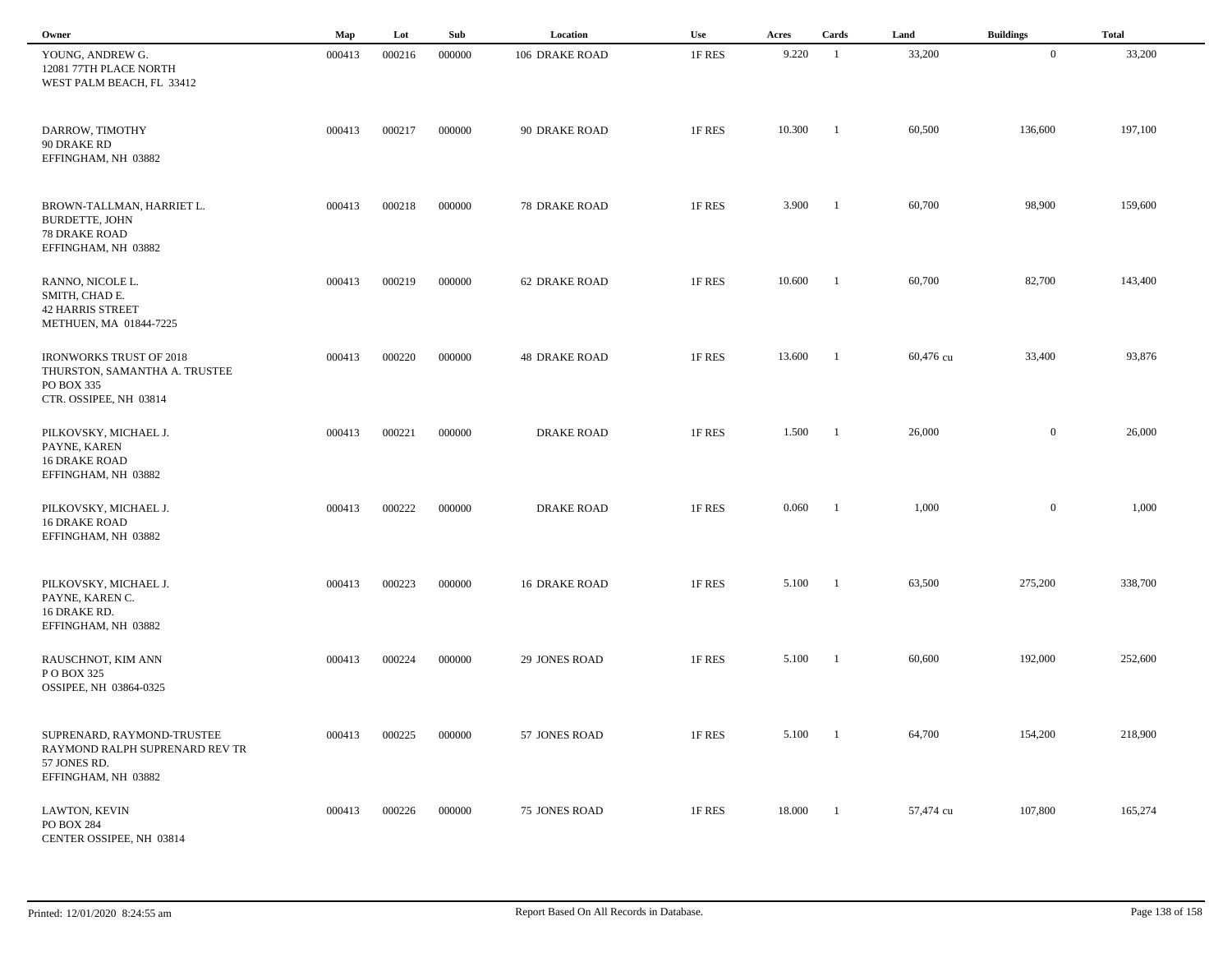| Owner                                                                                                   | Map    | Lot    | Sub    | Location             | Use    | Acres  | Cards                    | Land      | <b>Buildings</b> | <b>Total</b> |
|---------------------------------------------------------------------------------------------------------|--------|--------|--------|----------------------|--------|--------|--------------------------|-----------|------------------|--------------|
| YOUNG, ANDREW G.<br>12081 77TH PLACE NORTH<br>WEST PALM BEACH, FL 33412                                 | 000413 | 000216 | 000000 | 106 DRAKE ROAD       | 1F RES | 9.220  | -1                       | 33,200    | $\overline{0}$   | 33,200       |
| DARROW, TIMOTHY<br>90 DRAKE RD<br>EFFINGHAM, NH 03882                                                   | 000413 | 000217 | 000000 | 90 DRAKE ROAD        | 1F RES | 10.300 | - 1                      | 60,500    | 136,600          | 197,100      |
| BROWN-TALLMAN, HARRIET L.<br><b>BURDETTE, JOHN</b><br><b>78 DRAKE ROAD</b><br>EFFINGHAM, NH 03882       | 000413 | 000218 | 000000 | <b>78 DRAKE ROAD</b> | 1F RES | 3.900  | -1                       | 60,700    | 98,900           | 159,600      |
| RANNO, NICOLE L.<br>SMITH, CHAD E.<br><b>42 HARRIS STREET</b><br>METHUEN, MA 01844-7225                 | 000413 | 000219 | 000000 | <b>62 DRAKE ROAD</b> | 1F RES | 10.600 | -1                       | 60,700    | 82,700           | 143,400      |
| <b>IRONWORKS TRUST OF 2018</b><br>THURSTON, SAMANTHA A. TRUSTEE<br>PO BOX 335<br>CTR. OSSIPEE, NH 03814 | 000413 | 000220 | 000000 | <b>48 DRAKE ROAD</b> | 1F RES | 13.600 | - 1                      | 60,476 cu | 33,400           | 93,876       |
| PILKOVSKY, MICHAEL J.<br>PAYNE, KAREN<br><b>16 DRAKE ROAD</b><br>EFFINGHAM, NH 03882                    | 000413 | 000221 | 000000 | <b>DRAKE ROAD</b>    | 1F RES | 1.500  | $\blacksquare$           | 26,000    | $\overline{0}$   | 26,000       |
| PILKOVSKY, MICHAEL J.<br><b>16 DRAKE ROAD</b><br>EFFINGHAM, NH 03882                                    | 000413 | 000222 | 000000 | <b>DRAKE ROAD</b>    | 1F RES | 0.060  | -1                       | 1,000     | $\overline{0}$   | 1,000        |
| PILKOVSKY, MICHAEL J.<br>PAYNE, KAREN C.<br>16 DRAKE RD.<br>EFFINGHAM, NH 03882                         | 000413 | 000223 | 000000 | <b>16 DRAKE ROAD</b> | 1F RES | 5.100  |                          | 63,500    | 275,200          | 338,700      |
| RAUSCHNOT, KIM ANN<br>P O BOX 325<br>OSSIPEE, NH 03864-0325                                             | 000413 | 000224 | 000000 | 29 JONES ROAD        | 1F RES | 5.100  |                          | 60,600    | 192,000          | 252,600      |
| SUPRENARD, RAYMOND-TRUSTEE<br>RAYMOND RALPH SUPRENARD REV TR<br>57 JONES RD.<br>EFFINGHAM, NH 03882     | 000413 | 000225 | 000000 | 57 JONES ROAD        | 1F RES | 5.100  | $\overline{\phantom{0}}$ | 64,700    | 154,200          | 218,900      |
| LAWTON, KEVIN<br>PO BOX 284<br>CENTER OSSIPEE, NH 03814                                                 | 000413 | 000226 | 000000 | 75 JONES ROAD        | 1F RES | 18.000 | $\blacksquare$           | 57,474 cu | 107,800          | 165,274      |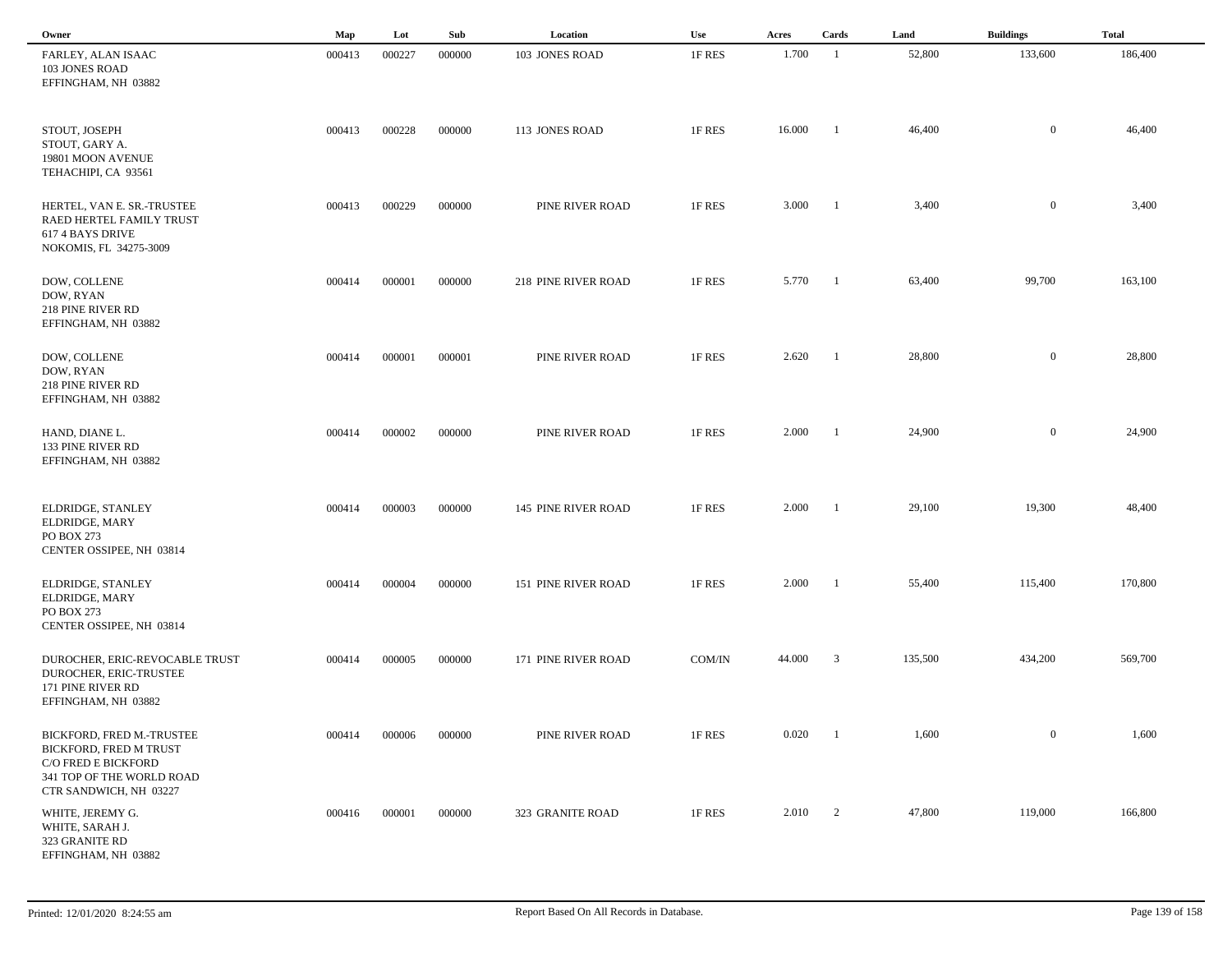| Owner                                                                                                                             | Map    | Lot    | Sub    | Location            | Use    | Acres   | Cards                   | Land    | <b>Buildings</b> | <b>Total</b> |
|-----------------------------------------------------------------------------------------------------------------------------------|--------|--------|--------|---------------------|--------|---------|-------------------------|---------|------------------|--------------|
| FARLEY, ALAN ISAAC<br>103 JONES ROAD<br>EFFINGHAM, NH 03882                                                                       | 000413 | 000227 | 000000 | 103 JONES ROAD      | 1F RES | 1.700   | $\overline{1}$          | 52,800  | 133,600          | 186,400      |
| STOUT, JOSEPH<br>STOUT, GARY A.<br>19801 MOON AVENUE<br>TEHACHIPI, CA 93561                                                       | 000413 | 000228 | 000000 | 113 JONES ROAD      | 1F RES | 16.000  | - 1                     | 46,400  | $\overline{0}$   | 46,400       |
| HERTEL, VAN E. SR.-TRUSTEE<br>RAED HERTEL FAMILY TRUST<br>617 4 BAYS DRIVE<br>NOKOMIS, FL 34275-3009                              | 000413 | 000229 | 000000 | PINE RIVER ROAD     | 1F RES | 3.000   | $\blacksquare$          | 3,400   | $\bf{0}$         | 3,400        |
| DOW, COLLENE<br>DOW, RYAN<br>218 PINE RIVER RD<br>EFFINGHAM, NH 03882                                                             | 000414 | 000001 | 000000 | 218 PINE RIVER ROAD | 1F RES | 5.770   | $\blacksquare$          | 63,400  | 99,700           | 163,100      |
| DOW, COLLENE<br>DOW, RYAN<br>218 PINE RIVER RD<br>EFFINGHAM, NH 03882                                                             | 000414 | 000001 | 000001 | PINE RIVER ROAD     | 1F RES | 2.620   | $\blacksquare$          | 28,800  | $\overline{0}$   | 28,800       |
| HAND, DIANE L.<br>133 PINE RIVER RD<br>EFFINGHAM, NH 03882                                                                        | 000414 | 000002 | 000000 | PINE RIVER ROAD     | 1F RES | 2.000   | $\blacksquare$          | 24,900  | $\overline{0}$   | 24,900       |
| ELDRIDGE, STANLEY<br>ELDRIDGE, MARY<br>PO BOX 273<br>CENTER OSSIPEE, NH 03814                                                     | 000414 | 000003 | 000000 | 145 PINE RIVER ROAD | 1F RES | 2.000   | $\mathbf{1}$            | 29,100  | 19,300           | 48,400       |
| ELDRIDGE, STANLEY<br>ELDRIDGE, MARY<br>PO BOX 273<br>CENTER OSSIPEE, NH 03814                                                     | 000414 | 000004 | 000000 | 151 PINE RIVER ROAD | 1F RES | 2.000   | - 1                     | 55,400  | 115,400          | 170,800      |
| DUROCHER, ERIC-REVOCABLE TRUST<br>DUROCHER, ERIC-TRUSTEE<br>171 PINE RIVER RD<br>EFFINGHAM, NH 03882                              | 000414 | 000005 | 000000 | 171 PINE RIVER ROAD | COM/IN | 44.000  | $\overline{\mathbf{3}}$ | 135,500 | 434,200          | 569,700      |
| BICKFORD, FRED M.-TRUSTEE<br>BICKFORD, FRED M TRUST<br>C/O FRED E BICKFORD<br>341 TOP OF THE WORLD ROAD<br>CTR SANDWICH, NH 03227 | 000414 | 000006 | 000000 | PINE RIVER ROAD     | 1F RES | 0.020   | $\blacksquare$          | 1,600   | $\overline{0}$   | 1,600        |
| WHITE, JEREMY G.<br>WHITE, SARAH J.<br>323 GRANITE RD<br>EFFINGHAM, NH 03882                                                      | 000416 | 000001 | 000000 | 323 GRANITE ROAD    | 1F RES | 2.010 2 |                         | 47,800  | 119,000          | 166,800      |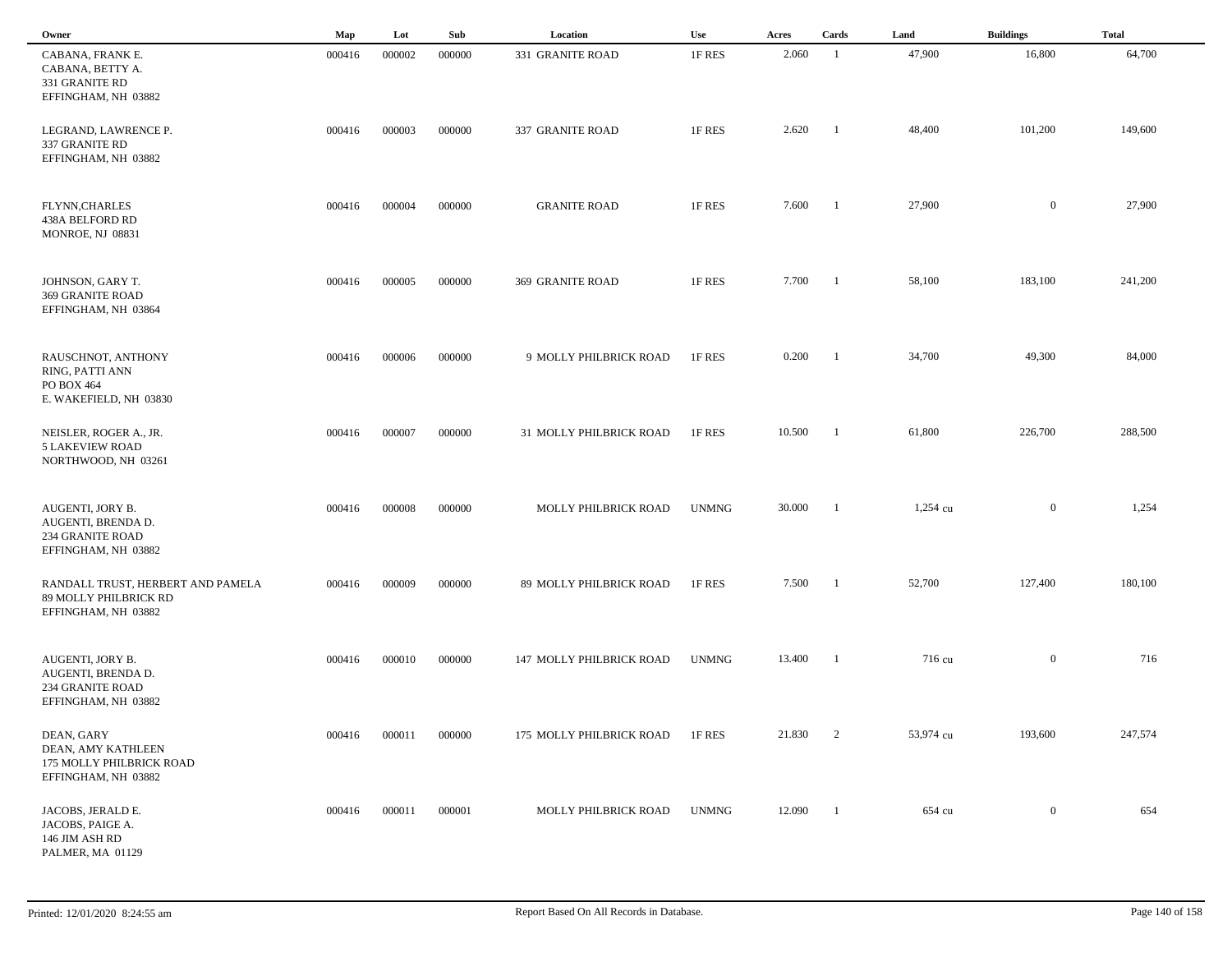| Owner                                                                                    | Map    | Lot    | Sub    | Location                 | Use          | Acres  | Cards          | Land       | <b>Buildings</b> | <b>Total</b> |
|------------------------------------------------------------------------------------------|--------|--------|--------|--------------------------|--------------|--------|----------------|------------|------------------|--------------|
| CABANA, FRANK E.<br>CABANA, BETTY A.<br>331 GRANITE RD<br>EFFINGHAM, NH 03882            | 000416 | 000002 | 000000 | 331 GRANITE ROAD         | 1F RES       | 2.060  | -1             | 47,900     | 16,800           | 64,700       |
| LEGRAND, LAWRENCE P.<br>337 GRANITE RD<br>EFFINGHAM, NH 03882                            | 000416 | 000003 | 000000 | 337 GRANITE ROAD         | 1F RES       | 2.620  | -1             | 48,400     | 101,200          | 149,600      |
| FLYNN, CHARLES<br><b>438A BELFORD RD</b><br>MONROE, NJ 08831                             | 000416 | 000004 | 000000 | <b>GRANITE ROAD</b>      | 1F RES       | 7.600  | -1             | 27,900     | $\mathbf{0}$     | 27,900       |
| JOHNSON, GARY T.<br>369 GRANITE ROAD<br>EFFINGHAM, NH 03864                              | 000416 | 000005 | 000000 | 369 GRANITE ROAD         | 1F RES       | 7.700  | - 1            | 58,100     | 183,100          | 241,200      |
| RAUSCHNOT, ANTHONY<br>RING, PATTI ANN<br>PO BOX 464<br>E. WAKEFIELD, NH 03830            | 000416 | 000006 | 000000 | 9 MOLLY PHILBRICK ROAD   | 1F RES       | 0.200  | $\blacksquare$ | 34,700     | 49,300           | 84,000       |
| NEISLER, ROGER A., JR.<br><b>5 LAKEVIEW ROAD</b><br>NORTHWOOD, NH 03261                  | 000416 | 000007 | 000000 | 31 MOLLY PHILBRICK ROAD  | 1F RES       | 10.500 | -1             | 61,800     | 226,700          | 288,500      |
| AUGENTI, JORY B.<br>AUGENTI, BRENDA D.<br><b>234 GRANITE ROAD</b><br>EFFINGHAM, NH 03882 | 000416 | 000008 | 000000 | MOLLY PHILBRICK ROAD     | <b>UNMNG</b> | 30.000 | -1             | $1,254$ cu | $\mathbf{0}$     | 1,254        |
| RANDALL TRUST, HERBERT AND PAMELA<br>89 MOLLY PHILBRICK RD<br>EFFINGHAM, NH 03882        | 000416 | 000009 | 000000 | 89 MOLLY PHILBRICK ROAD  | 1F RES       | 7.500  |                | 52,700     | 127,400          | 180,100      |
| AUGENTI, JORY B.<br>AUGENTI, BRENDA D.<br>234 GRANITE ROAD<br>EFFINGHAM, NH 03882        | 000416 | 000010 | 000000 | 147 MOLLY PHILBRICK ROAD | <b>UNMNG</b> | 13.400 |                | 716 cu     | $\overline{0}$   | 716          |
| DEAN, GARY<br>DEAN, AMY KATHLEEN<br>175 MOLLY PHILBRICK ROAD<br>EFFINGHAM, NH 03882      | 000416 | 000011 | 000000 | 175 MOLLY PHILBRICK ROAD | 1F RES       | 21.830 | 2              | 53,974 cu  | 193,600          | 247,574      |
| JACOBS, JERALD E.<br>JACOBS, PAIGE A.<br>146 JIM ASH RD<br>PALMER, MA 01129              | 000416 | 000011 | 000001 | MOLLY PHILBRICK ROAD     | <b>UNMNG</b> | 12.090 | $\blacksquare$ | 654 cu     | $\overline{0}$   | 654          |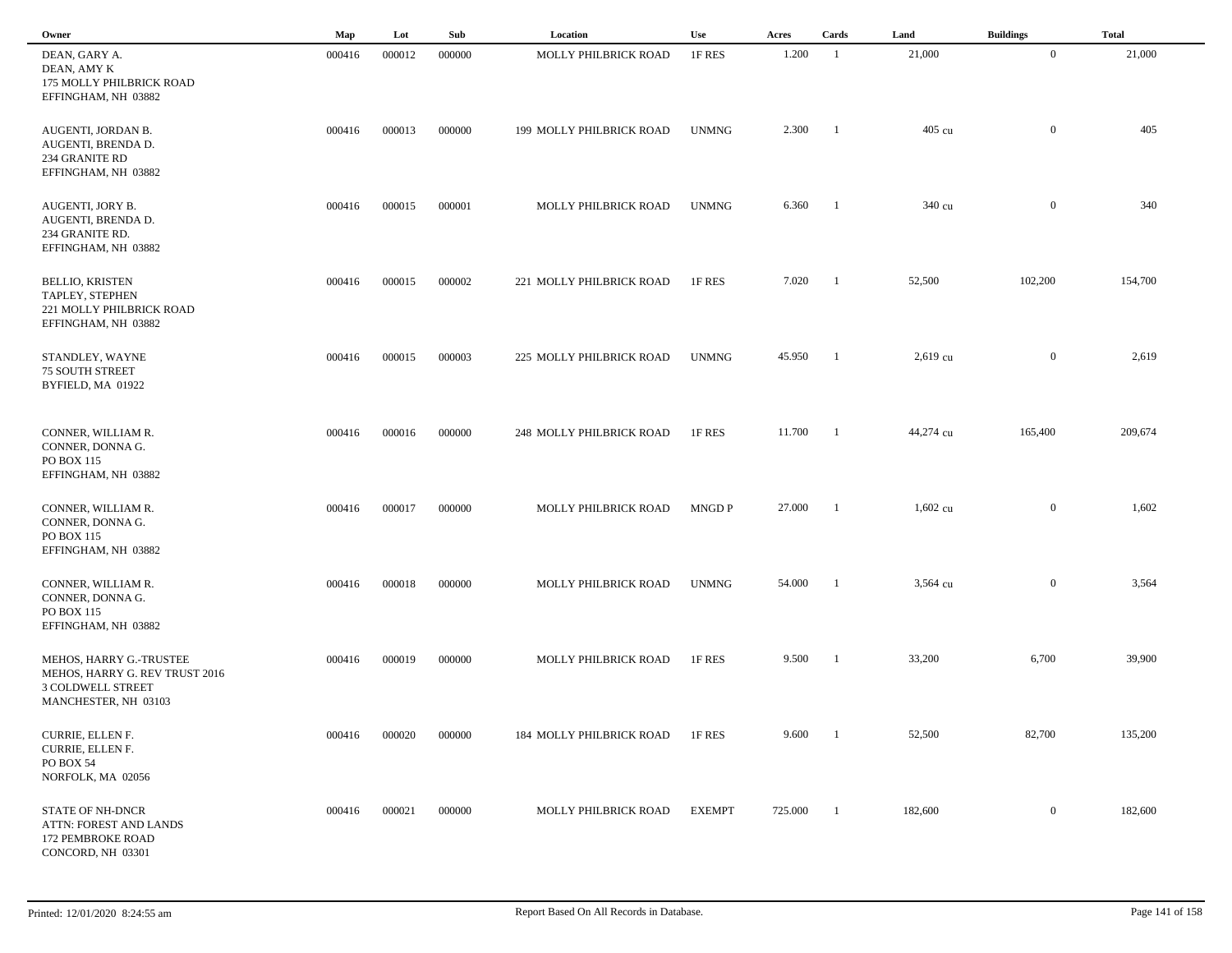| Owner                                                                                                  | Map    | Lot    | Sub    | Location                 | <b>Use</b>    | Acres   | Cards          | Land       | <b>Buildings</b> | <b>Total</b> |  |
|--------------------------------------------------------------------------------------------------------|--------|--------|--------|--------------------------|---------------|---------|----------------|------------|------------------|--------------|--|
| DEAN, GARY A.<br>DEAN, AMY K<br>175 MOLLY PHILBRICK ROAD<br>EFFINGHAM, NH 03882                        | 000416 | 000012 | 000000 | MOLLY PHILBRICK ROAD     | 1F RES        | 1.200   | -1             | 21,000     | $\overline{0}$   | 21,000       |  |
| AUGENTI, JORDAN B.<br>AUGENTI, BRENDA D.<br>234 GRANITE RD<br>EFFINGHAM, NH 03882                      | 000416 | 000013 | 000000 | 199 MOLLY PHILBRICK ROAD | <b>UNMNG</b>  | 2.300   | - 1            | 405 cu     | $\boldsymbol{0}$ | 405          |  |
| AUGENTI, JORY B.<br>AUGENTI, BRENDA D.<br>234 GRANITE RD.<br>EFFINGHAM, NH 03882                       | 000416 | 000015 | 000001 | MOLLY PHILBRICK ROAD     | <b>UNMNG</b>  | 6.360   | -1             | 340 cu     | $\mathbf{0}$     | 340          |  |
| <b>BELLIO, KRISTEN</b><br>TAPLEY, STEPHEN<br>221 MOLLY PHILBRICK ROAD<br>EFFINGHAM, NH 03882           | 000416 | 000015 | 000002 | 221 MOLLY PHILBRICK ROAD | 1F RES        | 7.020   | -1             | 52,500     | 102,200          | 154,700      |  |
| STANDLEY, WAYNE<br><b>75 SOUTH STREET</b><br>BYFIELD, MA 01922                                         | 000416 | 000015 | 000003 | 225 MOLLY PHILBRICK ROAD | <b>UNMNG</b>  | 45.950  | $\overline{1}$ | $2,619$ cu | $\mathbf{0}$     | 2,619        |  |
| CONNER, WILLIAM R.<br>CONNER, DONNA G.<br>PO BOX 115<br>EFFINGHAM, NH 03882                            | 000416 | 000016 | 000000 | 248 MOLLY PHILBRICK ROAD | 1F RES        | 11.700  | - 1            | 44,274 cu  | 165,400          | 209,674      |  |
| CONNER, WILLIAM R.<br>CONNER, DONNA G.<br>PO BOX 115<br>EFFINGHAM, NH 03882                            | 000416 | 000017 | 000000 | MOLLY PHILBRICK ROAD     | MNGD P        | 27.000  |                | $1,602$ cu | $\overline{0}$   | 1,602        |  |
| CONNER, WILLIAM R.<br>CONNER, DONNA G.<br>PO BOX 115<br>EFFINGHAM, NH 03882                            | 000416 | 000018 | 000000 | MOLLY PHILBRICK ROAD     | <b>UNMNG</b>  | 54.000  | -1             | 3,564 cu   | $\mathbf{0}$     | 3,564        |  |
| MEHOS, HARRY G.-TRUSTEE<br>MEHOS, HARRY G. REV TRUST 2016<br>3 COLDWELL STREET<br>MANCHESTER, NH 03103 | 000416 | 000019 | 000000 | MOLLY PHILBRICK ROAD     | 1F RES        | 9.500   |                | 33,200     | 6,700            | 39,900       |  |
| CURRIE, ELLEN F.<br>CURRIE, ELLEN F.<br>PO BOX 54<br>NORFOLK, MA 02056                                 | 000416 | 000020 | 000000 | 184 MOLLY PHILBRICK ROAD | 1F RES        | 9.600   | - 1            | 52,500     | 82,700           | 135,200      |  |
| <b>STATE OF NH-DNCR</b><br>ATTN: FOREST AND LANDS<br>172 PEMBROKE ROAD<br>CONCORD, NH 03301            | 000416 | 000021 | 000000 | MOLLY PHILBRICK ROAD     | <b>EXEMPT</b> | 725.000 | -1             | 182,600    | $\mathbf{0}$     | 182,600      |  |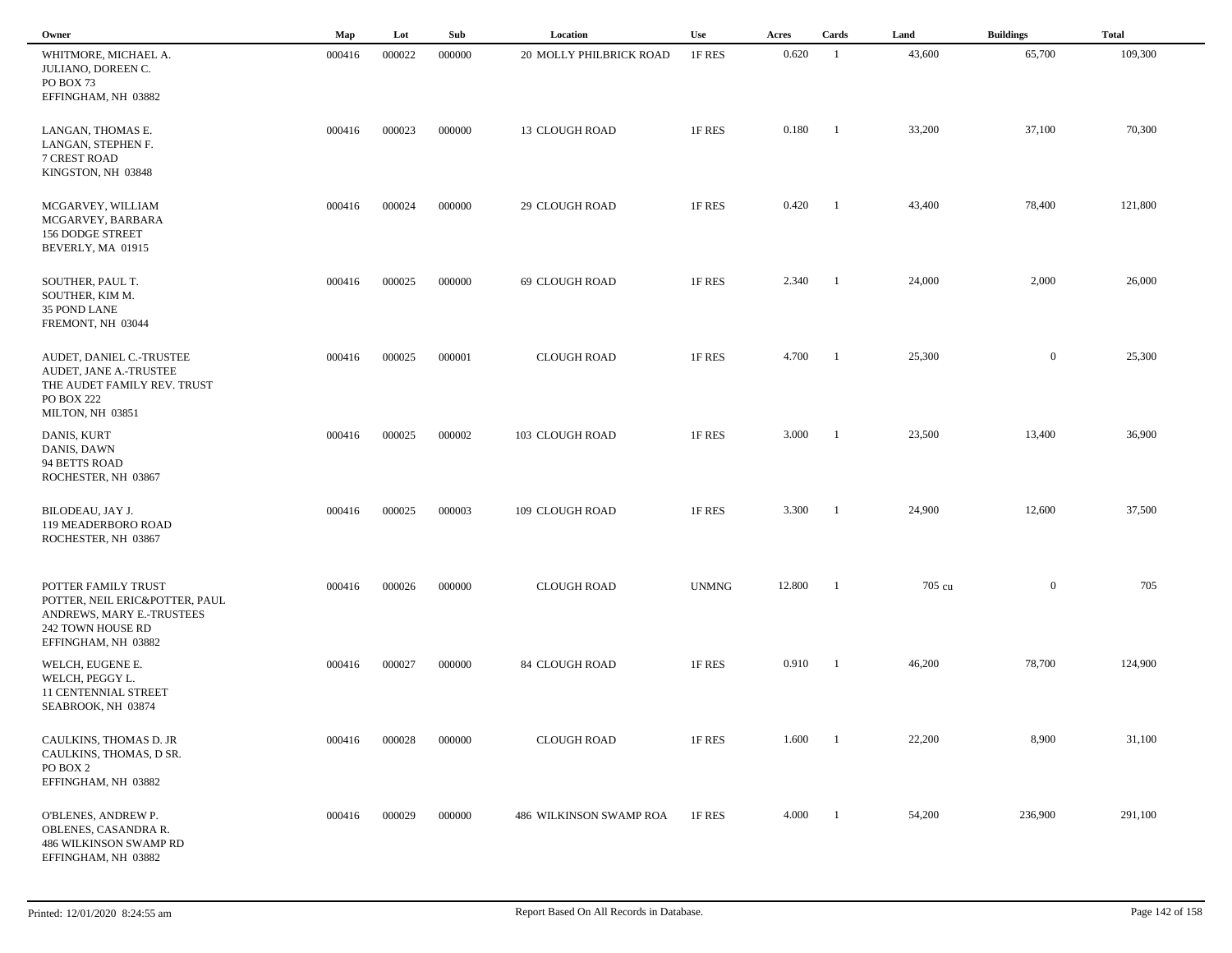| Owner                                                                                                                          | $\mathbf{Map}$ | Lot    | Sub    | Location                | <b>Use</b>   | Acres  | Cards          | Land   | <b>Buildings</b> | <b>Total</b> |
|--------------------------------------------------------------------------------------------------------------------------------|----------------|--------|--------|-------------------------|--------------|--------|----------------|--------|------------------|--------------|
| WHITMORE, MICHAEL A.<br>JULIANO, DOREEN C.<br>PO BOX 73<br>EFFINGHAM, NH 03882                                                 | 000416         | 000022 | 000000 | 20 MOLLY PHILBRICK ROAD | 1F RES       | 0.620  | -1             | 43,600 | 65,700           | 109,300      |
| LANGAN, THOMAS E.<br>LANGAN, STEPHEN F.<br>7 CREST ROAD<br>KINGSTON, NH 03848                                                  | 000416         | 000023 | 000000 | <b>13 CLOUGH ROAD</b>   | 1F RES       | 0.180  | - 1            | 33,200 | 37,100           | 70,300       |
| MCGARVEY, WILLIAM<br>MCGARVEY, BARBARA<br><b>156 DODGE STREET</b><br>BEVERLY, MA 01915                                         | 000416         | 000024 | 000000 | 29 CLOUGH ROAD          | 1F RES       | 0.420  | -1             | 43,400 | 78,400           | 121,800      |
| SOUTHER, PAUL T.<br>SOUTHER, KIM M.<br>35 POND LANE<br>FREMONT, NH 03044                                                       | 000416         | 000025 | 000000 | 69 CLOUGH ROAD          | 1F RES       | 2.340  | -1             | 24,000 | 2,000            | 26,000       |
| AUDET, DANIEL C.-TRUSTEE<br>AUDET, JANE A.-TRUSTEE<br>THE AUDET FAMILY REV. TRUST<br><b>PO BOX 222</b><br>MILTON, NH 03851     | 000416         | 000025 | 000001 | <b>CLOUGH ROAD</b>      | 1F RES       | 4.700  | $\blacksquare$ | 25,300 | $\mathbf{0}$     | 25,300       |
| DANIS, KURT<br>DANIS, DAWN<br>94 BETTS ROAD<br>ROCHESTER, NH 03867                                                             | 000416         | 000025 | 000002 | 103 CLOUGH ROAD         | 1F RES       | 3.000  | -1             | 23,500 | 13,400           | 36,900       |
| BILODEAU, JAY J.<br>119 MEADERBORO ROAD<br>ROCHESTER, NH 03867                                                                 | 000416         | 000025 | 000003 | 109 CLOUGH ROAD         | 1F RES       | 3.300  | - 1            | 24,900 | 12,600           | 37,500       |
| POTTER FAMILY TRUST<br>POTTER, NEIL ERIC&POTTER, PAUL<br>ANDREWS, MARY E.-TRUSTEES<br>242 TOWN HOUSE RD<br>EFFINGHAM, NH 03882 | 000416         | 000026 | 000000 | <b>CLOUGH ROAD</b>      | <b>UNMNG</b> | 12.800 | -1             | 705 cu | $\overline{0}$   | 705          |
| WELCH, EUGENE E.<br>WELCH, PEGGY L.<br><b>11 CENTENNIAL STREET</b><br>SEABROOK, NH 03874                                       | 000416         | 000027 | 000000 | 84 CLOUGH ROAD          | 1F RES       | 0.910  | -1             | 46,200 | 78,700           | 124,900      |
| CAULKINS, THOMAS D. JR<br>CAULKINS, THOMAS, D SR.<br>PO BOX 2<br>EFFINGHAM, NH 03882                                           | 000416         | 000028 | 000000 | <b>CLOUGH ROAD</b>      | 1F RES       | 1.600  | $\blacksquare$ | 22,200 | 8,900            | 31,100       |
| O'BLENES, ANDREW P.<br>OBLENES, CASANDRA R.<br><b>486 WILKINSON SWAMP RD</b><br>EFFINGHAM, NH 03882                            | 000416         | 000029 | 000000 | 486 WILKINSON SWAMP ROA | 1F RES       | 4.000  | $\blacksquare$ | 54,200 | 236,900          | 291,100      |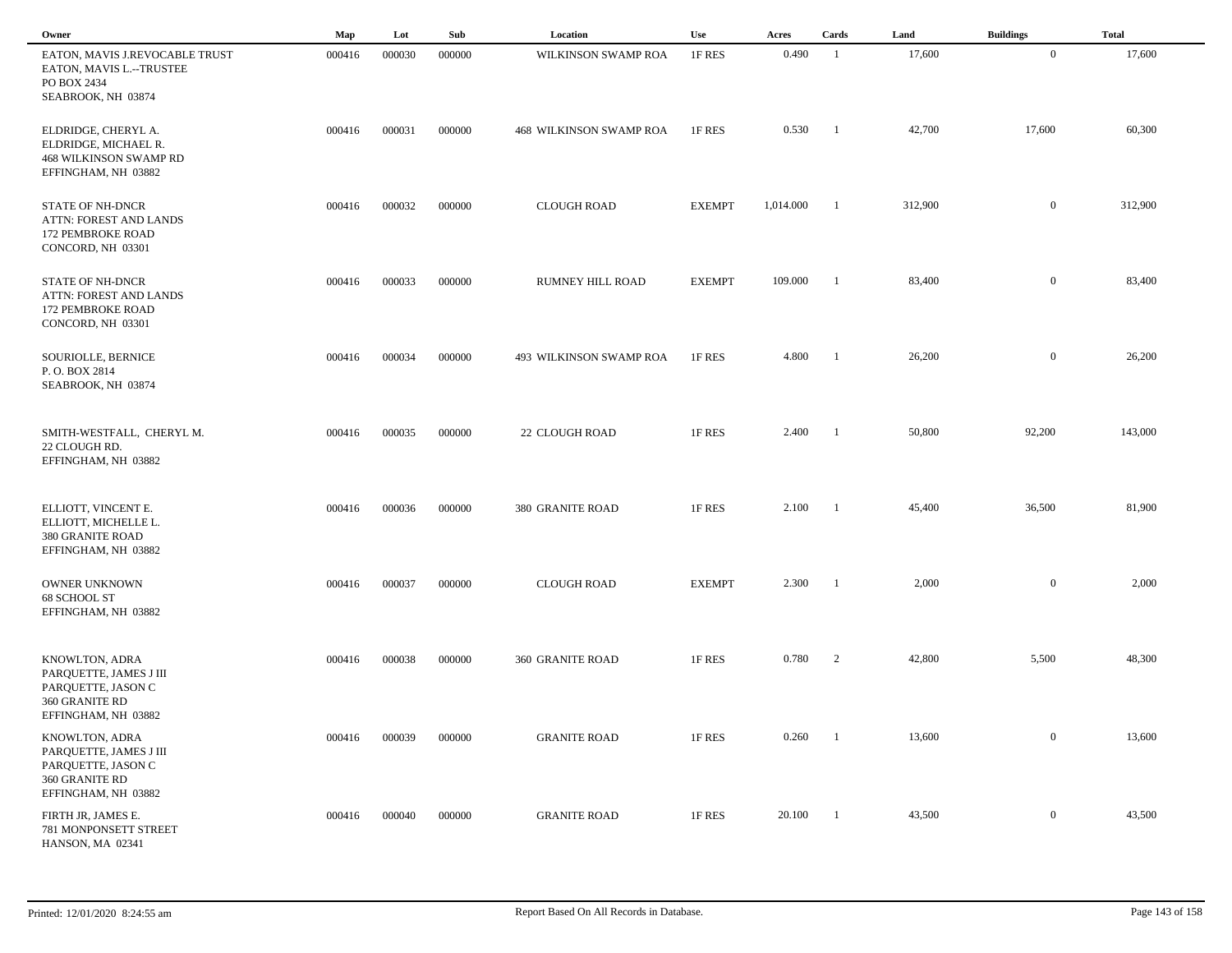| Owner                                                                                                   | Map    | Lot    | Sub    | Location                       | Use           | Acres     | Cards          | Land    | <b>Buildings</b> | <b>Total</b> |
|---------------------------------------------------------------------------------------------------------|--------|--------|--------|--------------------------------|---------------|-----------|----------------|---------|------------------|--------------|
| EATON, MAVIS J.REVOCABLE TRUST<br>EATON, MAVIS L.--TRUSTEE<br>PO BOX 2434<br>SEABROOK, NH 03874         | 000416 | 000030 | 000000 | WILKINSON SWAMP ROA            | 1F RES        | 0.490     | -1             | 17,600  | $\mathbf{0}$     | 17,600       |
| ELDRIDGE, CHERYL A.<br>ELDRIDGE, MICHAEL R.<br><b>468 WILKINSON SWAMP RD</b><br>EFFINGHAM, NH 03882     | 000416 | 000031 | 000000 | <b>468 WILKINSON SWAMP ROA</b> | 1F RES        | 0.530     | $\blacksquare$ | 42,700  | 17,600           | 60,300       |
| <b>STATE OF NH-DNCR</b><br>ATTN: FOREST AND LANDS<br>172 PEMBROKE ROAD<br>CONCORD, NH 03301             | 000416 | 000032 | 000000 | <b>CLOUGH ROAD</b>             | <b>EXEMPT</b> | 1,014.000 | -1             | 312,900 | $\overline{0}$   | 312,900      |
| <b>STATE OF NH-DNCR</b><br>ATTN: FOREST AND LANDS<br>172 PEMBROKE ROAD<br>CONCORD, NH 03301             | 000416 | 000033 | 000000 | RUMNEY HILL ROAD               | <b>EXEMPT</b> | 109.000   | -1             | 83,400  | $\overline{0}$   | 83,400       |
| SOURIOLLE, BERNICE<br>P.O. BOX 2814<br>SEABROOK, NH 03874                                               | 000416 | 000034 | 000000 | 493 WILKINSON SWAMP ROA        | 1F RES        | 4.800     | $\blacksquare$ | 26,200  | $\overline{0}$   | 26,200       |
| SMITH-WESTFALL, CHERYL M.<br>22 CLOUGH RD.<br>EFFINGHAM, NH 03882                                       | 000416 | 000035 | 000000 | 22 CLOUGH ROAD                 | 1F RES        | 2.400     | $\blacksquare$ | 50,800  | 92,200           | 143,000      |
| ELLIOTT, VINCENT E.<br>ELLIOTT, MICHELLE L.<br><b>380 GRANITE ROAD</b><br>EFFINGHAM, NH 03882           | 000416 | 000036 | 000000 | 380 GRANITE ROAD               | 1F RES        | 2.100     | - 1            | 45,400  | 36,500           | 81,900       |
| OWNER UNKNOWN<br>68 SCHOOL ST<br>EFFINGHAM, NH 03882                                                    | 000416 | 000037 | 000000 | <b>CLOUGH ROAD</b>             | <b>EXEMPT</b> | 2.300     | - 1            | 2,000   | $\overline{0}$   | 2,000        |
| KNOWLTON, ADRA<br>PARQUETTE, JAMES J III<br>PARQUETTE, JASON C<br>360 GRANITE RD<br>EFFINGHAM, NH 03882 | 000416 | 000038 | 000000 | 360 GRANITE ROAD               | 1F RES        | 0.780     | 2              | 42,800  | 5,500            | 48,300       |
| KNOWLTON, ADRA<br>PARQUETTE, JAMES J III<br>PARQUETTE, JASON C<br>360 GRANITE RD<br>EFFINGHAM, NH 03882 | 000416 | 000039 | 000000 | <b>GRANITE ROAD</b>            | 1F RES        | 0.260     | $\overline{1}$ | 13,600  | $\overline{0}$   | 13,600       |
| FIRTH JR, JAMES E.<br>781 MONPONSETT STREET<br>HANSON, MA 02341                                         | 000416 | 000040 | 000000 | <b>GRANITE ROAD</b>            | 1F RES        | 20.100    | $\blacksquare$ | 43,500  | $\overline{0}$   | 43,500       |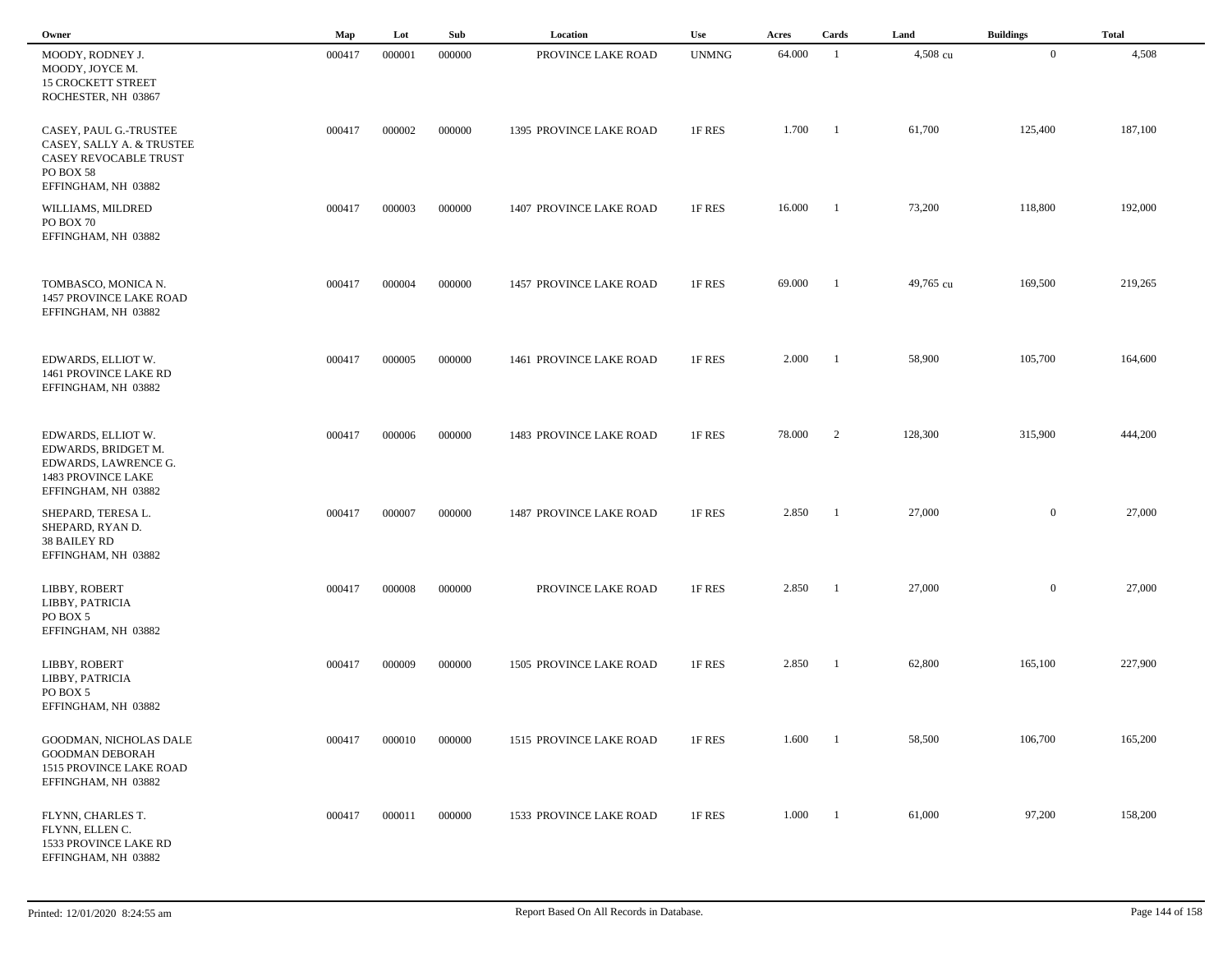| Owner                                                                                                                 | Map    | Lot    | Sub    | Location                | Use          | Acres  | Cards          | Land      | <b>Buildings</b> | <b>Total</b> |  |
|-----------------------------------------------------------------------------------------------------------------------|--------|--------|--------|-------------------------|--------------|--------|----------------|-----------|------------------|--------------|--|
| MOODY, RODNEY J.<br>MOODY, JOYCE M.<br><b>15 CROCKETT STREET</b><br>ROCHESTER, NH 03867                               | 000417 | 000001 | 000000 | PROVINCE LAKE ROAD      | <b>UNMNG</b> | 64.000 | -1             | 4,508 cu  | $\overline{0}$   | 4,508        |  |
| CASEY, PAUL G.-TRUSTEE<br>CASEY, SALLY A. & TRUSTEE<br>CASEY REVOCABLE TRUST<br>PO BOX 58<br>EFFINGHAM, NH 03882      | 000417 | 000002 | 000000 | 1395 PROVINCE LAKE ROAD | 1F RES       | 1.700  | - 1            | 61,700    | 125,400          | 187,100      |  |
| WILLIAMS, MILDRED<br>PO BOX 70<br>EFFINGHAM, NH 03882                                                                 | 000417 | 000003 | 000000 | 1407 PROVINCE LAKE ROAD | 1F RES       | 16.000 | -1             | 73,200    | 118,800          | 192,000      |  |
| TOMBASCO, MONICA N.<br>1457 PROVINCE LAKE ROAD<br>EFFINGHAM, NH 03882                                                 | 000417 | 000004 | 000000 | 1457 PROVINCE LAKE ROAD | 1F RES       | 69.000 | - 1            | 49,765 cu | 169,500          | 219,265      |  |
| EDWARDS, ELLIOT W.<br>1461 PROVINCE LAKE RD<br>EFFINGHAM, NH 03882                                                    | 000417 | 000005 | 000000 | 1461 PROVINCE LAKE ROAD | 1F RES       | 2.000  | -1             | 58,900    | 105,700          | 164,600      |  |
| EDWARDS, ELLIOT W.<br>EDWARDS, BRIDGET M.<br>EDWARDS, LAWRENCE G.<br><b>1483 PROVINCE LAKE</b><br>EFFINGHAM, NH 03882 | 000417 | 000006 | 000000 | 1483 PROVINCE LAKE ROAD | 1F RES       | 78.000 | 2              | 128,300   | 315,900          | 444,200      |  |
| SHEPARD, TERESA L.<br>SHEPARD, RYAN D.<br>38 BAILEY RD<br>EFFINGHAM, NH 03882                                         | 000417 | 000007 | 000000 | 1487 PROVINCE LAKE ROAD | 1F RES       | 2.850  | -1             | 27,000    | $\mathbf{0}$     | 27,000       |  |
| LIBBY, ROBERT<br>LIBBY, PATRICIA<br>PO BOX 5<br>EFFINGHAM, NH 03882                                                   | 000417 | 000008 | 000000 | PROVINCE LAKE ROAD      | 1F RES       | 2.850  | -1             | 27,000    | $\mathbf{0}$     | 27,000       |  |
| LIBBY, ROBERT<br>LIBBY, PATRICIA<br>PO BOX 5<br>EFFINGHAM, NH 03882                                                   | 000417 | 000009 | 000000 | 1505 PROVINCE LAKE ROAD | 1F RES       | 2.850  | -1             | 62,800    | 165,100          | 227,900      |  |
| GOODMAN, NICHOLAS DALE<br><b>GOODMAN DEBORAH</b><br>1515 PROVINCE LAKE ROAD<br>EFFINGHAM, NH 03882                    | 000417 | 000010 | 000000 | 1515 PROVINCE LAKE ROAD | 1F RES       | 1.600  | $\blacksquare$ | 58,500    | 106,700          | 165,200      |  |
| FLYNN, CHARLES T.<br>FLYNN, ELLEN C.<br>1533 PROVINCE LAKE RD<br>EFFINGHAM, NH 03882                                  | 000417 | 000011 | 000000 | 1533 PROVINCE LAKE ROAD | 1F RES       | 1.000  | $\blacksquare$ | 61,000    | 97,200           | 158,200      |  |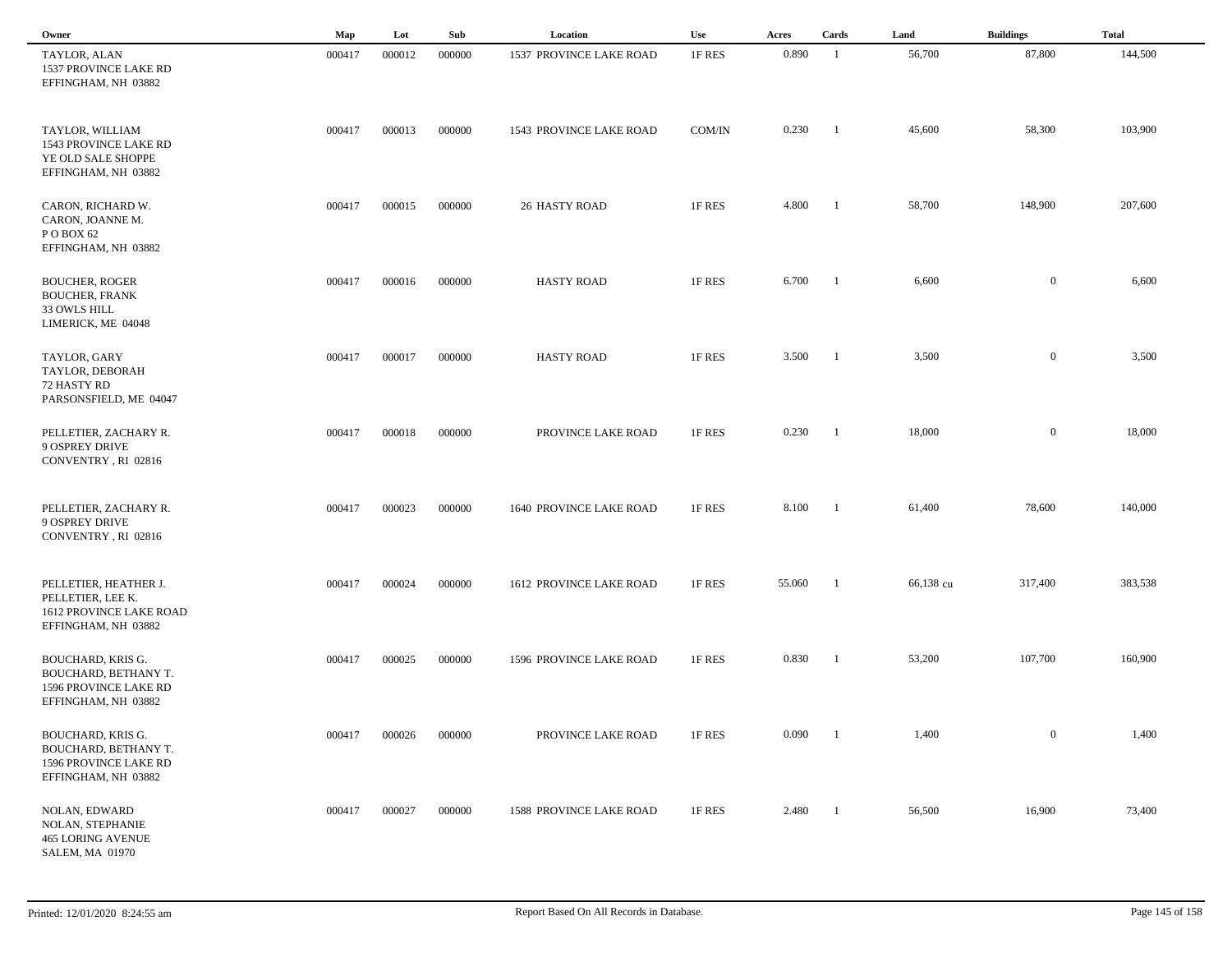| Owner                                                                                                   | Map    | Lot    | Sub    | Location                       | <b>Use</b> | Acres  | Cards          | Land      | <b>Buildings</b> | <b>Total</b> |
|---------------------------------------------------------------------------------------------------------|--------|--------|--------|--------------------------------|------------|--------|----------------|-----------|------------------|--------------|
| TAYLOR, ALAN<br>1537 PROVINCE LAKE RD<br>EFFINGHAM, NH 03882                                            | 000417 | 000012 | 000000 | 1537 PROVINCE LAKE ROAD        | 1F RES     | 0.890  | -1             | 56,700    | 87,800           | 144,500      |
| TAYLOR, WILLIAM<br>1543 PROVINCE LAKE RD<br>YE OLD SALE SHOPPE<br>EFFINGHAM, NH 03882                   | 000417 | 000013 | 000000 | 1543 PROVINCE LAKE ROAD        | COM/IN     | 0.230  | -1             | 45,600    | 58,300           | 103,900      |
| CARON, RICHARD W.<br>CARON, JOANNE M.<br>POBOX 62<br>EFFINGHAM, NH 03882                                | 000417 | 000015 | 000000 | <b>26 HASTY ROAD</b>           | 1F RES     | 4.800  | - 1            | 58,700    | 148,900          | 207,600      |
| <b>BOUCHER, ROGER</b><br><b>BOUCHER, FRANK</b><br>33 OWLS HILL<br>LIMERICK, ME 04048                    | 000417 | 000016 | 000000 | <b>HASTY ROAD</b>              | 1F RES     | 6.700  | $\blacksquare$ | 6,600     | $\mathbf{0}$     | 6,600        |
| TAYLOR, GARY<br>TAYLOR, DEBORAH<br>72 HASTY RD<br>PARSONSFIELD, ME 04047                                | 000417 | 000017 | 000000 | <b>HASTY ROAD</b>              | 1F RES     | 3.500  | $\blacksquare$ | 3,500     | $\overline{0}$   | 3,500        |
| PELLETIER, ZACHARY R.<br>9 OSPREY DRIVE<br>CONVENTRY, RI 02816                                          | 000417 | 000018 | 000000 | PROVINCE LAKE ROAD             | 1F RES     | 0.230  | - 1            | 18,000    | $\overline{0}$   | 18,000       |
| PELLETIER, ZACHARY R.<br><b>9 OSPREY DRIVE</b><br>CONVENTRY, RI 02816                                   | 000417 | 000023 | 000000 | <b>1640 PROVINCE LAKE ROAD</b> | 1F RES     | 8.100  | - 1            | 61,400    | 78,600           | 140,000      |
| PELLETIER, HEATHER J.<br>PELLETIER, LEE K.<br>1612 PROVINCE LAKE ROAD<br>EFFINGHAM, NH 03882            | 000417 | 000024 | 000000 | 1612 PROVINCE LAKE ROAD        | 1F RES     | 55.060 | -1             | 66,138 cu | 317,400          | 383,538      |
| <b>BOUCHARD, KRIS G.</b><br><b>BOUCHARD, BETHANY T.</b><br>1596 PROVINCE LAKE RD<br>EFFINGHAM, NH 03882 | 000417 | 000025 | 000000 | 1596 PROVINCE LAKE ROAD        | 1F RES     | 0.830  | -1             | 53,200    | 107,700          | 160,900      |
| <b>BOUCHARD, KRIS G.</b><br>BOUCHARD, BETHANY T.<br>1596 PROVINCE LAKE RD<br>EFFINGHAM, NH 03882        | 000417 | 000026 | 000000 | PROVINCE LAKE ROAD             | 1F RES     | 0.090  |                | 1,400     | $\overline{0}$   | 1,400        |
| <b>NOLAN, EDWARD</b><br>NOLAN, STEPHANIE<br><b>465 LORING AVENUE</b><br><b>SALEM, MA 01970</b>          | 000417 | 000027 | 000000 | <b>1588 PROVINCE LAKE ROAD</b> | 1F RES     | 2.480  | - 1            | 56,500    | 16,900           | 73,400       |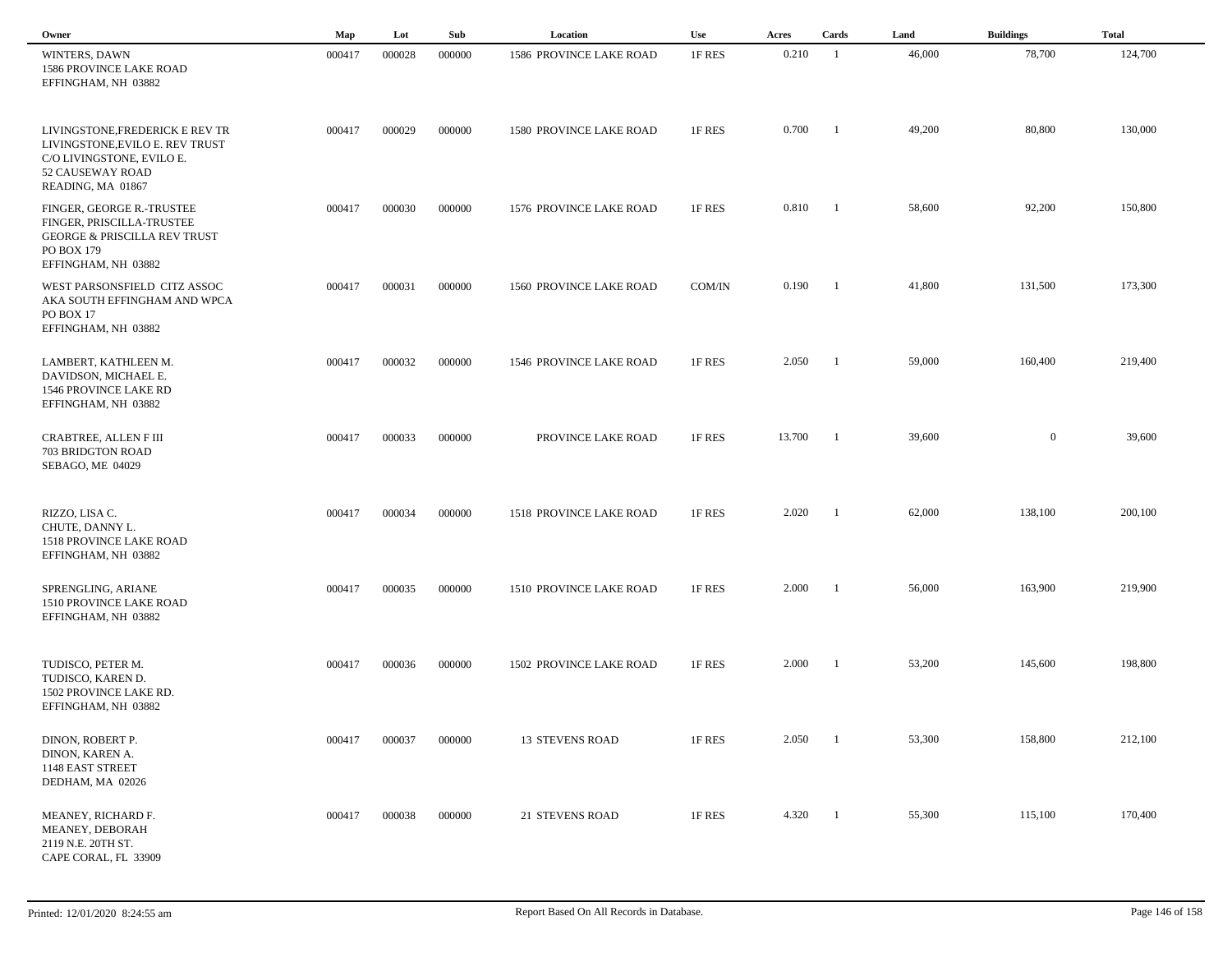| Owner                                                                                                                                    | Map    | Lot    | Sub    | Location                       | <b>Use</b> | Acres  | Cards                    | Land   | <b>Buildings</b> | <b>Total</b> |  |
|------------------------------------------------------------------------------------------------------------------------------------------|--------|--------|--------|--------------------------------|------------|--------|--------------------------|--------|------------------|--------------|--|
| <b>WINTERS, DAWN</b><br>1586 PROVINCE LAKE ROAD<br>EFFINGHAM, NH 03882                                                                   | 000417 | 000028 | 000000 | 1586 PROVINCE LAKE ROAD        | 1F RES     | 0.210  | - 1                      | 46,000 | 78,700           | 124,700      |  |
| LIVINGSTONE, FREDERICK E REV TR<br>LIVINGSTONE, EVILO E. REV TRUST<br>C/O LIVINGSTONE, EVILO E.<br>52 CAUSEWAY ROAD<br>READING, MA 01867 | 000417 | 000029 | 000000 | 1580 PROVINCE LAKE ROAD        | 1F RES     | 0.700  | - 1                      | 49,200 | 80,800           | 130,000      |  |
| FINGER, GEORGE R.-TRUSTEE<br>FINGER, PRISCILLA-TRUSTEE<br><b>GEORGE &amp; PRISCILLA REV TRUST</b><br>PO BOX 179<br>EFFINGHAM, NH 03882   | 000417 | 000030 | 000000 | 1576 PROVINCE LAKE ROAD        | 1F RES     | 0.810  | $\overline{\phantom{a}}$ | 58,600 | 92,200           | 150,800      |  |
| WEST PARSONSFIELD CITZ ASSOC<br>AKA SOUTH EFFINGHAM AND WPCA<br>PO BOX 17<br>EFFINGHAM, NH 03882                                         | 000417 | 000031 | 000000 | <b>1560 PROVINCE LAKE ROAD</b> | COM/IN     | 0.190  | $\overline{\phantom{a}}$ | 41,800 | 131,500          | 173,300      |  |
| LAMBERT, KATHLEEN M.<br>DAVIDSON, MICHAEL E.<br>1546 PROVINCE LAKE RD<br>EFFINGHAM, NH 03882                                             | 000417 | 000032 | 000000 | 1546 PROVINCE LAKE ROAD        | 1F RES     | 2.050  | $\overline{\phantom{a}}$ | 59,000 | 160,400          | 219,400      |  |
| CRABTREE, ALLEN F III<br>703 BRIDGTON ROAD<br>SEBAGO, ME 04029                                                                           | 000417 | 000033 | 000000 | PROVINCE LAKE ROAD             | 1F RES     | 13.700 | $\overline{1}$           | 39,600 | $\overline{0}$   | 39,600       |  |
| RIZZO, LISA C.<br>CHUTE, DANNY L.<br>1518 PROVINCE LAKE ROAD<br>EFFINGHAM, NH 03882                                                      | 000417 | 000034 | 000000 | 1518 PROVINCE LAKE ROAD        | 1F RES     | 2.020  | -1                       | 62,000 | 138,100          | 200,100      |  |
| SPRENGLING, ARIANE<br>1510 PROVINCE LAKE ROAD<br>EFFINGHAM, NH 03882                                                                     | 000417 | 000035 | 000000 | 1510 PROVINCE LAKE ROAD        | 1F RES     | 2.000  | - 1                      | 56,000 | 163,900          | 219,900      |  |
| TUDISCO, PETER M.<br>TUDISCO, KAREN D.<br>1502 PROVINCE LAKE RD.<br>EFFINGHAM, NH 03882                                                  | 000417 | 000036 | 000000 | 1502 PROVINCE LAKE ROAD        | 1F RES     | 2.000  | $\overline{\phantom{a}}$ | 53,200 | 145,600          | 198,800      |  |
| DINON, ROBERT P.<br>DINON, KAREN A.<br>1148 EAST STREET<br>DEDHAM, MA 02026                                                              | 000417 | 000037 | 000000 | 13 STEVENS ROAD                | 1F RES     | 2.050  | $\blacksquare$           | 53,300 | 158,800          | 212,100      |  |
| MEANEY, RICHARD F.<br>MEANEY, DEBORAH<br>2119 N.E. 20TH ST.<br>CAPE CORAL, FL 33909                                                      | 000417 | 000038 | 000000 | 21 STEVENS ROAD                | 1F RES     | 4.320  | $\blacksquare$           | 55,300 | 115,100          | 170,400      |  |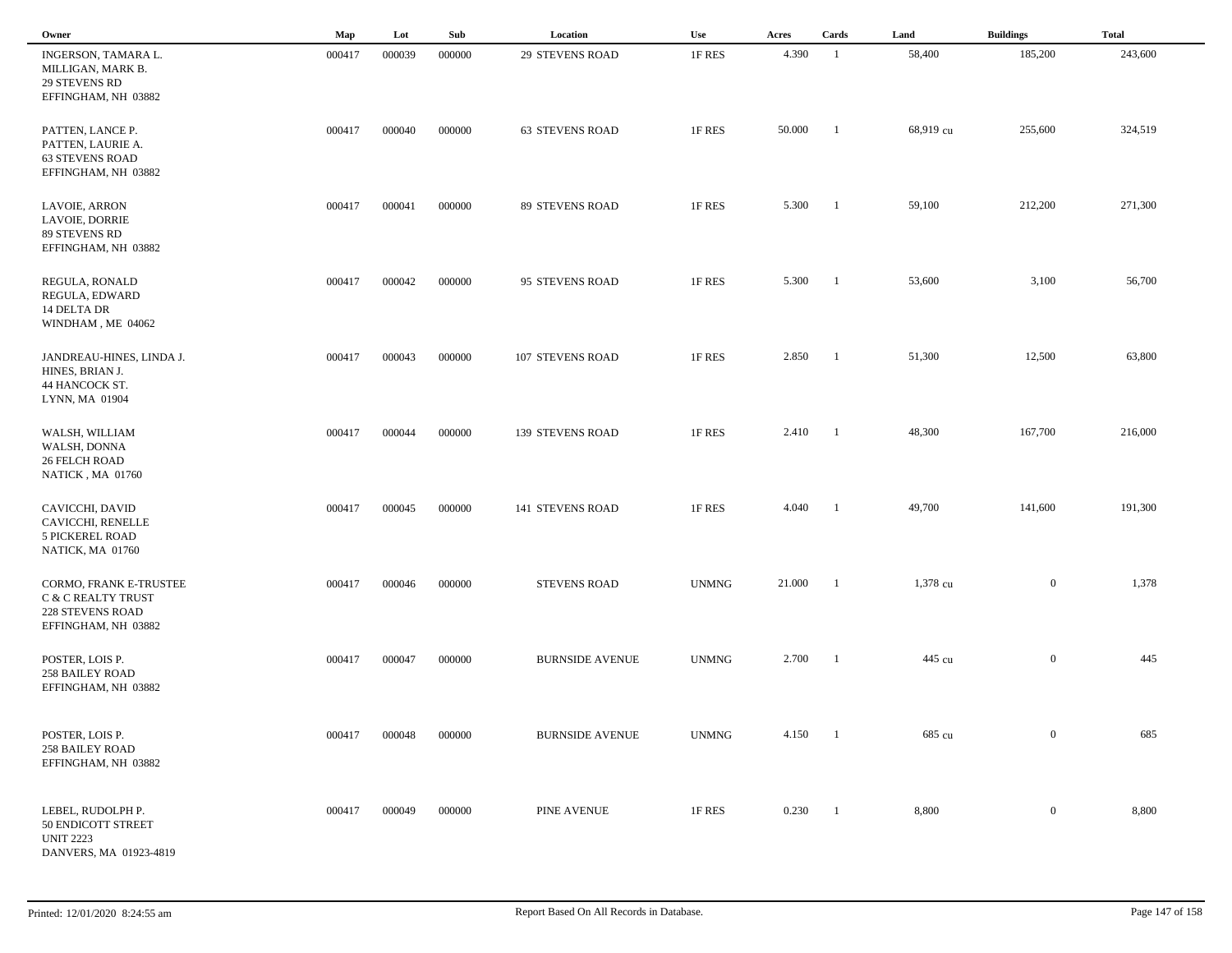| Owner                                                                                          | Map    | Lot    | Sub    | Location                | Use          | Acres  | Cards                    | Land      | <b>Buildings</b> | <b>Total</b> |  |
|------------------------------------------------------------------------------------------------|--------|--------|--------|-------------------------|--------------|--------|--------------------------|-----------|------------------|--------------|--|
| INGERSON, TAMARA L.<br>MILLIGAN, MARK B.<br><b>29 STEVENS RD</b><br>EFFINGHAM, NH 03882        | 000417 | 000039 | 000000 | <b>29 STEVENS ROAD</b>  | 1F RES       | 4.390  | -1                       | 58,400    | 185,200          | 243,600      |  |
| PATTEN, LANCE P.<br>PATTEN, LAURIE A.<br><b>63 STEVENS ROAD</b><br>EFFINGHAM, NH 03882         | 000417 | 000040 | 000000 | <b>63 STEVENS ROAD</b>  | 1F RES       | 50.000 | -1                       | 68,919 cu | 255,600          | 324,519      |  |
| LAVOIE, ARRON<br><b>LAVOIE, DORRIE</b><br>89 STEVENS RD<br>EFFINGHAM, NH 03882                 | 000417 | 000041 | 000000 | 89 STEVENS ROAD         | 1F RES       | 5.300  | -1                       | 59,100    | 212,200          | 271,300      |  |
| REGULA, RONALD<br>REGULA, EDWARD<br>14 DELTA DR<br>WINDHAM, ME 04062                           | 000417 | 000042 | 000000 | 95 STEVENS ROAD         | 1F RES       | 5.300  | -1                       | 53,600    | 3,100            | 56,700       |  |
| JANDREAU-HINES, LINDA J.<br>HINES, BRIAN J.<br>44 HANCOCK ST.<br>LYNN, MA 01904                | 000417 | 000043 | 000000 | 107 STEVENS ROAD        | 1F RES       | 2.850  | $\blacksquare$           | 51,300    | 12,500           | 63,800       |  |
| WALSH, WILLIAM<br>WALSH, DONNA<br><b>26 FELCH ROAD</b><br>NATICK, MA 01760                     | 000417 | 000044 | 000000 | <b>139 STEVENS ROAD</b> | 1F RES       | 2.410  | $\blacksquare$           | 48,300    | 167,700          | 216,000      |  |
| CAVICCHI, DAVID<br>CAVICCHI, RENELLE<br><b>5 PICKEREL ROAD</b><br>NATICK, MA 01760             | 000417 | 000045 | 000000 | <b>141 STEVENS ROAD</b> | 1F RES       | 4.040  | -1                       | 49,700    | 141,600          | 191,300      |  |
| CORMO, FRANK E-TRUSTEE<br>C & C REALTY TRUST<br><b>228 STEVENS ROAD</b><br>EFFINGHAM, NH 03882 | 000417 | 000046 | 000000 | <b>STEVENS ROAD</b>     | <b>UNMNG</b> | 21.000 |                          | 1,378 cu  | $\overline{0}$   | 1,378        |  |
| POSTER, LOIS P.<br><b>258 BAILEY ROAD</b><br>EFFINGHAM, NH 03882                               | 000417 | 000047 | 000000 | <b>BURNSIDE AVENUE</b>  | <b>UNMNG</b> | 2.700  |                          | 445 cu    | $\overline{0}$   | 445          |  |
| POSTER, LOIS P.<br><b>258 BAILEY ROAD</b><br>EFFINGHAM, NH 03882                               | 000417 | 000048 | 000000 | <b>BURNSIDE AVENUE</b>  | <b>UNMNG</b> | 4.150  | $\overline{\phantom{0}}$ | 685 cu    | $\overline{0}$   | 685          |  |
| LEBEL, RUDOLPH P.<br>50 ENDICOTT STREET<br><b>UNIT 2223</b><br>DANVERS, MA 01923-4819          | 000417 | 000049 | 000000 | PINE AVENUE             | 1F RES       | 0.230  | $\blacksquare$           | 8,800     | $\overline{0}$   | 8,800        |  |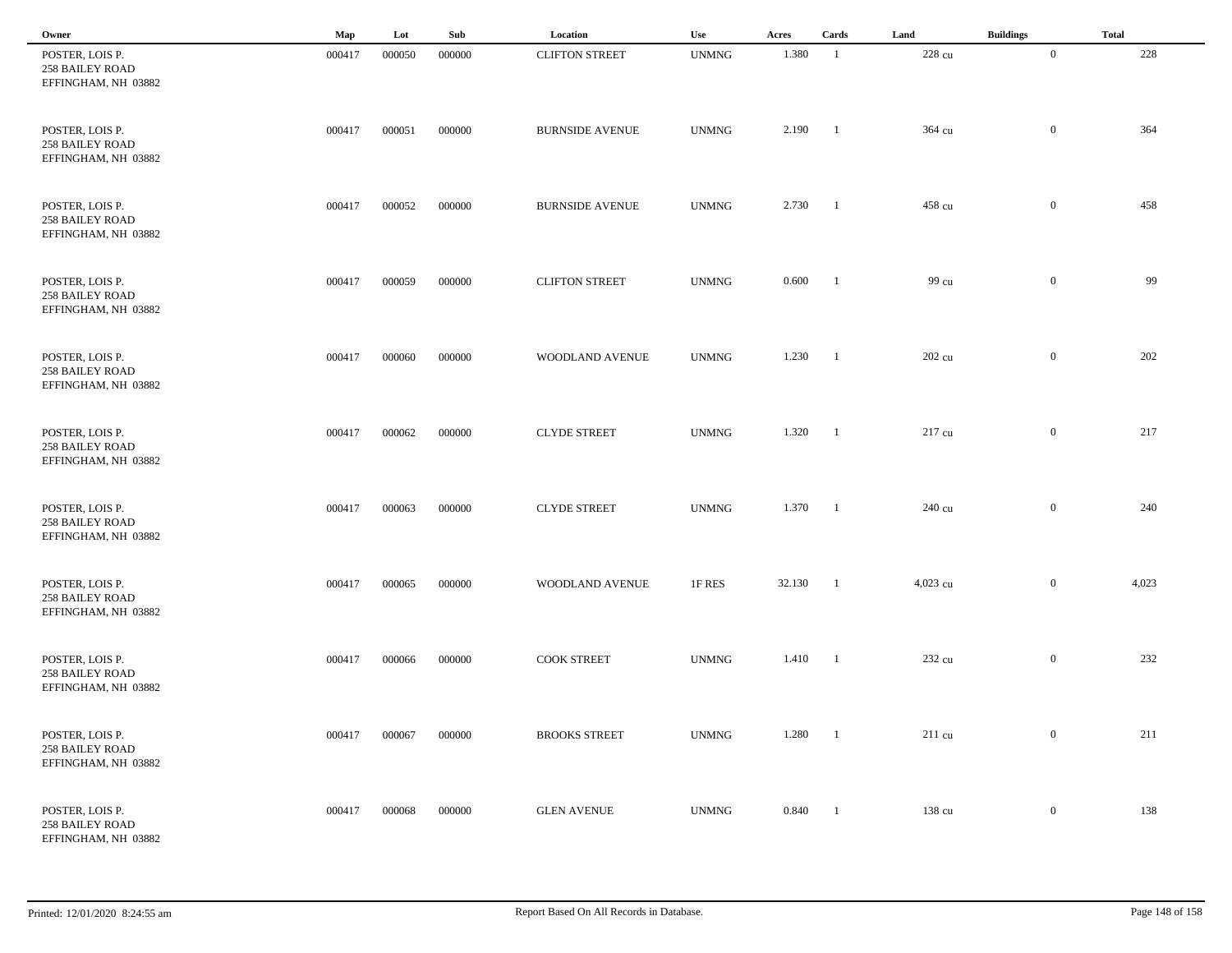| Owner                                                            | Map    | Lot    | Sub    | Location               | Use          | Acres   | Cards                    | Land     | <b>Buildings</b> | <b>Total</b> |
|------------------------------------------------------------------|--------|--------|--------|------------------------|--------------|---------|--------------------------|----------|------------------|--------------|
| POSTER, LOIS P.<br><b>258 BAILEY ROAD</b><br>EFFINGHAM, NH 03882 | 000417 | 000050 | 000000 | <b>CLIFTON STREET</b>  | <b>UNMNG</b> | 1.380   | $\overline{1}$           | 228 cu   | $\overline{0}$   | 228          |
| POSTER, LOIS P.<br><b>258 BAILEY ROAD</b><br>EFFINGHAM, NH 03882 | 000417 | 000051 | 000000 | <b>BURNSIDE AVENUE</b> | <b>UNMNG</b> | 2.190   | $\blacksquare$           | 364 cu   | $\bf{0}$         | 364          |
| POSTER, LOIS P.<br><b>258 BAILEY ROAD</b><br>EFFINGHAM, NH 03882 | 000417 | 000052 | 000000 | <b>BURNSIDE AVENUE</b> | <b>UNMNG</b> | 2.730   | $\blacksquare$           | 458 cu   | $\mathbf{0}$     | 458          |
| POSTER, LOIS P.<br><b>258 BAILEY ROAD</b><br>EFFINGHAM, NH 03882 | 000417 | 000059 | 000000 | <b>CLIFTON STREET</b>  | <b>UNMNG</b> | 0.600   | $\overline{\phantom{0}}$ | 99 cu    | $\bf{0}$         | 99           |
| POSTER, LOIS P.<br><b>258 BAILEY ROAD</b><br>EFFINGHAM, NH 03882 | 000417 | 000060 | 000000 | WOODLAND AVENUE        | <b>UNMNG</b> | 1.230 1 |                          | 202 cu   | $\overline{0}$   | 202          |
| POSTER, LOIS P.<br><b>258 BAILEY ROAD</b><br>EFFINGHAM, NH 03882 | 000417 | 000062 | 000000 | <b>CLYDE STREET</b>    | <b>UNMNG</b> | 1.320   | $\blacksquare$           | 217 cu   | $\mathbf{0}$     | 217          |
| POSTER, LOIS P.<br><b>258 BAILEY ROAD</b><br>EFFINGHAM, NH 03882 | 000417 | 000063 | 000000 | <b>CLYDE STREET</b>    | <b>UNMNG</b> | 1.370   | $\blacksquare$           | 240 cu   | $\mathbf{0}$     | 240          |
| POSTER, LOIS P.<br><b>258 BAILEY ROAD</b><br>EFFINGHAM, NH 03882 | 000417 | 000065 | 000000 | WOODLAND AVENUE        | 1F RES       | 32.130  | -1                       | 4,023 cu | $\mathbf{0}$     | 4,023        |
| POSTER, LOIS P.<br><b>258 BAILEY ROAD</b><br>EFFINGHAM, NH 03882 | 000417 | 000066 | 000000 | <b>COOK STREET</b>     | <b>UNMNG</b> | 1.410   | - 1                      | 232 cu   | $\mathbf{0}$     | 232          |
| POSTER, LOIS P.<br><b>258 BAILEY ROAD</b><br>EFFINGHAM, NH 03882 | 000417 | 000067 | 000000 | <b>BROOKS STREET</b>   | <b>UNMNG</b> | 1.280   | $\overline{\phantom{0}}$ | 211 cu   | $\overline{0}$   | 211          |
| POSTER, LOIS P.<br><b>258 BAILEY ROAD</b><br>EFFINGHAM, NH 03882 | 000417 | 000068 | 000000 | <b>GLEN AVENUE</b>     | <b>UNMNG</b> | 0.840   | $\blacksquare$           | 138 cu   | $\overline{0}$   | 138          |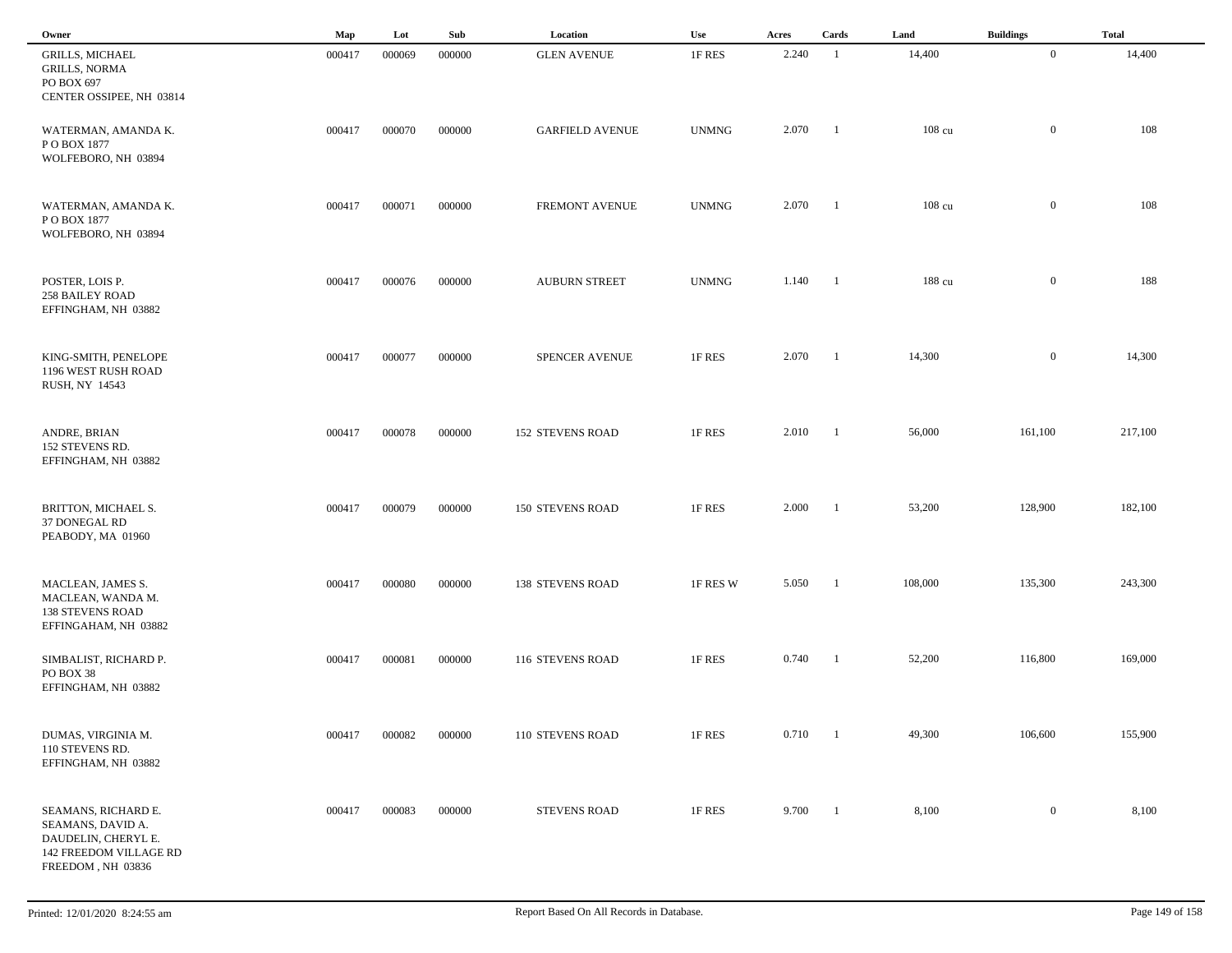| Owner                                                                                                          | Map    | Lot    | Sub    | Location                | Use          | Acres        | Cards          | Land             | <b>Buildings</b> | <b>Total</b> |
|----------------------------------------------------------------------------------------------------------------|--------|--------|--------|-------------------------|--------------|--------------|----------------|------------------|------------------|--------------|
| <b>GRILLS, MICHAEL</b><br><b>GRILLS, NORMA</b><br>PO BOX 697<br>CENTER OSSIPEE, NH 03814                       | 000417 | 000069 | 000000 | <b>GLEN AVENUE</b>      | 1F RES       | 2.240        | $\overline{1}$ | 14,400           | $\overline{0}$   | 14,400       |
| WATERMAN, AMANDA K.<br>PO BOX 1877<br>WOLFEBORO, NH 03894                                                      | 000417 | 000070 | 000000 | <b>GARFIELD AVENUE</b>  | <b>UNMNG</b> | 2.070        | $\blacksquare$ | $108 \text{ cu}$ | $\overline{0}$   | 108          |
| WATERMAN, AMANDA K.<br>PO BOX 1877<br>WOLFEBORO, NH 03894                                                      | 000417 | 000071 | 000000 | FREMONT AVENUE          | <b>UNMNG</b> | 2.070        | $\blacksquare$ | 108 cu           | $\bf{0}$         | 108          |
| POSTER, LOIS P.<br><b>258 BAILEY ROAD</b><br>EFFINGHAM, NH 03882                                               | 000417 | 000076 | 000000 | <b>AUBURN STREET</b>    | <b>UNMNG</b> | 1.140 1      |                | 188 cu           | $\mathbf{0}$     | 188          |
| KING-SMITH, PENELOPE<br>1196 WEST RUSH ROAD<br>RUSH, NY 14543                                                  | 000417 | 000077 | 000000 | <b>SPENCER AVENUE</b>   | 1F RES       | 2.070        | $\blacksquare$ | 14,300           | $\bf{0}$         | 14,300       |
| ANDRE, BRIAN<br>152 STEVENS RD.<br>EFFINGHAM, NH 03882                                                         | 000417 | 000078 | 000000 | <b>152 STEVENS ROAD</b> | 1F RES       | 2.010        | $\blacksquare$ | 56,000           | 161,100          | 217,100      |
| BRITTON, MICHAEL S.<br>37 DONEGAL RD<br>PEABODY, MA 01960                                                      | 000417 | 000079 | 000000 | <b>150 STEVENS ROAD</b> | 1F RES       | 2.000        | $\blacksquare$ | 53,200           | 128,900          | 182,100      |
| MACLEAN, JAMES S.<br>MACLEAN, WANDA M.<br><b>138 STEVENS ROAD</b><br>EFFINGAHAM, NH 03882                      | 000417 | 000080 | 000000 | <b>138 STEVENS ROAD</b> | 1F RES W     | 5.050        | - 1            | 108,000          | 135,300          | 243,300      |
| SIMBALIST, RICHARD P.<br>PO BOX 38<br>EFFINGHAM, NH 03882                                                      | 000417 | 000081 | 000000 | 116 STEVENS ROAD        | 1F RES       | 0.740        | - 1            | 52,200           | 116,800          | 169,000      |
| DUMAS, VIRGINIA M.<br>110 STEVENS RD.<br>EFFINGHAM, NH 03882                                                   | 000417 | 000082 | 000000 | 110 STEVENS ROAD        | 1F RES       | $0.710 \t 1$ |                | 49,300           | 106,600          | 155,900      |
| SEAMANS, RICHARD E.<br>SEAMANS, DAVID A.<br>DAUDELIN, CHERYL E.<br>142 FREEDOM VILLAGE RD<br>FREEDOM, NH 03836 | 000417 | 000083 | 000000 | <b>STEVENS ROAD</b>     | 1F RES       | 9.700        | $\overline{1}$ | 8,100            | $\bf{0}$         | 8,100        |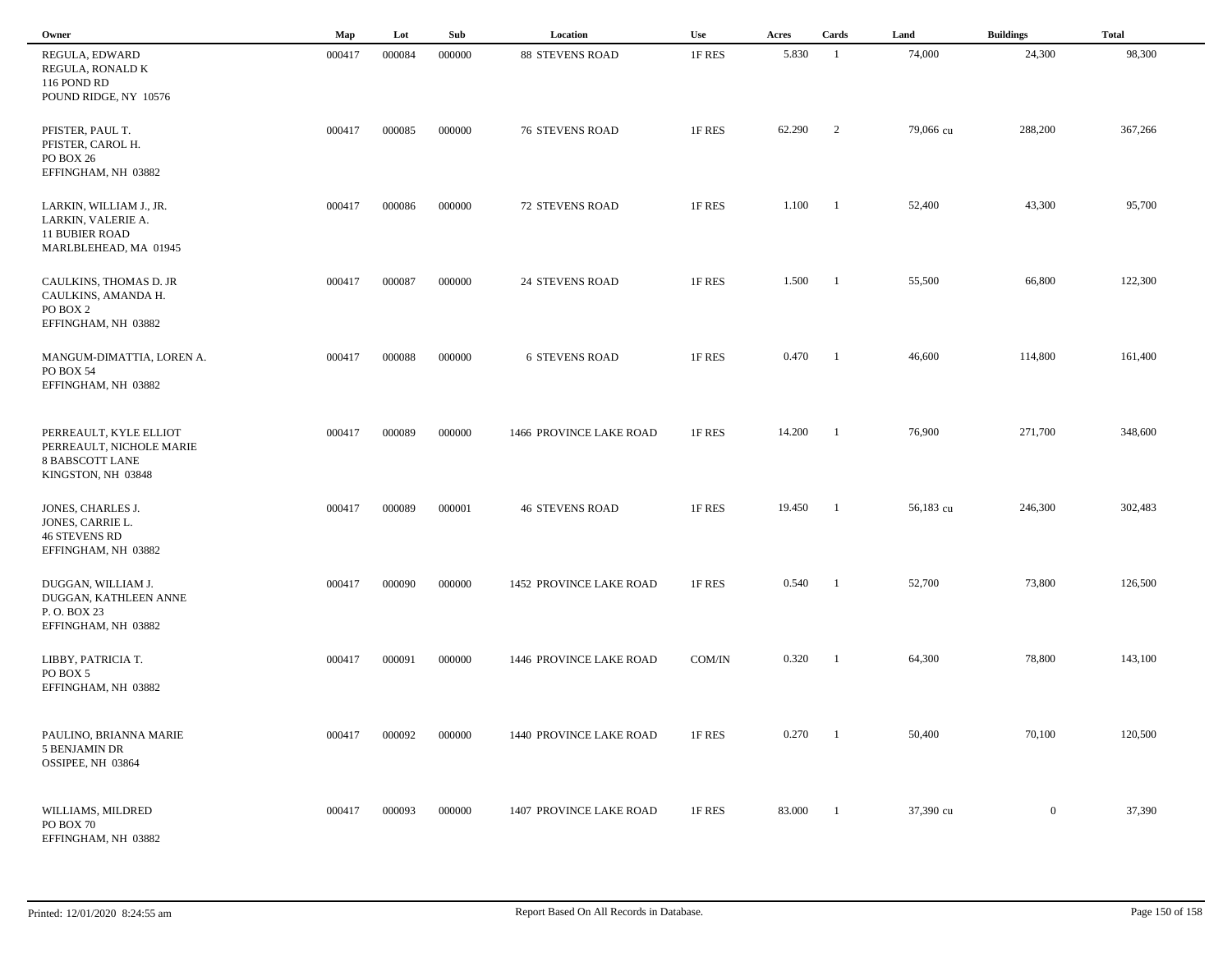| Owner                                                                                              | Map    | Lot    | Sub    | Location                | Use    | Acres  | Cards                    | Land      | <b>Buildings</b> | <b>Total</b> |  |
|----------------------------------------------------------------------------------------------------|--------|--------|--------|-------------------------|--------|--------|--------------------------|-----------|------------------|--------------|--|
| REGULA, EDWARD<br>REGULA, RONALD K<br>116 POND RD<br>POUND RIDGE, NY 10576                         | 000417 | 000084 | 000000 | <b>88 STEVENS ROAD</b>  | 1F RES | 5.830  | -1                       | 74,000    | 24,300           | 98,300       |  |
| PFISTER, PAUL T.<br>PFISTER, CAROL H.<br>PO BOX 26<br>EFFINGHAM, NH 03882                          | 000417 | 000085 | 000000 | <b>76 STEVENS ROAD</b>  | 1F RES | 62.290 | $\overline{\phantom{a}}$ | 79,066 cu | 288,200          | 367,266      |  |
| LARKIN, WILLIAM J., JR.<br>LARKIN, VALERIE A.<br><b>11 BUBIER ROAD</b><br>MARLBLEHEAD, MA 01945    | 000417 | 000086 | 000000 | <b>72 STEVENS ROAD</b>  | 1F RES | 1.100  | - 1                      | 52,400    | 43,300           | 95,700       |  |
| CAULKINS, THOMAS D. JR<br>CAULKINS, AMANDA H.<br>PO BOX 2<br>EFFINGHAM, NH 03882                   | 000417 | 000087 | 000000 | <b>24 STEVENS ROAD</b>  | 1F RES | 1.500  | $\blacksquare$           | 55,500    | 66,800           | 122,300      |  |
| MANGUM-DIMATTIA, LOREN A.<br>PO BOX 54<br>EFFINGHAM, NH 03882                                      | 000417 | 000088 | 000000 | <b>6 STEVENS ROAD</b>   | 1F RES | 0.470  | $\blacksquare$           | 46,600    | 114,800          | 161,400      |  |
| PERREAULT, KYLE ELLIOT<br>PERREAULT, NICHOLE MARIE<br><b>8 BABSCOTT LANE</b><br>KINGSTON, NH 03848 | 000417 | 000089 | 000000 | 1466 PROVINCE LAKE ROAD | 1F RES | 14.200 | -1                       | 76,900    | 271,700          | 348,600      |  |
| JONES, CHARLES J.<br>JONES, CARRIE L.<br><b>46 STEVENS RD</b><br>EFFINGHAM, NH 03882               | 000417 | 000089 | 000001 | <b>46 STEVENS ROAD</b>  | 1F RES | 19.450 | -1                       | 56,183 cu | 246,300          | 302,483      |  |
| DUGGAN, WILLIAM J.<br>DUGGAN, KATHLEEN ANNE<br>P.O. BOX 23<br>EFFINGHAM, NH 03882                  | 000417 | 000090 | 000000 | 1452 PROVINCE LAKE ROAD | 1F RES | 0.540  | -1                       | 52,700    | 73,800           | 126,500      |  |
| LIBBY, PATRICIA T.<br>PO BOX 5<br>EFFINGHAM, NH 03882                                              | 000417 | 000091 | 000000 | 1446 PROVINCE LAKE ROAD | COM/IN | 0.320  | -1                       | 64,300    | 78,800           | 143,100      |  |
| PAULINO, BRIANNA MARIE<br>5 BENJAMIN DR<br>OSSIPEE, NH 03864                                       | 000417 | 000092 | 000000 | 1440 PROVINCE LAKE ROAD | 1F RES | 0.270  | $\blacksquare$           | 50,400    | 70,100           | 120,500      |  |
| WILLIAMS, MILDRED<br>PO BOX 70<br>EFFINGHAM, NH 03882                                              | 000417 | 000093 | 000000 | 1407 PROVINCE LAKE ROAD | 1F RES | 83.000 | - 1                      | 37,390 cu | $\mathbf{0}$     | 37,390       |  |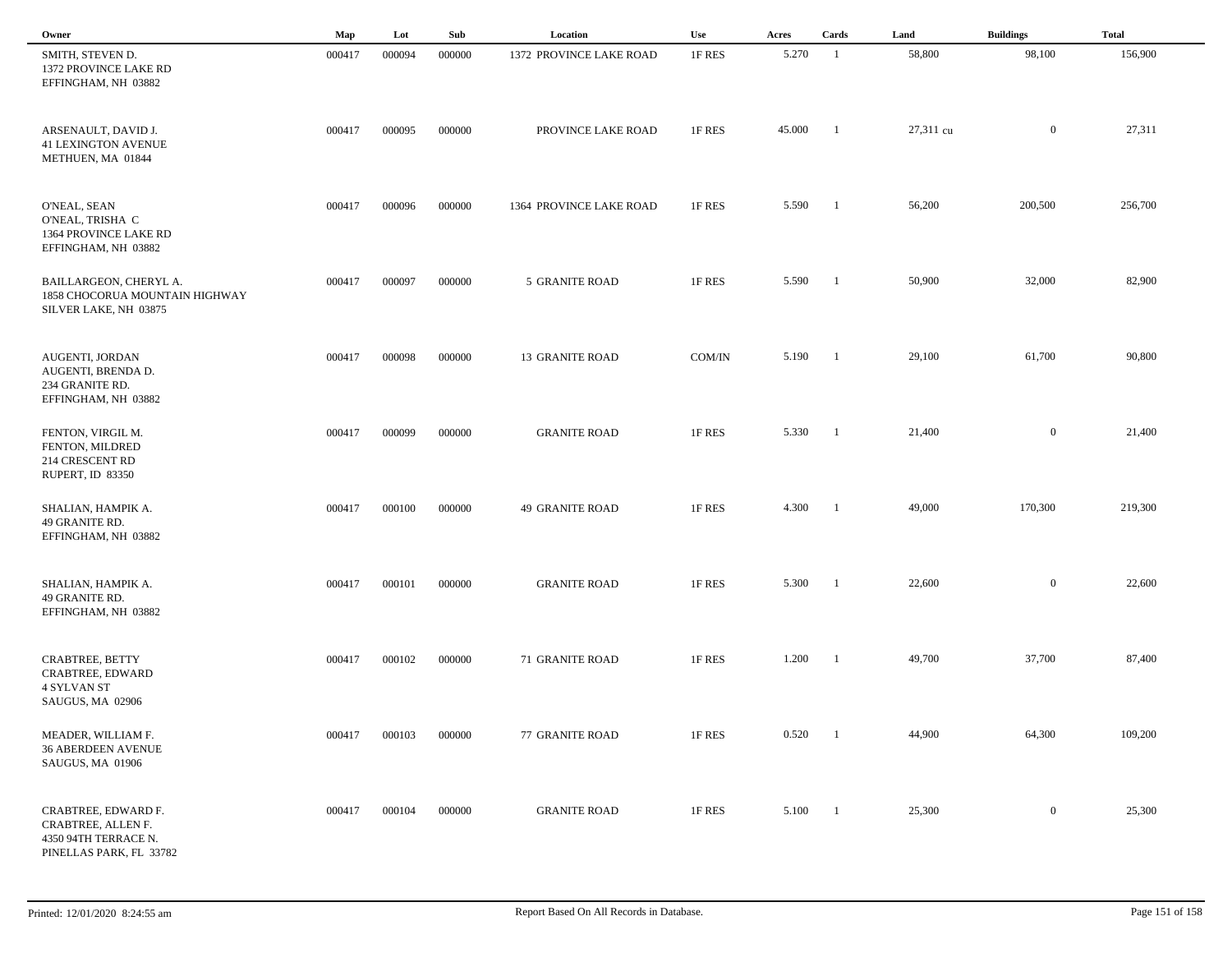| Owner                                                                                        | Map    | Lot    | Sub    | Location                | <b>Use</b> | Acres  | Cards                    | Land      | <b>Buildings</b> | <b>Total</b> |
|----------------------------------------------------------------------------------------------|--------|--------|--------|-------------------------|------------|--------|--------------------------|-----------|------------------|--------------|
| SMITH, STEVEN D.<br>1372 PROVINCE LAKE RD<br>EFFINGHAM, NH 03882                             | 000417 | 000094 | 000000 | 1372 PROVINCE LAKE ROAD | 1F RES     | 5.270  | - 1                      | 58,800    | 98,100           | 156,900      |
| ARSENAULT, DAVID J.<br><b>41 LEXINGTON AVENUE</b><br>METHUEN, MA 01844                       | 000417 | 000095 | 000000 | PROVINCE LAKE ROAD      | 1F RES     | 45.000 | - 1                      | 27,311 cu | $\overline{0}$   | 27,311       |
| O'NEAL, SEAN<br>O'NEAL, TRISHA C<br>1364 PROVINCE LAKE RD<br>EFFINGHAM, NH 03882             | 000417 | 000096 | 000000 | 1364 PROVINCE LAKE ROAD | 1F RES     | 5.590  | $\blacksquare$           | 56,200    | 200,500          | 256,700      |
| BAILLARGEON, CHERYL A.<br>1858 CHOCORUA MOUNTAIN HIGHWAY<br>SILVER LAKE, NH 03875            | 000417 | 000097 | 000000 | 5 GRANITE ROAD          | 1F RES     | 5.590  | $\blacksquare$           | 50,900    | 32,000           | 82,900       |
| AUGENTI, JORDAN<br>AUGENTI, BRENDA D.<br>234 GRANITE RD.<br>EFFINGHAM, NH 03882              | 000417 | 000098 | 000000 | <b>13 GRANITE ROAD</b>  | COM/IN     | 5.190  | $\blacksquare$           | 29,100    | 61,700           | 90,800       |
| FENTON, VIRGIL M.<br>FENTON, MILDRED<br>214 CRESCENT RD<br>RUPERT, ID 83350                  | 000417 | 000099 | 000000 | <b>GRANITE ROAD</b>     | 1F RES     | 5.330  | $\overline{\phantom{a}}$ | 21,400    | $\overline{0}$   | 21,400       |
| SHALIAN, HAMPIK A.<br>49 GRANITE RD.<br>EFFINGHAM, NH 03882                                  | 000417 | 000100 | 000000 | <b>49 GRANITE ROAD</b>  | 1F RES     | 4.300  | - 1                      | 49,000    | 170,300          | 219,300      |
| SHALIAN, HAMPIK A.<br>49 GRANITE RD.<br>EFFINGHAM, NH 03882                                  | 000417 | 000101 | 000000 | <b>GRANITE ROAD</b>     | 1F RES     | 5.300  | - 1                      | 22,600    | $\overline{0}$   | 22,600       |
| CRABTREE, BETTY<br>CRABTREE, EDWARD<br><b>4 SYLVAN ST</b><br>SAUGUS, MA 02906                | 000417 | 000102 | 000000 | 71 GRANITE ROAD         | 1F RES     | 1.200  | $\overline{\phantom{0}}$ | 49,700    | 37,700           | 87,400       |
| MEADER, WILLIAM F.<br><b>36 ABERDEEN AVENUE</b><br>SAUGUS, MA 01906                          | 000417 | 000103 | 000000 | 77 GRANITE ROAD         | 1F RES     | 0.520  | $\overline{\phantom{a}}$ | 44,900    | 64,300           | 109,200      |
| CRABTREE, EDWARD F.<br>CRABTREE, ALLEN F.<br>4350 94TH TERRACE N.<br>PINELLAS PARK, FL 33782 | 000417 | 000104 | 000000 | <b>GRANITE ROAD</b>     | 1F RES     | 5.100  | $\overline{1}$           | 25,300    | $\overline{0}$   | 25,300       |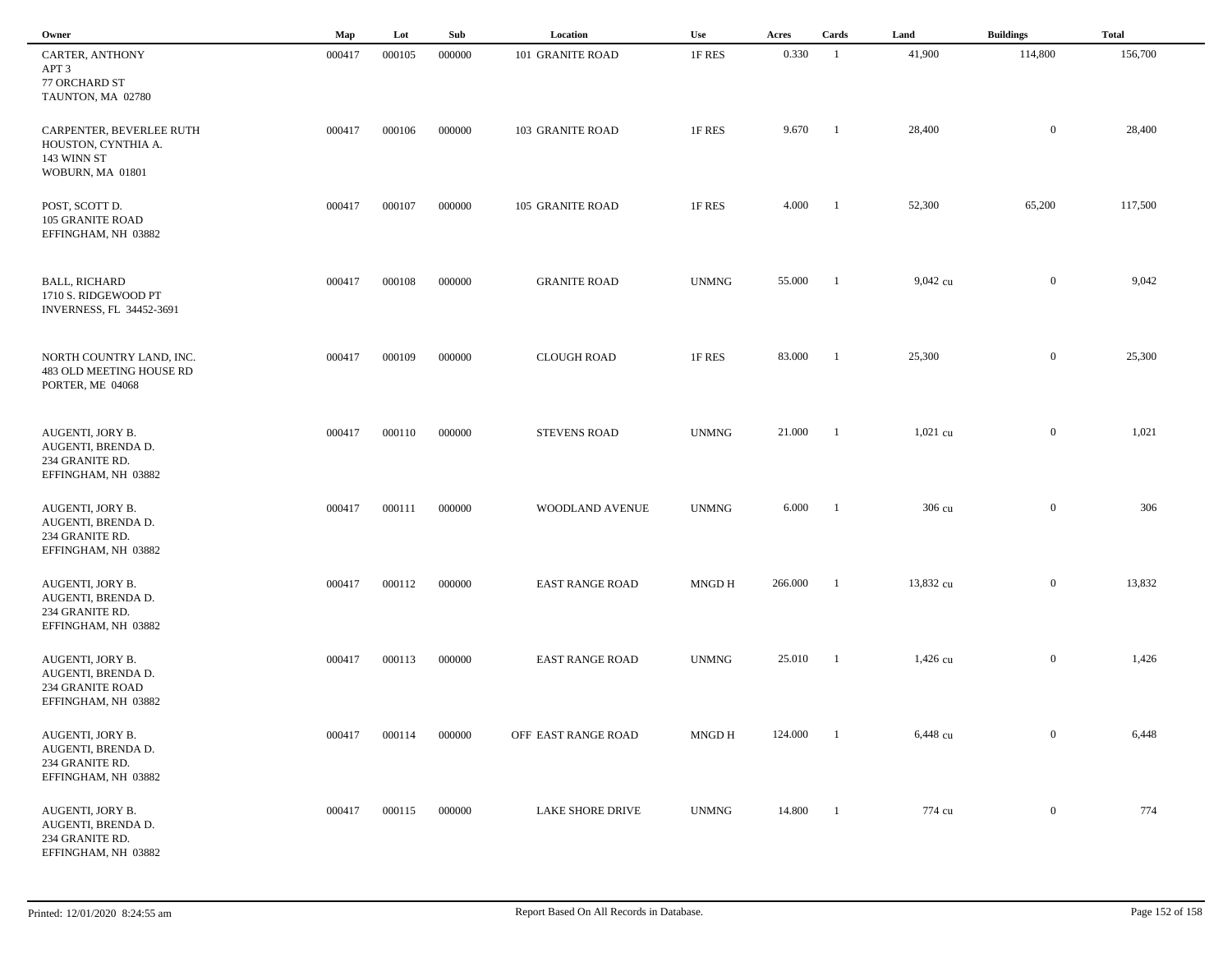| Owner                                                                                    | Map    | Lot    | Sub    | Location                | <b>Use</b>   | Acres   | Cards          | Land       | <b>Buildings</b> | <b>Total</b> |  |
|------------------------------------------------------------------------------------------|--------|--------|--------|-------------------------|--------------|---------|----------------|------------|------------------|--------------|--|
| CARTER, ANTHONY<br>APT 3<br>77 ORCHARD ST<br>TAUNTON, MA 02780                           | 000417 | 000105 | 000000 | 101 GRANITE ROAD        | 1F RES       | 0.330   | -1             | 41,900     | 114,800          | 156,700      |  |
| CARPENTER, BEVERLEE RUTH<br>HOUSTON, CYNTHIA A.<br>143 WINN ST<br>WOBURN, MA 01801       | 000417 | 000106 | 000000 | 103 GRANITE ROAD        | 1F RES       | 9.670   | -1             | 28,400     | $\bf{0}$         | 28,400       |  |
| POST, SCOTT D.<br>105 GRANITE ROAD<br>EFFINGHAM, NH 03882                                | 000417 | 000107 | 000000 | 105 GRANITE ROAD        | 1F RES       | 4.000   | - 1            | 52,300     | 65,200           | 117,500      |  |
| <b>BALL, RICHARD</b><br>1710 S. RIDGEWOOD PT<br>INVERNESS, FL 34452-3691                 | 000417 | 000108 | 000000 | <b>GRANITE ROAD</b>     | <b>UNMNG</b> | 55.000  | $\blacksquare$ | 9,042 cu   | $\mathbf{0}$     | 9,042        |  |
| NORTH COUNTRY LAND, INC.<br>483 OLD MEETING HOUSE RD<br>PORTER, ME 04068                 | 000417 | 000109 | 000000 | <b>CLOUGH ROAD</b>      | 1F RES       | 83.000  | -1             | 25,300     | $\overline{0}$   | 25,300       |  |
| AUGENTI, JORY B.<br>AUGENTI, BRENDA D.<br>234 GRANITE RD.<br>EFFINGHAM, NH 03882         | 000417 | 000110 | 000000 | <b>STEVENS ROAD</b>     | <b>UNMNG</b> | 21.000  | - 1            | $1,021$ cu | $\mathbf{0}$     | 1,021        |  |
| AUGENTI, JORY B.<br>AUGENTI, BRENDA D.<br>234 GRANITE RD.<br>EFFINGHAM, NH 03882         | 000417 | 000111 | 000000 | WOODLAND AVENUE         | <b>UNMNG</b> | 6.000   | - 1            | 306 cu     | $\mathbf{0}$     | 306          |  |
| AUGENTI, JORY B.<br>AUGENTI, BRENDA D.<br>234 GRANITE RD.<br>EFFINGHAM, NH 03882         | 000417 | 000112 | 000000 | <b>EAST RANGE ROAD</b>  | MNGD H       | 266.000 | -1             | 13,832 cu  | $\mathbf{0}$     | 13,832       |  |
| AUGENTI, JORY B.<br>AUGENTI, BRENDA D.<br><b>234 GRANITE ROAD</b><br>EFFINGHAM, NH 03882 | 000417 | 000113 | 000000 | <b>EAST RANGE ROAD</b>  | <b>UNMNG</b> | 25.010  | -1             | $1,426$ cu | $\mathbf{0}$     | 1,426        |  |
| AUGENTI, JORY B.<br>AUGENTI, BRENDA D.<br>234 GRANITE RD.<br>EFFINGHAM, NH 03882         | 000417 | 000114 | 000000 | OFF EAST RANGE ROAD     | MNGD H       | 124.000 | -1             | 6,448 cu   | $\overline{0}$   | 6,448        |  |
| AUGENTI, JORY B.<br>AUGENTI, BRENDA D.<br>234 GRANITE RD.<br>EFFINGHAM, NH 03882         | 000417 | 000115 | 000000 | <b>LAKE SHORE DRIVE</b> | <b>UNMNG</b> | 14.800  | $\blacksquare$ | 774 cu     | $\overline{0}$   | 774          |  |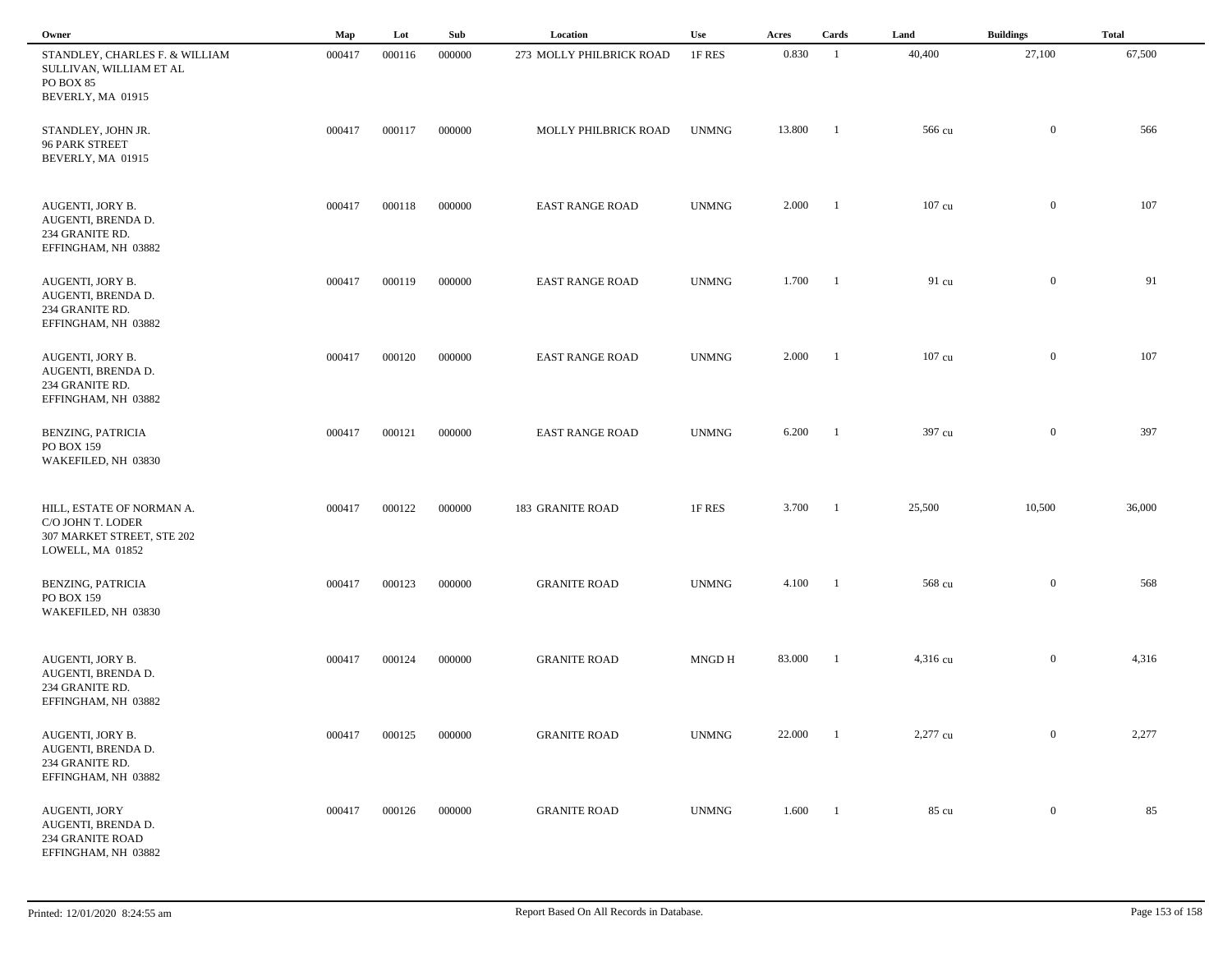| Owner                                                                                            | Map    | Lot    | Sub    | Location                 | Use          | Acres  | Cards                    | Land             | <b>Buildings</b> | <b>Total</b> |
|--------------------------------------------------------------------------------------------------|--------|--------|--------|--------------------------|--------------|--------|--------------------------|------------------|------------------|--------------|
| STANDLEY, CHARLES F. & WILLIAM<br>SULLIVAN, WILLIAM ET AL<br>PO BOX 85<br>BEVERLY, MA 01915      | 000417 | 000116 | 000000 | 273 MOLLY PHILBRICK ROAD | 1F RES       | 0.830  | -1                       | 40,400           | 27,100           | 67,500       |
| STANDLEY, JOHN JR.<br><b>96 PARK STREET</b><br>BEVERLY, MA 01915                                 | 000417 | 000117 | 000000 | MOLLY PHILBRICK ROAD     | <b>UNMNG</b> | 13.800 | $\blacksquare$           | 566 cu           | $\overline{0}$   | 566          |
| AUGENTI, JORY B.<br>AUGENTI, BRENDA D.<br>234 GRANITE RD.<br>EFFINGHAM, NH 03882                 | 000417 | 000118 | 000000 | <b>EAST RANGE ROAD</b>   | <b>UNMNG</b> | 2.000  | $\blacksquare$           | $107 \text{ cu}$ | $\bf{0}$         | 107          |
| AUGENTI, JORY B.<br>AUGENTI, BRENDA D.<br>234 GRANITE RD.<br>EFFINGHAM, NH 03882                 | 000417 | 000119 | 000000 | <b>EAST RANGE ROAD</b>   | <b>UNMNG</b> | 1.700  | $\blacksquare$           | 91 cu            | $\bf{0}$         | 91           |
| AUGENTI, JORY B.<br>AUGENTI, BRENDA D.<br>234 GRANITE RD.<br>EFFINGHAM, NH 03882                 | 000417 | 000120 | 000000 | <b>EAST RANGE ROAD</b>   | <b>UNMNG</b> | 2.000  | $\overline{\phantom{0}}$ | 107 cu           | $\mathbf{0}$     | 107          |
| <b>BENZING, PATRICIA</b><br>PO BOX 159<br>WAKEFILED, NH 03830                                    | 000417 | 000121 | 000000 | <b>EAST RANGE ROAD</b>   | <b>UNMNG</b> | 6.200  | $\overline{\phantom{a}}$ | 397 cu           | $\mathbf{0}$     | 397          |
| HILL, ESTATE OF NORMAN A.<br>C/O JOHN T. LODER<br>307 MARKET STREET, STE 202<br>LOWELL, MA 01852 | 000417 | 000122 | 000000 | <b>183 GRANITE ROAD</b>  | 1F RES       | 3.700  | $\blacksquare$           | 25,500           | 10,500           | 36,000       |
| <b>BENZING, PATRICIA</b><br>PO BOX 159<br>WAKEFILED, NH 03830                                    | 000417 | 000123 | 000000 | <b>GRANITE ROAD</b>      | <b>UNMNG</b> | 4.100  | $\mathbf{1}$             | 568 cu           | $\overline{0}$   | 568          |
| AUGENTI, JORY B.<br>AUGENTI, BRENDA D.<br>234 GRANITE RD.<br>EFFINGHAM, NH 03882                 | 000417 | 000124 | 000000 | <b>GRANITE ROAD</b>      | MNGD H       | 83.000 | -1                       | 4,316 cu         | $\boldsymbol{0}$ | 4,316        |
| AUGENTI, JORY B.<br>AUGENTI, BRENDA D.<br>234 GRANITE RD.<br>EFFINGHAM, NH 03882                 | 000417 | 000125 | 000000 | <b>GRANITE ROAD</b>      | <b>UNMNG</b> | 22.000 | $\overline{\phantom{0}}$ | 2,277 cu         | $\bf{0}$         | 2,277        |
| AUGENTI, JORY<br>AUGENTI, BRENDA D.<br><b>234 GRANITE ROAD</b><br>EFFINGHAM, NH 03882            | 000417 | 000126 | 000000 | <b>GRANITE ROAD</b>      | <b>UNMNG</b> | 1.600  | $\blacksquare$           | 85 cu            | $\bf{0}$         | 85           |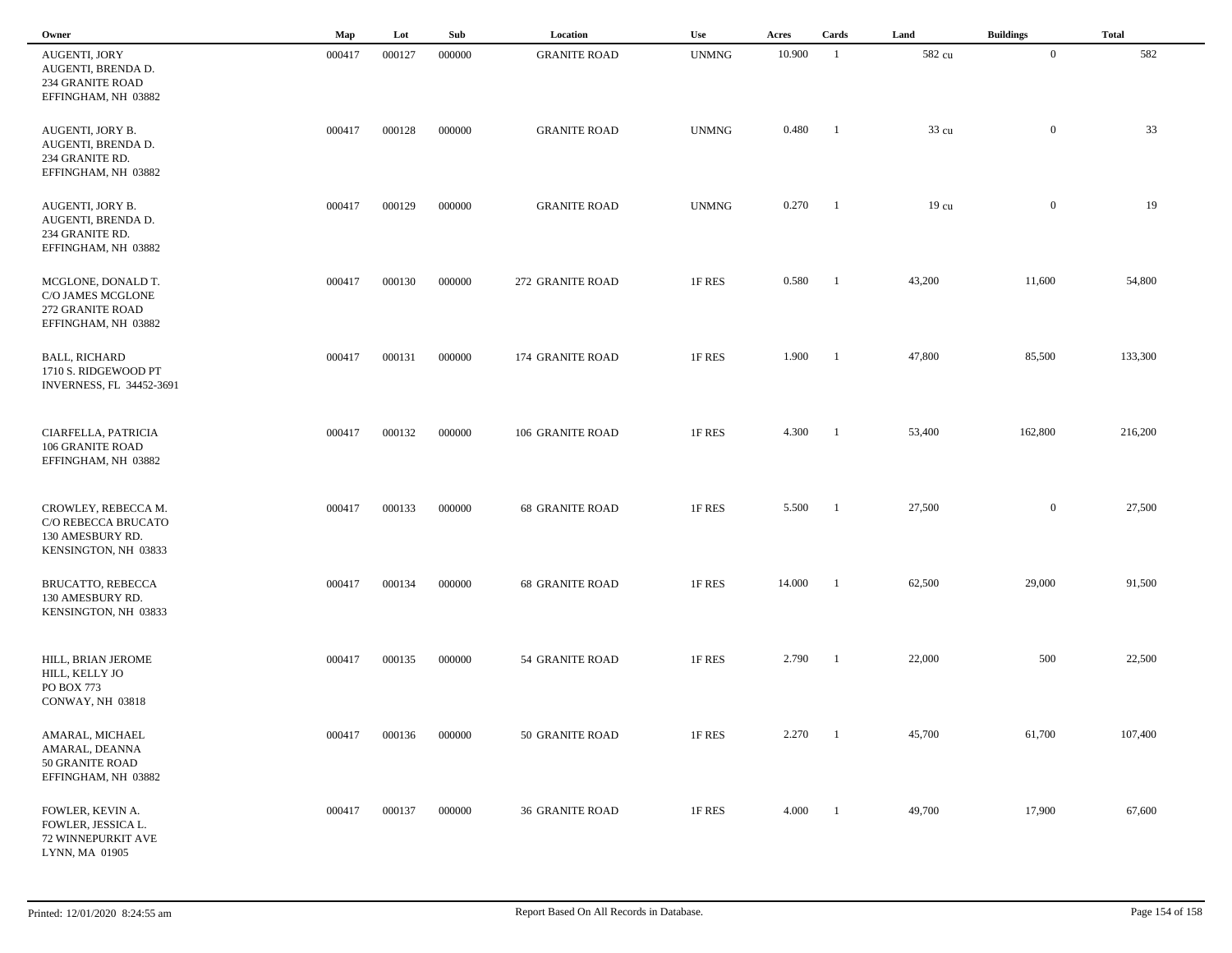| Owner                                                                                  | Map    | Lot    | Sub    | Location               | Use          | Acres  | Cards          | Land             | <b>Buildings</b> | <b>Total</b> |  |
|----------------------------------------------------------------------------------------|--------|--------|--------|------------------------|--------------|--------|----------------|------------------|------------------|--------------|--|
| AUGENTI, JORY<br>AUGENTI, BRENDA D.<br><b>234 GRANITE ROAD</b><br>EFFINGHAM, NH 03882  | 000417 | 000127 | 000000 | <b>GRANITE ROAD</b>    | <b>UNMNG</b> | 10.900 | -1             | 582 cu           | $\overline{0}$   | 582          |  |
| AUGENTI, JORY B.<br>AUGENTI, BRENDA D.<br>234 GRANITE RD.<br>EFFINGHAM, NH 03882       | 000417 | 000128 | 000000 | <b>GRANITE ROAD</b>    | <b>UNMNG</b> | 0.480  | - 1            | 33 <sub>cu</sub> | $\mathbf{0}$     | 33           |  |
| AUGENTI, JORY B.<br>AUGENTI, BRENDA D.<br>234 GRANITE RD.<br>EFFINGHAM, NH 03882       | 000417 | 000129 | 000000 | <b>GRANITE ROAD</b>    | <b>UNMNG</b> | 0.270  | - 1            | $19 \text{ cu}$  | $\bf{0}$         | 19           |  |
| MCGLONE, DONALD T.<br>C/O JAMES MCGLONE<br>272 GRANITE ROAD<br>EFFINGHAM, NH 03882     | 000417 | 000130 | 000000 | 272 GRANITE ROAD       | 1F RES       | 0.580  | -1             | 43,200           | 11,600           | 54,800       |  |
| <b>BALL, RICHARD</b><br>1710 S. RIDGEWOOD PT<br>INVERNESS, FL 34452-3691               | 000417 | 000131 | 000000 | 174 GRANITE ROAD       | 1F RES       | 1.900  | $\blacksquare$ | 47,800           | 85,500           | 133,300      |  |
| CIARFELLA, PATRICIA<br>106 GRANITE ROAD<br>EFFINGHAM, NH 03882                         | 000417 | 000132 | 000000 | 106 GRANITE ROAD       | 1F RES       | 4.300  | $\blacksquare$ | 53,400           | 162,800          | 216,200      |  |
| CROWLEY, REBECCA M.<br>C/O REBECCA BRUCATO<br>130 AMESBURY RD.<br>KENSINGTON, NH 03833 | 000417 | 000133 | 000000 | <b>68 GRANITE ROAD</b> | 1F RES       | 5.500  | - 1            | 27,500           | $\overline{0}$   | 27,500       |  |
| BRUCATTO, REBECCA<br>130 AMESBURY RD.<br>KENSINGTON, NH 03833                          | 000417 | 000134 | 000000 | <b>68 GRANITE ROAD</b> | 1F RES       | 14.000 | -1             | 62,500           | 29,000           | 91,500       |  |
| HILL, BRIAN JEROME<br>HILL, KELLY JO<br>PO BOX 773<br>CONWAY, NH 03818                 | 000417 | 000135 | 000000 | 54 GRANITE ROAD        | 1F RES       | 2.790  | -1             | 22,000           | 500              | 22,500       |  |
| AMARAL, MICHAEL<br>AMARAL, DEANNA<br>50 GRANITE ROAD<br>EFFINGHAM, NH 03882            | 000417 | 000136 | 000000 | 50 GRANITE ROAD        | 1F RES       | 2.270  | $\blacksquare$ | 45,700           | 61,700           | 107,400      |  |
| FOWLER, KEVIN A.<br>FOWLER, JESSICA L.<br>72 WINNEPURKIT AVE<br>LYNN, MA 01905         | 000417 | 000137 | 000000 | <b>36 GRANITE ROAD</b> | 1F RES       | 4.000  | $\blacksquare$ | 49,700           | 17,900           | 67,600       |  |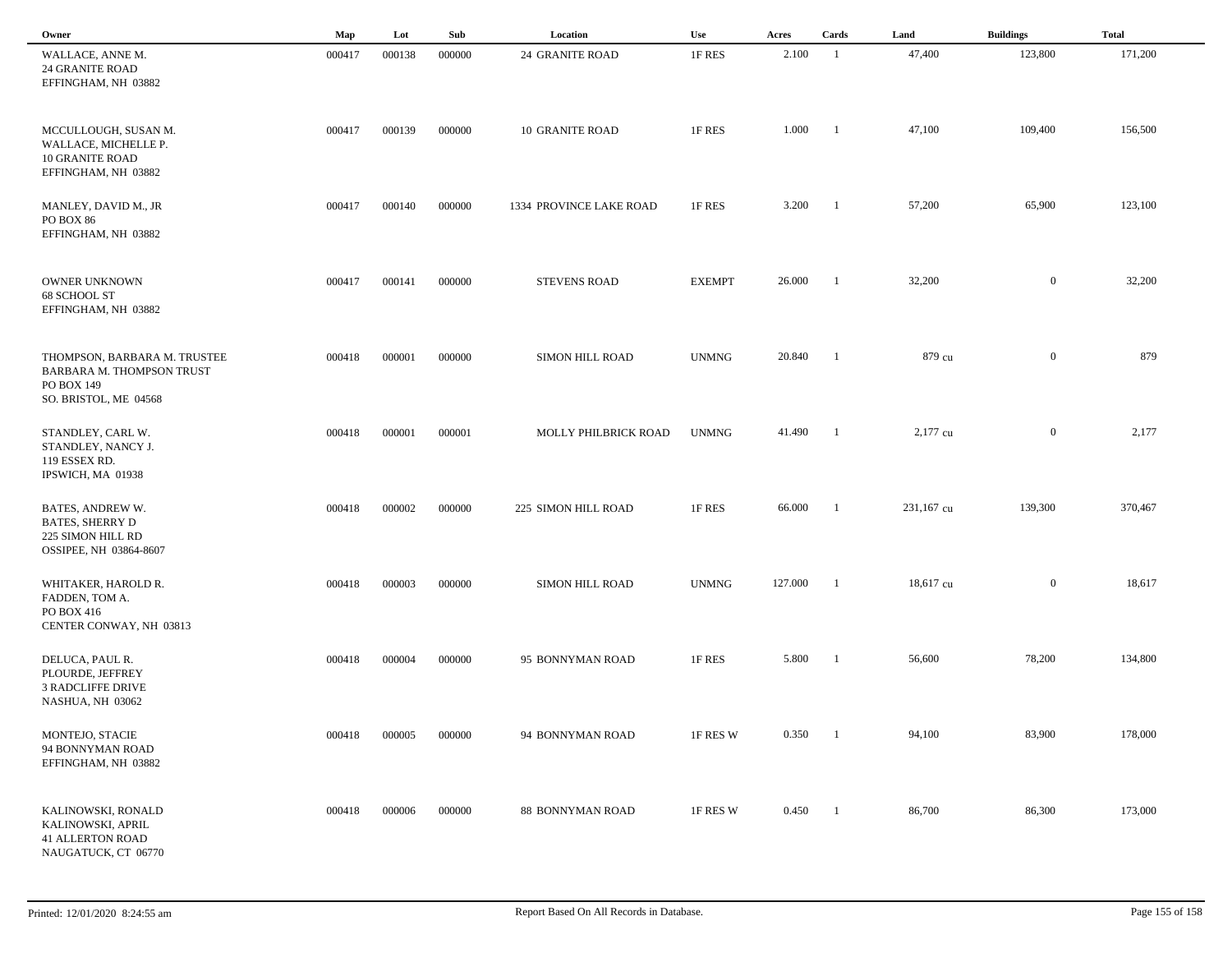| Owner                                                                                            | Map    | Lot    | Sub    | Location                | Use           | Acres   | Cards          | Land       | <b>Buildings</b> | <b>Total</b> |
|--------------------------------------------------------------------------------------------------|--------|--------|--------|-------------------------|---------------|---------|----------------|------------|------------------|--------------|
| WALLACE, ANNE M.<br><b>24 GRANITE ROAD</b><br>EFFINGHAM, NH 03882                                | 000417 | 000138 | 000000 | <b>24 GRANITE ROAD</b>  | 1F RES        | 2.100   | -1             | 47,400     | 123,800          | 171,200      |
| MCCULLOUGH, SUSAN M.<br>WALLACE, MICHELLE P.<br><b>10 GRANITE ROAD</b><br>EFFINGHAM, NH 03882    | 000417 | 000139 | 000000 | <b>10 GRANITE ROAD</b>  | 1F RES        | 1.000   | - 1            | 47,100     | 109,400          | 156,500      |
| MANLEY, DAVID M., JR<br><b>PO BOX 86</b><br>EFFINGHAM, NH 03882                                  | 000417 | 000140 | 000000 | 1334 PROVINCE LAKE ROAD | 1F RES        | 3.200   | -1             | 57,200     | 65,900           | 123,100      |
| <b>OWNER UNKNOWN</b><br>68 SCHOOL ST<br>EFFINGHAM, NH 03882                                      | 000417 | 000141 | 000000 | <b>STEVENS ROAD</b>     | <b>EXEMPT</b> | 26.000  | -1             | 32,200     | $\overline{0}$   | 32,200       |
| THOMPSON, BARBARA M. TRUSTEE<br>BARBARA M. THOMPSON TRUST<br>PO BOX 149<br>SO. BRISTOL, ME 04568 | 000418 | 000001 | 000000 | <b>SIMON HILL ROAD</b>  | <b>UNMNG</b>  | 20.840  | -1             | 879 cu     | $\mathbf{0}$     | 879          |
| STANDLEY, CARL W.<br>STANDLEY, NANCY J.<br>119 ESSEX RD.<br>IPSWICH, MA 01938                    | 000418 | 000001 | 000001 | MOLLY PHILBRICK ROAD    | <b>UNMNG</b>  | 41.490  | - 1            | 2,177 cu   | $\mathbf{0}$     | 2,177        |
| BATES, ANDREW W.<br><b>BATES, SHERRY D</b><br>225 SIMON HILL RD<br>OSSIPEE, NH 03864-8607        | 000418 | 000002 | 000000 | 225 SIMON HILL ROAD     | 1F RES        | 66.000  | -1             | 231,167 cu | 139,300          | 370,467      |
| WHITAKER, HAROLD R.<br>FADDEN, TOM A.<br>PO BOX 416<br>CENTER CONWAY, NH 03813                   | 000418 | 000003 | 000000 | SIMON HILL ROAD         | <b>UNMNG</b>  | 127.000 | -1             | 18,617 cu  | $\mathbf{0}$     | 18,617       |
| DELUCA, PAUL R.<br>PLOURDE, JEFFREY<br><b>3 RADCLIFFE DRIVE</b><br>NASHUA, NH 03062              | 000418 | 000004 | 000000 | 95 BONNYMAN ROAD        | 1F RES        | 5.800   |                | 56,600     | 78,200           | 134,800      |
| MONTEJO, STACIE<br>94 BONNYMAN ROAD<br>EFFINGHAM, NH 03882                                       | 000418 | 000005 | 000000 | 94 BONNYMAN ROAD        | 1F RES W      | 0.350   | $\blacksquare$ | 94,100     | 83,900           | 178,000      |
| KALINOWSKI, RONALD<br>KALINOWSKI, APRIL<br><b>41 ALLERTON ROAD</b><br>NAUGATUCK, CT 06770        | 000418 | 000006 | 000000 | 88 BONNYMAN ROAD        | 1F RES W      | 0.450   | $\blacksquare$ | 86,700     | 86,300           | 173,000      |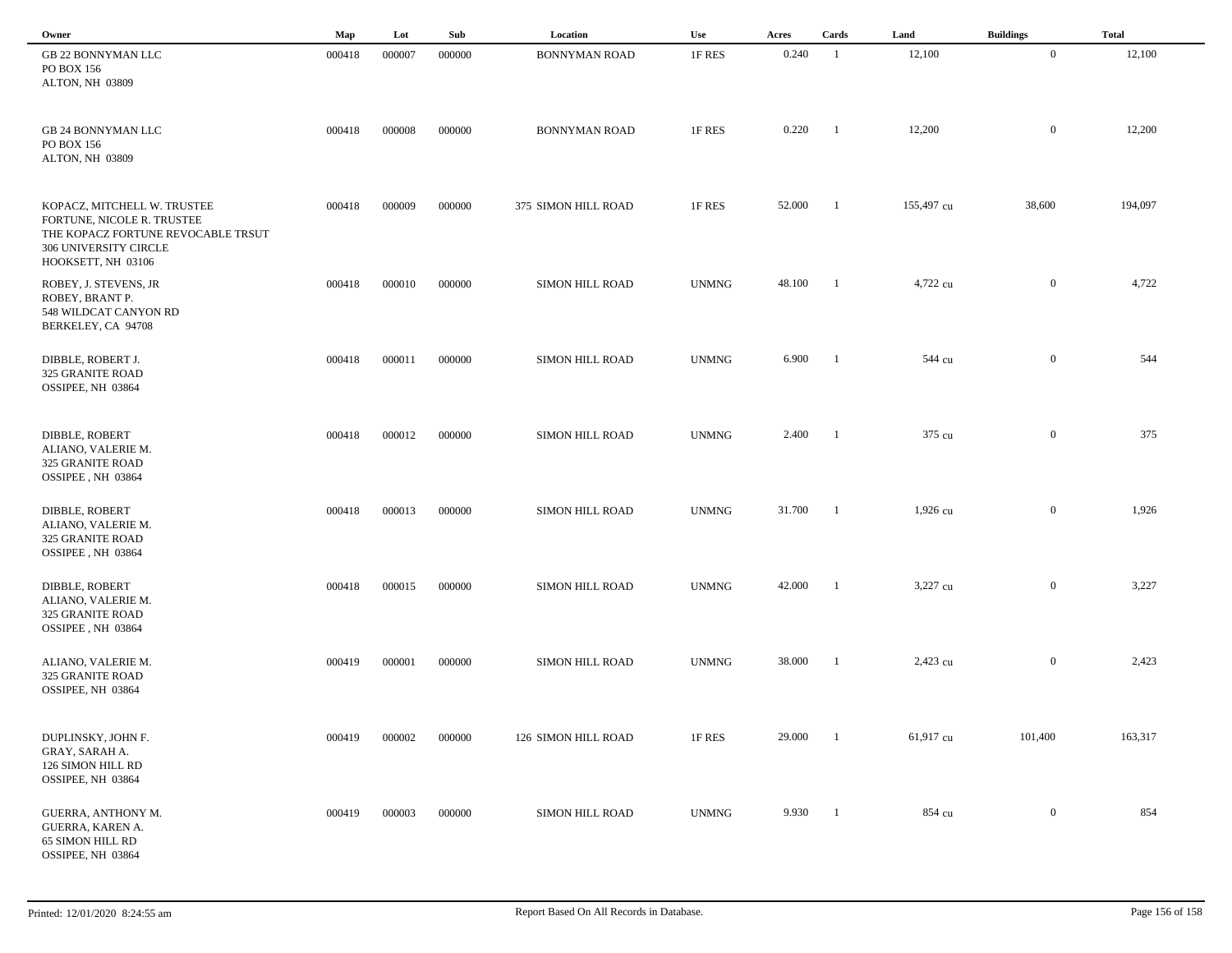| Owner                                                                                                                                          | Map    | Lot    | Sub    | Location               | Use          | Acres  | Cards                    | Land       | <b>Buildings</b> | <b>Total</b> |
|------------------------------------------------------------------------------------------------------------------------------------------------|--------|--------|--------|------------------------|--------------|--------|--------------------------|------------|------------------|--------------|
| GB 22 BONNYMAN LLC<br>PO BOX 156<br>ALTON, NH 03809                                                                                            | 000418 | 000007 | 000000 | <b>BONNYMAN ROAD</b>   | 1F RES       | 0.240  | $\overline{1}$           | 12,100     | $\mathbf{0}$     | 12,100       |
| GB 24 BONNYMAN LLC<br>PO BOX 156<br>ALTON, NH 03809                                                                                            | 000418 | 000008 | 000000 | <b>BONNYMAN ROAD</b>   | 1F RES       | 0.220  | $\overline{1}$           | 12,200     | $\bf{0}$         | 12,200       |
| KOPACZ, MITCHELL W. TRUSTEE<br>FORTUNE, NICOLE R. TRUSTEE<br>THE KOPACZ FORTUNE REVOCABLE TRSUT<br>306 UNIVERSITY CIRCLE<br>HOOKSETT, NH 03106 | 000418 | 000009 | 000000 | 375 SIMON HILL ROAD    | 1F RES       | 52.000 | $\blacksquare$           | 155,497 cu | 38,600           | 194,097      |
| ROBEY, J. STEVENS, JR<br>ROBEY, BRANT P.<br>548 WILDCAT CANYON RD<br>BERKELEY, CA 94708                                                        | 000418 | 000010 | 000000 | SIMON HILL ROAD        | <b>UNMNG</b> | 48.100 | $\overline{1}$           | 4,722 cu   | $\overline{0}$   | 4,722        |
| DIBBLE, ROBERT J.<br>325 GRANITE ROAD<br>OSSIPEE, NH 03864                                                                                     | 000418 | 000011 | 000000 | SIMON HILL ROAD        | <b>UNMNG</b> | 6.900  | $\blacksquare$           | 544 cu     | $\overline{0}$   | 544          |
| DIBBLE, ROBERT<br>ALIANO, VALERIE M.<br>325 GRANITE ROAD<br>OSSIPEE, NH 03864                                                                  | 000418 | 000012 | 000000 | SIMON HILL ROAD        | <b>UNMNG</b> | 2.400  | $\blacksquare$           | 375 cu     | $\mathbf{0}$     | 375          |
| DIBBLE, ROBERT<br>ALIANO, VALERIE M.<br>325 GRANITE ROAD<br>OSSIPEE, NH 03864                                                                  | 000418 | 000013 | 000000 | <b>SIMON HILL ROAD</b> | <b>UNMNG</b> | 31.700 | $\overline{\phantom{0}}$ | 1,926 cu   | $\mathbf{0}$     | 1,926        |
| DIBBLE, ROBERT<br>ALIANO, VALERIE M.<br>325 GRANITE ROAD<br>OSSIPEE, NH 03864                                                                  | 000418 | 000015 | 000000 | <b>SIMON HILL ROAD</b> | <b>UNMNG</b> | 42.000 | $\overline{1}$           | 3,227 cu   | $\overline{0}$   | 3,227        |
| ALIANO, VALERIE M.<br>325 GRANITE ROAD<br>OSSIPEE, NH 03864                                                                                    | 000419 | 000001 | 000000 | <b>SIMON HILL ROAD</b> | <b>UNMNG</b> | 38.000 | - 1                      | 2,423 cu   | $\overline{0}$   | 2,423        |
| DUPLINSKY, JOHN F.<br>GRAY, SARAH A.<br>126 SIMON HILL RD<br>OSSIPEE, NH 03864                                                                 | 000419 | 000002 | 000000 | 126 SIMON HILL ROAD    | 1F RES       | 29.000 | - 1                      | 61,917 cu  | 101,400          | 163,317      |
| GUERRA, ANTHONY M.<br>GUERRA, KAREN A.<br>65 SIMON HILL RD<br>OSSIPEE, NH 03864                                                                | 000419 | 000003 | 000000 | SIMON HILL ROAD        | <b>UNMNG</b> | 9.930  | $\overline{1}$           | 854 cu     | $\overline{0}$   | 854          |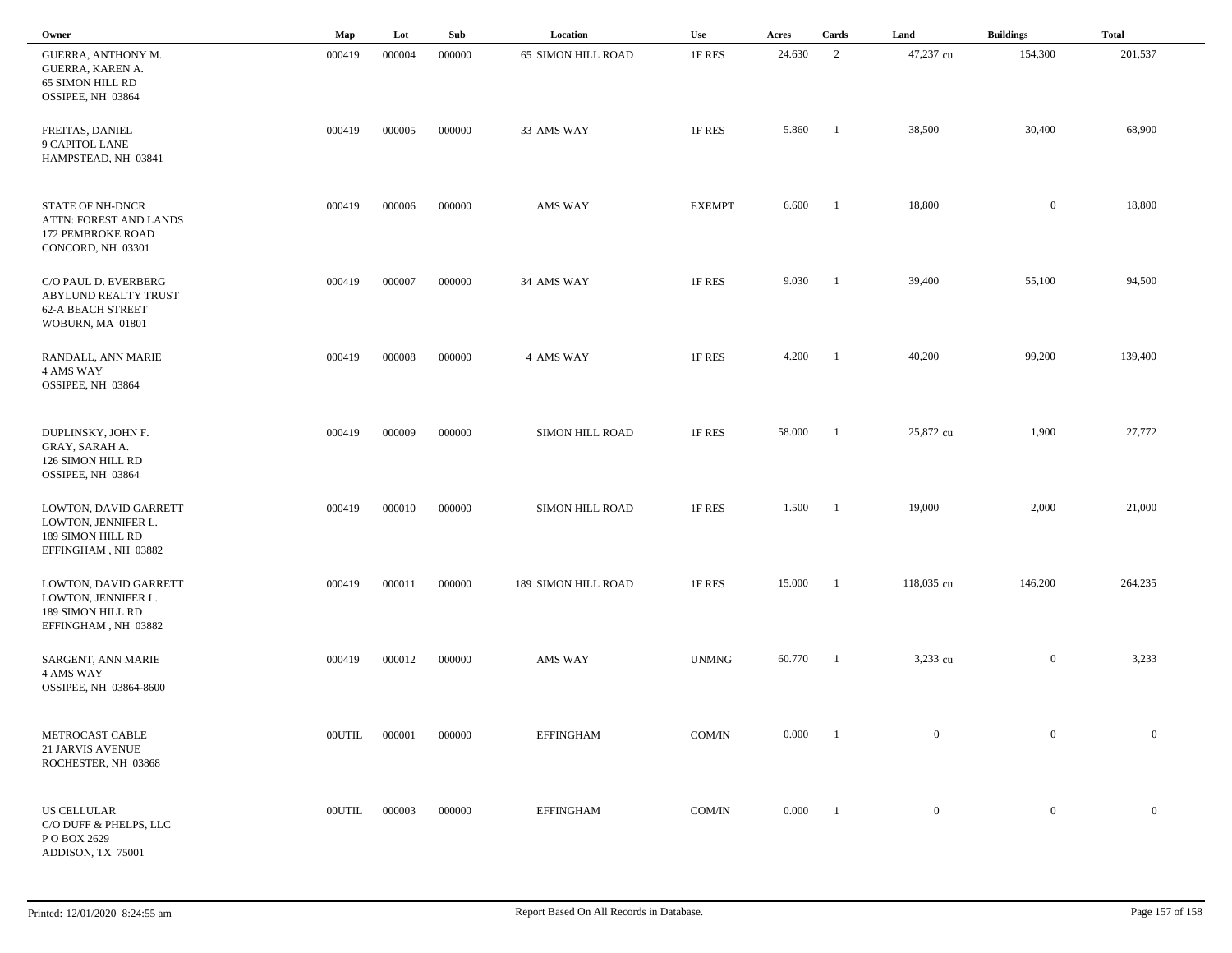| Owner                                                                                        | Map           | Lot    | Sub    | Location                  | Use           | Acres  | Cards                    | Land           | <b>Buildings</b> | <b>Total</b>     |  |
|----------------------------------------------------------------------------------------------|---------------|--------|--------|---------------------------|---------------|--------|--------------------------|----------------|------------------|------------------|--|
| <b>GUERRA, ANTHONY M.</b><br>GUERRA, KAREN A.<br>65 SIMON HILL RD<br>OSSIPEE, NH 03864       | 000419        | 000004 | 000000 | <b>65 SIMON HILL ROAD</b> | 1F RES        | 24.630 | 2                        | 47,237 cu      | 154,300          | 201,537          |  |
| FREITAS, DANIEL<br>9 CAPITOL LANE<br>HAMPSTEAD, NH 03841                                     | 000419        | 000005 | 000000 | 33 AMS WAY                | 1F RES        | 5.860  | - 1                      | 38,500         | 30,400           | 68,900           |  |
| <b>STATE OF NH-DNCR</b><br>ATTN: FOREST AND LANDS<br>172 PEMBROKE ROAD<br>CONCORD, NH 03301  | 000419        | 000006 | 000000 | AMS WAY                   | <b>EXEMPT</b> | 6.600  | -1                       | 18,800         | $\mathbf{0}$     | 18,800           |  |
| C/O PAUL D. EVERBERG<br>ABYLUND REALTY TRUST<br><b>62-A BEACH STREET</b><br>WOBURN, MA 01801 | 000419        | 000007 | 000000 | 34 AMS WAY                | 1F RES        | 9.030  | -1                       | 39,400         | 55,100           | 94,500           |  |
| RANDALL, ANN MARIE<br>4 AMS WAY<br>OSSIPEE, NH 03864                                         | 000419        | 000008 | 000000 | 4 AMS WAY                 | 1F RES        | 4.200  | $\blacksquare$           | 40,200         | 99,200           | 139,400          |  |
| DUPLINSKY, JOHN F.<br>GRAY, SARAH A.<br>126 SIMON HILL RD<br>OSSIPEE, NH 03864               | 000419        | 000009 | 000000 | SIMON HILL ROAD           | 1F RES        | 58.000 | -1                       | 25,872 cu      | 1,900            | 27,772           |  |
| LOWTON, DAVID GARRETT<br>LOWTON, JENNIFER L.<br>189 SIMON HILL RD<br>EFFINGHAM, NH 03882     | 000419        | 000010 | 000000 | SIMON HILL ROAD           | 1F RES        | 1.500  | - 1                      | 19,000         | 2,000            | 21,000           |  |
| LOWTON, DAVID GARRETT<br>LOWTON, JENNIFER L.<br>189 SIMON HILL RD<br>EFFINGHAM, NH 03882     | 000419        | 000011 | 000000 | 189 SIMON HILL ROAD       | 1F RES        | 15.000 | -1                       | 118,035 cu     | 146,200          | 264,235          |  |
| SARGENT, ANN MARIE<br>4 AMS WAY<br>OSSIPEE, NH 03864-8600                                    | 000419        | 000012 | 000000 | <b>AMS WAY</b>            | <b>UNMNG</b>  | 60.770 | - 1                      | 3,233 cu       | $\overline{0}$   | 3,233            |  |
| METROCAST CABLE<br><b>21 JARVIS AVENUE</b><br>ROCHESTER, NH 03868                            | <b>OOUTIL</b> | 000001 | 000000 | <b>EFFINGHAM</b>          | COM/IN        | 0.000  | $\blacksquare$           | $\mathbf{0}$   | $\overline{0}$   | $\overline{0}$   |  |
| <b>US CELLULAR</b><br>C/O DUFF & PHELPS, LLC<br>PO BOX 2629<br>ADDISON, TX 75001             | <b>OOUTIL</b> | 000003 | 000000 | <b>EFFINGHAM</b>          | COM/IN        | 0.000  | $\overline{\phantom{0}}$ | $\overline{0}$ | $\boldsymbol{0}$ | $\boldsymbol{0}$ |  |